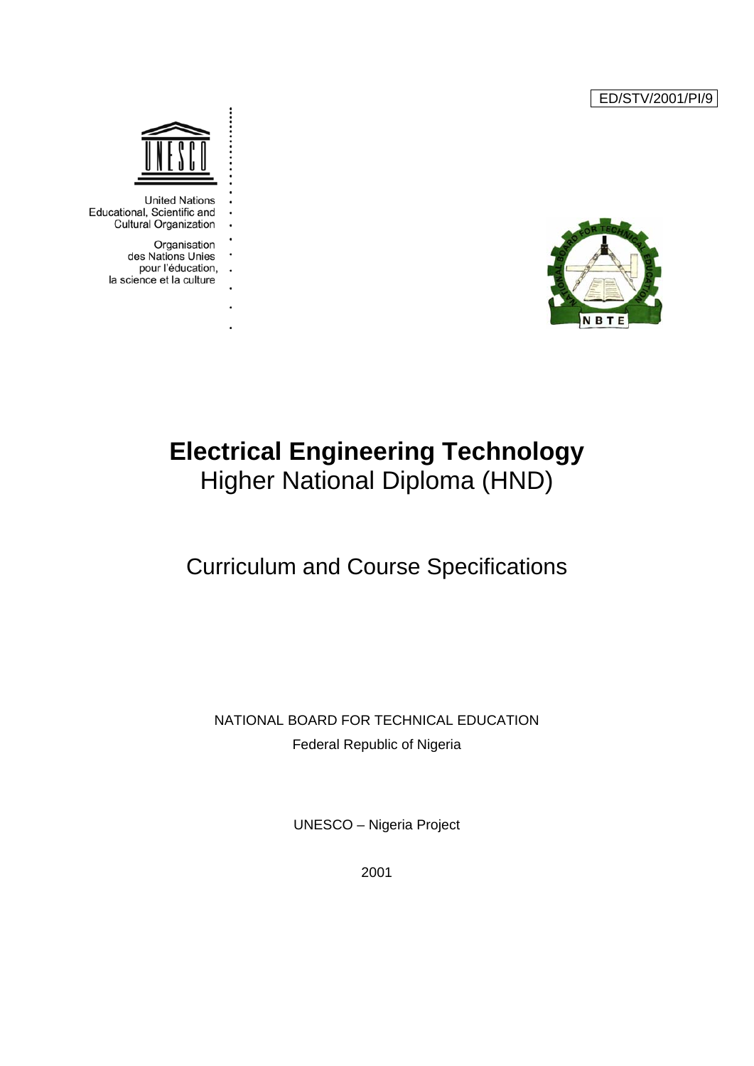ED/STV/2001/PI/9





**United Nations** Educational, Scientific and **Cultural Organization** 

> Organisation des Nations Unies pour l'éducation, . . la science et la culture

> > l,

## **Electrical Engineering Technology**  Higher National Diploma (HND)

## Curriculum and Course Specifications

NATIONAL BOARD FOR TECHNICAL EDUCATION Federal Republic of Nigeria

UNESCO – Nigeria Project

2001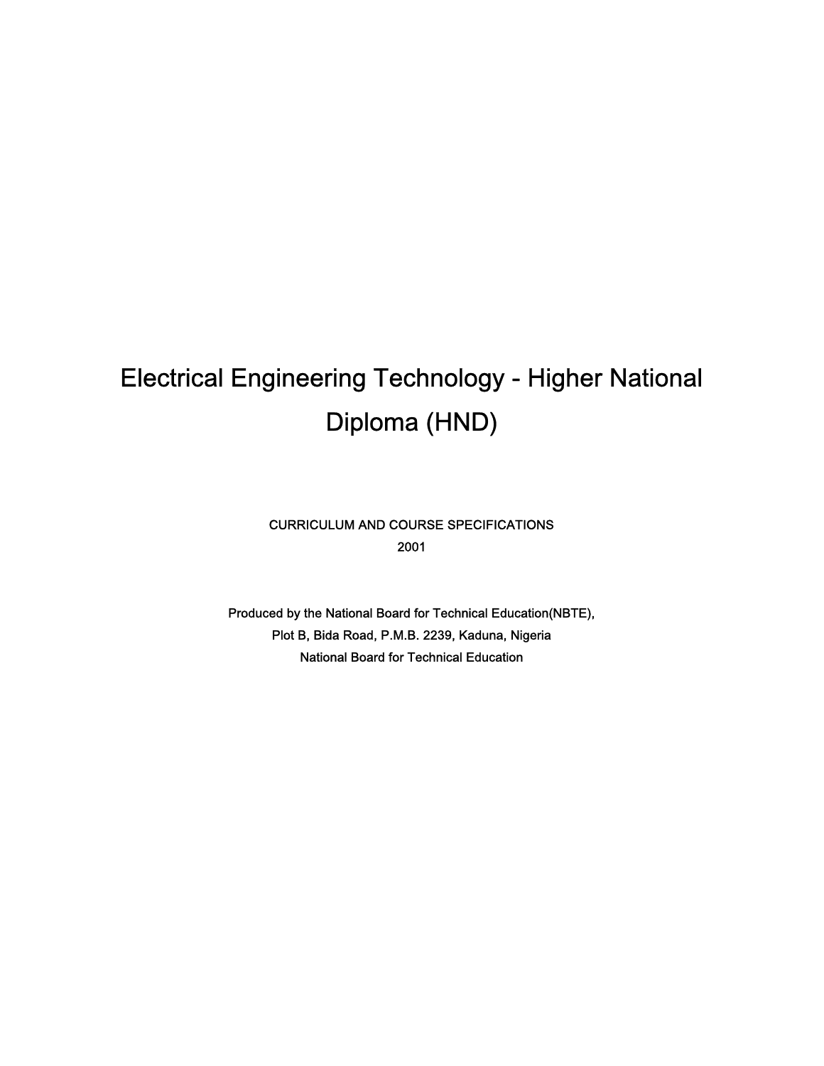# Electrical Engineering Technology - Higher National Diploma (HND)

CURRICULUM AND COURSE SPECIFICATIONS 2001

Produced by the National Board for Technical Education(NBTE), Plot B, Bida Road, P.M.B. 2239, Kaduna, Nigeria National Board for Technical Education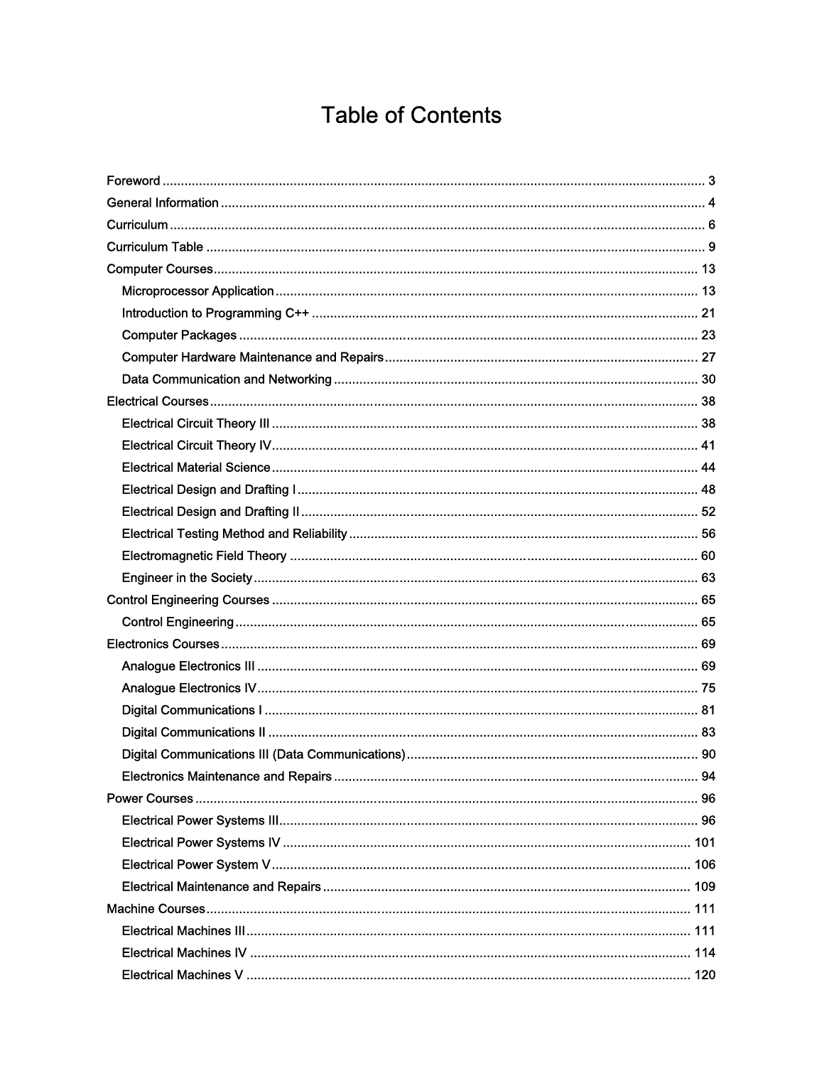## **Table of Contents**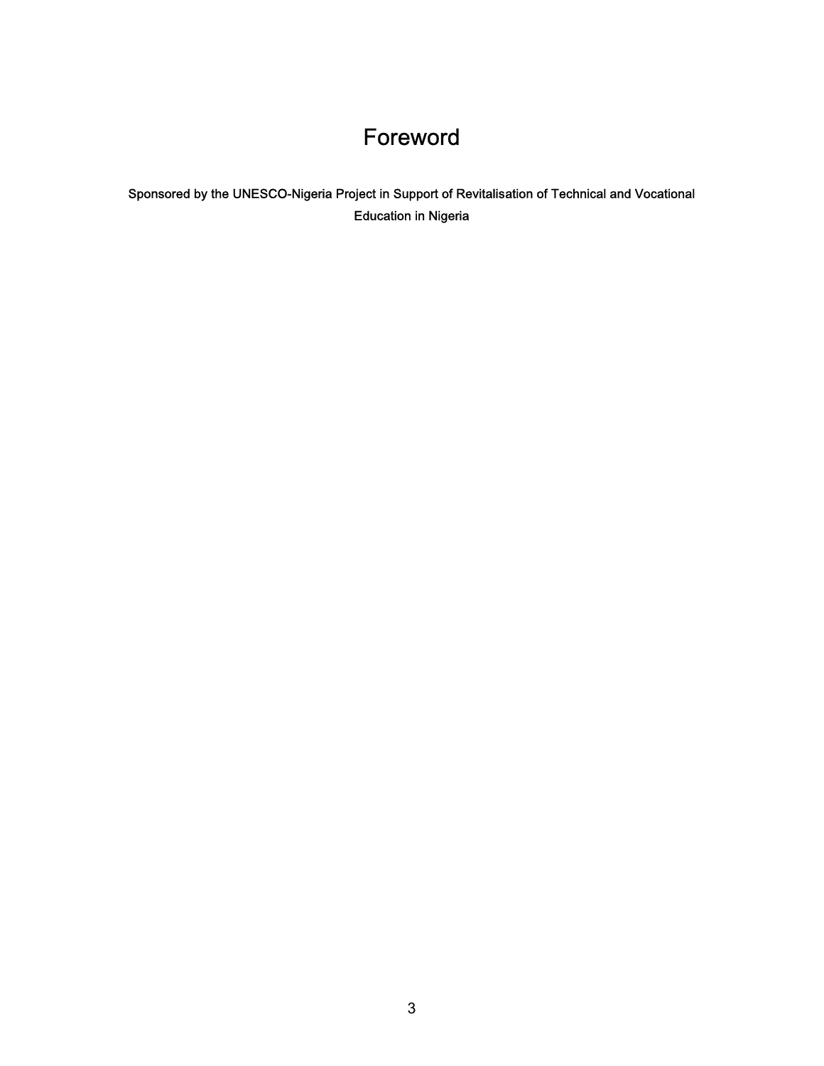## Foreword

<span id="page-4-0"></span>Sponsored by the UNESCO-Nigeria Project in Support of Revitalisation of Technical and Vocational Education in Nigeria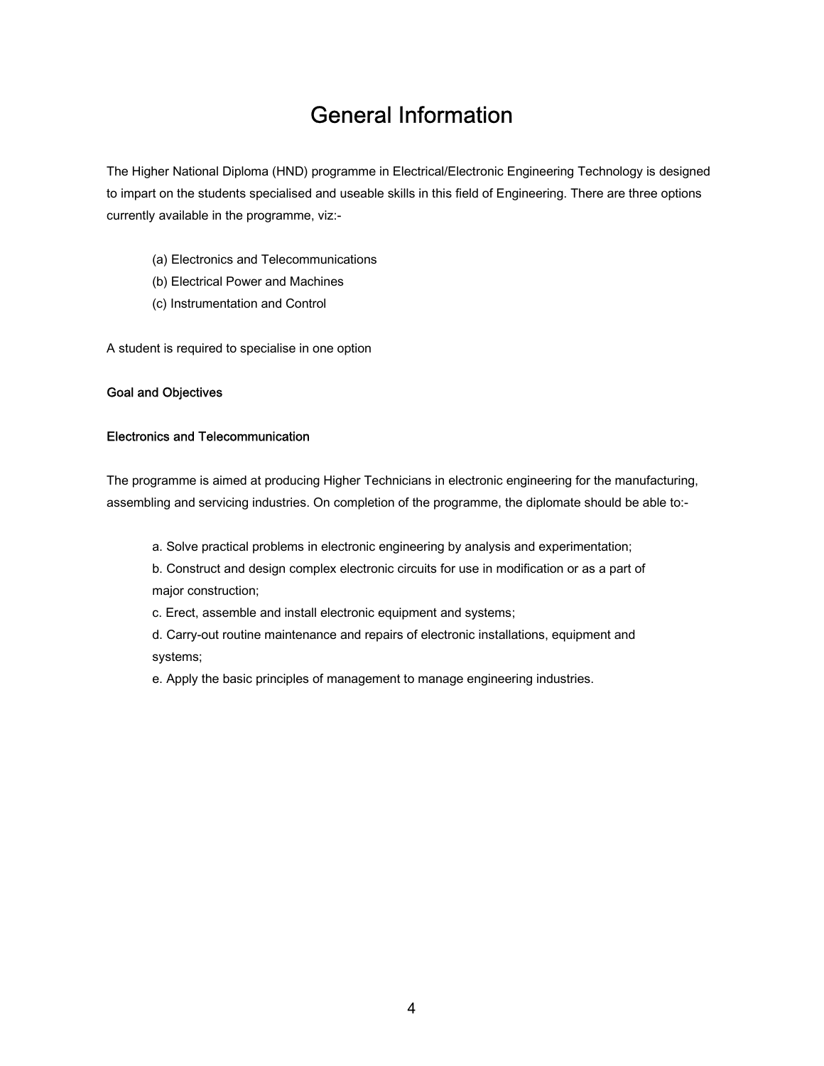## General Information

<span id="page-5-0"></span>The Higher National Diploma (HND) programme in Electrical/Electronic Engineering Technology is designed to impart on the students specialised and useable skills in this field of Engineering. There are three options currently available in the programme, viz:-

- (a) Electronics and Telecommunications
- (b) Electrical Power and Machines
- (c) Instrumentation and Control

A student is required to specialise in one option

#### Goal and Objectives

#### Electronics and Telecommunication

The programme is aimed at producing Higher Technicians in electronic engineering for the manufacturing, assembling and servicing industries. On completion of the programme, the diplomate should be able to:-

a. Solve practical problems in electronic engineering by analysis and experimentation;

b. Construct and design complex electronic circuits for use in modification or as a part of major construction;

- c. Erect, assemble and install electronic equipment and systems;
- d. Carry-out routine maintenance and repairs of electronic installations, equipment and systems;
- e. Apply the basic principles of management to manage engineering industries.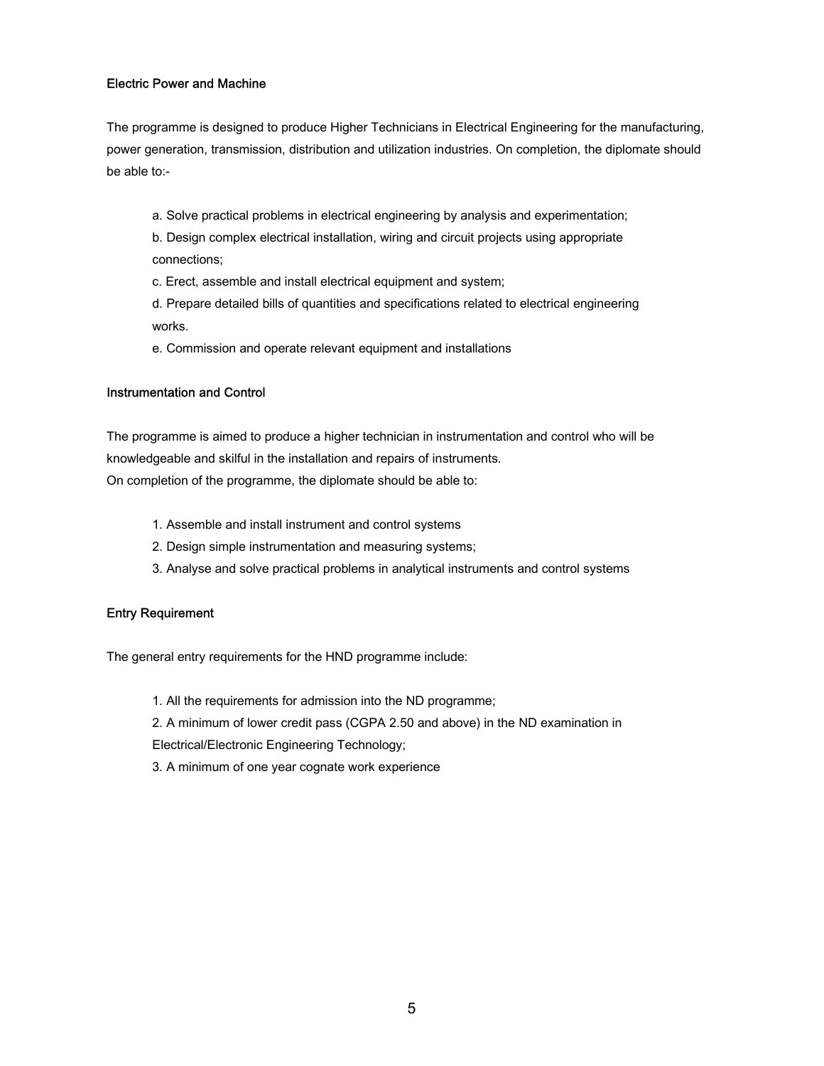#### Electric Power and Machine

The programme is designed to produce Higher Technicians in Electrical Engineering for the manufacturing, power generation, transmission, distribution and utilization industries. On completion, the diplomate should be able to:-

a. Solve practical problems in electrical engineering by analysis and experimentation;

b. Design complex electrical installation, wiring and circuit projects using appropriate connections;

c. Erect, assemble and install electrical equipment and system;

d. Prepare detailed bills of quantities and specifications related to electrical engineering works.

e. Commission and operate relevant equipment and installations

#### Instrumentation and Control

The programme is aimed to produce a higher technician in instrumentation and control who will be knowledgeable and skilful in the installation and repairs of instruments. On completion of the programme, the diplomate should be able to:

- 1. Assemble and install instrument and control systems
- 2. Design simple instrumentation and measuring systems;
- 3. Analyse and solve practical problems in analytical instruments and control systems

#### Entry Requirement

The general entry requirements for the HND programme include:

- 1. All the requirements for admission into the ND programme;
- 2. A minimum of lower credit pass (CGPA 2.50 and above) in the ND examination in

Electrical/Electronic Engineering Technology;

3. A minimum of one year cognate work experience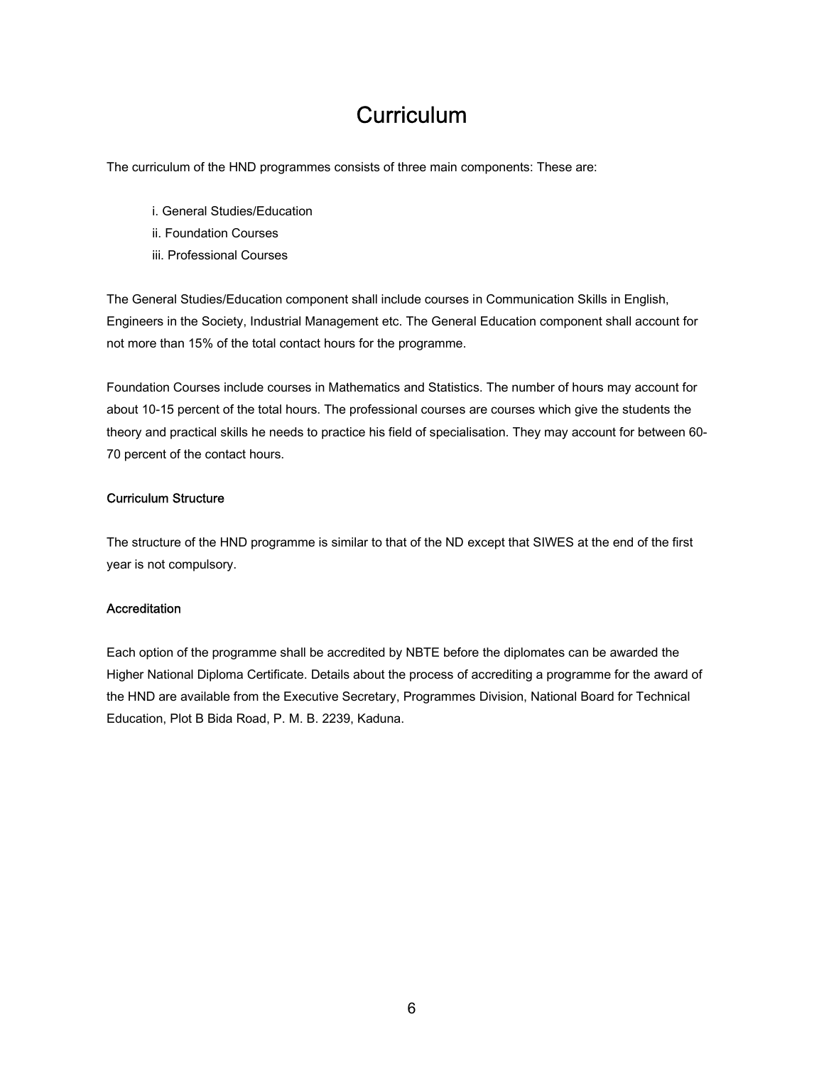## **Curriculum**

<span id="page-7-0"></span>The curriculum of the HND programmes consists of three main components: These are:

- i. General Studies/Education
- ii. Foundation Courses
- iii. Professional Courses

The General Studies/Education component shall include courses in Communication Skills in English, Engineers in the Society, Industrial Management etc. The General Education component shall account for not more than 15% of the total contact hours for the programme.

Foundation Courses include courses in Mathematics and Statistics. The number of hours may account for about 10-15 percent of the total hours. The professional courses are courses which give the students the theory and practical skills he needs to practice his field of specialisation. They may account for between 60- 70 percent of the contact hours.

#### Curriculum Structure

The structure of the HND programme is similar to that of the ND except that SIWES at the end of the first year is not compulsory.

#### **Accreditation**

Each option of the programme shall be accredited by NBTE before the diplomates can be awarded the Higher National Diploma Certificate. Details about the process of accrediting a programme for the award of the HND are available from the Executive Secretary, Programmes Division, National Board for Technical Education, Plot B Bida Road, P. M. B. 2239, Kaduna.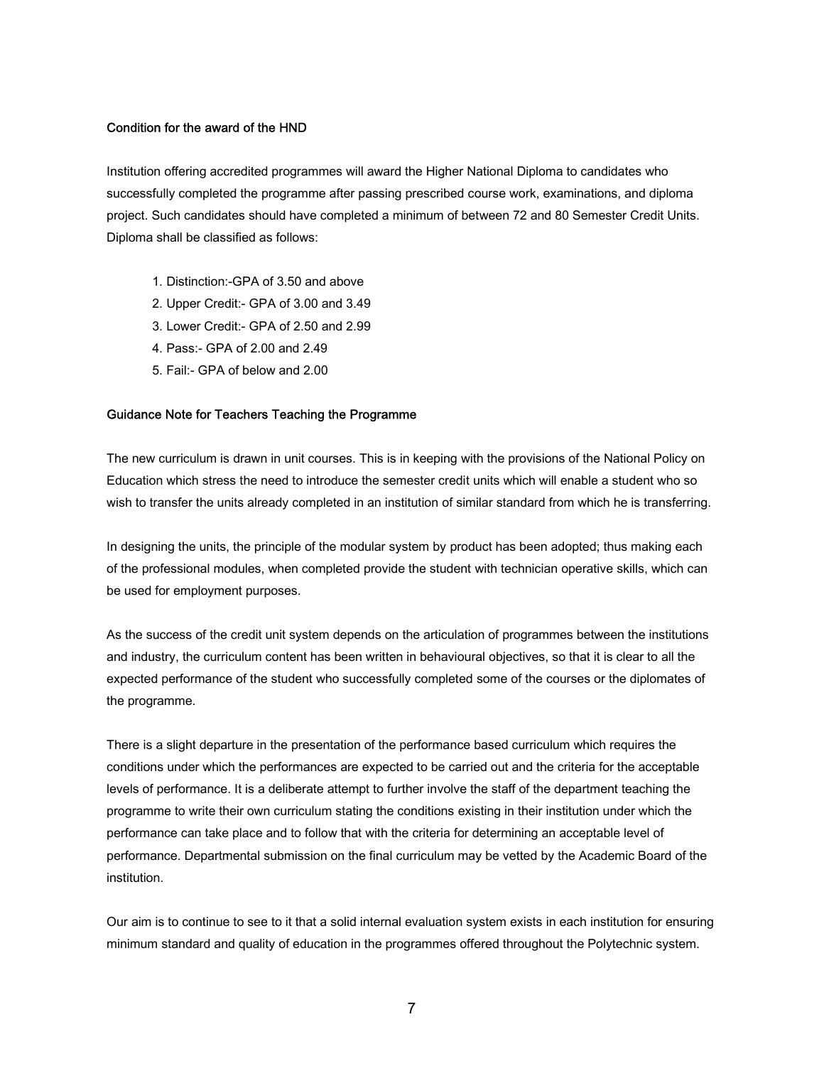#### Condition for the award of the HND

Institution offering accredited programmes will award the Higher National Diploma to candidates who successfully completed the programme after passing prescribed course work, examinations, and diploma project. Such candidates should have completed a minimum of between 72 and 80 Semester Credit Units. Diploma shall be classified as follows:

- 1. Distinction:-GPA of 3.50 and above
- 2. Upper Credit:- GPA of 3.00 and 3.49
- 3. Lower Credit:- GPA of 2.50 and 2.99
- 4. Pass:- GPA of 2.00 and 2.49
- 5. Fail:- GPA of below and 2.00

#### Guidance Note for Teachers Teaching the Programme

The new curriculum is drawn in unit courses. This is in keeping with the provisions of the National Policy on Education which stress the need to introduce the semester credit units which will enable a student who so wish to transfer the units already completed in an institution of similar standard from which he is transferring.

In designing the units, the principle of the modular system by product has been adopted; thus making each of the professional modules, when completed provide the student with technician operative skills, which can be used for employment purposes.

As the success of the credit unit system depends on the articulation of programmes between the institutions and industry, the curriculum content has been written in behavioural objectives, so that it is clear to all the expected performance of the student who successfully completed some of the courses or the diplomates of the programme.

There is a slight departure in the presentation of the performance based curriculum which requires the conditions under which the performances are expected to be carried out and the criteria for the acceptable levels of performance. It is a deliberate attempt to further involve the staff of the department teaching the programme to write their own curriculum stating the conditions existing in their institution under which the performance can take place and to follow that with the criteria for determining an acceptable level of performance. Departmental submission on the final curriculum may be vetted by the Academic Board of the institution.

Our aim is to continue to see to it that a solid internal evaluation system exists in each institution for ensuring minimum standard and quality of education in the programmes offered throughout the Polytechnic system.

7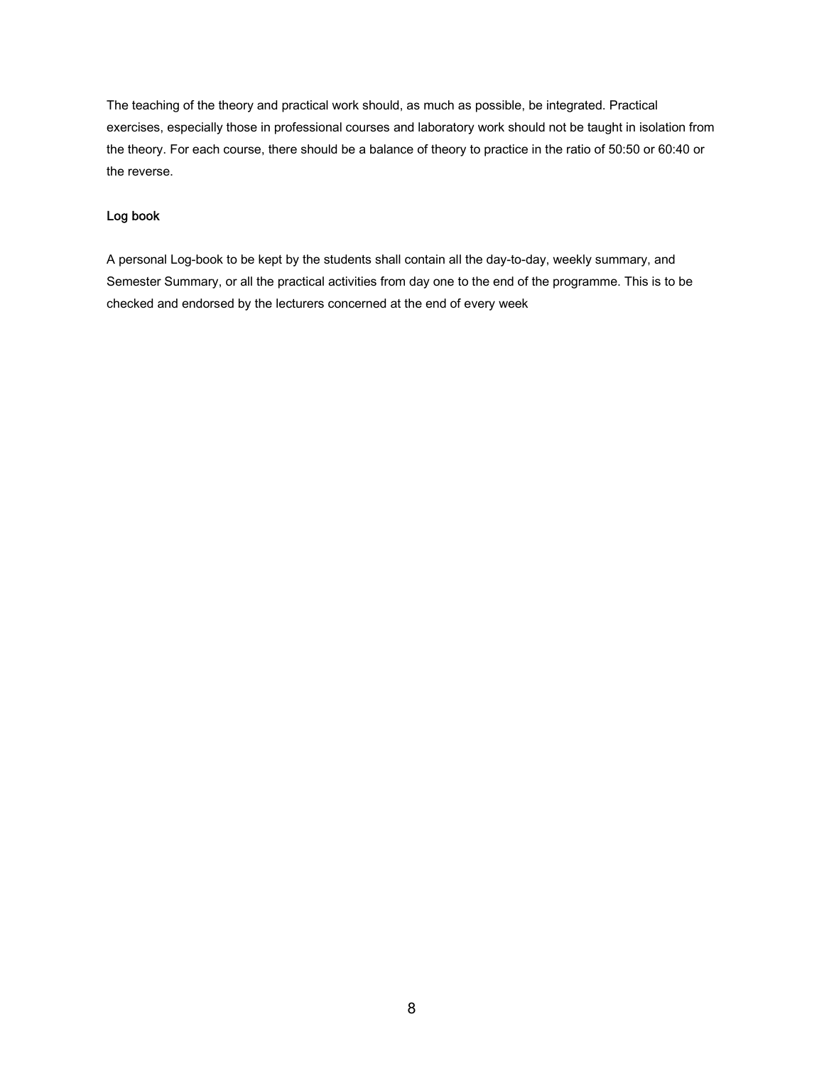The teaching of the theory and practical work should, as much as possible, be integrated. Practical exercises, especially those in professional courses and laboratory work should not be taught in isolation from the theory. For each course, there should be a balance of theory to practice in the ratio of 50:50 or 60:40 or the reverse.

### Log book

A personal Log-book to be kept by the students shall contain all the day-to-day, weekly summary, and Semester Summary, or all the practical activities from day one to the end of the programme. This is to be checked and endorsed by the lecturers concerned at the end of every week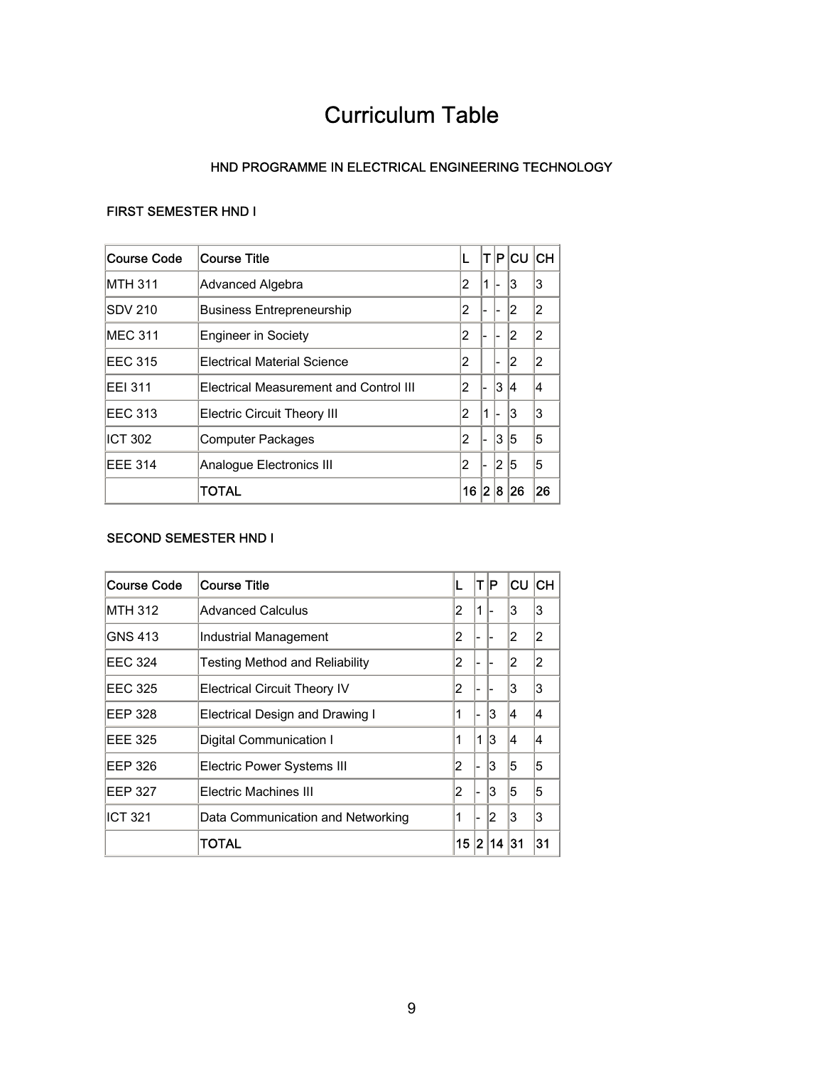## Curriculum Table

### HND PROGRAMME IN ELECTRICAL ENGINEERING TECHNOLOGY

### <span id="page-10-0"></span>FIRST SEMESTER HND I

| Course Code    | lCourse Title                          |    |     |     | T P CU | <b>ICH</b> |
|----------------|----------------------------------------|----|-----|-----|--------|------------|
| MTH 311        | Advanced Algebra                       | 2  | 11  | -   | 3      | 3          |
| <b>SDV 210</b> | <b>Business Entrepreneurship</b>       | 2  |     |     | 2      | 2          |
| MEC 311        | Engineer in Society                    | 2  |     |     | 2      | 2          |
| <b>EEC 315</b> | Electrical Material Science            | 2  |     |     | 2      | 2          |
| <b>EEI 311</b> | Electrical Measurement and Control III | 2  | ı-  | 3   | 4      | 4          |
| <b>EEC 313</b> | <b>Electric Circuit Theory III</b>     | 2  | 1   |     | 3      | 3          |
| <b>ICT 302</b> | Computer Packages                      | 2  | ı-  | 13. | 5      | 5          |
| <b>EEE 314</b> | Analoque Electronics III               | 2  | ı-  | 12  | 5      | 5          |
|                | TOTAL                                  | 16 | 2 8 |     | 26     | 26         |

### SECOND SEMESTER HND I

| <b>Course Code</b> | <b>Course Title</b>                   |    | ΤI   | P  | CU | CH |
|--------------------|---------------------------------------|----|------|----|----|----|
| <b>MTH 312</b>     | Advanced Calculus                     | 2  | 1    |    | 3  | 3  |
| <b>GNS 413</b>     | Industrial Management                 | 2  |      |    | 2  | 2  |
| <b>EEC 324</b>     | <b>Testing Method and Reliability</b> | 2  |      |    | 2  | 2  |
| <b>EEC 325</b>     | <b>Electrical Circuit Theory IV</b>   | 2  |      |    | 3  | 3  |
| EEP 328            | Electrical Design and Drawing I       | 1  |      | 3  | 14 | 14 |
| <b>EEE 325</b>     | Digital Communication I               | 1  | 1    | 3  | 14 | 14 |
| EEP 326            | Electric Power Systems III            | 2  |      | 3  | 5  | 5  |
| EEP 327            | Electric Machines III                 | 2  |      | 3  | 5  | 5  |
| <b>ICT 321</b>     | Data Communication and Networking     | 1  |      | 2  | 3  | 3  |
|                    | <b>TOTAL</b>                          | 15 | 12 I | 14 | 31 | 31 |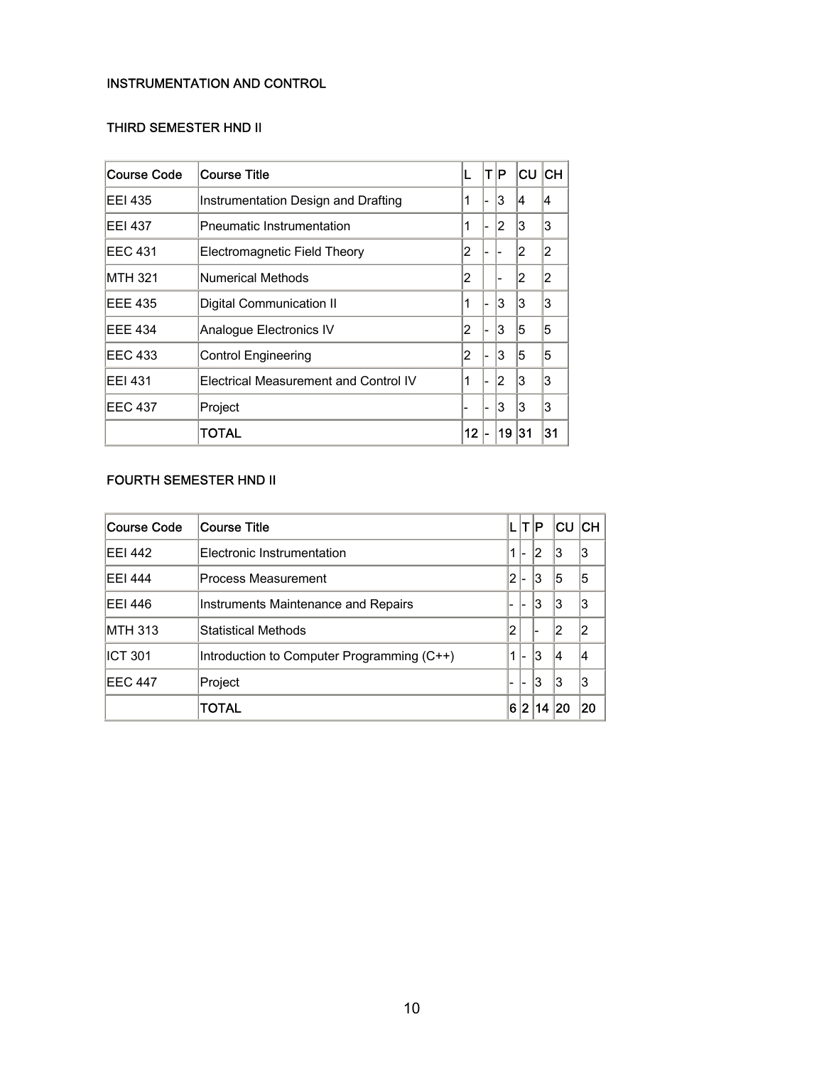### INSTRUMENTATION AND CONTROL

### THIRD SEMESTER HND II

| <b>Course Code</b> | <b>Course Title</b>                   | L  | IT IP. |    | lc∪ lcн |    |
|--------------------|---------------------------------------|----|--------|----|---------|----|
| EEI 435            | Instrumentation Design and Drafting   | 1  |        | 13 | 14      | 4  |
| <b>EEI 437</b>     | <b>Pneumatic Instrumentation</b>      | 1  |        | 12 | 3       | 3  |
| EEC 431            | Electromagnetic Field Theory          | 2  |        |    | 2       | 2  |
| MTH 321            | Numerical Methods                     | 2  |        |    | 2       | 2  |
| <b>EEE 435</b>     | Digital Communication II              | 1  |        | 13 | 3       | 3  |
| <b>EEE 434</b>     | Analogue Electronics IV               | 2  |        | 3  | 5       | 5  |
| <b>EEC 433</b>     | <b>Control Engineering</b>            | 2  |        | 3  | 5       | 5  |
| <b>EEI 431</b>     | Electrical Measurement and Control IV | 1  |        | 12 | 3       | 3  |
| EEC 437            | Project                               |    |        | 3  | 3       | 3  |
|                    | TOTAL                                 | 12 |        | 19 | 131     | 31 |

## FOURTH SEMESTER HND II

| <b>Course Code</b> | <b>Course Title</b>                        |                          |                | T P | ICU ICH |    |
|--------------------|--------------------------------------------|--------------------------|----------------|-----|---------|----|
| <b>EEI 442</b>     | Electronic Instrumentation                 |                          | $\overline{ }$ | 2   | 13      | 3  |
| <b>EEI 444</b>     | Process Measurement                        | 2                        |                | 3   | 15      | 5  |
| EEI 446            | Instruments Maintenance and Repairs        | $\overline{\phantom{0}}$ | ۰              | 3   | 13      | 3  |
| <b>MTH 313</b>     | Statistical Methods                        | 2                        |                |     | 12      | 2  |
| ICT 301            | Introduction to Computer Programming (C++) |                          | $\overline{ }$ | 3   | 14      | 4  |
| <b>EEC 447</b>     | Project                                    | -                        |                | 3   | 13      | 3  |
|                    | TOTAL                                      | 6                        | 12             | 14  |         | 20 |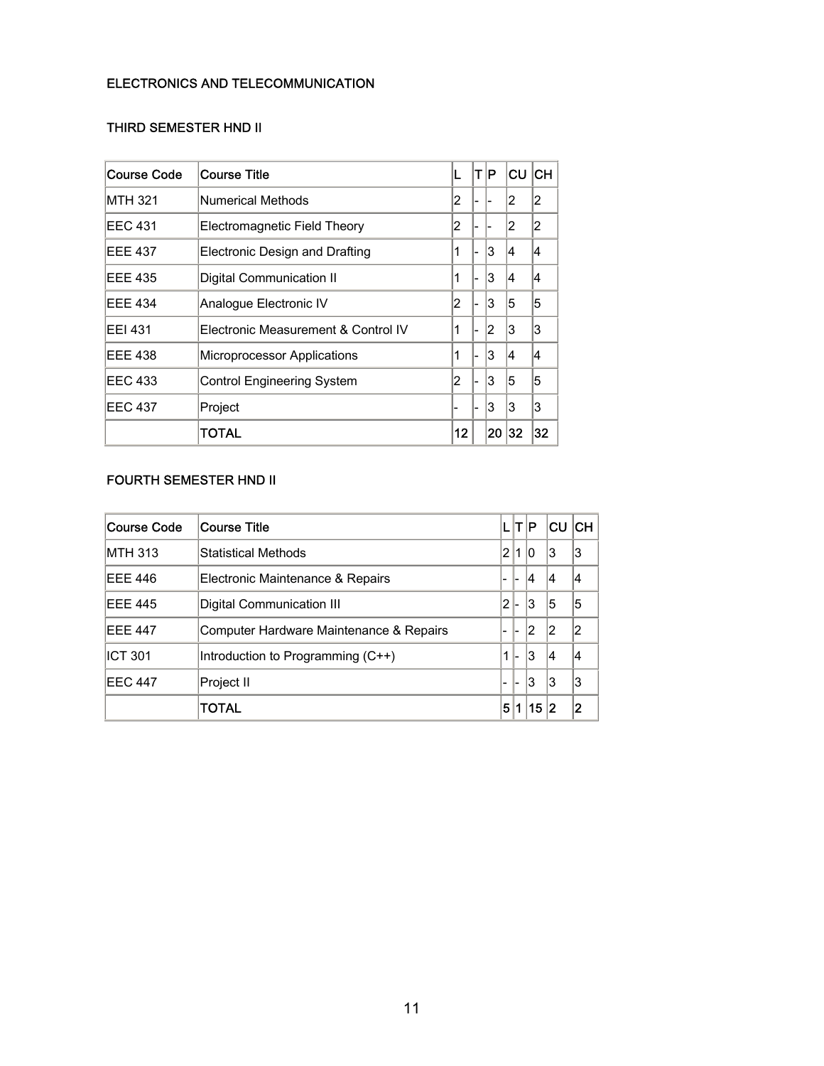### ELECTRONICS AND TELECOMMUNICATION

### THIRD SEMESTER HND II

| Course Code    | <b>Course Title</b>                 | L  | ΙT | ΙP | CU  | <b>ICH</b> |
|----------------|-------------------------------------|----|----|----|-----|------------|
| <b>MTH 321</b> | Numerical Methods                   | 2  |    |    | 2   | 2          |
| EEC 431        | Electromagnetic Field Theory        | 2  |    |    |     | 2          |
| <b>EEE 437</b> | Electronic Design and Drafting      | 1  |    | 13 | 14  | 4          |
| <b>EEE 435</b> | Digital Communication II            | 1  |    | 3  | 14  | 4          |
| <b>EEE 434</b> | Analogue Electronic IV              | 2  |    | 3  | 5   | 5          |
| <b>EEI 431</b> | Electronic Measurement & Control IV | 1  |    | 2  | 3   | 3          |
| <b>EEE 438</b> | Microprocessor Applications         | 1  |    | 13 | 14  | 4          |
| <b>EEC 433</b> | <b>Control Engineering System</b>   | 2  |    | 3  | 5   | 5          |
| <b>EEC 437</b> | Project                             |    |    | 3  | 3   | 3          |
|                | TOTAL                               | 12 |    | 20 | 132 | 32         |

## FOURTH SEMESTER HND II

| Course Code    | <b>Course Title</b>                     | L                        | IT IP                    |    | ∣CU | <b>ICH</b> |
|----------------|-----------------------------------------|--------------------------|--------------------------|----|-----|------------|
| <b>MTH 313</b> | <b>Statistical Methods</b>              | 2                        |                          | 10 | 13  | 3          |
| <b>EEE 446</b> | Electronic Maintenance & Repairs        | $\overline{\phantom{0}}$ | L                        | 14 | 14  | 14         |
| <b>EEE 445</b> | Digital Communication III               | 12                       |                          | 3  | 15  | 15         |
| <b>EEE 447</b> | Computer Hardware Maintenance & Repairs | $\overline{\phantom{0}}$ | ı-                       | 12 | 12  |            |
| <b>ICT 301</b> | Introduction to Programming (C++)       |                          | $\overline{\phantom{a}}$ | 13 | 14  | 14         |
| <b>EEC 447</b> | Project II                              | -                        | ı —                      | 3  | 13  | 3          |
|                | TOTAL                                   | 5                        |                          | 15 | 12  | 2          |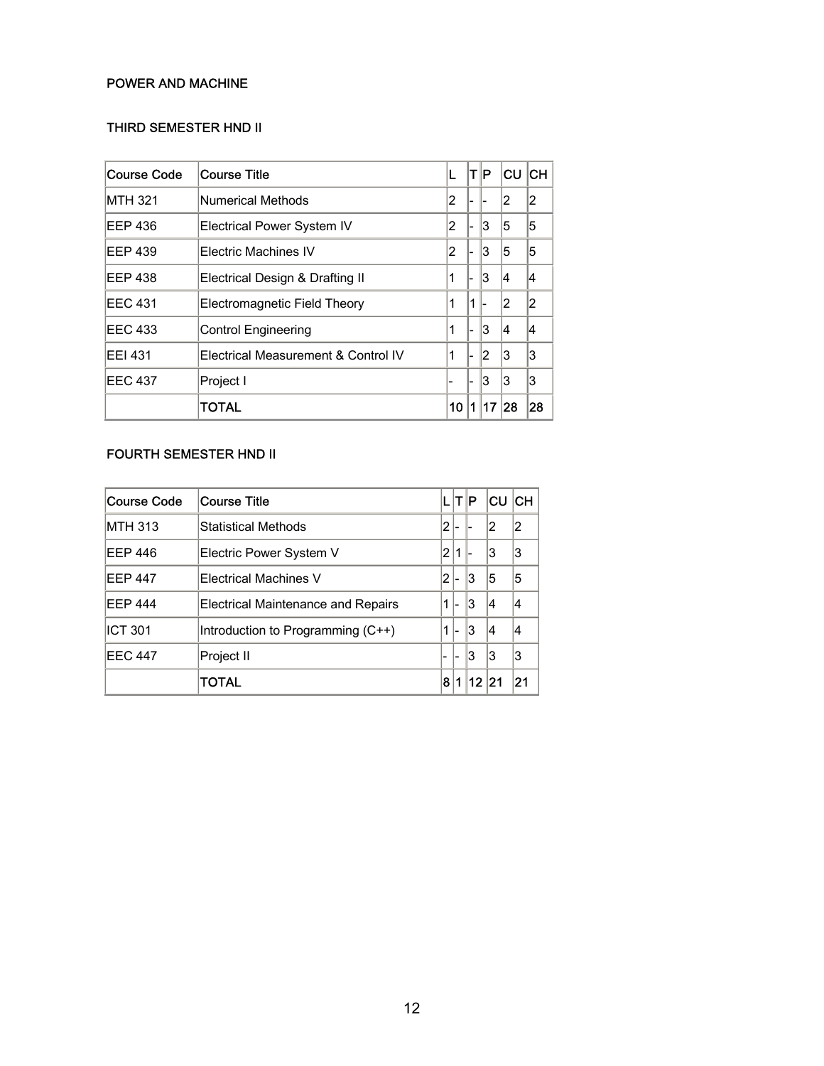### POWER AND MACHINE

### THIRD SEMESTER HND II

| Course Code    | Course Title                        | L  | ΙT | ∣P. | lCU. | CH |
|----------------|-------------------------------------|----|----|-----|------|----|
| <b>MTH 321</b> | Numerical Methods                   | 2  |    |     | 12   | 2  |
| EEP 436        | <b>Electrical Power System IV</b>   | 2  |    | 3   | 15   | 5  |
| EEP 439        | Electric Machines IV                | 2  |    | 3   | 15   | 5  |
| <b>EEP 438</b> | Electrical Design & Drafting II     | 1  |    | 3   | 14   | 14 |
| <b>EEC 431</b> | Electromagnetic Field Theory        | 1  | 1  |     | 12   | 2  |
| <b>EEC 433</b> | <b>Control Engineering</b>          | 1  |    | 3   | 14   | 14 |
| <b>EEI 431</b> | Electrical Measurement & Control IV | 1  |    | 12  | 13   | 3  |
| <b>EEC 437</b> | Project I                           |    |    | 13  | 3    | 3  |
|                | TOTAL                               | 10 | 1  | 17  | 128  | 28 |

## FOURTH SEMESTER HND II

| Course Code    | <b>Course Title</b>                       |   | LITIP |       | <b>CU</b> | <b>ICH</b> |
|----------------|-------------------------------------------|---|-------|-------|-----------|------------|
| <b>MTH 313</b> | Statistical Methods                       | 2 |       |       | 12        | 12         |
| EEP 446        | Electric Power System V                   | 2 | 1     |       | 3         | 13         |
| <b>EEP 447</b> | Electrical Machines V                     | 2 |       | 13    | 15        | 5          |
| <b>EEP 444</b> | <b>Electrical Maintenance and Repairs</b> | 1 | 1–    | 13    | 14        | 14         |
| <b>ICT 301</b> | Introduction to Programming (C++)         | 1 | ı-    | Ι3    | 14        | 14         |
| <b>EEC 447</b> | Project II                                |   | ı-    | 13    | 13        | 13         |
|                | TOTAL                                     | 8 | 1     | 12 21 |           | 21         |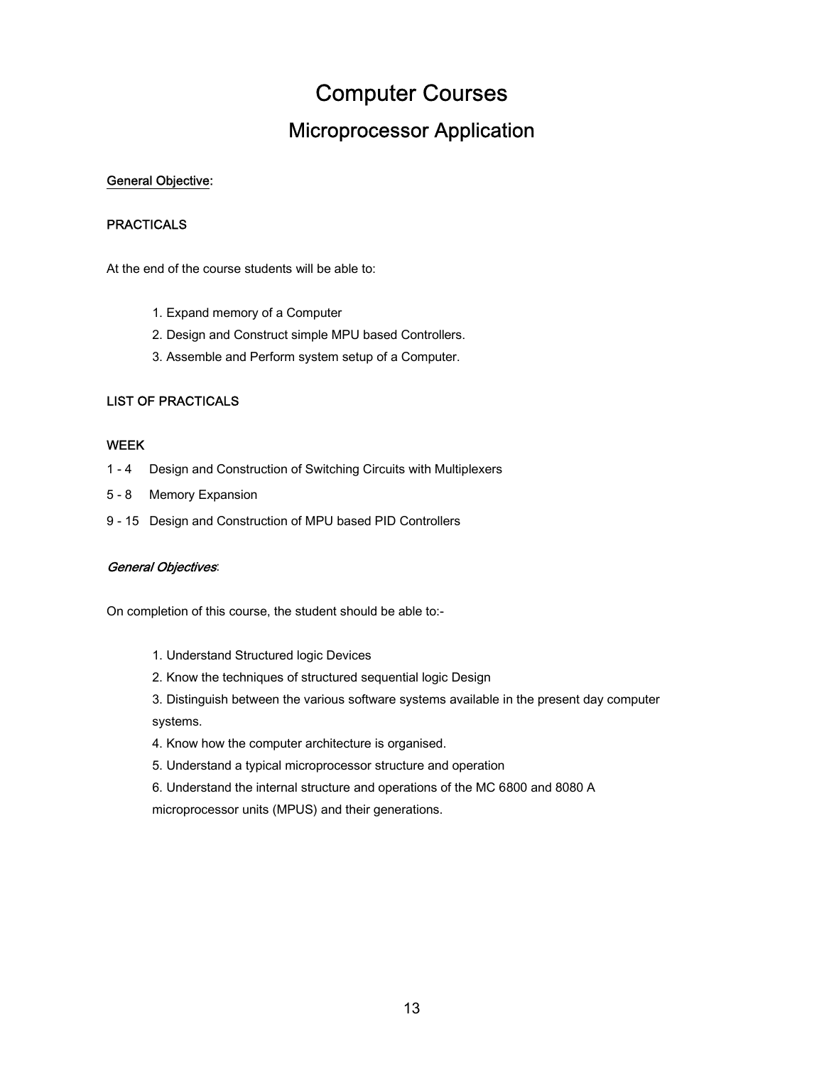## Computer Courses

## Microprocessor Application

#### <span id="page-14-0"></span>General Objective:

#### **PRACTICALS**

At the end of the course students will be able to:

- 1. Expand memory of a Computer
- 2. Design and Construct simple MPU based Controllers.
- 3. Assemble and Perform system setup of a Computer.

### LIST OF PRACTICALS

#### WEEK

- 1 4 Design and Construction of Switching Circuits with Multiplexers
- 5 8 Memory Expansion
- 9 15 Design and Construction of MPU based PID Controllers

#### General Objectives:

On completion of this course, the student should be able to:-

- 1. Understand Structured logic Devices
- 2. Know the techniques of structured sequential logic Design
- 3. Distinguish between the various software systems available in the present day computer systems.
- 4. Know how the computer architecture is organised.
- 5. Understand a typical microprocessor structure and operation
- 6. Understand the internal structure and operations of the MC 6800 and 8080 A

microprocessor units (MPUS) and their generations.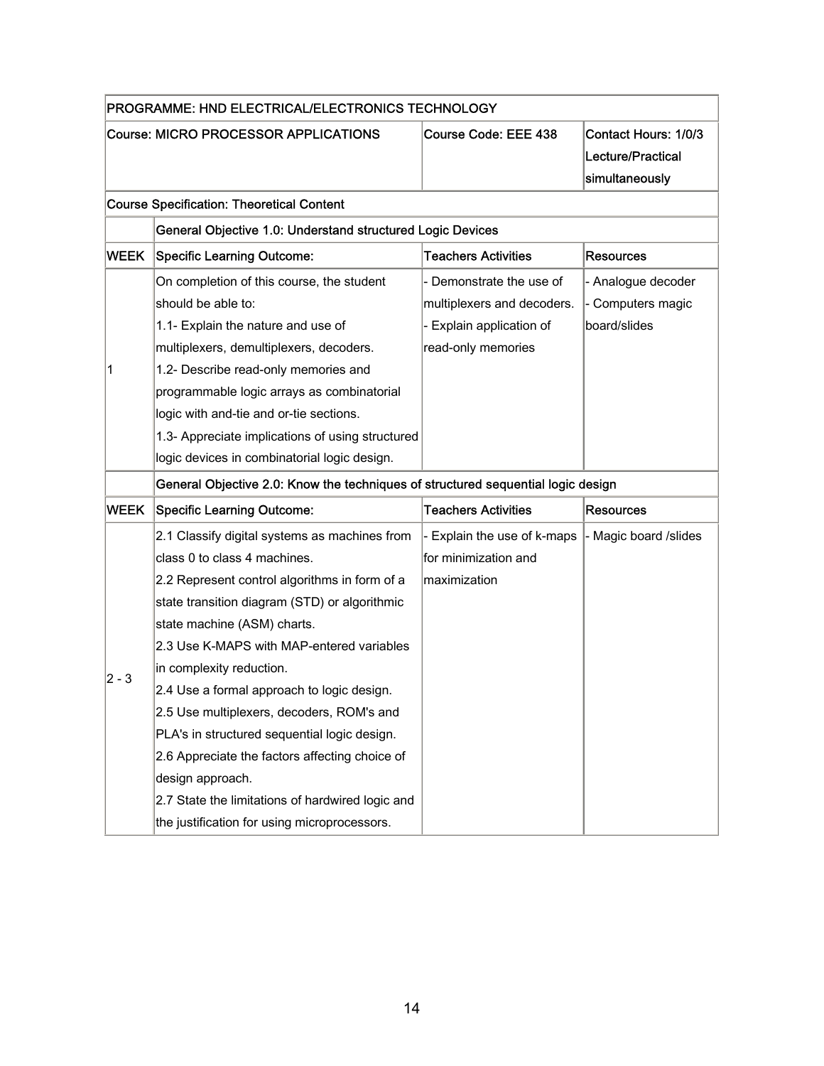|             | PROGRAMME: HND ELECTRICAL/ELECTRONICS TECHNOLOGY                                 |                             |                                                             |  |  |  |  |  |  |
|-------------|----------------------------------------------------------------------------------|-----------------------------|-------------------------------------------------------------|--|--|--|--|--|--|
|             | Course: MICRO PROCESSOR APPLICATIONS                                             | <b>Course Code: EEE 438</b> | Contact Hours: 1/0/3<br>Lecture/Practical<br>simultaneously |  |  |  |  |  |  |
|             | <b>Course Specification: Theoretical Content</b>                                 |                             |                                                             |  |  |  |  |  |  |
|             | General Objective 1.0: Understand structured Logic Devices                       |                             |                                                             |  |  |  |  |  |  |
| <b>WEEK</b> | <b>Specific Learning Outcome:</b>                                                | <b>Teachers Activities</b>  | Resources                                                   |  |  |  |  |  |  |
|             | On completion of this course, the student                                        | Demonstrate the use of      | - Analogue decoder                                          |  |  |  |  |  |  |
|             | should be able to:                                                               | multiplexers and decoders.  | - Computers magic                                           |  |  |  |  |  |  |
|             | 1.1- Explain the nature and use of                                               | Explain application of      | board/slides                                                |  |  |  |  |  |  |
|             | multiplexers, demultiplexers, decoders.                                          | read-only memories          |                                                             |  |  |  |  |  |  |
| 1           | 1.2- Describe read-only memories and                                             |                             |                                                             |  |  |  |  |  |  |
|             | programmable logic arrays as combinatorial                                       |                             |                                                             |  |  |  |  |  |  |
|             | logic with and-tie and or-tie sections.                                          |                             |                                                             |  |  |  |  |  |  |
|             | 1.3- Appreciate implications of using structured                                 |                             |                                                             |  |  |  |  |  |  |
|             | logic devices in combinatorial logic design.                                     |                             |                                                             |  |  |  |  |  |  |
|             | General Objective 2.0: Know the techniques of structured sequential logic design |                             |                                                             |  |  |  |  |  |  |
| <b>WEEK</b> | <b>Specific Learning Outcome:</b>                                                | <b>Teachers Activities</b>  | <b>Resources</b>                                            |  |  |  |  |  |  |
|             | 2.1 Classify digital systems as machines from                                    | Explain the use of k-maps   | - Magic board /slides                                       |  |  |  |  |  |  |
|             | class 0 to class 4 machines.                                                     | for minimization and        |                                                             |  |  |  |  |  |  |
|             | 2.2 Represent control algorithms in form of a                                    | maximization                |                                                             |  |  |  |  |  |  |
|             | state transition diagram (STD) or algorithmic                                    |                             |                                                             |  |  |  |  |  |  |
|             | state machine (ASM) charts.                                                      |                             |                                                             |  |  |  |  |  |  |
|             | 2.3 Use K-MAPS with MAP-entered variables                                        |                             |                                                             |  |  |  |  |  |  |
|             | in complexity reduction.                                                         |                             |                                                             |  |  |  |  |  |  |
| 2 - 3       | 2.4 Use a formal approach to logic design.                                       |                             |                                                             |  |  |  |  |  |  |
|             | 2.5 Use multiplexers, decoders, ROM's and                                        |                             |                                                             |  |  |  |  |  |  |
|             | PLA's in structured sequential logic design.                                     |                             |                                                             |  |  |  |  |  |  |
|             | 2.6 Appreciate the factors affecting choice of                                   |                             |                                                             |  |  |  |  |  |  |
|             | design approach.                                                                 |                             |                                                             |  |  |  |  |  |  |
|             | 2.7 State the limitations of hardwired logic and                                 |                             |                                                             |  |  |  |  |  |  |
|             | the justification for using microprocessors.                                     |                             |                                                             |  |  |  |  |  |  |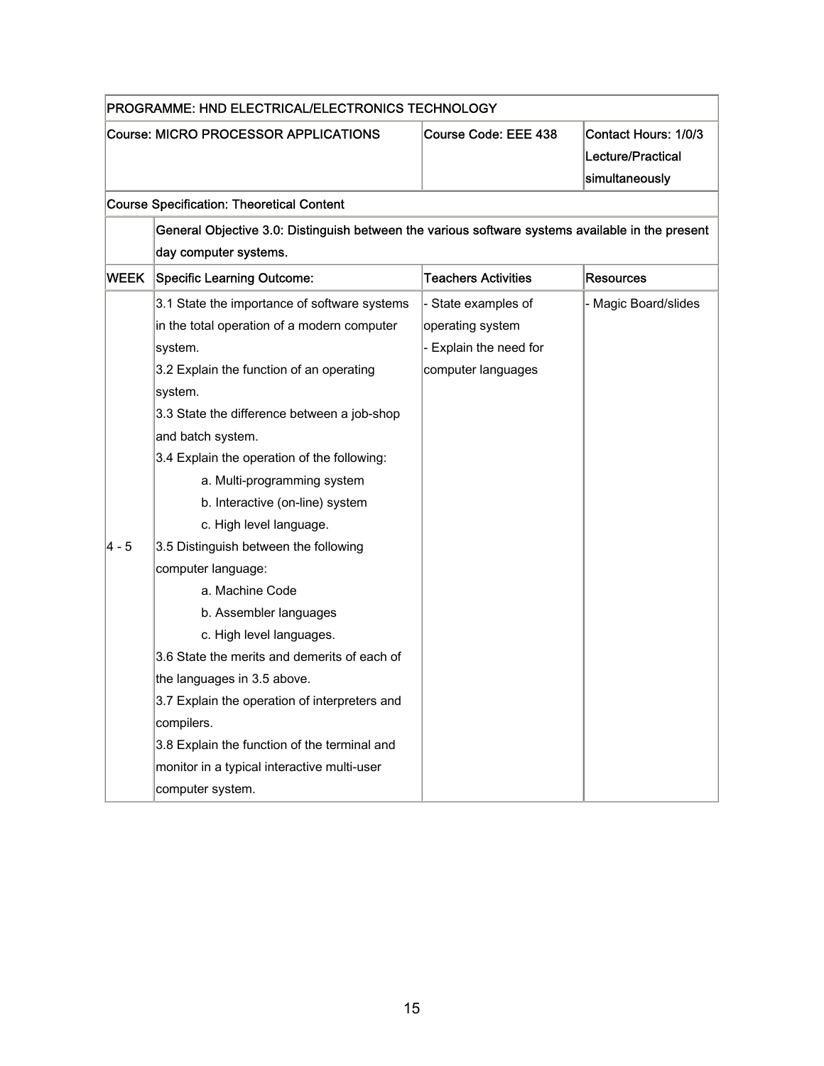| PROGRAMME: HND ELECTRICAL/ELECTRONICS TECHNOLOGY |                                                                                                  |                            |                                                             |  |  |  |  |  |  |  |  |
|--------------------------------------------------|--------------------------------------------------------------------------------------------------|----------------------------|-------------------------------------------------------------|--|--|--|--|--|--|--|--|
|                                                  | <b>Course: MICRO PROCESSOR APPLICATIONS</b>                                                      | Course Code: EEE 438       | Contact Hours: 1/0/3<br>Lecture/Practical<br>simultaneously |  |  |  |  |  |  |  |  |
|                                                  | <b>Course Specification: Theoretical Content</b>                                                 |                            |                                                             |  |  |  |  |  |  |  |  |
|                                                  | General Objective 3.0: Distinguish between the various software systems available in the present |                            |                                                             |  |  |  |  |  |  |  |  |
|                                                  | day computer systems.                                                                            |                            |                                                             |  |  |  |  |  |  |  |  |
| <b>WEEK</b>                                      | <b>Specific Learning Outcome:</b>                                                                | <b>Teachers Activities</b> | <b>Resources</b>                                            |  |  |  |  |  |  |  |  |
|                                                  | 3.1 State the importance of software systems                                                     | - State examples of        | - Magic Board/slides                                        |  |  |  |  |  |  |  |  |
|                                                  | in the total operation of a modern computer                                                      | operating system           |                                                             |  |  |  |  |  |  |  |  |
|                                                  | system.                                                                                          | - Explain the need for     |                                                             |  |  |  |  |  |  |  |  |
|                                                  | 3.2 Explain the function of an operating                                                         | computer languages         |                                                             |  |  |  |  |  |  |  |  |
|                                                  | system.                                                                                          |                            |                                                             |  |  |  |  |  |  |  |  |
|                                                  | 3.3 State the difference between a job-shop                                                      |                            |                                                             |  |  |  |  |  |  |  |  |
|                                                  | and batch system.                                                                                |                            |                                                             |  |  |  |  |  |  |  |  |
|                                                  | 3.4 Explain the operation of the following:                                                      |                            |                                                             |  |  |  |  |  |  |  |  |
|                                                  | a. Multi-programming system                                                                      |                            |                                                             |  |  |  |  |  |  |  |  |
|                                                  | b. Interactive (on-line) system                                                                  |                            |                                                             |  |  |  |  |  |  |  |  |
|                                                  | c. High level language.                                                                          |                            |                                                             |  |  |  |  |  |  |  |  |
| 4 - 5                                            | 3.5 Distinguish between the following                                                            |                            |                                                             |  |  |  |  |  |  |  |  |
|                                                  | computer language:                                                                               |                            |                                                             |  |  |  |  |  |  |  |  |
|                                                  | a. Machine Code                                                                                  |                            |                                                             |  |  |  |  |  |  |  |  |
|                                                  | b. Assembler languages                                                                           |                            |                                                             |  |  |  |  |  |  |  |  |
|                                                  | c. High level languages.                                                                         |                            |                                                             |  |  |  |  |  |  |  |  |
|                                                  | 3.6 State the merits and demerits of each of                                                     |                            |                                                             |  |  |  |  |  |  |  |  |
|                                                  | the languages in 3.5 above.                                                                      |                            |                                                             |  |  |  |  |  |  |  |  |
|                                                  | 3.7 Explain the operation of interpreters and                                                    |                            |                                                             |  |  |  |  |  |  |  |  |
|                                                  | compilers.                                                                                       |                            |                                                             |  |  |  |  |  |  |  |  |
|                                                  | 3.8 Explain the function of the terminal and                                                     |                            |                                                             |  |  |  |  |  |  |  |  |
|                                                  | monitor in a typical interactive multi-user                                                      |                            |                                                             |  |  |  |  |  |  |  |  |
|                                                  | computer system.                                                                                 |                            |                                                             |  |  |  |  |  |  |  |  |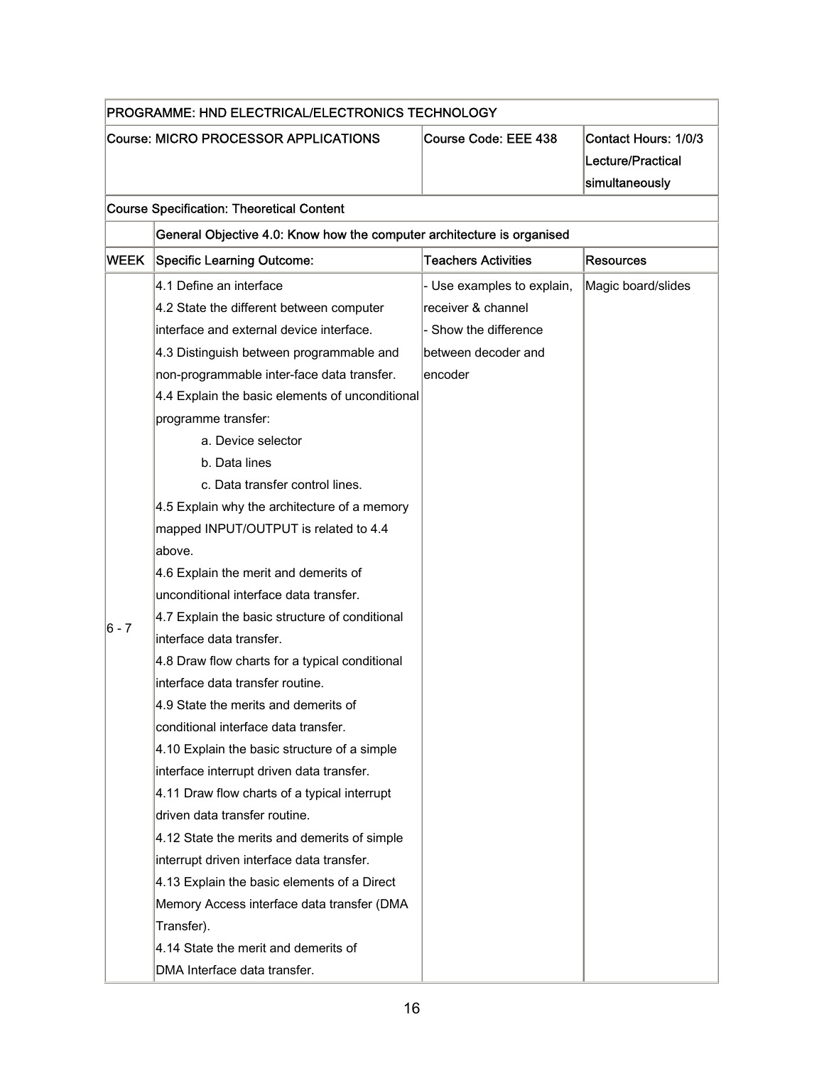| PROGRAMME: HND ELECTRICAL/ELECTRONICS TECHNOLOGY |                                                                        |                            |                                                             |
|--------------------------------------------------|------------------------------------------------------------------------|----------------------------|-------------------------------------------------------------|
| Course: MICRO PROCESSOR APPLICATIONS             |                                                                        | Course Code: EEE 438       | Contact Hours: 1/0/3<br>Lecture/Practical<br>simultaneously |
|                                                  | <b>Course Specification: Theoretical Content</b>                       |                            |                                                             |
|                                                  | General Objective 4.0: Know how the computer architecture is organised |                            |                                                             |
| <b>WEEK</b>                                      | <b>Specific Learning Outcome:</b>                                      | <b>Teachers Activities</b> | <b>Resources</b>                                            |
|                                                  | 4.1 Define an interface                                                | - Use examples to explain, | Magic board/slides                                          |
|                                                  | 4.2 State the different between computer                               | receiver & channel         |                                                             |
|                                                  | interface and external device interface.                               | - Show the difference      |                                                             |
|                                                  | 4.3 Distinguish between programmable and                               | between decoder and        |                                                             |
|                                                  | non-programmable inter-face data transfer.                             | encoder                    |                                                             |
|                                                  | 4.4 Explain the basic elements of unconditional                        |                            |                                                             |
|                                                  | programme transfer:                                                    |                            |                                                             |
|                                                  | a. Device selector                                                     |                            |                                                             |
|                                                  | b. Data lines                                                          |                            |                                                             |
|                                                  | c. Data transfer control lines.                                        |                            |                                                             |
|                                                  | 4.5 Explain why the architecture of a memory                           |                            |                                                             |
|                                                  | mapped INPUT/OUTPUT is related to 4.4                                  |                            |                                                             |
|                                                  | above.                                                                 |                            |                                                             |
|                                                  | 4.6 Explain the merit and demerits of                                  |                            |                                                             |
|                                                  | unconditional interface data transfer.                                 |                            |                                                             |
|                                                  | 4.7 Explain the basic structure of conditional                         |                            |                                                             |
| 6 - 7                                            | interface data transfer.                                               |                            |                                                             |
|                                                  | 4.8 Draw flow charts for a typical conditional                         |                            |                                                             |
|                                                  | interface data transfer routine.                                       |                            |                                                             |
|                                                  | 4.9 State the merits and demerits of                                   |                            |                                                             |
|                                                  | conditional interface data transfer.                                   |                            |                                                             |
|                                                  | 4.10 Explain the basic structure of a simple                           |                            |                                                             |
|                                                  | interface interrupt driven data transfer.                              |                            |                                                             |
|                                                  | 4.11 Draw flow charts of a typical interrupt                           |                            |                                                             |
|                                                  | driven data transfer routine.                                          |                            |                                                             |
|                                                  | 4.12 State the merits and demerits of simple                           |                            |                                                             |
|                                                  | interrupt driven interface data transfer.                              |                            |                                                             |
|                                                  | 4.13 Explain the basic elements of a Direct                            |                            |                                                             |
|                                                  | Memory Access interface data transfer (DMA                             |                            |                                                             |
|                                                  | Transfer).                                                             |                            |                                                             |
|                                                  | 4.14 State the merit and demerits of                                   |                            |                                                             |
|                                                  | DMA Interface data transfer.                                           |                            |                                                             |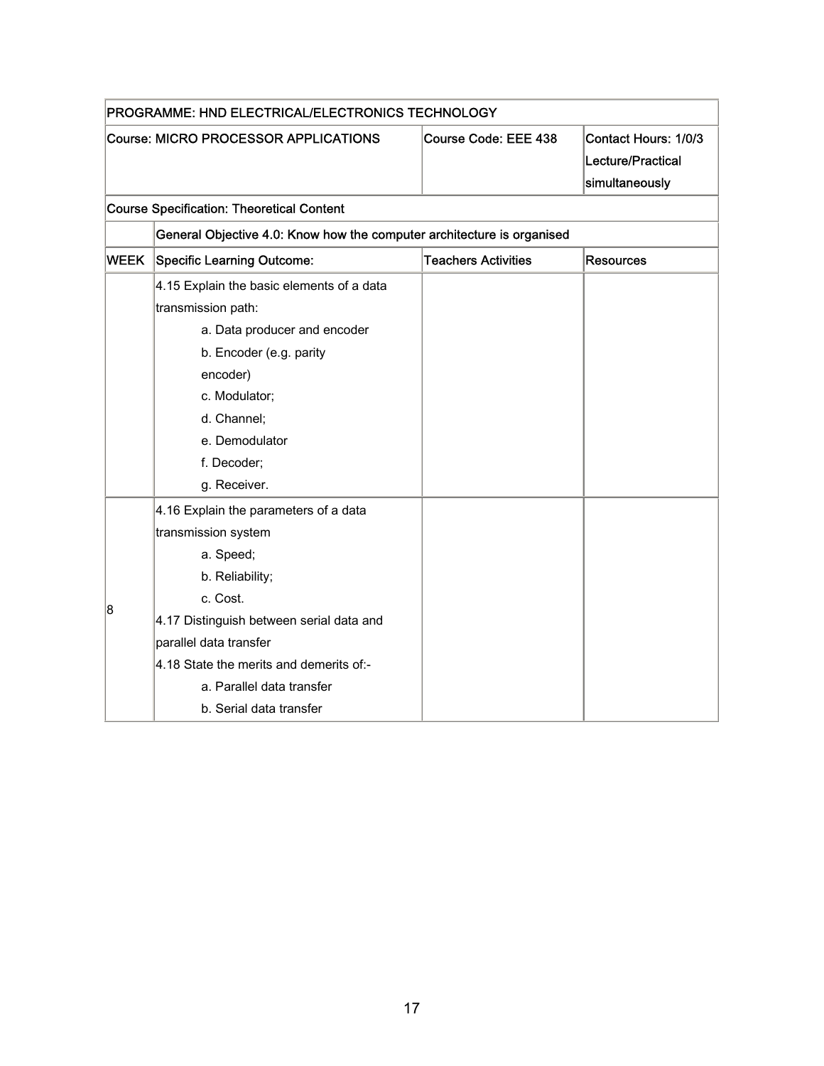| PROGRAMME: HND ELECTRICAL/ELECTRONICS TECHNOLOGY |                                                                                                                                                                                                                                                                                   |                            |                                                             |  |
|--------------------------------------------------|-----------------------------------------------------------------------------------------------------------------------------------------------------------------------------------------------------------------------------------------------------------------------------------|----------------------------|-------------------------------------------------------------|--|
| Course: MICRO PROCESSOR APPLICATIONS             |                                                                                                                                                                                                                                                                                   | Course Code: EEE 438       | Contact Hours: 1/0/3<br>Lecture/Practical<br>simultaneously |  |
|                                                  | <b>Course Specification: Theoretical Content</b>                                                                                                                                                                                                                                  |                            |                                                             |  |
|                                                  | General Objective 4.0: Know how the computer architecture is organised                                                                                                                                                                                                            |                            |                                                             |  |
| <b>WEEK</b>                                      | <b>Specific Learning Outcome:</b>                                                                                                                                                                                                                                                 | <b>Teachers Activities</b> | <b>Resources</b>                                            |  |
|                                                  | 4.15 Explain the basic elements of a data<br>transmission path:                                                                                                                                                                                                                   |                            |                                                             |  |
|                                                  | a. Data producer and encoder<br>b. Encoder (e.g. parity<br>encoder)<br>c. Modulator;<br>d. Channel;<br>e. Demodulator<br>f. Decoder;<br>g. Receiver.                                                                                                                              |                            |                                                             |  |
| 8                                                | 4.16 Explain the parameters of a data<br>transmission system<br>a. Speed;<br>b. Reliability;<br>c. Cost.<br>4.17 Distinguish between serial data and<br>parallel data transfer<br>4.18 State the merits and demerits of:-<br>a. Parallel data transfer<br>b. Serial data transfer |                            |                                                             |  |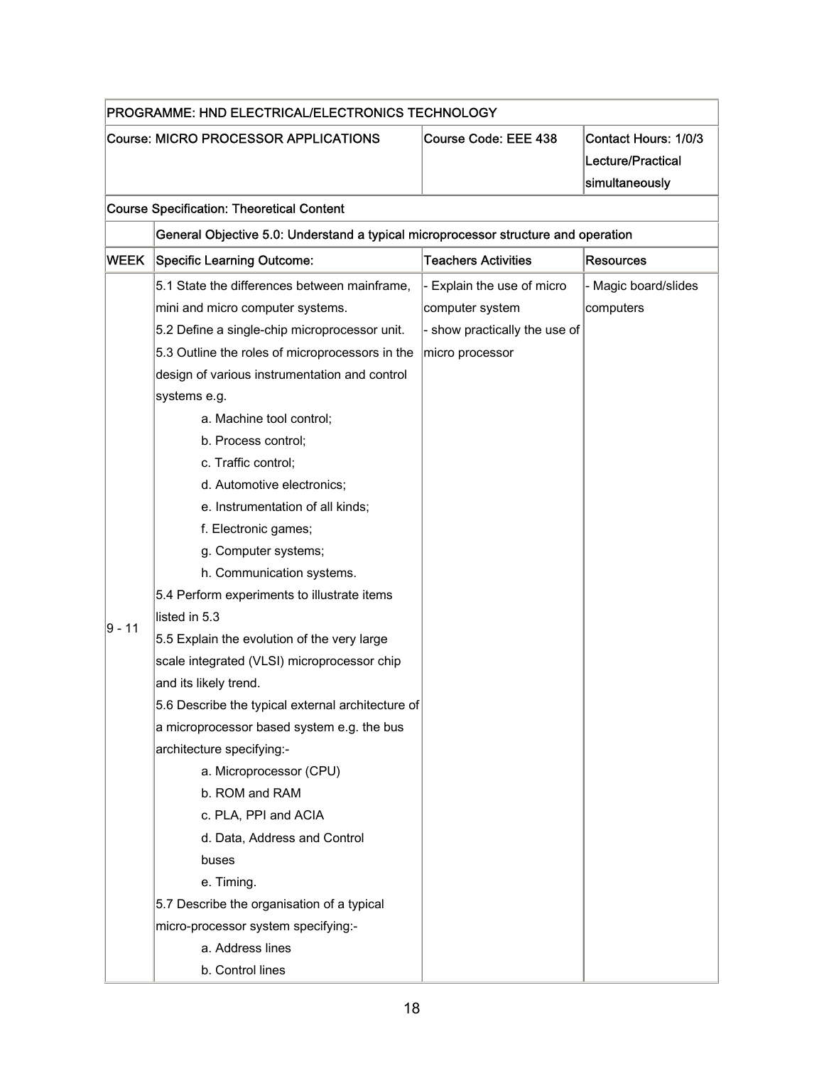| PROGRAMME: HND ELECTRICAL/ELECTRONICS TECHNOLOGY |                                                                                                                                                                                                                                                                                                                                                                                                                                                                                                                                                                                                                                                                                                                                                                                                                                                                            |                                                                                                   |                                                             |
|--------------------------------------------------|----------------------------------------------------------------------------------------------------------------------------------------------------------------------------------------------------------------------------------------------------------------------------------------------------------------------------------------------------------------------------------------------------------------------------------------------------------------------------------------------------------------------------------------------------------------------------------------------------------------------------------------------------------------------------------------------------------------------------------------------------------------------------------------------------------------------------------------------------------------------------|---------------------------------------------------------------------------------------------------|-------------------------------------------------------------|
| Course: MICRO PROCESSOR APPLICATIONS             |                                                                                                                                                                                                                                                                                                                                                                                                                                                                                                                                                                                                                                                                                                                                                                                                                                                                            | Course Code: EEE 438                                                                              | Contact Hours: 1/0/3<br>Lecture/Practical<br>simultaneously |
|                                                  | <b>Course Specification: Theoretical Content</b>                                                                                                                                                                                                                                                                                                                                                                                                                                                                                                                                                                                                                                                                                                                                                                                                                           |                                                                                                   |                                                             |
|                                                  | General Objective 5.0: Understand a typical microprocessor structure and operation                                                                                                                                                                                                                                                                                                                                                                                                                                                                                                                                                                                                                                                                                                                                                                                         |                                                                                                   |                                                             |
| <b>WEEK</b>                                      | <b>Specific Learning Outcome:</b>                                                                                                                                                                                                                                                                                                                                                                                                                                                                                                                                                                                                                                                                                                                                                                                                                                          | <b>Teachers Activities</b>                                                                        | <b>Resources</b>                                            |
| ∣9 - 11                                          | 5.1 State the differences between mainframe,<br>mini and micro computer systems.<br>5.2 Define a single-chip microprocessor unit.<br>5.3 Outline the roles of microprocessors in the<br>design of various instrumentation and control<br>systems e.g.<br>a. Machine tool control;<br>b. Process control;<br>c. Traffic control;<br>d. Automotive electronics;<br>e. Instrumentation of all kinds;<br>f. Electronic games;<br>g. Computer systems;<br>h. Communication systems.<br>5.4 Perform experiments to illustrate items<br>listed in 5.3<br>5.5 Explain the evolution of the very large<br>scale integrated (VLSI) microprocessor chip<br>and its likely trend.<br>5.6 Describe the typical external architecture of<br>a microprocessor based system e.g. the bus<br>architecture specifying:-<br>a. Microprocessor (CPU)<br>b. ROM and RAM<br>c. PLA, PPI and ACIA | - Explain the use of micro<br>computer system<br>- show practically the use of<br>micro processor | - Magic board/slides<br>computers                           |
|                                                  | d. Data, Address and Control<br>buses<br>e. Timing.                                                                                                                                                                                                                                                                                                                                                                                                                                                                                                                                                                                                                                                                                                                                                                                                                        |                                                                                                   |                                                             |
|                                                  | 5.7 Describe the organisation of a typical<br>micro-processor system specifying:-<br>a. Address lines<br>b. Control lines                                                                                                                                                                                                                                                                                                                                                                                                                                                                                                                                                                                                                                                                                                                                                  |                                                                                                   |                                                             |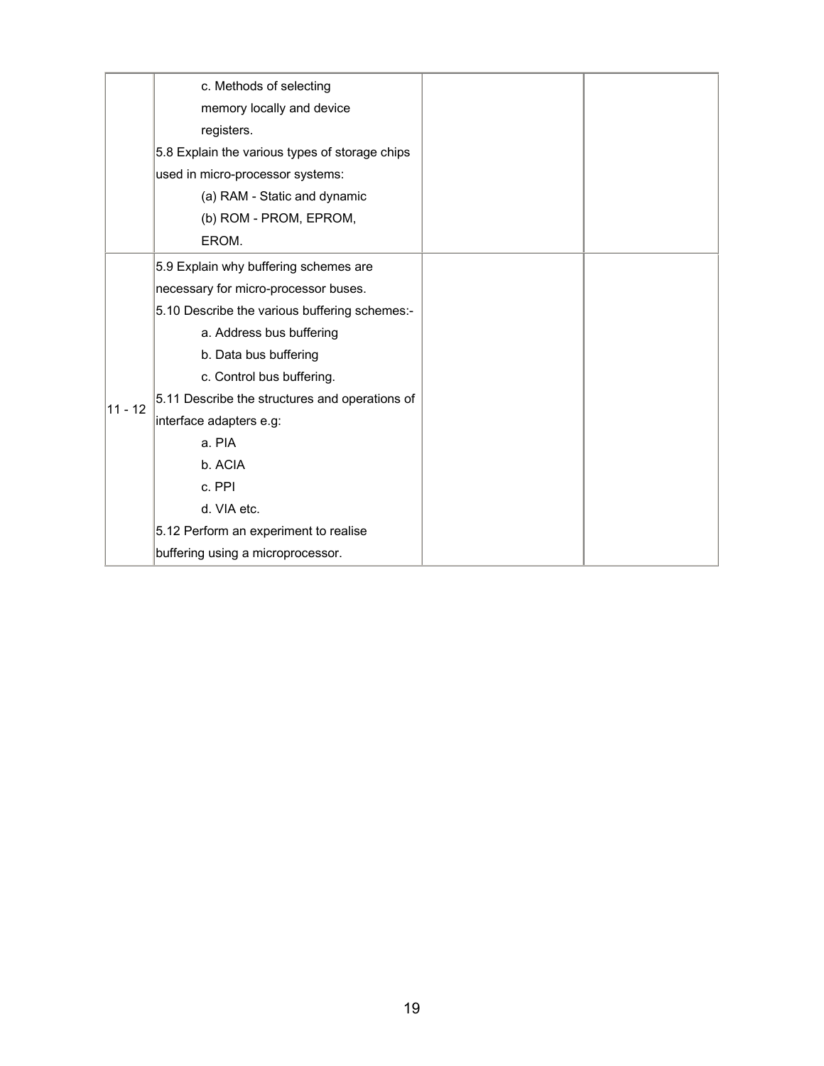|           | c. Methods of selecting                        |  |
|-----------|------------------------------------------------|--|
|           | memory locally and device                      |  |
|           | registers.                                     |  |
|           | 5.8 Explain the various types of storage chips |  |
|           | used in micro-processor systems:               |  |
|           | (a) RAM - Static and dynamic                   |  |
|           | (b) ROM - PROM, EPROM,                         |  |
|           | EROM.                                          |  |
|           | 5.9 Explain why buffering schemes are          |  |
|           | necessary for micro-processor buses.           |  |
|           | 5.10 Describe the various buffering schemes:-  |  |
|           | a. Address bus buffering                       |  |
|           | b. Data bus buffering                          |  |
| $11 - 12$ | c. Control bus buffering.                      |  |
|           | 5.11 Describe the structures and operations of |  |
|           | interface adapters e.g:                        |  |
|           | a. PIA                                         |  |
|           | b. ACIA                                        |  |
|           | c. PPI                                         |  |
|           | d. VIA etc.                                    |  |
|           | 5.12 Perform an experiment to realise          |  |
|           | buffering using a microprocessor.              |  |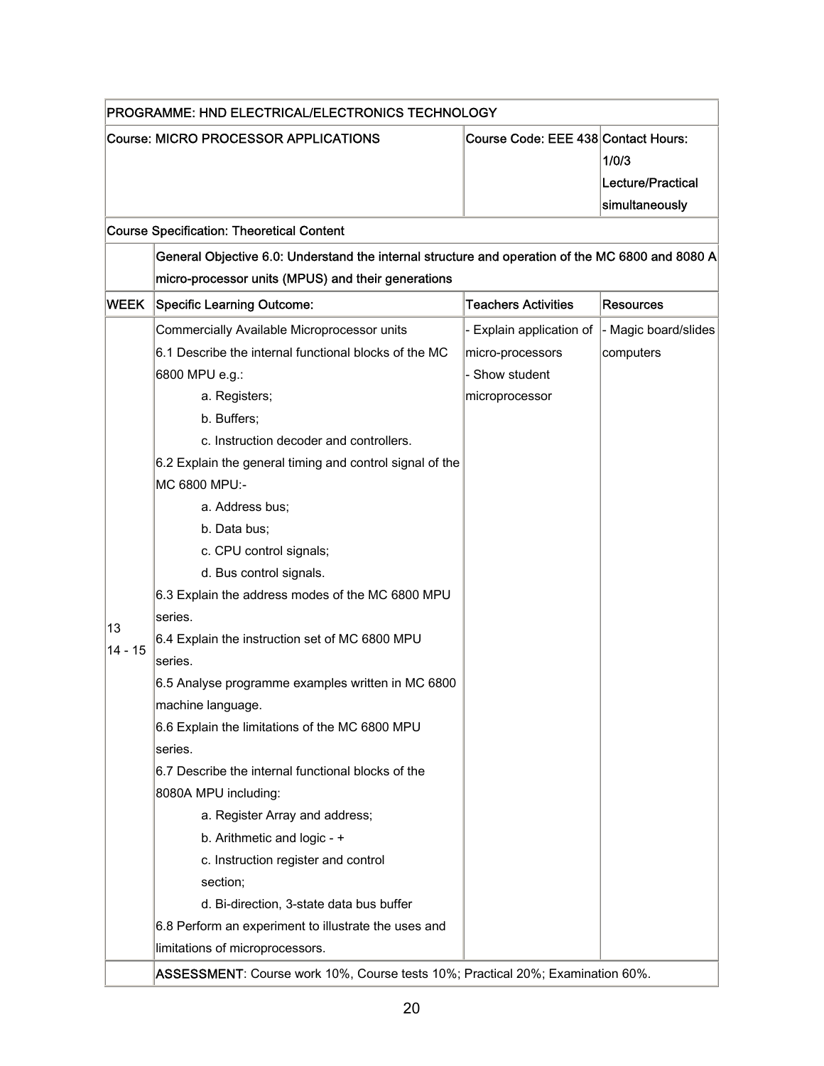| PROGRAMME: HND ELECTRICAL/ELECTRONICS TECHNOLOGY |                                                                                                  |                                     |                                              |
|--------------------------------------------------|--------------------------------------------------------------------------------------------------|-------------------------------------|----------------------------------------------|
|                                                  | Course: MICRO PROCESSOR APPLICATIONS                                                             | Course Code: EEE 438 Contact Hours: | 1/0/3<br>Lecture/Practical<br>simultaneously |
|                                                  | <b>Course Specification: Theoretical Content</b>                                                 |                                     |                                              |
|                                                  | General Objective 6.0: Understand the internal structure and operation of the MC 6800 and 8080 A |                                     |                                              |
|                                                  | micro-processor units (MPUS) and their generations                                               |                                     |                                              |
| <b>WEEK</b>                                      | <b>Specific Learning Outcome:</b>                                                                | <b>Teachers Activities</b>          | <b>Resources</b>                             |
|                                                  | Commercially Available Microprocessor units                                                      | - Explain application of            | - Magic board/slides                         |
|                                                  | 6.1 Describe the internal functional blocks of the MC                                            | micro-processors                    | computers                                    |
|                                                  | 6800 MPU e.g.:                                                                                   | - Show student                      |                                              |
|                                                  | a. Registers;                                                                                    | microprocessor                      |                                              |
|                                                  | b. Buffers;                                                                                      |                                     |                                              |
|                                                  | c. Instruction decoder and controllers.                                                          |                                     |                                              |
|                                                  | 6.2 Explain the general timing and control signal of the                                         |                                     |                                              |
|                                                  | MC 6800 MPU:-                                                                                    |                                     |                                              |
|                                                  | a. Address bus;                                                                                  |                                     |                                              |
|                                                  | b. Data bus;                                                                                     |                                     |                                              |
|                                                  | c. CPU control signals;                                                                          |                                     |                                              |
|                                                  | d. Bus control signals.                                                                          |                                     |                                              |
|                                                  | 6.3 Explain the address modes of the MC 6800 MPU                                                 |                                     |                                              |
| 13                                               | series.                                                                                          |                                     |                                              |
| $14 - 15$                                        | 6.4 Explain the instruction set of MC 6800 MPU                                                   |                                     |                                              |
|                                                  | series.                                                                                          |                                     |                                              |
|                                                  | 6.5 Analyse programme examples written in MC 6800                                                |                                     |                                              |
|                                                  | machine language.                                                                                |                                     |                                              |
|                                                  | 6.6 Explain the limitations of the MC 6800 MPU                                                   |                                     |                                              |
|                                                  | series.                                                                                          |                                     |                                              |
|                                                  | 6.7 Describe the internal functional blocks of the                                               |                                     |                                              |
|                                                  | 8080A MPU including:                                                                             |                                     |                                              |
|                                                  | a. Register Array and address;                                                                   |                                     |                                              |
|                                                  | b. Arithmetic and logic - +                                                                      |                                     |                                              |
|                                                  | c. Instruction register and control                                                              |                                     |                                              |
|                                                  | section;                                                                                         |                                     |                                              |
|                                                  | d. Bi-direction, 3-state data bus buffer                                                         |                                     |                                              |
|                                                  | 6.8 Perform an experiment to illustrate the uses and                                             |                                     |                                              |
|                                                  | limitations of microprocessors.                                                                  |                                     |                                              |
|                                                  | ASSESSMENT: Course work 10%, Course tests 10%; Practical 20%; Examination 60%.                   |                                     |                                              |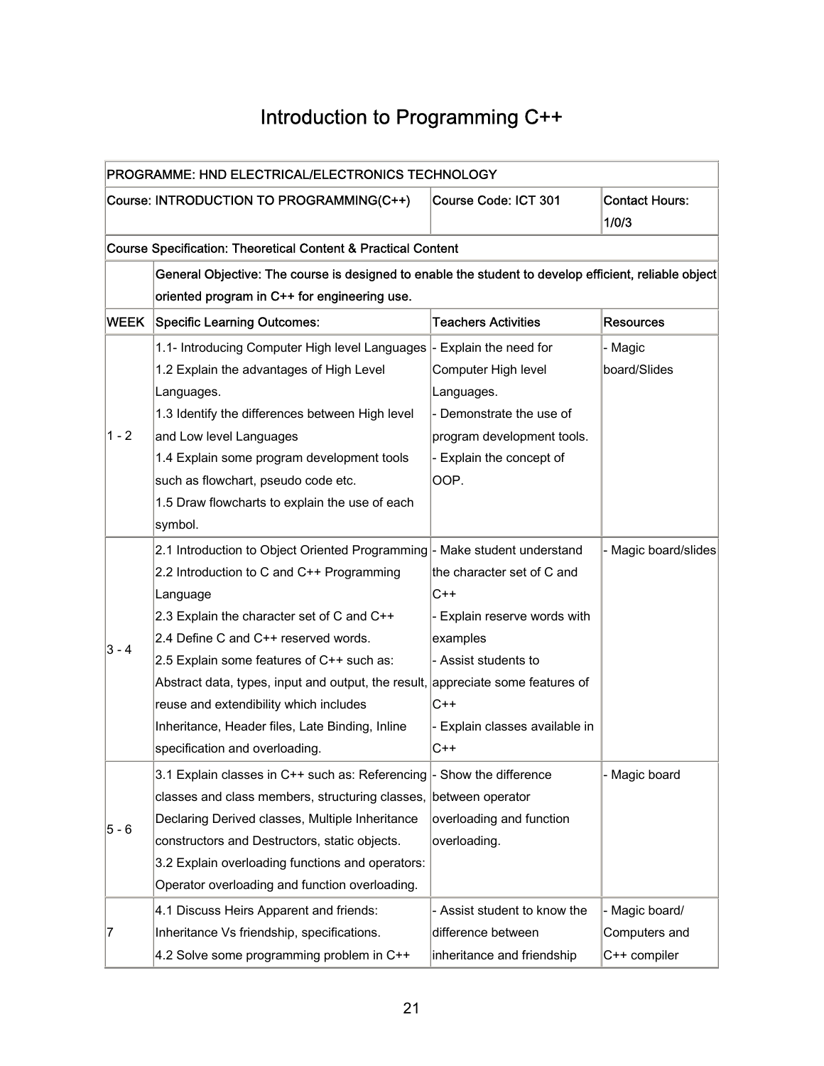## Introduction to Programming C++

<span id="page-22-0"></span>

| PROGRAMME: HND ELECTRICAL/ELECTRONICS TECHNOLOGY |                                                                                                       |                                |                                |
|--------------------------------------------------|-------------------------------------------------------------------------------------------------------|--------------------------------|--------------------------------|
|                                                  | Course: INTRODUCTION TO PROGRAMMING(C++)                                                              | Course Code: ICT 301           | <b>Contact Hours:</b><br>1/0/3 |
|                                                  | <b>Course Specification: Theoretical Content &amp; Practical Content</b>                              |                                |                                |
|                                                  | General Objective: The course is designed to enable the student to develop efficient, reliable object |                                |                                |
|                                                  | oriented program in C++ for engineering use.                                                          |                                |                                |
| <b>WEEK</b>                                      | <b>Specific Learning Outcomes:</b>                                                                    | <b>Teachers Activities</b>     | <b>Resources</b>               |
|                                                  | 1.1- Introducing Computer High level Languages                                                        | - Explain the need for         | - Magic                        |
|                                                  | 1.2 Explain the advantages of High Level                                                              | Computer High level            | board/Slides                   |
|                                                  | Languages.                                                                                            | Languages.                     |                                |
|                                                  | 1.3 Identify the differences between High level                                                       | - Demonstrate the use of       |                                |
| $1 - 2$                                          | and Low level Languages                                                                               | program development tools.     |                                |
|                                                  | 1.4 Explain some program development tools                                                            | - Explain the concept of       |                                |
|                                                  | such as flowchart, pseudo code etc.                                                                   | OOP.                           |                                |
|                                                  | 1.5 Draw flowcharts to explain the use of each                                                        |                                |                                |
|                                                  | symbol.                                                                                               |                                |                                |
|                                                  | 2.1 Introduction to Object Oriented Programming - Make student understand                             |                                | Magic board/slides             |
|                                                  | 2.2 Introduction to C and C++ Programming                                                             | the character set of C and     |                                |
|                                                  | Language                                                                                              | $C++$                          |                                |
|                                                  | 2.3 Explain the character set of C and C++                                                            | - Explain reserve words with   |                                |
|                                                  | 2.4 Define C and C++ reserved words.                                                                  | examples                       |                                |
| $3 - 4$                                          | 2.5 Explain some features of C++ such as:                                                             | - Assist students to           |                                |
|                                                  | Abstract data, types, input and output, the result, appreciate some features of                       |                                |                                |
|                                                  | reuse and extendibility which includes                                                                | $C++$                          |                                |
|                                                  | Inheritance, Header files, Late Binding, Inline                                                       | - Explain classes available in |                                |
|                                                  | specification and overloading.                                                                        | $C++$                          |                                |
|                                                  | 3.1 Explain classes in C++ such as: Referencing                                                       | Show the difference            | - Magic board                  |
|                                                  | classes and class members, structuring classes, between operator                                      |                                |                                |
| $5 - 6$                                          | Declaring Derived classes, Multiple Inheritance                                                       | overloading and function       |                                |
|                                                  | constructors and Destructors, static objects.                                                         | overloading.                   |                                |
|                                                  | 3.2 Explain overloading functions and operators:                                                      |                                |                                |
|                                                  | Operator overloading and function overloading.                                                        |                                |                                |
|                                                  | 4.1 Discuss Heirs Apparent and friends:                                                               | - Assist student to know the   | - Magic board/                 |
| 7                                                | Inheritance Vs friendship, specifications.                                                            | difference between             | Computers and                  |
|                                                  | 4.2 Solve some programming problem in C++                                                             | inheritance and friendship     | C++ compiler                   |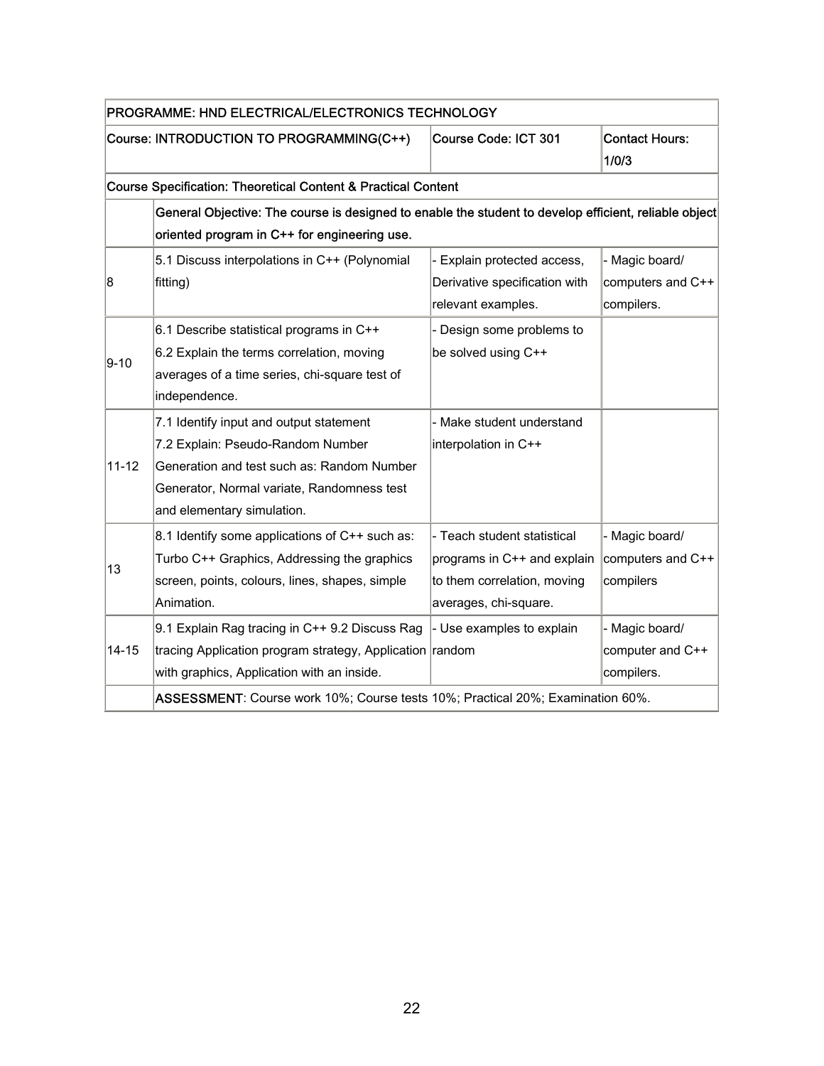| PROGRAMME: HND ELECTRICAL/ELECTRONICS TECHNOLOGY |                                                                                                       |                               |                       |
|--------------------------------------------------|-------------------------------------------------------------------------------------------------------|-------------------------------|-----------------------|
|                                                  | Course: INTRODUCTION TO PROGRAMMING(C++)                                                              | Course Code: ICT 301          | <b>Contact Hours:</b> |
|                                                  |                                                                                                       |                               | 1/0/3                 |
|                                                  | Course Specification: Theoretical Content & Practical Content                                         |                               |                       |
|                                                  | General Objective: The course is designed to enable the student to develop efficient, reliable object |                               |                       |
|                                                  | oriented program in C++ for engineering use.                                                          |                               |                       |
|                                                  | 5.1 Discuss interpolations in C++ (Polynomial                                                         | Explain protected access,     | - Magic board/        |
| 8                                                | fitting)                                                                                              | Derivative specification with | computers and C++     |
|                                                  |                                                                                                       | relevant examples.            | compilers.            |
|                                                  | 6.1 Describe statistical programs in C++                                                              | Design some problems to       |                       |
| $9 - 10$                                         | 6.2 Explain the terms correlation, moving                                                             | be solved using C++           |                       |
|                                                  | averages of a time series, chi-square test of                                                         |                               |                       |
|                                                  | independence.                                                                                         |                               |                       |
|                                                  | 7.1 Identify input and output statement                                                               | - Make student understand     |                       |
|                                                  | 7.2 Explain: Pseudo-Random Number                                                                     | interpolation in C++          |                       |
| $11 - 12$                                        | Generation and test such as: Random Number                                                            |                               |                       |
|                                                  | Generator, Normal variate, Randomness test                                                            |                               |                       |
|                                                  | and elementary simulation.                                                                            |                               |                       |
|                                                  | 8.1 Identify some applications of C++ such as:                                                        | - Teach student statistical   | - Magic board/        |
| 13                                               | Turbo C++ Graphics, Addressing the graphics                                                           | programs in C++ and explain   | computers and C++     |
|                                                  | screen, points, colours, lines, shapes, simple                                                        | to them correlation, moving   | compilers             |
|                                                  | Animation.                                                                                            | averages, chi-square.         |                       |
|                                                  | 9.1 Explain Rag tracing in C++ 9.2 Discuss Rag                                                        | - Use examples to explain     | - Magic board/        |
| 14-15                                            | tracing Application program strategy, Application random                                              |                               | computer and C++      |
|                                                  | with graphics, Application with an inside.                                                            |                               | compilers.            |
|                                                  | ASSESSMENT: Course work 10%; Course tests 10%; Practical 20%; Examination 60%.                        |                               |                       |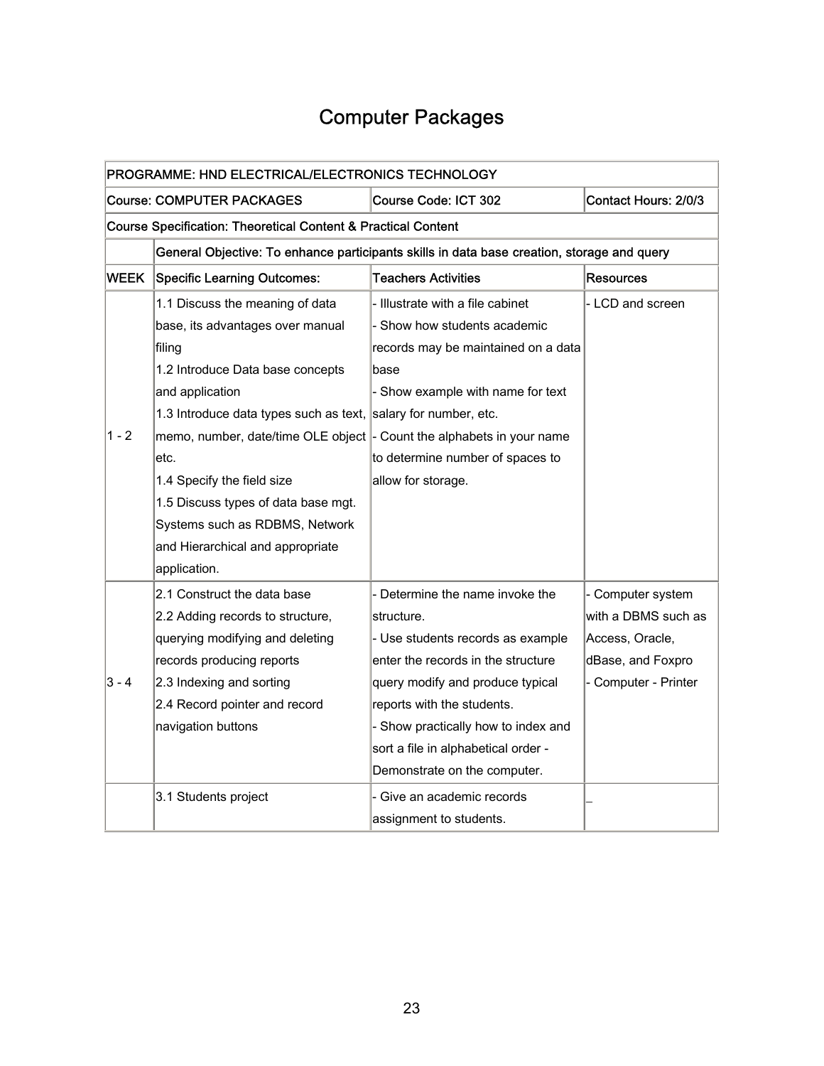## Computer Packages

<span id="page-24-0"></span>

| PROGRAMME: HND ELECTRICAL/ELECTRONICS TECHNOLOGY |                                                                                            |                                     |                      |  |  |
|--------------------------------------------------|--------------------------------------------------------------------------------------------|-------------------------------------|----------------------|--|--|
|                                                  | <b>Course: COMPUTER PACKAGES</b><br>Contact Hours: 2/0/3<br>Course Code: ICT 302           |                                     |                      |  |  |
|                                                  | <b>Course Specification: Theoretical Content &amp; Practical Content</b>                   |                                     |                      |  |  |
|                                                  | General Objective: To enhance participants skills in data base creation, storage and query |                                     |                      |  |  |
| <b>WEEK</b>                                      | <b>Specific Learning Outcomes:</b>                                                         | <b>Teachers Activities</b>          | Resources            |  |  |
|                                                  | 1.1 Discuss the meaning of data                                                            | - Illustrate with a file cabinet    | - LCD and screen     |  |  |
|                                                  | base, its advantages over manual                                                           | Show how students academic          |                      |  |  |
|                                                  | filing                                                                                     | records may be maintained on a data |                      |  |  |
|                                                  | 1.2 Introduce Data base concepts                                                           | base                                |                      |  |  |
|                                                  | and application                                                                            | - Show example with name for text   |                      |  |  |
|                                                  | 1.3 Introduce data types such as text,                                                     | salary for number, etc.             |                      |  |  |
| $1 - 2$                                          | memo, number, date/time OLE object $\vert$ - Count the alphabets in your name              |                                     |                      |  |  |
|                                                  | etc.                                                                                       | to determine number of spaces to    |                      |  |  |
|                                                  | 1.4 Specify the field size                                                                 | allow for storage.                  |                      |  |  |
|                                                  | 1.5 Discuss types of data base mgt.                                                        |                                     |                      |  |  |
|                                                  | Systems such as RDBMS, Network                                                             |                                     |                      |  |  |
|                                                  | and Hierarchical and appropriate                                                           |                                     |                      |  |  |
|                                                  | application.                                                                               |                                     |                      |  |  |
|                                                  | 2.1 Construct the data base                                                                | - Determine the name invoke the     | - Computer system    |  |  |
|                                                  | 2.2 Adding records to structure,                                                           | structure.                          | with a DBMS such as  |  |  |
|                                                  | querying modifying and deleting                                                            | - Use students records as example   | Access, Oracle,      |  |  |
|                                                  | records producing reports                                                                  | enter the records in the structure  | dBase, and Foxpro    |  |  |
| 3 - 4                                            | 2.3 Indexing and sorting                                                                   | query modify and produce typical    | - Computer - Printer |  |  |
|                                                  | 2.4 Record pointer and record                                                              | reports with the students.          |                      |  |  |
|                                                  | navigation buttons                                                                         | - Show practically how to index and |                      |  |  |
|                                                  |                                                                                            | sort a file in alphabetical order - |                      |  |  |
|                                                  |                                                                                            | Demonstrate on the computer.        |                      |  |  |
|                                                  | 3.1 Students project                                                                       | ⋅ Give an academic records          |                      |  |  |
|                                                  |                                                                                            | assignment to students.             |                      |  |  |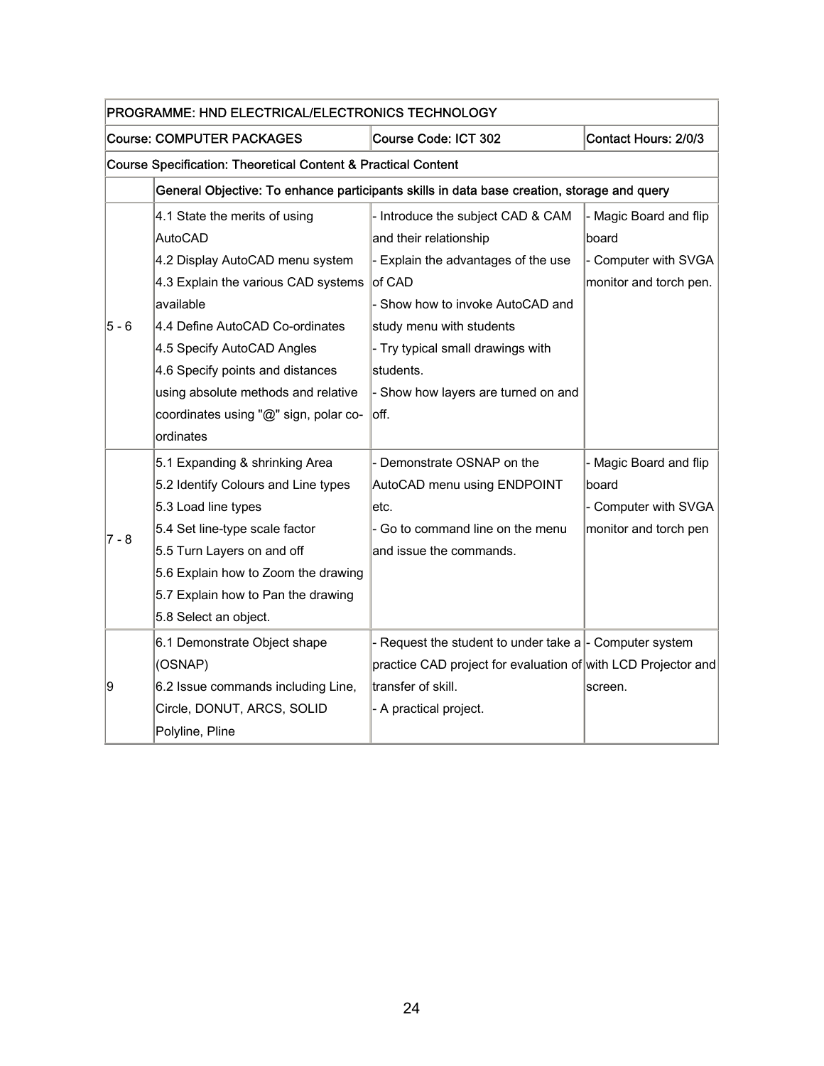| PROGRAMME: HND ELECTRICAL/ELECTRONICS TECHNOLOGY |                                                                                            |                                                               |                        |  |
|--------------------------------------------------|--------------------------------------------------------------------------------------------|---------------------------------------------------------------|------------------------|--|
|                                                  | <b>Course: COMPUTER PACKAGES</b>                                                           | Course Code: ICT 302                                          | Contact Hours: 2/0/3   |  |
|                                                  | <b>Course Specification: Theoretical Content &amp; Practical Content</b>                   |                                                               |                        |  |
|                                                  | General Objective: To enhance participants skills in data base creation, storage and query |                                                               |                        |  |
|                                                  | 4.1 State the merits of using                                                              | - Introduce the subject CAD & CAM                             | Magic Board and flip   |  |
|                                                  | <b>AutoCAD</b>                                                                             | and their relationship                                        | board                  |  |
|                                                  | 4.2 Display AutoCAD menu system                                                            | - Explain the advantages of the use                           | - Computer with SVGA   |  |
|                                                  | 4.3 Explain the various CAD systems                                                        | of CAD                                                        | monitor and torch pen. |  |
| 5 - 6                                            | available                                                                                  | - Show how to invoke AutoCAD and                              |                        |  |
|                                                  | 4.4 Define AutoCAD Co-ordinates                                                            | study menu with students                                      |                        |  |
|                                                  | 4.5 Specify AutoCAD Angles                                                                 | - Try typical small drawings with                             |                        |  |
|                                                  | 4.6 Specify points and distances                                                           | students.                                                     |                        |  |
|                                                  | using absolute methods and relative                                                        | - Show how layers are turned on and                           |                        |  |
|                                                  | coordinates using "@" sign, polar co-                                                      | off.                                                          |                        |  |
|                                                  | ordinates                                                                                  |                                                               |                        |  |
|                                                  | 5.1 Expanding & shrinking Area                                                             | Demonstrate OSNAP on the                                      | Magic Board and flip   |  |
|                                                  | 5.2 Identify Colours and Line types                                                        | AutoCAD menu using ENDPOINT                                   | board                  |  |
|                                                  | 5.3 Load line types                                                                        | etc.                                                          | - Computer with SVGA   |  |
| $7 - 8$                                          | 5.4 Set line-type scale factor                                                             | - Go to command line on the menu                              | monitor and torch pen  |  |
|                                                  | 5.5 Turn Layers on and off                                                                 | and issue the commands.                                       |                        |  |
|                                                  | 5.6 Explain how to Zoom the drawing                                                        |                                                               |                        |  |
|                                                  | 5.7 Explain how to Pan the drawing                                                         |                                                               |                        |  |
|                                                  | 5.8 Select an object.                                                                      |                                                               |                        |  |
|                                                  | 6.1 Demonstrate Object shape                                                               | - Request the student to under take a - Computer system       |                        |  |
|                                                  | (OSNAP)                                                                                    | practice CAD project for evaluation of with LCD Projector and |                        |  |
| 9                                                | 6.2 Issue commands including Line,                                                         | transfer of skill.                                            | screen.                |  |
|                                                  | Circle, DONUT, ARCS, SOLID                                                                 | - A practical project.                                        |                        |  |
|                                                  | Polyline, Pline                                                                            |                                                               |                        |  |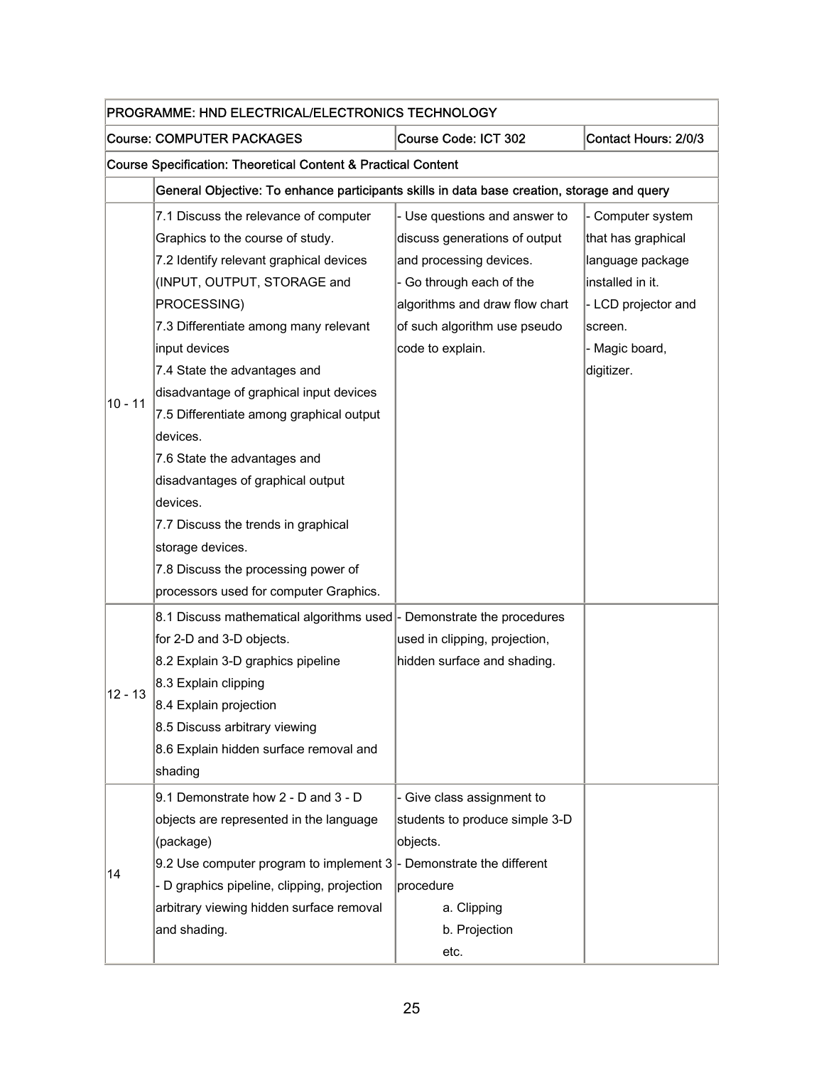| PROGRAMME: HND ELECTRICAL/ELECTRONICS TECHNOLOGY |                                                                                                                                                                                                                                                                                                                                                                                                                                                                                         |                                                                                                                                                                                                             |                                                                                                                                                   |  |  |
|--------------------------------------------------|-----------------------------------------------------------------------------------------------------------------------------------------------------------------------------------------------------------------------------------------------------------------------------------------------------------------------------------------------------------------------------------------------------------------------------------------------------------------------------------------|-------------------------------------------------------------------------------------------------------------------------------------------------------------------------------------------------------------|---------------------------------------------------------------------------------------------------------------------------------------------------|--|--|
|                                                  | <b>Course: COMPUTER PACKAGES</b><br>Course Code: ICT 302<br>Contact Hours: 2/0/3                                                                                                                                                                                                                                                                                                                                                                                                        |                                                                                                                                                                                                             |                                                                                                                                                   |  |  |
|                                                  | <b>Course Specification: Theoretical Content &amp; Practical Content</b>                                                                                                                                                                                                                                                                                                                                                                                                                |                                                                                                                                                                                                             |                                                                                                                                                   |  |  |
|                                                  | General Objective: To enhance participants skills in data base creation, storage and query                                                                                                                                                                                                                                                                                                                                                                                              |                                                                                                                                                                                                             |                                                                                                                                                   |  |  |
| $10 - 11$                                        | 7.1 Discuss the relevance of computer<br>Graphics to the course of study.<br>7.2 Identify relevant graphical devices<br>(INPUT, OUTPUT, STORAGE and<br>PROCESSING)<br>7.3 Differentiate among many relevant<br>input devices<br>7.4 State the advantages and<br>disadvantage of graphical input devices<br>7.5 Differentiate among graphical output<br>devices.<br>7.6 State the advantages and<br>disadvantages of graphical output<br>devices.<br>7.7 Discuss the trends in graphical | - Use questions and answer to<br>discuss generations of output<br>and processing devices.<br>- Go through each of the<br>algorithms and draw flow chart<br>of such algorithm use pseudo<br>code to explain. | - Computer system<br>that has graphical<br>language package<br>installed in it.<br>- LCD projector and<br>screen.<br>- Magic board,<br>digitizer. |  |  |
|                                                  | storage devices.<br>7.8 Discuss the processing power of<br>processors used for computer Graphics.                                                                                                                                                                                                                                                                                                                                                                                       |                                                                                                                                                                                                             |                                                                                                                                                   |  |  |
| 12 - 13                                          | 8.1 Discuss mathematical algorithms used  - Demonstrate the procedures<br>for 2-D and 3-D objects.<br>8.2 Explain 3-D graphics pipeline<br>8.3 Explain clipping<br>8.4 Explain projection<br>8.5 Discuss arbitrary viewing<br>8.6 Explain hidden surface removal and<br>shading                                                                                                                                                                                                         | used in clipping, projection,<br>hidden surface and shading.                                                                                                                                                |                                                                                                                                                   |  |  |
| 14                                               | 9.1 Demonstrate how 2 - D and 3 - D<br>objects are represented in the language<br>(package)<br>9.2 Use computer program to implement $3$ - Demonstrate the different<br>- D graphics pipeline, clipping, projection<br>arbitrary viewing hidden surface removal<br>and shading.                                                                                                                                                                                                         | - Give class assignment to<br>students to produce simple 3-D<br>objects.<br>procedure<br>a. Clipping<br>b. Projection<br>etc.                                                                               |                                                                                                                                                   |  |  |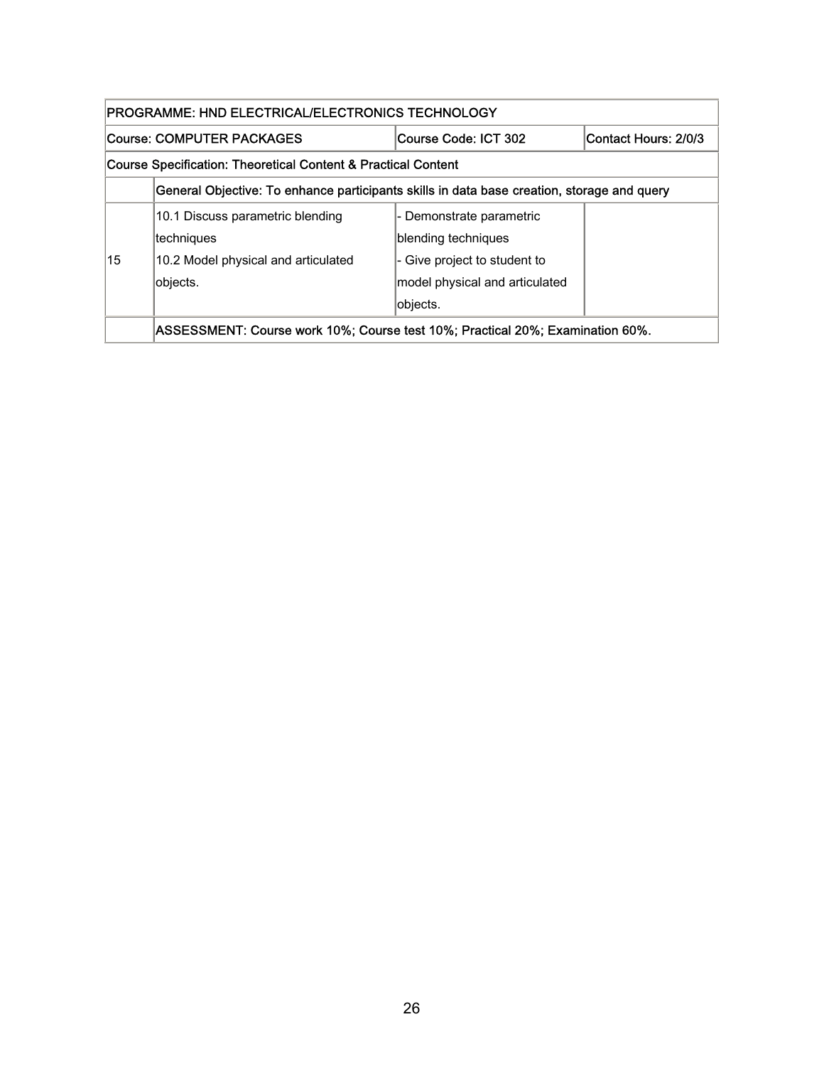| PROGRAMME: HND ELECTRICAL/ELECTRONICS TECHNOLOGY              |                                                                                            |                                |  |  |  |
|---------------------------------------------------------------|--------------------------------------------------------------------------------------------|--------------------------------|--|--|--|
|                                                               | Contact Hours: 2/0/3<br>Course: COMPUTER PACKAGES<br>Course Code: ICT 302                  |                                |  |  |  |
| Course Specification: Theoretical Content & Practical Content |                                                                                            |                                |  |  |  |
|                                                               | General Objective: To enhance participants skills in data base creation, storage and query |                                |  |  |  |
|                                                               | 10.1 Discuss parametric blending                                                           | - Demonstrate parametric       |  |  |  |
|                                                               | techniques                                                                                 | blending techniques            |  |  |  |
| 15                                                            | 10.2 Model physical and articulated                                                        | - Give project to student to   |  |  |  |
|                                                               | objects.                                                                                   | model physical and articulated |  |  |  |
|                                                               |                                                                                            | objects.                       |  |  |  |
|                                                               | ASSESSMENT: Course work 10%; Course test 10%; Practical 20%; Examination 60%.              |                                |  |  |  |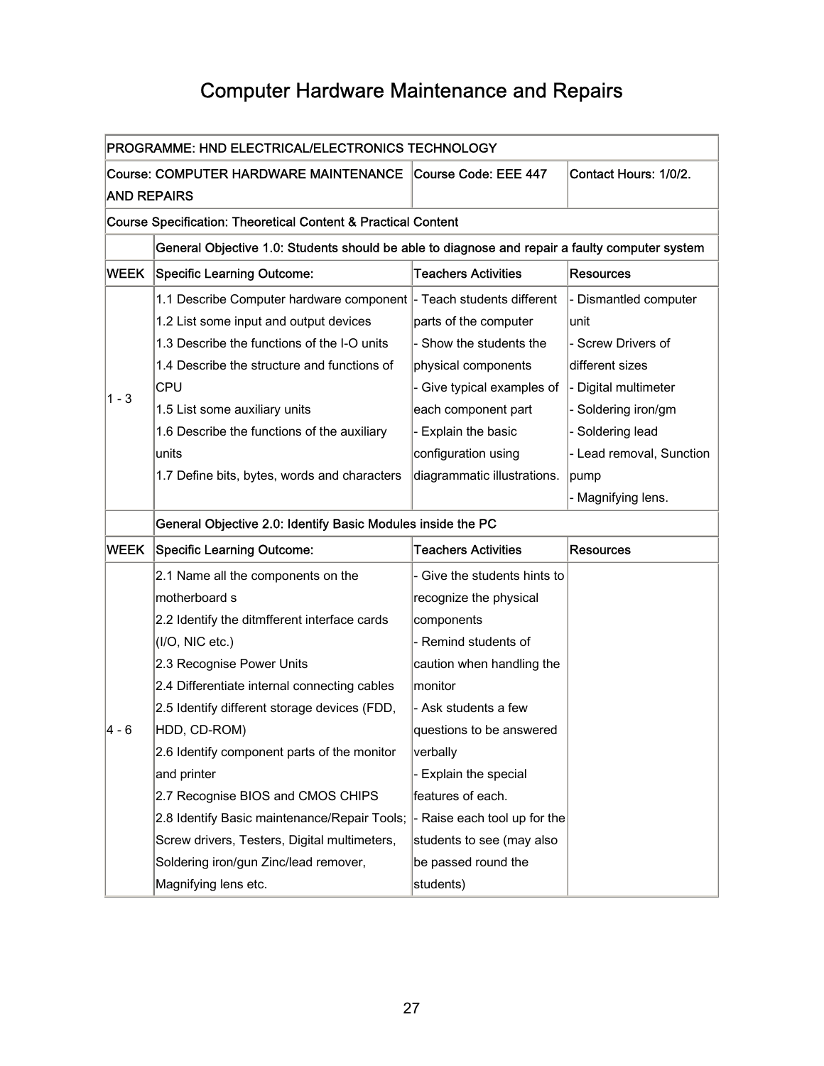## Computer Hardware Maintenance and Repairs

<span id="page-28-0"></span>

| PROGRAMME: HND ELECTRICAL/ELECTRONICS TECHNOLOGY |                                                                                                |                              |                          |  |  |
|--------------------------------------------------|------------------------------------------------------------------------------------------------|------------------------------|--------------------------|--|--|
|                                                  | <b>Course: COMPUTER HARDWARE MAINTENANCE</b><br>Contact Hours: 1/0/2.<br>Course Code: EEE 447  |                              |                          |  |  |
| <b>AND REPAIRS</b>                               |                                                                                                |                              |                          |  |  |
|                                                  | Course Specification: Theoretical Content & Practical Content                                  |                              |                          |  |  |
|                                                  | General Objective 1.0: Students should be able to diagnose and repair a faulty computer system |                              |                          |  |  |
| WEEK                                             | <b>Specific Learning Outcome:</b>                                                              | <b>Teachers Activities</b>   | <b>Resources</b>         |  |  |
|                                                  | 1.1 Describe Computer hardware component                                                       | - Teach students different   | - Dismantled computer    |  |  |
|                                                  | 1.2 List some input and output devices                                                         | parts of the computer        | unit                     |  |  |
|                                                  | 1.3 Describe the functions of the I-O units                                                    | - Show the students the      | - Screw Drivers of       |  |  |
|                                                  | 1.4 Describe the structure and functions of                                                    | physical components          | different sizes          |  |  |
|                                                  | <b>CPU</b>                                                                                     | - Give typical examples of   | - Digital multimeter     |  |  |
| 1 - 3                                            | 1.5 List some auxiliary units                                                                  | each component part          | - Soldering iron/gm      |  |  |
|                                                  | 1.6 Describe the functions of the auxiliary                                                    | - Explain the basic          | - Soldering lead         |  |  |
|                                                  | units                                                                                          | configuration using          | - Lead removal, Sunction |  |  |
|                                                  | 1.7 Define bits, bytes, words and characters                                                   | diagrammatic illustrations.  | pump                     |  |  |
|                                                  |                                                                                                |                              | - Magnifying lens.       |  |  |
|                                                  | General Objective 2.0: Identify Basic Modules inside the PC                                    |                              |                          |  |  |
| <b>WEEK</b>                                      | <b>Specific Learning Outcome:</b>                                                              | <b>Teachers Activities</b>   | <b>Resources</b>         |  |  |
|                                                  | 2.1 Name all the components on the                                                             | - Give the students hints to |                          |  |  |
|                                                  | motherboard s                                                                                  | recognize the physical       |                          |  |  |
|                                                  | 2.2 Identify the ditmfferent interface cards                                                   | components                   |                          |  |  |
|                                                  | (1/O, NIC etc.)                                                                                | - Remind students of         |                          |  |  |
|                                                  | 2.3 Recognise Power Units                                                                      | caution when handling the    |                          |  |  |
|                                                  | 2.4 Differentiate internal connecting cables                                                   | monitor                      |                          |  |  |
|                                                  | 2.5 Identify different storage devices (FDD,                                                   | - Ask students a few         |                          |  |  |
| 4 - 6                                            | HDD, CD-ROM)                                                                                   | questions to be answered     |                          |  |  |
|                                                  | 2.6 Identify component parts of the monitor                                                    | verbally                     |                          |  |  |
|                                                  | and printer                                                                                    | - Explain the special        |                          |  |  |
|                                                  | 2.7 Recognise BIOS and CMOS CHIPS                                                              | features of each.            |                          |  |  |
|                                                  | 2.8 Identify Basic maintenance/Repair Tools;                                                   | - Raise each tool up for the |                          |  |  |
|                                                  | Screw drivers, Testers, Digital multimeters,                                                   | students to see (may also    |                          |  |  |
|                                                  | Soldering iron/gun Zinc/lead remover,                                                          | be passed round the          |                          |  |  |
|                                                  | Magnifying lens etc.                                                                           | students)                    |                          |  |  |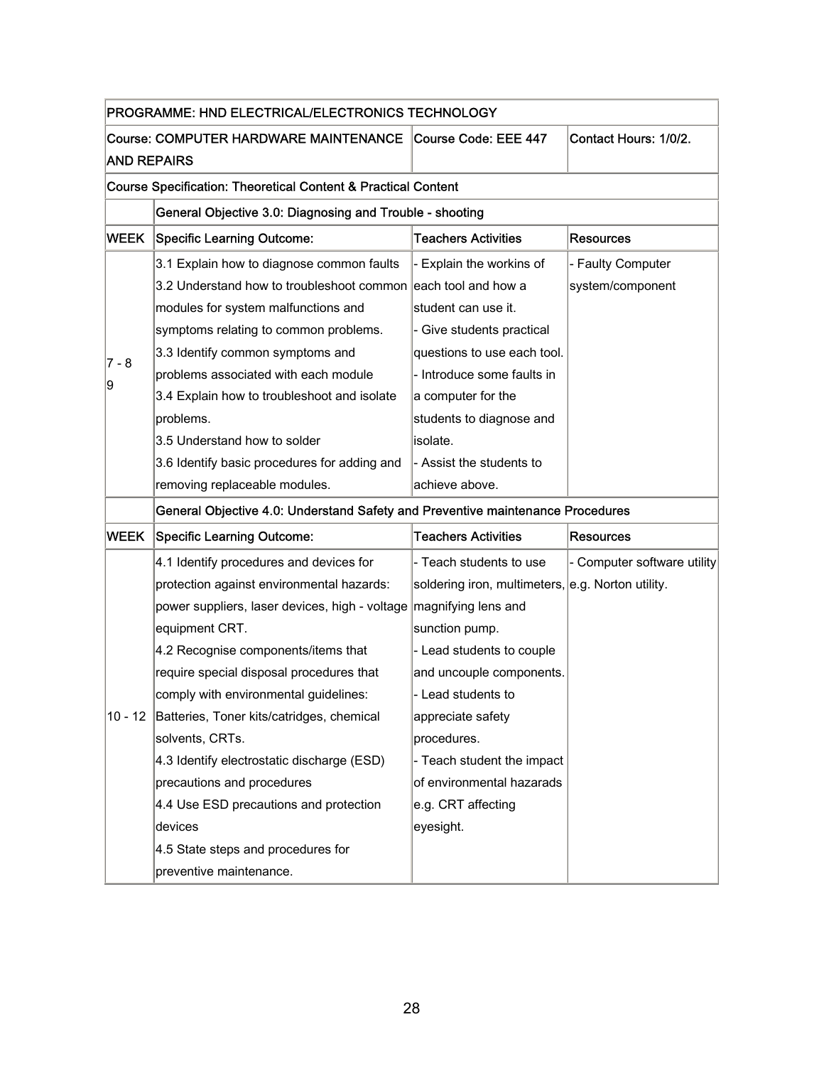| PROGRAMME: HND ELECTRICAL/ELECTRONICS TECHNOLOGY                               |                                                               |                                                   |                             |  |
|--------------------------------------------------------------------------------|---------------------------------------------------------------|---------------------------------------------------|-----------------------------|--|
| Course: COMPUTER HARDWARE MAINTENANCE                                          |                                                               | Course Code: EEE 447                              | Contact Hours: 1/0/2.       |  |
| <b>AND REPAIRS</b>                                                             |                                                               |                                                   |                             |  |
| <b>Course Specification: Theoretical Content &amp; Practical Content</b>       |                                                               |                                                   |                             |  |
|                                                                                | General Objective 3.0: Diagnosing and Trouble - shooting      |                                                   |                             |  |
| <b>WEEK</b>                                                                    | <b>Specific Learning Outcome:</b>                             | <b>Teachers Activities</b>                        | <b>Resources</b>            |  |
|                                                                                | 3.1 Explain how to diagnose common faults                     | Explain the workins of                            | - Faulty Computer           |  |
|                                                                                | 3.2 Understand how to troubleshoot common each tool and how a |                                                   | system/component            |  |
|                                                                                | modules for system malfunctions and                           | student can use it.                               |                             |  |
|                                                                                | symptoms relating to common problems.                         | - Give students practical                         |                             |  |
| $7 - 8$                                                                        | 3.3 Identify common symptoms and                              | questions to use each tool.                       |                             |  |
|                                                                                | problems associated with each module                          | Introduce some faults in                          |                             |  |
| 9                                                                              | 3.4 Explain how to troubleshoot and isolate                   | a computer for the                                |                             |  |
|                                                                                | problems.                                                     | students to diagnose and                          |                             |  |
|                                                                                | 3.5 Understand how to solder                                  | isolate.                                          |                             |  |
|                                                                                | 3.6 Identify basic procedures for adding and                  | - Assist the students to                          |                             |  |
|                                                                                | removing replaceable modules.                                 | achieve above.                                    |                             |  |
| General Objective 4.0: Understand Safety and Preventive maintenance Procedures |                                                               |                                                   |                             |  |
| <b>WEEK</b>                                                                    | <b>Specific Learning Outcome:</b>                             | <b>Teachers Activities</b>                        | <b>Resources</b>            |  |
|                                                                                | 4.1 Identify procedures and devices for                       | - Teach students to use                           | - Computer software utility |  |
|                                                                                | protection against environmental hazards:                     | soldering iron, multimeters, e.g. Norton utility. |                             |  |
|                                                                                | power suppliers, laser devices, high - voltage                | magnifying lens and                               |                             |  |
|                                                                                | equipment CRT.                                                | sunction pump.                                    |                             |  |
|                                                                                | 4.2 Recognise components/items that                           | - Lead students to couple                         |                             |  |
|                                                                                | require special disposal procedures that                      | and uncouple components.                          |                             |  |
|                                                                                | comply with environmental guidelines:                         | - Lead students to                                |                             |  |
|                                                                                | 10 - 12 Batteries, Toner kits/catridges, chemical             | appreciate safety                                 |                             |  |
|                                                                                | solvents, CRTs.                                               | procedures.                                       |                             |  |
|                                                                                | 4.3 Identify electrostatic discharge (ESD)                    | - Teach student the impact                        |                             |  |
|                                                                                | precautions and procedures                                    | of environmental hazarads                         |                             |  |
|                                                                                | 4.4 Use ESD precautions and protection                        | e.g. CRT affecting                                |                             |  |
|                                                                                | devices                                                       | eyesight.                                         |                             |  |
|                                                                                | 4.5 State steps and procedures for                            |                                                   |                             |  |
|                                                                                | preventive maintenance.                                       |                                                   |                             |  |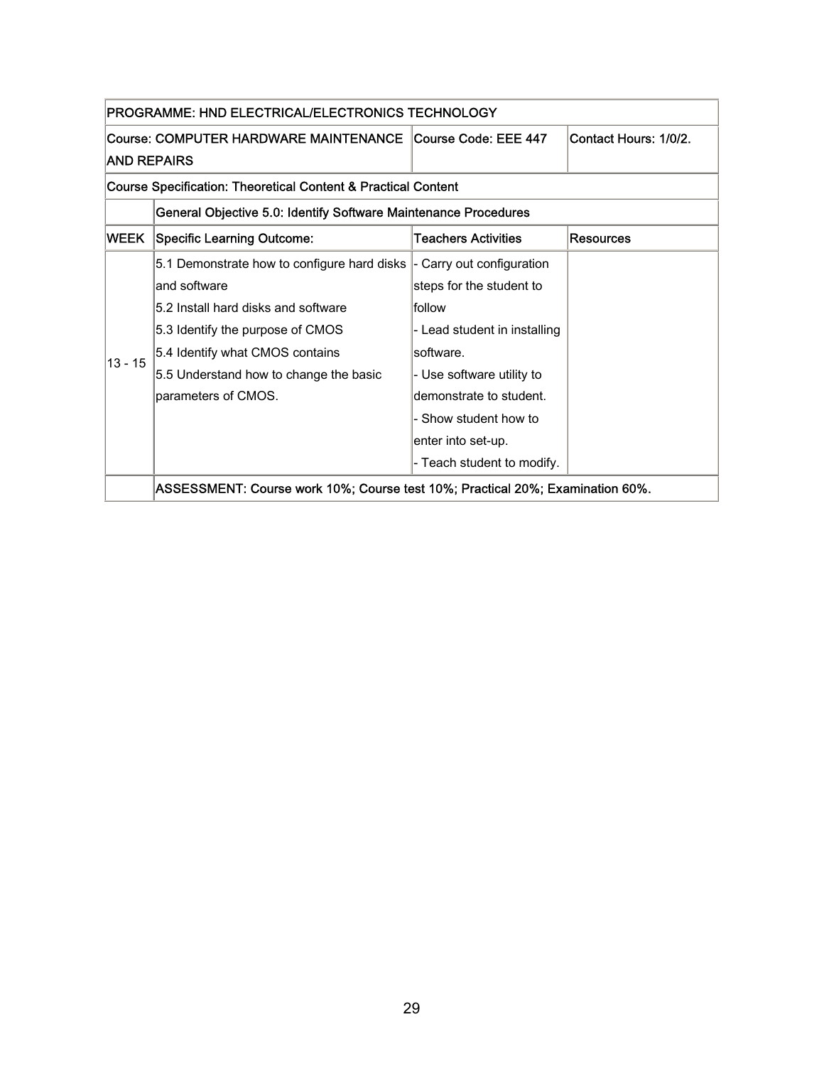| PROGRAMME: HND ELECTRICAL/ELECTRONICS TECHNOLOGY              |                                                                               |                              |                       |  |
|---------------------------------------------------------------|-------------------------------------------------------------------------------|------------------------------|-----------------------|--|
|                                                               | Course: COMPUTER HARDWARE MAINTENANCE                                         | Course Code: EEE 447         | Contact Hours: 1/0/2. |  |
| <b>AND REPAIRS</b>                                            |                                                                               |                              |                       |  |
| Course Specification: Theoretical Content & Practical Content |                                                                               |                              |                       |  |
|                                                               | General Objective 5.0: Identify Software Maintenance Procedures               |                              |                       |  |
| WEEK                                                          | <b>Specific Learning Outcome:</b>                                             | Teachers Activities          | Resources             |  |
|                                                               | 5.1 Demonstrate how to configure hard disks  -                                | Carry out configuration      |                       |  |
|                                                               | and software                                                                  | steps for the student to     |                       |  |
|                                                               | 5.2 Install hard disks and software                                           | follow                       |                       |  |
|                                                               | 5.3 Identify the purpose of CMOS                                              | - Lead student in installing |                       |  |
| $13 - 15$                                                     | 5.4 Identify what CMOS contains                                               | software.                    |                       |  |
|                                                               | 5.5 Understand how to change the basic                                        | - Use software utility to    |                       |  |
|                                                               | parameters of CMOS.                                                           | demonstrate to student.      |                       |  |
|                                                               |                                                                               | - Show student how to        |                       |  |
|                                                               |                                                                               | enter into set-up.           |                       |  |
|                                                               |                                                                               | - Teach student to modify.   |                       |  |
|                                                               | ASSESSMENT: Course work 10%; Course test 10%; Practical 20%; Examination 60%. |                              |                       |  |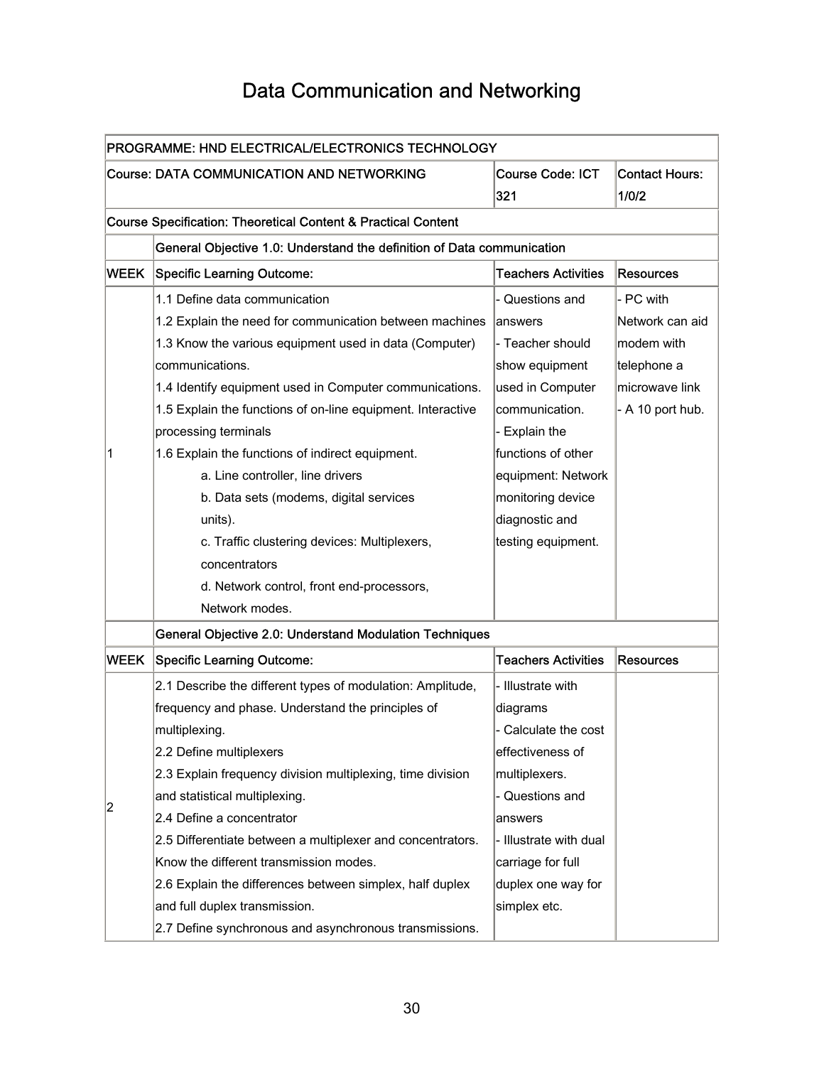## Data Communication and Networking

<span id="page-31-0"></span>

| PROGRAMME: HND ELECTRICAL/ELECTRONICS TECHNOLOGY |                                                                          |                                |                                |  |
|--------------------------------------------------|--------------------------------------------------------------------------|--------------------------------|--------------------------------|--|
|                                                  | <b>Course: DATA COMMUNICATION AND NETWORKING</b>                         | <b>Course Code: ICT</b><br>321 | <b>Contact Hours:</b><br>1/0/2 |  |
|                                                  | <b>Course Specification: Theoretical Content &amp; Practical Content</b> |                                |                                |  |
|                                                  | General Objective 1.0: Understand the definition of Data communication   |                                |                                |  |
| <b>WEEK</b>                                      | Specific Learning Outcome:                                               | <b>Teachers Activities</b>     | <b>Resources</b>               |  |
|                                                  | 1.1 Define data communication                                            | Questions and                  | - PC with                      |  |
|                                                  | 1.2 Explain the need for communication between machines                  | lanswers                       | Network can aid                |  |
|                                                  | 1.3 Know the various equipment used in data (Computer)                   | - Teacher should               | modem with                     |  |
|                                                  | communications.                                                          | show equipment                 | telephone a                    |  |
|                                                  | 1.4 Identify equipment used in Computer communications.                  | used in Computer               | microwave link                 |  |
|                                                  | 1.5 Explain the functions of on-line equipment. Interactive              | communication.                 | - A 10 port hub.               |  |
|                                                  | processing terminals                                                     | <b>Explain the</b>             |                                |  |
| 1                                                | 1.6 Explain the functions of indirect equipment.                         | functions of other             |                                |  |
|                                                  | a. Line controller, line drivers                                         | equipment: Network             |                                |  |
|                                                  | b. Data sets (modems, digital services                                   | monitoring device              |                                |  |
|                                                  | units).                                                                  | diagnostic and                 |                                |  |
|                                                  | c. Traffic clustering devices: Multiplexers,                             | testing equipment.             |                                |  |
|                                                  | concentrators                                                            |                                |                                |  |
|                                                  | d. Network control, front end-processors,                                |                                |                                |  |
|                                                  | Network modes.                                                           |                                |                                |  |
|                                                  | General Objective 2.0: Understand Modulation Techniques                  |                                |                                |  |
| <b>WEEK</b>                                      | Specific Learning Outcome:                                               | <b>Teachers Activities</b>     | Resources                      |  |
|                                                  | 2.1 Describe the different types of modulation: Amplitude,               | - Illustrate with              |                                |  |
|                                                  | frequency and phase. Understand the principles of                        | diagrams                       |                                |  |
|                                                  | multiplexing.                                                            | - Calculate the cost           |                                |  |
|                                                  | 2.2 Define multiplexers                                                  | effectiveness of               |                                |  |
|                                                  | 2.3 Explain frequency division multiplexing, time division               | multiplexers.                  |                                |  |
|                                                  | and statistical multiplexing.                                            | Questions and                  |                                |  |
| 2                                                | 2.4 Define a concentrator                                                | answers                        |                                |  |
|                                                  | 2.5 Differentiate between a multiplexer and concentrators.               | - Illustrate with dual         |                                |  |
|                                                  | Know the different transmission modes.                                   | carriage for full              |                                |  |
|                                                  | 2.6 Explain the differences between simplex, half duplex                 | duplex one way for             |                                |  |
|                                                  | and full duplex transmission.                                            | simplex etc.                   |                                |  |
|                                                  | 2.7 Define synchronous and asynchronous transmissions.                   |                                |                                |  |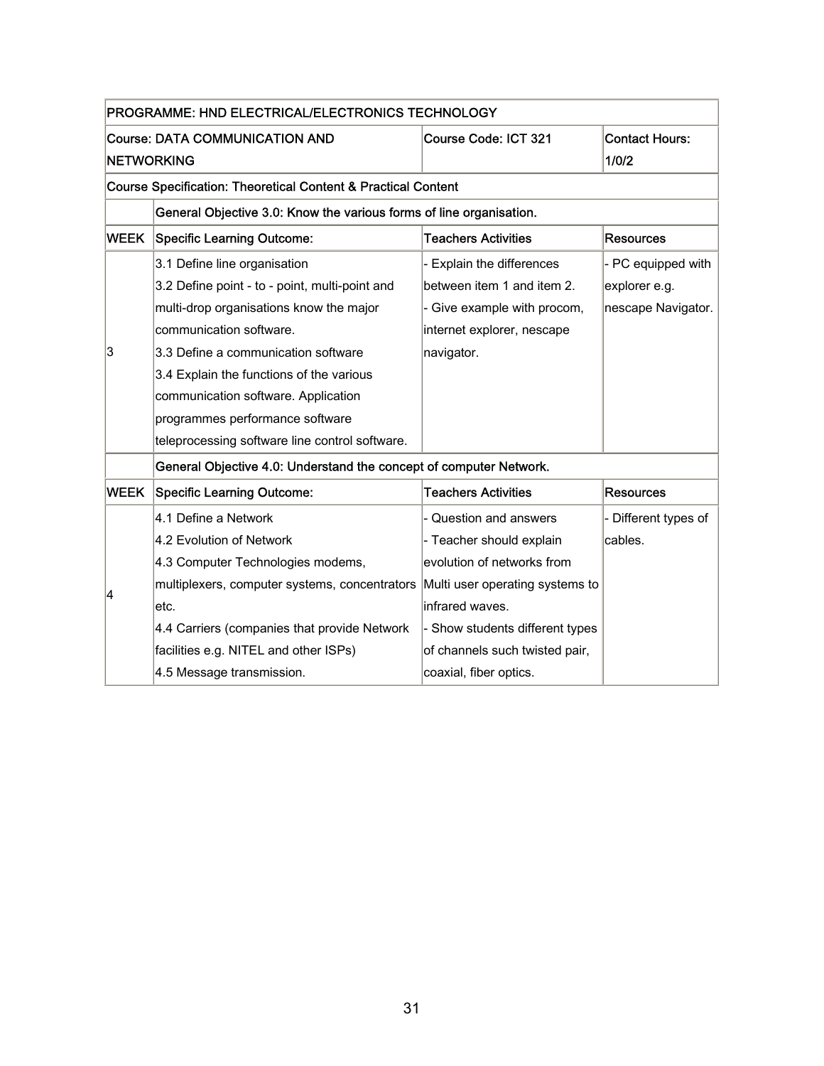| PROGRAMME: HND ELECTRICAL/ELECTRONICS TECHNOLOGY |                                                                          |                                 |                       |  |
|--------------------------------------------------|--------------------------------------------------------------------------|---------------------------------|-----------------------|--|
| <b>Course: DATA COMMUNICATION AND</b>            |                                                                          | Course Code: ICT 321            | <b>Contact Hours:</b> |  |
| <b>NETWORKING</b>                                |                                                                          |                                 | 1/0/2                 |  |
|                                                  | <b>Course Specification: Theoretical Content &amp; Practical Content</b> |                                 |                       |  |
|                                                  | General Objective 3.0: Know the various forms of line organisation.      |                                 |                       |  |
| <b>WEEK</b>                                      | <b>Specific Learning Outcome:</b>                                        | <b>Teachers Activities</b>      | <b>Resources</b>      |  |
|                                                  | 3.1 Define line organisation                                             | Explain the differences         | - PC equipped with    |  |
| 3                                                | 3.2 Define point - to - point, multi-point and                           | between item 1 and item 2.      | explorer e.g.         |  |
|                                                  | multi-drop organisations know the major                                  | - Give example with procom,     | nescape Navigator.    |  |
|                                                  | communication software.                                                  | internet explorer, nescape      |                       |  |
|                                                  | 3.3 Define a communication software                                      | navigator.                      |                       |  |
|                                                  | 3.4 Explain the functions of the various                                 |                                 |                       |  |
|                                                  | communication software. Application                                      |                                 |                       |  |
|                                                  | programmes performance software                                          |                                 |                       |  |
|                                                  | teleprocessing software line control software.                           |                                 |                       |  |
|                                                  | General Objective 4.0: Understand the concept of computer Network.       |                                 |                       |  |
| <b>WEEK</b>                                      | <b>Specific Learning Outcome:</b>                                        | <b>Teachers Activities</b>      | <b>Resources</b>      |  |
|                                                  | 4.1 Define a Network                                                     | - Question and answers          | - Different types of  |  |
|                                                  | 4.2 Evolution of Network                                                 | - Teacher should explain        | cables.               |  |
|                                                  | 4.3 Computer Technologies modems,                                        | evolution of networks from      |                       |  |
| 4                                                | multiplexers, computer systems, concentrators                            | Multi user operating systems to |                       |  |
|                                                  | letc.                                                                    | infrared waves.                 |                       |  |
|                                                  | 4.4 Carriers (companies that provide Network                             | - Show students different types |                       |  |
|                                                  | facilities e.g. NITEL and other ISPs)                                    | of channels such twisted pair,  |                       |  |
|                                                  | 4.5 Message transmission.                                                | coaxial, fiber optics.          |                       |  |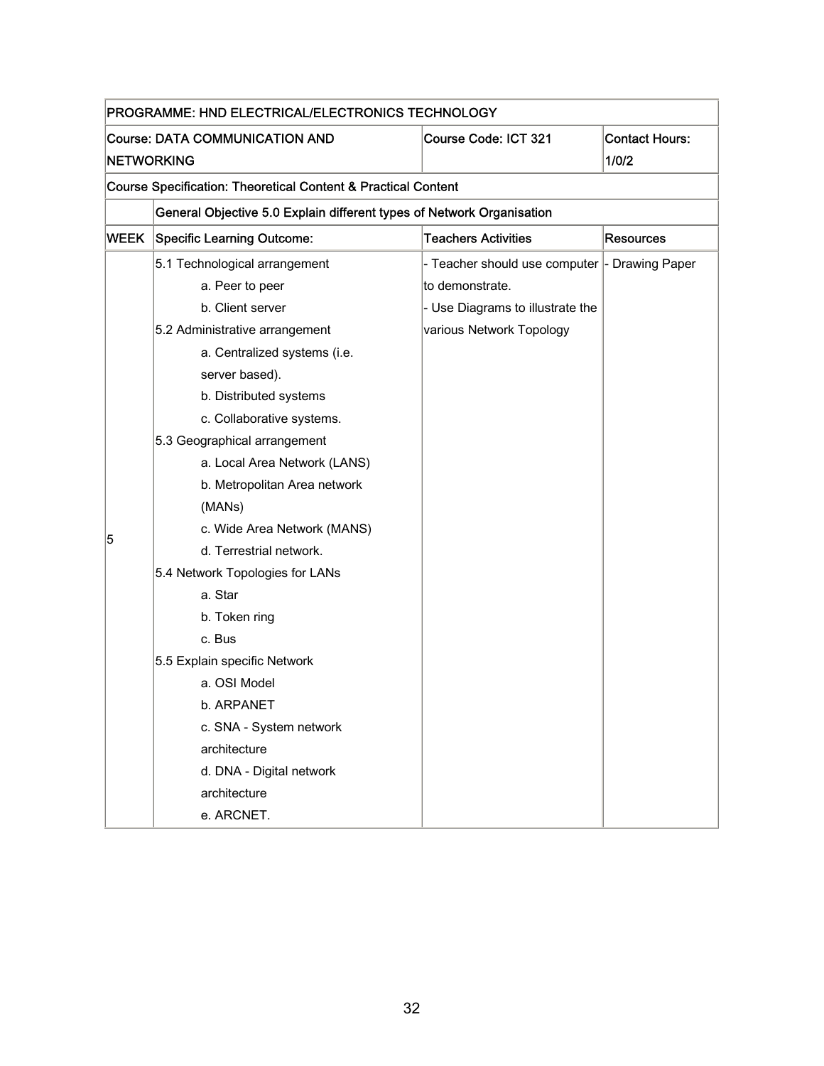| PROGRAMME: HND ELECTRICAL/ELECTRONICS TECHNOLOGY |                                                                                        |                                  |                  |  |
|--------------------------------------------------|----------------------------------------------------------------------------------------|----------------------------------|------------------|--|
|                                                  | <b>Course: DATA COMMUNICATION AND</b><br>Course Code: ICT 321<br><b>Contact Hours:</b> |                                  |                  |  |
| <b>NETWORKING</b>                                |                                                                                        |                                  | 1/0/2            |  |
|                                                  | <b>Course Specification: Theoretical Content &amp; Practical Content</b>               |                                  |                  |  |
|                                                  | General Objective 5.0 Explain different types of Network Organisation                  |                                  |                  |  |
| WEEK                                             | Specific Learning Outcome:                                                             | <b>Teachers Activities</b>       | <b>Resources</b> |  |
|                                                  | 5.1 Technological arrangement                                                          | - Teacher should use computer    | - Drawing Paper  |  |
|                                                  | a. Peer to peer                                                                        | to demonstrate.                  |                  |  |
|                                                  | b. Client server                                                                       | - Use Diagrams to illustrate the |                  |  |
|                                                  | 5.2 Administrative arrangement                                                         | various Network Topology         |                  |  |
|                                                  | a. Centralized systems (i.e.                                                           |                                  |                  |  |
|                                                  | server based).                                                                         |                                  |                  |  |
|                                                  | b. Distributed systems                                                                 |                                  |                  |  |
|                                                  | c. Collaborative systems.                                                              |                                  |                  |  |
|                                                  | 5.3 Geographical arrangement                                                           |                                  |                  |  |
|                                                  | a. Local Area Network (LANS)                                                           |                                  |                  |  |
|                                                  | b. Metropolitan Area network                                                           |                                  |                  |  |
|                                                  | (MANs)                                                                                 |                                  |                  |  |
| 5                                                | c. Wide Area Network (MANS)                                                            |                                  |                  |  |
|                                                  | d. Terrestrial network.                                                                |                                  |                  |  |
|                                                  | 5.4 Network Topologies for LANs                                                        |                                  |                  |  |
|                                                  | a. Star                                                                                |                                  |                  |  |
|                                                  | b. Token ring                                                                          |                                  |                  |  |
|                                                  | c. Bus                                                                                 |                                  |                  |  |
|                                                  | 5.5 Explain specific Network                                                           |                                  |                  |  |
|                                                  | a. OSI Model                                                                           |                                  |                  |  |
|                                                  | b. ARPANET                                                                             |                                  |                  |  |
|                                                  | c. SNA - System network                                                                |                                  |                  |  |
|                                                  | architecture                                                                           |                                  |                  |  |
|                                                  | d. DNA - Digital network                                                               |                                  |                  |  |
|                                                  | architecture                                                                           |                                  |                  |  |
|                                                  | e. ARCNET.                                                                             |                                  |                  |  |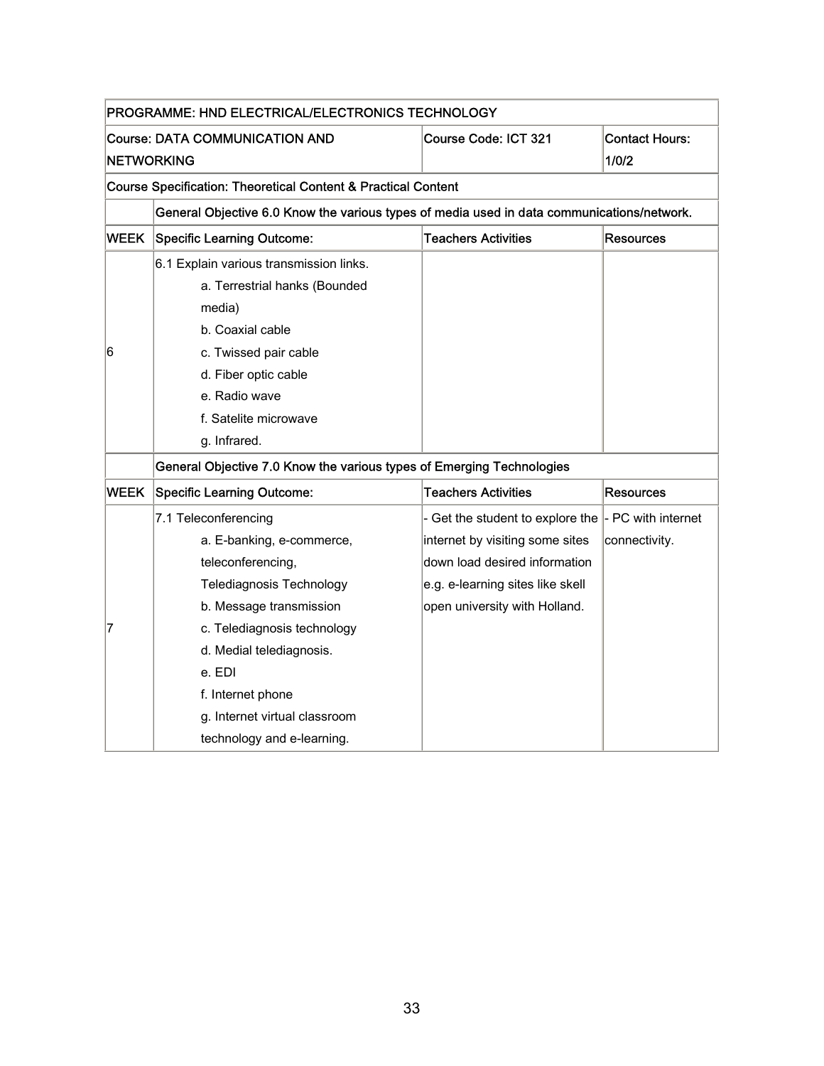| PROGRAMME: HND ELECTRICAL/ELECTRONICS TECHNOLOGY                      |                                                                                            |                                                |                                |  |  |
|-----------------------------------------------------------------------|--------------------------------------------------------------------------------------------|------------------------------------------------|--------------------------------|--|--|
| <b>Course: DATA COMMUNICATION AND</b><br><b>NETWORKING</b>            |                                                                                            | Course Code: ICT 321                           | <b>Contact Hours:</b><br>1/0/2 |  |  |
|                                                                       | <b>Course Specification: Theoretical Content &amp; Practical Content</b>                   |                                                |                                |  |  |
|                                                                       | General Objective 6.0 Know the various types of media used in data communications/network. |                                                |                                |  |  |
| <b>WEEK</b>                                                           | <b>Specific Learning Outcome:</b>                                                          | <b>Teachers Activities</b>                     | Resources                      |  |  |
|                                                                       | 6.1 Explain various transmission links.                                                    |                                                |                                |  |  |
|                                                                       | a. Terrestrial hanks (Bounded                                                              |                                                |                                |  |  |
|                                                                       | media)                                                                                     |                                                |                                |  |  |
|                                                                       | b. Coaxial cable                                                                           |                                                |                                |  |  |
| 6                                                                     | c. Twissed pair cable                                                                      |                                                |                                |  |  |
|                                                                       | d. Fiber optic cable                                                                       |                                                |                                |  |  |
|                                                                       | e. Radio wave                                                                              |                                                |                                |  |  |
|                                                                       | f. Satelite microwave                                                                      |                                                |                                |  |  |
|                                                                       | g. Infrared.                                                                               |                                                |                                |  |  |
| General Objective 7.0 Know the various types of Emerging Technologies |                                                                                            |                                                |                                |  |  |
| <b>WEEK</b>                                                           | <b>Specific Learning Outcome:</b>                                                          | <b>Teachers Activities</b><br><b>Resources</b> |                                |  |  |
|                                                                       | 7.1 Teleconferencing                                                                       | - Get the student to explore the               | - PC with internet             |  |  |
|                                                                       | a. E-banking, e-commerce,                                                                  | internet by visiting some sites                | connectivity.                  |  |  |
|                                                                       | teleconferencing,                                                                          | down load desired information                  |                                |  |  |
|                                                                       | Telediagnosis Technology                                                                   | e.g. e-learning sites like skell               |                                |  |  |
|                                                                       | b. Message transmission                                                                    | open university with Holland.                  |                                |  |  |
| 17                                                                    | c. Telediagnosis technology                                                                |                                                |                                |  |  |
|                                                                       | d. Medial telediagnosis.                                                                   |                                                |                                |  |  |
|                                                                       | e. EDI                                                                                     |                                                |                                |  |  |
|                                                                       | f. Internet phone                                                                          |                                                |                                |  |  |
|                                                                       | g. Internet virtual classroom                                                              |                                                |                                |  |  |
|                                                                       | technology and e-learning.                                                                 |                                                |                                |  |  |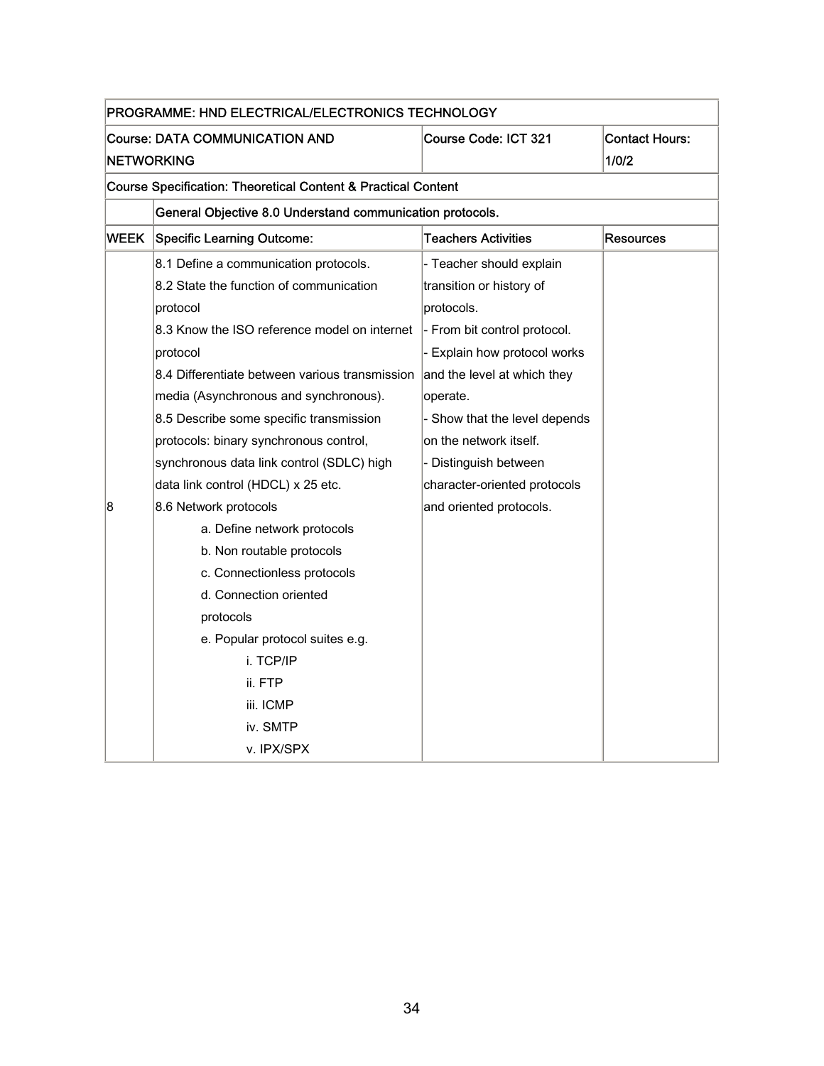| PROGRAMME: HND ELECTRICAL/ELECTRONICS TECHNOLOGY              |                                                           |                               |                       |
|---------------------------------------------------------------|-----------------------------------------------------------|-------------------------------|-----------------------|
|                                                               | <b>Course: DATA COMMUNICATION AND</b>                     | Course Code: ICT 321          | <b>Contact Hours:</b> |
| <b>NETWORKING</b>                                             |                                                           |                               | 1/0/2                 |
| Course Specification: Theoretical Content & Practical Content |                                                           |                               |                       |
|                                                               | General Objective 8.0 Understand communication protocols. |                               |                       |
| <b>WEEK</b>                                                   | <b>Specific Learning Outcome:</b>                         | <b>Teachers Activities</b>    | <b>Resources</b>      |
|                                                               | 8.1 Define a communication protocols.                     | - Teacher should explain      |                       |
|                                                               | 8.2 State the function of communication                   | transition or history of      |                       |
|                                                               | protocol                                                  | protocols.                    |                       |
|                                                               | 8.3 Know the ISO reference model on internet              | - From bit control protocol.  |                       |
|                                                               | protocol                                                  | - Explain how protocol works  |                       |
|                                                               | 8.4 Differentiate between various transmission            | and the level at which they   |                       |
|                                                               | media (Asynchronous and synchronous).                     | operate.                      |                       |
|                                                               | 8.5 Describe some specific transmission                   | - Show that the level depends |                       |
|                                                               | protocols: binary synchronous control,                    | on the network itself.        |                       |
|                                                               | synchronous data link control (SDLC) high                 | - Distinguish between         |                       |
|                                                               | data link control (HDCL) x 25 etc.                        | character-oriented protocols  |                       |
| 8                                                             | 8.6 Network protocols                                     | and oriented protocols.       |                       |
|                                                               | a. Define network protocols                               |                               |                       |
|                                                               | b. Non routable protocols                                 |                               |                       |
|                                                               | c. Connectionless protocols                               |                               |                       |
|                                                               | d. Connection oriented                                    |                               |                       |
|                                                               | protocols                                                 |                               |                       |
|                                                               | e. Popular protocol suites e.g.                           |                               |                       |
|                                                               | i. TCP/IP                                                 |                               |                       |
|                                                               | ii. FTP                                                   |                               |                       |
|                                                               | iii. ICMP                                                 |                               |                       |
|                                                               | iv. SMTP                                                  |                               |                       |
|                                                               | v. IPX/SPX                                                |                               |                       |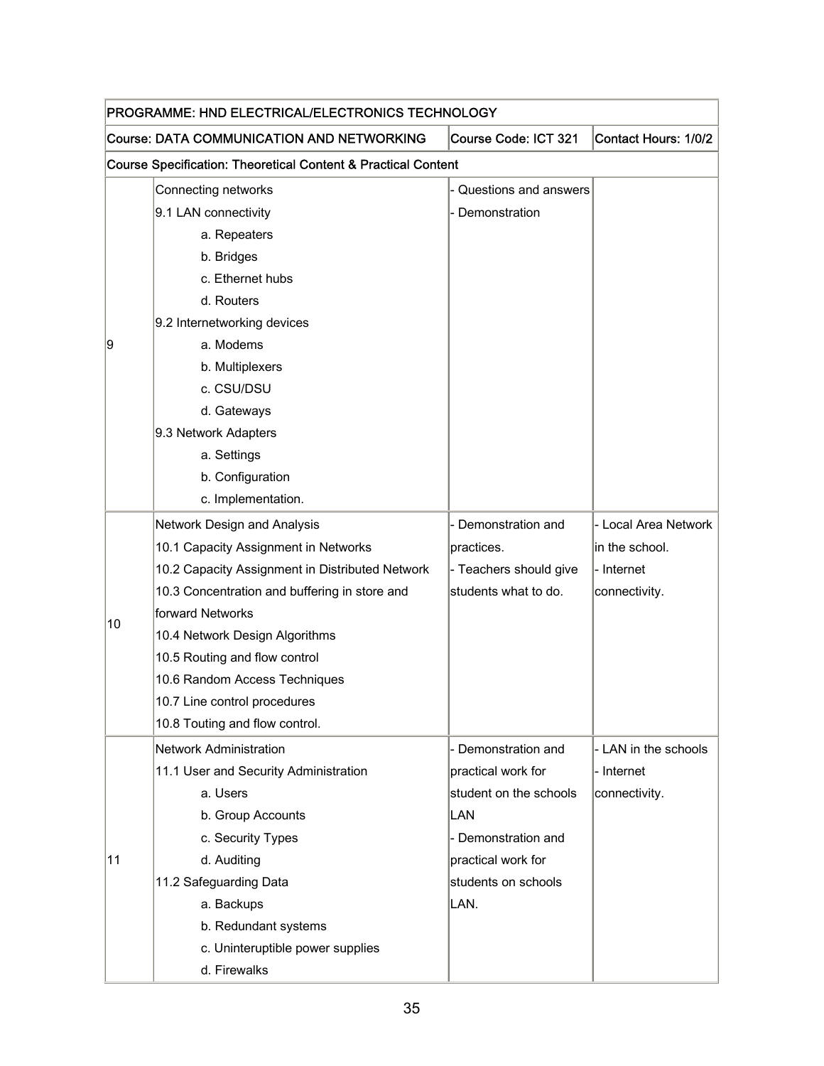| PROGRAMME: HND ELECTRICAL/ELECTRONICS TECHNOLOGY |                                                                          |                        |                      |
|--------------------------------------------------|--------------------------------------------------------------------------|------------------------|----------------------|
|                                                  | <b>Course: DATA COMMUNICATION AND NETWORKING</b>                         | Course Code: ICT 321   | Contact Hours: 1/0/2 |
|                                                  | <b>Course Specification: Theoretical Content &amp; Practical Content</b> |                        |                      |
|                                                  | Connecting networks                                                      | Questions and answers  |                      |
|                                                  | 9.1 LAN connectivity                                                     | Demonstration          |                      |
|                                                  | a. Repeaters                                                             |                        |                      |
|                                                  | b. Bridges                                                               |                        |                      |
|                                                  | c. Ethernet hubs                                                         |                        |                      |
|                                                  | d. Routers                                                               |                        |                      |
|                                                  | 9.2 Internetworking devices                                              |                        |                      |
| 9                                                | a. Modems                                                                |                        |                      |
|                                                  | b. Multiplexers                                                          |                        |                      |
|                                                  | c. CSU/DSU                                                               |                        |                      |
|                                                  | d. Gateways                                                              |                        |                      |
|                                                  | 9.3 Network Adapters                                                     |                        |                      |
|                                                  | a. Settings                                                              |                        |                      |
|                                                  | b. Configuration                                                         |                        |                      |
|                                                  | c. Implementation.                                                       |                        |                      |
|                                                  | Network Design and Analysis                                              | - Demonstration and    | - Local Area Network |
|                                                  | 10.1 Capacity Assignment in Networks                                     | practices.             | in the school.       |
|                                                  | 10.2 Capacity Assignment in Distributed Network                          | - Teachers should give | - Internet           |
|                                                  | 10.3 Concentration and buffering in store and                            | students what to do.   | connectivity.        |
| 10                                               | forward Networks                                                         |                        |                      |
|                                                  | 10.4 Network Design Algorithms                                           |                        |                      |
|                                                  | 10.5 Routing and flow control                                            |                        |                      |
|                                                  | 10.6 Random Access Techniques                                            |                        |                      |
|                                                  | 10.7 Line control procedures                                             |                        |                      |
|                                                  | 10.8 Touting and flow control.                                           |                        |                      |
|                                                  | Network Administration                                                   | - Demonstration and    | - LAN in the schools |
|                                                  | 11.1 User and Security Administration                                    | practical work for     | - Internet           |
|                                                  | a. Users                                                                 | student on the schools | connectivity.        |
|                                                  | b. Group Accounts                                                        | LAN                    |                      |
|                                                  | c. Security Types                                                        | - Demonstration and    |                      |
| 11                                               | d. Auditing                                                              | practical work for     |                      |
|                                                  | 11.2 Safeguarding Data                                                   | students on schools    |                      |
|                                                  | a. Backups                                                               | LAN.                   |                      |
|                                                  | b. Redundant systems                                                     |                        |                      |
|                                                  | c. Uninteruptible power supplies                                         |                        |                      |
|                                                  | d. Firewalks                                                             |                        |                      |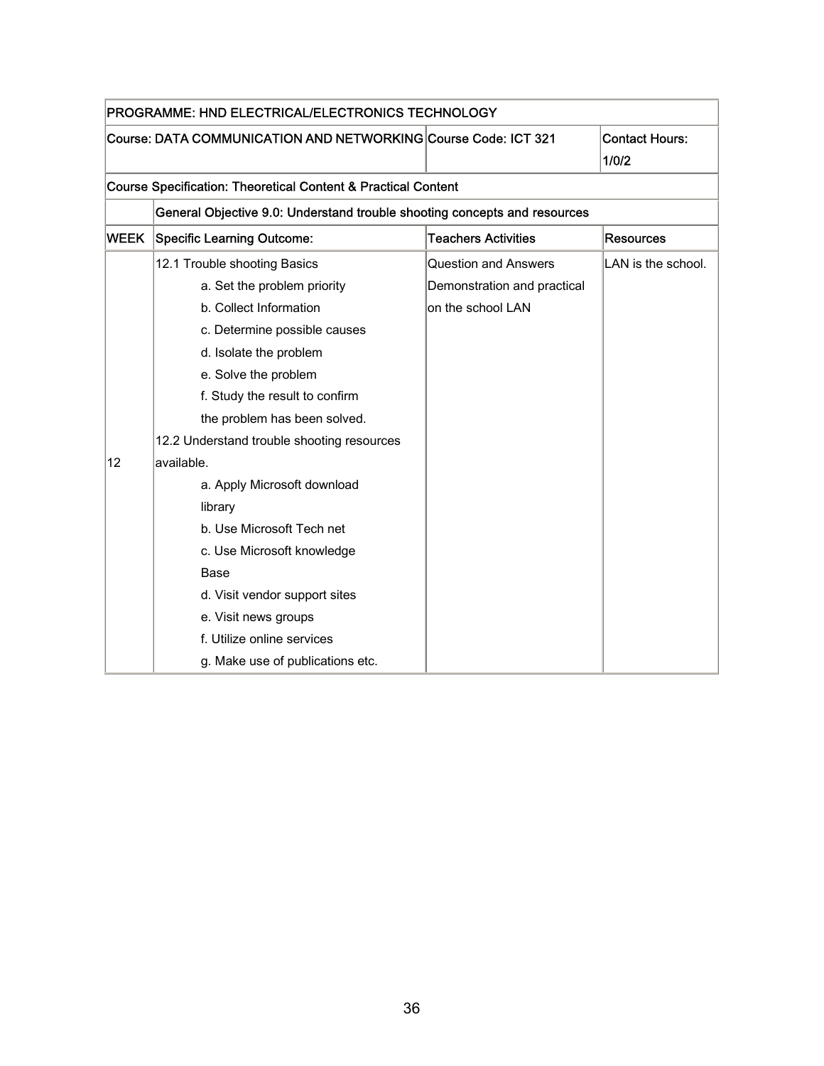| PROGRAMME: HND ELECTRICAL/ELECTRONICS TECHNOLOGY |                                                                                         |                             |                    |  |  |  |
|--------------------------------------------------|-----------------------------------------------------------------------------------------|-----------------------------|--------------------|--|--|--|
|                                                  | Course: DATA COMMUNICATION AND NETWORKING Course Code: ICT 321<br><b>Contact Hours:</b> |                             |                    |  |  |  |
|                                                  |                                                                                         |                             | 1/0/2              |  |  |  |
|                                                  | <b>Course Specification: Theoretical Content &amp; Practical Content</b>                |                             |                    |  |  |  |
|                                                  | General Objective 9.0: Understand trouble shooting concepts and resources               |                             |                    |  |  |  |
| <b>WEEK</b>                                      | Specific Learning Outcome:                                                              | <b>Teachers Activities</b>  | <b>Resources</b>   |  |  |  |
|                                                  | 12.1 Trouble shooting Basics                                                            | <b>Question and Answers</b> | LAN is the school. |  |  |  |
|                                                  | a. Set the problem priority                                                             | Demonstration and practical |                    |  |  |  |
|                                                  | b. Collect Information                                                                  | on the school LAN           |                    |  |  |  |
|                                                  | c. Determine possible causes                                                            |                             |                    |  |  |  |
|                                                  | d. Isolate the problem                                                                  |                             |                    |  |  |  |
|                                                  | e. Solve the problem                                                                    |                             |                    |  |  |  |
|                                                  | f. Study the result to confirm                                                          |                             |                    |  |  |  |
|                                                  | the problem has been solved.                                                            |                             |                    |  |  |  |
|                                                  | 12.2 Understand trouble shooting resources                                              |                             |                    |  |  |  |
| 12                                               | available.                                                                              |                             |                    |  |  |  |
|                                                  | a. Apply Microsoft download                                                             |                             |                    |  |  |  |
|                                                  | library                                                                                 |                             |                    |  |  |  |
|                                                  | b. Use Microsoft Tech net                                                               |                             |                    |  |  |  |
|                                                  | c. Use Microsoft knowledge                                                              |                             |                    |  |  |  |
|                                                  | Base                                                                                    |                             |                    |  |  |  |
|                                                  | d. Visit vendor support sites                                                           |                             |                    |  |  |  |
|                                                  | e. Visit news groups                                                                    |                             |                    |  |  |  |
|                                                  | f. Utilize online services                                                              |                             |                    |  |  |  |
|                                                  | g. Make use of publications etc.                                                        |                             |                    |  |  |  |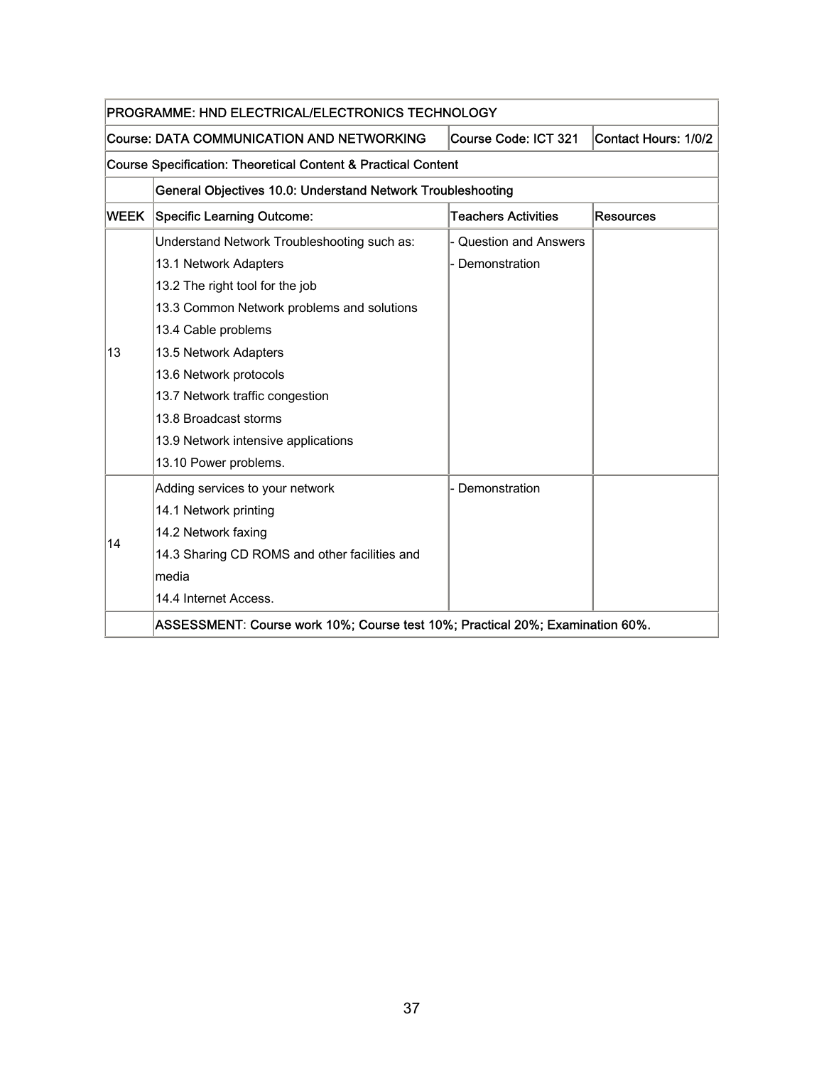| PROGRAMME: HND ELECTRICAL/ELECTRONICS TECHNOLOGY                                            |                                                                                                  |                        |  |  |  |  |
|---------------------------------------------------------------------------------------------|--------------------------------------------------------------------------------------------------|------------------------|--|--|--|--|
|                                                                                             | <b>Course: DATA COMMUNICATION AND NETWORKING</b><br>Course Code: ICT 321<br>Contact Hours: 1/0/2 |                        |  |  |  |  |
|                                                                                             | <b>Course Specification: Theoretical Content &amp; Practical Content</b>                         |                        |  |  |  |  |
|                                                                                             | General Objectives 10.0: Understand Network Troubleshooting                                      |                        |  |  |  |  |
| <b>Teachers Activities</b><br><b>WEEK</b><br><b>Specific Learning Outcome:</b><br>Resources |                                                                                                  |                        |  |  |  |  |
|                                                                                             | Understand Network Troubleshooting such as:                                                      | - Question and Answers |  |  |  |  |
|                                                                                             | 13.1 Network Adapters                                                                            | Demonstration          |  |  |  |  |
|                                                                                             | 13.2 The right tool for the job                                                                  |                        |  |  |  |  |
|                                                                                             | 13.3 Common Network problems and solutions                                                       |                        |  |  |  |  |
|                                                                                             | 13.4 Cable problems                                                                              |                        |  |  |  |  |
| 13                                                                                          | 13.5 Network Adapters                                                                            |                        |  |  |  |  |
|                                                                                             | 13.6 Network protocols                                                                           |                        |  |  |  |  |
|                                                                                             | 13.7 Network traffic congestion                                                                  |                        |  |  |  |  |
|                                                                                             | 13.8 Broadcast storms                                                                            |                        |  |  |  |  |
|                                                                                             | 13.9 Network intensive applications                                                              |                        |  |  |  |  |
|                                                                                             | 13.10 Power problems.                                                                            |                        |  |  |  |  |
|                                                                                             | Adding services to your network                                                                  | Demonstration          |  |  |  |  |
|                                                                                             | 14.1 Network printing                                                                            |                        |  |  |  |  |
|                                                                                             | 14.2 Network faxing                                                                              |                        |  |  |  |  |
| 14                                                                                          | 14.3 Sharing CD ROMS and other facilities and                                                    |                        |  |  |  |  |
|                                                                                             | media                                                                                            |                        |  |  |  |  |
|                                                                                             | 14.4 Internet Access.                                                                            |                        |  |  |  |  |
|                                                                                             | ASSESSMENT: Course work 10%; Course test 10%; Practical 20%; Examination 60%.                    |                        |  |  |  |  |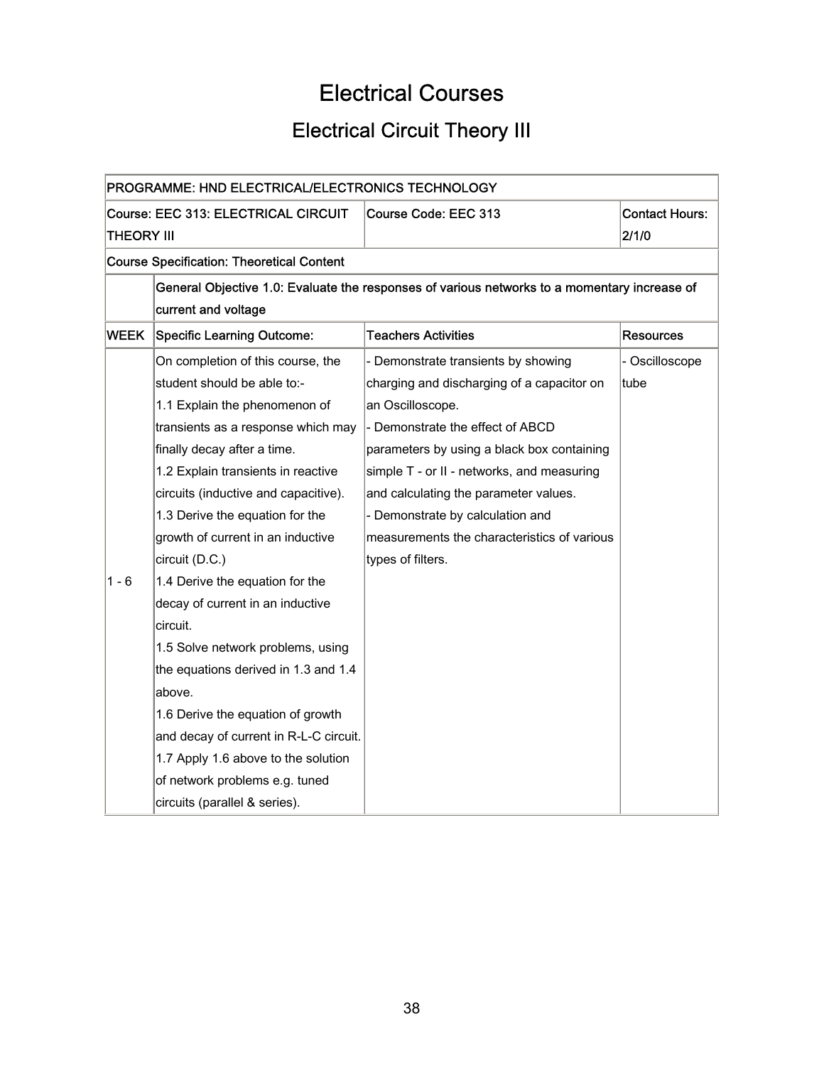## Electrical Courses

## Electrical Circuit Theory III

| PROGRAMME: HND ELECTRICAL/ELECTRONICS TECHNOLOGY |                                                                                                                    |                                                                                              |                  |  |
|--------------------------------------------------|--------------------------------------------------------------------------------------------------------------------|----------------------------------------------------------------------------------------------|------------------|--|
|                                                  | Course: EEC 313: ELECTRICAL CIRCUIT<br>Course Code: EEC 313<br><b>Contact Hours:</b><br><b>THEORY III</b><br>2/1/0 |                                                                                              |                  |  |
|                                                  | <b>Course Specification: Theoretical Content</b>                                                                   |                                                                                              |                  |  |
|                                                  |                                                                                                                    | General Objective 1.0: Evaluate the responses of various networks to a momentary increase of |                  |  |
|                                                  | current and voltage                                                                                                |                                                                                              |                  |  |
| WEEK                                             | <b>Specific Learning Outcome:</b>                                                                                  | <b>Teachers Activities</b>                                                                   | <b>Resources</b> |  |
|                                                  | On completion of this course, the                                                                                  | - Demonstrate transients by showing                                                          | - Oscilloscope   |  |
|                                                  | student should be able to:-                                                                                        | charging and discharging of a capacitor on                                                   | tube             |  |
|                                                  | 1.1 Explain the phenomenon of                                                                                      | an Oscilloscope.                                                                             |                  |  |
|                                                  | transients as a response which may                                                                                 | - Demonstrate the effect of ABCD                                                             |                  |  |
|                                                  | finally decay after a time.                                                                                        | parameters by using a black box containing                                                   |                  |  |
|                                                  | 1.2 Explain transients in reactive                                                                                 | simple T - or II - networks, and measuring                                                   |                  |  |
|                                                  | circuits (inductive and capacitive).                                                                               | and calculating the parameter values.                                                        |                  |  |
|                                                  | 1.3 Derive the equation for the                                                                                    | - Demonstrate by calculation and                                                             |                  |  |
|                                                  | growth of current in an inductive                                                                                  | measurements the characteristics of various                                                  |                  |  |
|                                                  | circuit (D.C.)                                                                                                     | types of filters.                                                                            |                  |  |
| 1 - 6                                            | 1.4 Derive the equation for the                                                                                    |                                                                                              |                  |  |
|                                                  | decay of current in an inductive                                                                                   |                                                                                              |                  |  |
|                                                  | circuit.                                                                                                           |                                                                                              |                  |  |
|                                                  | 1.5 Solve network problems, using                                                                                  |                                                                                              |                  |  |
|                                                  | the equations derived in 1.3 and 1.4                                                                               |                                                                                              |                  |  |
|                                                  | above.                                                                                                             |                                                                                              |                  |  |
|                                                  | 1.6 Derive the equation of growth                                                                                  |                                                                                              |                  |  |
|                                                  | and decay of current in R-L-C circuit.                                                                             |                                                                                              |                  |  |
|                                                  | 1.7 Apply 1.6 above to the solution                                                                                |                                                                                              |                  |  |
|                                                  | of network problems e.g. tuned                                                                                     |                                                                                              |                  |  |
|                                                  | circuits (parallel & series).                                                                                      |                                                                                              |                  |  |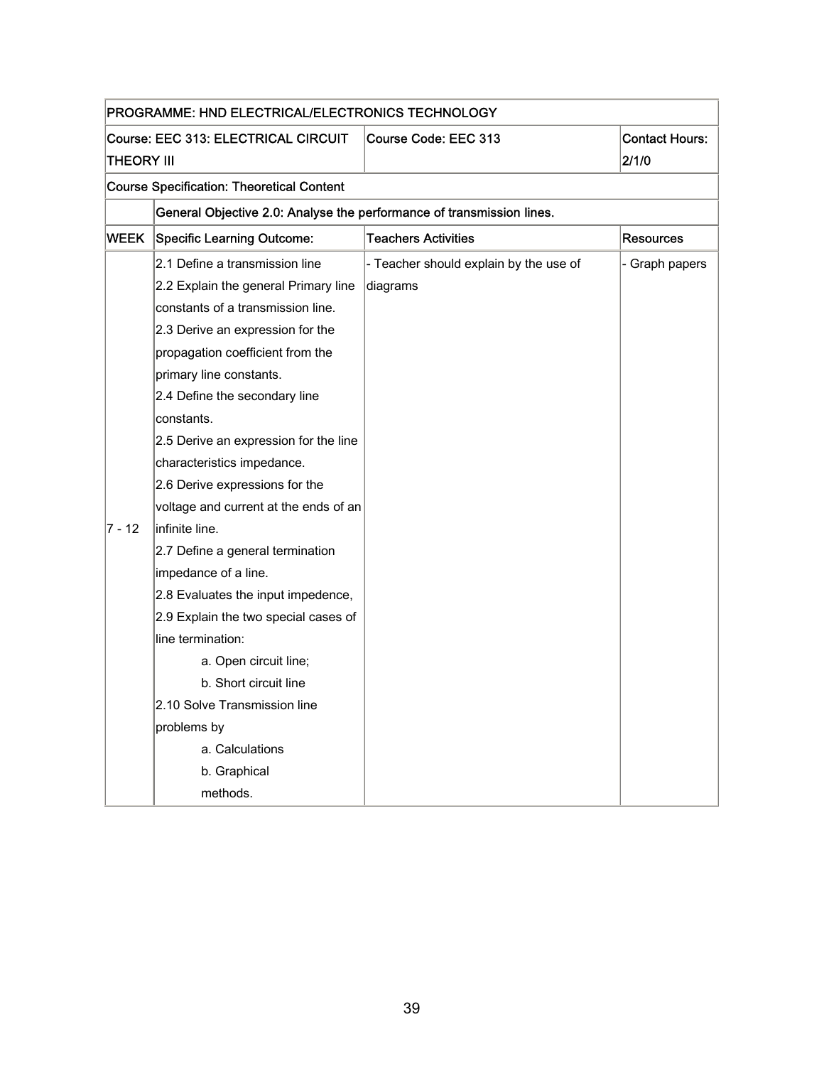|                                                  | PROGRAMME: HND ELECTRICAL/ELECTRONICS TECHNOLOGY                      |                                        |                       |  |
|--------------------------------------------------|-----------------------------------------------------------------------|----------------------------------------|-----------------------|--|
|                                                  | <b>Course: EEC 313: ELECTRICAL CIRCUIT</b>                            | Course Code: EEC 313                   | <b>Contact Hours:</b> |  |
| THEORY III                                       |                                                                       |                                        | 2/1/0                 |  |
| <b>Course Specification: Theoretical Content</b> |                                                                       |                                        |                       |  |
|                                                  | General Objective 2.0: Analyse the performance of transmission lines. |                                        |                       |  |
| <b>WEEK</b>                                      | <b>Specific Learning Outcome:</b>                                     | <b>Teachers Activities</b>             | <b>Resources</b>      |  |
|                                                  | 2.1 Define a transmission line                                        | - Teacher should explain by the use of | - Graph papers        |  |
|                                                  | 2.2 Explain the general Primary line                                  | diagrams                               |                       |  |
|                                                  | constants of a transmission line.                                     |                                        |                       |  |
|                                                  | 2.3 Derive an expression for the                                      |                                        |                       |  |
|                                                  | propagation coefficient from the                                      |                                        |                       |  |
|                                                  | primary line constants.                                               |                                        |                       |  |
|                                                  | 2.4 Define the secondary line                                         |                                        |                       |  |
|                                                  | constants.                                                            |                                        |                       |  |
|                                                  | 2.5 Derive an expression for the line                                 |                                        |                       |  |
|                                                  | characteristics impedance.                                            |                                        |                       |  |
|                                                  | 2.6 Derive expressions for the                                        |                                        |                       |  |
|                                                  | voltage and current at the ends of an                                 |                                        |                       |  |
| $7 - 12$                                         | infinite line.                                                        |                                        |                       |  |
|                                                  | 2.7 Define a general termination                                      |                                        |                       |  |
|                                                  | impedance of a line.                                                  |                                        |                       |  |
|                                                  | 2.8 Evaluates the input impedence,                                    |                                        |                       |  |
|                                                  | 2.9 Explain the two special cases of                                  |                                        |                       |  |
|                                                  | line termination:                                                     |                                        |                       |  |
|                                                  | a. Open circuit line;                                                 |                                        |                       |  |
|                                                  | b. Short circuit line                                                 |                                        |                       |  |
|                                                  | 2.10 Solve Transmission line                                          |                                        |                       |  |
|                                                  | problems by                                                           |                                        |                       |  |
|                                                  | a. Calculations                                                       |                                        |                       |  |
|                                                  | b. Graphical                                                          |                                        |                       |  |
|                                                  | methods.                                                              |                                        |                       |  |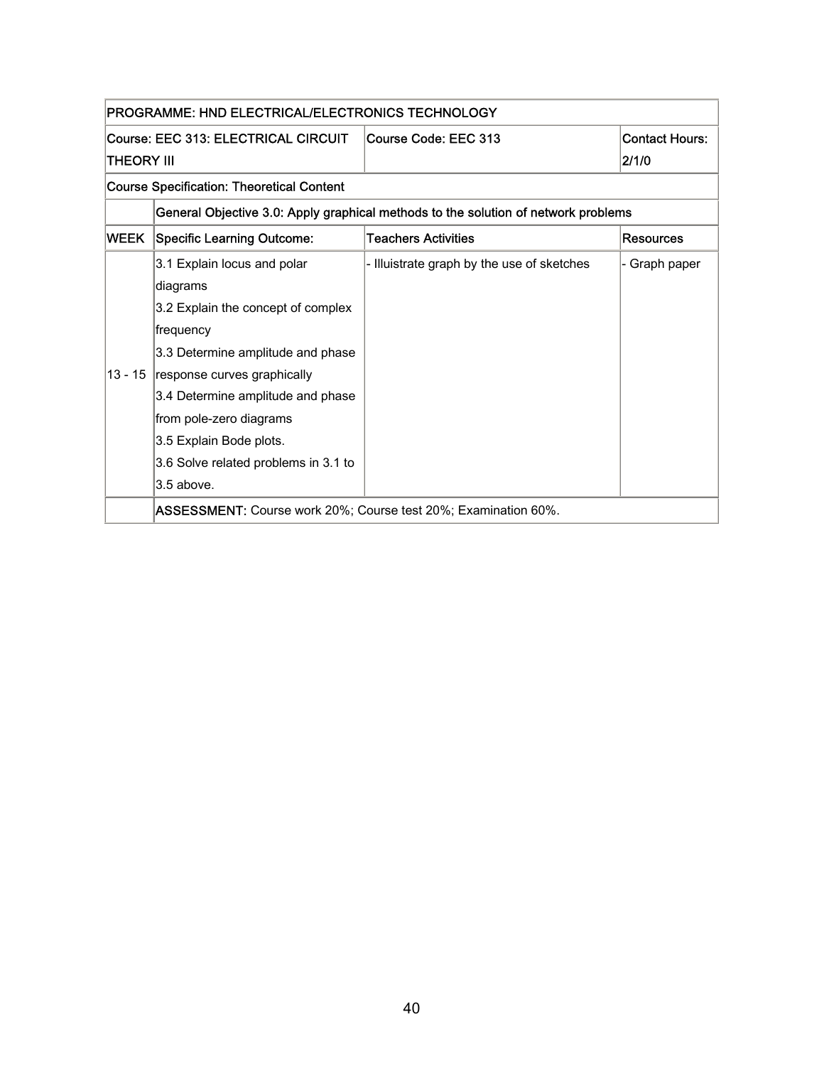| PROGRAMME: HND ELECTRICAL/ELECTRONICS TECHNOLOGY |                                                                                      |                                                                                    |                  |
|--------------------------------------------------|--------------------------------------------------------------------------------------|------------------------------------------------------------------------------------|------------------|
|                                                  | Course: EEC 313: ELECTRICAL CIRCUIT<br>Course Code: EEC 313<br><b>Contact Hours:</b> |                                                                                    |                  |
| THEORY III                                       |                                                                                      |                                                                                    | 2/1/0            |
| <b>Course Specification: Theoretical Content</b> |                                                                                      |                                                                                    |                  |
|                                                  |                                                                                      | General Objective 3.0: Apply graphical methods to the solution of network problems |                  |
| WEEK                                             | <b>Teachers Activities</b><br>Specific Learning Outcome:                             |                                                                                    | <b>Resources</b> |
|                                                  | 3.1 Explain locus and polar                                                          | - Illuistrate graph by the use of sketches                                         | - Graph paper    |
|                                                  | diagrams                                                                             |                                                                                    |                  |
|                                                  | 3.2 Explain the concept of complex                                                   |                                                                                    |                  |
|                                                  | frequency                                                                            |                                                                                    |                  |
|                                                  | 3.3 Determine amplitude and phase                                                    |                                                                                    |                  |
| $13 - 15$                                        | response curves graphically                                                          |                                                                                    |                  |
|                                                  | 3.4 Determine amplitude and phase                                                    |                                                                                    |                  |
|                                                  | from pole-zero diagrams                                                              |                                                                                    |                  |
|                                                  | 3.5 Explain Bode plots.                                                              |                                                                                    |                  |
|                                                  | 3.6 Solve related problems in 3.1 to                                                 |                                                                                    |                  |
|                                                  | 3.5 above.                                                                           |                                                                                    |                  |
|                                                  | ASSESSMENT: Course work 20%; Course test 20%; Examination 60%.                       |                                                                                    |                  |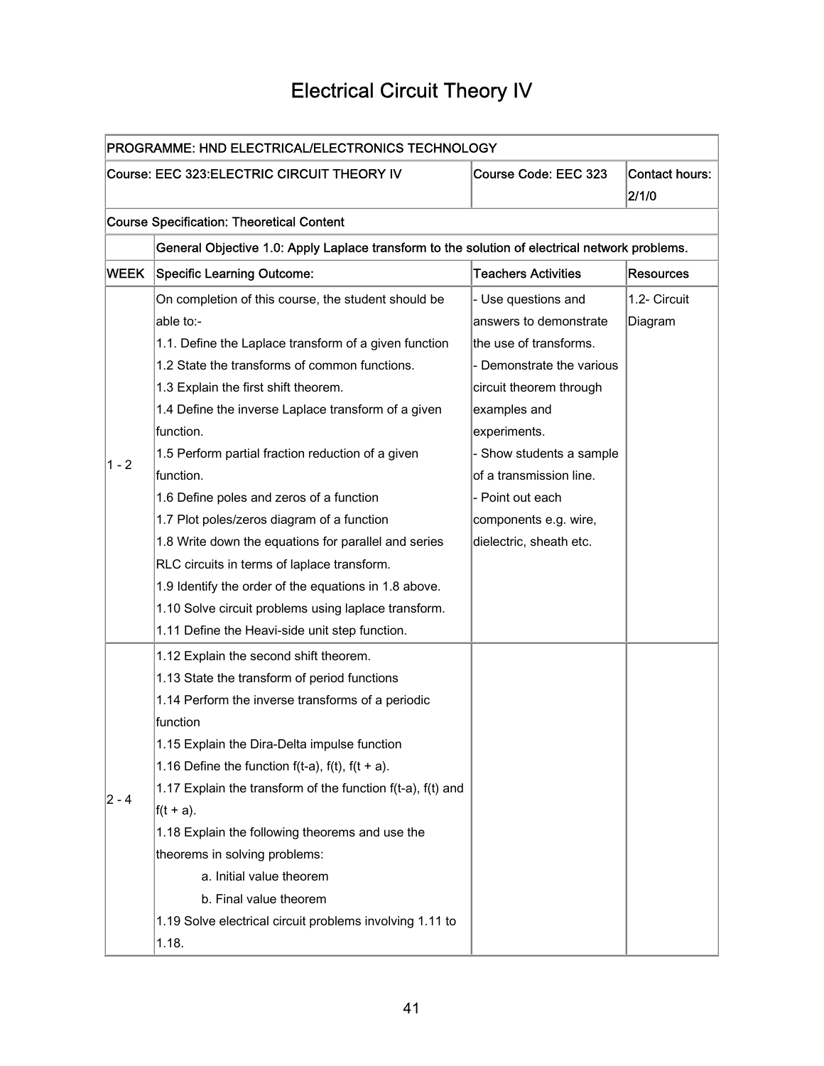## Electrical Circuit Theory IV

| PROGRAMME: HND ELECTRICAL/ELECTRONICS TECHNOLOGY                                                      |                                                                                                |                            |                  |  |
|-------------------------------------------------------------------------------------------------------|------------------------------------------------------------------------------------------------|----------------------------|------------------|--|
| Course: EEC 323: ELECTRIC CIRCUIT THEORY IV<br>Course Code: EEC 323<br><b>Contact hours:</b><br>2/1/0 |                                                                                                |                            |                  |  |
|                                                                                                       | <b>Course Specification: Theoretical Content</b>                                               |                            |                  |  |
|                                                                                                       | General Objective 1.0: Apply Laplace transform to the solution of electrical network problems. |                            |                  |  |
| <b>WEEK</b>                                                                                           | <b>Specific Learning Outcome:</b>                                                              | <b>Teachers Activities</b> | <b>Resources</b> |  |
|                                                                                                       | On completion of this course, the student should be                                            | - Use questions and        | 1.2- Circuit     |  |
|                                                                                                       | able to:-                                                                                      | answers to demonstrate     | Diagram          |  |
|                                                                                                       | 1.1. Define the Laplace transform of a given function                                          | the use of transforms.     |                  |  |
|                                                                                                       | 1.2 State the transforms of common functions.                                                  | - Demonstrate the various  |                  |  |
|                                                                                                       | 1.3 Explain the first shift theorem.                                                           | circuit theorem through    |                  |  |
|                                                                                                       | 1.4 Define the inverse Laplace transform of a given                                            | examples and               |                  |  |
|                                                                                                       | function.                                                                                      | experiments.               |                  |  |
|                                                                                                       | 1.5 Perform partial fraction reduction of a given                                              | - Show students a sample   |                  |  |
| 1 - 2                                                                                                 | function.                                                                                      | of a transmission line.    |                  |  |
|                                                                                                       | 1.6 Define poles and zeros of a function                                                       | - Point out each           |                  |  |
|                                                                                                       | 1.7 Plot poles/zeros diagram of a function                                                     | components e.g. wire,      |                  |  |
|                                                                                                       | 1.8 Write down the equations for parallel and series                                           | dielectric, sheath etc.    |                  |  |
|                                                                                                       | RLC circuits in terms of laplace transform.                                                    |                            |                  |  |
|                                                                                                       | 1.9 Identify the order of the equations in 1.8 above.                                          |                            |                  |  |
|                                                                                                       | 1.10 Solve circuit problems using laplace transform.                                           |                            |                  |  |
|                                                                                                       | 1.11 Define the Heavi-side unit step function.                                                 |                            |                  |  |
|                                                                                                       | 1.12 Explain the second shift theorem.                                                         |                            |                  |  |
|                                                                                                       | 1.13 State the transform of period functions                                                   |                            |                  |  |
|                                                                                                       | 1.14 Perform the inverse transforms of a periodic                                              |                            |                  |  |
|                                                                                                       | function                                                                                       |                            |                  |  |
|                                                                                                       | 1.15 Explain the Dira-Delta impulse function                                                   |                            |                  |  |
|                                                                                                       | 1.16 Define the function $f(t-a)$ , $f(t)$ , $f(t + a)$ .                                      |                            |                  |  |
| $ 2 - 4 $                                                                                             | 1.17 Explain the transform of the function f(t-a), f(t) and                                    |                            |                  |  |
|                                                                                                       | $f(t + a)$ .                                                                                   |                            |                  |  |
|                                                                                                       | 1.18 Explain the following theorems and use the                                                |                            |                  |  |
|                                                                                                       | theorems in solving problems:                                                                  |                            |                  |  |
|                                                                                                       | a. Initial value theorem                                                                       |                            |                  |  |
|                                                                                                       | b. Final value theorem                                                                         |                            |                  |  |
|                                                                                                       | 1.19 Solve electrical circuit problems involving 1.11 to                                       |                            |                  |  |
|                                                                                                       | 1.18.                                                                                          |                            |                  |  |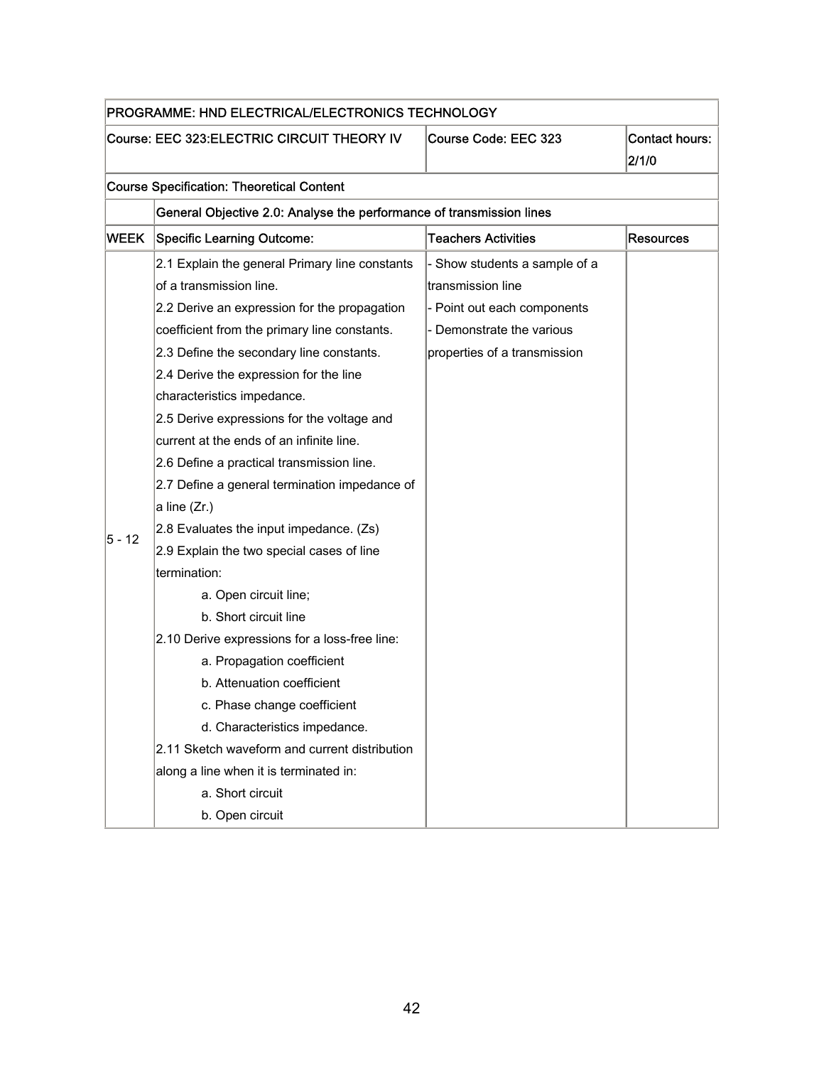| PROGRAMME: HND ELECTRICAL/ELECTRONICS TECHNOLOGY |                                                                                              |                               |                  |  |  |  |
|--------------------------------------------------|----------------------------------------------------------------------------------------------|-------------------------------|------------------|--|--|--|
|                                                  | Course: EEC 323: ELECTRIC CIRCUIT THEORY IV<br>Course Code: EEC 323<br><b>Contact hours:</b> |                               |                  |  |  |  |
|                                                  |                                                                                              |                               | 2/1/0            |  |  |  |
|                                                  | <b>Course Specification: Theoretical Content</b>                                             |                               |                  |  |  |  |
|                                                  | General Objective 2.0: Analyse the performance of transmission lines                         |                               |                  |  |  |  |
| <b>WEEK</b>                                      | <b>Specific Learning Outcome:</b>                                                            | <b>Teachers Activities</b>    | <b>Resources</b> |  |  |  |
|                                                  | 2.1 Explain the general Primary line constants                                               | - Show students a sample of a |                  |  |  |  |
|                                                  | of a transmission line.                                                                      | transmission line             |                  |  |  |  |
|                                                  | 2.2 Derive an expression for the propagation                                                 | - Point out each components   |                  |  |  |  |
|                                                  | coefficient from the primary line constants.                                                 | - Demonstrate the various     |                  |  |  |  |
|                                                  | 2.3 Define the secondary line constants.                                                     | properties of a transmission  |                  |  |  |  |
|                                                  | 2.4 Derive the expression for the line                                                       |                               |                  |  |  |  |
|                                                  | characteristics impedance.                                                                   |                               |                  |  |  |  |
|                                                  | 2.5 Derive expressions for the voltage and                                                   |                               |                  |  |  |  |
|                                                  | current at the ends of an infinite line.                                                     |                               |                  |  |  |  |
|                                                  | 2.6 Define a practical transmission line.                                                    |                               |                  |  |  |  |
|                                                  | 2.7 Define a general termination impedance of                                                |                               |                  |  |  |  |
|                                                  | a line (Zr.)                                                                                 |                               |                  |  |  |  |
| 5 - 12                                           | 2.8 Evaluates the input impedance. (Zs)                                                      |                               |                  |  |  |  |
|                                                  | 2.9 Explain the two special cases of line                                                    |                               |                  |  |  |  |
|                                                  | termination:                                                                                 |                               |                  |  |  |  |
|                                                  | a. Open circuit line;                                                                        |                               |                  |  |  |  |
|                                                  | b. Short circuit line                                                                        |                               |                  |  |  |  |
|                                                  | 2.10 Derive expressions for a loss-free line:                                                |                               |                  |  |  |  |
|                                                  | a. Propagation coefficient                                                                   |                               |                  |  |  |  |
|                                                  | b. Attenuation coefficient                                                                   |                               |                  |  |  |  |
|                                                  | c. Phase change coefficient                                                                  |                               |                  |  |  |  |
|                                                  | d. Characteristics impedance.                                                                |                               |                  |  |  |  |
|                                                  | 2.11 Sketch waveform and current distribution                                                |                               |                  |  |  |  |
|                                                  | along a line when it is terminated in:                                                       |                               |                  |  |  |  |
|                                                  | a. Short circuit                                                                             |                               |                  |  |  |  |
|                                                  | b. Open circuit                                                                              |                               |                  |  |  |  |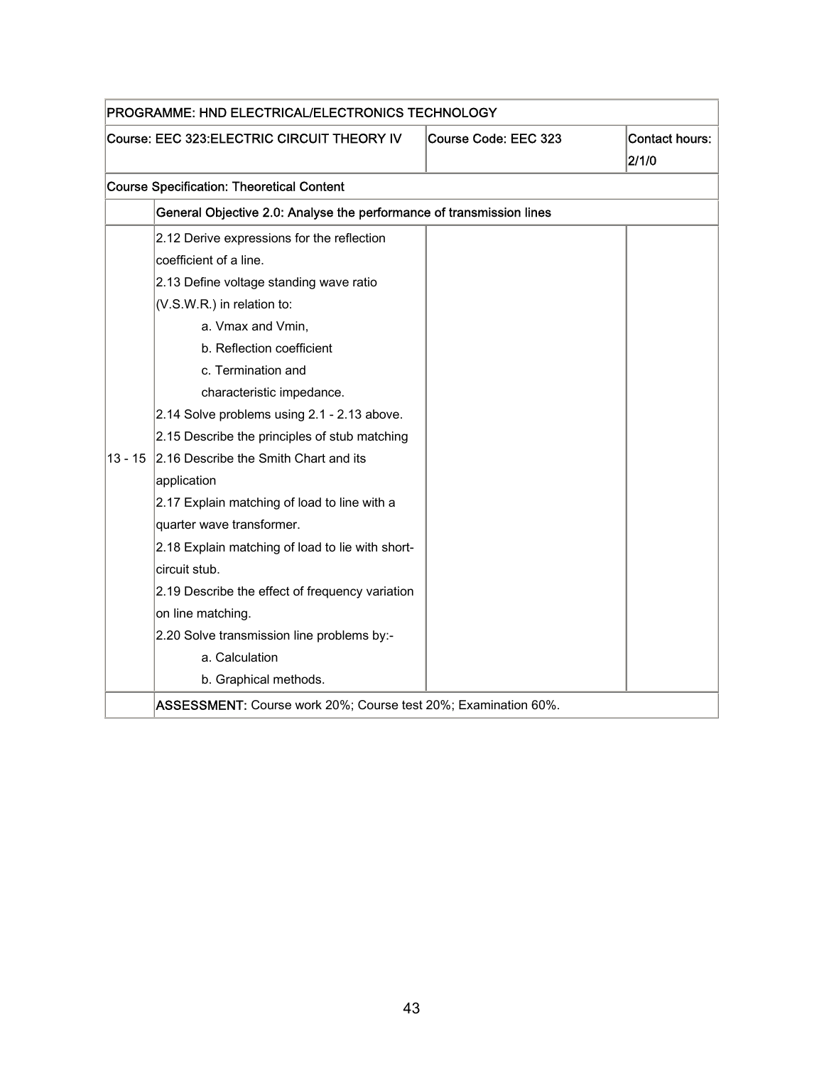| PROGRAMME: HND ELECTRICAL/ELECTRONICS TECHNOLOGY |                                                                      |                      |                                |
|--------------------------------------------------|----------------------------------------------------------------------|----------------------|--------------------------------|
|                                                  | Course: EEC 323:ELECTRIC CIRCUIT THEORY IV                           | Course Code: EEC 323 | <b>Contact hours:</b><br>2/1/0 |
|                                                  | <b>Course Specification: Theoretical Content</b>                     |                      |                                |
|                                                  | General Objective 2.0: Analyse the performance of transmission lines |                      |                                |
|                                                  | 2.12 Derive expressions for the reflection                           |                      |                                |
|                                                  | coefficient of a line.                                               |                      |                                |
|                                                  | 2.13 Define voltage standing wave ratio                              |                      |                                |
|                                                  | (V.S.W.R.) in relation to:                                           |                      |                                |
|                                                  | a. Vmax and Vmin,                                                    |                      |                                |
|                                                  | b. Reflection coefficient                                            |                      |                                |
|                                                  | c. Termination and                                                   |                      |                                |
|                                                  | characteristic impedance.                                            |                      |                                |
|                                                  | 2.14 Solve problems using 2.1 - 2.13 above.                          |                      |                                |
|                                                  | 2.15 Describe the principles of stub matching                        |                      |                                |
| 13 - 15                                          | 2.16 Describe the Smith Chart and its                                |                      |                                |
|                                                  | application                                                          |                      |                                |
|                                                  | 2.17 Explain matching of load to line with a                         |                      |                                |
|                                                  | quarter wave transformer.                                            |                      |                                |
|                                                  | 2.18 Explain matching of load to lie with short-                     |                      |                                |
|                                                  | circuit stub.                                                        |                      |                                |
|                                                  | 2.19 Describe the effect of frequency variation                      |                      |                                |
|                                                  | on line matching.                                                    |                      |                                |
|                                                  | 2.20 Solve transmission line problems by:-                           |                      |                                |
|                                                  | a. Calculation                                                       |                      |                                |
|                                                  | b. Graphical methods.                                                |                      |                                |
|                                                  | ASSESSMENT: Course work 20%; Course test 20%; Examination 60%.       |                      |                                |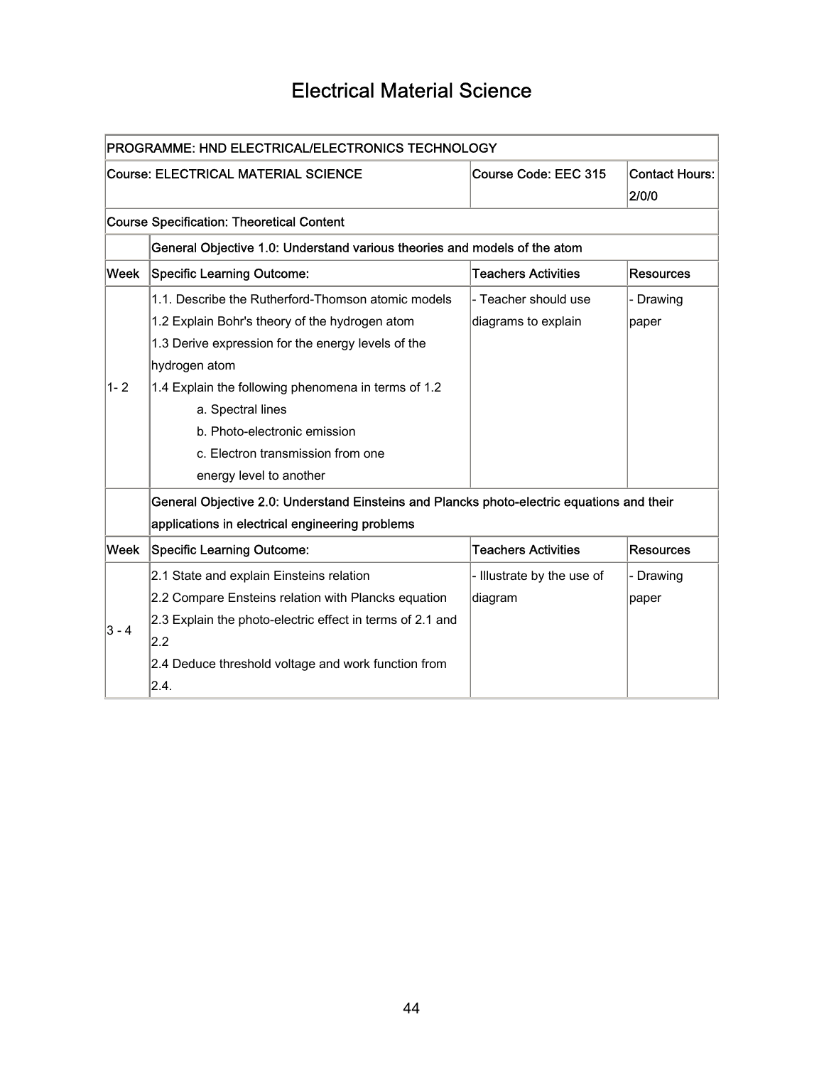### Electrical Material Science

| PROGRAMME: HND ELECTRICAL/ELECTRONICS TECHNOLOGY |                                                                                                                                                                                                                                                                                         |                                             |                                |  |
|--------------------------------------------------|-----------------------------------------------------------------------------------------------------------------------------------------------------------------------------------------------------------------------------------------------------------------------------------------|---------------------------------------------|--------------------------------|--|
|                                                  | <b>Course: ELECTRICAL MATERIAL SCIENCE</b>                                                                                                                                                                                                                                              | Course Code: EEC 315                        | <b>Contact Hours:</b><br>2/0/0 |  |
|                                                  | <b>Course Specification: Theoretical Content</b>                                                                                                                                                                                                                                        |                                             |                                |  |
|                                                  | General Objective 1.0: Understand various theories and models of the atom                                                                                                                                                                                                               |                                             |                                |  |
| Week                                             | <b>Specific Learning Outcome:</b>                                                                                                                                                                                                                                                       | <b>Teachers Activities</b>                  | <b>Resources</b>               |  |
| $1 - 2$                                          | 1.1. Describe the Rutherford-Thomson atomic models<br>1.2 Explain Bohr's theory of the hydrogen atom<br>1.3 Derive expression for the energy levels of the<br>hydrogen atom<br>1.4 Explain the following phenomena in terms of 1.2<br>a. Spectral lines<br>b. Photo-electronic emission | - Teacher should use<br>diagrams to explain | - Drawing<br>paper             |  |
|                                                  | c. Electron transmission from one<br>energy level to another<br>General Objective 2.0: Understand Einsteins and Plancks photo-electric equations and their<br>applications in electrical engineering problems                                                                           |                                             |                                |  |
| Week                                             | <b>Specific Learning Outcome:</b>                                                                                                                                                                                                                                                       | <b>Teachers Activities</b>                  | <b>Resources</b>               |  |
| $3 - 4$                                          | 2.1 State and explain Einsteins relation<br>2.2 Compare Ensteins relation with Plancks equation<br>2.3 Explain the photo-electric effect in terms of 2.1 and<br>2.2<br>2.4 Deduce threshold voltage and work function from<br>2.4.                                                      | - Illustrate by the use of<br>diagram       | - Drawing<br>paper             |  |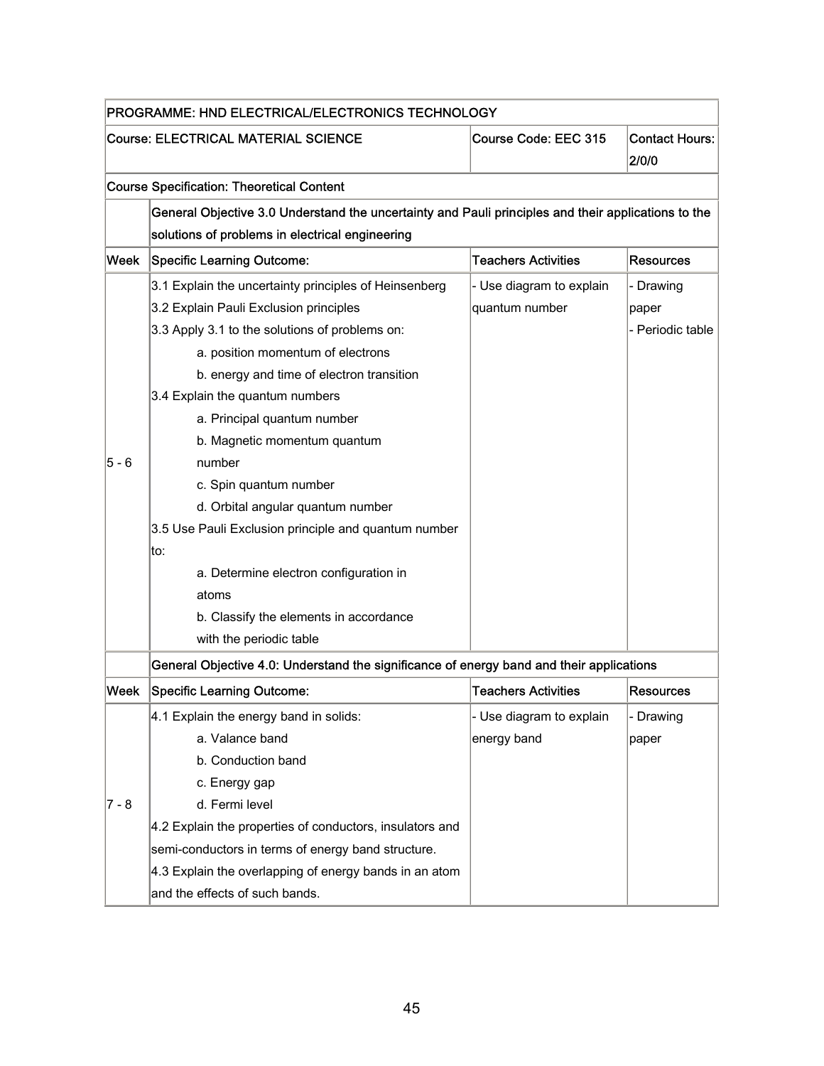| PROGRAMME: HND ELECTRICAL/ELECTRONICS TECHNOLOGY |                                                                                                     |                            |                                |  |  |
|--------------------------------------------------|-----------------------------------------------------------------------------------------------------|----------------------------|--------------------------------|--|--|
|                                                  | <b>Course: ELECTRICAL MATERIAL SCIENCE</b>                                                          | Course Code: EEC 315       | <b>Contact Hours:</b><br>2/0/0 |  |  |
|                                                  | <b>Course Specification: Theoretical Content</b>                                                    |                            |                                |  |  |
|                                                  | General Objective 3.0 Understand the uncertainty and Pauli principles and their applications to the |                            |                                |  |  |
|                                                  | solutions of problems in electrical engineering                                                     |                            |                                |  |  |
| Week                                             | <b>Specific Learning Outcome:</b>                                                                   | <b>Teachers Activities</b> | <b>Resources</b>               |  |  |
|                                                  | 3.1 Explain the uncertainty principles of Heinsenberg                                               | - Use diagram to explain   | - Drawing                      |  |  |
|                                                  | 3.2 Explain Pauli Exclusion principles                                                              | quantum number             | paper                          |  |  |
|                                                  | 3.3 Apply 3.1 to the solutions of problems on:                                                      |                            | - Periodic table               |  |  |
|                                                  | a. position momentum of electrons                                                                   |                            |                                |  |  |
|                                                  | b. energy and time of electron transition                                                           |                            |                                |  |  |
|                                                  | 3.4 Explain the quantum numbers                                                                     |                            |                                |  |  |
|                                                  | a. Principal quantum number                                                                         |                            |                                |  |  |
|                                                  | b. Magnetic momentum quantum                                                                        |                            |                                |  |  |
| $5 - 6$                                          | number                                                                                              |                            |                                |  |  |
|                                                  | c. Spin quantum number                                                                              |                            |                                |  |  |
|                                                  | d. Orbital angular quantum number                                                                   |                            |                                |  |  |
|                                                  | 3.5 Use Pauli Exclusion principle and quantum number                                                |                            |                                |  |  |
|                                                  | lto:                                                                                                |                            |                                |  |  |
|                                                  | a. Determine electron configuration in                                                              |                            |                                |  |  |
|                                                  | atoms                                                                                               |                            |                                |  |  |
|                                                  | b. Classify the elements in accordance                                                              |                            |                                |  |  |
|                                                  | with the periodic table                                                                             |                            |                                |  |  |
|                                                  | General Objective 4.0: Understand the significance of energy band and their applications            |                            |                                |  |  |
| Week                                             | Specific Learning Outcome:                                                                          | <b>Teachers Activities</b> | <b>Resources</b>               |  |  |
|                                                  | 4.1 Explain the energy band in solids:                                                              | - Use diagram to explain   | - Drawing                      |  |  |
|                                                  | a. Valance band                                                                                     | energy band                | paper                          |  |  |
|                                                  | b. Conduction band                                                                                  |                            |                                |  |  |
|                                                  | c. Energy gap                                                                                       |                            |                                |  |  |
| $7 - 8$                                          | d. Fermi level                                                                                      |                            |                                |  |  |
|                                                  | 4.2 Explain the properties of conductors, insulators and                                            |                            |                                |  |  |
|                                                  | semi-conductors in terms of energy band structure.                                                  |                            |                                |  |  |
|                                                  | 4.3 Explain the overlapping of energy bands in an atom                                              |                            |                                |  |  |
|                                                  | and the effects of such bands.                                                                      |                            |                                |  |  |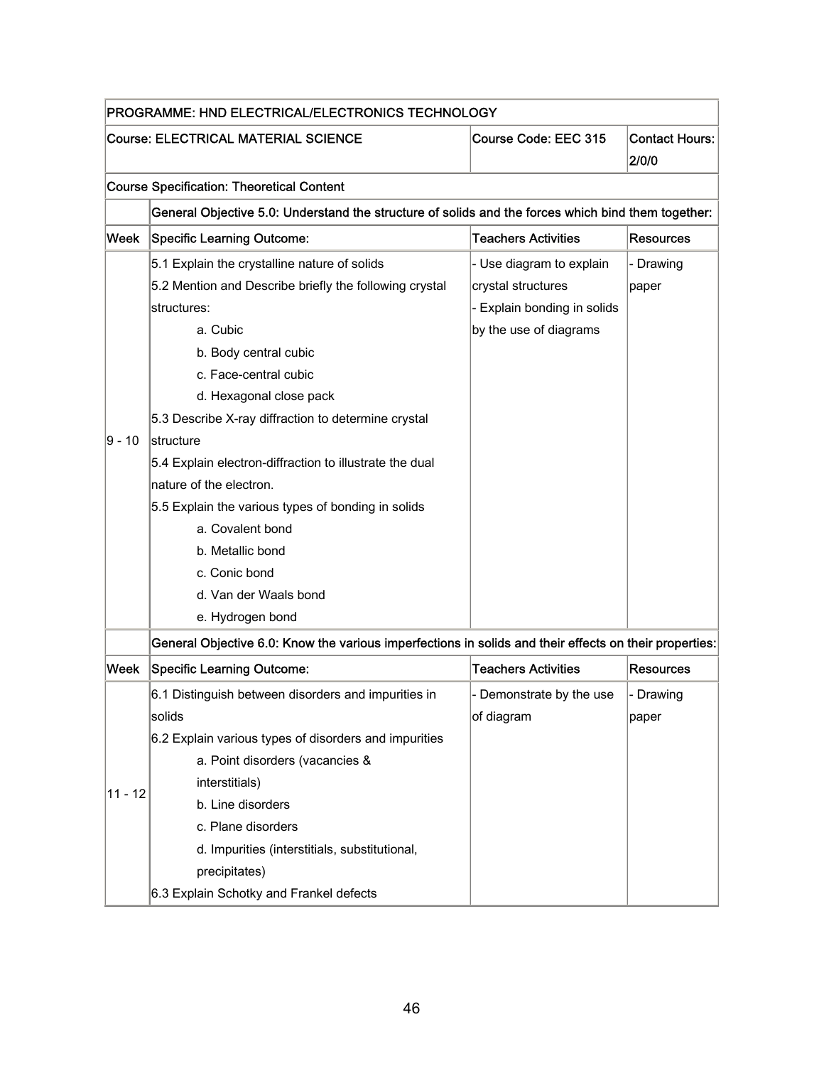| PROGRAMME: HND ELECTRICAL/ELECTRONICS TECHNOLOGY |                                                                                                        |                             |                                |  |
|--------------------------------------------------|--------------------------------------------------------------------------------------------------------|-----------------------------|--------------------------------|--|
|                                                  | <b>Course: ELECTRICAL MATERIAL SCIENCE</b>                                                             | Course Code: EEC 315        | <b>Contact Hours:</b><br>2/0/0 |  |
|                                                  | <b>Course Specification: Theoretical Content</b>                                                       |                             |                                |  |
|                                                  | General Objective 5.0: Understand the structure of solids and the forces which bind them together:     |                             |                                |  |
| Week                                             | <b>Specific Learning Outcome:</b>                                                                      | <b>Teachers Activities</b>  | <b>Resources</b>               |  |
|                                                  | 5.1 Explain the crystalline nature of solids                                                           | - Use diagram to explain    | - Drawing                      |  |
|                                                  | 5.2 Mention and Describe briefly the following crystal                                                 | crystal structures          | paper                          |  |
|                                                  | structures:                                                                                            | - Explain bonding in solids |                                |  |
|                                                  | a. Cubic                                                                                               | by the use of diagrams      |                                |  |
|                                                  | b. Body central cubic                                                                                  |                             |                                |  |
|                                                  | c. Face-central cubic                                                                                  |                             |                                |  |
|                                                  | d. Hexagonal close pack                                                                                |                             |                                |  |
|                                                  | 5.3 Describe X-ray diffraction to determine crystal                                                    |                             |                                |  |
| $9 - 10$                                         | lstructure                                                                                             |                             |                                |  |
|                                                  | 5.4 Explain electron-diffraction to illustrate the dual                                                |                             |                                |  |
|                                                  | nature of the electron.                                                                                |                             |                                |  |
|                                                  | 5.5 Explain the various types of bonding in solids                                                     |                             |                                |  |
|                                                  | a. Covalent bond                                                                                       |                             |                                |  |
|                                                  | b. Metallic bond                                                                                       |                             |                                |  |
|                                                  | c. Conic bond                                                                                          |                             |                                |  |
|                                                  | d. Van der Waals bond                                                                                  |                             |                                |  |
|                                                  | e. Hydrogen bond                                                                                       |                             |                                |  |
|                                                  | General Objective 6.0: Know the various imperfections in solids and their effects on their properties: |                             |                                |  |
| Week                                             | <b>Specific Learning Outcome:</b>                                                                      | <b>Teachers Activities</b>  | Resources                      |  |
|                                                  | 6.1 Distinguish between disorders and impurities in                                                    | - Demonstrate by the use    | - Drawing                      |  |
|                                                  | solids                                                                                                 | of diagram                  | paper                          |  |
|                                                  | 6.2 Explain various types of disorders and impurities                                                  |                             |                                |  |
|                                                  | a. Point disorders (vacancies &                                                                        |                             |                                |  |
|                                                  | interstitials)                                                                                         |                             |                                |  |
| $11 - 12$                                        | b. Line disorders                                                                                      |                             |                                |  |
|                                                  | c. Plane disorders                                                                                     |                             |                                |  |
|                                                  | d. Impurities (interstitials, substitutional,                                                          |                             |                                |  |
|                                                  | precipitates)                                                                                          |                             |                                |  |
|                                                  | 6.3 Explain Schotky and Frankel defects                                                                |                             |                                |  |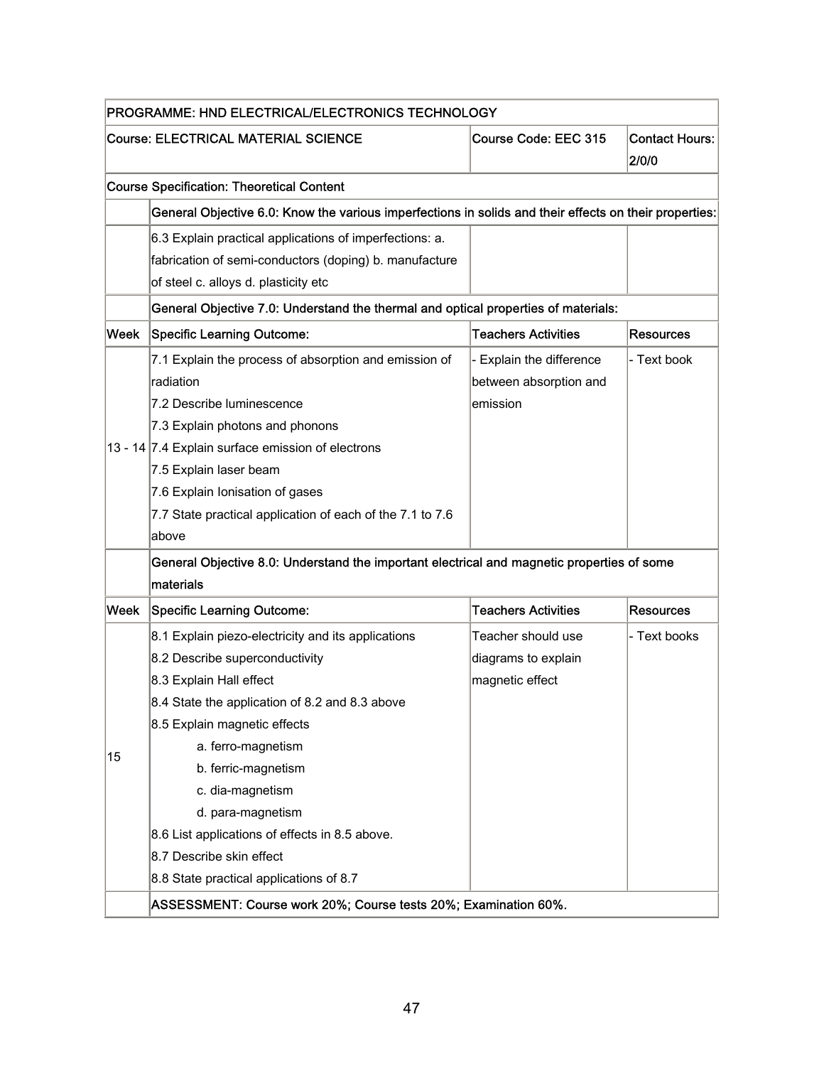|      | PROGRAMME: HND ELECTRICAL/ELECTRONICS TECHNOLOGY                                                       |                            |                                |  |
|------|--------------------------------------------------------------------------------------------------------|----------------------------|--------------------------------|--|
|      | <b>Course: ELECTRICAL MATERIAL SCIENCE</b>                                                             | Course Code: EEC 315       | <b>Contact Hours:</b><br>2/0/0 |  |
|      | <b>Course Specification: Theoretical Content</b>                                                       |                            |                                |  |
|      | General Objective 6.0: Know the various imperfections in solids and their effects on their properties: |                            |                                |  |
|      | 6.3 Explain practical applications of imperfections: a.                                                |                            |                                |  |
|      | fabrication of semi-conductors (doping) b. manufacture                                                 |                            |                                |  |
|      | of steel c. alloys d. plasticity etc                                                                   |                            |                                |  |
|      | General Objective 7.0: Understand the thermal and optical properties of materials:                     |                            |                                |  |
| Week | Specific Learning Outcome:                                                                             | <b>Teachers Activities</b> | <b>Resources</b>               |  |
|      | 7.1 Explain the process of absorption and emission of                                                  | - Explain the difference   | - Text book                    |  |
|      | radiation                                                                                              | between absorption and     |                                |  |
|      | 7.2 Describe luminescence                                                                              | emission                   |                                |  |
|      | 7.3 Explain photons and phonons                                                                        |                            |                                |  |
|      | 13 - 14 7.4 Explain surface emission of electrons                                                      |                            |                                |  |
|      | 7.5 Explain laser beam                                                                                 |                            |                                |  |
|      | 7.6 Explain Ionisation of gases                                                                        |                            |                                |  |
|      | 7.7 State practical application of each of the 7.1 to 7.6                                              |                            |                                |  |
|      | above                                                                                                  |                            |                                |  |
|      | General Objective 8.0: Understand the important electrical and magnetic properties of some             |                            |                                |  |
|      | materials                                                                                              |                            |                                |  |
| Week | Specific Learning Outcome:                                                                             | <b>Teachers Activities</b> | <b>Resources</b>               |  |
|      | 8.1 Explain piezo-electricity and its applications                                                     | Teacher should use         | - Text books                   |  |
|      | 8.2 Describe superconductivity                                                                         | diagrams to explain        |                                |  |
|      | 8.3 Explain Hall effect                                                                                | magnetic effect            |                                |  |
|      | 8.4 State the application of 8.2 and 8.3 above                                                         |                            |                                |  |
|      | 8.5 Explain magnetic effects                                                                           |                            |                                |  |
| 15   | a. ferro-magnetism                                                                                     |                            |                                |  |
|      | b. ferric-magnetism                                                                                    |                            |                                |  |
|      | c. dia-magnetism                                                                                       |                            |                                |  |
|      | d. para-magnetism                                                                                      |                            |                                |  |
|      | 8.6 List applications of effects in 8.5 above.                                                         |                            |                                |  |
|      | 8.7 Describe skin effect                                                                               |                            |                                |  |
|      | 8.8 State practical applications of 8.7                                                                |                            |                                |  |
|      | ASSESSMENT: Course work 20%; Course tests 20%; Examination 60%.                                        |                            |                                |  |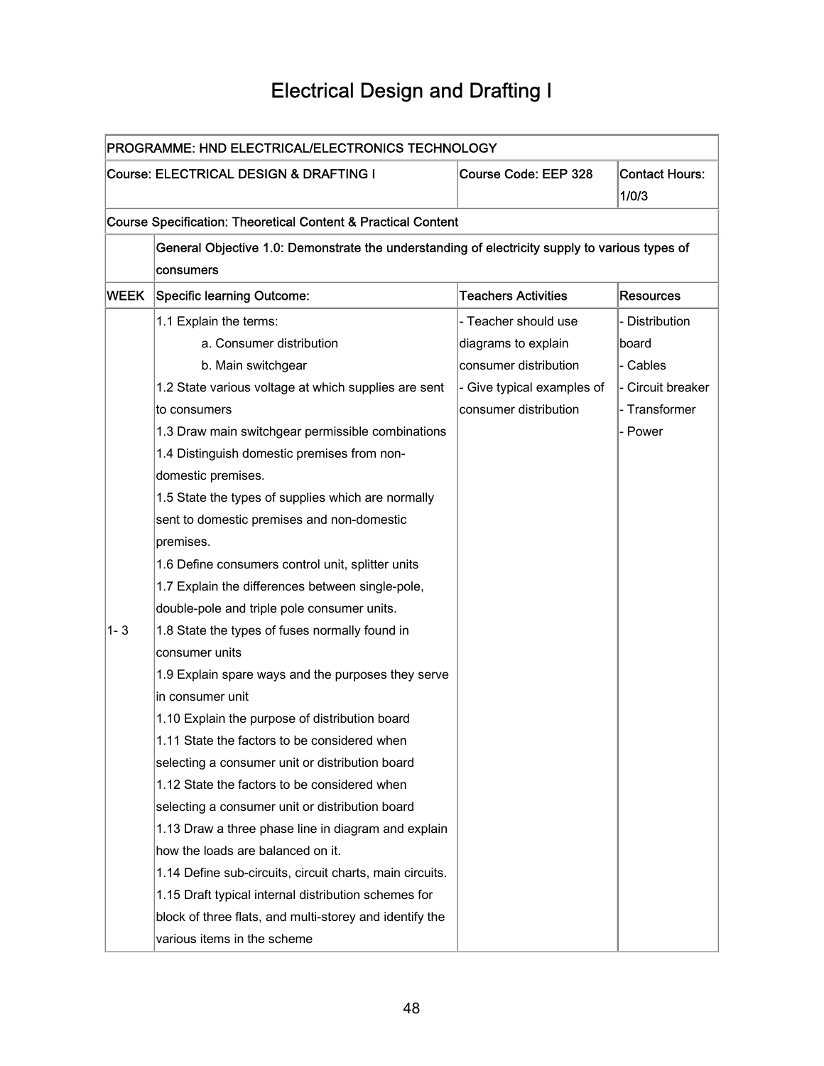## Electrical Design and Drafting I

| PROGRAMME: HND ELECTRICAL/ELECTRONICS TECHNOLOGY |                                                                                                |                            |                                |
|--------------------------------------------------|------------------------------------------------------------------------------------------------|----------------------------|--------------------------------|
|                                                  | Course: ELECTRICAL DESIGN & DRAFTING I                                                         | Course Code: EEP 328       | <b>Contact Hours:</b><br>1/0/3 |
|                                                  | <b>Course Specification: Theoretical Content &amp; Practical Content</b>                       |                            |                                |
|                                                  | General Objective 1.0: Demonstrate the understanding of electricity supply to various types of |                            |                                |
|                                                  | consumers                                                                                      |                            |                                |
| WEEK                                             | <b>Specific learning Outcome:</b>                                                              | <b>Teachers Activities</b> | <b>Resources</b>               |
|                                                  | 1.1 Explain the terms:                                                                         | - Teacher should use       | - Distribution                 |
|                                                  | a. Consumer distribution                                                                       | diagrams to explain        | board                          |
|                                                  | b. Main switchgear                                                                             | consumer distribution      | - Cables                       |
|                                                  | 1.2 State various voltage at which supplies are sent                                           | - Give typical examples of | - Circuit breaker              |
|                                                  | to consumers                                                                                   | consumer distribution      | - Transformer                  |
|                                                  | 1.3 Draw main switchgear permissible combinations                                              |                            | - Power                        |
|                                                  | 1.4 Distinguish domestic premises from non-                                                    |                            |                                |
|                                                  | domestic premises.                                                                             |                            |                                |
|                                                  | 1.5 State the types of supplies which are normally                                             |                            |                                |
|                                                  | sent to domestic premises and non-domestic                                                     |                            |                                |
|                                                  | premises.                                                                                      |                            |                                |
|                                                  | 1.6 Define consumers control unit, splitter units                                              |                            |                                |
|                                                  | 1.7 Explain the differences between single-pole,                                               |                            |                                |
|                                                  | double-pole and triple pole consumer units.                                                    |                            |                                |
| 1-3                                              | 1.8 State the types of fuses normally found in                                                 |                            |                                |
|                                                  | consumer units                                                                                 |                            |                                |
|                                                  | 1.9 Explain spare ways and the purposes they serve                                             |                            |                                |
|                                                  | in consumer unit                                                                               |                            |                                |
|                                                  | 1.10 Explain the purpose of distribution board                                                 |                            |                                |
|                                                  | 1.11 State the factors to be considered when                                                   |                            |                                |
|                                                  | selecting a consumer unit or distribution board                                                |                            |                                |
|                                                  | 1.12 State the factors to be considered when                                                   |                            |                                |
|                                                  | selecting a consumer unit or distribution board                                                |                            |                                |
|                                                  | 1.13 Draw a three phase line in diagram and explain                                            |                            |                                |
|                                                  | how the loads are balanced on it.                                                              |                            |                                |
|                                                  | 1.14 Define sub-circuits, circuit charts, main circuits.                                       |                            |                                |
|                                                  | 1.15 Draft typical internal distribution schemes for                                           |                            |                                |
|                                                  | block of three flats, and multi-storey and identify the                                        |                            |                                |
|                                                  | various items in the scheme                                                                    |                            |                                |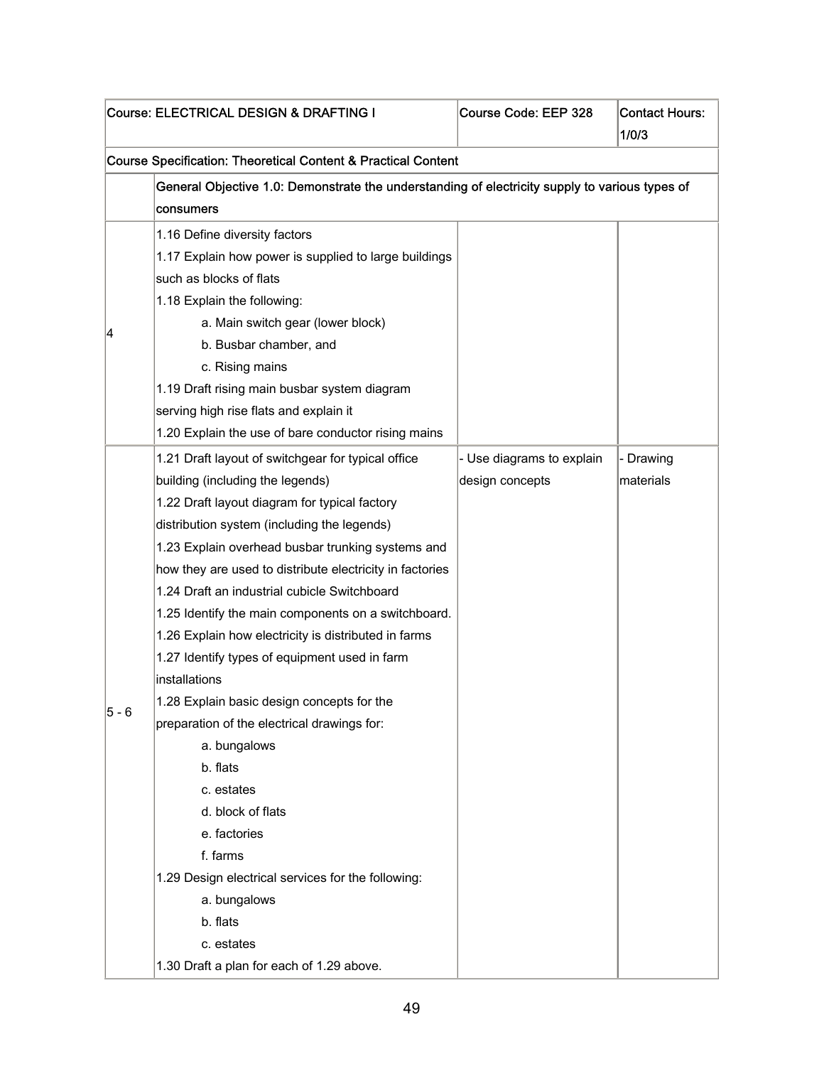|         | Course: ELECTRICAL DESIGN & DRAFTING I                                                                      | Course Code: EEP 328      | <b>Contact Hours:</b><br>1/0/3 |  |  |  |
|---------|-------------------------------------------------------------------------------------------------------------|---------------------------|--------------------------------|--|--|--|
|         | <b>Course Specification: Theoretical Content &amp; Practical Content</b>                                    |                           |                                |  |  |  |
|         | General Objective 1.0: Demonstrate the understanding of electricity supply to various types of<br>consumers |                           |                                |  |  |  |
|         | 1.16 Define diversity factors                                                                               |                           |                                |  |  |  |
|         | 1.17 Explain how power is supplied to large buildings                                                       |                           |                                |  |  |  |
|         | such as blocks of flats                                                                                     |                           |                                |  |  |  |
|         | 1.18 Explain the following:                                                                                 |                           |                                |  |  |  |
|         | a. Main switch gear (lower block)                                                                           |                           |                                |  |  |  |
| 4       | b. Busbar chamber, and                                                                                      |                           |                                |  |  |  |
|         | c. Rising mains                                                                                             |                           |                                |  |  |  |
|         | 1.19 Draft rising main busbar system diagram                                                                |                           |                                |  |  |  |
|         | serving high rise flats and explain it                                                                      |                           |                                |  |  |  |
|         | 1.20 Explain the use of bare conductor rising mains                                                         |                           |                                |  |  |  |
|         | 1.21 Draft layout of switchgear for typical office                                                          | - Use diagrams to explain | - Drawing                      |  |  |  |
|         | building (including the legends)                                                                            | design concepts           | materials                      |  |  |  |
|         | 1.22 Draft layout diagram for typical factory                                                               |                           |                                |  |  |  |
|         | distribution system (including the legends)                                                                 |                           |                                |  |  |  |
|         | 1.23 Explain overhead busbar trunking systems and                                                           |                           |                                |  |  |  |
|         | how they are used to distribute electricity in factories                                                    |                           |                                |  |  |  |
|         | 1.24 Draft an industrial cubicle Switchboard                                                                |                           |                                |  |  |  |
|         | 1.25 Identify the main components on a switchboard.                                                         |                           |                                |  |  |  |
|         | 1.26 Explain how electricity is distributed in farms                                                        |                           |                                |  |  |  |
|         | 1.27 Identify types of equipment used in farm                                                               |                           |                                |  |  |  |
|         | installations                                                                                               |                           |                                |  |  |  |
|         | 1.28 Explain basic design concepts for the                                                                  |                           |                                |  |  |  |
| $5 - 6$ | preparation of the electrical drawings for:                                                                 |                           |                                |  |  |  |
|         | a. bungalows                                                                                                |                           |                                |  |  |  |
|         | b. flats                                                                                                    |                           |                                |  |  |  |
|         | c. estates                                                                                                  |                           |                                |  |  |  |
|         | d. block of flats                                                                                           |                           |                                |  |  |  |
|         | e. factories                                                                                                |                           |                                |  |  |  |
|         | f. farms                                                                                                    |                           |                                |  |  |  |
|         | 1.29 Design electrical services for the following:                                                          |                           |                                |  |  |  |
|         | a. bungalows                                                                                                |                           |                                |  |  |  |
|         | b. flats                                                                                                    |                           |                                |  |  |  |
|         | c. estates                                                                                                  |                           |                                |  |  |  |
|         | 1.30 Draft a plan for each of 1.29 above.                                                                   |                           |                                |  |  |  |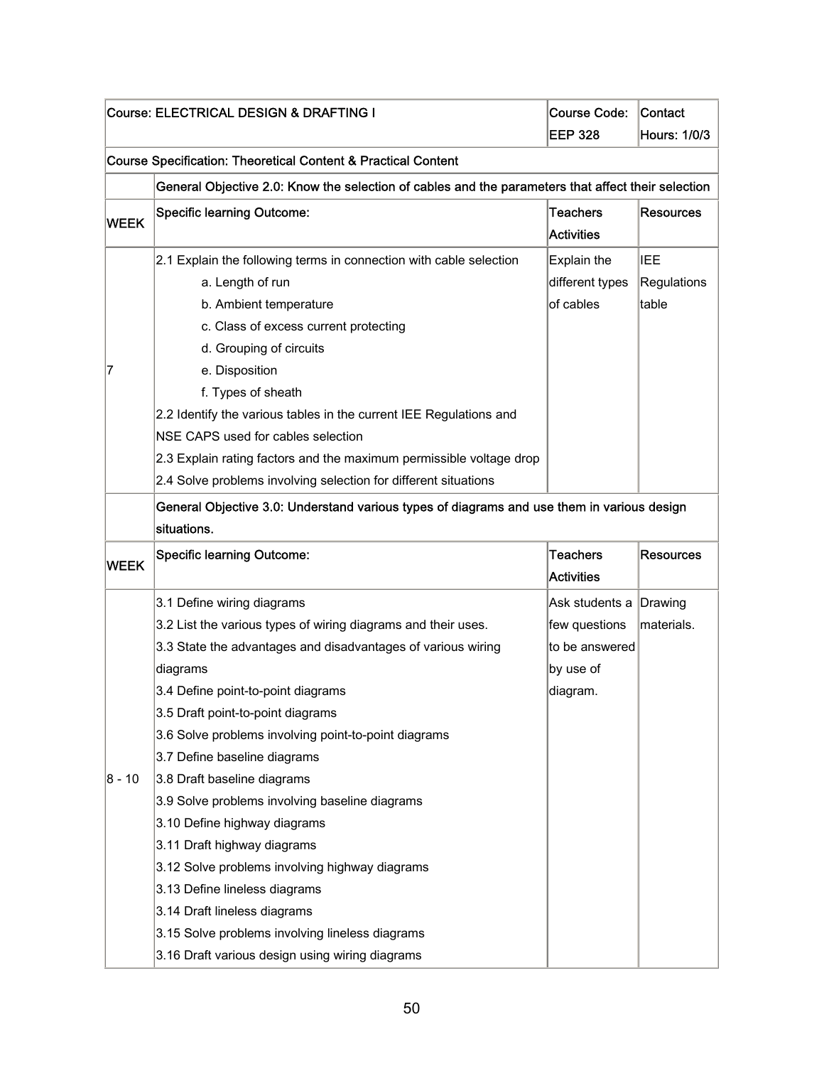| Course: ELECTRICAL DESIGN & DRAFTING I |                                                                                                    | <b>Course Code:</b> | Contact             |  |
|----------------------------------------|----------------------------------------------------------------------------------------------------|---------------------|---------------------|--|
|                                        |                                                                                                    | <b>EEP 328</b>      | <b>Hours: 1/0/3</b> |  |
|                                        | Course Specification: Theoretical Content & Practical Content                                      |                     |                     |  |
|                                        | General Objective 2.0: Know the selection of cables and the parameters that affect their selection |                     |                     |  |
| <b>WEEK</b>                            | <b>Specific learning Outcome:</b>                                                                  | <b>Teachers</b>     | <b>Resources</b>    |  |
|                                        |                                                                                                    | <b>Activities</b>   |                     |  |
|                                        | 2.1 Explain the following terms in connection with cable selection                                 | Explain the         | IEE                 |  |
|                                        | a. Length of run                                                                                   | different types     | Regulations         |  |
|                                        | b. Ambient temperature                                                                             | of cables           | table               |  |
|                                        | c. Class of excess current protecting                                                              |                     |                     |  |
|                                        | d. Grouping of circuits                                                                            |                     |                     |  |
| 7                                      | e. Disposition                                                                                     |                     |                     |  |
|                                        | f. Types of sheath                                                                                 |                     |                     |  |
|                                        | 2.2 Identify the various tables in the current IEE Regulations and                                 |                     |                     |  |
|                                        | NSE CAPS used for cables selection                                                                 |                     |                     |  |
|                                        | 2.3 Explain rating factors and the maximum permissible voltage drop                                |                     |                     |  |
|                                        | 2.4 Solve problems involving selection for different situations                                    |                     |                     |  |
|                                        | General Objective 3.0: Understand various types of diagrams and use them in various design         |                     |                     |  |
|                                        | situations.                                                                                        |                     |                     |  |
|                                        | <b>Specific learning Outcome:</b>                                                                  | <b>Teachers</b>     | <b>Resources</b>    |  |
| <b>WEEK</b>                            |                                                                                                    | Activities          |                     |  |
|                                        | 3.1 Define wiring diagrams                                                                         | Ask students a      | Drawing             |  |
|                                        | 3.2 List the various types of wiring diagrams and their uses.                                      | few questions       | materials.          |  |
|                                        | 3.3 State the advantages and disadvantages of various wiring                                       | to be answered      |                     |  |
|                                        | diagrams                                                                                           | by use of           |                     |  |
|                                        | 3.4 Define point-to-point diagrams                                                                 | diagram.            |                     |  |
|                                        | 3.5 Draft point-to-point diagrams                                                                  |                     |                     |  |
|                                        | 3.6 Solve problems involving point-to-point diagrams                                               |                     |                     |  |
|                                        | 3.7 Define baseline diagrams                                                                       |                     |                     |  |
| 8 - 10                                 | 3.8 Draft baseline diagrams                                                                        |                     |                     |  |
|                                        | 3.9 Solve problems involving baseline diagrams                                                     |                     |                     |  |
|                                        | 3.10 Define highway diagrams                                                                       |                     |                     |  |
|                                        | 3.11 Draft highway diagrams                                                                        |                     |                     |  |
|                                        | 3.12 Solve problems involving highway diagrams                                                     |                     |                     |  |
|                                        | 3.13 Define lineless diagrams                                                                      |                     |                     |  |
|                                        | 3.14 Draft lineless diagrams                                                                       |                     |                     |  |
|                                        | 3.15 Solve problems involving lineless diagrams                                                    |                     |                     |  |
|                                        | 3.16 Draft various design using wiring diagrams                                                    |                     |                     |  |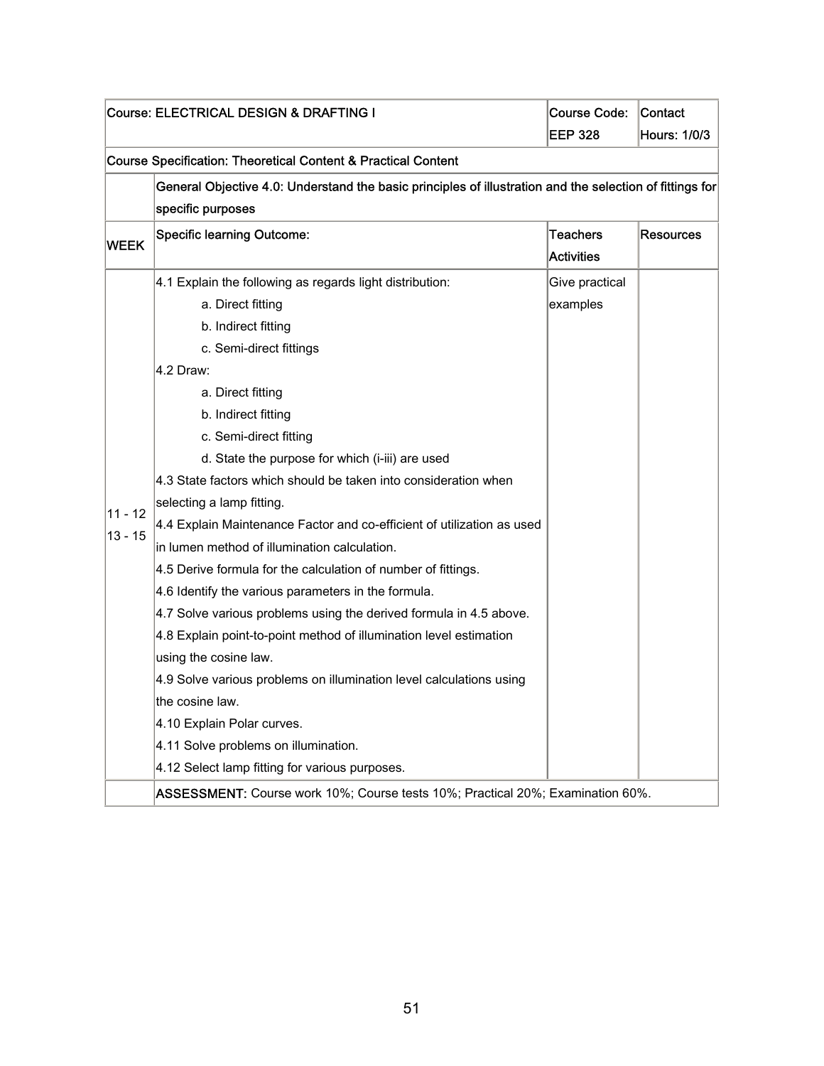| Course: ELECTRICAL DESIGN & DRAFTING I |                                                                                                          | Course Code:      | <b>Contact</b>      |  |  |
|----------------------------------------|----------------------------------------------------------------------------------------------------------|-------------------|---------------------|--|--|
|                                        |                                                                                                          | <b>EEP 328</b>    | <b>Hours: 1/0/3</b> |  |  |
|                                        | <b>Course Specification: Theoretical Content &amp; Practical Content</b>                                 |                   |                     |  |  |
|                                        | General Objective 4.0: Understand the basic principles of illustration and the selection of fittings for |                   |                     |  |  |
|                                        | specific purposes                                                                                        |                   |                     |  |  |
| <b>WEEK</b>                            | <b>Specific learning Outcome:</b>                                                                        | <b>Teachers</b>   | <b>Resources</b>    |  |  |
|                                        |                                                                                                          | <b>Activities</b> |                     |  |  |
|                                        | 4.1 Explain the following as regards light distribution:                                                 | Give practical    |                     |  |  |
|                                        | a. Direct fitting                                                                                        | examples          |                     |  |  |
|                                        | b. Indirect fitting                                                                                      |                   |                     |  |  |
|                                        | c. Semi-direct fittings                                                                                  |                   |                     |  |  |
|                                        | 4.2 Draw:                                                                                                |                   |                     |  |  |
|                                        | a. Direct fitting                                                                                        |                   |                     |  |  |
|                                        | b. Indirect fitting                                                                                      |                   |                     |  |  |
|                                        | c. Semi-direct fitting                                                                                   |                   |                     |  |  |
|                                        | d. State the purpose for which (i-iii) are used                                                          |                   |                     |  |  |
|                                        | 4.3 State factors which should be taken into consideration when                                          |                   |                     |  |  |
| 11 - 12                                | selecting a lamp fitting.                                                                                |                   |                     |  |  |
| $13 - 15$                              | 4.4 Explain Maintenance Factor and co-efficient of utilization as used                                   |                   |                     |  |  |
|                                        | in lumen method of illumination calculation.                                                             |                   |                     |  |  |
|                                        | 4.5 Derive formula for the calculation of number of fittings.                                            |                   |                     |  |  |
|                                        | 4.6 Identify the various parameters in the formula.                                                      |                   |                     |  |  |
|                                        | 4.7 Solve various problems using the derived formula in 4.5 above.                                       |                   |                     |  |  |
|                                        | 4.8 Explain point-to-point method of illumination level estimation                                       |                   |                     |  |  |
|                                        | using the cosine law.                                                                                    |                   |                     |  |  |
|                                        | 4.9 Solve various problems on illumination level calculations using                                      |                   |                     |  |  |
|                                        | the cosine law.                                                                                          |                   |                     |  |  |
|                                        | 4.10 Explain Polar curves.                                                                               |                   |                     |  |  |
|                                        | 4.11 Solve problems on illumination.                                                                     |                   |                     |  |  |
|                                        | 4.12 Select lamp fitting for various purposes.                                                           |                   |                     |  |  |
|                                        | ASSESSMENT: Course work 10%; Course tests 10%; Practical 20%; Examination 60%.                           |                   |                     |  |  |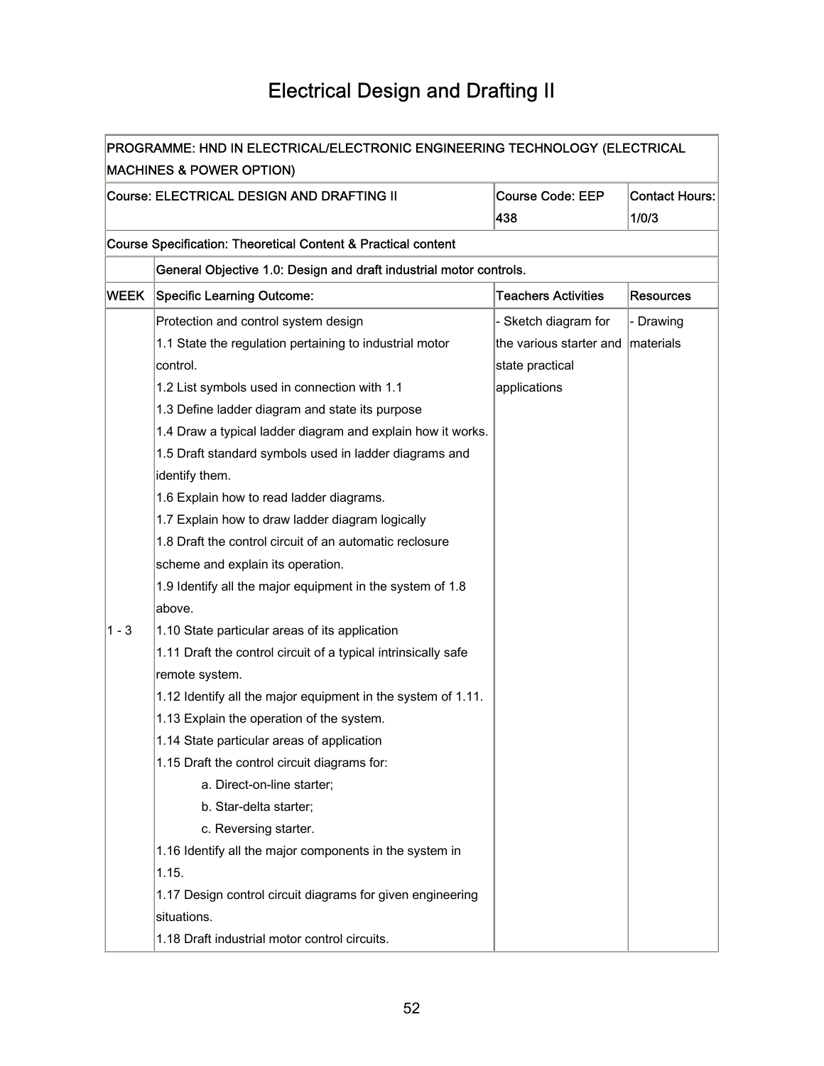## Electrical Design and Drafting II

| PROGRAMME: HND IN ELECTRICAL/ELECTRONIC ENGINEERING TECHNOLOGY (ELECTRICAL |                                                                          |                            |                       |  |
|----------------------------------------------------------------------------|--------------------------------------------------------------------------|----------------------------|-----------------------|--|
| <b>MACHINES &amp; POWER OPTION)</b>                                        |                                                                          |                            |                       |  |
|                                                                            | Course: ELECTRICAL DESIGN AND DRAFTING II                                | <b>Course Code: EEP</b>    | <b>Contact Hours:</b> |  |
|                                                                            |                                                                          | 438                        | 1/0/3                 |  |
|                                                                            | <b>Course Specification: Theoretical Content &amp; Practical content</b> |                            |                       |  |
|                                                                            | General Objective 1.0: Design and draft industrial motor controls.       |                            |                       |  |
| <b>WEEK</b>                                                                | <b>Specific Learning Outcome:</b>                                        | <b>Teachers Activities</b> | Resources             |  |
|                                                                            | Protection and control system design                                     | - Sketch diagram for       | - Drawing             |  |
|                                                                            | 1.1 State the regulation pertaining to industrial motor                  | the various starter and    | <b>Imaterials</b>     |  |
|                                                                            | control.                                                                 | state practical            |                       |  |
|                                                                            | 1.2 List symbols used in connection with 1.1                             | applications               |                       |  |
|                                                                            | 1.3 Define ladder diagram and state its purpose                          |                            |                       |  |
|                                                                            | 1.4 Draw a typical ladder diagram and explain how it works.              |                            |                       |  |
|                                                                            | 1.5 Draft standard symbols used in ladder diagrams and                   |                            |                       |  |
|                                                                            | identify them.                                                           |                            |                       |  |
|                                                                            | 1.6 Explain how to read ladder diagrams.                                 |                            |                       |  |
|                                                                            | 1.7 Explain how to draw ladder diagram logically                         |                            |                       |  |
|                                                                            | 1.8 Draft the control circuit of an automatic reclosure                  |                            |                       |  |
|                                                                            | scheme and explain its operation.                                        |                            |                       |  |
|                                                                            | 1.9 Identify all the major equipment in the system of 1.8                |                            |                       |  |
|                                                                            | above.                                                                   |                            |                       |  |
| $1 - 3$                                                                    | 1.10 State particular areas of its application                           |                            |                       |  |
|                                                                            | 1.11 Draft the control circuit of a typical intrinsically safe           |                            |                       |  |
|                                                                            | remote system.                                                           |                            |                       |  |
|                                                                            | 1.12 Identify all the major equipment in the system of 1.11.             |                            |                       |  |
|                                                                            | 1.13 Explain the operation of the system.                                |                            |                       |  |
|                                                                            | 1.14 State particular areas of application                               |                            |                       |  |
|                                                                            | 1.15 Draft the control circuit diagrams for:                             |                            |                       |  |
|                                                                            | a. Direct-on-line starter;                                               |                            |                       |  |
|                                                                            | b. Star-delta starter;                                                   |                            |                       |  |
|                                                                            | c. Reversing starter.                                                    |                            |                       |  |
|                                                                            | 1.16 Identify all the major components in the system in                  |                            |                       |  |
|                                                                            | 1.15.                                                                    |                            |                       |  |
|                                                                            | 1.17 Design control circuit diagrams for given engineering               |                            |                       |  |
|                                                                            | situations.                                                              |                            |                       |  |
|                                                                            | 1.18 Draft industrial motor control circuits.                            |                            |                       |  |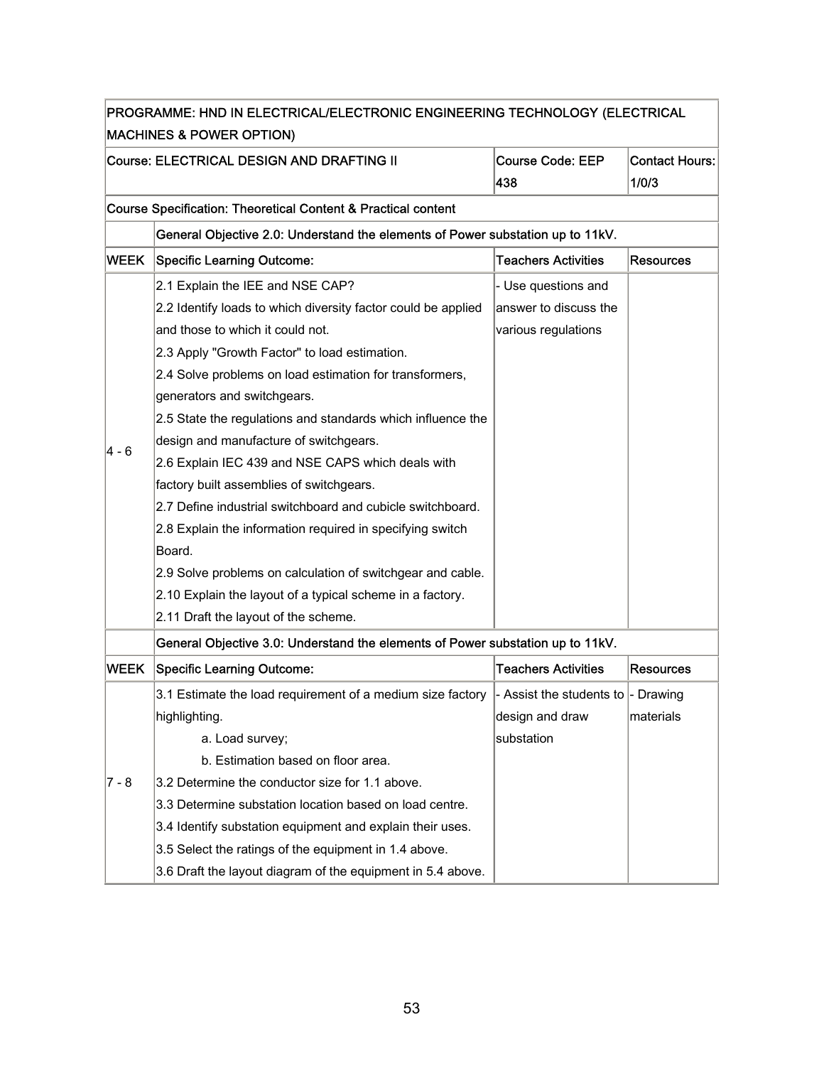| PROGRAMME: HND IN ELECTRICAL/ELECTRONIC ENGINEERING TECHNOLOGY (ELECTRICAL |                                                                                                 |                            |                  |  |
|----------------------------------------------------------------------------|-------------------------------------------------------------------------------------------------|----------------------------|------------------|--|
|                                                                            | <b>MACHINES &amp; POWER OPTION)</b>                                                             |                            |                  |  |
|                                                                            | Course: ELECTRICAL DESIGN AND DRAFTING II                                                       | <b>Course Code: EEP</b>    | Contact Hours:   |  |
|                                                                            |                                                                                                 | 438                        | 1/0/3            |  |
|                                                                            | Course Specification: Theoretical Content & Practical content                                   |                            |                  |  |
|                                                                            | General Objective 2.0: Understand the elements of Power substation up to 11kV.                  |                            |                  |  |
| <b>WEEK</b>                                                                | <b>Specific Learning Outcome:</b>                                                               | <b>Teachers Activities</b> | Resources        |  |
|                                                                            | 2.1 Explain the IEE and NSE CAP?                                                                | - Use questions and        |                  |  |
|                                                                            | 2.2 Identify loads to which diversity factor could be applied                                   | answer to discuss the      |                  |  |
|                                                                            | and those to which it could not.                                                                | various regulations        |                  |  |
|                                                                            | 2.3 Apply "Growth Factor" to load estimation.                                                   |                            |                  |  |
|                                                                            | 2.4 Solve problems on load estimation for transformers,                                         |                            |                  |  |
|                                                                            | generators and switchgears.                                                                     |                            |                  |  |
|                                                                            | 2.5 State the regulations and standards which influence the                                     |                            |                  |  |
|                                                                            | design and manufacture of switchgears.                                                          |                            |                  |  |
| 4 - 6                                                                      | 2.6 Explain IEC 439 and NSE CAPS which deals with                                               |                            |                  |  |
|                                                                            | factory built assemblies of switchgears.                                                        |                            |                  |  |
|                                                                            | 2.7 Define industrial switchboard and cubicle switchboard.                                      |                            |                  |  |
|                                                                            | 2.8 Explain the information required in specifying switch                                       |                            |                  |  |
|                                                                            | Board.                                                                                          |                            |                  |  |
|                                                                            | 2.9 Solve problems on calculation of switchgear and cable.                                      |                            |                  |  |
|                                                                            | 2.10 Explain the layout of a typical scheme in a factory.                                       |                            |                  |  |
|                                                                            | 2.11 Draft the layout of the scheme.                                                            |                            |                  |  |
|                                                                            | General Objective 3.0: Understand the elements of Power substation up to 11kV.                  |                            |                  |  |
| WEEK                                                                       | <b>Specific Learning Outcome:</b>                                                               | <b>Teachers Activities</b> | <b>Resources</b> |  |
|                                                                            | 3.1 Estimate the load requirement of a medium size factory  - Assist the students to  - Drawing |                            |                  |  |
|                                                                            | highlighting.                                                                                   | design and draw            | materials        |  |
|                                                                            | a. Load survey;                                                                                 | substation                 |                  |  |
|                                                                            | b. Estimation based on floor area.                                                              |                            |                  |  |
| 7 - 8                                                                      | 3.2 Determine the conductor size for 1.1 above.                                                 |                            |                  |  |
|                                                                            | 3.3 Determine substation location based on load centre.                                         |                            |                  |  |
|                                                                            | 3.4 Identify substation equipment and explain their uses.                                       |                            |                  |  |
|                                                                            | 3.5 Select the ratings of the equipment in 1.4 above.                                           |                            |                  |  |
|                                                                            | 3.6 Draft the layout diagram of the equipment in 5.4 above.                                     |                            |                  |  |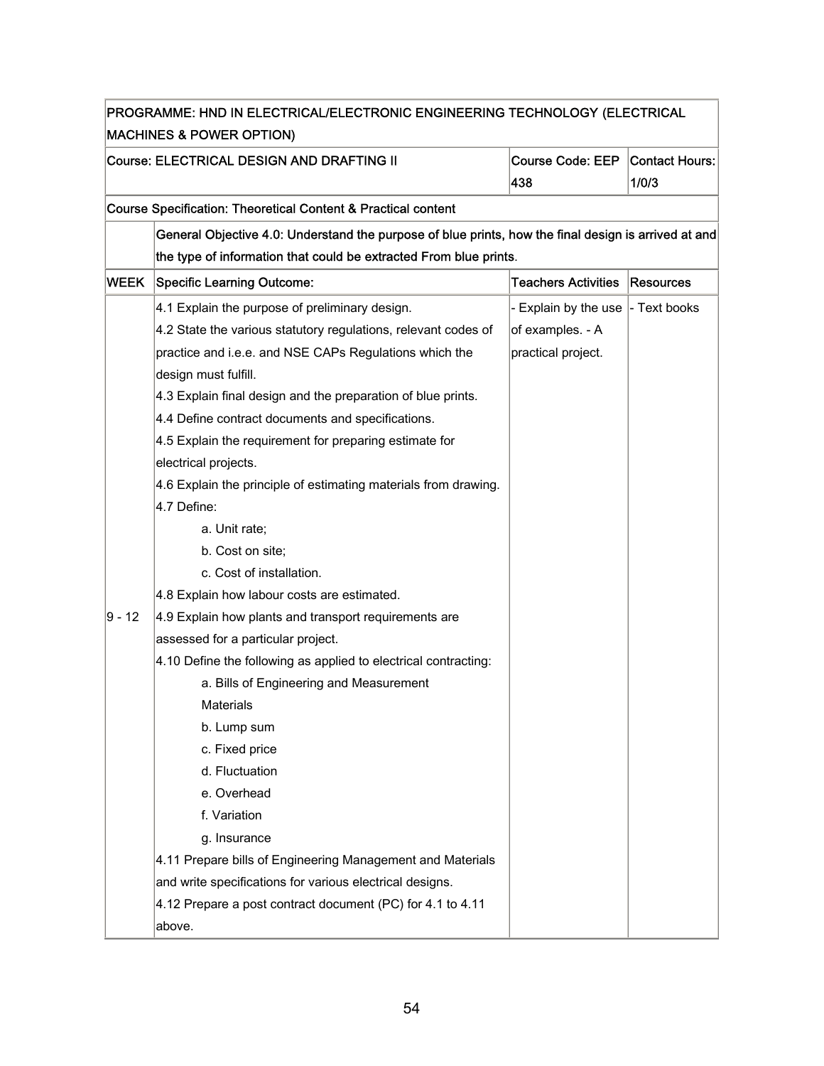| PROGRAMME: HND IN ELECTRICAL/ELECTRONIC ENGINEERING TECHNOLOGY (ELECTRICAL |                                                                                                                                               |                            |              |
|----------------------------------------------------------------------------|-----------------------------------------------------------------------------------------------------------------------------------------------|----------------------------|--------------|
|                                                                            | <b>MACHINES &amp; POWER OPTION)</b><br>Course: ELECTRICAL DESIGN AND DRAFTING II<br><b>Course Code: EEP</b><br>Contact Hours:<br>438<br>1/0/3 |                            |              |
|                                                                            | Course Specification: Theoretical Content & Practical content                                                                                 |                            |              |
|                                                                            | General Objective 4.0: Understand the purpose of blue prints, how the final design is arrived at and                                          |                            |              |
|                                                                            | the type of information that could be extracted From blue prints.                                                                             |                            |              |
| <b>WEEK</b>                                                                | <b>Specific Learning Outcome:</b>                                                                                                             | <b>Teachers Activities</b> | Resources    |
|                                                                            | 4.1 Explain the purpose of preliminary design.                                                                                                | - Explain by the use       | - Text books |
|                                                                            | 4.2 State the various statutory regulations, relevant codes of                                                                                | of examples. - A           |              |
|                                                                            | practice and i.e.e. and NSE CAPs Regulations which the                                                                                        | practical project.         |              |
|                                                                            | design must fulfill.                                                                                                                          |                            |              |
|                                                                            | 4.3 Explain final design and the preparation of blue prints.                                                                                  |                            |              |
|                                                                            | 4.4 Define contract documents and specifications.                                                                                             |                            |              |
|                                                                            | 4.5 Explain the requirement for preparing estimate for                                                                                        |                            |              |
|                                                                            | electrical projects.                                                                                                                          |                            |              |
|                                                                            | 4.6 Explain the principle of estimating materials from drawing.                                                                               |                            |              |
|                                                                            | 4.7 Define:                                                                                                                                   |                            |              |
|                                                                            | a. Unit rate;                                                                                                                                 |                            |              |
|                                                                            | b. Cost on site;                                                                                                                              |                            |              |
|                                                                            | c. Cost of installation.                                                                                                                      |                            |              |
|                                                                            | 4.8 Explain how labour costs are estimated.                                                                                                   |                            |              |
| 9 - 12                                                                     | 4.9 Explain how plants and transport requirements are                                                                                         |                            |              |
|                                                                            | assessed for a particular project.                                                                                                            |                            |              |
|                                                                            | 4.10 Define the following as applied to electrical contracting:                                                                               |                            |              |
|                                                                            | a. Bills of Engineering and Measurement                                                                                                       |                            |              |
|                                                                            | Materials                                                                                                                                     |                            |              |
|                                                                            | b. Lump sum                                                                                                                                   |                            |              |
|                                                                            | c. Fixed price                                                                                                                                |                            |              |
|                                                                            | d. Fluctuation                                                                                                                                |                            |              |
|                                                                            | e. Overhead                                                                                                                                   |                            |              |
|                                                                            | f. Variation                                                                                                                                  |                            |              |
|                                                                            | g. Insurance                                                                                                                                  |                            |              |
|                                                                            | 4.11 Prepare bills of Engineering Management and Materials                                                                                    |                            |              |
|                                                                            | and write specifications for various electrical designs.                                                                                      |                            |              |
|                                                                            | 4.12 Prepare a post contract document (PC) for 4.1 to 4.11                                                                                    |                            |              |
|                                                                            | above.                                                                                                                                        |                            |              |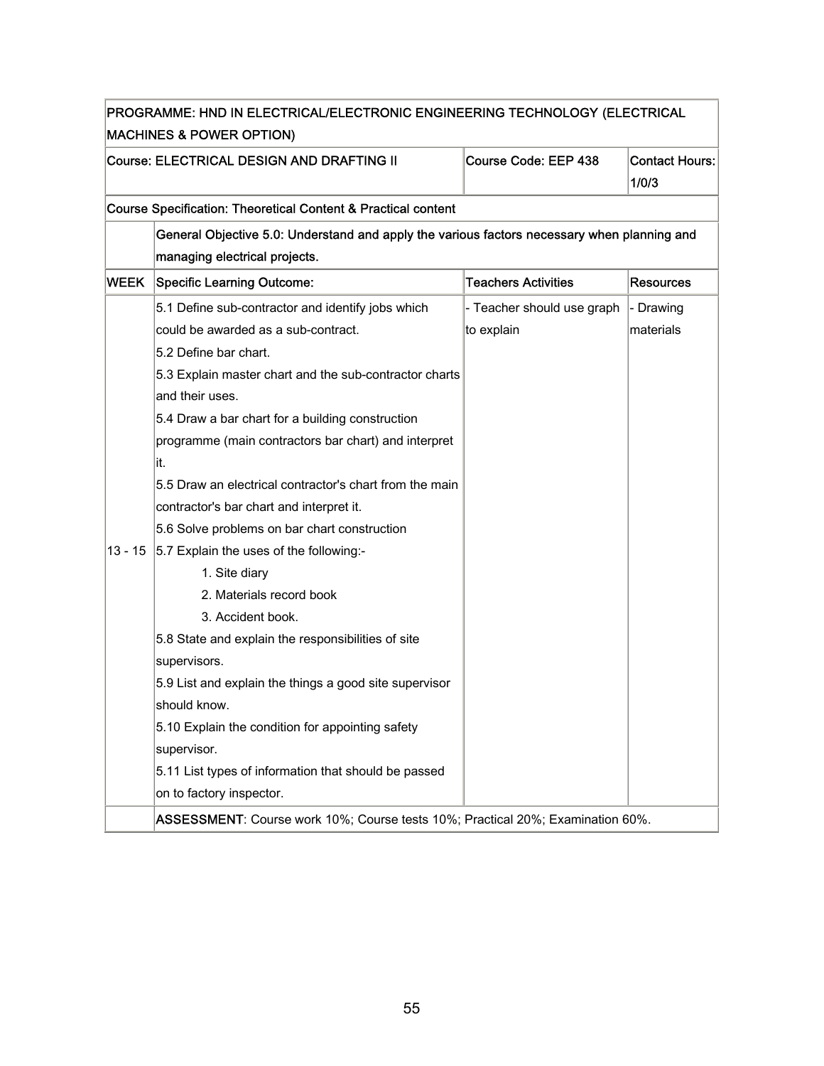| PROGRAMME: HND IN ELECTRICAL/ELECTRONIC ENGINEERING TECHNOLOGY (ELECTRICAL |                                                                                             |                            |                                |
|----------------------------------------------------------------------------|---------------------------------------------------------------------------------------------|----------------------------|--------------------------------|
|                                                                            | <b>MACHINES &amp; POWER OPTION)</b>                                                         |                            |                                |
|                                                                            | Course: ELECTRICAL DESIGN AND DRAFTING II                                                   | Course Code: EEP 438       | <b>Contact Hours:</b><br>1/0/3 |
|                                                                            | <b>Course Specification: Theoretical Content &amp; Practical content</b>                    |                            |                                |
|                                                                            | General Objective 5.0: Understand and apply the various factors necessary when planning and |                            |                                |
|                                                                            | managing electrical projects.                                                               |                            |                                |
| <b>WEEK</b>                                                                | <b>Specific Learning Outcome:</b>                                                           | <b>Teachers Activities</b> | Resources                      |
|                                                                            | 5.1 Define sub-contractor and identify jobs which                                           | - Teacher should use graph | - Drawing                      |
|                                                                            | could be awarded as a sub-contract.                                                         | to explain                 | lmaterials                     |
|                                                                            | 5.2 Define bar chart.                                                                       |                            |                                |
|                                                                            | 5.3 Explain master chart and the sub-contractor charts                                      |                            |                                |
|                                                                            | and their uses.                                                                             |                            |                                |
|                                                                            | 5.4 Draw a bar chart for a building construction                                            |                            |                                |
|                                                                            | programme (main contractors bar chart) and interpret                                        |                            |                                |
|                                                                            | it.                                                                                         |                            |                                |
|                                                                            | 5.5 Draw an electrical contractor's chart from the main                                     |                            |                                |
|                                                                            | contractor's bar chart and interpret it.                                                    |                            |                                |
|                                                                            | 5.6 Solve problems on bar chart construction                                                |                            |                                |
| $13 - 15$                                                                  | 5.7 Explain the uses of the following:-                                                     |                            |                                |
|                                                                            | 1. Site diary                                                                               |                            |                                |
|                                                                            | 2. Materials record book                                                                    |                            |                                |
|                                                                            | 3. Accident book.                                                                           |                            |                                |
|                                                                            | 5.8 State and explain the responsibilities of site                                          |                            |                                |
|                                                                            | supervisors.                                                                                |                            |                                |
|                                                                            | 5.9 List and explain the things a good site supervisor                                      |                            |                                |
|                                                                            | should know.                                                                                |                            |                                |
|                                                                            | 5.10 Explain the condition for appointing safety                                            |                            |                                |
|                                                                            | supervisor.                                                                                 |                            |                                |
|                                                                            | 5.11 List types of information that should be passed                                        |                            |                                |
|                                                                            | on to factory inspector.                                                                    |                            |                                |
|                                                                            | ASSESSMENT: Course work 10%; Course tests 10%; Practical 20%; Examination 60%.              |                            |                                |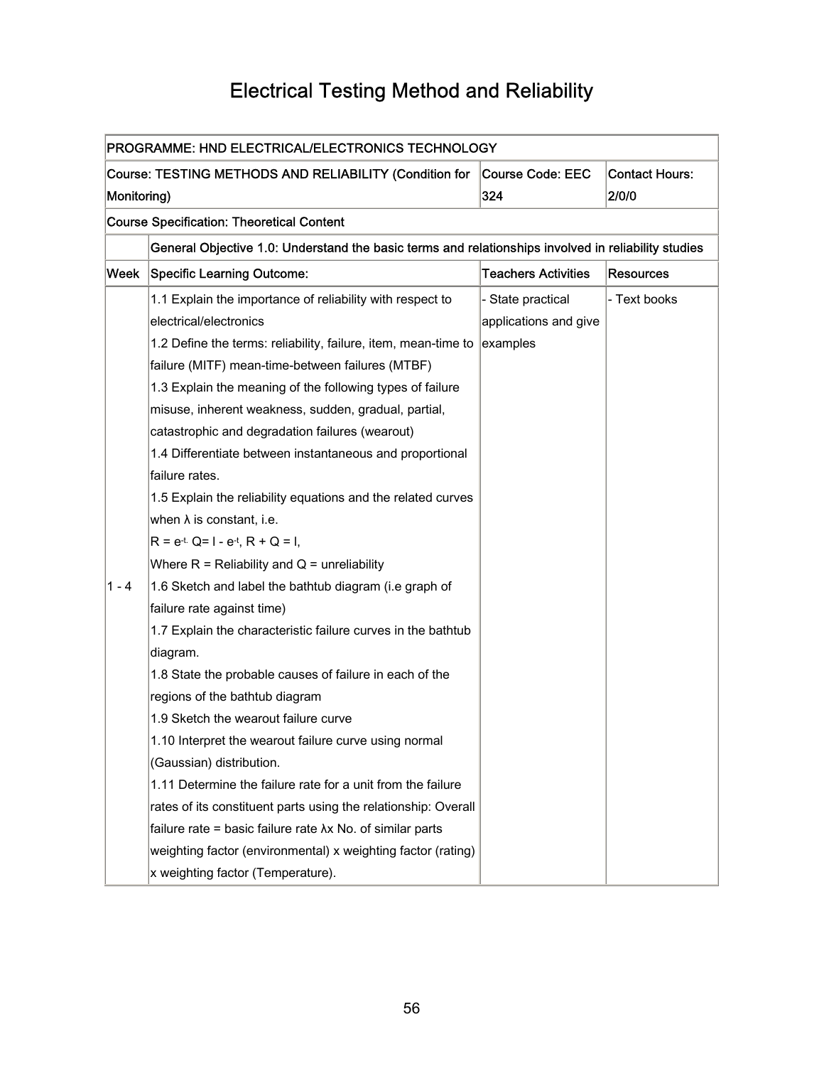## Electrical Testing Method and Reliability

| PROGRAMME: HND ELECTRICAL/ELECTRONICS TECHNOLOGY |                                                                                                     |                            |                       |
|--------------------------------------------------|-----------------------------------------------------------------------------------------------------|----------------------------|-----------------------|
|                                                  | Course: TESTING METHODS AND RELIABILITY (Condition for                                              | Course Code: EEC           | <b>Contact Hours:</b> |
| Monitoring)                                      |                                                                                                     | 324                        | 2/0/0                 |
|                                                  | <b>Course Specification: Theoretical Content</b>                                                    |                            |                       |
|                                                  | General Objective 1.0: Understand the basic terms and relationships involved in reliability studies |                            |                       |
| Week                                             | <b>Specific Learning Outcome:</b>                                                                   | <b>Teachers Activities</b> | <b>Resources</b>      |
|                                                  | 1.1 Explain the importance of reliability with respect to                                           | State practical            | - Text books          |
|                                                  | electrical/electronics                                                                              | applications and give      |                       |
|                                                  | 1.2 Define the terms: reliability, failure, item, mean-time to                                      | examples                   |                       |
|                                                  | failure (MITF) mean-time-between failures (MTBF)                                                    |                            |                       |
|                                                  | 1.3 Explain the meaning of the following types of failure                                           |                            |                       |
|                                                  | misuse, inherent weakness, sudden, gradual, partial,                                                |                            |                       |
|                                                  | catastrophic and degradation failures (wearout)                                                     |                            |                       |
|                                                  | 1.4 Differentiate between instantaneous and proportional                                            |                            |                       |
|                                                  | failure rates.                                                                                      |                            |                       |
|                                                  | 1.5 Explain the reliability equations and the related curves                                        |                            |                       |
|                                                  | when $\lambda$ is constant, i.e.                                                                    |                            |                       |
|                                                  | $R = e^{-t} Q = 1 - e^{-t}$ , $R + Q = 1$ ,                                                         |                            |                       |
|                                                  | Where $R = Reliability$ and $Q =$ unreliability                                                     |                            |                       |
| $1 - 4$                                          | 1.6 Sketch and label the bathtub diagram (i.e graph of                                              |                            |                       |
|                                                  | failure rate against time)                                                                          |                            |                       |
|                                                  | 1.7 Explain the characteristic failure curves in the bathtub                                        |                            |                       |
|                                                  | diagram.                                                                                            |                            |                       |
|                                                  | 1.8 State the probable causes of failure in each of the                                             |                            |                       |
|                                                  | regions of the bathtub diagram                                                                      |                            |                       |
|                                                  | 1.9 Sketch the wearout failure curve                                                                |                            |                       |
|                                                  | 1.10 Interpret the wearout failure curve using normal                                               |                            |                       |
|                                                  | (Gaussian) distribution.                                                                            |                            |                       |
|                                                  | 1.11 Determine the failure rate for a unit from the failure                                         |                            |                       |
|                                                  | rates of its constituent parts using the relationship: Overall                                      |                            |                       |
|                                                  | failure rate = basic failure rate $\lambda x$ No. of similar parts                                  |                            |                       |
|                                                  | weighting factor (environmental) x weighting factor (rating)                                        |                            |                       |
|                                                  | x weighting factor (Temperature).                                                                   |                            |                       |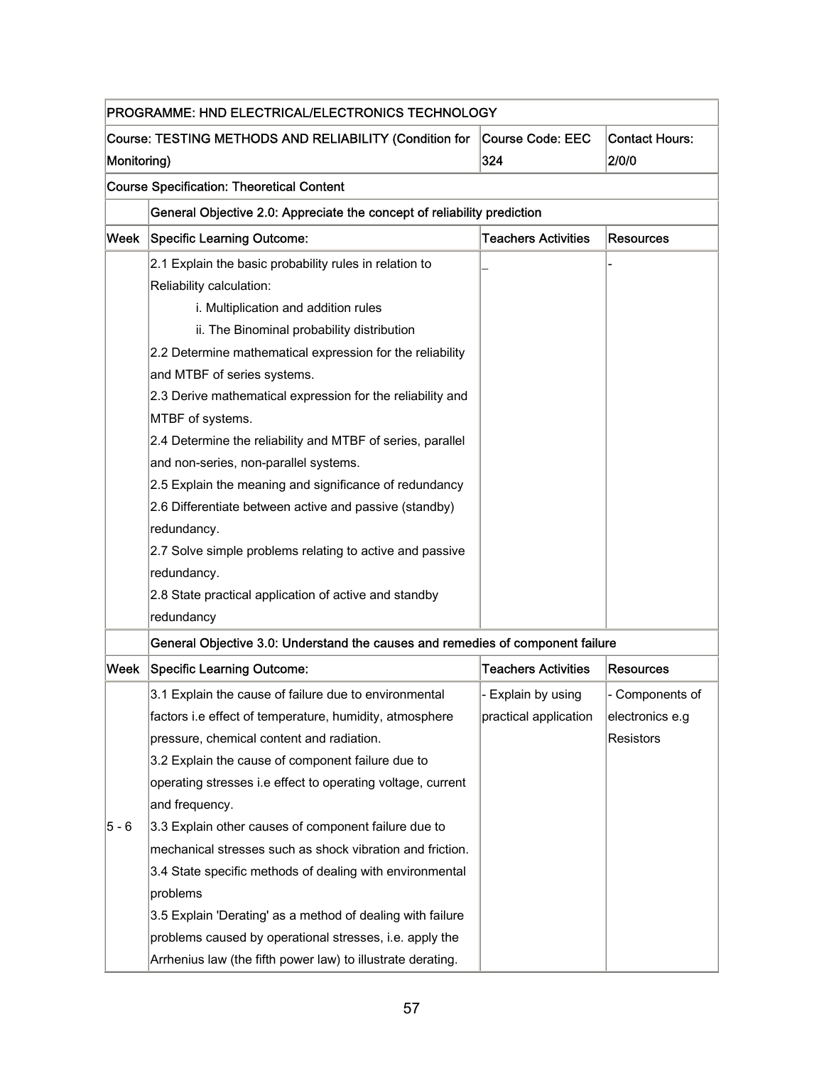|         | PROGRAMME: HND ELECTRICAL/ELECTRONICS TECHNOLOGY                                                                          |                            |                  |  |  |
|---------|---------------------------------------------------------------------------------------------------------------------------|----------------------------|------------------|--|--|
|         | Course: TESTING METHODS AND RELIABILITY (Condition for<br>Course Code: EEC<br><b>Contact Hours:</b><br>324<br>Monitoring) |                            |                  |  |  |
|         |                                                                                                                           |                            | 2/0/0            |  |  |
|         | <b>Course Specification: Theoretical Content</b>                                                                          |                            |                  |  |  |
|         | General Objective 2.0: Appreciate the concept of reliability prediction                                                   |                            |                  |  |  |
| Week    | <b>Specific Learning Outcome:</b>                                                                                         | <b>Teachers Activities</b> | <b>Resources</b> |  |  |
|         | 2.1 Explain the basic probability rules in relation to                                                                    |                            |                  |  |  |
|         | Reliability calculation:                                                                                                  |                            |                  |  |  |
|         | i. Multiplication and addition rules                                                                                      |                            |                  |  |  |
|         | ii. The Binominal probability distribution                                                                                |                            |                  |  |  |
|         | 2.2 Determine mathematical expression for the reliability                                                                 |                            |                  |  |  |
|         | and MTBF of series systems.                                                                                               |                            |                  |  |  |
|         | 2.3 Derive mathematical expression for the reliability and                                                                |                            |                  |  |  |
|         | MTBF of systems.                                                                                                          |                            |                  |  |  |
|         | 2.4 Determine the reliability and MTBF of series, parallel                                                                |                            |                  |  |  |
|         | and non-series, non-parallel systems.                                                                                     |                            |                  |  |  |
|         | 2.5 Explain the meaning and significance of redundancy                                                                    |                            |                  |  |  |
|         | 2.6 Differentiate between active and passive (standby)                                                                    |                            |                  |  |  |
|         | redundancy.                                                                                                               |                            |                  |  |  |
|         | 2.7 Solve simple problems relating to active and passive                                                                  |                            |                  |  |  |
|         | redundancy.                                                                                                               |                            |                  |  |  |
|         | 2.8 State practical application of active and standby                                                                     |                            |                  |  |  |
|         | redundancy                                                                                                                |                            |                  |  |  |
|         | General Objective 3.0: Understand the causes and remedies of component failure                                            |                            |                  |  |  |
| Week    | <b>Specific Learning Outcome:</b>                                                                                         | <b>Teachers Activities</b> | <b>Resources</b> |  |  |
|         | 3.1 Explain the cause of failure due to environmental                                                                     | - Explain by using         | Components of    |  |  |
|         | factors i.e effect of temperature, humidity, atmosphere                                                                   | practical application      | electronics e.g  |  |  |
|         | pressure, chemical content and radiation.                                                                                 |                            | <b>Resistors</b> |  |  |
|         | 3.2 Explain the cause of component failure due to                                                                         |                            |                  |  |  |
|         | operating stresses i.e effect to operating voltage, current                                                               |                            |                  |  |  |
|         | and frequency.                                                                                                            |                            |                  |  |  |
| $5 - 6$ | 3.3 Explain other causes of component failure due to                                                                      |                            |                  |  |  |
|         | mechanical stresses such as shock vibration and friction.                                                                 |                            |                  |  |  |
|         | 3.4 State specific methods of dealing with environmental<br>problems                                                      |                            |                  |  |  |
|         | 3.5 Explain 'Derating' as a method of dealing with failure                                                                |                            |                  |  |  |
|         | problems caused by operational stresses, i.e. apply the                                                                   |                            |                  |  |  |
|         | Arrhenius law (the fifth power law) to illustrate derating.                                                               |                            |                  |  |  |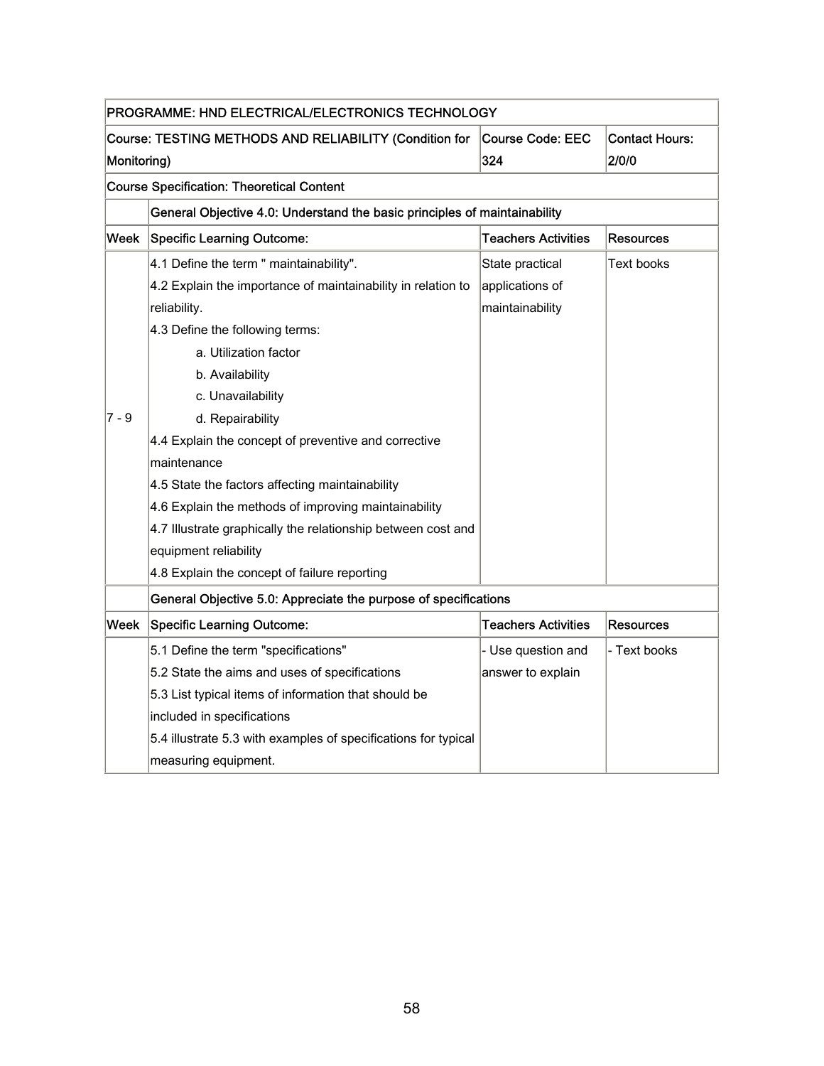|             | PROGRAMME: HND ELECTRICAL/ELECTRONICS TECHNOLOGY                          |                            |                       |  |
|-------------|---------------------------------------------------------------------------|----------------------------|-----------------------|--|
|             | Course: TESTING METHODS AND RELIABILITY (Condition for                    | Course Code: EEC           | <b>Contact Hours:</b> |  |
| Monitoring) |                                                                           | 324                        | <b>2/0/0</b>          |  |
|             | <b>Course Specification: Theoretical Content</b>                          |                            |                       |  |
|             | General Objective 4.0: Understand the basic principles of maintainability |                            |                       |  |
| Week        | <b>Specific Learning Outcome:</b>                                         | <b>Teachers Activities</b> | Resources             |  |
|             | 4.1 Define the term " maintainability".                                   | State practical            | Text books            |  |
|             | 4.2 Explain the importance of maintainability in relation to              | applications of            |                       |  |
|             | reliability.                                                              | maintainability            |                       |  |
|             | 4.3 Define the following terms:                                           |                            |                       |  |
|             | a. Utilization factor                                                     |                            |                       |  |
|             | b. Availability                                                           |                            |                       |  |
|             | c. Unavailability                                                         |                            |                       |  |
| 7 - 9       | d. Repairability                                                          |                            |                       |  |
|             | 4.4 Explain the concept of preventive and corrective                      |                            |                       |  |
|             | maintenance                                                               |                            |                       |  |
|             | 4.5 State the factors affecting maintainability                           |                            |                       |  |
|             | 4.6 Explain the methods of improving maintainability                      |                            |                       |  |
|             | 4.7 Illustrate graphically the relationship between cost and              |                            |                       |  |
|             | equipment reliability                                                     |                            |                       |  |
|             | 4.8 Explain the concept of failure reporting                              |                            |                       |  |
|             | General Objective 5.0: Appreciate the purpose of specifications           |                            |                       |  |
|             | Week Specific Learning Outcome:                                           | <b>Teachers Activities</b> | <b>Resources</b>      |  |
|             | 5.1 Define the term "specifications"                                      | - Use question and         | - Text books          |  |
|             | 5.2 State the aims and uses of specifications                             | answer to explain          |                       |  |
|             | 5.3 List typical items of information that should be                      |                            |                       |  |
|             | included in specifications                                                |                            |                       |  |
|             | 5.4 illustrate 5.3 with examples of specifications for typical            |                            |                       |  |
|             | measuring equipment.                                                      |                            |                       |  |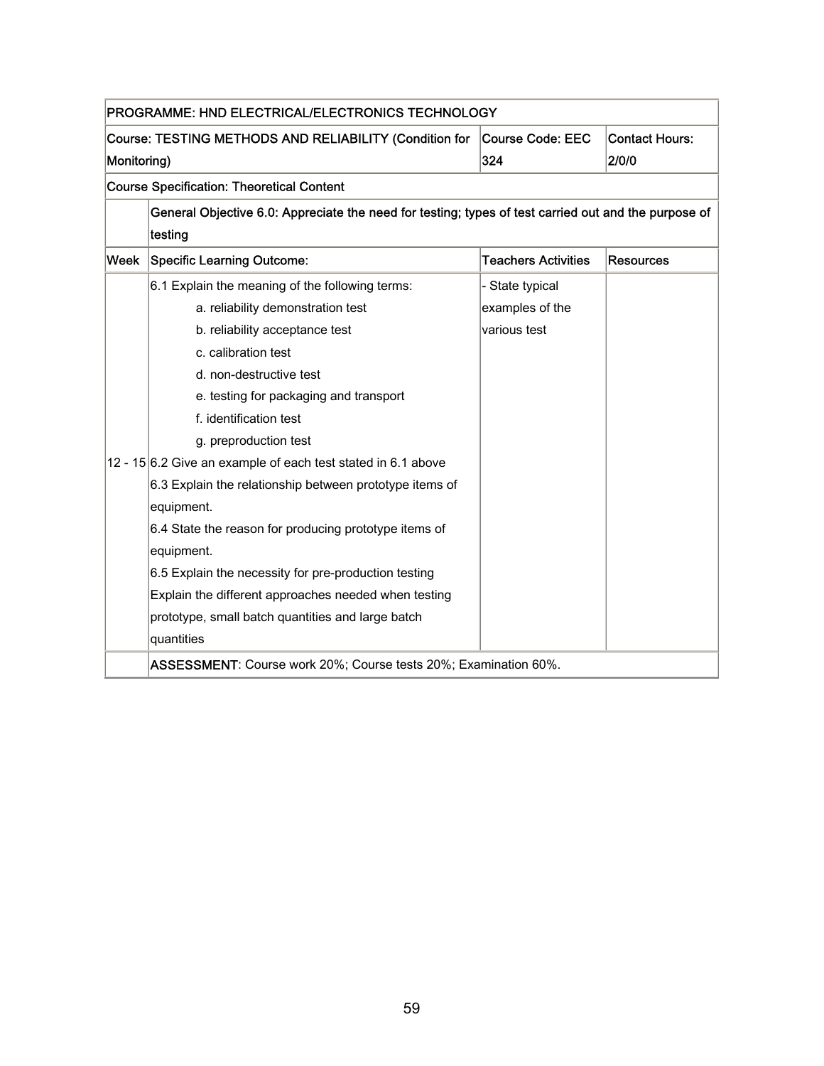|      | PROGRAMME: HND ELECTRICAL/ELECTRONICS TECHNOLOGY                                                     |                            |                  |  |  |  |
|------|------------------------------------------------------------------------------------------------------|----------------------------|------------------|--|--|--|
|      | <b>Contact Hours:</b><br>Course: TESTING METHODS AND RELIABILITY (Condition for<br>Course Code: EEC  |                            |                  |  |  |  |
|      | 324<br>2/0/0<br>Monitoring)                                                                          |                            |                  |  |  |  |
|      | <b>Course Specification: Theoretical Content</b>                                                     |                            |                  |  |  |  |
|      | General Objective 6.0: Appreciate the need for testing; types of test carried out and the purpose of |                            |                  |  |  |  |
|      | testing                                                                                              |                            |                  |  |  |  |
| Week | <b>Specific Learning Outcome:</b>                                                                    | <b>Teachers Activities</b> | <b>Resources</b> |  |  |  |
|      | 6.1 Explain the meaning of the following terms:                                                      | - State typical            |                  |  |  |  |
|      | a. reliability demonstration test                                                                    | examples of the            |                  |  |  |  |
|      | b. reliability acceptance test                                                                       | various test               |                  |  |  |  |
|      | c. calibration test                                                                                  |                            |                  |  |  |  |
|      | d. non-destructive test                                                                              |                            |                  |  |  |  |
|      | e. testing for packaging and transport                                                               |                            |                  |  |  |  |
|      | f. identification test                                                                               |                            |                  |  |  |  |
|      | g. preproduction test                                                                                |                            |                  |  |  |  |
|      | 12 - 15 6.2 Give an example of each test stated in 6.1 above                                         |                            |                  |  |  |  |
|      | 6.3 Explain the relationship between prototype items of                                              |                            |                  |  |  |  |
|      | equipment.                                                                                           |                            |                  |  |  |  |
|      | 6.4 State the reason for producing prototype items of                                                |                            |                  |  |  |  |
|      | equipment.                                                                                           |                            |                  |  |  |  |
|      | 6.5 Explain the necessity for pre-production testing                                                 |                            |                  |  |  |  |
|      | Explain the different approaches needed when testing                                                 |                            |                  |  |  |  |
|      | prototype, small batch quantities and large batch                                                    |                            |                  |  |  |  |
|      | quantities                                                                                           |                            |                  |  |  |  |
|      | ASSESSMENT: Course work 20%; Course tests 20%; Examination 60%.                                      |                            |                  |  |  |  |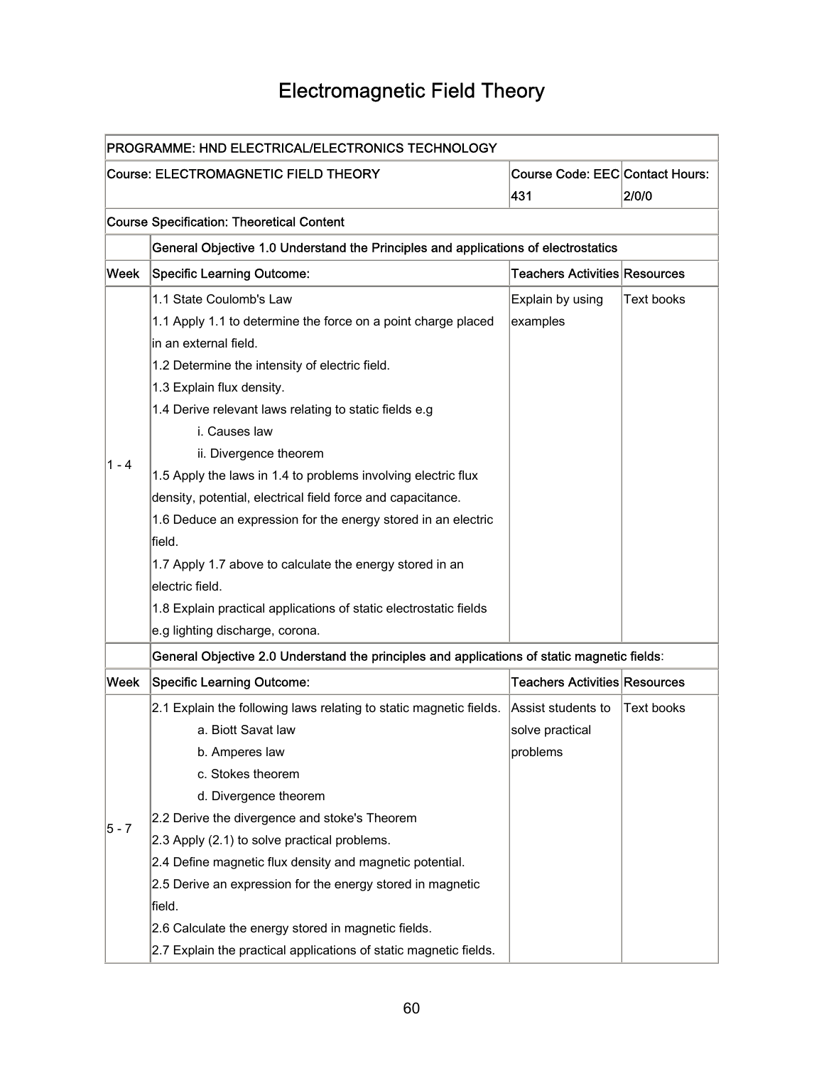## Electromagnetic Field Theory

| PROGRAMME: HND ELECTRICAL/ELECTRONICS TECHNOLOGY |                                                                                             |                                               |                   |
|--------------------------------------------------|---------------------------------------------------------------------------------------------|-----------------------------------------------|-------------------|
|                                                  | Course: ELECTROMAGNETIC FIELD THEORY                                                        | <b>Course Code: EEC Contact Hours:</b><br>431 | 2/0/0             |
|                                                  | <b>Course Specification: Theoretical Content</b>                                            |                                               |                   |
|                                                  | General Objective 1.0 Understand the Principles and applications of electrostatics          |                                               |                   |
| Week                                             | <b>Specific Learning Outcome:</b>                                                           | Teachers Activities Resources                 |                   |
|                                                  | 1.1 State Coulomb's Law                                                                     | Explain by using                              | Text books        |
|                                                  | 1.1 Apply 1.1 to determine the force on a point charge placed                               | examples                                      |                   |
|                                                  | in an external field.                                                                       |                                               |                   |
|                                                  | 1.2 Determine the intensity of electric field.                                              |                                               |                   |
|                                                  | 1.3 Explain flux density.                                                                   |                                               |                   |
|                                                  | 1.4 Derive relevant laws relating to static fields e.g                                      |                                               |                   |
|                                                  | i. Causes law                                                                               |                                               |                   |
|                                                  | ii. Divergence theorem                                                                      |                                               |                   |
| $1 - 4$                                          | 1.5 Apply the laws in 1.4 to problems involving electric flux                               |                                               |                   |
|                                                  | density, potential, electrical field force and capacitance.                                 |                                               |                   |
|                                                  | 1.6 Deduce an expression for the energy stored in an electric                               |                                               |                   |
|                                                  | field.                                                                                      |                                               |                   |
|                                                  | 1.7 Apply 1.7 above to calculate the energy stored in an                                    |                                               |                   |
|                                                  | electric field.                                                                             |                                               |                   |
|                                                  | 1.8 Explain practical applications of static electrostatic fields                           |                                               |                   |
|                                                  | e.g lighting discharge, corona.                                                             |                                               |                   |
|                                                  | General Objective 2.0 Understand the principles and applications of static magnetic fields: |                                               |                   |
| Week                                             | <b>Specific Learning Outcome:</b>                                                           | <b>Teachers Activities Resources</b>          |                   |
|                                                  | 2.1 Explain the following laws relating to static magnetic fields.                          | Assist students to                            | <b>Text books</b> |
|                                                  | a. Biott Savat law                                                                          | solve practical                               |                   |
|                                                  | b. Amperes law                                                                              | problems                                      |                   |
|                                                  | c. Stokes theorem                                                                           |                                               |                   |
|                                                  | d. Divergence theorem                                                                       |                                               |                   |
| 5 - 7                                            | 2.2 Derive the divergence and stoke's Theorem                                               |                                               |                   |
|                                                  | 2.3 Apply (2.1) to solve practical problems.                                                |                                               |                   |
|                                                  | 2.4 Define magnetic flux density and magnetic potential.                                    |                                               |                   |
|                                                  | 2.5 Derive an expression for the energy stored in magnetic                                  |                                               |                   |
|                                                  | field.                                                                                      |                                               |                   |
|                                                  | 2.6 Calculate the energy stored in magnetic fields.                                         |                                               |                   |
|                                                  | 2.7 Explain the practical applications of static magnetic fields.                           |                                               |                   |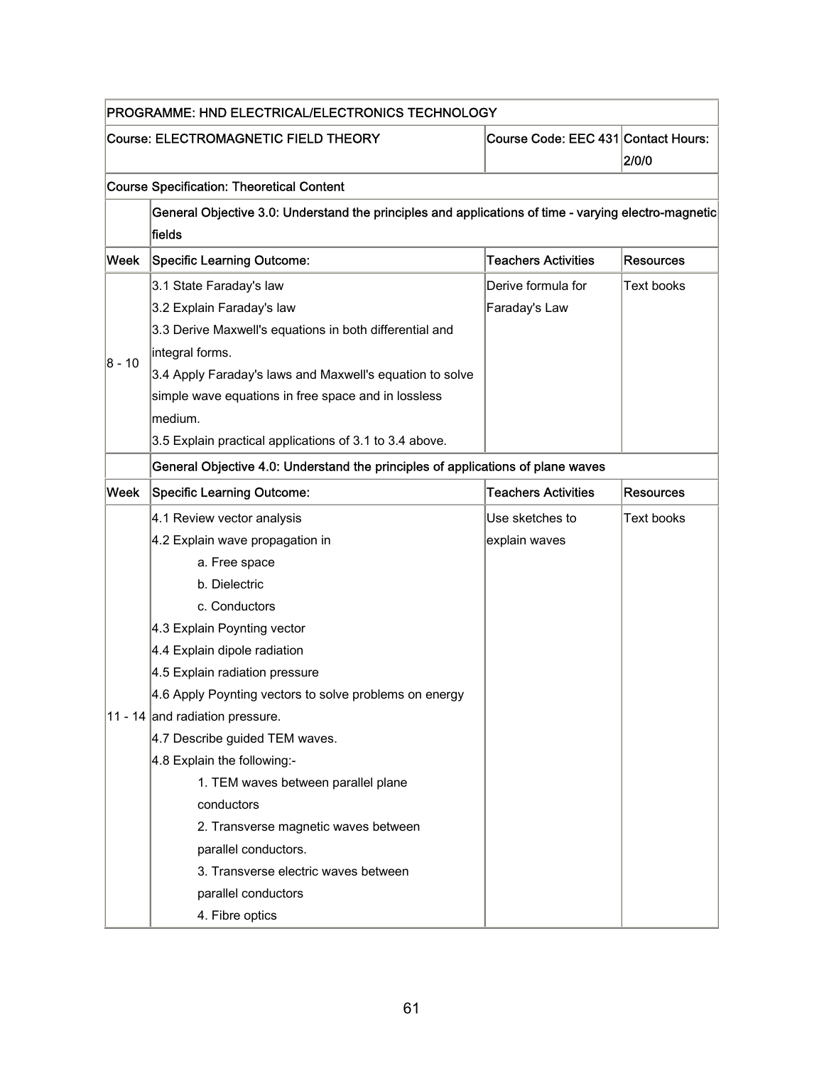| PROGRAMME: HND ELECTRICAL/ELECTRONICS TECHNOLOGY |                                                                                                                |                            |                   |
|--------------------------------------------------|----------------------------------------------------------------------------------------------------------------|----------------------------|-------------------|
|                                                  | Course Code: EEC 431 Contact Hours:<br><b>Course: ELECTROMAGNETIC FIELD THEORY</b><br>2/0/0                    |                            |                   |
|                                                  | <b>Course Specification: Theoretical Content</b>                                                               |                            |                   |
|                                                  | General Objective 3.0: Understand the principles and applications of time - varying electro-magnetic<br>fields |                            |                   |
| Week                                             | <b>Specific Learning Outcome:</b>                                                                              | <b>Teachers Activities</b> | <b>Resources</b>  |
|                                                  | 3.1 State Faraday's law                                                                                        | Derive formula for         | <b>Text books</b> |
|                                                  | 3.2 Explain Faraday's law                                                                                      | Faraday's Law              |                   |
|                                                  | 3.3 Derive Maxwell's equations in both differential and                                                        |                            |                   |
|                                                  | integral forms.                                                                                                |                            |                   |
| $8 - 10$                                         | 3.4 Apply Faraday's laws and Maxwell's equation to solve                                                       |                            |                   |
|                                                  | simple wave equations in free space and in lossless                                                            |                            |                   |
|                                                  | medium.                                                                                                        |                            |                   |
|                                                  | 3.5 Explain practical applications of 3.1 to 3.4 above.                                                        |                            |                   |
|                                                  | General Objective 4.0: Understand the principles of applications of plane waves                                |                            |                   |
| Week                                             | <b>Specific Learning Outcome:</b>                                                                              | <b>Teachers Activities</b> | <b>Resources</b>  |
|                                                  | 4.1 Review vector analysis                                                                                     | Use sketches to            | <b>Text books</b> |
|                                                  | 4.2 Explain wave propagation in                                                                                | explain waves              |                   |
|                                                  | a. Free space                                                                                                  |                            |                   |
|                                                  | b. Dielectric                                                                                                  |                            |                   |
|                                                  | c. Conductors                                                                                                  |                            |                   |
|                                                  | 4.3 Explain Poynting vector                                                                                    |                            |                   |
|                                                  | 4.4 Explain dipole radiation                                                                                   |                            |                   |
|                                                  | 4.5 Explain radiation pressure                                                                                 |                            |                   |
|                                                  | 4.6 Apply Poynting vectors to solve problems on energy                                                         |                            |                   |
|                                                  | 11 - 14 and radiation pressure.                                                                                |                            |                   |
|                                                  | 4.7 Describe guided TEM waves.                                                                                 |                            |                   |
|                                                  | 4.8 Explain the following:-                                                                                    |                            |                   |
|                                                  | 1. TEM waves between parallel plane                                                                            |                            |                   |
|                                                  | conductors                                                                                                     |                            |                   |
|                                                  | 2. Transverse magnetic waves between                                                                           |                            |                   |
|                                                  | parallel conductors.                                                                                           |                            |                   |
|                                                  | 3. Transverse electric waves between                                                                           |                            |                   |
|                                                  | parallel conductors                                                                                            |                            |                   |
|                                                  | 4. Fibre optics                                                                                                |                            |                   |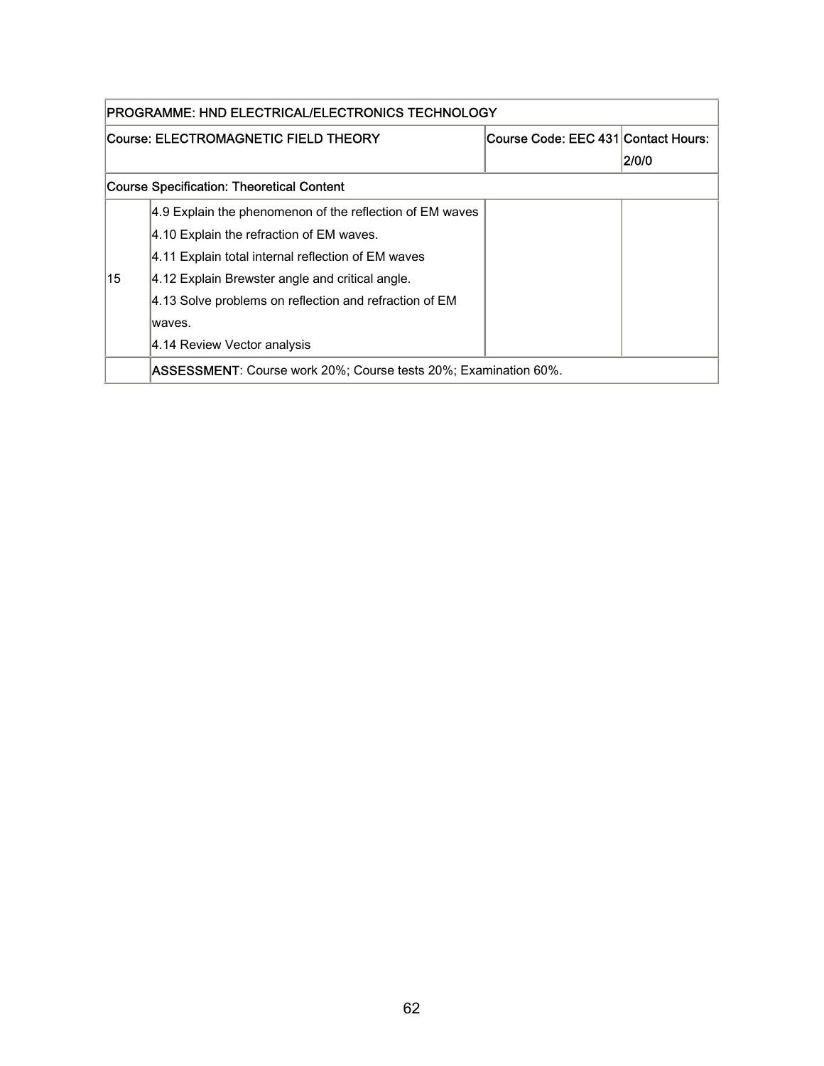| PROGRAMME: HND ELECTRICAL/ELECTRONICS TECHNOLOGY |                                                                           |                                     |       |
|--------------------------------------------------|---------------------------------------------------------------------------|-------------------------------------|-------|
|                                                  | Course: ELECTROMAGNETIC FIELD THEORY                                      | Course Code: EEC 431 Contact Hours: |       |
|                                                  |                                                                           |                                     | 2/0/0 |
|                                                  | Course Specification: Theoretical Content                                 |                                     |       |
|                                                  | 4.9 Explain the phenomenon of the reflection of EM waves                  |                                     |       |
|                                                  | 4.10 Explain the refraction of EM waves.                                  |                                     |       |
|                                                  | 4.11 Explain total internal reflection of EM waves                        |                                     |       |
| 15                                               | 4.12 Explain Brewster angle and critical angle.                           |                                     |       |
|                                                  | 4.13 Solve problems on reflection and refraction of EM                    |                                     |       |
|                                                  | waves.                                                                    |                                     |       |
|                                                  | 4.14 Review Vector analysis                                               |                                     |       |
|                                                  | I <b>ASSESSMENT</b> : Course work 20%; Course tests 20%; Examination 60%. |                                     |       |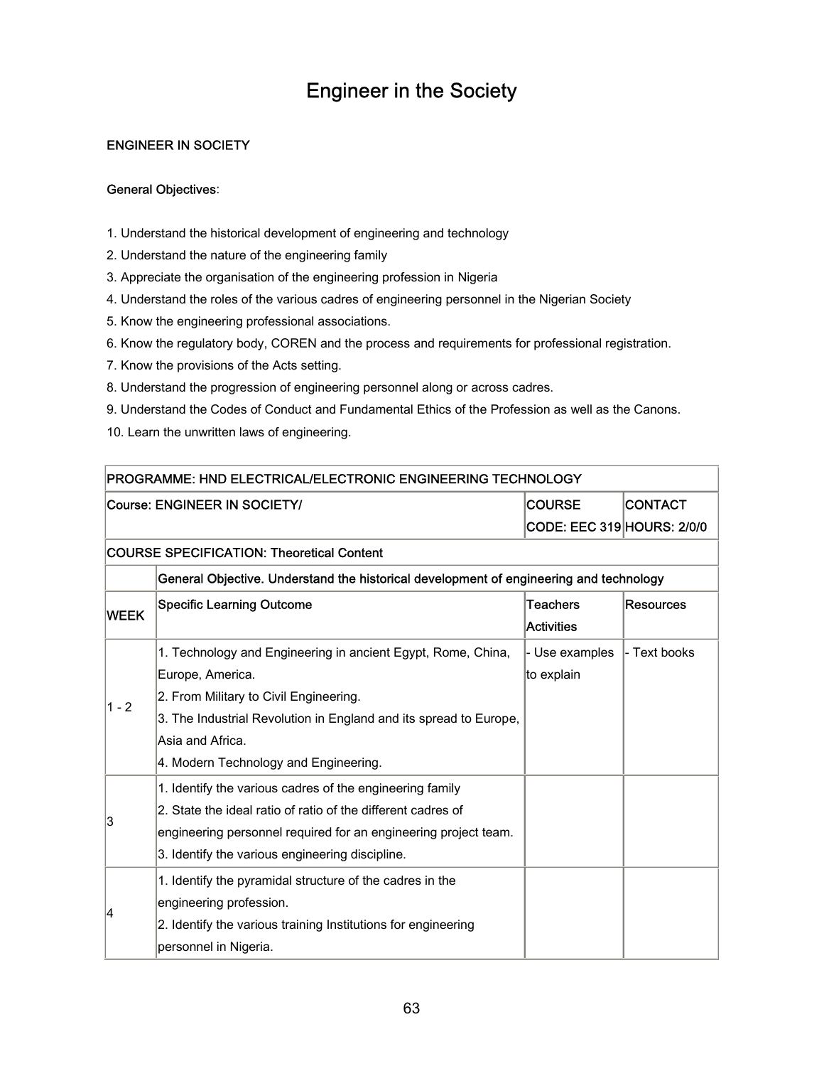### Engineer in the Society

### ENGINEER IN SOCIETY

#### General Objectives:

- 1. Understand the historical development of engineering and technology
- 2. Understand the nature of the engineering family
- 3. Appreciate the organisation of the engineering profession in Nigeria
- 4. Understand the roles of the various cadres of engineering personnel in the Nigerian Society
- 5. Know the engineering professional associations.
- 6. Know the regulatory body, COREN and the process and requirements for professional registration.
- 7. Know the provisions of the Acts setting.
- 8. Understand the progression of engineering personnel along or across cadres.
- 9. Understand the Codes of Conduct and Fundamental Ethics of the Profession as well as the Canons.
- 10. Learn the unwritten laws of engineering.

| PROGRAMME: HND ELECTRICAL/ELECTRONIC ENGINEERING TECHNOLOGY |                                                                                        |                                   |              |  |  |
|-------------------------------------------------------------|----------------------------------------------------------------------------------------|-----------------------------------|--------------|--|--|
|                                                             | <b>CONTACT</b><br><b>COURSE</b><br>Course: ENGINEER IN SOCIETY/                        |                                   |              |  |  |
|                                                             |                                                                                        | <b>CODE: EEC 319 HOURS: 2/0/0</b> |              |  |  |
|                                                             | <b>COURSE SPECIFICATION: Theoretical Content</b>                                       |                                   |              |  |  |
|                                                             | General Objective. Understand the historical development of engineering and technology |                                   |              |  |  |
| <b>WEEK</b>                                                 | <b>Specific Learning Outcome</b>                                                       | <b>Teachers</b>                   | Resources    |  |  |
|                                                             |                                                                                        | <b>Activities</b>                 |              |  |  |
|                                                             | 1. Technology and Engineering in ancient Egypt, Rome, China,                           | - Use examples                    | - Text books |  |  |
|                                                             | Europe, America.                                                                       | to explain                        |              |  |  |
| $1 - 2$                                                     | 2. From Military to Civil Engineering.                                                 |                                   |              |  |  |
|                                                             | 3. The Industrial Revolution in England and its spread to Europe,                      |                                   |              |  |  |
|                                                             | Asia and Africa.                                                                       |                                   |              |  |  |
|                                                             | 4. Modern Technology and Engineering.                                                  |                                   |              |  |  |
|                                                             | 1. Identify the various cadres of the engineering family                               |                                   |              |  |  |
| 3                                                           | 2. State the ideal ratio of ratio of the different cadres of                           |                                   |              |  |  |
|                                                             | engineering personnel required for an engineering project team.                        |                                   |              |  |  |
|                                                             | 3. Identify the various engineering discipline.                                        |                                   |              |  |  |
|                                                             | 1. Identify the pyramidal structure of the cadres in the                               |                                   |              |  |  |
| 14                                                          | engineering profession.                                                                |                                   |              |  |  |
|                                                             | 2. Identify the various training Institutions for engineering                          |                                   |              |  |  |
|                                                             | personnel in Nigeria.                                                                  |                                   |              |  |  |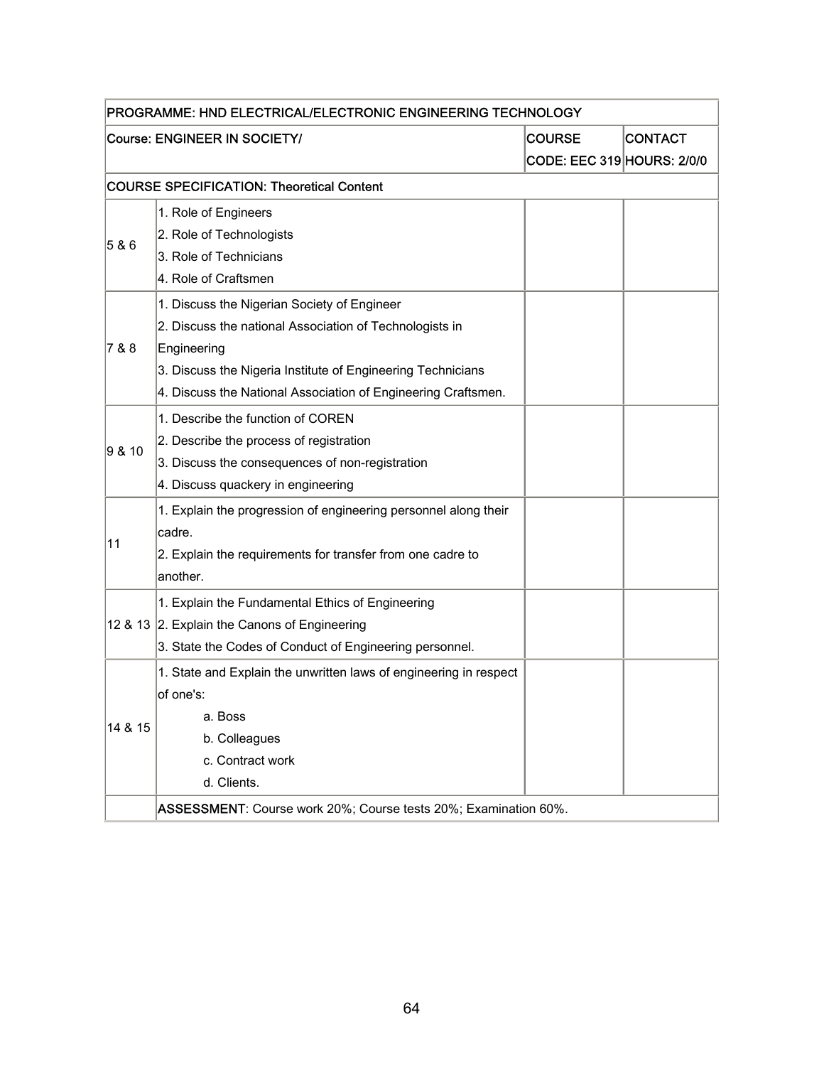| PROGRAMME: HND ELECTRICAL/ELECTRONIC ENGINEERING TECHNOLOGY |                                                                   |                                   |  |  |  |
|-------------------------------------------------------------|-------------------------------------------------------------------|-----------------------------------|--|--|--|
|                                                             | Course: ENGINEER IN SOCIETY/<br><b>COURSE</b><br><b>CONTACT</b>   |                                   |  |  |  |
|                                                             |                                                                   | <b>CODE: EEC 319 HOURS: 2/0/0</b> |  |  |  |
|                                                             | <b>COURSE SPECIFICATION: Theoretical Content</b>                  |                                   |  |  |  |
|                                                             | 1. Role of Engineers                                              |                                   |  |  |  |
|                                                             | 2. Role of Technologists                                          |                                   |  |  |  |
| 5 & 6                                                       | 3. Role of Technicians                                            |                                   |  |  |  |
|                                                             | 4. Role of Craftsmen                                              |                                   |  |  |  |
|                                                             | 1. Discuss the Nigerian Society of Engineer                       |                                   |  |  |  |
|                                                             | 2. Discuss the national Association of Technologists in           |                                   |  |  |  |
| 7 & 8                                                       | Engineering                                                       |                                   |  |  |  |
|                                                             | 3. Discuss the Nigeria Institute of Engineering Technicians       |                                   |  |  |  |
|                                                             | 4. Discuss the National Association of Engineering Craftsmen.     |                                   |  |  |  |
|                                                             | 1. Describe the function of COREN                                 |                                   |  |  |  |
|                                                             | 2. Describe the process of registration                           |                                   |  |  |  |
| 9 & 10                                                      | 3. Discuss the consequences of non-registration                   |                                   |  |  |  |
|                                                             | 4. Discuss quackery in engineering                                |                                   |  |  |  |
|                                                             | 1. Explain the progression of engineering personnel along their   |                                   |  |  |  |
| 11                                                          | cadre.                                                            |                                   |  |  |  |
|                                                             | 2. Explain the requirements for transfer from one cadre to        |                                   |  |  |  |
|                                                             | another.                                                          |                                   |  |  |  |
|                                                             | 1. Explain the Fundamental Ethics of Engineering                  |                                   |  |  |  |
|                                                             | 12 & 13 2. Explain the Canons of Engineering                      |                                   |  |  |  |
|                                                             | 3. State the Codes of Conduct of Engineering personnel.           |                                   |  |  |  |
|                                                             | 1. State and Explain the unwritten laws of engineering in respect |                                   |  |  |  |
|                                                             | of one's:                                                         |                                   |  |  |  |
| 14 & 15                                                     | a. Boss                                                           |                                   |  |  |  |
|                                                             | b. Colleagues                                                     |                                   |  |  |  |
|                                                             | c. Contract work                                                  |                                   |  |  |  |
|                                                             | d. Clients.                                                       |                                   |  |  |  |
|                                                             | ASSESSMENT: Course work 20%; Course tests 20%; Examination 60%.   |                                   |  |  |  |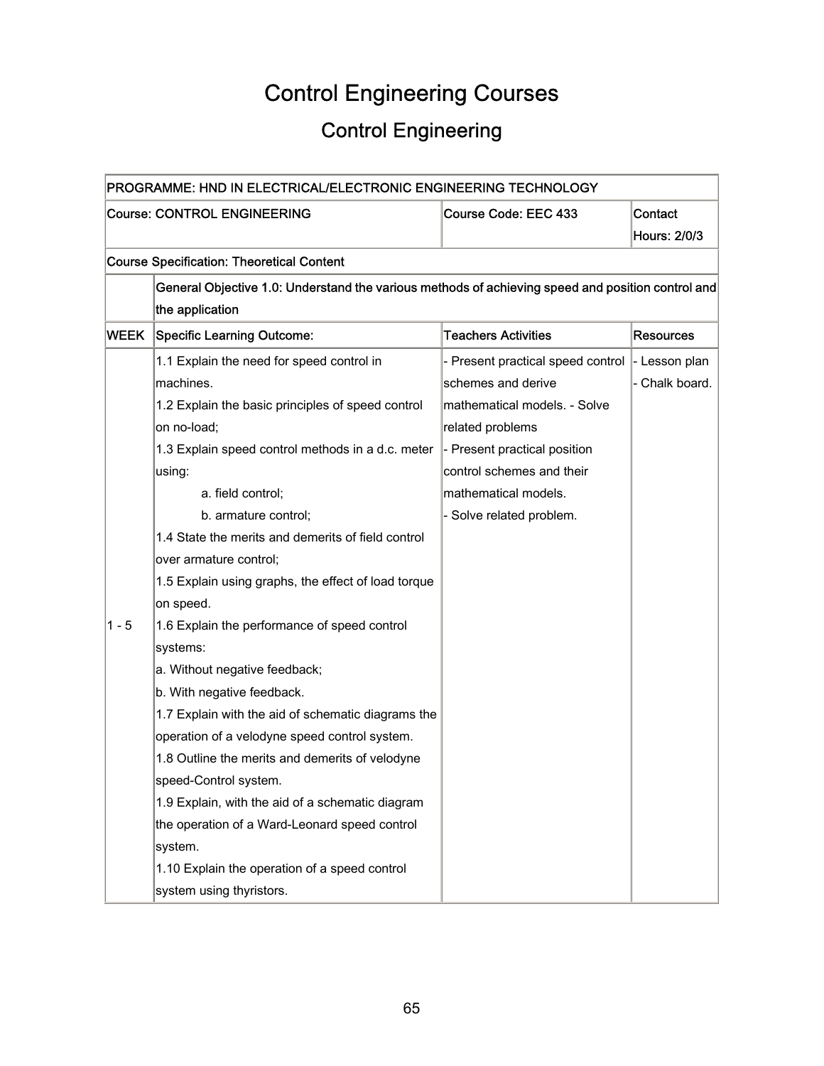# Control Engineering Courses

## Control Engineering

| PROGRAMME: HND IN ELECTRICAL/ELECTRONIC ENGINEERING TECHNOLOGY |                                                                                                   |                                   |                       |  |
|----------------------------------------------------------------|---------------------------------------------------------------------------------------------------|-----------------------------------|-----------------------|--|
|                                                                | <b>Course: CONTROL ENGINEERING</b>                                                                | Course Code: EEC 433              | Contact               |  |
|                                                                |                                                                                                   |                                   | <b>Hours: 2/0/3</b>   |  |
|                                                                | <b>Course Specification: Theoretical Content</b>                                                  |                                   |                       |  |
|                                                                | General Objective 1.0: Understand the various methods of achieving speed and position control and |                                   |                       |  |
|                                                                | the application                                                                                   |                                   |                       |  |
| WEEK                                                           | <b>Specific Learning Outcome:</b>                                                                 | <b>Teachers Activities</b>        | <b>Resources</b>      |  |
|                                                                | 1.1 Explain the need for speed control in                                                         | - Present practical speed control | $\vert$ - Lesson plan |  |
|                                                                | machines.                                                                                         | schemes and derive                | - Chalk board.        |  |
|                                                                | 1.2 Explain the basic principles of speed control                                                 | mathematical models. - Solve      |                       |  |
|                                                                | on no-load;                                                                                       | related problems                  |                       |  |
|                                                                | 1.3 Explain speed control methods in a d.c. meter                                                 | - Present practical position      |                       |  |
|                                                                | using:                                                                                            | control schemes and their         |                       |  |
|                                                                | a. field control;                                                                                 | mathematical models.              |                       |  |
|                                                                | b. armature control;                                                                              | - Solve related problem.          |                       |  |
|                                                                | 1.4 State the merits and demerits of field control                                                |                                   |                       |  |
|                                                                | over armature control;                                                                            |                                   |                       |  |
|                                                                | 1.5 Explain using graphs, the effect of load torque                                               |                                   |                       |  |
|                                                                | on speed.                                                                                         |                                   |                       |  |
| $1 - 5$                                                        | 1.6 Explain the performance of speed control                                                      |                                   |                       |  |
|                                                                | systems:                                                                                          |                                   |                       |  |
|                                                                | a. Without negative feedback;                                                                     |                                   |                       |  |
|                                                                | b. With negative feedback.                                                                        |                                   |                       |  |
|                                                                | 1.7 Explain with the aid of schematic diagrams the                                                |                                   |                       |  |
|                                                                | operation of a velodyne speed control system.                                                     |                                   |                       |  |
|                                                                | 1.8 Outline the merits and demerits of velodyne                                                   |                                   |                       |  |
|                                                                | speed-Control system.                                                                             |                                   |                       |  |
|                                                                | 1.9 Explain, with the aid of a schematic diagram                                                  |                                   |                       |  |
|                                                                | the operation of a Ward-Leonard speed control                                                     |                                   |                       |  |
|                                                                | system.                                                                                           |                                   |                       |  |
|                                                                | 1.10 Explain the operation of a speed control                                                     |                                   |                       |  |
|                                                                | system using thyristors.                                                                          |                                   |                       |  |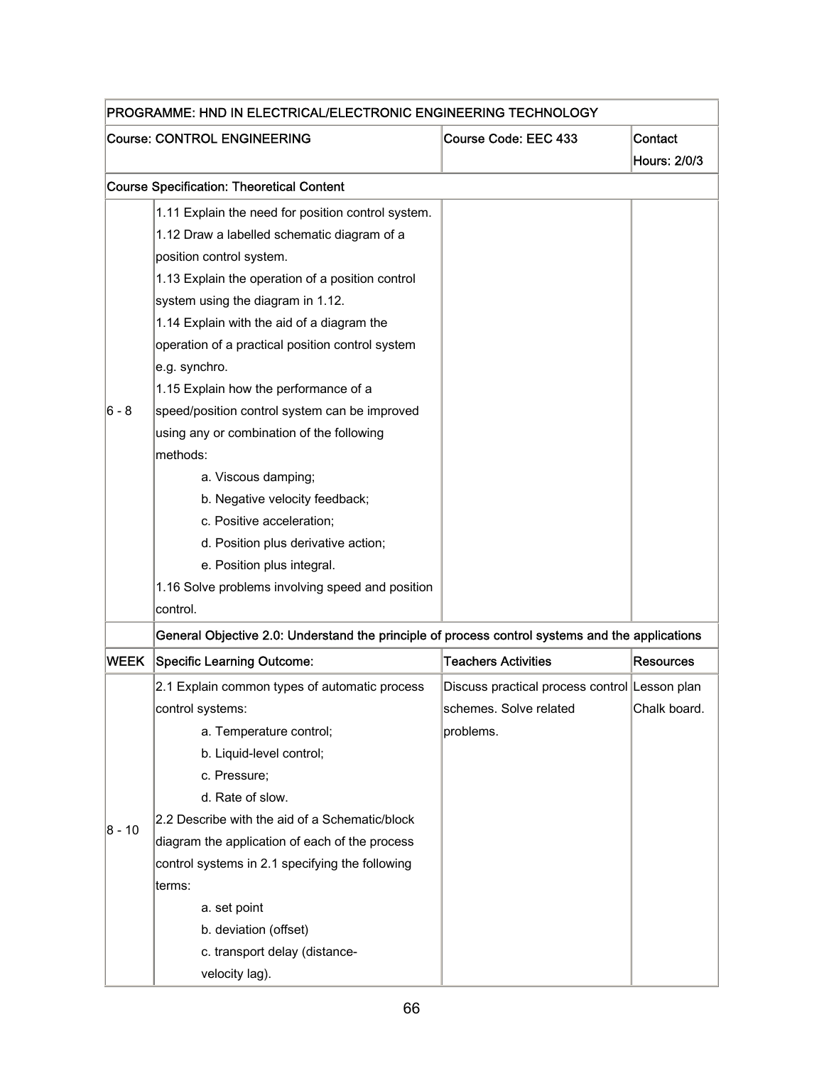| PROGRAMME: HND IN ELECTRICAL/ELECTRONIC ENGINEERING TECHNOLOGY |                                                                                                 |                                               |                  |
|----------------------------------------------------------------|-------------------------------------------------------------------------------------------------|-----------------------------------------------|------------------|
|                                                                | <b>Course: CONTROL ENGINEERING</b>                                                              | Course Code: EEC 433                          | Contact          |
|                                                                |                                                                                                 |                                               | Hours: 2/0/3     |
|                                                                | <b>Course Specification: Theoretical Content</b>                                                |                                               |                  |
|                                                                | 1.11 Explain the need for position control system.                                              |                                               |                  |
|                                                                | 1.12 Draw a labelled schematic diagram of a                                                     |                                               |                  |
|                                                                | position control system.                                                                        |                                               |                  |
|                                                                | 1.13 Explain the operation of a position control                                                |                                               |                  |
|                                                                | system using the diagram in 1.12.                                                               |                                               |                  |
|                                                                | 1.14 Explain with the aid of a diagram the                                                      |                                               |                  |
|                                                                | operation of a practical position control system                                                |                                               |                  |
|                                                                | e.g. synchro.                                                                                   |                                               |                  |
|                                                                | 1.15 Explain how the performance of a                                                           |                                               |                  |
| 6 - 8                                                          | speed/position control system can be improved                                                   |                                               |                  |
|                                                                | using any or combination of the following                                                       |                                               |                  |
|                                                                | methods:                                                                                        |                                               |                  |
|                                                                | a. Viscous damping;                                                                             |                                               |                  |
|                                                                | b. Negative velocity feedback;                                                                  |                                               |                  |
|                                                                | c. Positive acceleration;                                                                       |                                               |                  |
|                                                                | d. Position plus derivative action;                                                             |                                               |                  |
|                                                                | e. Position plus integral.                                                                      |                                               |                  |
|                                                                | 1.16 Solve problems involving speed and position                                                |                                               |                  |
|                                                                | control.                                                                                        |                                               |                  |
|                                                                | General Objective 2.0: Understand the principle of process control systems and the applications |                                               |                  |
| WEEK                                                           | <b>Specific Learning Outcome:</b>                                                               | <b>Teachers Activities</b>                    | <b>Resources</b> |
|                                                                | 2.1 Explain common types of automatic process                                                   | Discuss practical process control Lesson plan |                  |
|                                                                | control systems:                                                                                | schemes. Solve related                        | Chalk board.     |
|                                                                | a. Temperature control;                                                                         | problems.                                     |                  |
|                                                                | b. Liquid-level control;                                                                        |                                               |                  |
|                                                                | c. Pressure;                                                                                    |                                               |                  |
|                                                                | d. Rate of slow.                                                                                |                                               |                  |
|                                                                | 2.2 Describe with the aid of a Schematic/block                                                  |                                               |                  |
| 8 - 10                                                         | diagram the application of each of the process                                                  |                                               |                  |
|                                                                | control systems in 2.1 specifying the following                                                 |                                               |                  |
|                                                                | terms:                                                                                          |                                               |                  |
|                                                                | a. set point                                                                                    |                                               |                  |
|                                                                | b. deviation (offset)                                                                           |                                               |                  |
|                                                                | c. transport delay (distance-                                                                   |                                               |                  |
|                                                                | velocity lag).                                                                                  |                                               |                  |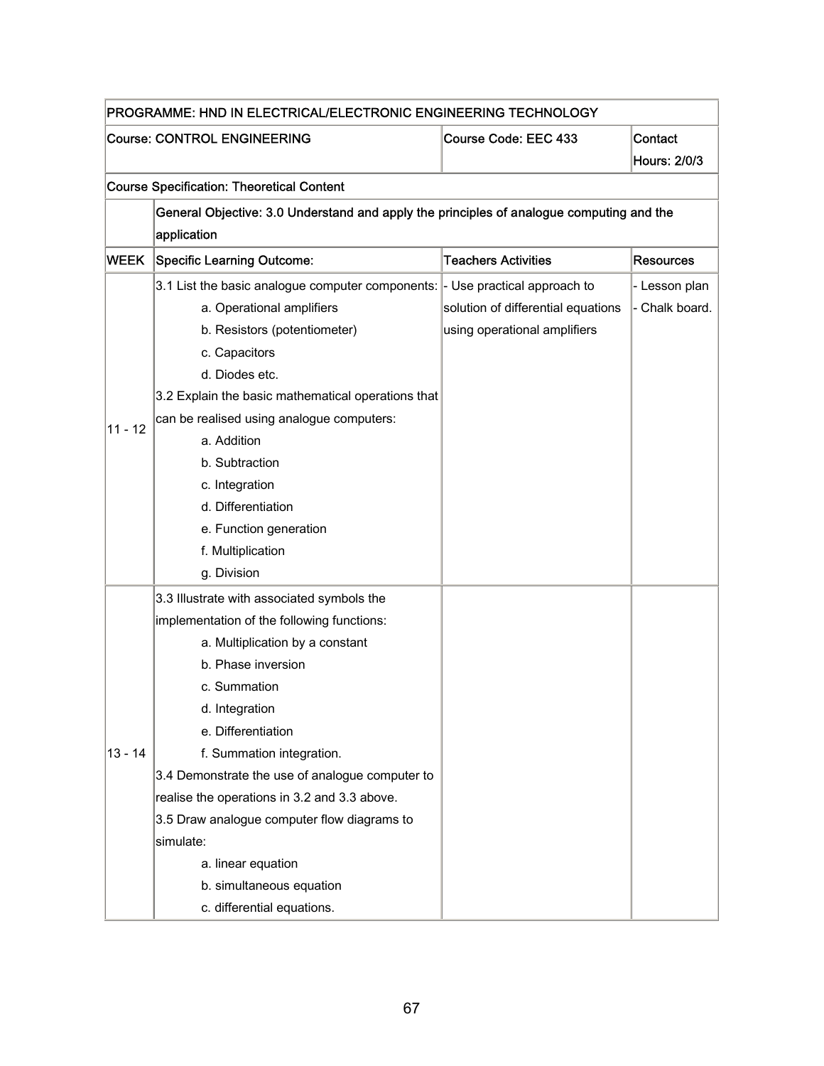| PROGRAMME: HND IN ELECTRICAL/ELECTRONIC ENGINEERING TECHNOLOGY |                                                                                          |                                    |                     |  |  |
|----------------------------------------------------------------|------------------------------------------------------------------------------------------|------------------------------------|---------------------|--|--|
|                                                                | <b>Course: CONTROL ENGINEERING</b><br>Course Code: EEC 433<br>Contact                    |                                    |                     |  |  |
|                                                                |                                                                                          |                                    | <b>Hours: 2/0/3</b> |  |  |
|                                                                | <b>Course Specification: Theoretical Content</b>                                         |                                    |                     |  |  |
|                                                                | General Objective: 3.0 Understand and apply the principles of analogue computing and the |                                    |                     |  |  |
|                                                                | application                                                                              |                                    |                     |  |  |
| <b>WEEK</b>                                                    | <b>Specific Learning Outcome:</b>                                                        | <b>Teachers Activities</b>         | <b>Resources</b>    |  |  |
|                                                                | 3.1 List the basic analogue computer components:  - Use practical approach to            |                                    | - Lesson plan       |  |  |
|                                                                | a. Operational amplifiers                                                                | solution of differential equations | - Chalk board.      |  |  |
|                                                                | b. Resistors (potentiometer)                                                             | using operational amplifiers       |                     |  |  |
|                                                                | c. Capacitors                                                                            |                                    |                     |  |  |
|                                                                | d. Diodes etc.                                                                           |                                    |                     |  |  |
|                                                                | 3.2 Explain the basic mathematical operations that                                       |                                    |                     |  |  |
| $11 - 12$                                                      | can be realised using analogue computers:                                                |                                    |                     |  |  |
|                                                                | a. Addition                                                                              |                                    |                     |  |  |
|                                                                | b. Subtraction                                                                           |                                    |                     |  |  |
|                                                                | c. Integration                                                                           |                                    |                     |  |  |
|                                                                | d. Differentiation                                                                       |                                    |                     |  |  |
|                                                                | e. Function generation                                                                   |                                    |                     |  |  |
|                                                                | f. Multiplication                                                                        |                                    |                     |  |  |
|                                                                | g. Division                                                                              |                                    |                     |  |  |
|                                                                | 3.3 Illustrate with associated symbols the                                               |                                    |                     |  |  |
|                                                                | implementation of the following functions:                                               |                                    |                     |  |  |
|                                                                | a. Multiplication by a constant                                                          |                                    |                     |  |  |
|                                                                | b. Phase inversion                                                                       |                                    |                     |  |  |
|                                                                | c. Summation                                                                             |                                    |                     |  |  |
|                                                                | d. Integration                                                                           |                                    |                     |  |  |
|                                                                | e. Differentiation                                                                       |                                    |                     |  |  |
| $13 - 14$                                                      | f. Summation integration.                                                                |                                    |                     |  |  |
|                                                                | 3.4 Demonstrate the use of analogue computer to                                          |                                    |                     |  |  |
|                                                                | realise the operations in 3.2 and 3.3 above.                                             |                                    |                     |  |  |
|                                                                | 3.5 Draw analogue computer flow diagrams to                                              |                                    |                     |  |  |
|                                                                | simulate:                                                                                |                                    |                     |  |  |
|                                                                | a. linear equation                                                                       |                                    |                     |  |  |
|                                                                | b. simultaneous equation                                                                 |                                    |                     |  |  |
|                                                                | c. differential equations.                                                               |                                    |                     |  |  |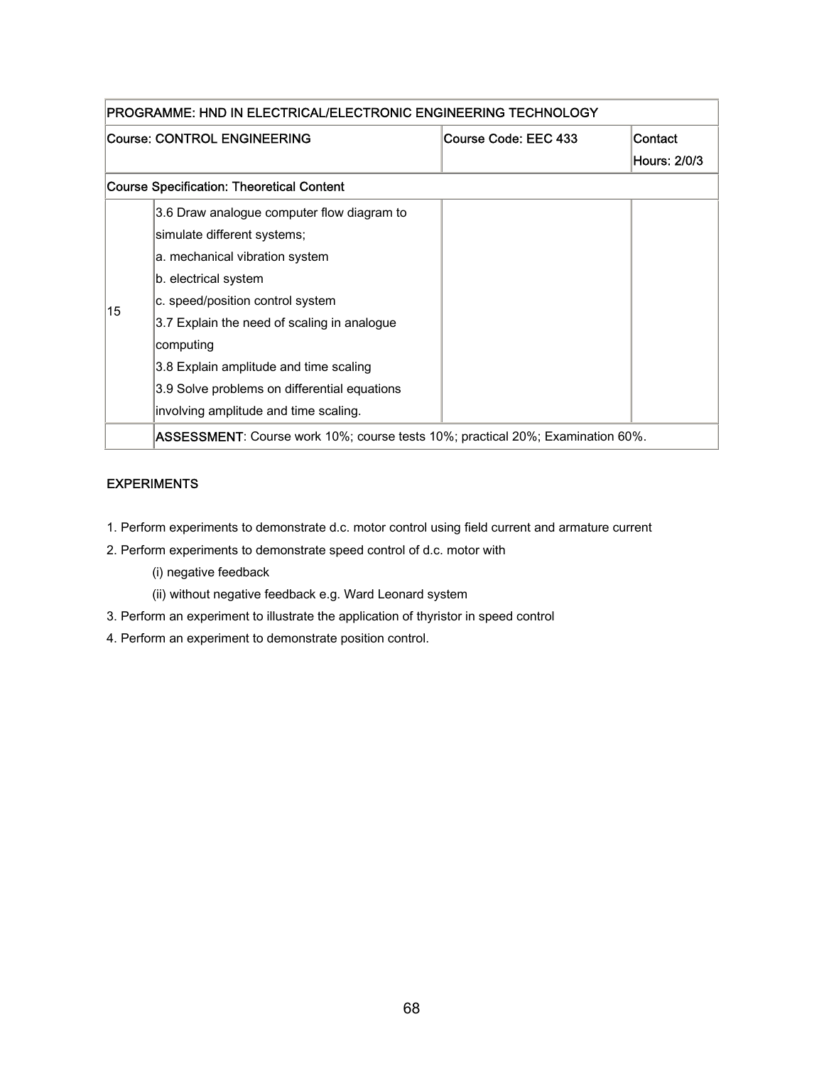| PROGRAMME: HND IN ELECTRICAL/ELECTRONIC ENGINEERING TECHNOLOGY |                                                                                        |                      |              |
|----------------------------------------------------------------|----------------------------------------------------------------------------------------|----------------------|--------------|
|                                                                | Course: CONTROL ENGINEERING                                                            | Course Code: EEC 433 | Contact      |
|                                                                |                                                                                        |                      | Hours: 2/0/3 |
|                                                                | <b>Course Specification: Theoretical Content</b>                                       |                      |              |
|                                                                | 3.6 Draw analogue computer flow diagram to                                             |                      |              |
|                                                                | simulate different systems;                                                            |                      |              |
|                                                                | a. mechanical vibration system                                                         |                      |              |
|                                                                | b. electrical system                                                                   |                      |              |
| 15                                                             | c. speed/position control system                                                       |                      |              |
|                                                                | 3.7 Explain the need of scaling in analogue                                            |                      |              |
|                                                                | computing                                                                              |                      |              |
|                                                                | 3.8 Explain amplitude and time scaling                                                 |                      |              |
|                                                                | 3.9 Solve problems on differential equations                                           |                      |              |
|                                                                | involving amplitude and time scaling.                                                  |                      |              |
|                                                                | <b>ASSESSMENT</b> : Course work 10%; course tests 10%; practical 20%; Examination 60%. |                      |              |

#### EXPERIMENTS

- 1. Perform experiments to demonstrate d.c. motor control using field current and armature current
- 2. Perform experiments to demonstrate speed control of d.c. motor with
	- (i) negative feedback
	- (ii) without negative feedback e.g. Ward Leonard system
- 3. Perform an experiment to illustrate the application of thyristor in speed control
- 4. Perform an experiment to demonstrate position control.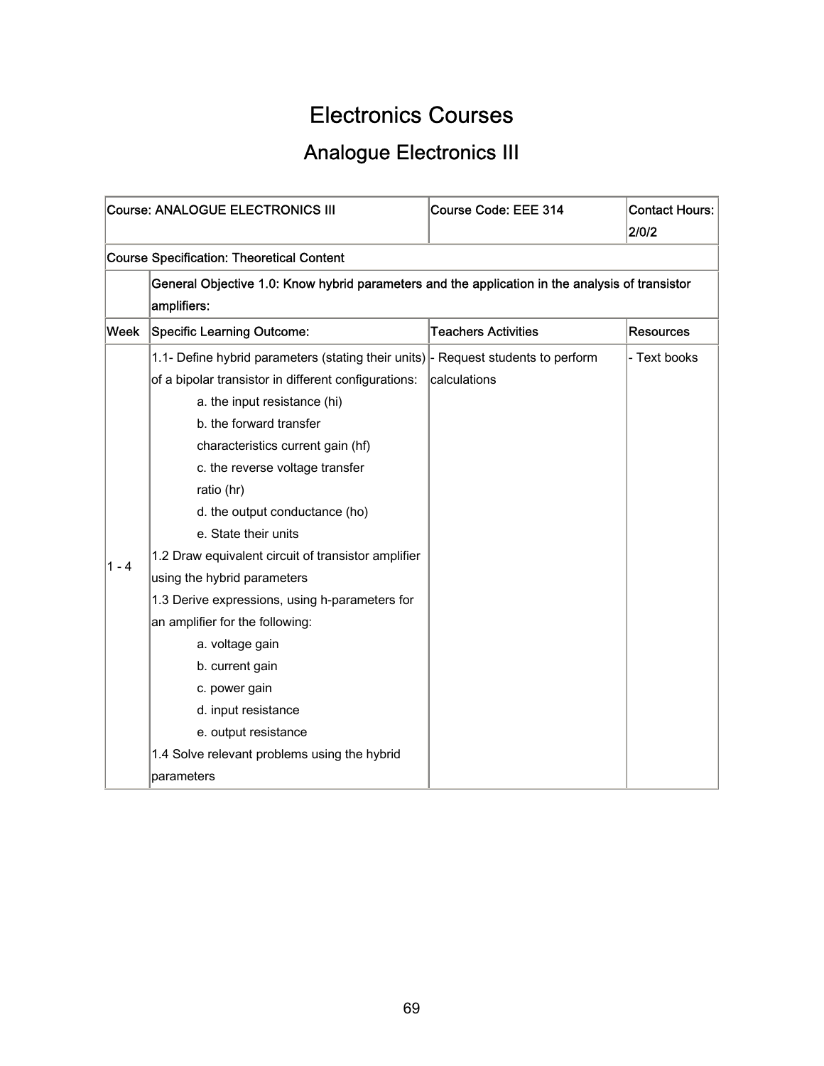## Electronics Courses

## Analogue Electronics III

|       | <b>Course: ANALOGUE ELECTRONICS III</b>                                                                                                                                                                                                                                                                                                                                                                                                                                                                                                                                                                                                                                                              | Course Code: EEE 314       | <b>Contact Hours:</b><br>2/0/2 |  |  |
|-------|------------------------------------------------------------------------------------------------------------------------------------------------------------------------------------------------------------------------------------------------------------------------------------------------------------------------------------------------------------------------------------------------------------------------------------------------------------------------------------------------------------------------------------------------------------------------------------------------------------------------------------------------------------------------------------------------------|----------------------------|--------------------------------|--|--|
|       | <b>Course Specification: Theoretical Content</b>                                                                                                                                                                                                                                                                                                                                                                                                                                                                                                                                                                                                                                                     |                            |                                |  |  |
|       | General Objective 1.0: Know hybrid parameters and the application in the analysis of transistor<br>amplifiers:                                                                                                                                                                                                                                                                                                                                                                                                                                                                                                                                                                                       |                            |                                |  |  |
| Week  | <b>Specific Learning Outcome:</b>                                                                                                                                                                                                                                                                                                                                                                                                                                                                                                                                                                                                                                                                    | <b>Teachers Activities</b> | <b>Resources</b>               |  |  |
| 1 - 4 | 1.1- Define hybrid parameters (stating their units)  - Request students to perform<br>of a bipolar transistor in different configurations:<br>a. the input resistance (hi)<br>b. the forward transfer<br>characteristics current gain (hf)<br>c. the reverse voltage transfer<br>ratio (hr)<br>d. the output conductance (ho)<br>e. State their units<br>1.2 Draw equivalent circuit of transistor amplifier<br>using the hybrid parameters<br>1.3 Derive expressions, using h-parameters for<br>an amplifier for the following:<br>a. voltage gain<br>b. current gain<br>c. power gain<br>d. input resistance<br>e. output resistance<br>1.4 Solve relevant problems using the hybrid<br>parameters | calculations               | - Text books                   |  |  |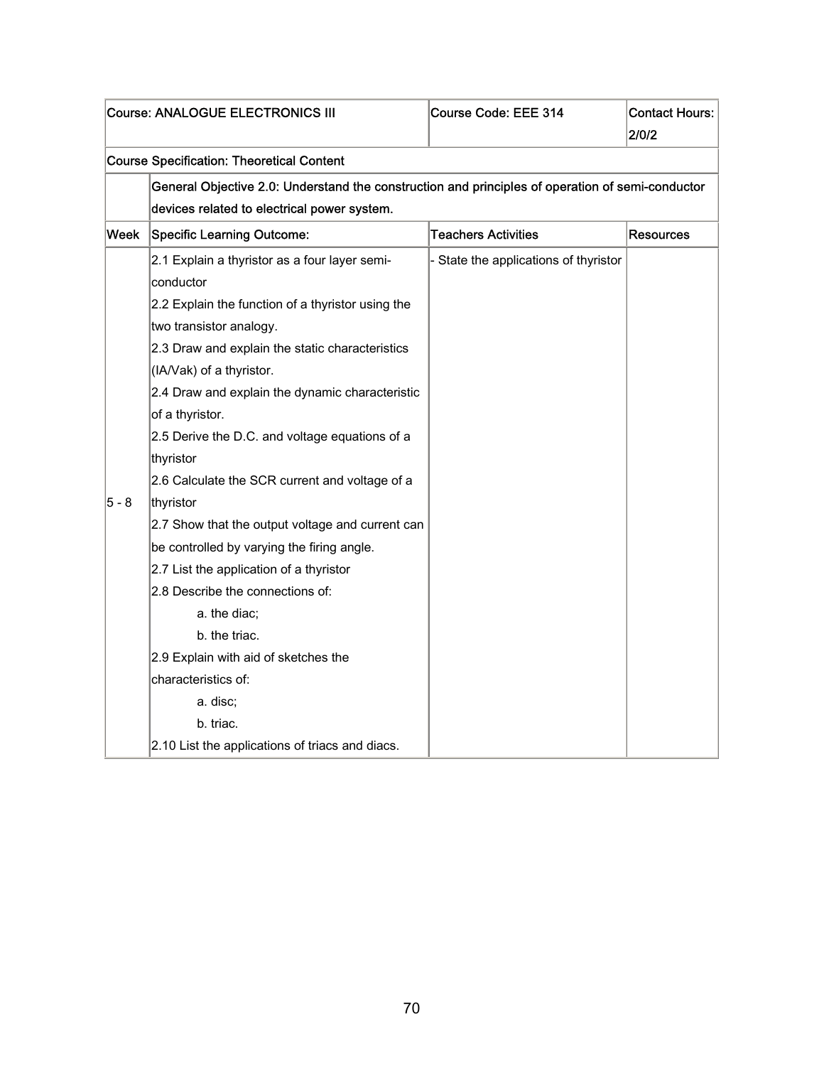|       | Course: ANALOGUE ELECTRONICS III                                                                 | Course Code: EEE 314                  | <b>Contact Hours:</b><br>2/0/2 |
|-------|--------------------------------------------------------------------------------------------------|---------------------------------------|--------------------------------|
|       | <b>Course Specification: Theoretical Content</b>                                                 |                                       |                                |
|       | General Objective 2.0: Understand the construction and principles of operation of semi-conductor |                                       |                                |
|       | devices related to electrical power system.                                                      |                                       |                                |
| Week  | <b>Specific Learning Outcome:</b>                                                                | <b>Teachers Activities</b>            | <b>Resources</b>               |
|       | 2.1 Explain a thyristor as a four layer semi-                                                    | - State the applications of thyristor |                                |
|       | conductor                                                                                        |                                       |                                |
|       | 2.2 Explain the function of a thyristor using the                                                |                                       |                                |
|       | two transistor analogy.                                                                          |                                       |                                |
|       | 2.3 Draw and explain the static characteristics                                                  |                                       |                                |
|       | (IA/Vak) of a thyristor.                                                                         |                                       |                                |
|       | 2.4 Draw and explain the dynamic characteristic                                                  |                                       |                                |
|       | of a thyristor.                                                                                  |                                       |                                |
|       | 2.5 Derive the D.C. and voltage equations of a                                                   |                                       |                                |
|       | thyristor                                                                                        |                                       |                                |
|       | 2.6 Calculate the SCR current and voltage of a                                                   |                                       |                                |
| 5 - 8 | thyristor                                                                                        |                                       |                                |
|       | 2.7 Show that the output voltage and current can                                                 |                                       |                                |
|       | be controlled by varying the firing angle.                                                       |                                       |                                |
|       | 2.7 List the application of a thyristor                                                          |                                       |                                |
|       | 2.8 Describe the connections of:                                                                 |                                       |                                |
|       | a. the diac;                                                                                     |                                       |                                |
|       | b. the triac.                                                                                    |                                       |                                |
|       | 2.9 Explain with aid of sketches the                                                             |                                       |                                |
|       | characteristics of:                                                                              |                                       |                                |
|       | a. disc;                                                                                         |                                       |                                |
|       | b. triac.                                                                                        |                                       |                                |
|       | 2.10 List the applications of triacs and diacs.                                                  |                                       |                                |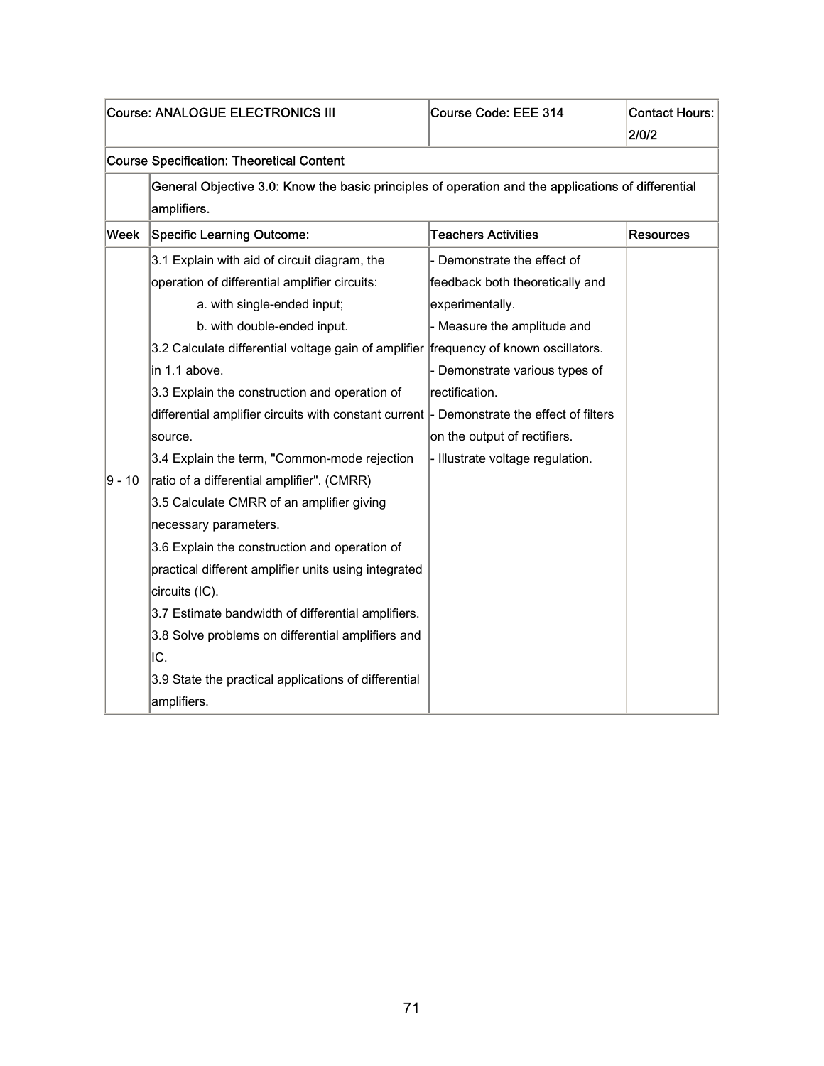|          | <b>Course: ANALOGUE ELECTRONICS III</b>                                                                           | Course Code: EEE 314             | <b>Contact Hours:</b><br>2/0/2 |
|----------|-------------------------------------------------------------------------------------------------------------------|----------------------------------|--------------------------------|
|          | <b>Course Specification: Theoretical Content</b>                                                                  |                                  |                                |
|          | General Objective 3.0: Know the basic principles of operation and the applications of differential<br>amplifiers. |                                  |                                |
| Week     | <b>Specific Learning Outcome:</b>                                                                                 | <b>Teachers Activities</b>       | <b>Resources</b>               |
|          | 3.1 Explain with aid of circuit diagram, the                                                                      | - Demonstrate the effect of      |                                |
|          | operation of differential amplifier circuits:                                                                     | feedback both theoretically and  |                                |
|          | a. with single-ended input;                                                                                       | experimentally.                  |                                |
|          | b. with double-ended input.                                                                                       | - Measure the amplitude and      |                                |
|          | 3.2 Calculate differential voltage gain of amplifier frequency of known oscillators.                              |                                  |                                |
|          | in 1.1 above.                                                                                                     | - Demonstrate various types of   |                                |
|          | 3.3 Explain the construction and operation of                                                                     | rectification.                   |                                |
|          | differential amplifier circuits with constant current  - Demonstrate the effect of filters                        |                                  |                                |
|          | source.                                                                                                           | on the output of rectifiers.     |                                |
|          | 3.4 Explain the term, "Common-mode rejection                                                                      | - Illustrate voltage regulation. |                                |
| $9 - 10$ | ratio of a differential amplifier". (CMRR)                                                                        |                                  |                                |
|          | 3.5 Calculate CMRR of an amplifier giving                                                                         |                                  |                                |
|          | necessary parameters.                                                                                             |                                  |                                |
|          | 3.6 Explain the construction and operation of                                                                     |                                  |                                |
|          | practical different amplifier units using integrated                                                              |                                  |                                |
|          | circuits (IC).                                                                                                    |                                  |                                |
|          | 3.7 Estimate bandwidth of differential amplifiers.                                                                |                                  |                                |
|          | 3.8 Solve problems on differential amplifiers and                                                                 |                                  |                                |
|          | IC.                                                                                                               |                                  |                                |
|          | 3.9 State the practical applications of differential                                                              |                                  |                                |
|          | amplifiers.                                                                                                       |                                  |                                |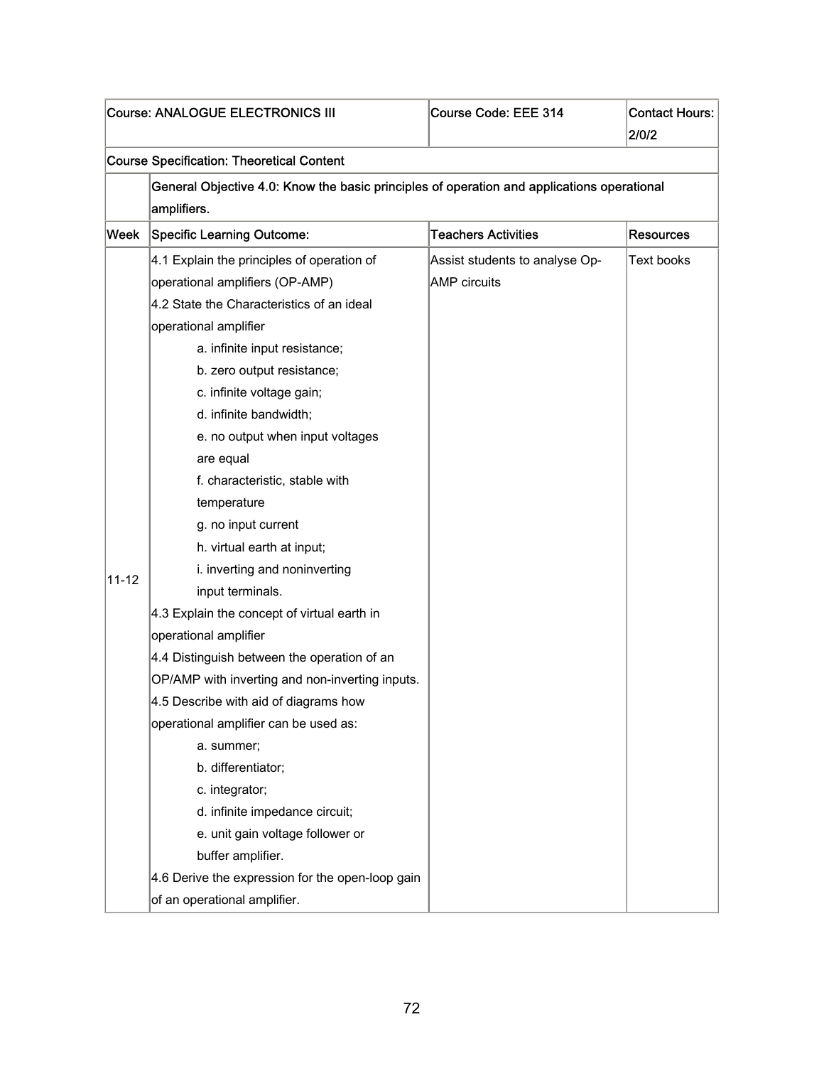|           | Course: ANALOGUE ELECTRONICS III                                                           | Course Code: EEE 314           | <b>Contact Hours:</b> |
|-----------|--------------------------------------------------------------------------------------------|--------------------------------|-----------------------|
|           |                                                                                            |                                | 2/0/2                 |
|           | <b>Course Specification: Theoretical Content</b>                                           |                                |                       |
|           | General Objective 4.0: Know the basic principles of operation and applications operational |                                |                       |
|           | amplifiers.                                                                                |                                |                       |
| Week      | <b>Specific Learning Outcome:</b>                                                          | <b>Teachers Activities</b>     | <b>Resources</b>      |
|           | 4.1 Explain the principles of operation of                                                 | Assist students to analyse Op- | <b>Text books</b>     |
|           | operational amplifiers (OP-AMP)                                                            | <b>AMP</b> circuits            |                       |
|           | 4.2 State the Characteristics of an ideal                                                  |                                |                       |
|           | operational amplifier                                                                      |                                |                       |
|           | a. infinite input resistance;                                                              |                                |                       |
|           | b. zero output resistance;                                                                 |                                |                       |
|           | c. infinite voltage gain;                                                                  |                                |                       |
|           | d. infinite bandwidth;                                                                     |                                |                       |
|           | e. no output when input voltages                                                           |                                |                       |
|           | are equal                                                                                  |                                |                       |
|           | f. characteristic, stable with                                                             |                                |                       |
|           | temperature                                                                                |                                |                       |
|           | g. no input current                                                                        |                                |                       |
|           | h. virtual earth at input;                                                                 |                                |                       |
| $11 - 12$ | i. inverting and noninverting                                                              |                                |                       |
|           | input terminals.                                                                           |                                |                       |
|           | 4.3 Explain the concept of virtual earth in                                                |                                |                       |
|           | operational amplifier                                                                      |                                |                       |
|           | 4.4 Distinguish between the operation of an                                                |                                |                       |
|           | OP/AMP with inverting and non-inverting inputs.                                            |                                |                       |
|           | 4.5 Describe with aid of diagrams how                                                      |                                |                       |
|           | operational amplifier can be used as:                                                      |                                |                       |
|           | a. summer;                                                                                 |                                |                       |
|           | b. differentiator;                                                                         |                                |                       |
|           | c. integrator;                                                                             |                                |                       |
|           | d. infinite impedance circuit;                                                             |                                |                       |
|           | e. unit gain voltage follower or                                                           |                                |                       |
|           | buffer amplifier.                                                                          |                                |                       |
|           | 4.6 Derive the expression for the open-loop gain                                           |                                |                       |
|           | of an operational amplifier.                                                               |                                |                       |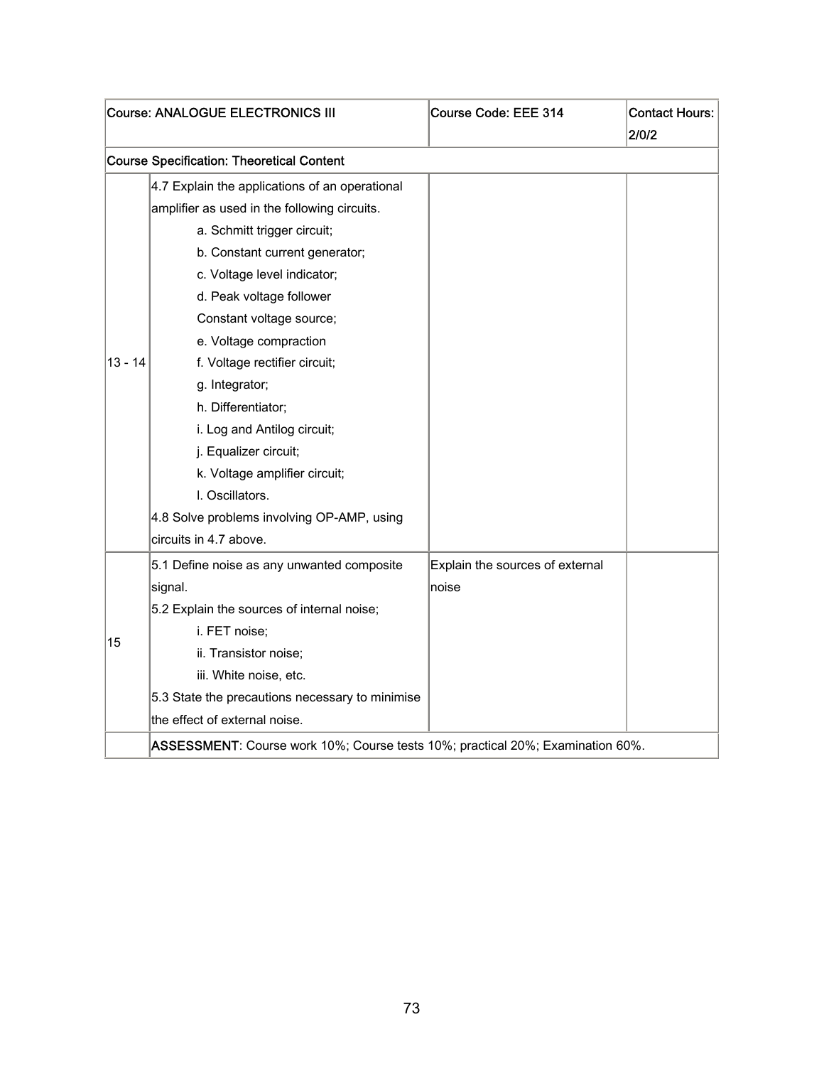|           | Course: ANALOGUE ELECTRONICS III                                               | Course Code: EEE 314            | <b>Contact Hours:</b><br>2/0/2 |
|-----------|--------------------------------------------------------------------------------|---------------------------------|--------------------------------|
|           | <b>Course Specification: Theoretical Content</b>                               |                                 |                                |
|           | 4.7 Explain the applications of an operational                                 |                                 |                                |
|           | amplifier as used in the following circuits.                                   |                                 |                                |
|           | a. Schmitt trigger circuit;                                                    |                                 |                                |
|           | b. Constant current generator;                                                 |                                 |                                |
|           | c. Voltage level indicator;                                                    |                                 |                                |
|           | d. Peak voltage follower                                                       |                                 |                                |
|           | Constant voltage source;                                                       |                                 |                                |
|           | e. Voltage compraction                                                         |                                 |                                |
| $13 - 14$ | f. Voltage rectifier circuit;                                                  |                                 |                                |
|           | g. Integrator;                                                                 |                                 |                                |
|           | h. Differentiator;                                                             |                                 |                                |
|           | i. Log and Antilog circuit;                                                    |                                 |                                |
|           | j. Equalizer circuit;                                                          |                                 |                                |
|           | k. Voltage amplifier circuit;                                                  |                                 |                                |
|           | I. Oscillators.                                                                |                                 |                                |
|           | 4.8 Solve problems involving OP-AMP, using                                     |                                 |                                |
|           | circuits in 4.7 above.                                                         |                                 |                                |
|           | 5.1 Define noise as any unwanted composite                                     | Explain the sources of external |                                |
|           | signal.                                                                        | noise                           |                                |
|           | 5.2 Explain the sources of internal noise;                                     |                                 |                                |
| 15        | i. FET noise;                                                                  |                                 |                                |
|           | ii. Transistor noise;                                                          |                                 |                                |
|           | iii. White noise, etc.                                                         |                                 |                                |
|           | 5.3 State the precautions necessary to minimise                                |                                 |                                |
|           | the effect of external noise.                                                  |                                 |                                |
|           | ASSESSMENT: Course work 10%; Course tests 10%; practical 20%; Examination 60%. |                                 |                                |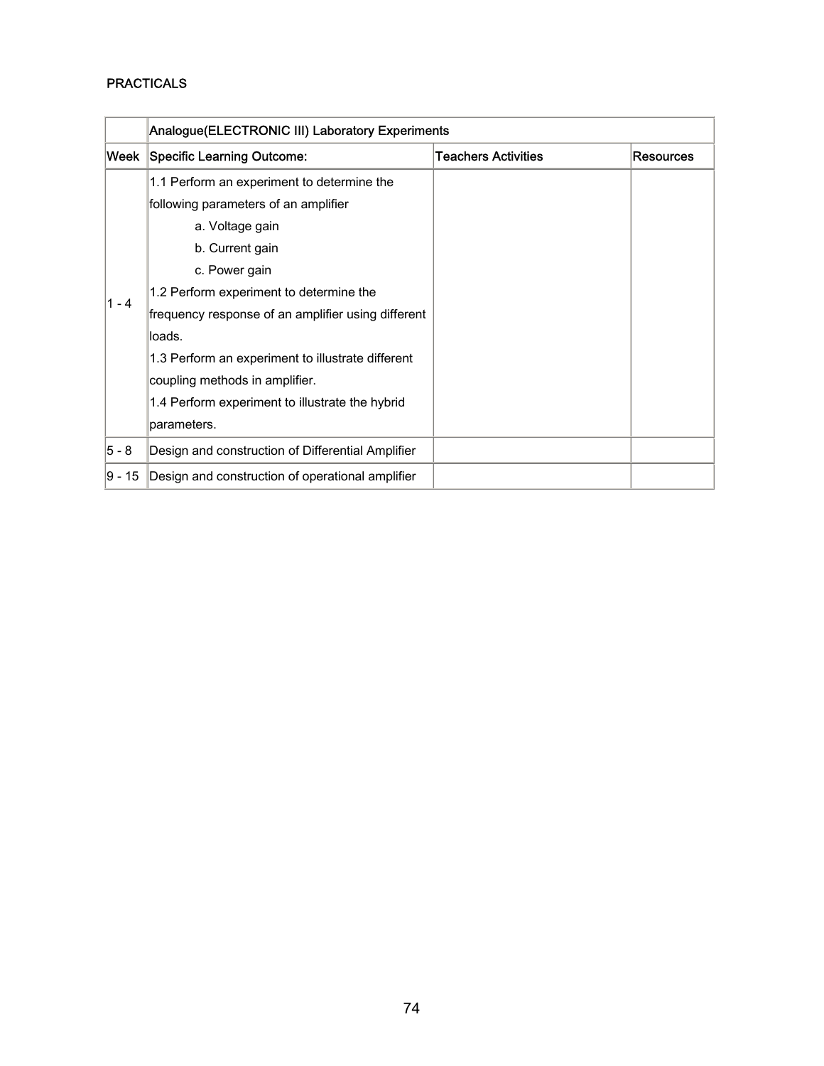### PRACTICALS

|         | Analogue(ELECTRONIC III) Laboratory Experiments    |                            |                  |
|---------|----------------------------------------------------|----------------------------|------------------|
|         | Week Specific Learning Outcome:                    | <b>Teachers Activities</b> | <b>Resources</b> |
|         | 1.1 Perform an experiment to determine the         |                            |                  |
|         | following parameters of an amplifier               |                            |                  |
|         | a. Voltage gain                                    |                            |                  |
|         | b. Current gain                                    |                            |                  |
|         | c. Power gain                                      |                            |                  |
| $1 - 4$ | 1.2 Perform experiment to determine the            |                            |                  |
|         | frequency response of an amplifier using different |                            |                  |
|         | loads.                                             |                            |                  |
|         | 1.3 Perform an experiment to illustrate different  |                            |                  |
|         | coupling methods in amplifier.                     |                            |                  |
|         | 1.4 Perform experiment to illustrate the hybrid    |                            |                  |
|         | parameters.                                        |                            |                  |
| 5 - 8   | Design and construction of Differential Amplifier  |                            |                  |
| 9 - 15  | Design and construction of operational amplifier   |                            |                  |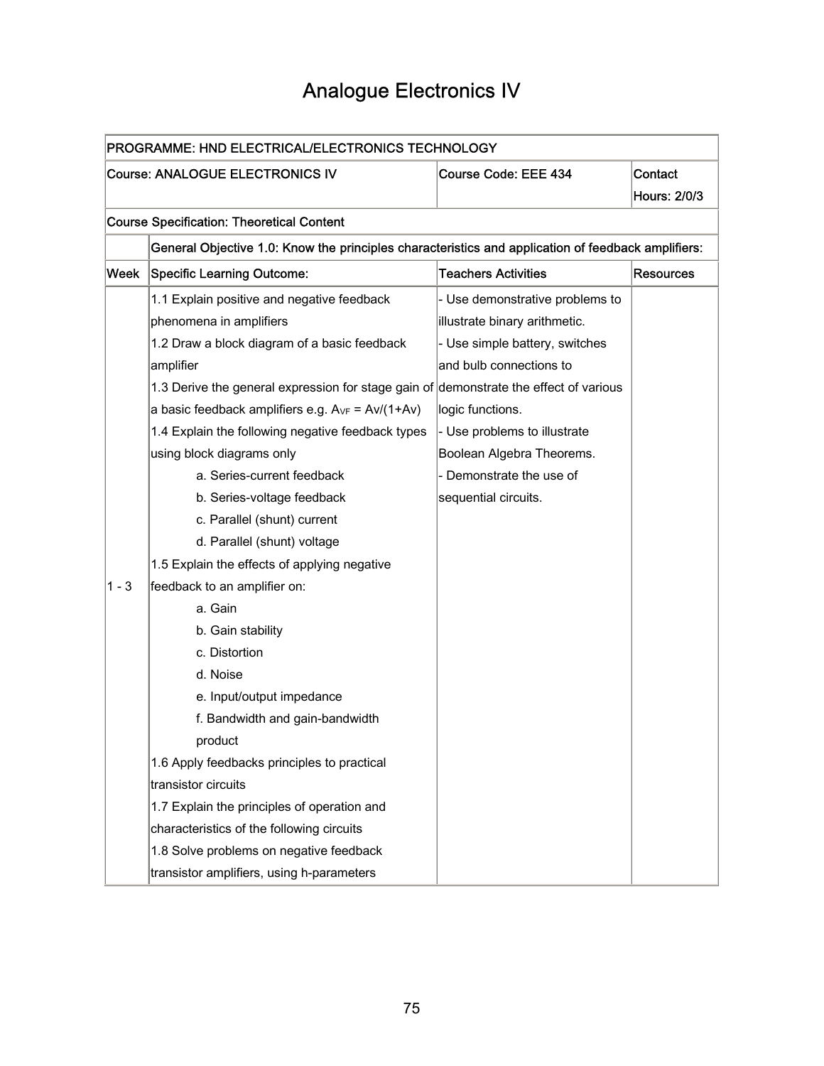### Analogue Electronics IV

|         | PROGRAMME: HND ELECTRICAL/ELECTRONICS TECHNOLOGY                                                   |                                 |                  |  |
|---------|----------------------------------------------------------------------------------------------------|---------------------------------|------------------|--|
|         | Course: ANALOGUE ELECTRONICS IV                                                                    | Course Code: EEE 434            | Contact          |  |
|         |                                                                                                    |                                 | Hours: 2/0/3     |  |
|         | <b>Course Specification: Theoretical Content</b>                                                   |                                 |                  |  |
|         | General Objective 1.0: Know the principles characteristics and application of feedback amplifiers: |                                 |                  |  |
| Week    | <b>Specific Learning Outcome:</b>                                                                  | <b>Teachers Activities</b>      | <b>Resources</b> |  |
|         | 1.1 Explain positive and negative feedback                                                         | - Use demonstrative problems to |                  |  |
|         | phenomena in amplifiers                                                                            | illustrate binary arithmetic.   |                  |  |
|         | 1.2 Draw a block diagram of a basic feedback                                                       | - Use simple battery, switches  |                  |  |
|         | amplifier                                                                                          | and bulb connections to         |                  |  |
|         | 1.3 Derive the general expression for stage gain of demonstrate the effect of various              |                                 |                  |  |
|         | a basic feedback amplifiers e.g. $A_{VF} = Av/(1+Av)$                                              | logic functions.                |                  |  |
|         | 1.4 Explain the following negative feedback types                                                  | - Use problems to illustrate    |                  |  |
|         | using block diagrams only                                                                          | Boolean Algebra Theorems.       |                  |  |
|         | a. Series-current feedback                                                                         | - Demonstrate the use of        |                  |  |
|         | b. Series-voltage feedback                                                                         | sequential circuits.            |                  |  |
|         | c. Parallel (shunt) current                                                                        |                                 |                  |  |
|         | d. Parallel (shunt) voltage                                                                        |                                 |                  |  |
|         | 1.5 Explain the effects of applying negative                                                       |                                 |                  |  |
| $1 - 3$ | feedback to an amplifier on:                                                                       |                                 |                  |  |
|         | a. Gain                                                                                            |                                 |                  |  |
|         | b. Gain stability                                                                                  |                                 |                  |  |
|         | c. Distortion                                                                                      |                                 |                  |  |
|         | d. Noise                                                                                           |                                 |                  |  |
|         | e. Input/output impedance                                                                          |                                 |                  |  |
|         | f. Bandwidth and gain-bandwidth                                                                    |                                 |                  |  |
|         | product                                                                                            |                                 |                  |  |
|         | 1.6 Apply feedbacks principles to practical                                                        |                                 |                  |  |
|         | transistor circuits                                                                                |                                 |                  |  |
|         | 1.7 Explain the principles of operation and                                                        |                                 |                  |  |
|         | characteristics of the following circuits                                                          |                                 |                  |  |
|         | 1.8 Solve problems on negative feedback                                                            |                                 |                  |  |
|         | transistor amplifiers, using h-parameters                                                          |                                 |                  |  |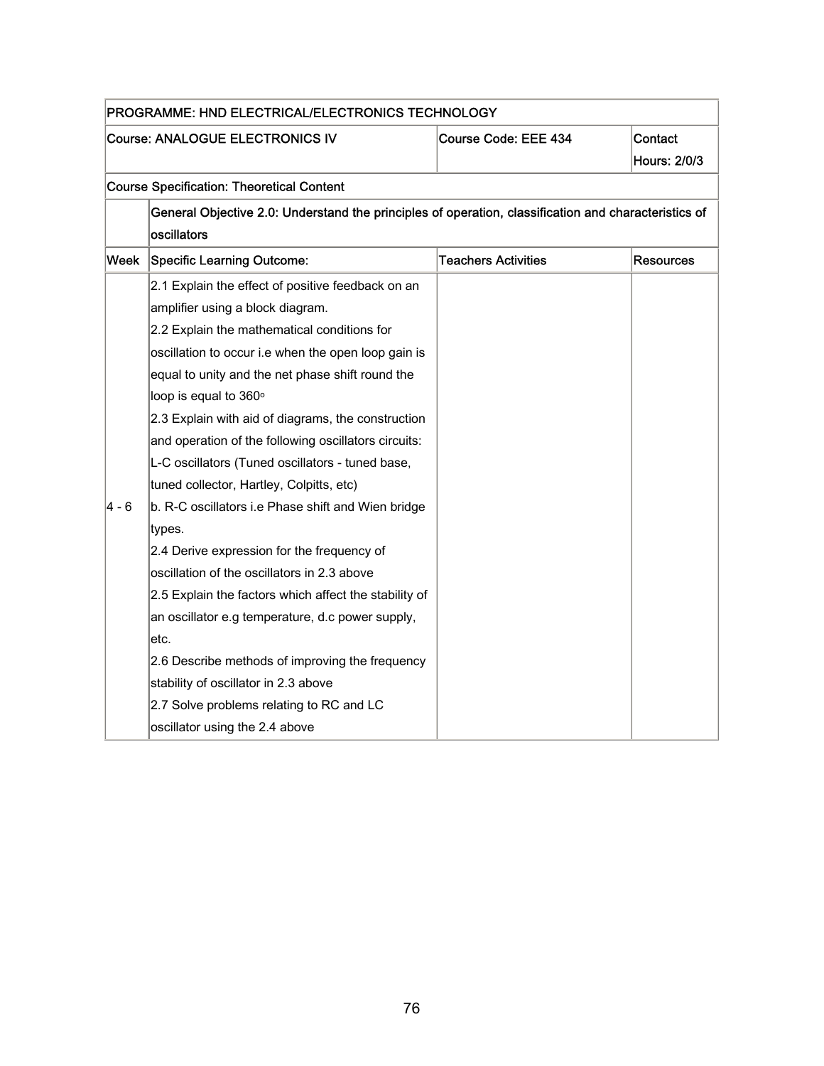|       | PROGRAMME: HND ELECTRICAL/ELECTRONICS TECHNOLOGY                                                     |                            |                  |
|-------|------------------------------------------------------------------------------------------------------|----------------------------|------------------|
|       | Course: ANALOGUE ELECTRONICS IV                                                                      | Course Code: EEE 434       | Contact          |
|       |                                                                                                      |                            | Hours: 2/0/3     |
|       | <b>Course Specification: Theoretical Content</b>                                                     |                            |                  |
|       | General Objective 2.0: Understand the principles of operation, classification and characteristics of |                            |                  |
|       | oscillators                                                                                          |                            |                  |
| Week  | <b>Specific Learning Outcome:</b>                                                                    | <b>Teachers Activities</b> | <b>Resources</b> |
|       | 2.1 Explain the effect of positive feedback on an                                                    |                            |                  |
|       | amplifier using a block diagram.                                                                     |                            |                  |
|       | 2.2 Explain the mathematical conditions for                                                          |                            |                  |
|       | oscillation to occur i.e when the open loop gain is                                                  |                            |                  |
|       | equal to unity and the net phase shift round the                                                     |                            |                  |
|       | loop is equal to 360°                                                                                |                            |                  |
|       | 2.3 Explain with aid of diagrams, the construction                                                   |                            |                  |
|       | and operation of the following oscillators circuits:                                                 |                            |                  |
|       | L-C oscillators (Tuned oscillators - tuned base,                                                     |                            |                  |
|       | tuned collector, Hartley, Colpitts, etc)                                                             |                            |                  |
| 4 - 6 | b. R-C oscillators i.e Phase shift and Wien bridge                                                   |                            |                  |
|       | types.                                                                                               |                            |                  |
|       | 2.4 Derive expression for the frequency of                                                           |                            |                  |
|       | oscillation of the oscillators in 2.3 above                                                          |                            |                  |
|       | 2.5 Explain the factors which affect the stability of                                                |                            |                  |
|       | an oscillator e.g temperature, d.c power supply,                                                     |                            |                  |
|       | letc.                                                                                                |                            |                  |
|       | 2.6 Describe methods of improving the frequency                                                      |                            |                  |
|       | stability of oscillator in 2.3 above                                                                 |                            |                  |
|       | 2.7 Solve problems relating to RC and LC                                                             |                            |                  |
|       | oscillator using the 2.4 above                                                                       |                            |                  |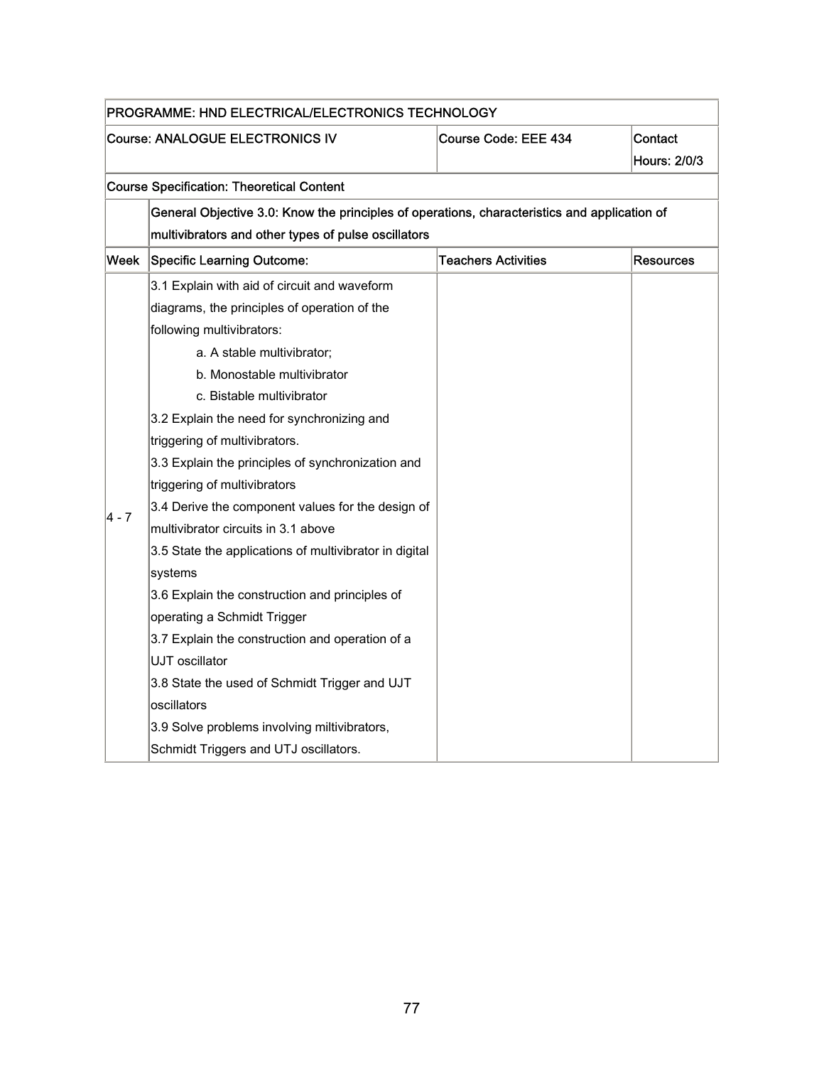|       | PROGRAMME: HND ELECTRICAL/ELECTRONICS TECHNOLOGY                                             |                            |                         |  |
|-------|----------------------------------------------------------------------------------------------|----------------------------|-------------------------|--|
|       | <b>Course: ANALOGUE ELECTRONICS IV</b>                                                       | Course Code: EEE 434       | Contact<br>Hours: 2/0/3 |  |
|       | <b>Course Specification: Theoretical Content</b>                                             |                            |                         |  |
|       | General Objective 3.0: Know the principles of operations, characteristics and application of |                            |                         |  |
|       | multivibrators and other types of pulse oscillators                                          |                            |                         |  |
| Week  | <b>Specific Learning Outcome:</b>                                                            | <b>Teachers Activities</b> | <b>Resources</b>        |  |
|       | 3.1 Explain with aid of circuit and waveform                                                 |                            |                         |  |
|       | diagrams, the principles of operation of the                                                 |                            |                         |  |
|       | following multivibrators:                                                                    |                            |                         |  |
|       | a. A stable multivibrator;                                                                   |                            |                         |  |
|       | b. Monostable multivibrator                                                                  |                            |                         |  |
|       | c. Bistable multivibrator                                                                    |                            |                         |  |
|       | 3.2 Explain the need for synchronizing and                                                   |                            |                         |  |
|       | triggering of multivibrators.                                                                |                            |                         |  |
|       | 3.3 Explain the principles of synchronization and                                            |                            |                         |  |
|       | triggering of multivibrators                                                                 |                            |                         |  |
| 4 - 7 | 3.4 Derive the component values for the design of                                            |                            |                         |  |
|       | multivibrator circuits in 3.1 above                                                          |                            |                         |  |
|       | 3.5 State the applications of multivibrator in digital                                       |                            |                         |  |
|       | systems                                                                                      |                            |                         |  |
|       | 3.6 Explain the construction and principles of                                               |                            |                         |  |
|       | operating a Schmidt Trigger                                                                  |                            |                         |  |
|       | 3.7 Explain the construction and operation of a                                              |                            |                         |  |
|       | UJT oscillator                                                                               |                            |                         |  |
|       | 3.8 State the used of Schmidt Trigger and UJT                                                |                            |                         |  |
|       | oscillators                                                                                  |                            |                         |  |
|       | 3.9 Solve problems involving miltivibrators,                                                 |                            |                         |  |
|       | Schmidt Triggers and UTJ oscillators.                                                        |                            |                         |  |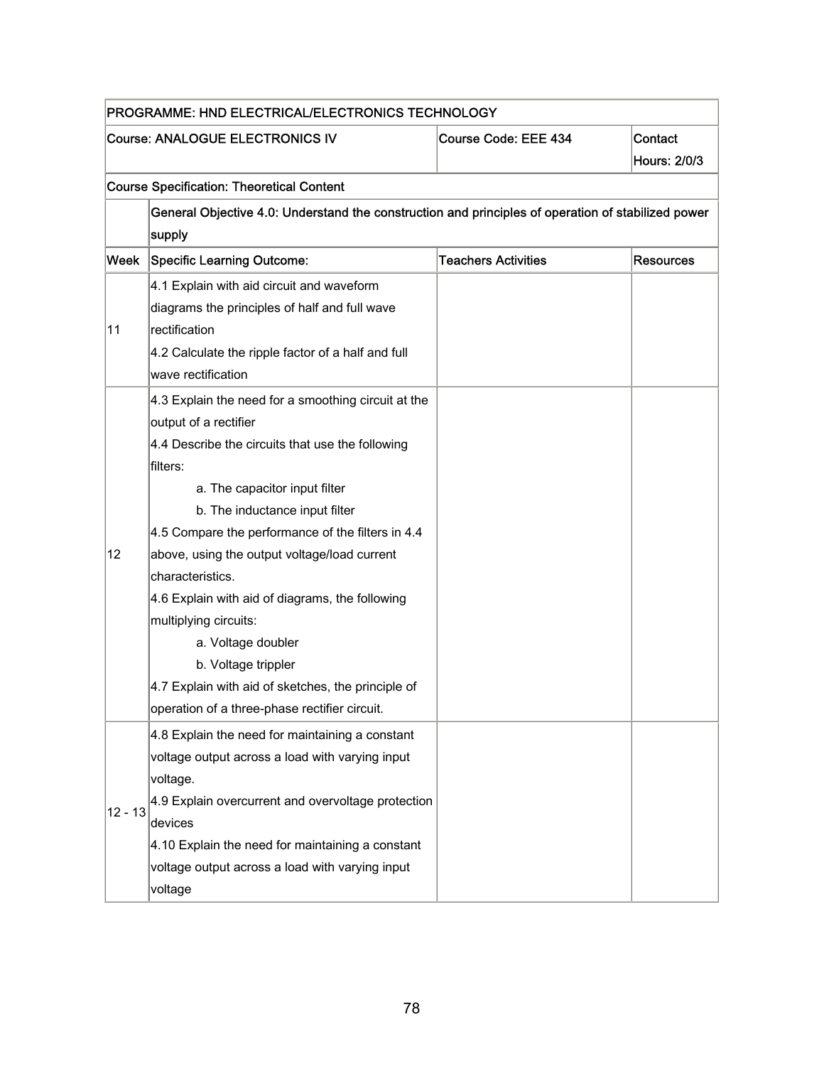|           | PROGRAMME: HND ELECTRICAL/ELECTRONICS TECHNOLOGY                                                   |                            |                  |  |
|-----------|----------------------------------------------------------------------------------------------------|----------------------------|------------------|--|
|           | <b>Course: ANALOGUE ELECTRONICS IV</b>                                                             | Course Code: EEE 434       | Contact          |  |
|           |                                                                                                    |                            | Hours: 2/0/3     |  |
|           | <b>Course Specification: Theoretical Content</b>                                                   |                            |                  |  |
|           | General Objective 4.0: Understand the construction and principles of operation of stabilized power |                            |                  |  |
|           | supply                                                                                             |                            |                  |  |
| Week      | <b>Specific Learning Outcome:</b>                                                                  | <b>Teachers Activities</b> | <b>Resources</b> |  |
|           | 4.1 Explain with aid circuit and waveform                                                          |                            |                  |  |
|           | diagrams the principles of half and full wave                                                      |                            |                  |  |
| 11        | rectification                                                                                      |                            |                  |  |
|           | 4.2 Calculate the ripple factor of a half and full                                                 |                            |                  |  |
|           | wave rectification                                                                                 |                            |                  |  |
|           | 4.3 Explain the need for a smoothing circuit at the                                                |                            |                  |  |
|           | output of a rectifier                                                                              |                            |                  |  |
|           | 4.4 Describe the circuits that use the following                                                   |                            |                  |  |
|           | filters:                                                                                           |                            |                  |  |
|           | a. The capacitor input filter                                                                      |                            |                  |  |
|           | b. The inductance input filter                                                                     |                            |                  |  |
|           | 4.5 Compare the performance of the filters in 4.4                                                  |                            |                  |  |
| 12        | above, using the output voltage/load current                                                       |                            |                  |  |
|           | characteristics.                                                                                   |                            |                  |  |
|           | 4.6 Explain with aid of diagrams, the following                                                    |                            |                  |  |
|           | multiplying circuits:                                                                              |                            |                  |  |
|           | a. Voltage doubler                                                                                 |                            |                  |  |
|           | b. Voltage trippler                                                                                |                            |                  |  |
|           | 4.7 Explain with aid of sketches, the principle of                                                 |                            |                  |  |
|           | operation of a three-phase rectifier circuit.                                                      |                            |                  |  |
|           | 4.8 Explain the need for maintaining a constant                                                    |                            |                  |  |
|           | voltage output across a load with varying input                                                    |                            |                  |  |
|           | voltage.                                                                                           |                            |                  |  |
| $12 - 13$ | 4.9 Explain overcurrent and overvoltage protection                                                 |                            |                  |  |
|           | devices                                                                                            |                            |                  |  |
|           | 4.10 Explain the need for maintaining a constant                                                   |                            |                  |  |
|           | voltage output across a load with varying input                                                    |                            |                  |  |
|           | voltage                                                                                            |                            |                  |  |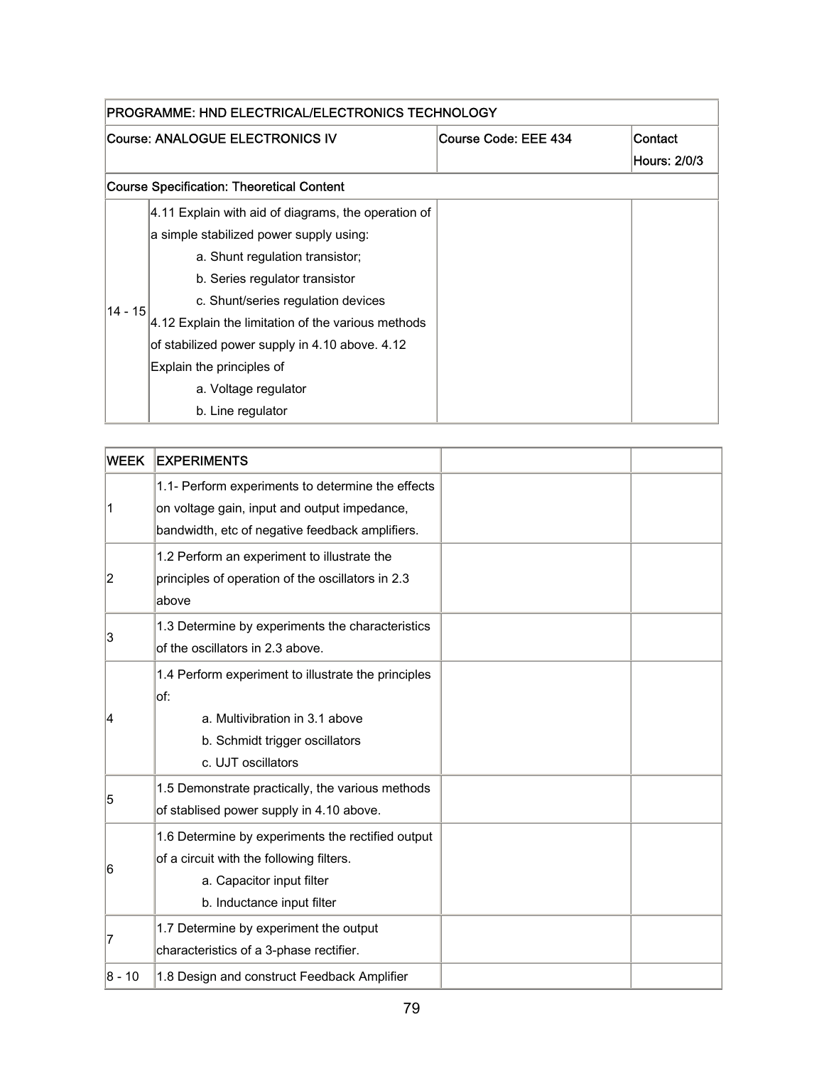| PROGRAMME: HND ELECTRICAL/ELECTRONICS TECHNOLOGY |                                                     |                      |              |
|--------------------------------------------------|-----------------------------------------------------|----------------------|--------------|
|                                                  | Course: ANALOGUE ELECTRONICS IV                     | Course Code: EEE 434 | Contact      |
|                                                  |                                                     |                      | Hours: 2/0/3 |
|                                                  | Course Specification: Theoretical Content           |                      |              |
|                                                  | 4.11 Explain with aid of diagrams, the operation of |                      |              |
|                                                  | a simple stabilized power supply using:             |                      |              |
|                                                  | a. Shunt regulation transistor;                     |                      |              |
|                                                  | b. Series regulator transistor                      |                      |              |
|                                                  | c. Shunt/series regulation devices                  |                      |              |
| $14 - 15$                                        | 4.12 Explain the limitation of the various methods  |                      |              |
|                                                  | of stabilized power supply in 4.10 above. 4.12      |                      |              |
|                                                  | Explain the principles of                           |                      |              |
|                                                  | a. Voltage regulator                                |                      |              |
|                                                  | b. Line regulator                                   |                      |              |

| <b>WEEK</b> | <b>EXPERIMENTS</b>                                                                                                                                       |  |
|-------------|----------------------------------------------------------------------------------------------------------------------------------------------------------|--|
| 1           | 1.1- Perform experiments to determine the effects<br>on voltage gain, input and output impedance,<br>bandwidth, etc of negative feedback amplifiers.     |  |
| 2           | 1.2 Perform an experiment to illustrate the<br>principles of operation of the oscillators in 2.3<br>above                                                |  |
| 3           | 1.3 Determine by experiments the characteristics<br>of the oscillators in 2.3 above.                                                                     |  |
| 14          | 1.4 Perform experiment to illustrate the principles<br>of:<br>a. Multivibration in 3.1 above<br>b. Schmidt trigger oscillators<br>c. UJT oscillators     |  |
| 5           | 1.5 Demonstrate practically, the various methods<br>of stablised power supply in 4.10 above.                                                             |  |
| 6           | 1.6 Determine by experiments the rectified output<br>of a circuit with the following filters.<br>a. Capacitor input filter<br>b. Inductance input filter |  |
| 7           | 1.7 Determine by experiment the output<br>characteristics of a 3-phase rectifier.                                                                        |  |
| 8 - 10      | 1.8 Design and construct Feedback Amplifier                                                                                                              |  |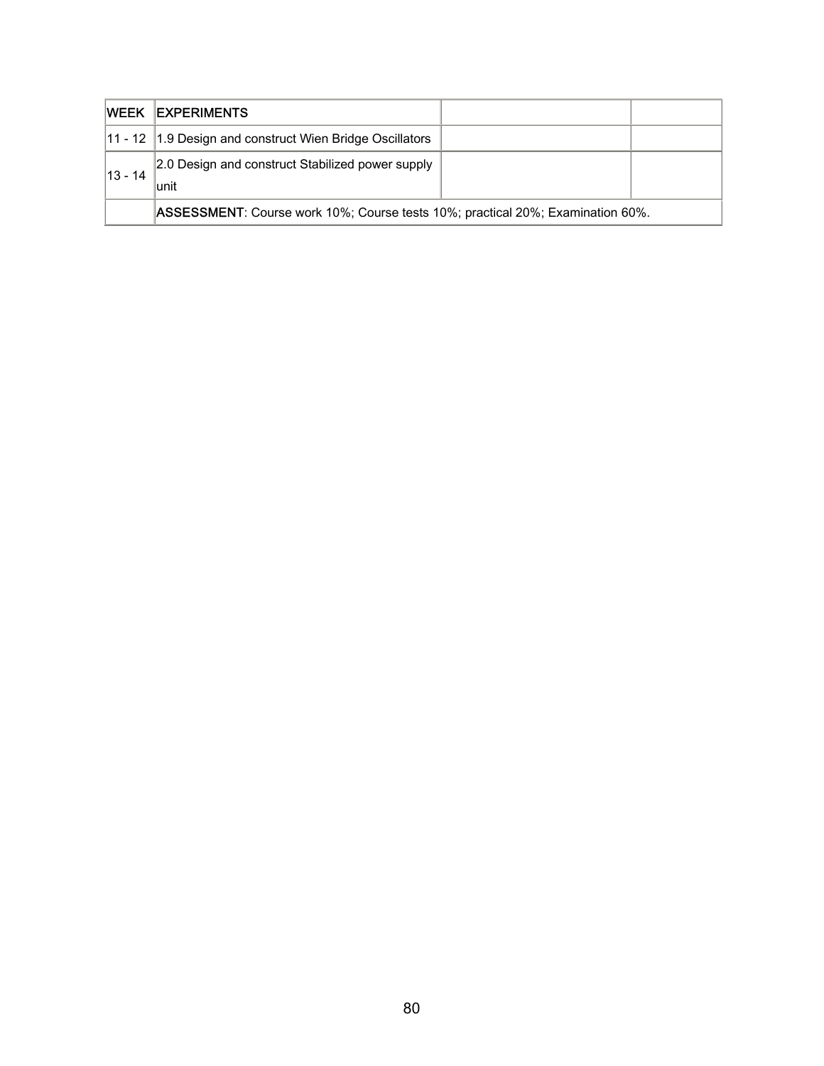|            | <b>IWEEK IEXPERIMENTS</b>                                                             |  |
|------------|---------------------------------------------------------------------------------------|--|
|            | 11 - 12 1.9 Design and construct Wien Bridge Oscillators                              |  |
| $ 13 - 14$ | 2.0 Design and construct Stabilized power supply<br>lunit                             |  |
|            | <b>ASSESSMENT:</b> Course work 10%; Course tests 10%; practical 20%; Examination 60%. |  |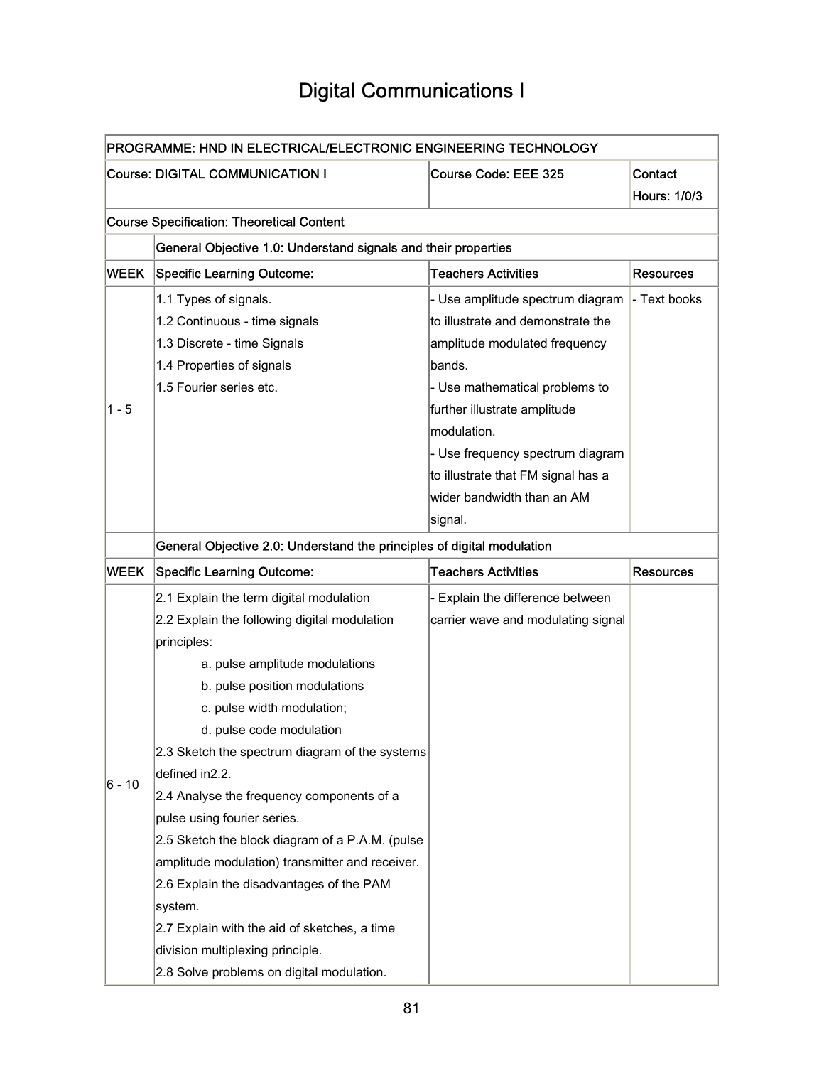### Digital Communications I

|             | PROGRAMME: HND IN ELECTRICAL/ELECTRONIC ENGINEERING TECHNOLOGY         |                                    |                  |  |  |
|-------------|------------------------------------------------------------------------|------------------------------------|------------------|--|--|
|             | <b>Course: DIGITAL COMMUNICATION I</b>                                 | Course Code: EEE 325               | Contact          |  |  |
|             |                                                                        |                                    | Hours: 1/0/3     |  |  |
|             | <b>Course Specification: Theoretical Content</b>                       |                                    |                  |  |  |
|             | General Objective 1.0: Understand signals and their properties         |                                    |                  |  |  |
| <b>WEEK</b> | <b>Specific Learning Outcome:</b>                                      | <b>Teachers Activities</b>         | <b>Resources</b> |  |  |
|             | 1.1 Types of signals.                                                  | - Use amplitude spectrum diagram   | - Text books     |  |  |
|             | 1.2 Continuous - time signals                                          | to illustrate and demonstrate the  |                  |  |  |
|             | 1.3 Discrete - time Signals                                            | amplitude modulated frequency      |                  |  |  |
|             | 1.4 Properties of signals                                              | bands.                             |                  |  |  |
|             | 1.5 Fourier series etc.                                                | - Use mathematical problems to     |                  |  |  |
| $1 - 5$     |                                                                        | further illustrate amplitude       |                  |  |  |
|             |                                                                        | modulation.                        |                  |  |  |
|             |                                                                        | - Use frequency spectrum diagram   |                  |  |  |
|             |                                                                        | to illustrate that FM signal has a |                  |  |  |
|             |                                                                        | wider bandwidth than an AM         |                  |  |  |
|             |                                                                        | signal.                            |                  |  |  |
|             | General Objective 2.0: Understand the principles of digital modulation |                                    |                  |  |  |
| <b>WEEK</b> | <b>Specific Learning Outcome:</b>                                      | <b>Teachers Activities</b>         | <b>Resources</b> |  |  |
|             |                                                                        |                                    |                  |  |  |
|             | 2.1 Explain the term digital modulation                                | - Explain the difference between   |                  |  |  |
|             | 2.2 Explain the following digital modulation                           | carrier wave and modulating signal |                  |  |  |
|             | principles:                                                            |                                    |                  |  |  |
|             | a. pulse amplitude modulations                                         |                                    |                  |  |  |
|             | b. pulse position modulations                                          |                                    |                  |  |  |
|             | c. pulse width modulation;                                             |                                    |                  |  |  |
|             | d. pulse code modulation                                               |                                    |                  |  |  |
|             | 2.3 Sketch the spectrum diagram of the systems                         |                                    |                  |  |  |
|             | defined in2.2.                                                         |                                    |                  |  |  |
| 6 - 10      | 2.4 Analyse the frequency components of a                              |                                    |                  |  |  |
|             | pulse using fourier series.                                            |                                    |                  |  |  |
|             | 2.5 Sketch the block diagram of a P.A.M. (pulse                        |                                    |                  |  |  |
|             | amplitude modulation) transmitter and receiver.                        |                                    |                  |  |  |
|             | 2.6 Explain the disadvantages of the PAM                               |                                    |                  |  |  |
|             | system.                                                                |                                    |                  |  |  |
|             | 2.7 Explain with the aid of sketches, a time                           |                                    |                  |  |  |
|             | division multiplexing principle.                                       |                                    |                  |  |  |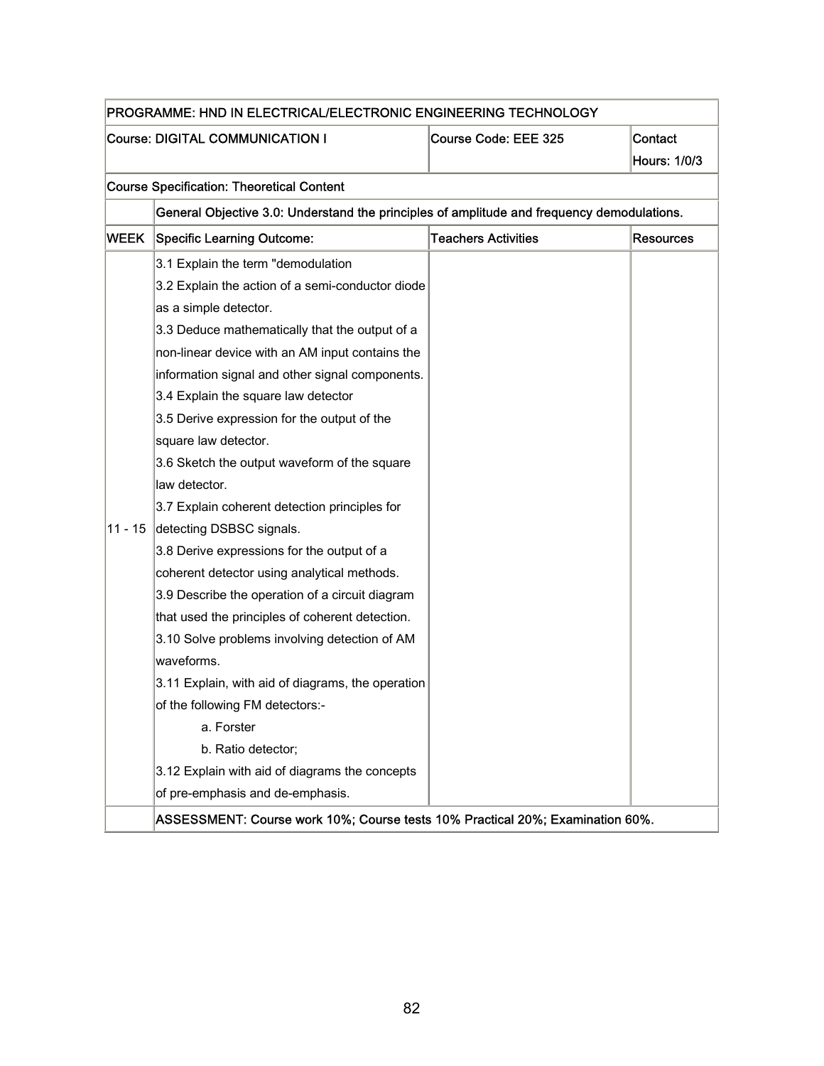| PROGRAMME: HND IN ELECTRICAL/ELECTRONIC ENGINEERING TECHNOLOGY |                                                                                            |                            |                  |
|----------------------------------------------------------------|--------------------------------------------------------------------------------------------|----------------------------|------------------|
|                                                                | <b>Course: DIGITAL COMMUNICATION I</b>                                                     | Course Code: EEE 325       | Contact          |
|                                                                |                                                                                            |                            | Hours: 1/0/3     |
|                                                                | <b>Course Specification: Theoretical Content</b>                                           |                            |                  |
|                                                                | General Objective 3.0: Understand the principles of amplitude and frequency demodulations. |                            |                  |
| <b>WEEK</b>                                                    | <b>Specific Learning Outcome:</b>                                                          | <b>Teachers Activities</b> | <b>Resources</b> |
|                                                                | 3.1 Explain the term "demodulation                                                         |                            |                  |
|                                                                | 3.2 Explain the action of a semi-conductor diode                                           |                            |                  |
|                                                                | as a simple detector.                                                                      |                            |                  |
|                                                                | 3.3 Deduce mathematically that the output of a                                             |                            |                  |
|                                                                | non-linear device with an AM input contains the                                            |                            |                  |
|                                                                | information signal and other signal components.                                            |                            |                  |
|                                                                | 3.4 Explain the square law detector                                                        |                            |                  |
|                                                                | 3.5 Derive expression for the output of the                                                |                            |                  |
|                                                                | square law detector.                                                                       |                            |                  |
|                                                                | 3.6 Sketch the output waveform of the square                                               |                            |                  |
|                                                                | law detector.                                                                              |                            |                  |
|                                                                | 3.7 Explain coherent detection principles for                                              |                            |                  |
| 11 - 15                                                        | detecting DSBSC signals.                                                                   |                            |                  |
|                                                                | 3.8 Derive expressions for the output of a                                                 |                            |                  |
|                                                                | coherent detector using analytical methods.                                                |                            |                  |
|                                                                | 3.9 Describe the operation of a circuit diagram                                            |                            |                  |
|                                                                | that used the principles of coherent detection.                                            |                            |                  |
|                                                                | 3.10 Solve problems involving detection of AM                                              |                            |                  |
|                                                                | waveforms.                                                                                 |                            |                  |
|                                                                | 3.11 Explain, with aid of diagrams, the operation                                          |                            |                  |
|                                                                | of the following FM detectors:-                                                            |                            |                  |
|                                                                | a. Forster                                                                                 |                            |                  |
|                                                                | b. Ratio detector;                                                                         |                            |                  |
|                                                                | 3.12 Explain with aid of diagrams the concepts                                             |                            |                  |
|                                                                | of pre-emphasis and de-emphasis.                                                           |                            |                  |
|                                                                | ASSESSMENT: Course work 10%; Course tests 10% Practical 20%; Examination 60%.              |                            |                  |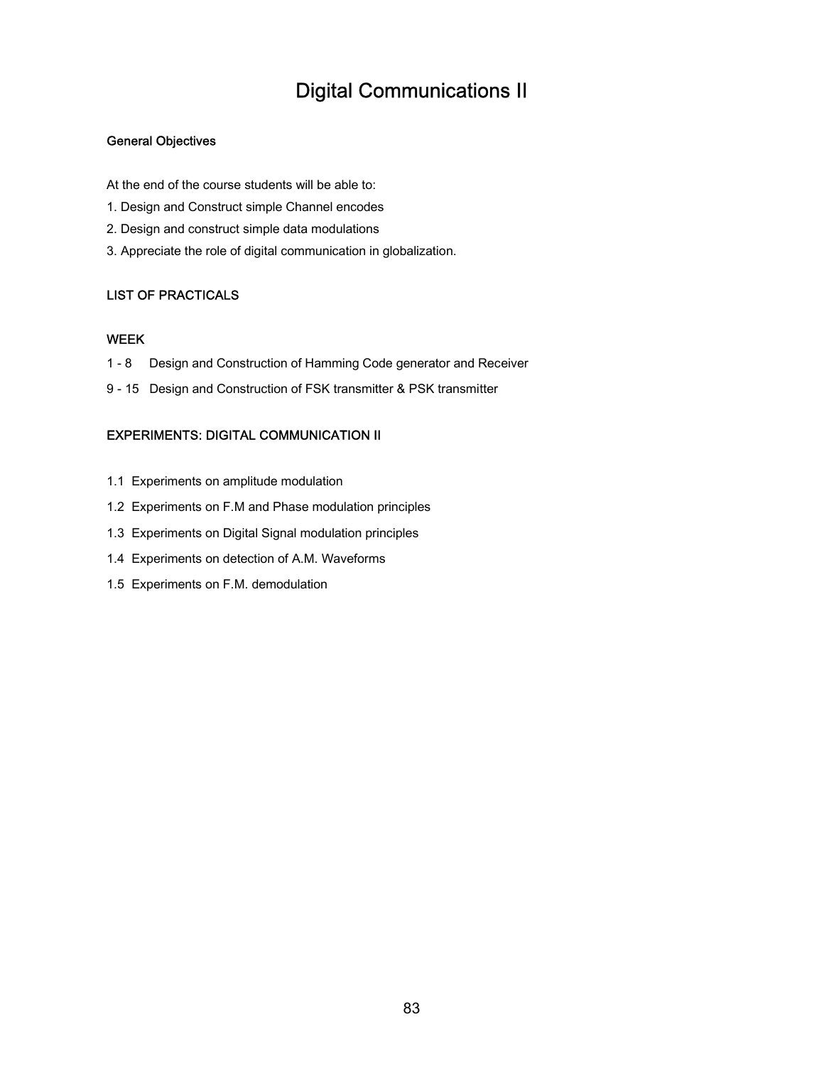### Digital Communications II

### General Objectives

At the end of the course students will be able to:

- 1. Design and Construct simple Channel encodes
- 2. Design and construct simple data modulations
- 3. Appreciate the role of digital communication in globalization.

#### LIST OF PRACTICALS

#### WEEK

- 1 8 Design and Construction of Hamming Code generator and Receiver
- 9 15 Design and Construction of FSK transmitter & PSK transmitter

#### EXPERIMENTS: DIGITAL COMMUNICATION II

- 1.1 Experiments on amplitude modulation
- 1.2 Experiments on F.M and Phase modulation principles
- 1.3 Experiments on Digital Signal modulation principles
- 1.4 Experiments on detection of A.M. Waveforms
- 1.5 Experiments on F.M. demodulation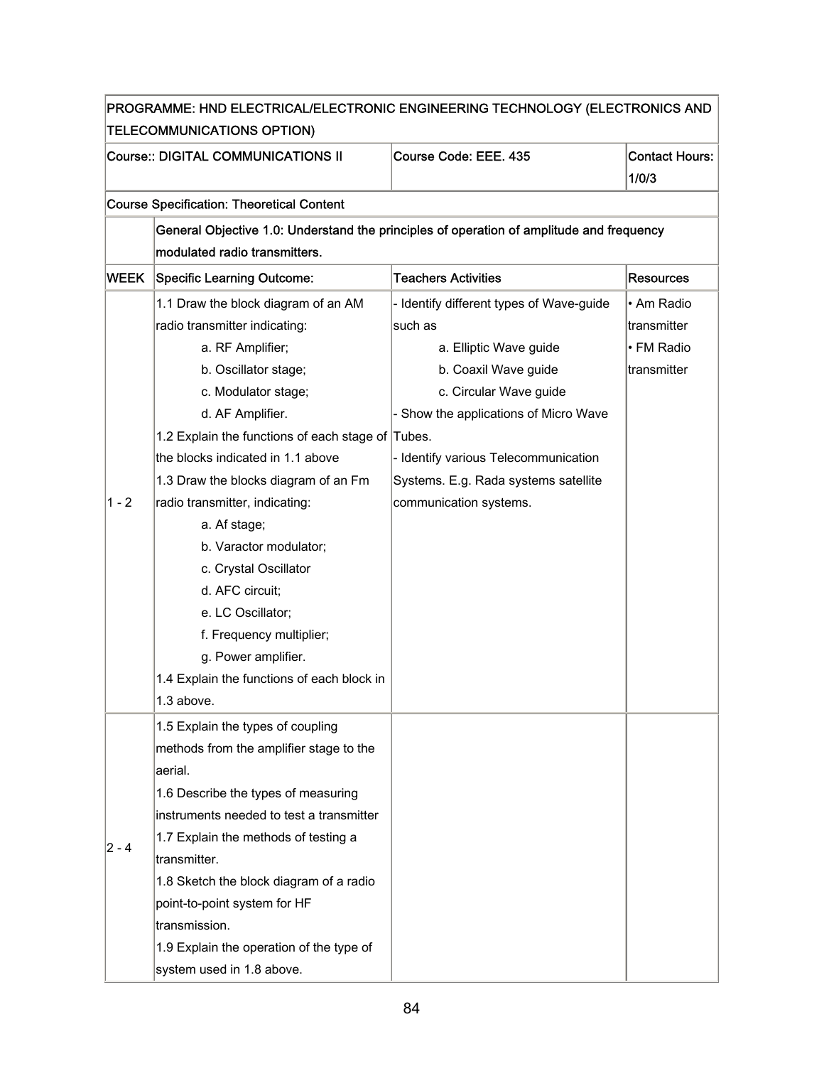| PROGRAMME: HND ELECTRICAL/ELECTRONIC ENGINEERING TECHNOLOGY (ELECTRONICS AND |                                                                                          |                                          |                       |
|------------------------------------------------------------------------------|------------------------------------------------------------------------------------------|------------------------------------------|-----------------------|
| TELECOMMUNICATIONS OPTION)                                                   |                                                                                          |                                          |                       |
| Course:: DIGITAL COMMUNICATIONS II                                           |                                                                                          | Course Code: EEE. 435                    | <b>Contact Hours:</b> |
|                                                                              |                                                                                          |                                          | 1/0/3                 |
|                                                                              | <b>Course Specification: Theoretical Content</b>                                         |                                          |                       |
|                                                                              | General Objective 1.0: Understand the principles of operation of amplitude and frequency |                                          |                       |
|                                                                              | modulated radio transmitters.                                                            |                                          |                       |
| <b>WEEK</b>                                                                  | Specific Learning Outcome:                                                               | <b>Teachers Activities</b>               | <b>Resources</b>      |
|                                                                              | 1.1 Draw the block diagram of an AM                                                      | - Identify different types of Wave-guide | • Am Radio            |
|                                                                              | radio transmitter indicating:                                                            | such as                                  | transmitter           |
|                                                                              | a. RF Amplifier;                                                                         | a. Elliptic Wave guide                   | • FM Radio            |
|                                                                              | b. Oscillator stage;                                                                     | b. Coaxil Wave guide                     | transmitter           |
|                                                                              | c. Modulator stage;                                                                      | c. Circular Wave guide                   |                       |
|                                                                              | d. AF Amplifier.                                                                         | - Show the applications of Micro Wave    |                       |
|                                                                              | 1.2 Explain the functions of each stage of Tubes.                                        |                                          |                       |
| $1 - 2$                                                                      | the blocks indicated in 1.1 above                                                        | - Identify various Telecommunication     |                       |
|                                                                              | 1.3 Draw the blocks diagram of an Fm                                                     | Systems. E.g. Rada systems satellite     |                       |
|                                                                              | radio transmitter, indicating:                                                           | communication systems.                   |                       |
|                                                                              | a. Af stage;                                                                             |                                          |                       |
|                                                                              | b. Varactor modulator;                                                                   |                                          |                       |
|                                                                              | c. Crystal Oscillator                                                                    |                                          |                       |
|                                                                              | d. AFC circuit;                                                                          |                                          |                       |
|                                                                              | e. LC Oscillator;                                                                        |                                          |                       |
|                                                                              | f. Frequency multiplier;                                                                 |                                          |                       |
|                                                                              | g. Power amplifier.                                                                      |                                          |                       |
|                                                                              | 1.4 Explain the functions of each block in                                               |                                          |                       |
|                                                                              | 1.3 above.                                                                               |                                          |                       |
|                                                                              | 1.5 Explain the types of coupling                                                        |                                          |                       |
|                                                                              | methods from the amplifier stage to the                                                  |                                          |                       |
|                                                                              | aerial.                                                                                  |                                          |                       |
|                                                                              | 1.6 Describe the types of measuring                                                      |                                          |                       |
|                                                                              | instruments needed to test a transmitter                                                 |                                          |                       |
|                                                                              | 1.7 Explain the methods of testing a                                                     |                                          |                       |
| 2 - 4                                                                        | transmitter.                                                                             |                                          |                       |
|                                                                              | 1.8 Sketch the block diagram of a radio                                                  |                                          |                       |
|                                                                              | point-to-point system for HF                                                             |                                          |                       |
|                                                                              | transmission.                                                                            |                                          |                       |
|                                                                              | 1.9 Explain the operation of the type of                                                 |                                          |                       |
|                                                                              | system used in 1.8 above.                                                                |                                          |                       |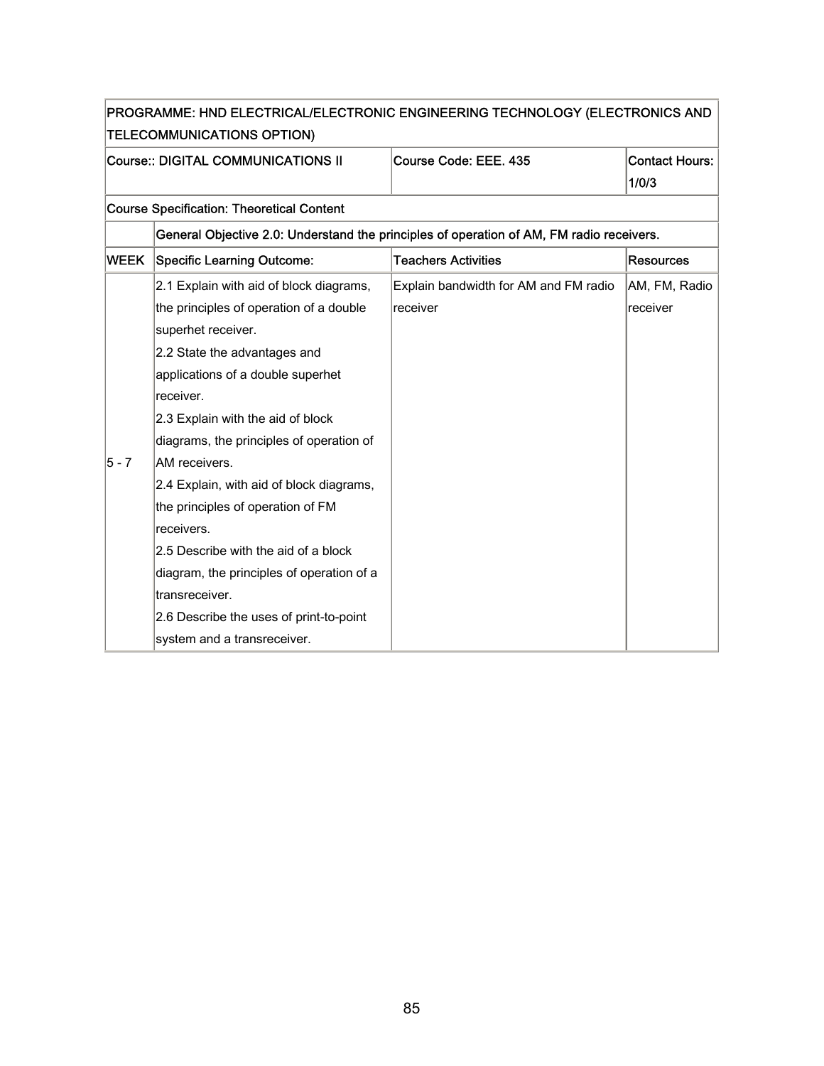| PROGRAMME: HND ELECTRICAL/ELECTRONIC ENGINEERING TECHNOLOGY (ELECTRONICS AND |                                                                                          |                                       |                       |  |  |
|------------------------------------------------------------------------------|------------------------------------------------------------------------------------------|---------------------------------------|-----------------------|--|--|
|                                                                              | <b>TELECOMMUNICATIONS OPTION)</b>                                                        |                                       |                       |  |  |
| Course:: DIGITAL COMMUNICATIONS II                                           |                                                                                          | Course Code: EEE. 435                 | <b>Contact Hours:</b> |  |  |
|                                                                              |                                                                                          |                                       | 1/0/3                 |  |  |
|                                                                              | <b>Course Specification: Theoretical Content</b>                                         |                                       |                       |  |  |
|                                                                              | General Objective 2.0: Understand the principles of operation of AM, FM radio receivers. |                                       |                       |  |  |
| <b>WEEK</b>                                                                  | <b>Specific Learning Outcome:</b>                                                        | <b>Teachers Activities</b>            | <b>Resources</b>      |  |  |
|                                                                              | 2.1 Explain with aid of block diagrams,                                                  | Explain bandwidth for AM and FM radio | AM, FM, Radio         |  |  |
|                                                                              | the principles of operation of a double                                                  | receiver                              | receiver              |  |  |
|                                                                              | superhet receiver.                                                                       |                                       |                       |  |  |
|                                                                              | 2.2 State the advantages and                                                             |                                       |                       |  |  |
|                                                                              | applications of a double superhet                                                        |                                       |                       |  |  |
|                                                                              | receiver.                                                                                |                                       |                       |  |  |
|                                                                              | 2.3 Explain with the aid of block                                                        |                                       |                       |  |  |
|                                                                              | diagrams, the principles of operation of                                                 |                                       |                       |  |  |
| 5 - 7                                                                        | AM receivers.                                                                            |                                       |                       |  |  |
|                                                                              | 2.4 Explain, with aid of block diagrams,                                                 |                                       |                       |  |  |
|                                                                              | the principles of operation of FM                                                        |                                       |                       |  |  |
|                                                                              | receivers.                                                                               |                                       |                       |  |  |
|                                                                              | 2.5 Describe with the aid of a block                                                     |                                       |                       |  |  |
|                                                                              | diagram, the principles of operation of a                                                |                                       |                       |  |  |
|                                                                              | transreceiver.                                                                           |                                       |                       |  |  |
|                                                                              | 2.6 Describe the uses of print-to-point                                                  |                                       |                       |  |  |
|                                                                              | system and a transreceiver.                                                              |                                       |                       |  |  |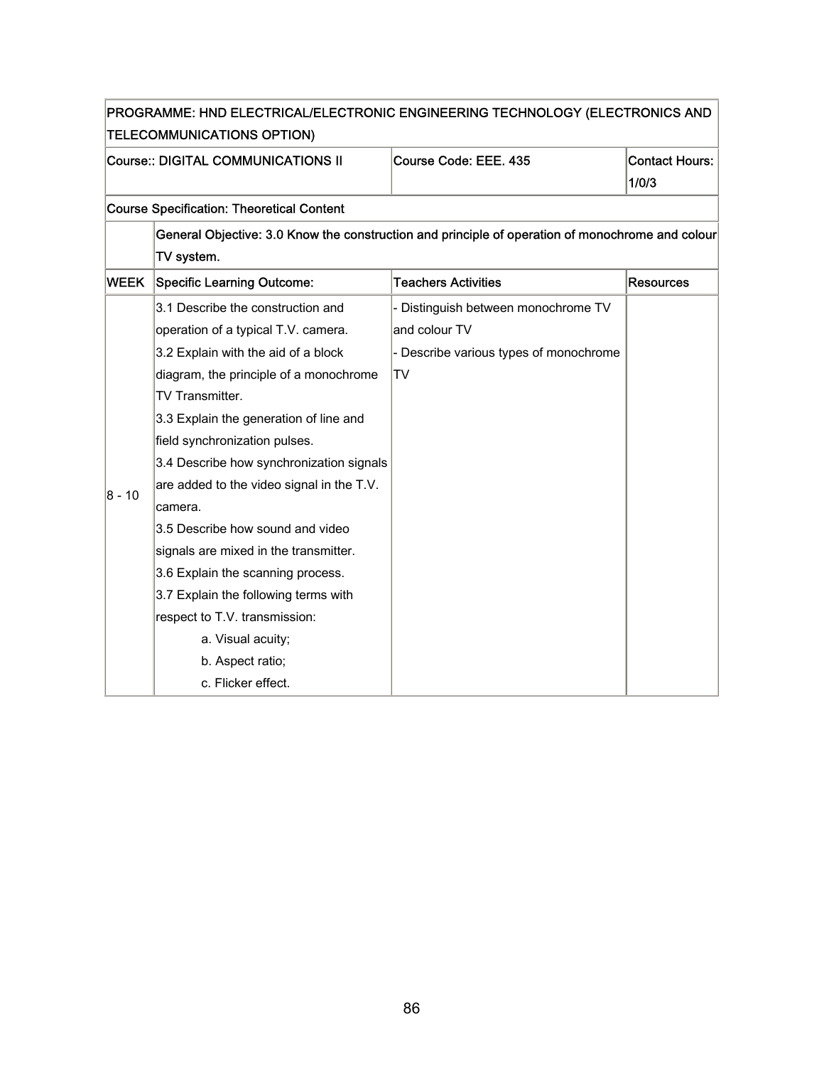|                                           | PROGRAMME: HND ELECTRICAL/ELECTRONIC ENGINEERING TECHNOLOGY (ELECTRONICS AND |                                                                                                  |                       |
|-------------------------------------------|------------------------------------------------------------------------------|--------------------------------------------------------------------------------------------------|-----------------------|
|                                           | TELECOMMUNICATIONS OPTION)                                                   |                                                                                                  |                       |
| <b>Course:: DIGITAL COMMUNICATIONS II</b> |                                                                              | Course Code: EEE. 435                                                                            | <b>Contact Hours:</b> |
|                                           |                                                                              |                                                                                                  | 1/0/3                 |
|                                           | <b>Course Specification: Theoretical Content</b>                             |                                                                                                  |                       |
|                                           |                                                                              | General Objective: 3.0 Know the construction and principle of operation of monochrome and colour |                       |
|                                           | TV system.                                                                   |                                                                                                  |                       |
| <b>WEEK</b>                               | <b>Specific Learning Outcome:</b>                                            | <b>Teachers Activities</b>                                                                       | <b>Resources</b>      |
|                                           | 3.1 Describe the construction and                                            | - Distinguish between monochrome TV                                                              |                       |
|                                           | operation of a typical T.V. camera.                                          | and colour TV                                                                                    |                       |
|                                           | 3.2 Explain with the aid of a block                                          | - Describe various types of monochrome                                                           |                       |
|                                           | diagram, the principle of a monochrome                                       | TV                                                                                               |                       |
|                                           | TV Transmitter.                                                              |                                                                                                  |                       |
|                                           | 3.3 Explain the generation of line and                                       |                                                                                                  |                       |
|                                           | field synchronization pulses.                                                |                                                                                                  |                       |
|                                           | 3.4 Describe how synchronization signals                                     |                                                                                                  |                       |
| 8 - 10                                    | are added to the video signal in the T.V.                                    |                                                                                                  |                       |
|                                           | camera.                                                                      |                                                                                                  |                       |
|                                           | 3.5 Describe how sound and video                                             |                                                                                                  |                       |
|                                           | signals are mixed in the transmitter.                                        |                                                                                                  |                       |
|                                           | 3.6 Explain the scanning process.                                            |                                                                                                  |                       |
|                                           | 3.7 Explain the following terms with                                         |                                                                                                  |                       |
|                                           | respect to T.V. transmission:                                                |                                                                                                  |                       |
|                                           | a. Visual acuity;                                                            |                                                                                                  |                       |
|                                           | b. Aspect ratio;                                                             |                                                                                                  |                       |
|                                           | c. Flicker effect.                                                           |                                                                                                  |                       |

F

÷,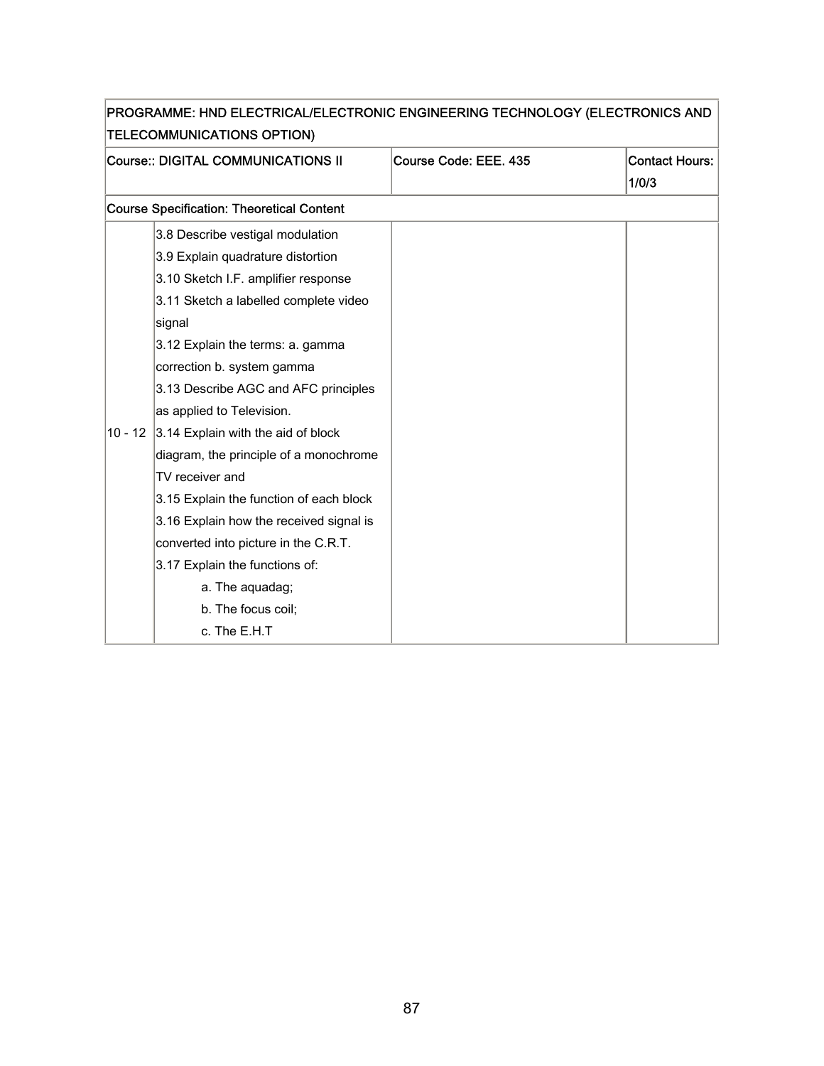| <b>TELECOMMUNICATIONS OPTION)</b> |                                                  |                       |                                |
|-----------------------------------|--------------------------------------------------|-----------------------|--------------------------------|
|                                   | Course:: DIGITAL COMMUNICATIONS II               | Course Code: EEE. 435 | <b>Contact Hours:</b><br>1/0/3 |
|                                   | <b>Course Specification: Theoretical Content</b> |                       |                                |
|                                   | 3.8 Describe vestigal modulation                 |                       |                                |
|                                   | 3.9 Explain quadrature distortion                |                       |                                |
|                                   | 3.10 Sketch I.F. amplifier response              |                       |                                |
|                                   | 3.11 Sketch a labelled complete video            |                       |                                |
|                                   | signal                                           |                       |                                |
|                                   | 3.12 Explain the terms: a. gamma                 |                       |                                |
|                                   | correction b. system gamma                       |                       |                                |
|                                   | 3.13 Describe AGC and AFC principles             |                       |                                |
|                                   | as applied to Television.                        |                       |                                |
| $10 - 12$                         | 3.14 Explain with the aid of block               |                       |                                |
|                                   | diagram, the principle of a monochrome           |                       |                                |
|                                   | TV receiver and                                  |                       |                                |
|                                   | 3.15 Explain the function of each block          |                       |                                |
|                                   | 3.16 Explain how the received signal is          |                       |                                |
|                                   | converted into picture in the C.R.T.             |                       |                                |
|                                   | 3.17 Explain the functions of:                   |                       |                                |
|                                   | a. The aquadag;                                  |                       |                                |
|                                   | b. The focus coil;                               |                       |                                |
|                                   | c. The E.H.T                                     |                       |                                |

# PROGRAMME: HND ELECTRICAL/ELECTRONIC ENGINEERING TECHNOLOGY (ELECTRONICS AND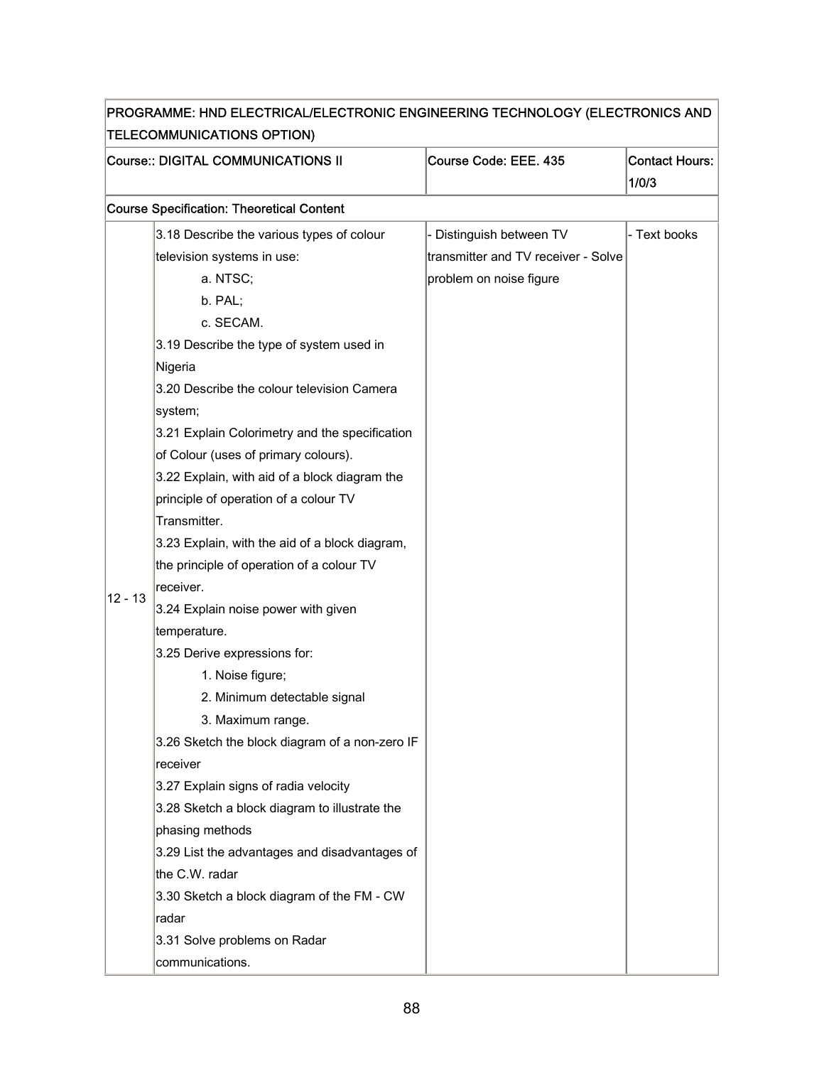|           | Course:: DIGITAL COMMUNICATIONS II               | Course Code: EEE. 435               | <b>Contact Hours:</b><br>1/0/3 |
|-----------|--------------------------------------------------|-------------------------------------|--------------------------------|
|           | <b>Course Specification: Theoretical Content</b> |                                     |                                |
|           | 3.18 Describe the various types of colour        | - Distinguish between TV            | - Text books                   |
|           | television systems in use:                       | transmitter and TV receiver - Solve |                                |
|           | a. NTSC;                                         | problem on noise figure             |                                |
|           | b. PAL;                                          |                                     |                                |
|           | c. SECAM.                                        |                                     |                                |
|           | 3.19 Describe the type of system used in         |                                     |                                |
|           | Nigeria                                          |                                     |                                |
|           | 3.20 Describe the colour television Camera       |                                     |                                |
|           | system;                                          |                                     |                                |
|           | 3.21 Explain Colorimetry and the specification   |                                     |                                |
|           | of Colour (uses of primary colours).             |                                     |                                |
|           | 3.22 Explain, with aid of a block diagram the    |                                     |                                |
|           | principle of operation of a colour TV            |                                     |                                |
|           | Transmitter.                                     |                                     |                                |
|           | 3.23 Explain, with the aid of a block diagram,   |                                     |                                |
|           | the principle of operation of a colour TV        |                                     |                                |
| $12 - 13$ | receiver.                                        |                                     |                                |
|           | 3.24 Explain noise power with given              |                                     |                                |
|           | temperature.                                     |                                     |                                |
|           | 3.25 Derive expressions for:                     |                                     |                                |
|           | 1. Noise figure;                                 |                                     |                                |
|           | 2. Minimum detectable signal                     |                                     |                                |
|           | 3. Maximum range.                                |                                     |                                |
|           | 3.26 Sketch the block diagram of a non-zero IF   |                                     |                                |
|           | receiver                                         |                                     |                                |
|           | 3.27 Explain signs of radia velocity             |                                     |                                |
|           | 3.28 Sketch a block diagram to illustrate the    |                                     |                                |
|           | phasing methods                                  |                                     |                                |
|           | 3.29 List the advantages and disadvantages of    |                                     |                                |
|           | the C.W. radar                                   |                                     |                                |
|           | 3.30 Sketch a block diagram of the FM - CW       |                                     |                                |
|           | radar                                            |                                     |                                |
|           | 3.31 Solve problems on Radar                     |                                     |                                |
|           | communications.                                  |                                     |                                |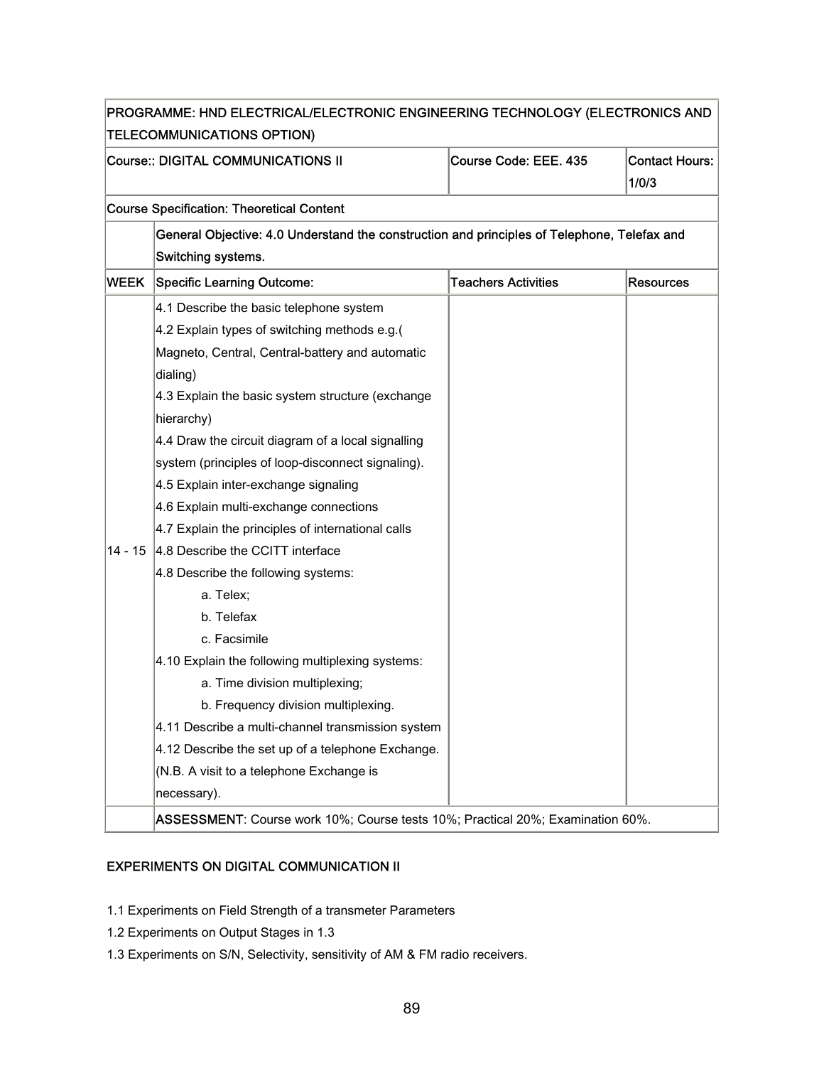| PROGRAMME: HND ELECTRICAL/ELECTRONIC ENGINEERING TECHNOLOGY (ELECTRONICS AND |                                                                                                                                                                                                                                                                                                                                                                                                                                                                                                                                                                                                                                                                                                                                                                                                                                                                                                    |                            |                  |  |  |
|------------------------------------------------------------------------------|----------------------------------------------------------------------------------------------------------------------------------------------------------------------------------------------------------------------------------------------------------------------------------------------------------------------------------------------------------------------------------------------------------------------------------------------------------------------------------------------------------------------------------------------------------------------------------------------------------------------------------------------------------------------------------------------------------------------------------------------------------------------------------------------------------------------------------------------------------------------------------------------------|----------------------------|------------------|--|--|
|                                                                              | <b>TELECOMMUNICATIONS OPTION)</b>                                                                                                                                                                                                                                                                                                                                                                                                                                                                                                                                                                                                                                                                                                                                                                                                                                                                  |                            |                  |  |  |
|                                                                              | Course:: DIGITAL COMMUNICATIONS II<br>Course Code: EEE. 435<br><b>Contact Hours:</b><br>1/0/3                                                                                                                                                                                                                                                                                                                                                                                                                                                                                                                                                                                                                                                                                                                                                                                                      |                            |                  |  |  |
|                                                                              | <b>Course Specification: Theoretical Content</b>                                                                                                                                                                                                                                                                                                                                                                                                                                                                                                                                                                                                                                                                                                                                                                                                                                                   |                            |                  |  |  |
|                                                                              | General Objective: 4.0 Understand the construction and principles of Telephone, Telefax and<br>Switching systems.                                                                                                                                                                                                                                                                                                                                                                                                                                                                                                                                                                                                                                                                                                                                                                                  |                            |                  |  |  |
| WEEK                                                                         | <b>Specific Learning Outcome:</b>                                                                                                                                                                                                                                                                                                                                                                                                                                                                                                                                                                                                                                                                                                                                                                                                                                                                  | <b>Teachers Activities</b> | <b>Resources</b> |  |  |
| 14 - 15                                                                      | 4.1 Describe the basic telephone system<br>4.2 Explain types of switching methods e.g.(<br>Magneto, Central, Central-battery and automatic<br>dialing)<br>4.3 Explain the basic system structure (exchange<br>hierarchy)<br>4.4 Draw the circuit diagram of a local signalling<br>system (principles of loop-disconnect signaling).<br>4.5 Explain inter-exchange signaling<br>4.6 Explain multi-exchange connections<br>4.7 Explain the principles of international calls<br>4.8 Describe the CCITT interface<br>4.8 Describe the following systems:<br>a. Telex;<br>b. Telefax<br>c. Facsimile<br>4.10 Explain the following multiplexing systems:<br>a. Time division multiplexing;<br>b. Frequency division multiplexing.<br>4.11 Describe a multi-channel transmission system<br>4.12 Describe the set up of a telephone Exchange.<br>(N.B. A visit to a telephone Exchange is<br>necessary). |                            |                  |  |  |
|                                                                              | ASSESSMENT: Course work 10%; Course tests 10%; Practical 20%; Examination 60%.                                                                                                                                                                                                                                                                                                                                                                                                                                                                                                                                                                                                                                                                                                                                                                                                                     |                            |                  |  |  |

### EXPERIMENTS ON DIGITAL COMMUNICATION II

- 1.1 Experiments on Field Strength of a transmeter Parameters
- 1.2 Experiments on Output Stages in 1.3
- 1.3 Experiments on S/N, Selectivity, sensitivity of AM & FM radio receivers.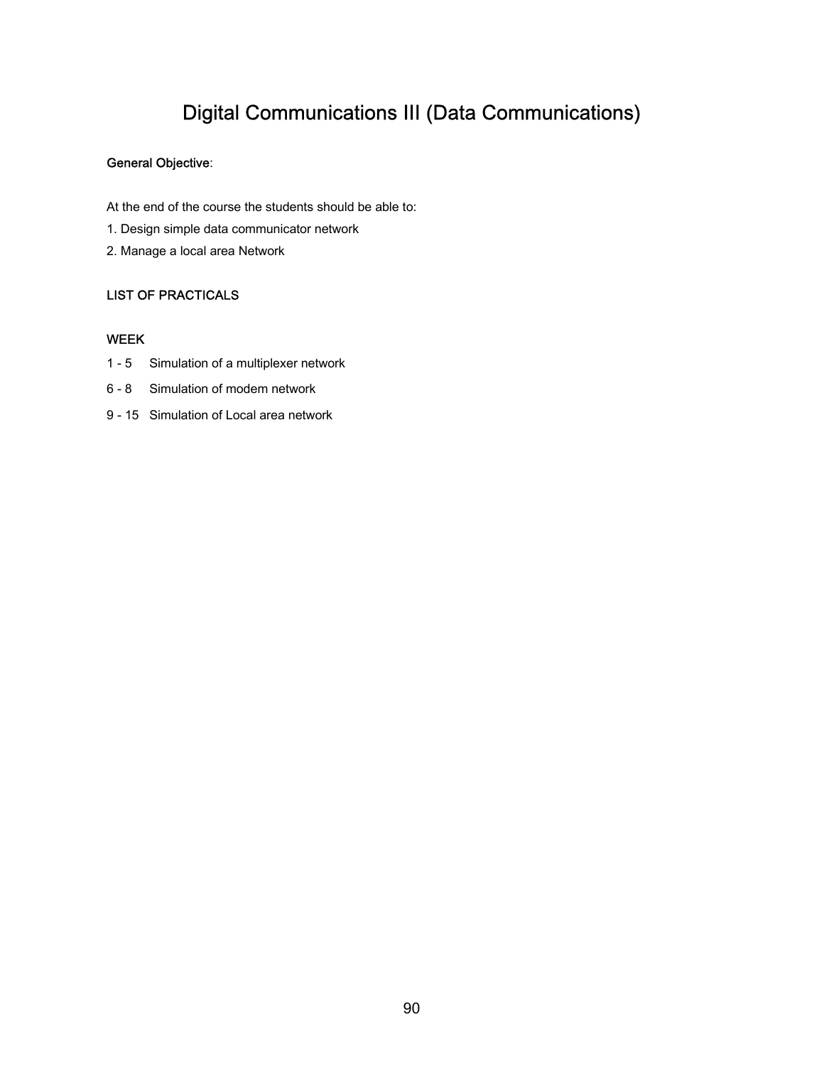### Digital Communications III (Data Communications)

### General Objective:

At the end of the course the students should be able to:

- 1. Design simple data communicator network
- 2. Manage a local area Network

#### LIST OF PRACTICALS

#### WEEK

- 1 5 Simulation of a multiplexer network
- 6 8 Simulation of modem network
- 9 15 Simulation of Local area network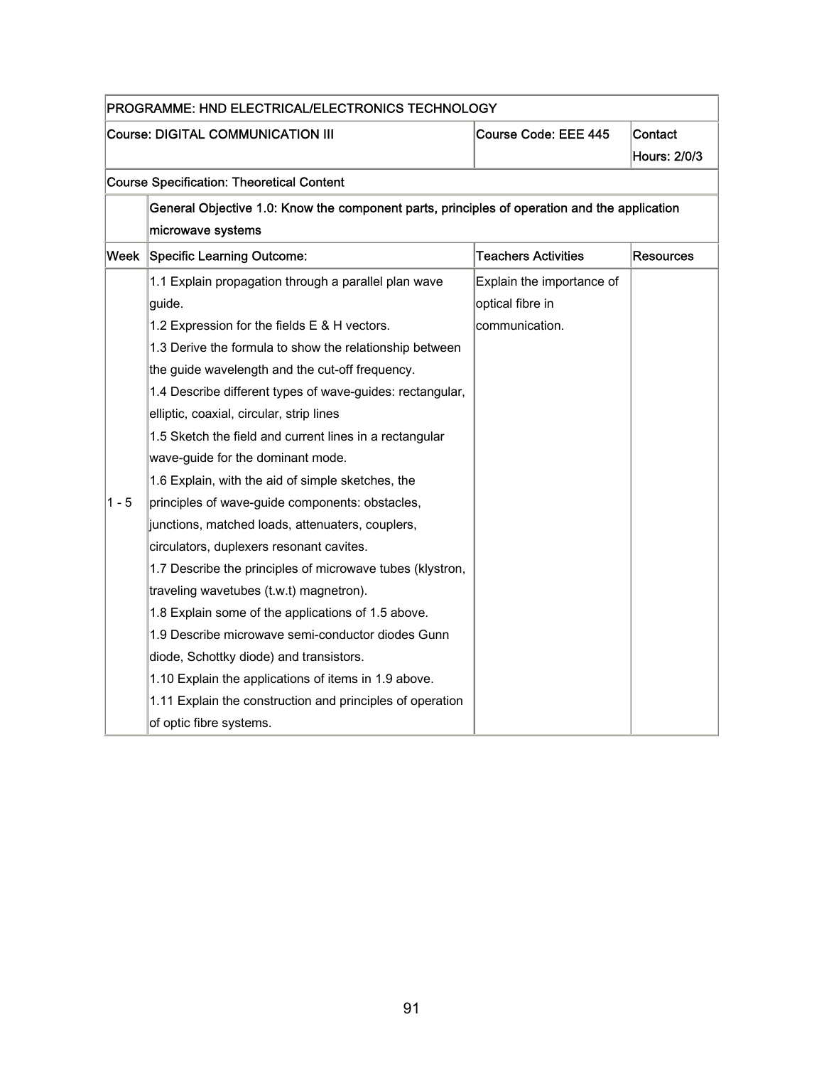|                                          | PROGRAMME: HND ELECTRICAL/ELECTRONICS TECHNOLOGY                                             |                            |                  |
|------------------------------------------|----------------------------------------------------------------------------------------------|----------------------------|------------------|
| <b>Course: DIGITAL COMMUNICATION III</b> |                                                                                              | Course Code: EEE 445       | Contact          |
|                                          |                                                                                              |                            | Hours: 2/0/3     |
|                                          | <b>Course Specification: Theoretical Content</b>                                             |                            |                  |
|                                          | General Objective 1.0: Know the component parts, principles of operation and the application |                            |                  |
|                                          | microwave systems                                                                            |                            |                  |
| Week                                     | Specific Learning Outcome:                                                                   | <b>Teachers Activities</b> | <b>Resources</b> |
|                                          | 1.1 Explain propagation through a parallel plan wave                                         | Explain the importance of  |                  |
|                                          | guide.                                                                                       | optical fibre in           |                  |
|                                          | 1.2 Expression for the fields E & H vectors.                                                 | communication.             |                  |
|                                          | 1.3 Derive the formula to show the relationship between                                      |                            |                  |
|                                          | the guide wavelength and the cut-off frequency.                                              |                            |                  |
|                                          | 1.4 Describe different types of wave-guides: rectangular,                                    |                            |                  |
|                                          | elliptic, coaxial, circular, strip lines                                                     |                            |                  |
|                                          | 1.5 Sketch the field and current lines in a rectangular                                      |                            |                  |
|                                          | wave-guide for the dominant mode.                                                            |                            |                  |
|                                          | 1.6 Explain, with the aid of simple sketches, the                                            |                            |                  |
| 1 - 5                                    | principles of wave-guide components: obstacles,                                              |                            |                  |
|                                          | junctions, matched loads, attenuaters, couplers,                                             |                            |                  |
|                                          | circulators, duplexers resonant cavites.                                                     |                            |                  |
|                                          | 1.7 Describe the principles of microwave tubes (klystron,                                    |                            |                  |
|                                          | traveling wavetubes (t.w.t) magnetron).                                                      |                            |                  |
|                                          | 1.8 Explain some of the applications of 1.5 above.                                           |                            |                  |
|                                          | 1.9 Describe microwave semi-conductor diodes Gunn                                            |                            |                  |
|                                          | diode, Schottky diode) and transistors.                                                      |                            |                  |
|                                          | 1.10 Explain the applications of items in 1.9 above.                                         |                            |                  |
|                                          | 1.11 Explain the construction and principles of operation                                    |                            |                  |
|                                          | of optic fibre systems.                                                                      |                            |                  |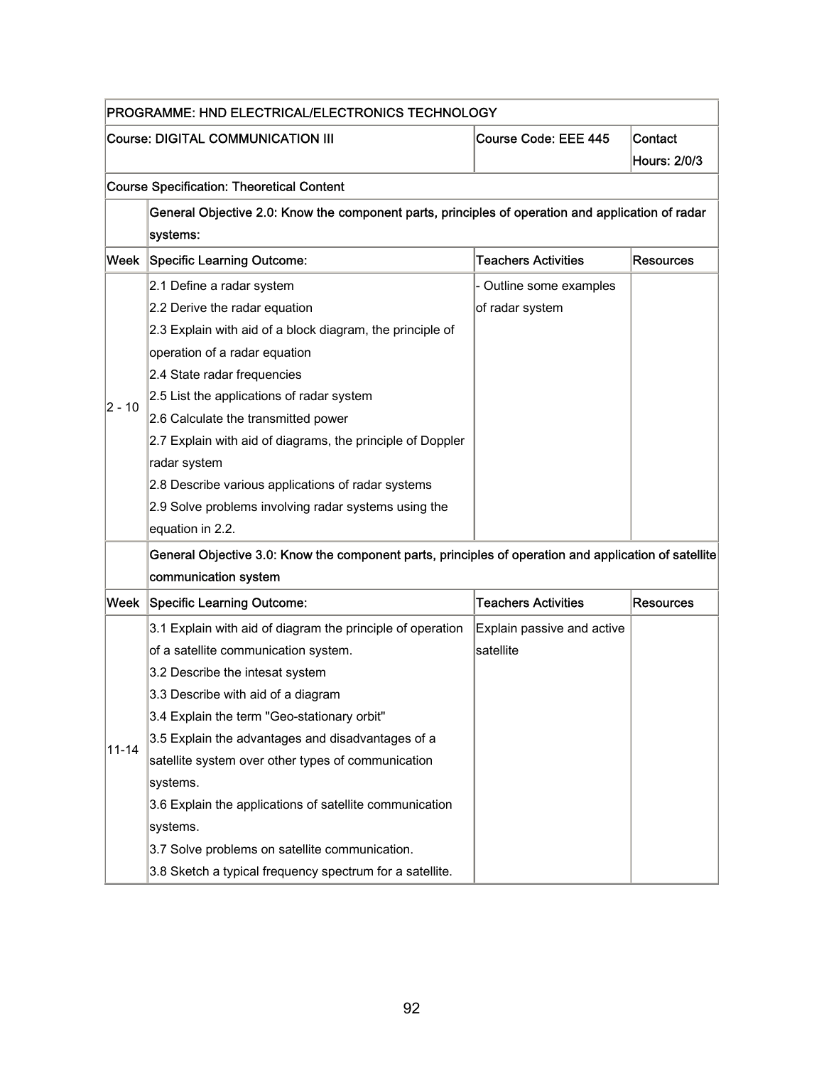| PROGRAMME: HND ELECTRICAL/ELECTRONICS TECHNOLOGY |                                                                                                       |                            |                  |
|--------------------------------------------------|-------------------------------------------------------------------------------------------------------|----------------------------|------------------|
|                                                  | <b>Course: DIGITAL COMMUNICATION III</b>                                                              | Course Code: EEE 445       | Contact          |
|                                                  |                                                                                                       |                            | Hours: 2/0/3     |
|                                                  | <b>Course Specification: Theoretical Content</b>                                                      |                            |                  |
|                                                  | General Objective 2.0: Know the component parts, principles of operation and application of radar     |                            |                  |
|                                                  | systems:                                                                                              |                            |                  |
|                                                  | Week Specific Learning Outcome:                                                                       | <b>Teachers Activities</b> | Resources        |
|                                                  | 2.1 Define a radar system                                                                             | - Outline some examples    |                  |
|                                                  | 2.2 Derive the radar equation                                                                         | of radar system            |                  |
|                                                  | 2.3 Explain with aid of a block diagram, the principle of                                             |                            |                  |
|                                                  | operation of a radar equation                                                                         |                            |                  |
|                                                  | 2.4 State radar frequencies                                                                           |                            |                  |
|                                                  | 2.5 List the applications of radar system                                                             |                            |                  |
| 2 - 10                                           | 2.6 Calculate the transmitted power                                                                   |                            |                  |
|                                                  | 2.7 Explain with aid of diagrams, the principle of Doppler                                            |                            |                  |
|                                                  | radar system                                                                                          |                            |                  |
|                                                  | 2.8 Describe various applications of radar systems                                                    |                            |                  |
|                                                  | 2.9 Solve problems involving radar systems using the                                                  |                            |                  |
|                                                  | equation in 2.2.                                                                                      |                            |                  |
|                                                  | General Objective 3.0: Know the component parts, principles of operation and application of satellite |                            |                  |
|                                                  | communication system                                                                                  |                            |                  |
| Week                                             | <b>Specific Learning Outcome:</b>                                                                     | <b>Teachers Activities</b> | <b>Resources</b> |
|                                                  | 3.1 Explain with aid of diagram the principle of operation                                            | Explain passive and active |                  |
|                                                  | of a satellite communication system.                                                                  | satellite                  |                  |
|                                                  | 3.2 Describe the intesat system                                                                       |                            |                  |
|                                                  | 3.3 Describe with aid of a diagram                                                                    |                            |                  |
|                                                  | 3.4 Explain the term "Geo-stationary orbit"                                                           |                            |                  |
|                                                  | 3.5 Explain the advantages and disadvantages of a                                                     |                            |                  |
| $11 - 14$                                        | satellite system over other types of communication                                                    |                            |                  |
|                                                  | systems.                                                                                              |                            |                  |
|                                                  | 3.6 Explain the applications of satellite communication                                               |                            |                  |
|                                                  | systems.                                                                                              |                            |                  |
|                                                  | 3.7 Solve problems on satellite communication.                                                        |                            |                  |
|                                                  | 3.8 Sketch a typical frequency spectrum for a satellite.                                              |                            |                  |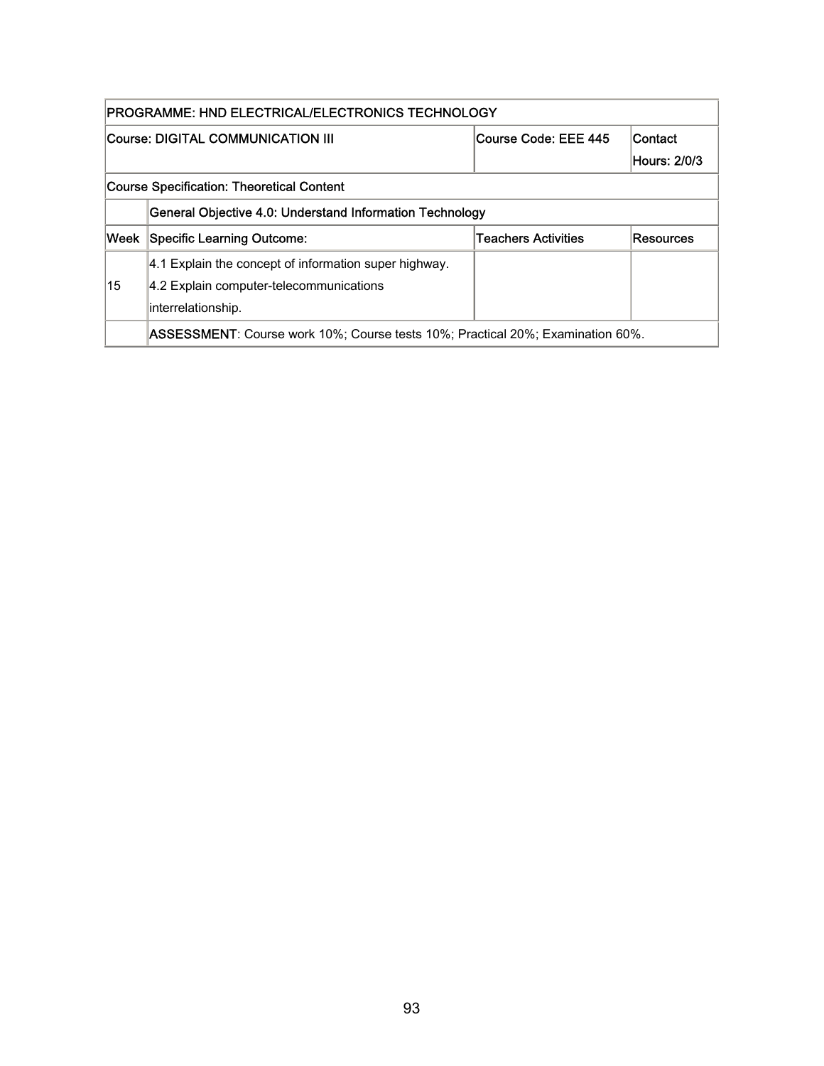| PROGRAMME: HND ELECTRICAL/ELECTRONICS TECHNOLOGY                                     |                                                                                        |                     |           |  |  |
|--------------------------------------------------------------------------------------|----------------------------------------------------------------------------------------|---------------------|-----------|--|--|
| Course Code: EEE 445<br>Course: DIGITAL COMMUNICATION III<br>Contact<br>Hours: 2/0/3 |                                                                                        |                     |           |  |  |
|                                                                                      | Course Specification: Theoretical Content                                              |                     |           |  |  |
|                                                                                      | General Objective 4.0: Understand Information Technology                               |                     |           |  |  |
| lWeek                                                                                | Specific Learning Outcome:                                                             | Teachers Activities | Resources |  |  |
|                                                                                      | 4.1 Explain the concept of information super highway.                                  |                     |           |  |  |
| 15                                                                                   | 4.2 Explain computer-telecommunications                                                |                     |           |  |  |
|                                                                                      | interrelationship.                                                                     |                     |           |  |  |
|                                                                                      | <b>ASSESSMENT</b> : Course work 10%; Course tests 10%; Practical 20%; Examination 60%. |                     |           |  |  |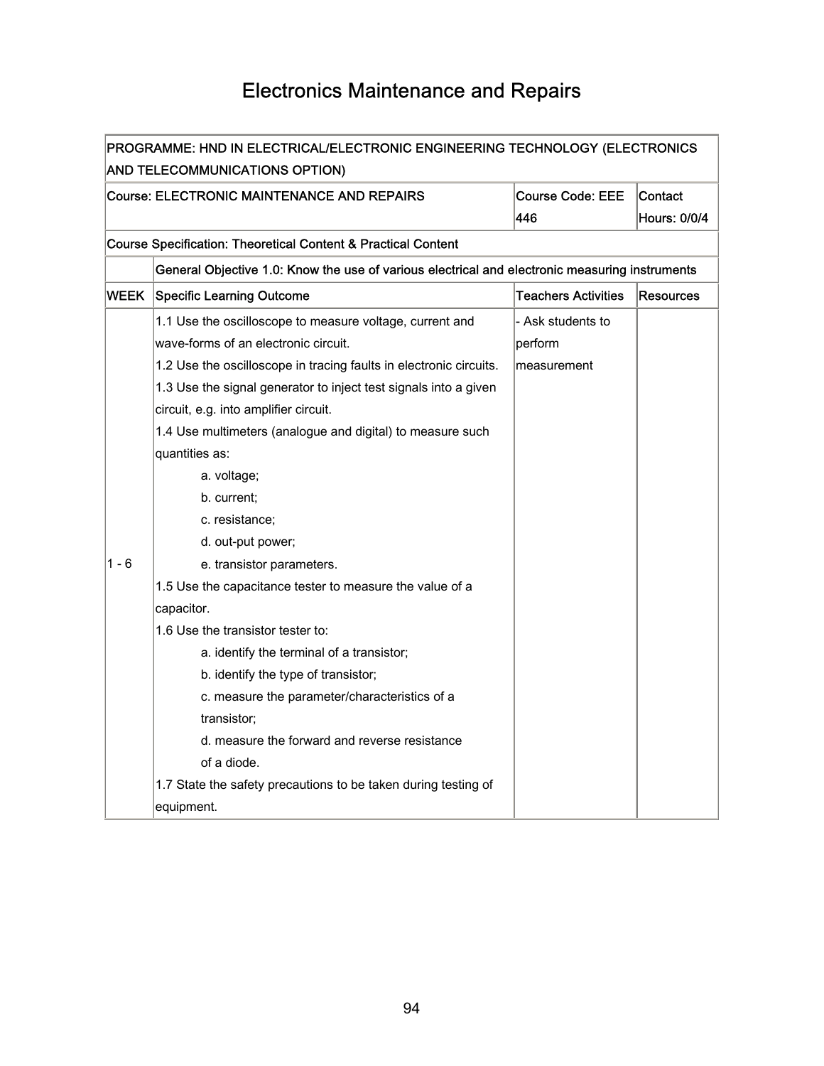### Electronics Maintenance and Repairs

| PROGRAMME: HND IN ELECTRICAL/ELECTRONIC ENGINEERING TECHNOLOGY (ELECTRONICS |                                                                                                |                            |                     |  |
|-----------------------------------------------------------------------------|------------------------------------------------------------------------------------------------|----------------------------|---------------------|--|
|                                                                             | <b>AND TELECOMMUNICATIONS OPTION)</b>                                                          |                            |                     |  |
|                                                                             | <b>Course: ELECTRONIC MAINTENANCE AND REPAIRS</b><br><b>Course Code: EEE</b><br><b>Contact</b> |                            |                     |  |
|                                                                             |                                                                                                | 446                        | <b>Hours: 0/0/4</b> |  |
|                                                                             | <b>Course Specification: Theoretical Content &amp; Practical Content</b>                       |                            |                     |  |
|                                                                             | General Objective 1.0: Know the use of various electrical and electronic measuring instruments |                            |                     |  |
| <b>WEEK</b>                                                                 | Specific Learning Outcome                                                                      | <b>Teachers Activities</b> | Resources           |  |
|                                                                             | 1.1 Use the oscilloscope to measure voltage, current and                                       | - Ask students to          |                     |  |
|                                                                             | wave-forms of an electronic circuit.                                                           | perform                    |                     |  |
|                                                                             | 1.2 Use the oscilloscope in tracing faults in electronic circuits.                             | measurement                |                     |  |
|                                                                             | 1.3 Use the signal generator to inject test signals into a given                               |                            |                     |  |
|                                                                             | circuit, e.g. into amplifier circuit.                                                          |                            |                     |  |
|                                                                             | 1.4 Use multimeters (analogue and digital) to measure such                                     |                            |                     |  |
|                                                                             | quantities as:                                                                                 |                            |                     |  |
|                                                                             | a. voltage;                                                                                    |                            |                     |  |
|                                                                             | b. current;                                                                                    |                            |                     |  |
|                                                                             | c. resistance;                                                                                 |                            |                     |  |
|                                                                             | d. out-put power;                                                                              |                            |                     |  |
| 1 - 6                                                                       | e. transistor parameters.                                                                      |                            |                     |  |
|                                                                             | 1.5 Use the capacitance tester to measure the value of a                                       |                            |                     |  |
|                                                                             | capacitor.                                                                                     |                            |                     |  |
|                                                                             | 1.6 Use the transistor tester to:                                                              |                            |                     |  |
|                                                                             | a. identify the terminal of a transistor;                                                      |                            |                     |  |
|                                                                             | b. identify the type of transistor;                                                            |                            |                     |  |
|                                                                             | c. measure the parameter/characteristics of a                                                  |                            |                     |  |
|                                                                             | transistor;                                                                                    |                            |                     |  |
|                                                                             | d. measure the forward and reverse resistance                                                  |                            |                     |  |
|                                                                             | of a diode.                                                                                    |                            |                     |  |
|                                                                             | 1.7 State the safety precautions to be taken during testing of                                 |                            |                     |  |
|                                                                             | equipment.                                                                                     |                            |                     |  |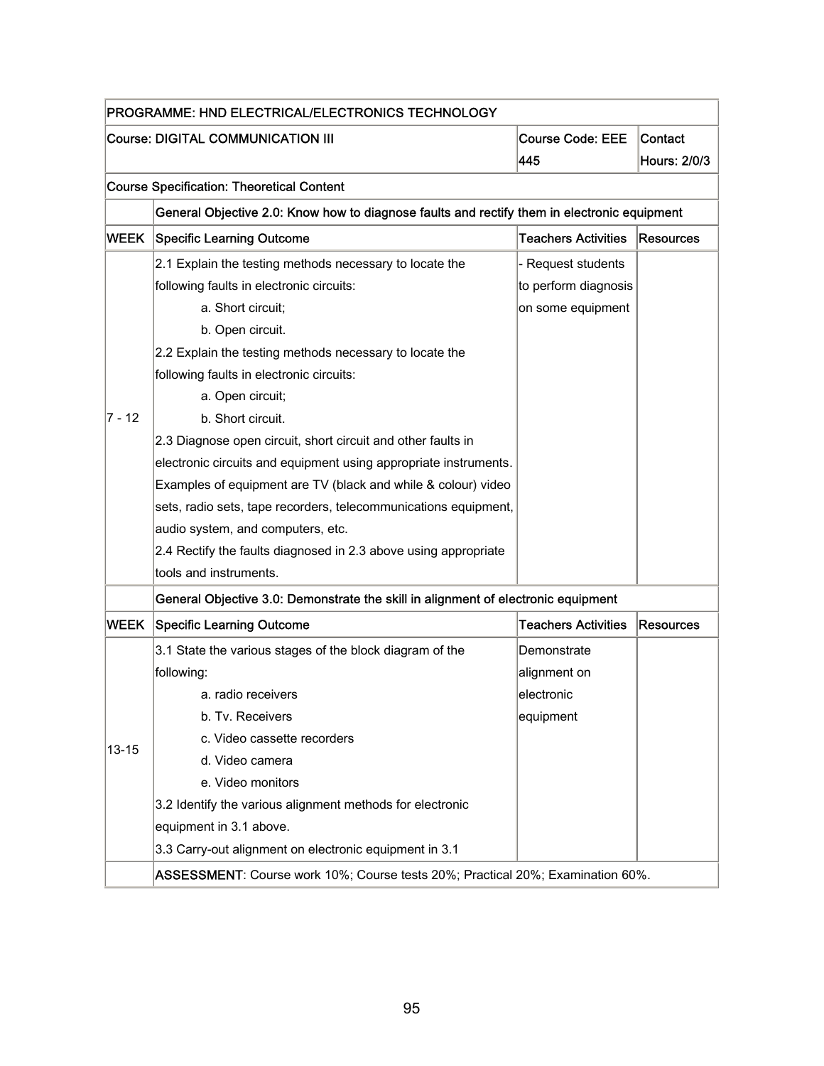| PROGRAMME: HND ELECTRICAL/ELECTRONICS TECHNOLOGY                        |                                                                                             |                            |                  |  |  |
|-------------------------------------------------------------------------|---------------------------------------------------------------------------------------------|----------------------------|------------------|--|--|
| Course: DIGITAL COMMUNICATION III<br><b>Course Code: EEE</b><br>Contact |                                                                                             |                            |                  |  |  |
|                                                                         |                                                                                             | 445                        | Hours: 2/0/3     |  |  |
|                                                                         | <b>Course Specification: Theoretical Content</b>                                            |                            |                  |  |  |
|                                                                         | General Objective 2.0: Know how to diagnose faults and rectify them in electronic equipment |                            |                  |  |  |
| <b>WEEK</b>                                                             | <b>Specific Learning Outcome</b>                                                            | <b>Teachers Activities</b> | <b>Resources</b> |  |  |
|                                                                         | 2.1 Explain the testing methods necessary to locate the                                     | - Request students         |                  |  |  |
|                                                                         | following faults in electronic circuits:                                                    | to perform diagnosis       |                  |  |  |
|                                                                         | a. Short circuit;                                                                           | on some equipment          |                  |  |  |
|                                                                         | b. Open circuit.                                                                            |                            |                  |  |  |
|                                                                         | 2.2 Explain the testing methods necessary to locate the                                     |                            |                  |  |  |
|                                                                         | following faults in electronic circuits:                                                    |                            |                  |  |  |
|                                                                         | a. Open circuit;                                                                            |                            |                  |  |  |
| $ 7 - 12 $                                                              | b. Short circuit.                                                                           |                            |                  |  |  |
|                                                                         | 2.3 Diagnose open circuit, short circuit and other faults in                                |                            |                  |  |  |
|                                                                         | electronic circuits and equipment using appropriate instruments.                            |                            |                  |  |  |
|                                                                         | Examples of equipment are TV (black and while & colour) video                               |                            |                  |  |  |
|                                                                         | sets, radio sets, tape recorders, telecommunications equipment,                             |                            |                  |  |  |
|                                                                         | audio system, and computers, etc.                                                           |                            |                  |  |  |
|                                                                         | 2.4 Rectify the faults diagnosed in 2.3 above using appropriate                             |                            |                  |  |  |
|                                                                         | tools and instruments.                                                                      |                            |                  |  |  |
|                                                                         | General Objective 3.0: Demonstrate the skill in alignment of electronic equipment           |                            |                  |  |  |
| <b>WEEK</b>                                                             | <b>Specific Learning Outcome</b>                                                            | <b>Teachers Activities</b> | Resources        |  |  |
|                                                                         | 3.1 State the various stages of the block diagram of the                                    | Demonstrate                |                  |  |  |
|                                                                         | following:                                                                                  | alignment on               |                  |  |  |
|                                                                         | a. radio receivers                                                                          | electronic                 |                  |  |  |
|                                                                         | b. Tv. Receivers                                                                            | equipment                  |                  |  |  |
| $13 - 15$                                                               | c. Video cassette recorders                                                                 |                            |                  |  |  |
|                                                                         | d. Video camera                                                                             |                            |                  |  |  |
|                                                                         | e. Video monitors                                                                           |                            |                  |  |  |
|                                                                         | 3.2 Identify the various alignment methods for electronic                                   |                            |                  |  |  |
|                                                                         | equipment in 3.1 above.                                                                     |                            |                  |  |  |
|                                                                         | 3.3 Carry-out alignment on electronic equipment in 3.1                                      |                            |                  |  |  |
|                                                                         | ASSESSMENT: Course work 10%; Course tests 20%; Practical 20%; Examination 60%.              |                            |                  |  |  |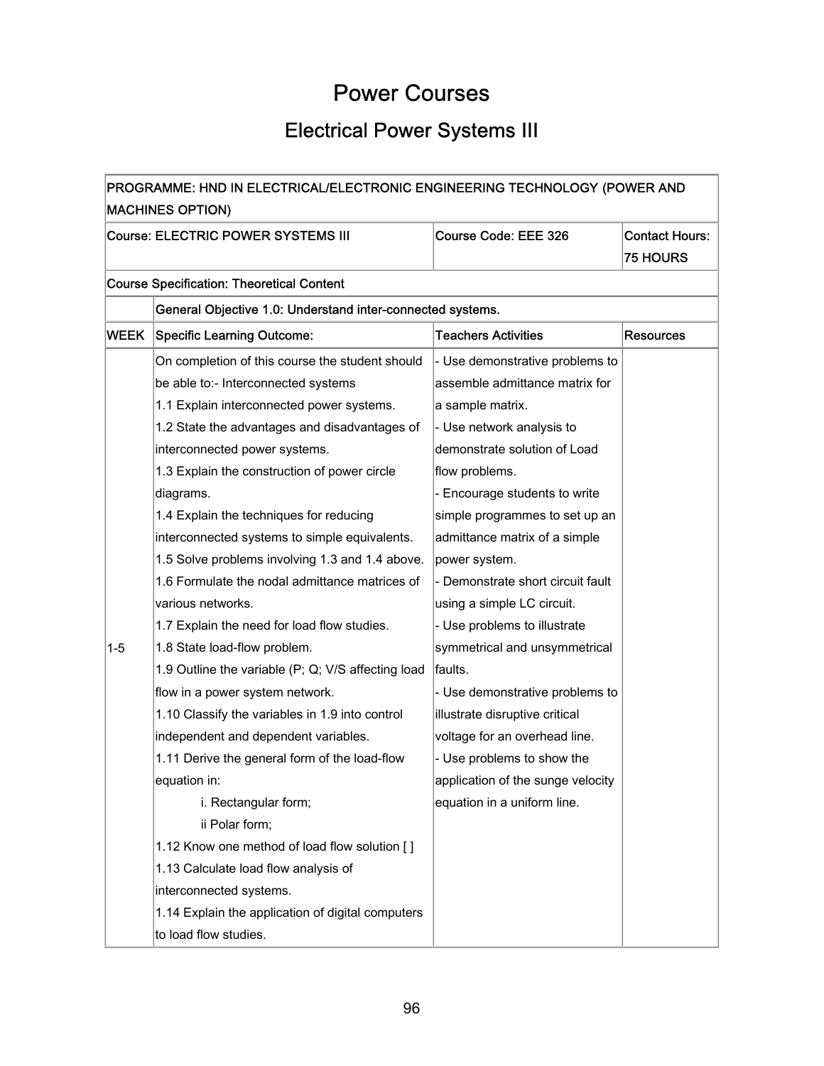### Power Courses

### Electrical Power Systems III

| PROGRAMME: HND IN ELECTRICAL/ELECTRONIC ENGINEERING TECHNOLOGY (POWER AND<br><b>MACHINES OPTION)</b> |                                                            |                                   |                                          |  |  |
|------------------------------------------------------------------------------------------------------|------------------------------------------------------------|-----------------------------------|------------------------------------------|--|--|
|                                                                                                      | Course: ELECTRIC POWER SYSTEMS III                         | Course Code: EEE 326              | <b>Contact Hours:</b><br><b>75 HOURS</b> |  |  |
|                                                                                                      | <b>Course Specification: Theoretical Content</b>           |                                   |                                          |  |  |
|                                                                                                      | General Objective 1.0: Understand inter-connected systems. |                                   |                                          |  |  |
| WEEK                                                                                                 | <b>Specific Learning Outcome:</b>                          | <b>Teachers Activities</b>        | <b>Resources</b>                         |  |  |
|                                                                                                      | On completion of this course the student should            | - Use demonstrative problems to   |                                          |  |  |
|                                                                                                      | be able to:- Interconnected systems                        | assemble admittance matrix for    |                                          |  |  |
|                                                                                                      | 1.1 Explain interconnected power systems.                  | a sample matrix.                  |                                          |  |  |
|                                                                                                      | 1.2 State the advantages and disadvantages of              | - Use network analysis to         |                                          |  |  |
|                                                                                                      | interconnected power systems.                              | demonstrate solution of Load      |                                          |  |  |
|                                                                                                      | 1.3 Explain the construction of power circle               | flow problems.                    |                                          |  |  |
|                                                                                                      | diagrams.                                                  | - Encourage students to write     |                                          |  |  |
|                                                                                                      | 1.4 Explain the techniques for reducing                    | simple programmes to set up an    |                                          |  |  |
|                                                                                                      | interconnected systems to simple equivalents.              | admittance matrix of a simple     |                                          |  |  |
|                                                                                                      | 1.5 Solve problems involving 1.3 and 1.4 above.            | power system.                     |                                          |  |  |
|                                                                                                      | 1.6 Formulate the nodal admittance matrices of             | - Demonstrate short circuit fault |                                          |  |  |
|                                                                                                      | various networks.                                          | using a simple LC circuit.        |                                          |  |  |
|                                                                                                      | 1.7 Explain the need for load flow studies.                | - Use problems to illustrate      |                                          |  |  |
| $1 - 5$                                                                                              | 1.8 State load-flow problem.                               | symmetrical and unsymmetrical     |                                          |  |  |
|                                                                                                      | 1.9 Outline the variable (P; Q; V/S affecting load         | faults.                           |                                          |  |  |
|                                                                                                      | flow in a power system network.                            | - Use demonstrative problems to   |                                          |  |  |
|                                                                                                      | 1.10 Classify the variables in 1.9 into control            | illustrate disruptive critical    |                                          |  |  |
|                                                                                                      | independent and dependent variables.                       | voltage for an overhead line.     |                                          |  |  |
|                                                                                                      | 1.11 Derive the general form of the load-flow              | - Use problems to show the        |                                          |  |  |
|                                                                                                      | equation in:                                               | application of the sunge velocity |                                          |  |  |
|                                                                                                      | i. Rectangular form;                                       | equation in a uniform line.       |                                          |  |  |
|                                                                                                      | ii Polar form;                                             |                                   |                                          |  |  |
|                                                                                                      | 1.12 Know one method of load flow solution []              |                                   |                                          |  |  |
|                                                                                                      | 1.13 Calculate load flow analysis of                       |                                   |                                          |  |  |
|                                                                                                      | interconnected systems.                                    |                                   |                                          |  |  |
|                                                                                                      | 1.14 Explain the application of digital computers          |                                   |                                          |  |  |
|                                                                                                      | to load flow studies.                                      |                                   |                                          |  |  |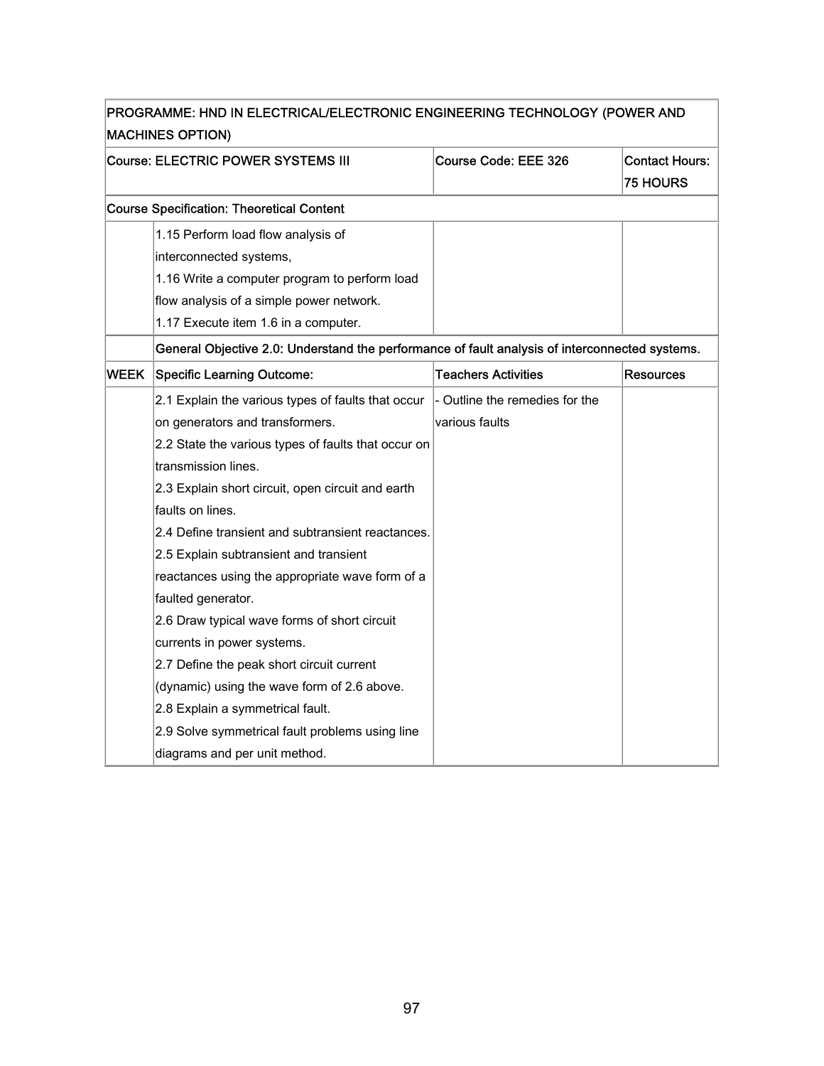|             | PROGRAMME: HND IN ELECTRICAL/ELECTRONIC ENGINEERING TECHNOLOGY (POWER AND                      |                                |                                          |
|-------------|------------------------------------------------------------------------------------------------|--------------------------------|------------------------------------------|
|             | <b>MACHINES OPTION)</b>                                                                        |                                |                                          |
|             | Course: ELECTRIC POWER SYSTEMS III                                                             | Course Code: EEE 326           | <b>Contact Hours:</b><br><b>75 HOURS</b> |
|             | <b>Course Specification: Theoretical Content</b>                                               |                                |                                          |
|             |                                                                                                |                                |                                          |
|             | 1.15 Perform load flow analysis of                                                             |                                |                                          |
|             | interconnected systems,                                                                        |                                |                                          |
|             | 1.16 Write a computer program to perform load                                                  |                                |                                          |
|             | flow analysis of a simple power network.                                                       |                                |                                          |
|             | 1.17 Execute item 1.6 in a computer.                                                           |                                |                                          |
|             | General Objective 2.0: Understand the performance of fault analysis of interconnected systems. |                                |                                          |
| <b>WEEK</b> | Specific Learning Outcome:                                                                     | <b>Teachers Activities</b>     | <b>Resources</b>                         |
|             | 2.1 Explain the various types of faults that occur                                             | - Outline the remedies for the |                                          |
|             | on generators and transformers.                                                                | various faults                 |                                          |
|             | 2.2 State the various types of faults that occur on                                            |                                |                                          |
|             | transmission lines.                                                                            |                                |                                          |
|             | 2.3 Explain short circuit, open circuit and earth                                              |                                |                                          |
|             | faults on lines.                                                                               |                                |                                          |
|             | 2.4 Define transient and subtransient reactances.                                              |                                |                                          |
|             | 2.5 Explain subtransient and transient                                                         |                                |                                          |
|             | reactances using the appropriate wave form of a                                                |                                |                                          |
|             | faulted generator.                                                                             |                                |                                          |
|             | 2.6 Draw typical wave forms of short circuit                                                   |                                |                                          |
|             | currents in power systems.                                                                     |                                |                                          |
|             | 2.7 Define the peak short circuit current                                                      |                                |                                          |
|             | (dynamic) using the wave form of 2.6 above.                                                    |                                |                                          |
|             | 2.8 Explain a symmetrical fault.                                                               |                                |                                          |
|             | 2.9 Solve symmetrical fault problems using line                                                |                                |                                          |
|             | diagrams and per unit method.                                                                  |                                |                                          |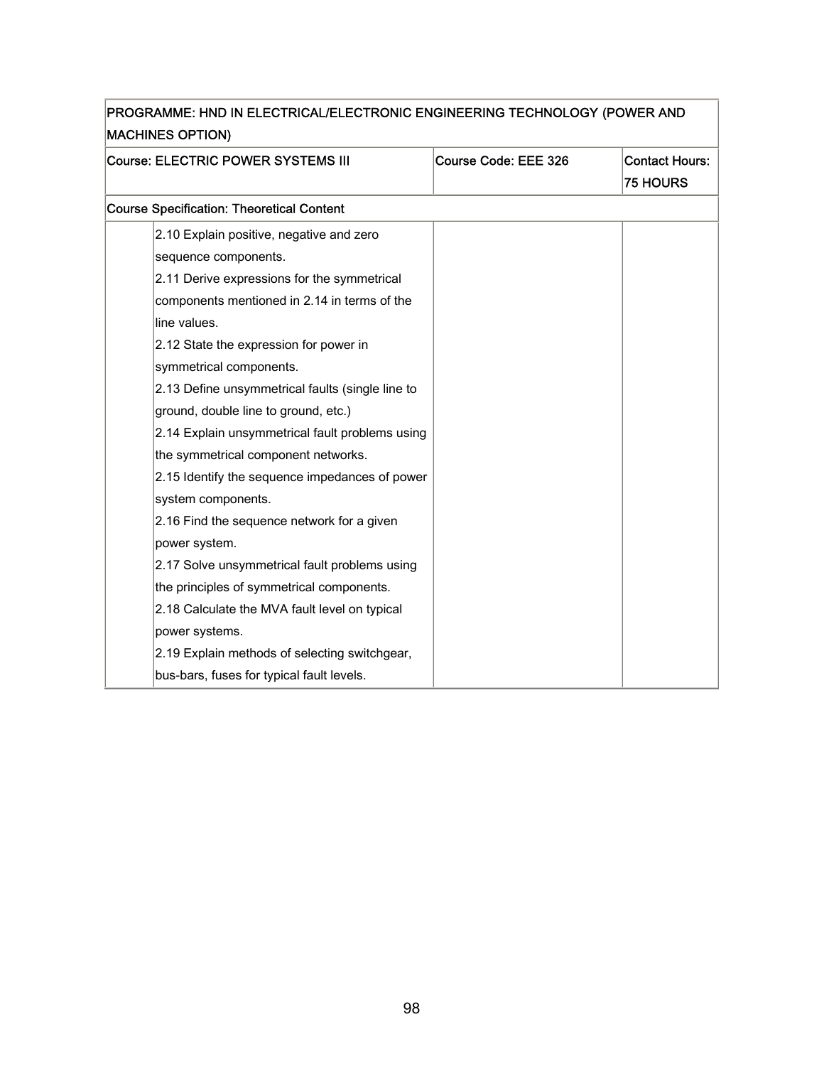| Course: ELECTRIC POWER SYSTEMS III               | Course Code: EEE 326 | <b>Contact Hours:</b> |
|--------------------------------------------------|----------------------|-----------------------|
|                                                  |                      | <b>75 HOURS</b>       |
| <b>Course Specification: Theoretical Content</b> |                      |                       |
| 2.10 Explain positive, negative and zero         |                      |                       |
| sequence components.                             |                      |                       |
| 2.11 Derive expressions for the symmetrical      |                      |                       |
| components mentioned in 2.14 in terms of the     |                      |                       |
| line values.                                     |                      |                       |
| 2.12 State the expression for power in           |                      |                       |
| symmetrical components.                          |                      |                       |
| 2.13 Define unsymmetrical faults (single line to |                      |                       |
| ground, double line to ground, etc.)             |                      |                       |
| 2.14 Explain unsymmetrical fault problems using  |                      |                       |
| the symmetrical component networks.              |                      |                       |
| 2.15 Identify the sequence impedances of power   |                      |                       |
| system components.                               |                      |                       |
| 2.16 Find the sequence network for a given       |                      |                       |
| power system.                                    |                      |                       |
| 2.17 Solve unsymmetrical fault problems using    |                      |                       |
| the principles of symmetrical components.        |                      |                       |
| 2.18 Calculate the MVA fault level on typical    |                      |                       |
| power systems.                                   |                      |                       |
| 2.19 Explain methods of selecting switchgear,    |                      |                       |
| bus-bars, fuses for typical fault levels.        |                      |                       |

## PROGRAMME: HND IN ELECTRICAL/ELECTRONIC ENGINEERING TECHNOLOGY (POWER AND

٦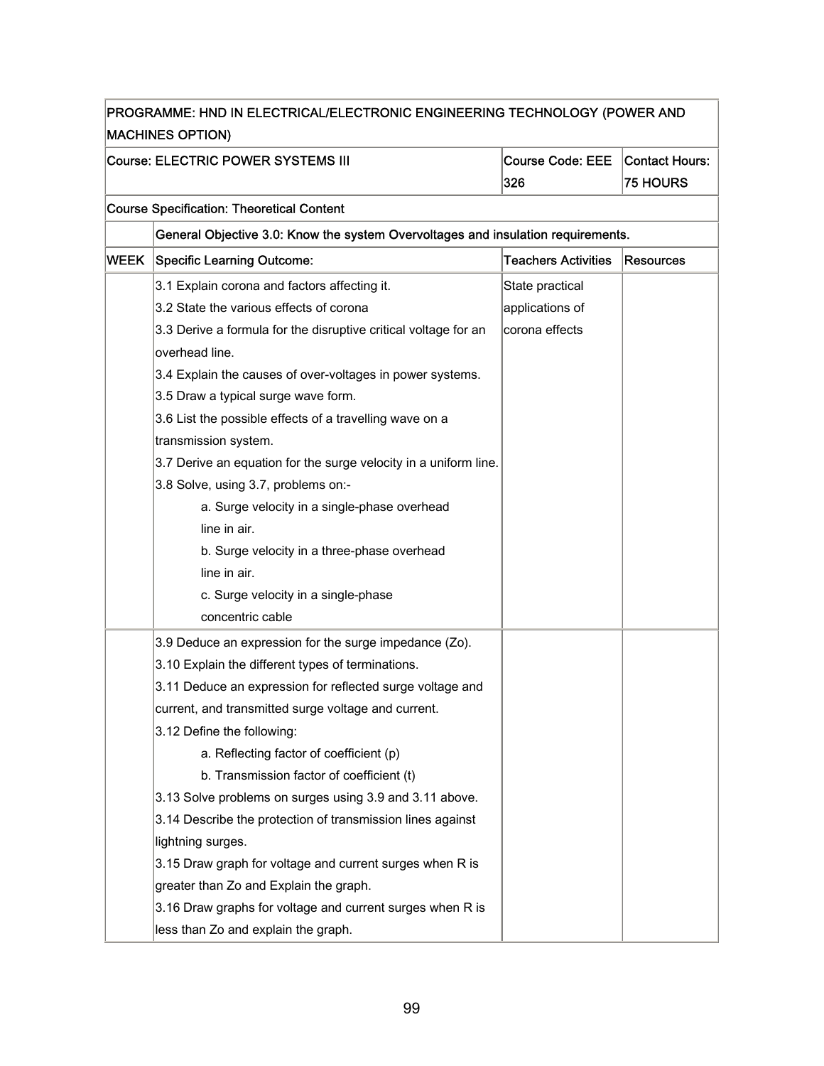| PROGRAMME: HND IN ELECTRICAL/ELECTRONIC ENGINEERING TECHNOLOGY (POWER AND<br><b>MACHINES OPTION)</b> |                                                                                  |                                |                                   |  |
|------------------------------------------------------------------------------------------------------|----------------------------------------------------------------------------------|--------------------------------|-----------------------------------|--|
|                                                                                                      | Course: ELECTRIC POWER SYSTEMS III                                               | <b>Course Code: EEE</b><br>326 | Contact Hours:<br><b>75 HOURS</b> |  |
|                                                                                                      | <b>Course Specification: Theoretical Content</b>                                 |                                |                                   |  |
|                                                                                                      | General Objective 3.0: Know the system Overvoltages and insulation requirements. |                                |                                   |  |
| WEEK                                                                                                 | <b>Specific Learning Outcome:</b>                                                | <b>Teachers Activities</b>     | Resources                         |  |
|                                                                                                      | 3.1 Explain corona and factors affecting it.                                     | State practical                |                                   |  |
|                                                                                                      | 3.2 State the various effects of corona                                          | applications of                |                                   |  |
|                                                                                                      | 3.3 Derive a formula for the disruptive critical voltage for an                  | corona effects                 |                                   |  |
|                                                                                                      | overhead line.                                                                   |                                |                                   |  |
|                                                                                                      | 3.4 Explain the causes of over-voltages in power systems.                        |                                |                                   |  |
|                                                                                                      | 3.5 Draw a typical surge wave form.                                              |                                |                                   |  |
|                                                                                                      | 3.6 List the possible effects of a travelling wave on a                          |                                |                                   |  |
|                                                                                                      | transmission system.                                                             |                                |                                   |  |
|                                                                                                      | 3.7 Derive an equation for the surge velocity in a uniform line.                 |                                |                                   |  |
|                                                                                                      | 3.8 Solve, using 3.7, problems on:-                                              |                                |                                   |  |
|                                                                                                      | a. Surge velocity in a single-phase overhead                                     |                                |                                   |  |
|                                                                                                      | line in air.                                                                     |                                |                                   |  |
|                                                                                                      | b. Surge velocity in a three-phase overhead                                      |                                |                                   |  |
|                                                                                                      | line in air.                                                                     |                                |                                   |  |
|                                                                                                      | c. Surge velocity in a single-phase                                              |                                |                                   |  |
|                                                                                                      | concentric cable                                                                 |                                |                                   |  |
|                                                                                                      | 3.9 Deduce an expression for the surge impedance (Zo).                           |                                |                                   |  |
|                                                                                                      | 3.10 Explain the different types of terminations.                                |                                |                                   |  |
|                                                                                                      | 3.11 Deduce an expression for reflected surge voltage and                        |                                |                                   |  |
|                                                                                                      | current, and transmitted surge voltage and current.                              |                                |                                   |  |
|                                                                                                      | 3.12 Define the following:                                                       |                                |                                   |  |
|                                                                                                      | a. Reflecting factor of coefficient (p)                                          |                                |                                   |  |
|                                                                                                      | b. Transmission factor of coefficient (t)                                        |                                |                                   |  |
|                                                                                                      | 3.13 Solve problems on surges using 3.9 and 3.11 above.                          |                                |                                   |  |
|                                                                                                      | 3.14 Describe the protection of transmission lines against                       |                                |                                   |  |
|                                                                                                      | lightning surges.                                                                |                                |                                   |  |
|                                                                                                      | 3.15 Draw graph for voltage and current surges when R is                         |                                |                                   |  |
|                                                                                                      | greater than Zo and Explain the graph.                                           |                                |                                   |  |
|                                                                                                      | 3.16 Draw graphs for voltage and current surges when R is                        |                                |                                   |  |
|                                                                                                      | less than Zo and explain the graph.                                              |                                |                                   |  |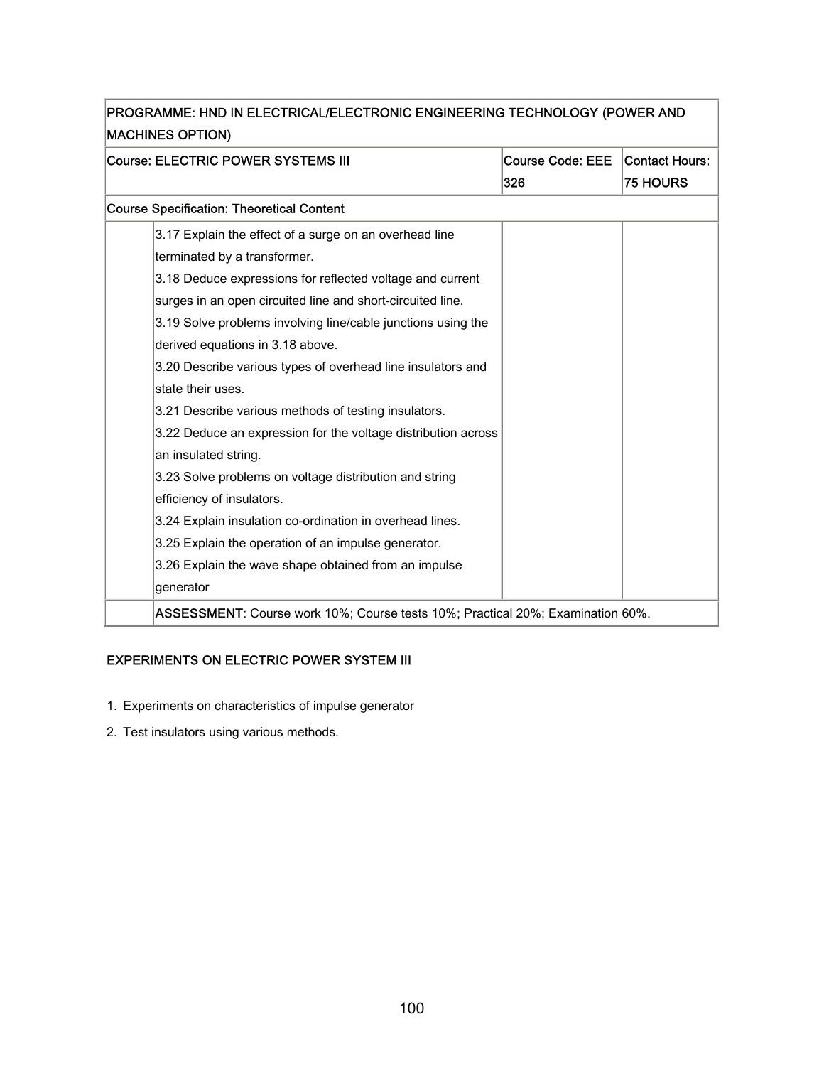| <b>MACHINES OPTION)</b>                                                        |                         |                 |  |
|--------------------------------------------------------------------------------|-------------------------|-----------------|--|
| Course: ELECTRIC POWER SYSTEMS III                                             | <b>Course Code: EEE</b> | Contact Hours:  |  |
|                                                                                | 326                     | <b>75 HOURS</b> |  |
| <b>Course Specification: Theoretical Content</b>                               |                         |                 |  |
| 3.17 Explain the effect of a surge on an overhead line                         |                         |                 |  |
| terminated by a transformer.                                                   |                         |                 |  |
| 3.18 Deduce expressions for reflected voltage and current                      |                         |                 |  |
| surges in an open circuited line and short-circuited line.                     |                         |                 |  |
| 3.19 Solve problems involving line/cable junctions using the                   |                         |                 |  |
| derived equations in 3.18 above.                                               |                         |                 |  |
| 3.20 Describe various types of overhead line insulators and                    |                         |                 |  |
| state their uses.                                                              |                         |                 |  |
| 3.21 Describe various methods of testing insulators.                           |                         |                 |  |
| 3.22 Deduce an expression for the voltage distribution across                  |                         |                 |  |
| an insulated string.                                                           |                         |                 |  |
| 3.23 Solve problems on voltage distribution and string                         |                         |                 |  |
| efficiency of insulators.                                                      |                         |                 |  |
| 3.24 Explain insulation co-ordination in overhead lines.                       |                         |                 |  |
| 3.25 Explain the operation of an impulse generator.                            |                         |                 |  |
| 3.26 Explain the wave shape obtained from an impulse                           |                         |                 |  |
| generator                                                                      |                         |                 |  |
| ASSESSMENT: Course work 10%; Course tests 10%; Practical 20%; Examination 60%. |                         |                 |  |

Ť.

### EXPERIMENTS ON ELECTRIC POWER SYSTEM III

- 1. Experiments on characteristics of impulse generator
- 2. Test insulators using various methods.

F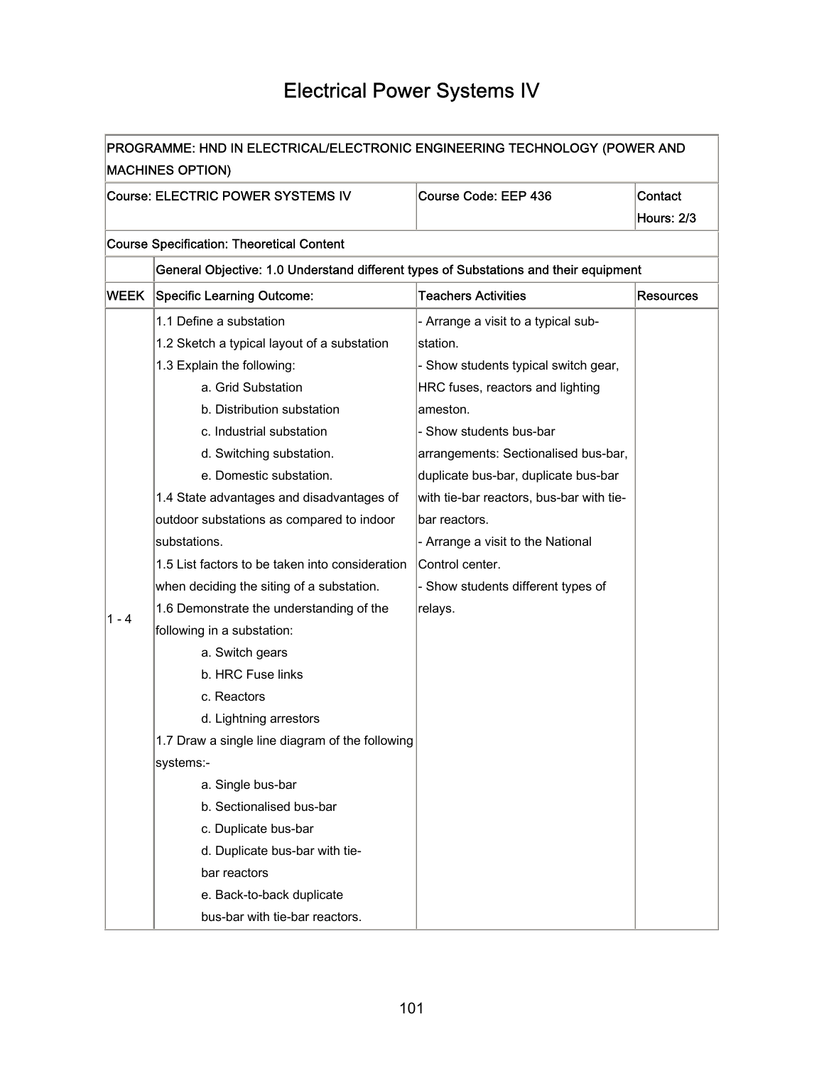### Electrical Power Systems IV

|             | PROGRAMME: HND IN ELECTRICAL/ELECTRONIC ENGINEERING TECHNOLOGY (POWER AND            |                                          |                   |  |
|-------------|--------------------------------------------------------------------------------------|------------------------------------------|-------------------|--|
|             | <b>MACHINES OPTION)</b>                                                              |                                          |                   |  |
|             | Course: ELECTRIC POWER SYSTEMS IV                                                    | Course Code: EEP 436                     | Contact           |  |
|             |                                                                                      |                                          | <b>Hours: 2/3</b> |  |
|             | <b>Course Specification: Theoretical Content</b>                                     |                                          |                   |  |
|             | General Objective: 1.0 Understand different types of Substations and their equipment |                                          |                   |  |
| <b>WEEK</b> | <b>Specific Learning Outcome:</b>                                                    | <b>Teachers Activities</b>               | <b>Resources</b>  |  |
|             | 1.1 Define a substation                                                              | - Arrange a visit to a typical sub-      |                   |  |
|             | 1.2 Sketch a typical layout of a substation                                          | station.                                 |                   |  |
|             | 1.3 Explain the following:                                                           | - Show students typical switch gear,     |                   |  |
|             | a. Grid Substation                                                                   | HRC fuses, reactors and lighting         |                   |  |
|             | b. Distribution substation                                                           | ameston.                                 |                   |  |
|             | c. Industrial substation                                                             | - Show students bus-bar                  |                   |  |
|             | d. Switching substation.                                                             | arrangements: Sectionalised bus-bar,     |                   |  |
|             | e. Domestic substation.                                                              | duplicate bus-bar, duplicate bus-bar     |                   |  |
|             | 1.4 State advantages and disadvantages of                                            | with tie-bar reactors, bus-bar with tie- |                   |  |
|             | outdoor substations as compared to indoor                                            | bar reactors.                            |                   |  |
|             | substations.                                                                         | - Arrange a visit to the National        |                   |  |
|             | 1.5 List factors to be taken into consideration                                      | Control center.                          |                   |  |
|             | when deciding the siting of a substation.                                            | - Show students different types of       |                   |  |
|             | 1.6 Demonstrate the understanding of the                                             | relays.                                  |                   |  |
| 1 - 4       | following in a substation:                                                           |                                          |                   |  |
|             | a. Switch gears                                                                      |                                          |                   |  |
|             | b. HRC Fuse links                                                                    |                                          |                   |  |
|             | c. Reactors                                                                          |                                          |                   |  |
|             | d. Lightning arrestors                                                               |                                          |                   |  |
|             | 1.7 Draw a single line diagram of the following                                      |                                          |                   |  |
|             | systems:-                                                                            |                                          |                   |  |
|             | a. Single bus-bar                                                                    |                                          |                   |  |
|             | b. Sectionalised bus-bar                                                             |                                          |                   |  |
|             | c. Duplicate bus-bar                                                                 |                                          |                   |  |
|             | d. Duplicate bus-bar with tie-                                                       |                                          |                   |  |
|             | bar reactors                                                                         |                                          |                   |  |
|             | e. Back-to-back duplicate                                                            |                                          |                   |  |
|             | bus-bar with tie-bar reactors.                                                       |                                          |                   |  |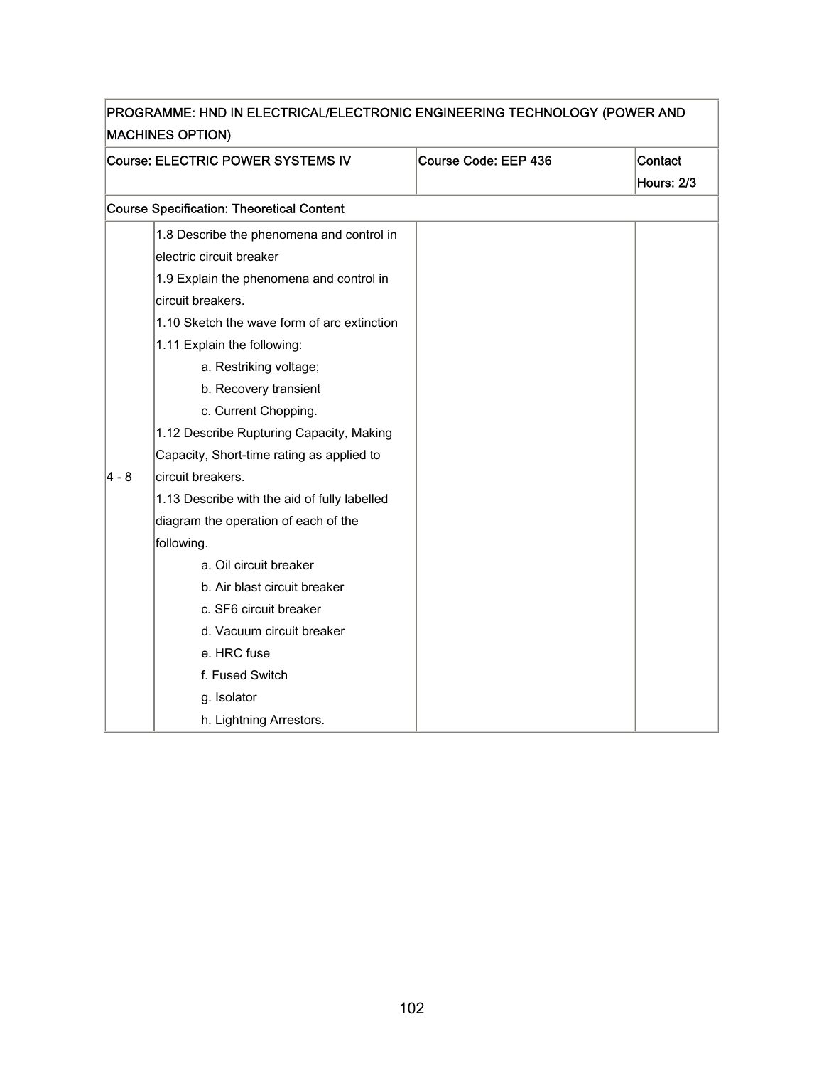|                         | PROGRAMME: HND IN ELECTRICAL/ELECTRONIC ENGINEERING TECHNOLOGY (POWER AND |                      |                              |  |
|-------------------------|---------------------------------------------------------------------------|----------------------|------------------------------|--|
| <b>MACHINES OPTION)</b> |                                                                           |                      |                              |  |
|                         | Course: ELECTRIC POWER SYSTEMS IV                                         | Course Code: EEP 436 | Contact<br><b>Hours: 2/3</b> |  |
|                         | <b>Course Specification: Theoretical Content</b>                          |                      |                              |  |
|                         | 1.8 Describe the phenomena and control in                                 |                      |                              |  |
|                         | lelectric circuit breaker                                                 |                      |                              |  |
|                         | 1.9 Explain the phenomena and control in                                  |                      |                              |  |
|                         | circuit breakers.                                                         |                      |                              |  |
|                         | 1.10 Sketch the wave form of arc extinction                               |                      |                              |  |
|                         | 1.11 Explain the following:                                               |                      |                              |  |
|                         | a. Restriking voltage;                                                    |                      |                              |  |
|                         | b. Recovery transient                                                     |                      |                              |  |
|                         | c. Current Chopping.                                                      |                      |                              |  |
|                         | 1.12 Describe Rupturing Capacity, Making                                  |                      |                              |  |
|                         | Capacity, Short-time rating as applied to                                 |                      |                              |  |
| 4 - 8                   | circuit breakers.                                                         |                      |                              |  |
|                         | 1.13 Describe with the aid of fully labelled                              |                      |                              |  |
|                         | diagram the operation of each of the                                      |                      |                              |  |
|                         | following.                                                                |                      |                              |  |
|                         | a. Oil circuit breaker                                                    |                      |                              |  |
|                         | b. Air blast circuit breaker                                              |                      |                              |  |
|                         | c. SF6 circuit breaker                                                    |                      |                              |  |
|                         | d. Vacuum circuit breaker                                                 |                      |                              |  |
|                         | e. HRC fuse                                                               |                      |                              |  |
|                         | f. Fused Switch                                                           |                      |                              |  |
|                         | g. Isolator                                                               |                      |                              |  |
|                         | h. Lightning Arrestors.                                                   |                      |                              |  |

٦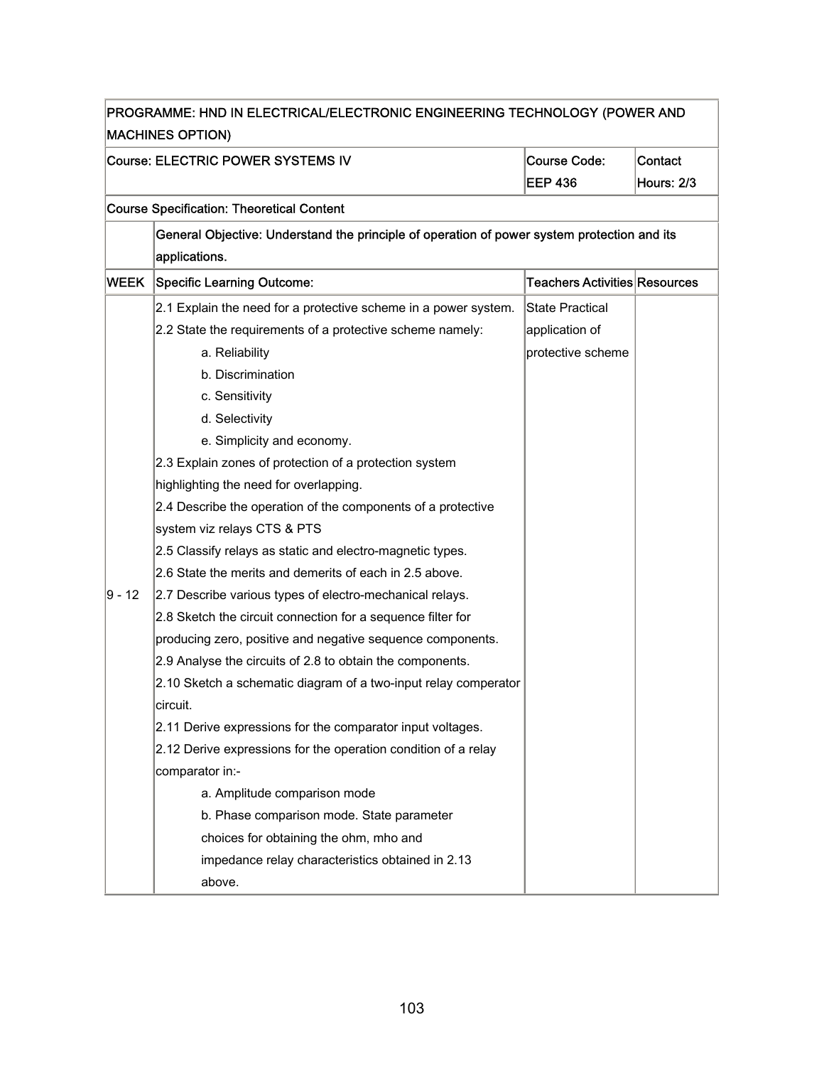|                                        | PROGRAMME: HND IN ELECTRICAL/ELECTRONIC ENGINEERING TECHNOLOGY (POWER AND<br><b>MACHINES OPTION)</b> |                                       |                              |  |  |
|----------------------------------------|------------------------------------------------------------------------------------------------------|---------------------------------------|------------------------------|--|--|
|                                        | Course: ELECTRIC POWER SYSTEMS IV                                                                    | <b>Course Code:</b><br><b>EEP 436</b> | Contact<br><b>Hours: 2/3</b> |  |  |
|                                        | <b>Course Specification: Theoretical Content</b>                                                     |                                       |                              |  |  |
|                                        | General Objective: Understand the principle of operation of power system protection and its          |                                       |                              |  |  |
|                                        | applications.                                                                                        |                                       |                              |  |  |
| <b>WEEK</b>                            | <b>Specific Learning Outcome:</b>                                                                    | Teachers Activities Resources         |                              |  |  |
|                                        | 2.1 Explain the need for a protective scheme in a power system.                                      | <b>State Practical</b>                |                              |  |  |
|                                        | 2.2 State the requirements of a protective scheme namely:                                            | application of                        |                              |  |  |
|                                        | a. Reliability                                                                                       | protective scheme                     |                              |  |  |
|                                        | b. Discrimination                                                                                    |                                       |                              |  |  |
|                                        | c. Sensitivity                                                                                       |                                       |                              |  |  |
|                                        | d. Selectivity                                                                                       |                                       |                              |  |  |
|                                        | e. Simplicity and economy.                                                                           |                                       |                              |  |  |
|                                        | 2.3 Explain zones of protection of a protection system                                               |                                       |                              |  |  |
| highlighting the need for overlapping. |                                                                                                      |                                       |                              |  |  |
|                                        | 2.4 Describe the operation of the components of a protective                                         |                                       |                              |  |  |
|                                        | system viz relays CTS & PTS                                                                          |                                       |                              |  |  |
|                                        | 2.5 Classify relays as static and electro-magnetic types.                                            |                                       |                              |  |  |
|                                        | 2.6 State the merits and demerits of each in 2.5 above.                                              |                                       |                              |  |  |
| ∣9 - 12                                | 2.7 Describe various types of electro-mechanical relays.                                             |                                       |                              |  |  |
|                                        | 2.8 Sketch the circuit connection for a sequence filter for                                          |                                       |                              |  |  |
|                                        | producing zero, positive and negative sequence components.                                           |                                       |                              |  |  |
|                                        | 2.9 Analyse the circuits of 2.8 to obtain the components.                                            |                                       |                              |  |  |
|                                        | 2.10 Sketch a schematic diagram of a two-input relay comperator                                      |                                       |                              |  |  |
|                                        | circuit.                                                                                             |                                       |                              |  |  |
|                                        | 2.11 Derive expressions for the comparator input voltages.                                           |                                       |                              |  |  |
|                                        | 2.12 Derive expressions for the operation condition of a relay                                       |                                       |                              |  |  |
|                                        | comparator in:-                                                                                      |                                       |                              |  |  |
|                                        | a. Amplitude comparison mode                                                                         |                                       |                              |  |  |
|                                        | b. Phase comparison mode. State parameter                                                            |                                       |                              |  |  |
|                                        | choices for obtaining the ohm, mho and                                                               |                                       |                              |  |  |
|                                        | impedance relay characteristics obtained in 2.13                                                     |                                       |                              |  |  |
|                                        | above.                                                                                               |                                       |                              |  |  |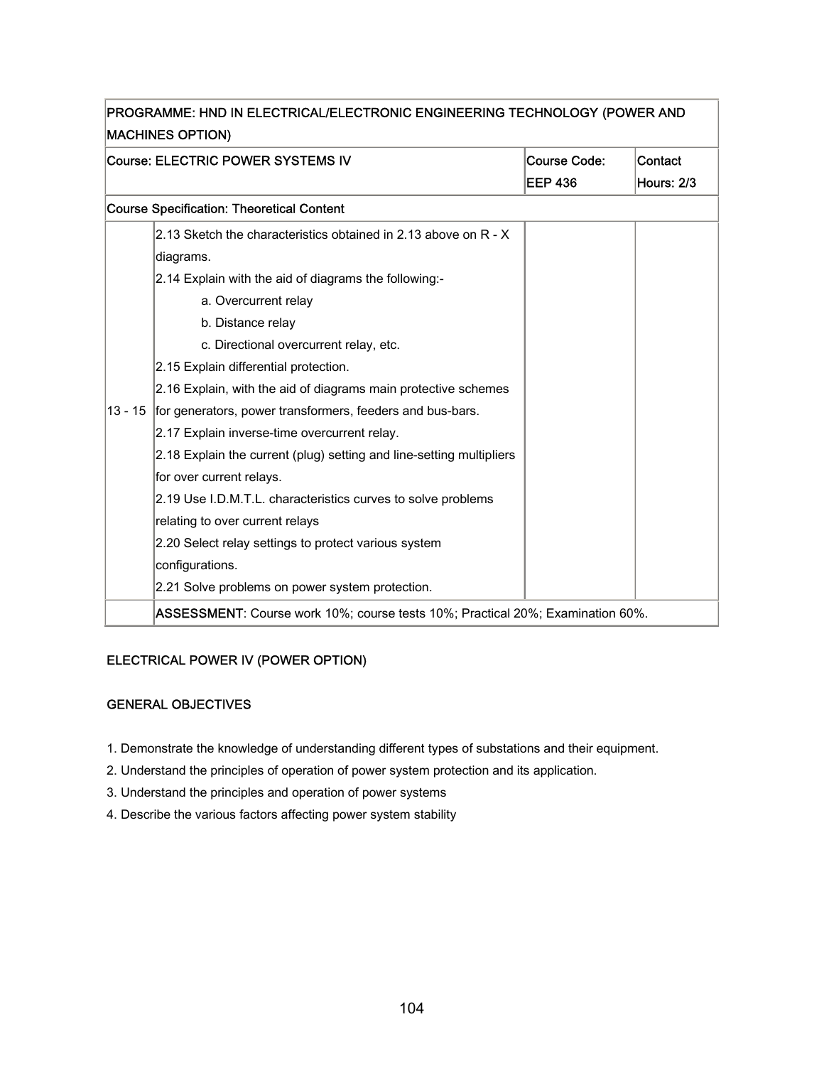|           | PROGRAMME: HND IN ELECTRICAL/ELECTRONIC ENGINEERING TECHNOLOGY (POWER AND<br><b>MACHINES OPTION)</b> |                                       |                              |
|-----------|------------------------------------------------------------------------------------------------------|---------------------------------------|------------------------------|
|           | Course: ELECTRIC POWER SYSTEMS IV                                                                    | <b>Course Code:</b><br><b>EEP 436</b> | Contact<br><b>Hours: 2/3</b> |
|           | <b>Course Specification: Theoretical Content</b>                                                     |                                       |                              |
|           | 2.13 Sketch the characteristics obtained in 2.13 above on R - X                                      |                                       |                              |
|           | diagrams.                                                                                            |                                       |                              |
|           | 2.14 Explain with the aid of diagrams the following:-                                                |                                       |                              |
|           | a. Overcurrent relay                                                                                 |                                       |                              |
|           | b. Distance relay                                                                                    |                                       |                              |
|           | c. Directional overcurrent relay, etc.                                                               |                                       |                              |
|           | 2.15 Explain differential protection.                                                                |                                       |                              |
|           | 2.16 Explain, with the aid of diagrams main protective schemes                                       |                                       |                              |
| $13 - 15$ | for generators, power transformers, feeders and bus-bars.                                            |                                       |                              |
|           | 2.17 Explain inverse-time overcurrent relay.                                                         |                                       |                              |
|           | 2.18 Explain the current (plug) setting and line-setting multipliers                                 |                                       |                              |
|           | for over current relays.                                                                             |                                       |                              |
|           | 2.19 Use I.D.M.T.L. characteristics curves to solve problems                                         |                                       |                              |
|           | relating to over current relays                                                                      |                                       |                              |
|           | 2.20 Select relay settings to protect various system                                                 |                                       |                              |
|           | configurations.                                                                                      |                                       |                              |
|           | 2.21 Solve problems on power system protection.                                                      |                                       |                              |
|           | ASSESSMENT: Course work 10%; course tests 10%; Practical 20%; Examination 60%.                       |                                       |                              |

### ELECTRICAL POWER IV (POWER OPTION)

#### GENERAL OBJECTIVES

- 1. Demonstrate the knowledge of understanding different types of substations and their equipment.
- 2. Understand the principles of operation of power system protection and its application.
- 3. Understand the principles and operation of power systems
- 4. Describe the various factors affecting power system stability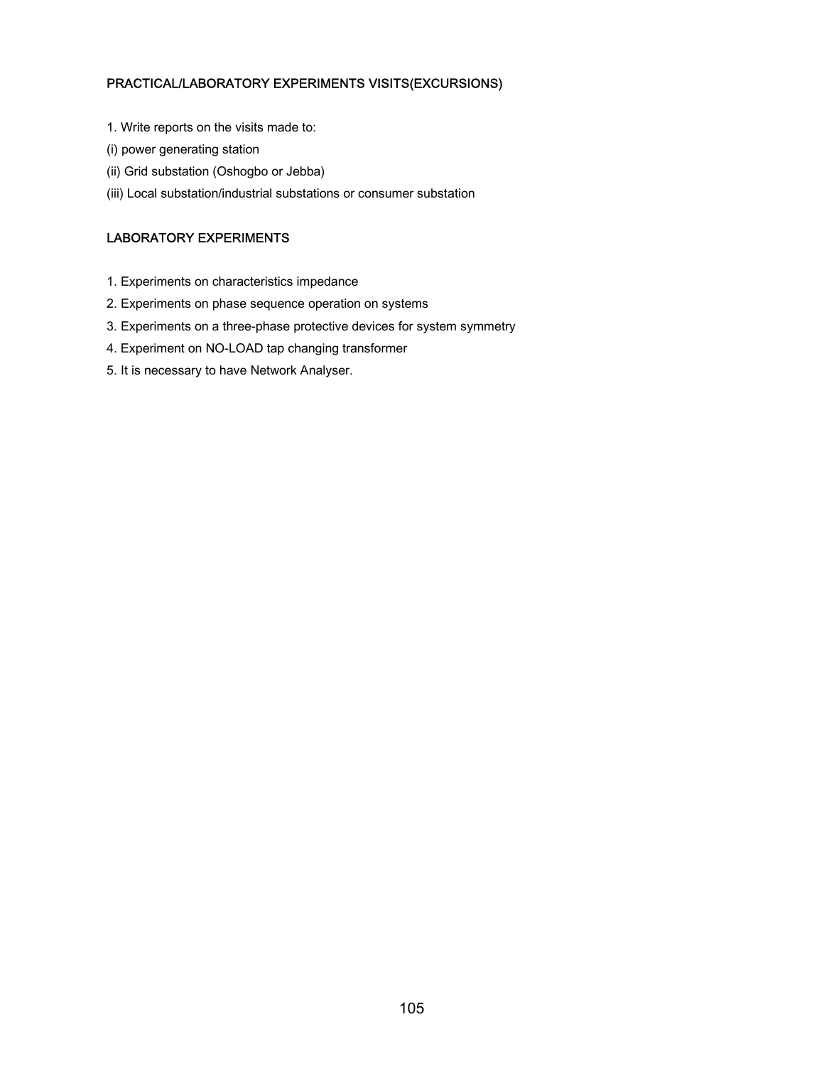#### PRACTICAL/LABORATORY EXPERIMENTS VISITS(EXCURSIONS)

- 1. Write reports on the visits made to:
- (i) power generating station
- (ii) Grid substation (Oshogbo or Jebba)
- (iii) Local substation/industrial substations or consumer substation

### LABORATORY EXPERIMENTS

- 1. Experiments on characteristics impedance
- 2. Experiments on phase sequence operation on systems
- 3. Experiments on a three-phase protective devices for system symmetry
- 4. Experiment on NO-LOAD tap changing transformer
- 5. It is necessary to have Network Analyser.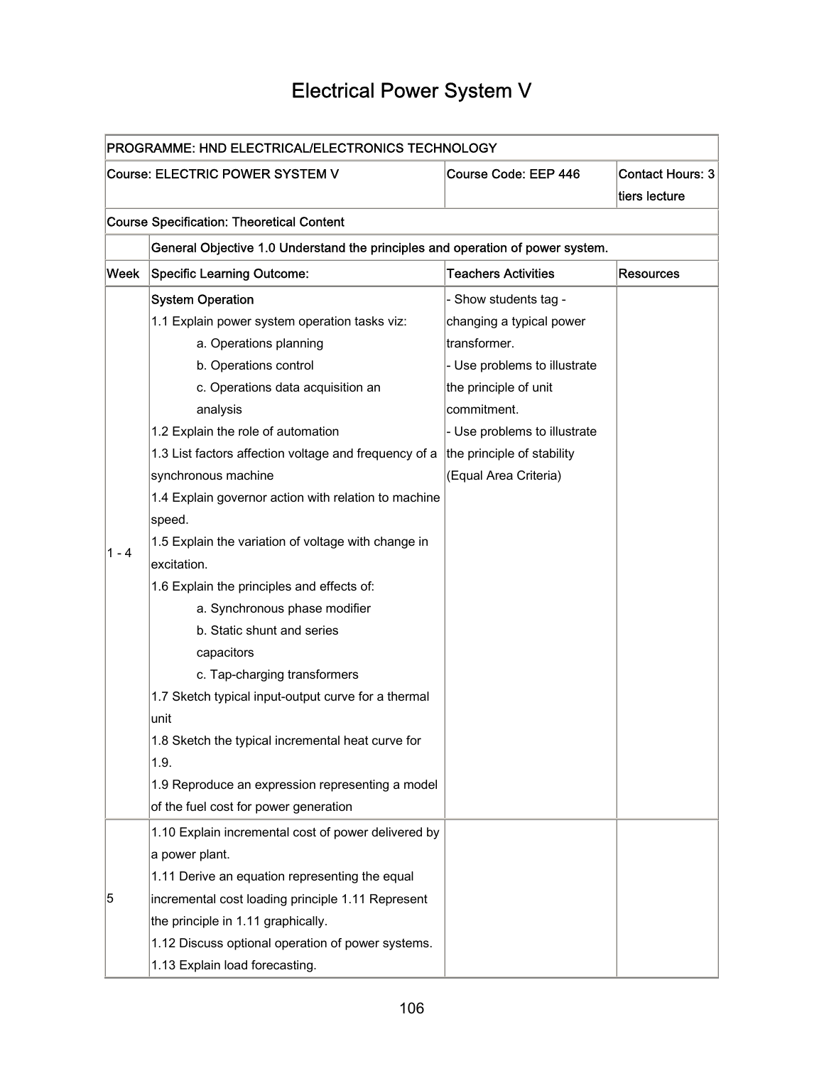### Electrical Power System V

| PROGRAMME: HND ELECTRICAL/ELECTRONICS TECHNOLOGY |                                                                                |                              |                                          |  |  |
|--------------------------------------------------|--------------------------------------------------------------------------------|------------------------------|------------------------------------------|--|--|
|                                                  | Course: ELECTRIC POWER SYSTEM V                                                | Course Code: EEP 446         | <b>Contact Hours: 3</b><br>tiers lecture |  |  |
|                                                  | <b>Course Specification: Theoretical Content</b>                               |                              |                                          |  |  |
|                                                  | General Objective 1.0 Understand the principles and operation of power system. |                              |                                          |  |  |
| Week                                             | <b>Specific Learning Outcome:</b>                                              | <b>Teachers Activities</b>   | <b>Resources</b>                         |  |  |
|                                                  | <b>System Operation</b>                                                        | - Show students tag -        |                                          |  |  |
|                                                  | 1.1 Explain power system operation tasks viz:                                  | changing a typical power     |                                          |  |  |
|                                                  | a. Operations planning                                                         | transformer.                 |                                          |  |  |
|                                                  | b. Operations control                                                          | - Use problems to illustrate |                                          |  |  |
|                                                  | c. Operations data acquisition an                                              | the principle of unit        |                                          |  |  |
|                                                  | analysis                                                                       | commitment.                  |                                          |  |  |
|                                                  | 1.2 Explain the role of automation                                             | - Use problems to illustrate |                                          |  |  |
|                                                  | 1.3 List factors affection voltage and frequency of a                          | the principle of stability   |                                          |  |  |
|                                                  | synchronous machine                                                            | (Equal Area Criteria)        |                                          |  |  |
|                                                  | 1.4 Explain governor action with relation to machine                           |                              |                                          |  |  |
|                                                  | speed.                                                                         |                              |                                          |  |  |
|                                                  | 1.5 Explain the variation of voltage with change in                            |                              |                                          |  |  |
| 1 - 4                                            | excitation.                                                                    |                              |                                          |  |  |
|                                                  | 1.6 Explain the principles and effects of:                                     |                              |                                          |  |  |
|                                                  | a. Synchronous phase modifier                                                  |                              |                                          |  |  |
|                                                  | b. Static shunt and series                                                     |                              |                                          |  |  |
|                                                  | capacitors                                                                     |                              |                                          |  |  |
|                                                  | c. Tap-charging transformers                                                   |                              |                                          |  |  |
|                                                  | 1.7 Sketch typical input-output curve for a thermal                            |                              |                                          |  |  |
|                                                  | unit                                                                           |                              |                                          |  |  |
|                                                  | 1.8 Sketch the typical incremental heat curve for                              |                              |                                          |  |  |
|                                                  | 1.9.                                                                           |                              |                                          |  |  |
|                                                  | 1.9 Reproduce an expression representing a model                               |                              |                                          |  |  |
|                                                  | of the fuel cost for power generation                                          |                              |                                          |  |  |
|                                                  | 1.10 Explain incremental cost of power delivered by                            |                              |                                          |  |  |
| 5                                                | a power plant.                                                                 |                              |                                          |  |  |
|                                                  | 1.11 Derive an equation representing the equal                                 |                              |                                          |  |  |
|                                                  | incremental cost loading principle 1.11 Represent                              |                              |                                          |  |  |
|                                                  | the principle in 1.11 graphically.                                             |                              |                                          |  |  |
|                                                  | 1.12 Discuss optional operation of power systems.                              |                              |                                          |  |  |
|                                                  | 1.13 Explain load forecasting.                                                 |                              |                                          |  |  |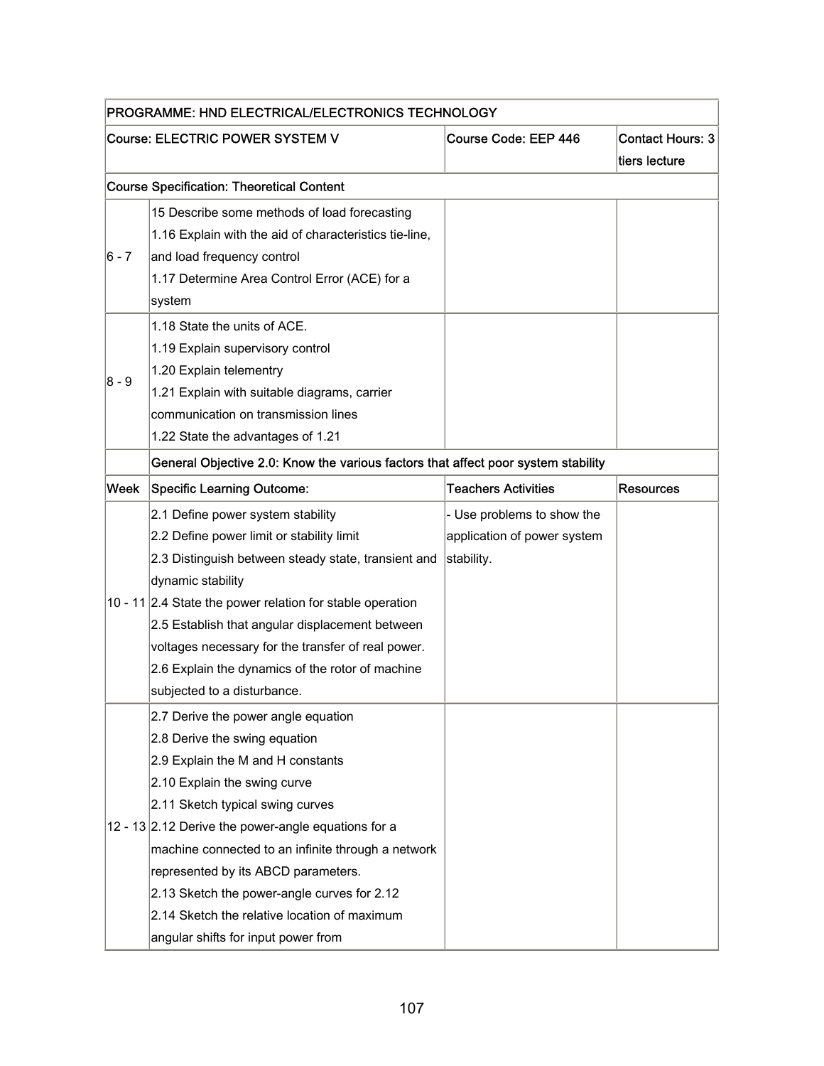| PROGRAMME: HND ELECTRICAL/ELECTRONICS TECHNOLOGY |                                                                                   |                             |                                          |  |
|--------------------------------------------------|-----------------------------------------------------------------------------------|-----------------------------|------------------------------------------|--|
|                                                  | Course: ELECTRIC POWER SYSTEM V                                                   | Course Code: EEP 446        | <b>Contact Hours: 3</b><br>tiers lecture |  |
|                                                  | <b>Course Specification: Theoretical Content</b>                                  |                             |                                          |  |
|                                                  | 15 Describe some methods of load forecasting                                      |                             |                                          |  |
|                                                  | 1.16 Explain with the aid of characteristics tie-line,                            |                             |                                          |  |
| $ 6 - 7 $                                        | and load frequency control                                                        |                             |                                          |  |
|                                                  | 1.17 Determine Area Control Error (ACE) for a                                     |                             |                                          |  |
|                                                  | system                                                                            |                             |                                          |  |
|                                                  | 1.18 State the units of ACE.                                                      |                             |                                          |  |
|                                                  | 1.19 Explain supervisory control                                                  |                             |                                          |  |
| 8 - 9                                            | 1.20 Explain telementry                                                           |                             |                                          |  |
|                                                  | 1.21 Explain with suitable diagrams, carrier                                      |                             |                                          |  |
|                                                  | communication on transmission lines                                               |                             |                                          |  |
|                                                  | 1.22 State the advantages of 1.21                                                 |                             |                                          |  |
|                                                  | General Objective 2.0: Know the various factors that affect poor system stability |                             |                                          |  |
| Week                                             | Specific Learning Outcome:                                                        | <b>Teachers Activities</b>  | <b>Resources</b>                         |  |
|                                                  | 2.1 Define power system stability                                                 | - Use problems to show the  |                                          |  |
|                                                  | 2.2 Define power limit or stability limit                                         | application of power system |                                          |  |
|                                                  | 2.3 Distinguish between steady state, transient and                               | stability.                  |                                          |  |
|                                                  | dynamic stability                                                                 |                             |                                          |  |
|                                                  | 10 - 11 2.4 State the power relation for stable operation                         |                             |                                          |  |
|                                                  | 2.5 Establish that angular displacement between                                   |                             |                                          |  |
|                                                  | voltages necessary for the transfer of real power.                                |                             |                                          |  |
|                                                  | 2.6 Explain the dynamics of the rotor of machine                                  |                             |                                          |  |
|                                                  | subjected to a disturbance.                                                       |                             |                                          |  |
|                                                  | 2.7 Derive the power angle equation                                               |                             |                                          |  |
|                                                  | 2.8 Derive the swing equation                                                     |                             |                                          |  |
|                                                  | 2.9 Explain the M and H constants                                                 |                             |                                          |  |
|                                                  | 2.10 Explain the swing curve                                                      |                             |                                          |  |
|                                                  | 2.11 Sketch typical swing curves                                                  |                             |                                          |  |
|                                                  | 12 - 13 2.12 Derive the power-angle equations for a                               |                             |                                          |  |
|                                                  | machine connected to an infinite through a network                                |                             |                                          |  |
|                                                  | represented by its ABCD parameters.                                               |                             |                                          |  |
|                                                  | 2.13 Sketch the power-angle curves for 2.12                                       |                             |                                          |  |
|                                                  | 2.14 Sketch the relative location of maximum                                      |                             |                                          |  |
|                                                  | angular shifts for input power from                                               |                             |                                          |  |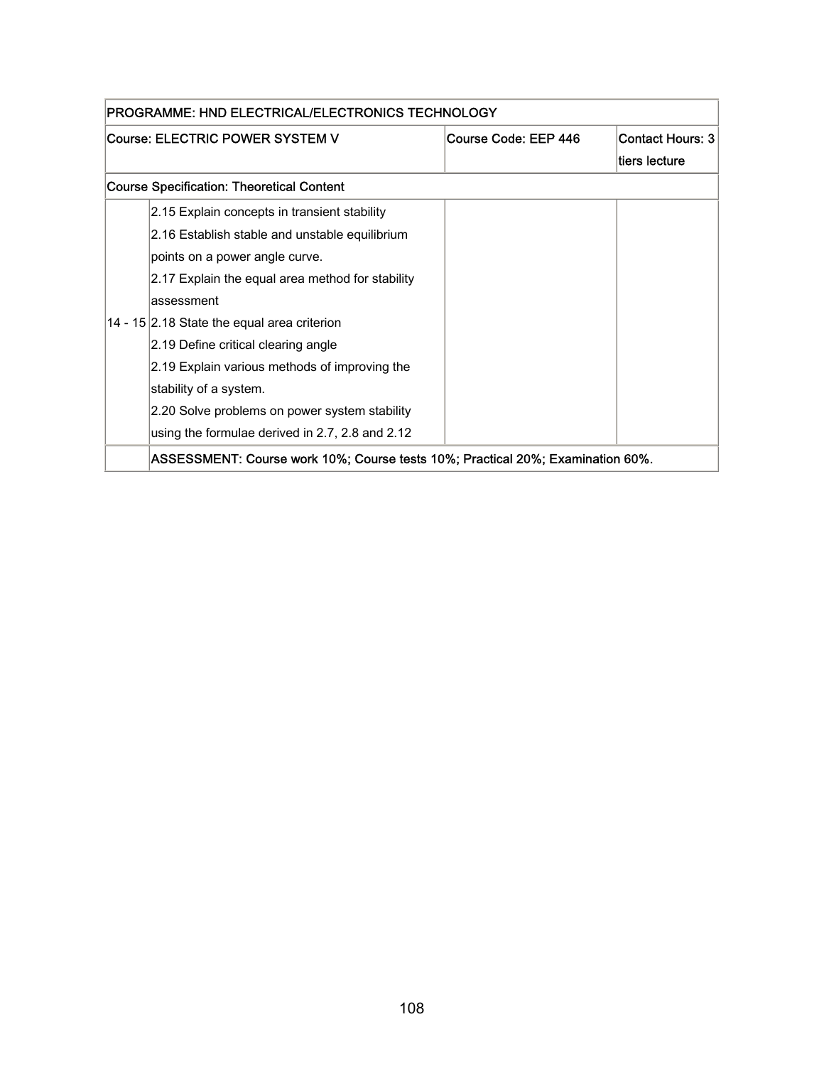| PROGRAMME: HND ELECTRICAL/ELECTRONICS TECHNOLOGY |                                                                                |                      |                         |
|--------------------------------------------------|--------------------------------------------------------------------------------|----------------------|-------------------------|
|                                                  | Course: ELECTRIC POWER SYSTEM V                                                | Course Code: EEP 446 | <b>Contact Hours: 3</b> |
|                                                  |                                                                                |                      | tiers lecture           |
|                                                  | <b>Course Specification: Theoretical Content</b>                               |                      |                         |
|                                                  | 2.15 Explain concepts in transient stability                                   |                      |                         |
|                                                  | 2.16 Establish stable and unstable equilibrium                                 |                      |                         |
|                                                  | points on a power angle curve.                                                 |                      |                         |
|                                                  | 2.17 Explain the equal area method for stability                               |                      |                         |
|                                                  | assessment                                                                     |                      |                         |
|                                                  | 14 - 15 2.18 State the equal area criterion                                    |                      |                         |
|                                                  | 2.19 Define critical clearing angle                                            |                      |                         |
|                                                  | 2.19 Explain various methods of improving the                                  |                      |                         |
|                                                  | stability of a system.                                                         |                      |                         |
|                                                  | 2.20 Solve problems on power system stability                                  |                      |                         |
|                                                  | using the formulae derived in 2.7, 2.8 and 2.12                                |                      |                         |
|                                                  | ASSESSMENT: Course work 10%; Course tests 10%; Practical 20%; Examination 60%. |                      |                         |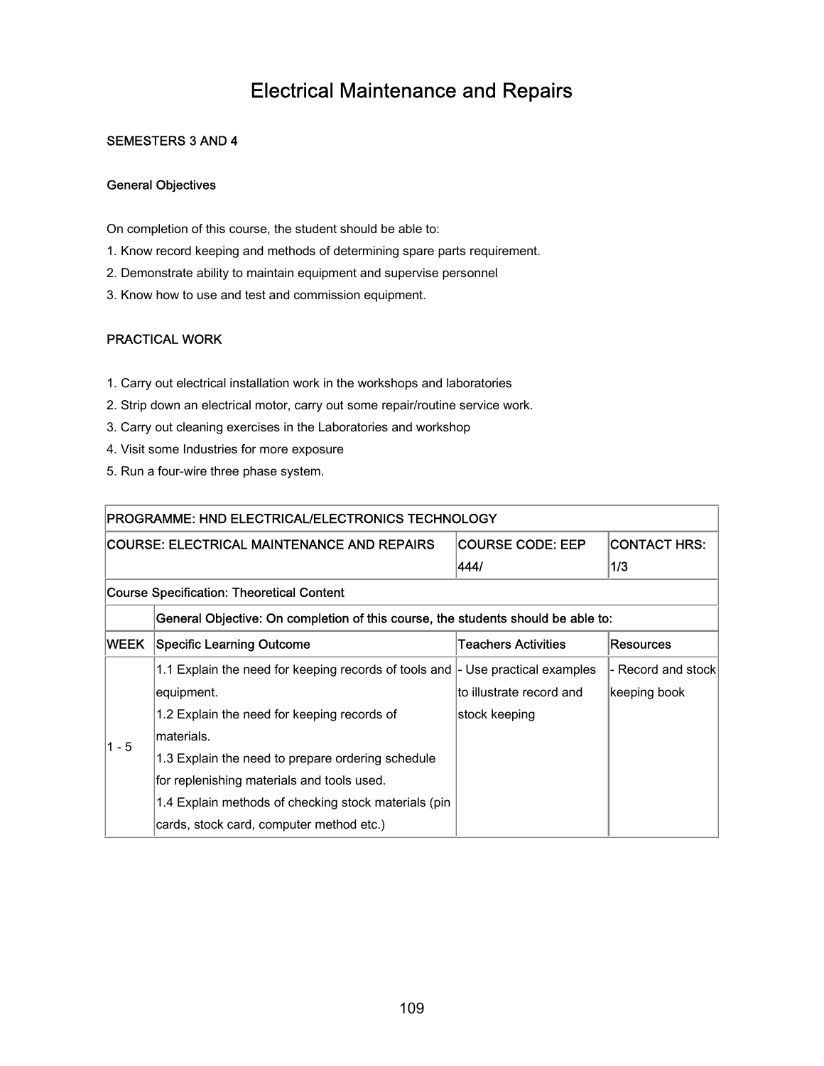### Electrical Maintenance and Repairs

#### SEMESTERS 3 AND 4

#### General Objectives

On completion of this course, the student should be able to:

- 1. Know record keeping and methods of determining spare parts requirement.
- 2. Demonstrate ability to maintain equipment and supervise personnel
- 3. Know how to use and test and commission equipment.

#### PRACTICAL WORK

- 1. Carry out electrical installation work in the workshops and laboratories
- 2. Strip down an electrical motor, carry out some repair/routine service work.
- 3. Carry out cleaning exercises in the Laboratories and workshop
- 4. Visit some Industries for more exposure
- 5. Run a four-wire three phase system.

| PROGRAMME: HND ELECTRICAL/ELECTRONICS TECHNOLOGY |                                                                                              |                            |                    |  |  |  |
|--------------------------------------------------|----------------------------------------------------------------------------------------------|----------------------------|--------------------|--|--|--|
|                                                  | <b>COURSE CODE: EEP</b><br>COURSE: ELECTRICAL MAINTENANCE AND REPAIRS<br><b>CONTACT HRS:</b> |                            |                    |  |  |  |
|                                                  |                                                                                              | 444/                       | 1/3                |  |  |  |
|                                                  | Course Specification: Theoretical Content                                                    |                            |                    |  |  |  |
|                                                  | General Objective: On completion of this course, the students should be able to:             |                            |                    |  |  |  |
| WEEK                                             | Specific Learning Outcome                                                                    | <b>Teachers Activities</b> | <b>Resources</b>   |  |  |  |
|                                                  | 1.1 Explain the need for keeping records of tools and  - Use practical examples              |                            | - Record and stock |  |  |  |
|                                                  | equipment.                                                                                   | to illustrate record and   | keeping book       |  |  |  |
|                                                  | 1.2 Explain the need for keeping records of                                                  | stock keeping              |                    |  |  |  |
| $1 - 5$                                          | materials.                                                                                   |                            |                    |  |  |  |
|                                                  | 1.3 Explain the need to prepare ordering schedule                                            |                            |                    |  |  |  |
|                                                  | for replenishing materials and tools used.                                                   |                            |                    |  |  |  |
|                                                  | 1.4 Explain methods of checking stock materials (pin                                         |                            |                    |  |  |  |
|                                                  | cards, stock card, computer method etc.)                                                     |                            |                    |  |  |  |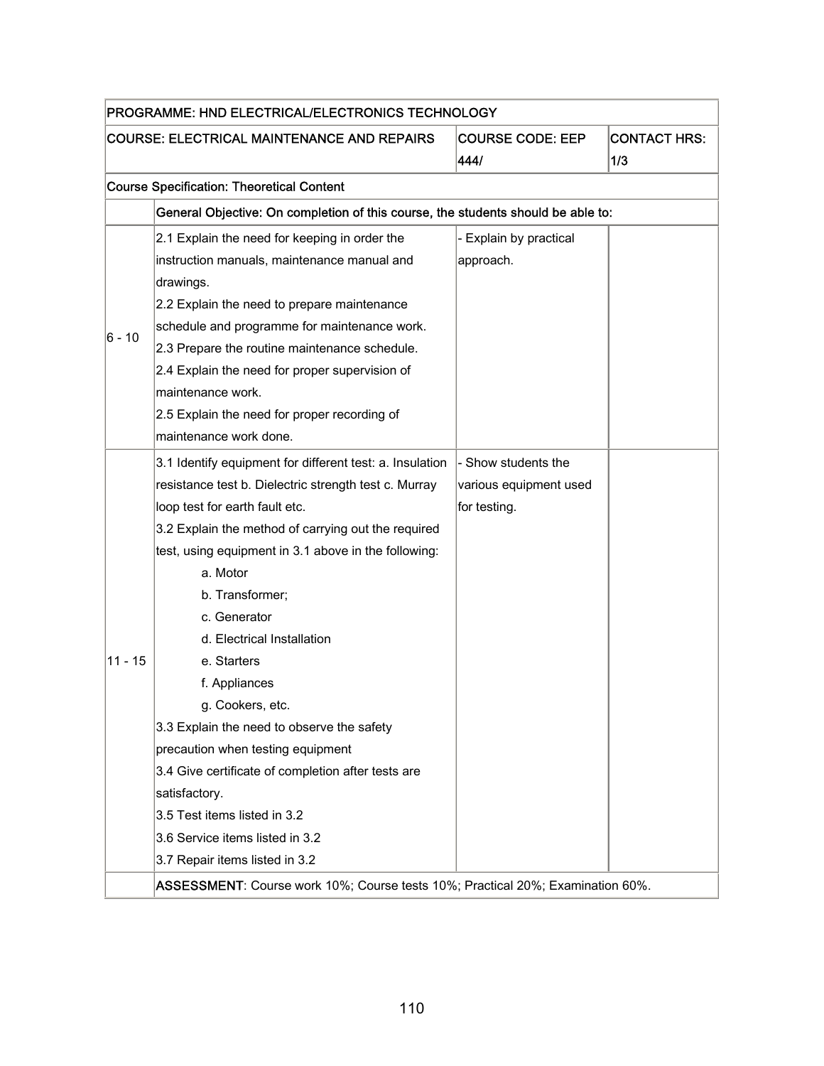| PROGRAMME: HND ELECTRICAL/ELECTRONICS TECHNOLOGY |                                                                                                                                                                                                                                                                                                                                                                                                                                                                                                                                                                                                                                                                                              |                                                               |  |  |  |
|--------------------------------------------------|----------------------------------------------------------------------------------------------------------------------------------------------------------------------------------------------------------------------------------------------------------------------------------------------------------------------------------------------------------------------------------------------------------------------------------------------------------------------------------------------------------------------------------------------------------------------------------------------------------------------------------------------------------------------------------------------|---------------------------------------------------------------|--|--|--|
|                                                  | <b>COURSE: ELECTRICAL MAINTENANCE AND REPAIRS</b><br><b>COURSE CODE: EEP</b><br><b>CONTACT HRS:</b><br>444/<br>1/3                                                                                                                                                                                                                                                                                                                                                                                                                                                                                                                                                                           |                                                               |  |  |  |
|                                                  | <b>Course Specification: Theoretical Content</b>                                                                                                                                                                                                                                                                                                                                                                                                                                                                                                                                                                                                                                             |                                                               |  |  |  |
|                                                  | General Objective: On completion of this course, the students should be able to:                                                                                                                                                                                                                                                                                                                                                                                                                                                                                                                                                                                                             |                                                               |  |  |  |
| 6 - 10                                           | 2.1 Explain the need for keeping in order the<br>instruction manuals, maintenance manual and<br>drawings.<br>2.2 Explain the need to prepare maintenance<br>schedule and programme for maintenance work.<br>2.3 Prepare the routine maintenance schedule.<br>2.4 Explain the need for proper supervision of<br>maintenance work.<br>2.5 Explain the need for proper recording of                                                                                                                                                                                                                                                                                                             | - Explain by practical<br>approach.                           |  |  |  |
| $11 - 15$                                        | maintenance work done.<br>3.1 Identify equipment for different test: a. Insulation<br>resistance test b. Dielectric strength test c. Murray<br>loop test for earth fault etc.<br>3.2 Explain the method of carrying out the required<br>test, using equipment in 3.1 above in the following:<br>a. Motor<br>b. Transformer;<br>c. Generator<br>d. Electrical Installation<br>e. Starters<br>f. Appliances<br>g. Cookers, etc.<br>3.3 Explain the need to observe the safety<br>precaution when testing equipment<br>3.4 Give certificate of completion after tests are<br>satisfactory.<br>3.5 Test items listed in 3.2<br>3.6 Service items listed in 3.2<br>3.7 Repair items listed in 3.2 | - Show students the<br>various equipment used<br>for testing. |  |  |  |
|                                                  |                                                                                                                                                                                                                                                                                                                                                                                                                                                                                                                                                                                                                                                                                              |                                                               |  |  |  |
|                                                  | ASSESSMENT: Course work 10%; Course tests 10%; Practical 20%; Examination 60%.                                                                                                                                                                                                                                                                                                                                                                                                                                                                                                                                                                                                               |                                                               |  |  |  |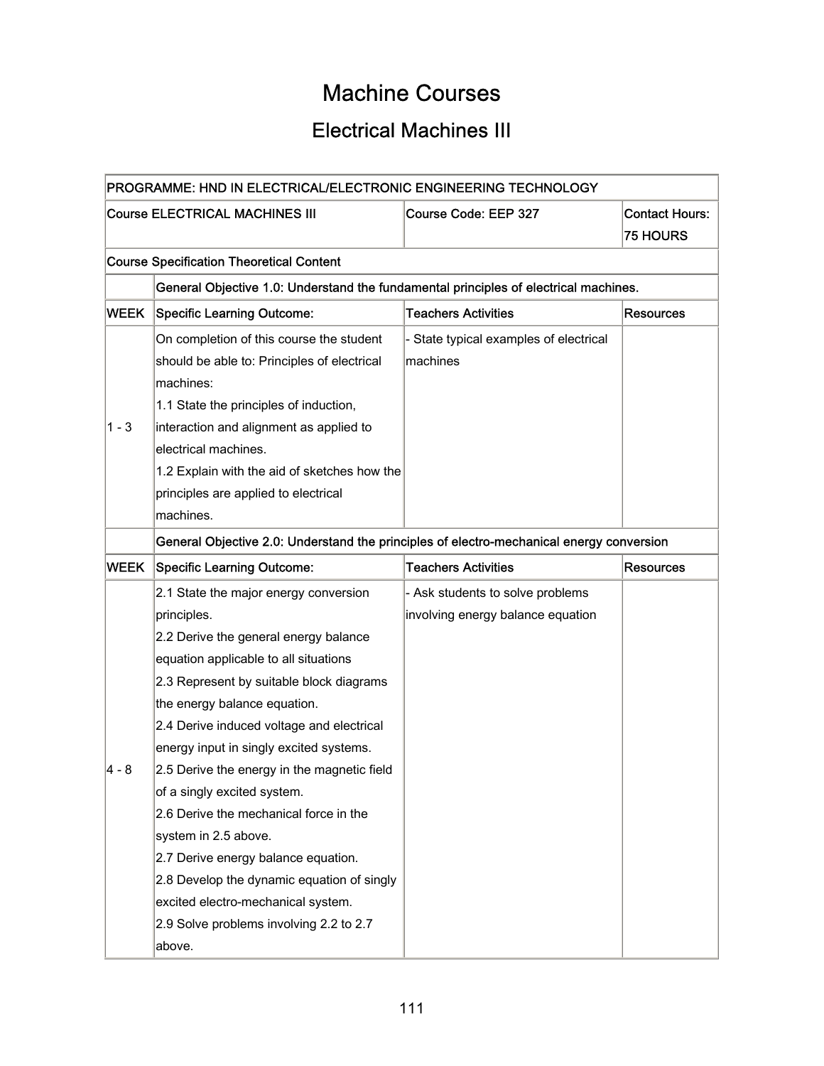# Machine Courses

# Electrical Machines III

|             | PROGRAMME: HND IN ELECTRICAL/ELECTRONIC ENGINEERING TECHNOLOGY                           |                                      |                                          |
|-------------|------------------------------------------------------------------------------------------|--------------------------------------|------------------------------------------|
|             | <b>Course ELECTRICAL MACHINES III</b>                                                    | Course Code: EEP 327                 | <b>Contact Hours:</b><br><b>75 HOURS</b> |
|             | <b>Course Specification Theoretical Content</b>                                          |                                      |                                          |
|             | General Objective 1.0: Understand the fundamental principles of electrical machines.     |                                      |                                          |
| <b>WEEK</b> | <b>Specific Learning Outcome:</b>                                                        | <b>Teachers Activities</b>           | Resources                                |
|             | On completion of this course the student                                                 | State typical examples of electrical |                                          |
|             | should be able to: Principles of electrical                                              | machines                             |                                          |
|             | machines:                                                                                |                                      |                                          |
|             | 1.1 State the principles of induction,                                                   |                                      |                                          |
| $1 - 3$     | interaction and alignment as applied to                                                  |                                      |                                          |
|             | electrical machines.                                                                     |                                      |                                          |
|             | 1.2 Explain with the aid of sketches how the                                             |                                      |                                          |
|             | principles are applied to electrical                                                     |                                      |                                          |
|             | machines.                                                                                |                                      |                                          |
|             | General Objective 2.0: Understand the principles of electro-mechanical energy conversion |                                      |                                          |
| <b>WEEK</b> | <b>Specific Learning Outcome:</b>                                                        | <b>Teachers Activities</b>           | <b>Resources</b>                         |
|             | 2.1 State the major energy conversion                                                    | - Ask students to solve problems     |                                          |
|             | principles.                                                                              | involving energy balance equation    |                                          |
|             | 2.2 Derive the general energy balance                                                    |                                      |                                          |
|             | equation applicable to all situations                                                    |                                      |                                          |
|             | 2.3 Represent by suitable block diagrams                                                 |                                      |                                          |
|             | the energy balance equation.                                                             |                                      |                                          |
|             | 2.4 Derive induced voltage and electrical                                                |                                      |                                          |
|             | energy input in singly excited systems.                                                  |                                      |                                          |
| 4 - 8       | 2.5 Derive the energy in the magnetic field                                              |                                      |                                          |
|             | of a singly excited system.                                                              |                                      |                                          |
|             | 2.6 Derive the mechanical force in the                                                   |                                      |                                          |
|             | system in 2.5 above.                                                                     |                                      |                                          |
|             | 2.7 Derive energy balance equation.                                                      |                                      |                                          |
|             | 2.8 Develop the dynamic equation of singly                                               |                                      |                                          |
|             | excited electro-mechanical system.                                                       |                                      |                                          |
|             | 2.9 Solve problems involving 2.2 to 2.7                                                  |                                      |                                          |
|             | above.                                                                                   |                                      |                                          |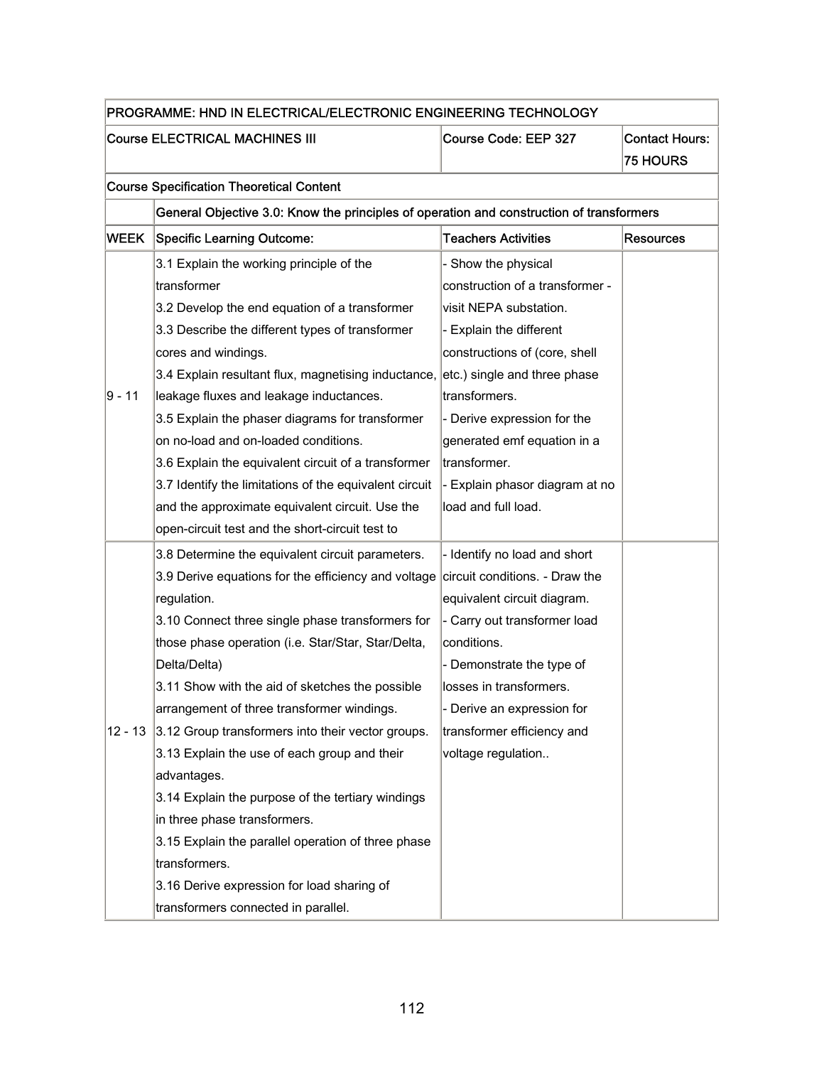| PROGRAMME: HND IN ELECTRICAL/ELECTRONIC ENGINEERING TECHNOLOGY |                                                                                          |                                 |                                          |  |
|----------------------------------------------------------------|------------------------------------------------------------------------------------------|---------------------------------|------------------------------------------|--|
|                                                                | <b>Course ELECTRICAL MACHINES III</b>                                                    | Course Code: EEP 327            | <b>Contact Hours:</b><br><b>75 HOURS</b> |  |
|                                                                | <b>Course Specification Theoretical Content</b>                                          |                                 |                                          |  |
|                                                                | General Objective 3.0: Know the principles of operation and construction of transformers |                                 |                                          |  |
| <b>WEEK</b>                                                    | <b>Specific Learning Outcome:</b>                                                        | <b>Teachers Activities</b>      | <b>Resources</b>                         |  |
|                                                                | 3.1 Explain the working principle of the                                                 | - Show the physical             |                                          |  |
|                                                                | transformer                                                                              | construction of a transformer - |                                          |  |
|                                                                | 3.2 Develop the end equation of a transformer                                            | visit NEPA substation.          |                                          |  |
|                                                                | 3.3 Describe the different types of transformer                                          | Explain the different           |                                          |  |
|                                                                | cores and windings.                                                                      | constructions of (core, shell   |                                          |  |
|                                                                | 3.4 Explain resultant flux, magnetising inductance, etc.) single and three phase         |                                 |                                          |  |
| 9 - 11                                                         | leakage fluxes and leakage inductances.                                                  | transformers.                   |                                          |  |
|                                                                | 3.5 Explain the phaser diagrams for transformer                                          | - Derive expression for the     |                                          |  |
|                                                                | on no-load and on-loaded conditions.                                                     | generated emf equation in a     |                                          |  |
|                                                                | 3.6 Explain the equivalent circuit of a transformer                                      | transformer.                    |                                          |  |
|                                                                | 3.7 Identify the limitations of the equivalent circuit                                   | - Explain phasor diagram at no  |                                          |  |
|                                                                | and the approximate equivalent circuit. Use the                                          | load and full load.             |                                          |  |
|                                                                | open-circuit test and the short-circuit test to                                          |                                 |                                          |  |
|                                                                | 3.8 Determine the equivalent circuit parameters.                                         | - Identify no load and short    |                                          |  |
|                                                                | 3.9 Derive equations for the efficiency and voltage                                      | circuit conditions. - Draw the  |                                          |  |
|                                                                | regulation.                                                                              | equivalent circuit diagram.     |                                          |  |
|                                                                | 3.10 Connect three single phase transformers for                                         | - Carry out transformer load    |                                          |  |
|                                                                | those phase operation (i.e. Star/Star, Star/Delta,                                       | conditions.                     |                                          |  |
|                                                                | Delta/Delta)                                                                             | - Demonstrate the type of       |                                          |  |
|                                                                | 3.11 Show with the aid of sketches the possible                                          | losses in transformers.         |                                          |  |
|                                                                | arrangement of three transformer windings.                                               | - Derive an expression for      |                                          |  |
| 12 - 13                                                        | 3.12 Group transformers into their vector groups.                                        | transformer efficiency and      |                                          |  |
|                                                                | 3.13 Explain the use of each group and their                                             | voltage regulation              |                                          |  |
|                                                                | advantages.                                                                              |                                 |                                          |  |
|                                                                | 3.14 Explain the purpose of the tertiary windings                                        |                                 |                                          |  |
|                                                                | in three phase transformers.                                                             |                                 |                                          |  |
|                                                                | 3.15 Explain the parallel operation of three phase                                       |                                 |                                          |  |
|                                                                | transformers.                                                                            |                                 |                                          |  |
|                                                                | 3.16 Derive expression for load sharing of                                               |                                 |                                          |  |
|                                                                | transformers connected in parallel.                                                      |                                 |                                          |  |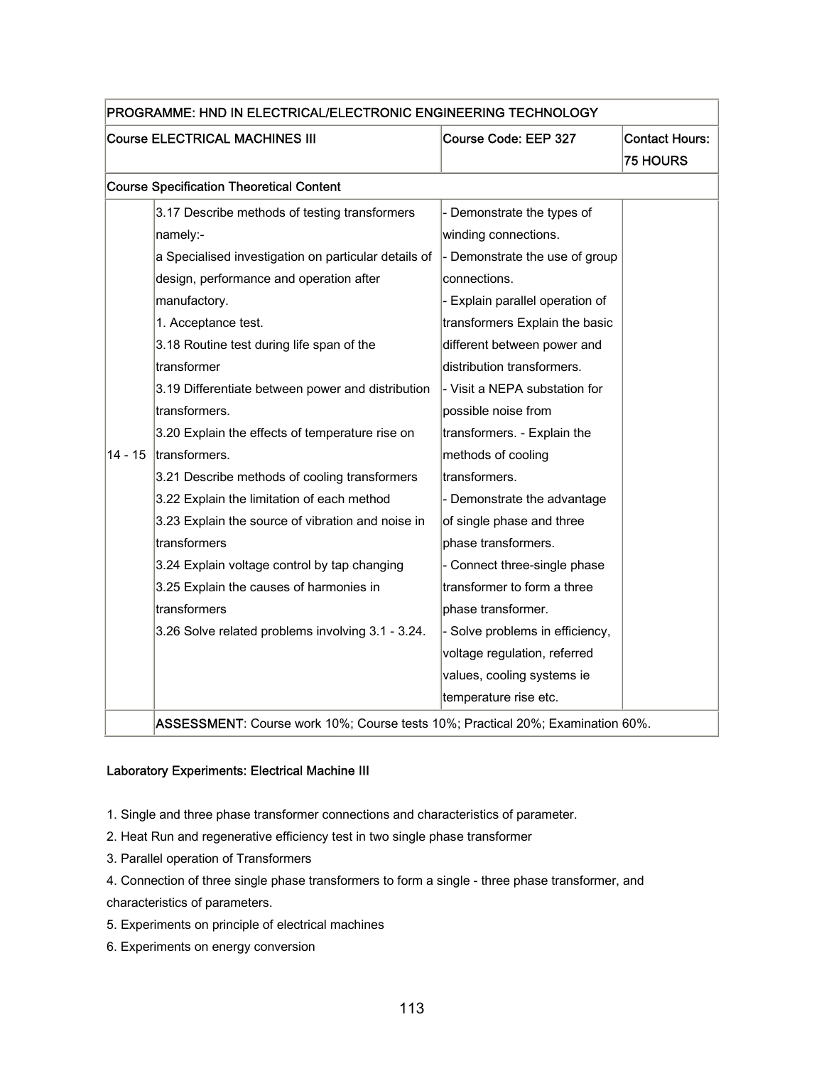| PROGRAMME: HND IN ELECTRICAL/ELECTRONIC ENGINEERING TECHNOLOGY |                                                                                |                                 |                       |
|----------------------------------------------------------------|--------------------------------------------------------------------------------|---------------------------------|-----------------------|
| <b>Course ELECTRICAL MACHINES III</b>                          |                                                                                | Course Code: EEP 327            | <b>Contact Hours:</b> |
|                                                                |                                                                                |                                 | <b>75 HOURS</b>       |
|                                                                | <b>Course Specification Theoretical Content</b>                                |                                 |                       |
|                                                                | 3.17 Describe methods of testing transformers                                  | - Demonstrate the types of      |                       |
|                                                                | namely:-                                                                       | winding connections.            |                       |
|                                                                | a Specialised investigation on particular details of                           | - Demonstrate the use of group  |                       |
|                                                                | design, performance and operation after                                        | connections.                    |                       |
|                                                                | manufactory.                                                                   | - Explain parallel operation of |                       |
|                                                                | 1. Acceptance test.                                                            | transformers Explain the basic  |                       |
|                                                                | 3.18 Routine test during life span of the                                      | different between power and     |                       |
|                                                                | transformer                                                                    | distribution transformers.      |                       |
|                                                                | 3.19 Differentiate between power and distribution                              | - Visit a NEPA substation for   |                       |
|                                                                | transformers.                                                                  | possible noise from             |                       |
|                                                                | 3.20 Explain the effects of temperature rise on                                | transformers. - Explain the     |                       |
| $14 - 15$                                                      | transformers.                                                                  | methods of cooling              |                       |
|                                                                | 3.21 Describe methods of cooling transformers                                  | transformers.                   |                       |
|                                                                | 3.22 Explain the limitation of each method                                     | - Demonstrate the advantage     |                       |
|                                                                | 3.23 Explain the source of vibration and noise in                              | of single phase and three       |                       |
|                                                                | transformers                                                                   | phase transformers.             |                       |
|                                                                | 3.24 Explain voltage control by tap changing                                   | - Connect three-single phase    |                       |
|                                                                | 3.25 Explain the causes of harmonies in                                        | transformer to form a three     |                       |
|                                                                | transformers                                                                   | phase transformer.              |                       |
|                                                                | 3.26 Solve related problems involving 3.1 - 3.24.                              | - Solve problems in efficiency, |                       |
|                                                                |                                                                                | voltage regulation, referred    |                       |
|                                                                |                                                                                | values, cooling systems ie      |                       |
|                                                                |                                                                                | temperature rise etc.           |                       |
|                                                                | ASSESSMENT: Course work 10%; Course tests 10%; Practical 20%; Examination 60%. |                                 |                       |

### Laboratory Experiments: Electrical Machine III

- 1. Single and three phase transformer connections and characteristics of parameter.
- 2. Heat Run and regenerative efficiency test in two single phase transformer
- 3. Parallel operation of Transformers
- 4. Connection of three single phase transformers to form a single three phase transformer, and characteristics of parameters.
- 5. Experiments on principle of electrical machines
- 6. Experiments on energy conversion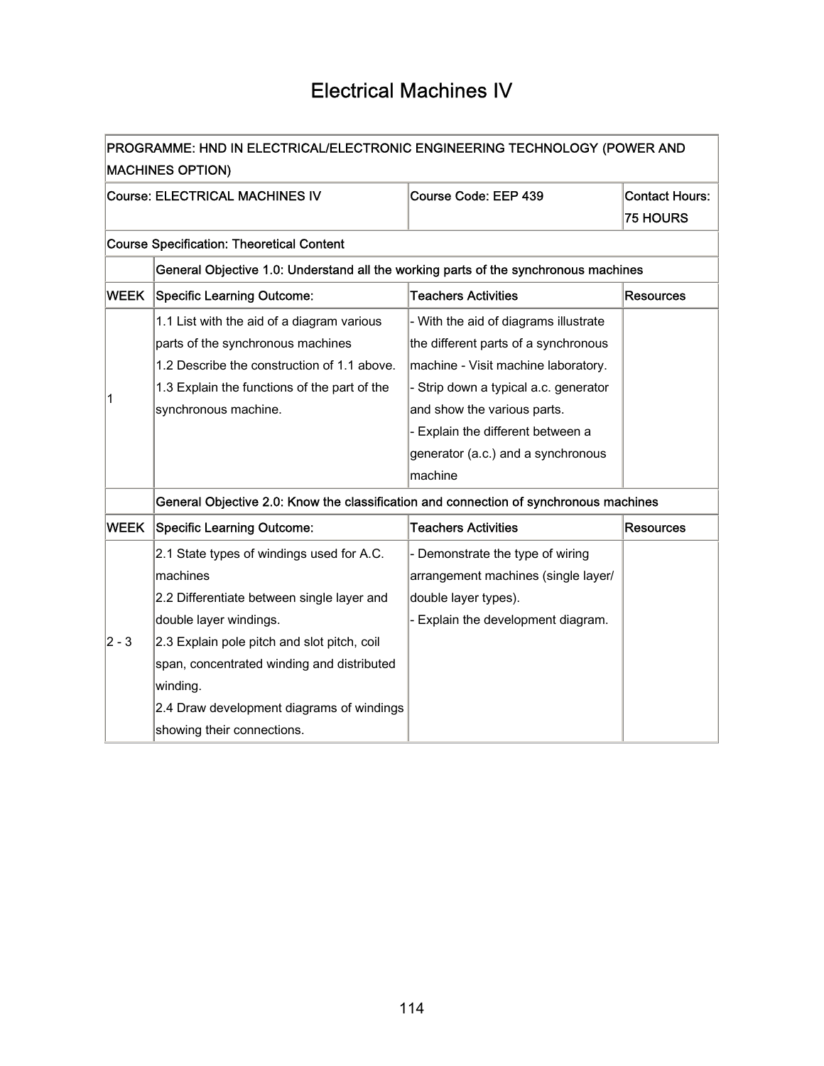# Electrical Machines IV

| PROGRAMME: HND IN ELECTRICAL/ELECTRONIC ENGINEERING TECHNOLOGY (POWER AND |                                                                                       |                                       |                       |  |
|---------------------------------------------------------------------------|---------------------------------------------------------------------------------------|---------------------------------------|-----------------------|--|
|                                                                           | <b>MACHINES OPTION)</b>                                                               |                                       |                       |  |
|                                                                           | <b>Course: ELECTRICAL MACHINES IV</b>                                                 | Course Code: EEP 439                  | <b>Contact Hours:</b> |  |
|                                                                           |                                                                                       |                                       | <b>75 HOURS</b>       |  |
|                                                                           | <b>Course Specification: Theoretical Content</b>                                      |                                       |                       |  |
|                                                                           | General Objective 1.0: Understand all the working parts of the synchronous machines   |                                       |                       |  |
| <b>WEEK</b>                                                               | <b>Specific Learning Outcome:</b>                                                     | <b>Teachers Activities</b>            | <b>Resources</b>      |  |
|                                                                           | 1.1 List with the aid of a diagram various                                            | - With the aid of diagrams illustrate |                       |  |
|                                                                           | parts of the synchronous machines                                                     | the different parts of a synchronous  |                       |  |
|                                                                           | 1.2 Describe the construction of 1.1 above.                                           | machine - Visit machine laboratory.   |                       |  |
| 1                                                                         | 1.3 Explain the functions of the part of the                                          | - Strip down a typical a.c. generator |                       |  |
|                                                                           | synchronous machine.                                                                  | and show the various parts.           |                       |  |
|                                                                           |                                                                                       | - Explain the different between a     |                       |  |
|                                                                           |                                                                                       | generator (a.c.) and a synchronous    |                       |  |
|                                                                           |                                                                                       | machine                               |                       |  |
|                                                                           | General Objective 2.0: Know the classification and connection of synchronous machines |                                       |                       |  |
| <b>WEEK</b>                                                               | <b>Specific Learning Outcome:</b>                                                     | <b>Teachers Activities</b>            | <b>Resources</b>      |  |
|                                                                           | 2.1 State types of windings used for A.C.                                             | - Demonstrate the type of wiring      |                       |  |
|                                                                           | machines                                                                              | arrangement machines (single layer/   |                       |  |
|                                                                           | 2.2 Differentiate between single layer and                                            | double layer types).                  |                       |  |
|                                                                           | double layer windings.                                                                | - Explain the development diagram.    |                       |  |
| 2 - 3                                                                     | 2.3 Explain pole pitch and slot pitch, coil                                           |                                       |                       |  |
|                                                                           | span, concentrated winding and distributed                                            |                                       |                       |  |
|                                                                           | winding.                                                                              |                                       |                       |  |
|                                                                           | 2.4 Draw development diagrams of windings                                             |                                       |                       |  |
|                                                                           | showing their connections.                                                            |                                       |                       |  |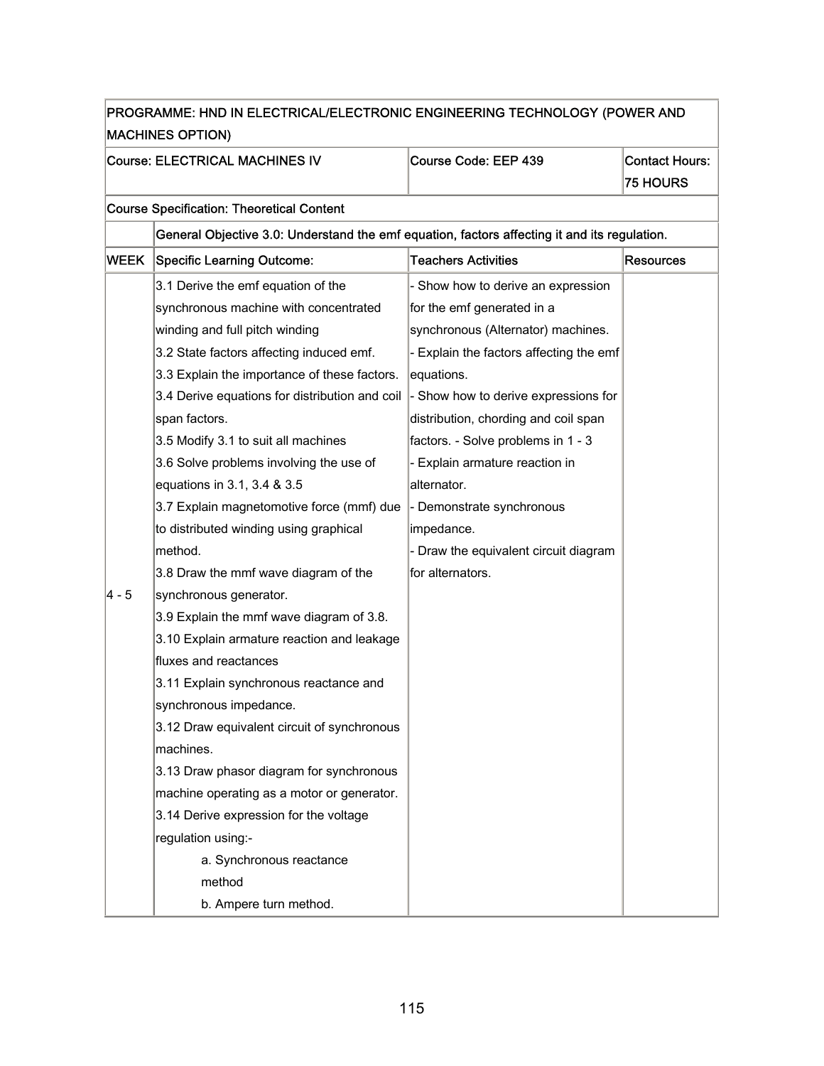| PROGRAMME: HND IN ELECTRICAL/ELECTRONIC ENGINEERING TECHNOLOGY (POWER AND |                                                                                              |                                         |                       |  |
|---------------------------------------------------------------------------|----------------------------------------------------------------------------------------------|-----------------------------------------|-----------------------|--|
| <b>MACHINES OPTION)</b>                                                   |                                                                                              |                                         |                       |  |
|                                                                           | Course: ELECTRICAL MACHINES IV                                                               | Course Code: EEP 439                    | <b>Contact Hours:</b> |  |
|                                                                           |                                                                                              |                                         | <b>75 HOURS</b>       |  |
|                                                                           | <b>Course Specification: Theoretical Content</b>                                             |                                         |                       |  |
|                                                                           | General Objective 3.0: Understand the emf equation, factors affecting it and its regulation. |                                         |                       |  |
| <b>WEEK</b>                                                               | <b>Specific Learning Outcome:</b>                                                            | <b>Teachers Activities</b>              | <b>Resources</b>      |  |
|                                                                           | 3.1 Derive the emf equation of the                                                           | - Show how to derive an expression      |                       |  |
|                                                                           | synchronous machine with concentrated                                                        | for the emf generated in a              |                       |  |
|                                                                           | winding and full pitch winding                                                               | synchronous (Alternator) machines.      |                       |  |
|                                                                           | 3.2 State factors affecting induced emf.                                                     | - Explain the factors affecting the emf |                       |  |
|                                                                           | 3.3 Explain the importance of these factors.                                                 | equations.                              |                       |  |
|                                                                           | 3.4 Derive equations for distribution and coil                                               | - Show how to derive expressions for    |                       |  |
|                                                                           | span factors.                                                                                | distribution, chording and coil span    |                       |  |
|                                                                           | 3.5 Modify 3.1 to suit all machines                                                          | factors. - Solve problems in 1 - 3      |                       |  |
|                                                                           | 3.6 Solve problems involving the use of                                                      | - Explain armature reaction in          |                       |  |
|                                                                           | equations in 3.1, 3.4 & 3.5                                                                  | alternator.                             |                       |  |
|                                                                           | 3.7 Explain magnetomotive force (mmf) due                                                    | - Demonstrate synchronous               |                       |  |
|                                                                           | to distributed winding using graphical                                                       | impedance.                              |                       |  |
|                                                                           | method.                                                                                      | - Draw the equivalent circuit diagram   |                       |  |
|                                                                           | 3.8 Draw the mmf wave diagram of the                                                         | for alternators.                        |                       |  |
| 4 - 5                                                                     | synchronous generator.                                                                       |                                         |                       |  |
|                                                                           | 3.9 Explain the mmf wave diagram of 3.8.                                                     |                                         |                       |  |
|                                                                           | 3.10 Explain armature reaction and leakage                                                   |                                         |                       |  |
|                                                                           | fluxes and reactances                                                                        |                                         |                       |  |
|                                                                           | 3.11 Explain synchronous reactance and                                                       |                                         |                       |  |
|                                                                           | synchronous impedance.                                                                       |                                         |                       |  |
|                                                                           | 3.12 Draw equivalent circuit of synchronous                                                  |                                         |                       |  |
|                                                                           | machines.                                                                                    |                                         |                       |  |
|                                                                           | 3.13 Draw phasor diagram for synchronous                                                     |                                         |                       |  |
|                                                                           | machine operating as a motor or generator.                                                   |                                         |                       |  |
|                                                                           | 3.14 Derive expression for the voltage                                                       |                                         |                       |  |
|                                                                           | regulation using:-                                                                           |                                         |                       |  |
|                                                                           | a. Synchronous reactance                                                                     |                                         |                       |  |
|                                                                           | method                                                                                       |                                         |                       |  |
|                                                                           | b. Ampere turn method.                                                                       |                                         |                       |  |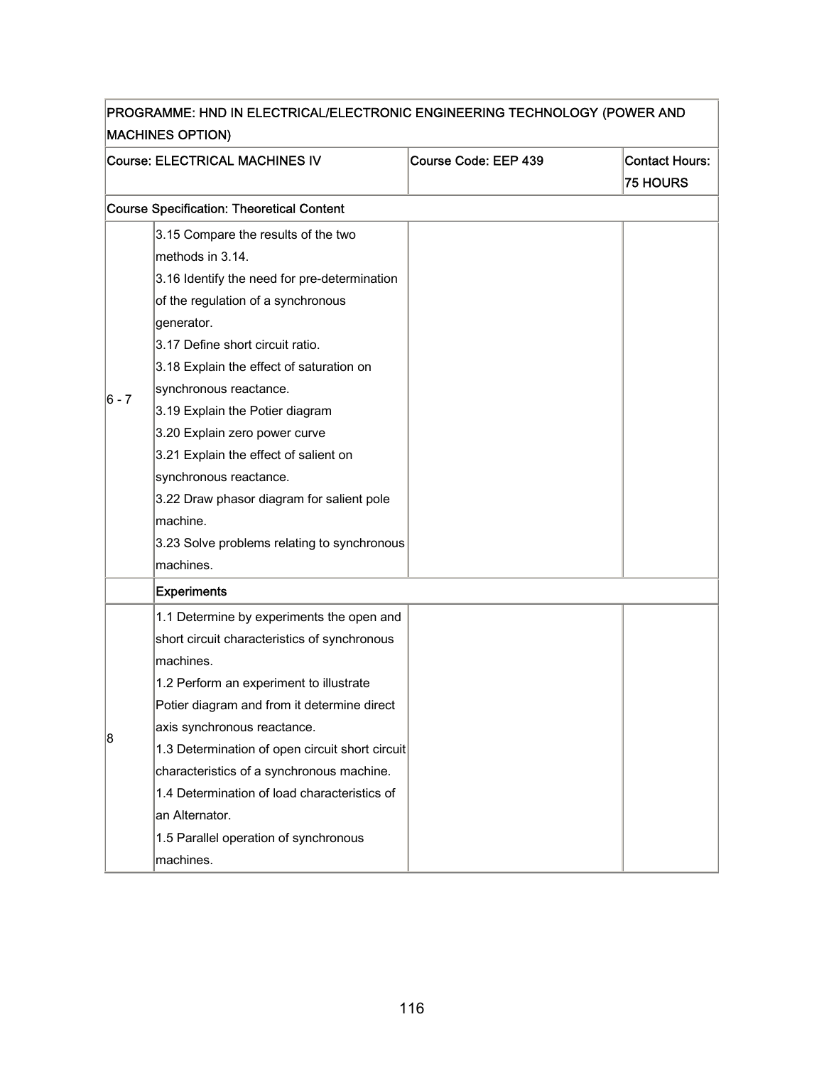| PROGRAMME: HND IN ELECTRICAL/ELECTRONIC ENGINEERING TECHNOLOGY (POWER AND |                                                  |                      |                       |  |
|---------------------------------------------------------------------------|--------------------------------------------------|----------------------|-----------------------|--|
| <b>MACHINES OPTION)</b>                                                   |                                                  |                      |                       |  |
|                                                                           | Course: ELECTRICAL MACHINES IV                   | Course Code: EEP 439 | <b>Contact Hours:</b> |  |
|                                                                           |                                                  |                      | <b>75 HOURS</b>       |  |
|                                                                           | <b>Course Specification: Theoretical Content</b> |                      |                       |  |
|                                                                           | 3.15 Compare the results of the two              |                      |                       |  |
|                                                                           | methods in 3.14.                                 |                      |                       |  |
|                                                                           | 3.16 Identify the need for pre-determination     |                      |                       |  |
|                                                                           | of the regulation of a synchronous               |                      |                       |  |
|                                                                           | generator.                                       |                      |                       |  |
|                                                                           | 3.17 Define short circuit ratio.                 |                      |                       |  |
|                                                                           | 3.18 Explain the effect of saturation on         |                      |                       |  |
| $ 6 - 7 $                                                                 | synchronous reactance.                           |                      |                       |  |
|                                                                           | 3.19 Explain the Potier diagram                  |                      |                       |  |
|                                                                           | 3.20 Explain zero power curve                    |                      |                       |  |
|                                                                           | 3.21 Explain the effect of salient on            |                      |                       |  |
|                                                                           | synchronous reactance.                           |                      |                       |  |
|                                                                           | 3.22 Draw phasor diagram for salient pole        |                      |                       |  |
|                                                                           | machine.                                         |                      |                       |  |
|                                                                           | 3.23 Solve problems relating to synchronous      |                      |                       |  |
|                                                                           | machines.                                        |                      |                       |  |
|                                                                           | <b>Experiments</b>                               |                      |                       |  |
|                                                                           | 1.1 Determine by experiments the open and        |                      |                       |  |
|                                                                           | short circuit characteristics of synchronous     |                      |                       |  |
|                                                                           | machines.                                        |                      |                       |  |
|                                                                           | 1.2 Perform an experiment to illustrate          |                      |                       |  |
|                                                                           | Potier diagram and from it determine direct      |                      |                       |  |
| 8                                                                         | axis synchronous reactance.                      |                      |                       |  |
|                                                                           | 1.3 Determination of open circuit short circuit  |                      |                       |  |
|                                                                           | characteristics of a synchronous machine.        |                      |                       |  |
|                                                                           | 1.4 Determination of load characteristics of     |                      |                       |  |
|                                                                           | an Alternator.                                   |                      |                       |  |
|                                                                           | 1.5 Parallel operation of synchronous            |                      |                       |  |
|                                                                           | machines.                                        |                      |                       |  |

# PROGRAMME: HND IN ELECTRICAL/ELECTRONIC ENGINEERING TECHNOLOGY (POWER AND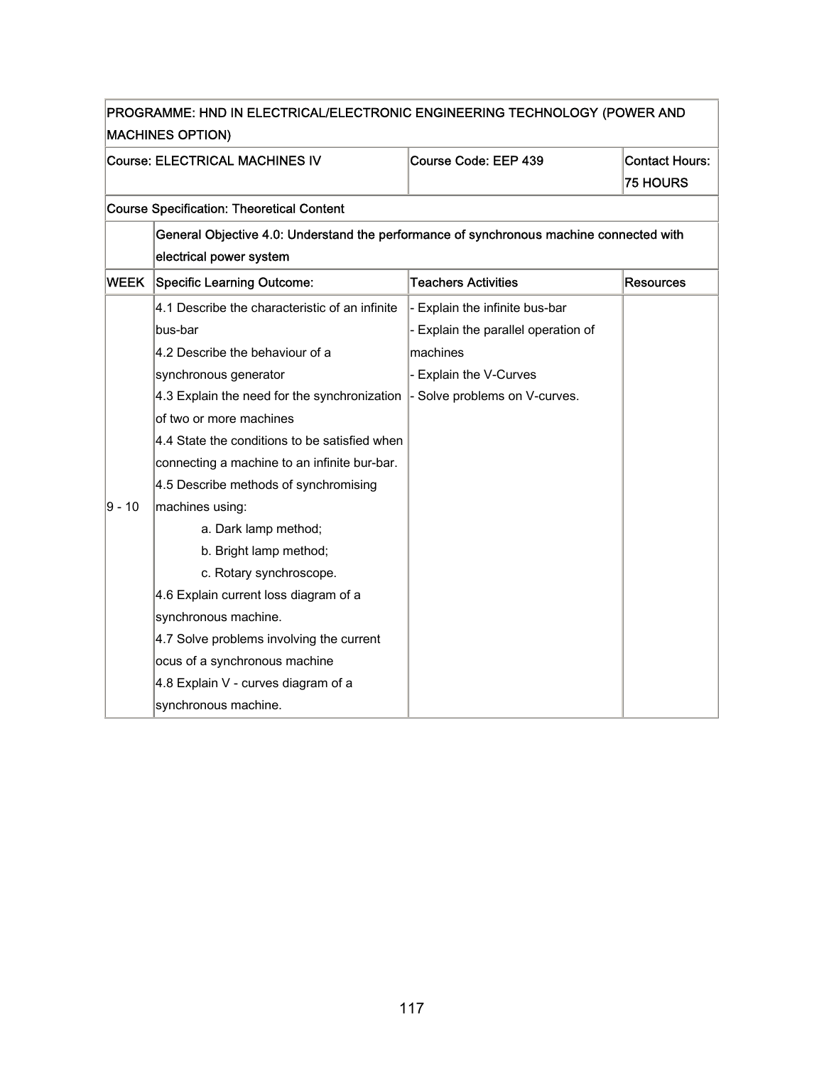| PROGRAMME: HND IN ELECTRICAL/ELECTRONIC ENGINEERING TECHNOLOGY (POWER AND<br><b>MACHINES OPTION)</b> |                                                                                         |                                     |                                          |  |
|------------------------------------------------------------------------------------------------------|-----------------------------------------------------------------------------------------|-------------------------------------|------------------------------------------|--|
|                                                                                                      | Course: ELECTRICAL MACHINES IV                                                          | Course Code: EEP 439                | <b>Contact Hours:</b><br><b>75 HOURS</b> |  |
|                                                                                                      | <b>Course Specification: Theoretical Content</b>                                        |                                     |                                          |  |
|                                                                                                      | General Objective 4.0: Understand the performance of synchronous machine connected with |                                     |                                          |  |
|                                                                                                      | electrical power system                                                                 |                                     |                                          |  |
| <b>WEEK</b>                                                                                          | <b>Specific Learning Outcome:</b>                                                       | <b>Teachers Activities</b>          | <b>Resources</b>                         |  |
|                                                                                                      | 4.1 Describe the characteristic of an infinite                                          | - Explain the infinite bus-bar      |                                          |  |
|                                                                                                      | bus-bar                                                                                 | - Explain the parallel operation of |                                          |  |
|                                                                                                      | 4.2 Describe the behaviour of a                                                         | machines                            |                                          |  |
|                                                                                                      | synchronous generator                                                                   | - Explain the V-Curves              |                                          |  |
|                                                                                                      | 4.3 Explain the need for the synchronization                                            | - Solve problems on V-curves.       |                                          |  |
|                                                                                                      | of two or more machines                                                                 |                                     |                                          |  |
|                                                                                                      | 4.4 State the conditions to be satisfied when                                           |                                     |                                          |  |
|                                                                                                      | connecting a machine to an infinite bur-bar.                                            |                                     |                                          |  |
|                                                                                                      | 4.5 Describe methods of synchromising                                                   |                                     |                                          |  |
| 9 - 10                                                                                               | machines using:                                                                         |                                     |                                          |  |
|                                                                                                      | a. Dark lamp method;                                                                    |                                     |                                          |  |
|                                                                                                      | b. Bright lamp method;                                                                  |                                     |                                          |  |
|                                                                                                      | c. Rotary synchroscope.                                                                 |                                     |                                          |  |
|                                                                                                      | 4.6 Explain current loss diagram of a                                                   |                                     |                                          |  |
|                                                                                                      | synchronous machine.                                                                    |                                     |                                          |  |
|                                                                                                      | 4.7 Solve problems involving the current                                                |                                     |                                          |  |
|                                                                                                      | ocus of a synchronous machine                                                           |                                     |                                          |  |
|                                                                                                      | 4.8 Explain V - curves diagram of a                                                     |                                     |                                          |  |
|                                                                                                      | synchronous machine.                                                                    |                                     |                                          |  |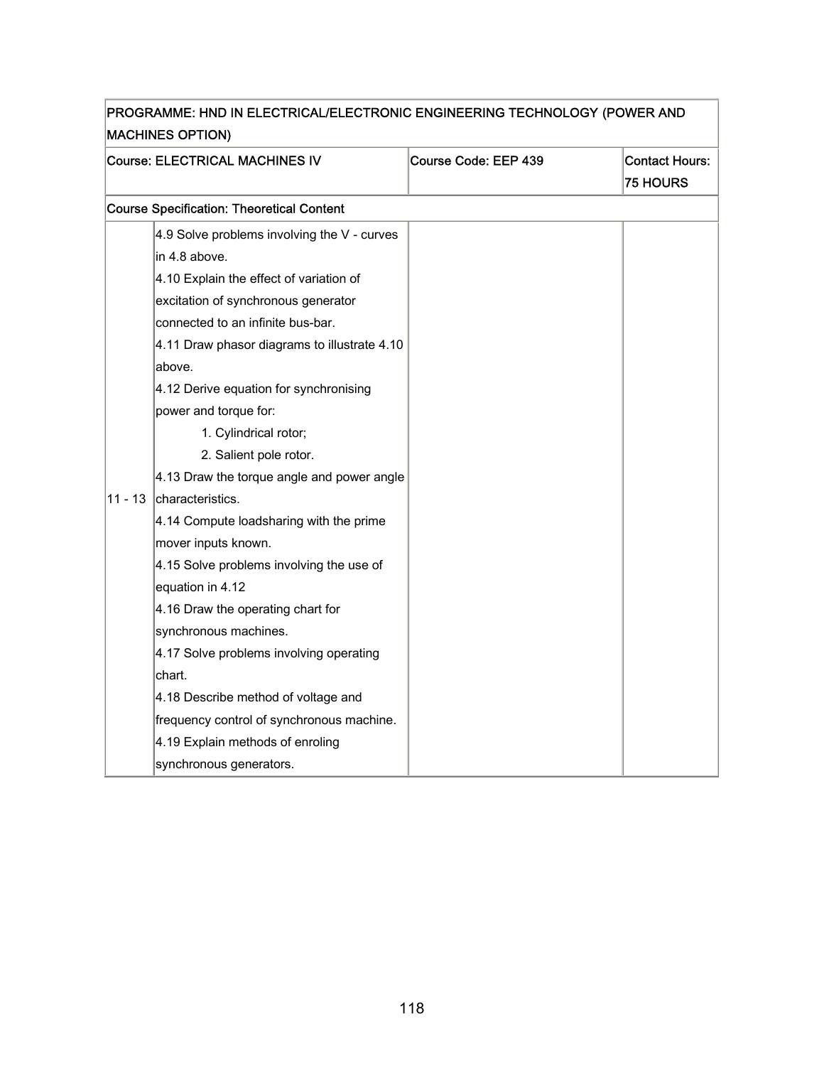| PROGRAMME: HND IN ELECTRICAL/ELECTRONIC ENGINEERING TECHNOLOGY (POWER AND<br><b>MACHINES OPTION)</b> |                                                  |                      |                                          |
|------------------------------------------------------------------------------------------------------|--------------------------------------------------|----------------------|------------------------------------------|
|                                                                                                      | Course: ELECTRICAL MACHINES IV                   | Course Code: EEP 439 | <b>Contact Hours:</b><br><b>75 HOURS</b> |
|                                                                                                      | <b>Course Specification: Theoretical Content</b> |                      |                                          |
|                                                                                                      | 4.9 Solve problems involving the V - curves      |                      |                                          |
|                                                                                                      | in 4.8 above.                                    |                      |                                          |
|                                                                                                      | 4.10 Explain the effect of variation of          |                      |                                          |
|                                                                                                      | excitation of synchronous generator              |                      |                                          |
|                                                                                                      | connected to an infinite bus-bar.                |                      |                                          |
|                                                                                                      | 4.11 Draw phasor diagrams to illustrate 4.10     |                      |                                          |
|                                                                                                      | above.                                           |                      |                                          |
|                                                                                                      | 4.12 Derive equation for synchronising           |                      |                                          |
|                                                                                                      | power and torque for:                            |                      |                                          |
|                                                                                                      | 1. Cylindrical rotor;                            |                      |                                          |
|                                                                                                      | 2. Salient pole rotor.                           |                      |                                          |
|                                                                                                      | 4.13 Draw the torque angle and power angle       |                      |                                          |
| $11 - 13$                                                                                            | characteristics.                                 |                      |                                          |
|                                                                                                      | 4.14 Compute loadsharing with the prime          |                      |                                          |
|                                                                                                      | mover inputs known.                              |                      |                                          |
|                                                                                                      | 4.15 Solve problems involving the use of         |                      |                                          |
|                                                                                                      | equation in 4.12                                 |                      |                                          |
|                                                                                                      | 4.16 Draw the operating chart for                |                      |                                          |
|                                                                                                      | synchronous machines.                            |                      |                                          |
|                                                                                                      | 4.17 Solve problems involving operating          |                      |                                          |
|                                                                                                      | chart.                                           |                      |                                          |
|                                                                                                      | 4.18 Describe method of voltage and              |                      |                                          |
|                                                                                                      | frequency control of synchronous machine.        |                      |                                          |
|                                                                                                      | 4.19 Explain methods of enroling                 |                      |                                          |
|                                                                                                      | synchronous generators.                          |                      |                                          |

# PROGRAMME: HND IN ELECTRICAL/ELECTRONIC ENGINEERING TECHNOLOGY (POWER AND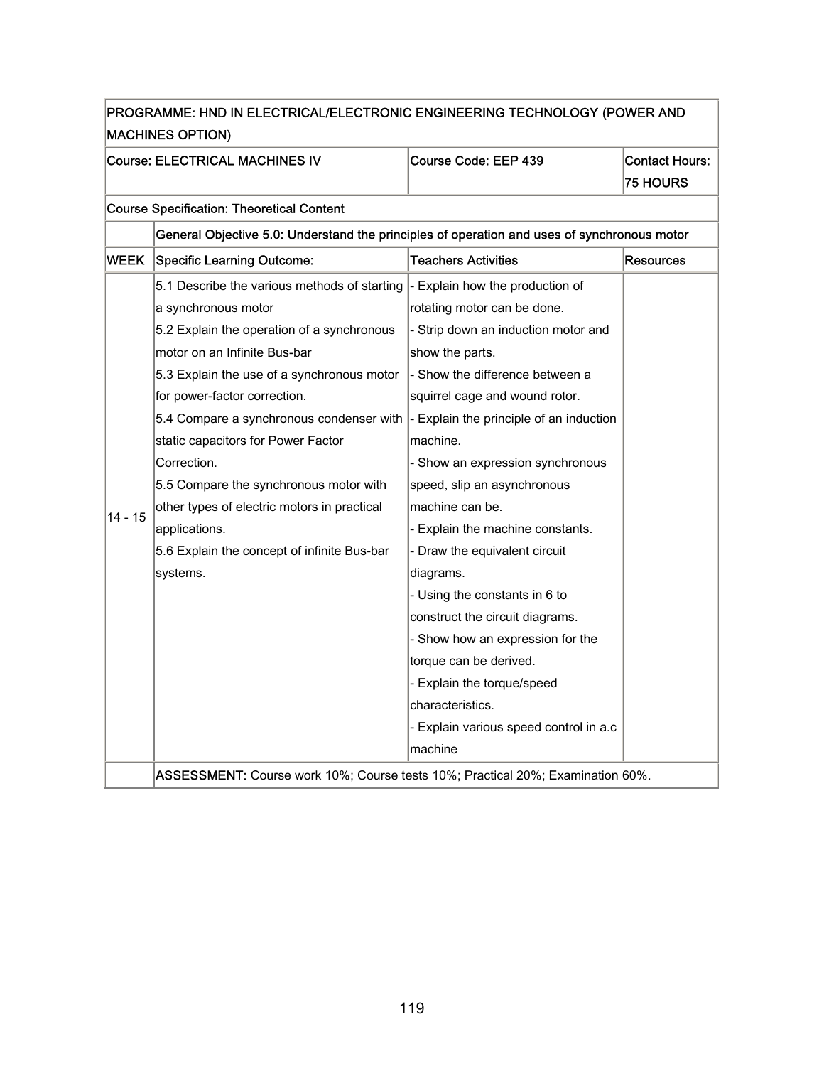| PROGRAMME: HND IN ELECTRICAL/ELECTRONIC ENGINEERING TECHNOLOGY (POWER AND |                                                                                             |                                        |                       |
|---------------------------------------------------------------------------|---------------------------------------------------------------------------------------------|----------------------------------------|-----------------------|
|                                                                           | <b>MACHINES OPTION)</b>                                                                     |                                        |                       |
|                                                                           | Course: ELECTRICAL MACHINES IV                                                              | Course Code: EEP 439                   | <b>Contact Hours:</b> |
|                                                                           |                                                                                             |                                        | <b>75 HOURS</b>       |
|                                                                           | <b>Course Specification: Theoretical Content</b>                                            |                                        |                       |
|                                                                           | General Objective 5.0: Understand the principles of operation and uses of synchronous motor |                                        |                       |
|                                                                           | <b>WEEK Specific Learning Outcome:</b>                                                      | Teachers Activities                    | Resources             |
|                                                                           | 5.1 Describe the various methods of starting $\vert$ - Explain how the production of        |                                        |                       |
|                                                                           | a synchronous motor                                                                         | rotating motor can be done.            |                       |
|                                                                           | 5.2 Explain the operation of a synchronous                                                  | - Strip down an induction motor and    |                       |
|                                                                           | motor on an Infinite Bus-bar                                                                | show the parts.                        |                       |
|                                                                           | 5.3 Explain the use of a synchronous motor                                                  | - Show the difference between a        |                       |
|                                                                           | for power-factor correction.                                                                | squirrel cage and wound rotor.         |                       |
|                                                                           | 5.4 Compare a synchronous condenser with  - Explain the principle of an induction           |                                        |                       |
|                                                                           | static capacitors for Power Factor                                                          | machine.                               |                       |
|                                                                           | Correction.                                                                                 | - Show an expression synchronous       |                       |
|                                                                           | 5.5 Compare the synchronous motor with                                                      | speed, slip an asynchronous            |                       |
| $14 - 15$                                                                 | other types of electric motors in practical                                                 | machine can be.                        |                       |
|                                                                           | applications.                                                                               | - Explain the machine constants.       |                       |
|                                                                           | 5.6 Explain the concept of infinite Bus-bar                                                 | - Draw the equivalent circuit          |                       |
|                                                                           | systems.                                                                                    | diagrams.                              |                       |
|                                                                           |                                                                                             | - Using the constants in 6 to          |                       |
|                                                                           |                                                                                             | construct the circuit diagrams.        |                       |
|                                                                           |                                                                                             | - Show how an expression for the       |                       |
|                                                                           |                                                                                             | torque can be derived.                 |                       |
|                                                                           |                                                                                             | - Explain the torque/speed             |                       |
|                                                                           |                                                                                             | characteristics.                       |                       |
|                                                                           |                                                                                             | - Explain various speed control in a.c |                       |
|                                                                           |                                                                                             | machine                                |                       |
|                                                                           | ASSESSMENT: Course work 10%; Course tests 10%; Practical 20%; Examination 60%.              |                                        |                       |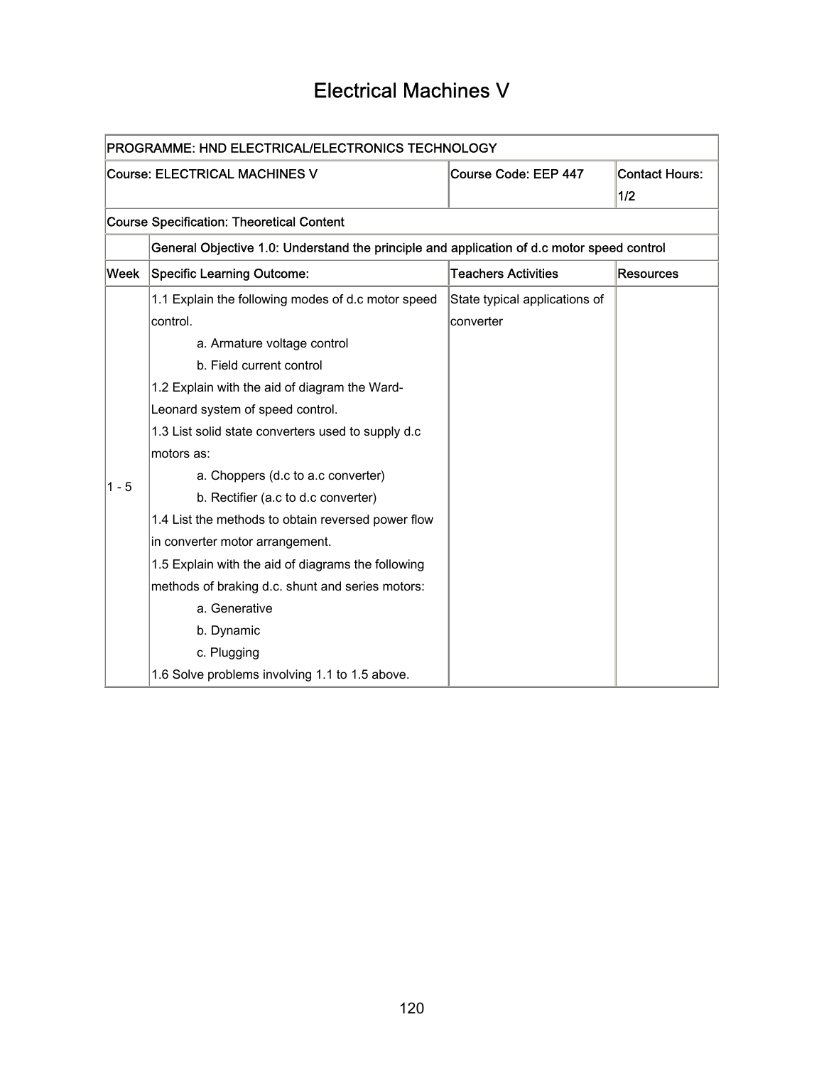# Electrical Machines V

| PROGRAMME: HND ELECTRICAL/ELECTRONICS TECHNOLOGY |                                                                                            |                               |                       |  |
|--------------------------------------------------|--------------------------------------------------------------------------------------------|-------------------------------|-----------------------|--|
|                                                  | <b>Course: ELECTRICAL MACHINES V</b>                                                       | Course Code: EEP 447          | <b>Contact Hours:</b> |  |
|                                                  |                                                                                            |                               | 1/2                   |  |
|                                                  | <b>Course Specification: Theoretical Content</b>                                           |                               |                       |  |
|                                                  | General Objective 1.0: Understand the principle and application of d.c motor speed control |                               |                       |  |
| Week                                             | <b>Specific Learning Outcome:</b>                                                          | <b>Teachers Activities</b>    | <b>Resources</b>      |  |
|                                                  | 1.1 Explain the following modes of d.c motor speed                                         | State typical applications of |                       |  |
|                                                  | control.                                                                                   | converter                     |                       |  |
|                                                  | a. Armature voltage control                                                                |                               |                       |  |
|                                                  | b. Field current control                                                                   |                               |                       |  |
|                                                  | 1.2 Explain with the aid of diagram the Ward-                                              |                               |                       |  |
|                                                  | Leonard system of speed control.                                                           |                               |                       |  |
|                                                  | 1.3 List solid state converters used to supply d.c                                         |                               |                       |  |
|                                                  | motors as:                                                                                 |                               |                       |  |
| $1 - 5$                                          | a. Choppers (d.c to a.c converter)                                                         |                               |                       |  |
|                                                  | b. Rectifier (a.c to d.c converter)                                                        |                               |                       |  |
|                                                  | 1.4 List the methods to obtain reversed power flow                                         |                               |                       |  |
|                                                  | in converter motor arrangement.                                                            |                               |                       |  |
|                                                  | 1.5 Explain with the aid of diagrams the following                                         |                               |                       |  |
|                                                  | methods of braking d.c. shunt and series motors:                                           |                               |                       |  |
|                                                  | a. Generative                                                                              |                               |                       |  |
|                                                  | b. Dynamic                                                                                 |                               |                       |  |
|                                                  | c. Plugging                                                                                |                               |                       |  |
|                                                  | 1.6 Solve problems involving 1.1 to 1.5 above.                                             |                               |                       |  |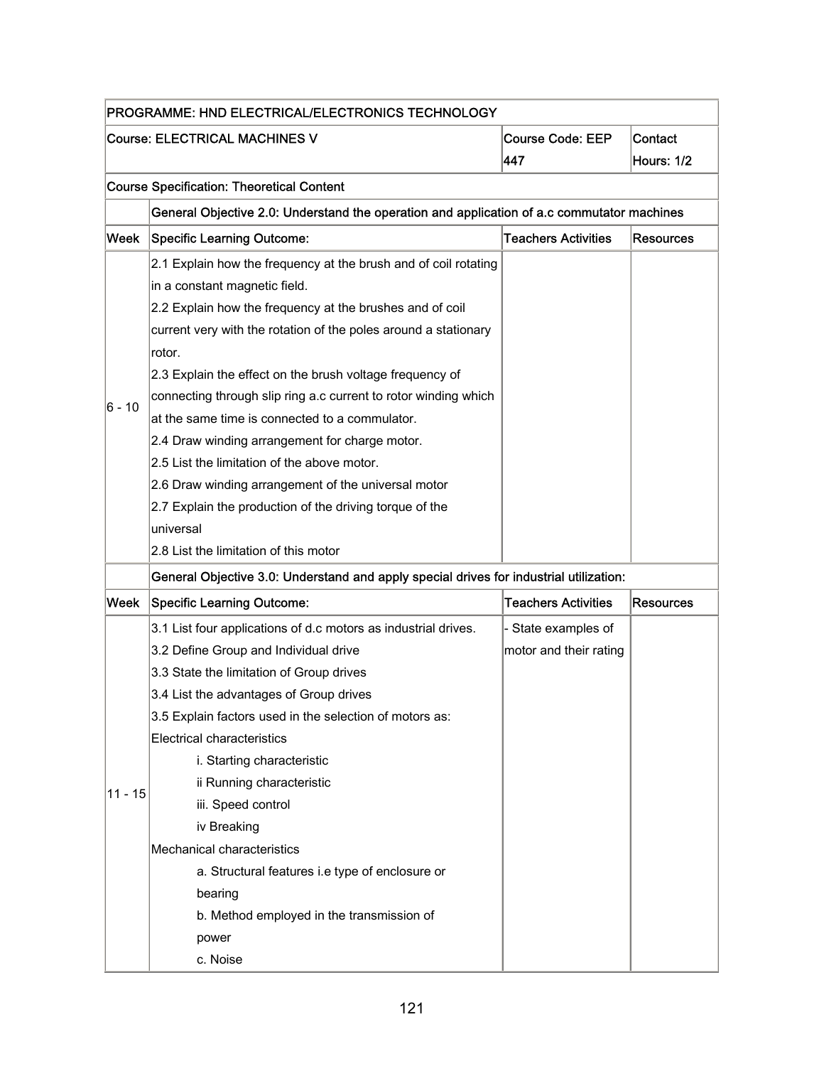| PROGRAMME: HND ELECTRICAL/ELECTRONICS TECHNOLOGY                                  |                                                                                                                                                                                                                                                                                                                                                                                                                                                                                                                                                                                                                                                                                                     |                                               |                  |
|-----------------------------------------------------------------------------------|-----------------------------------------------------------------------------------------------------------------------------------------------------------------------------------------------------------------------------------------------------------------------------------------------------------------------------------------------------------------------------------------------------------------------------------------------------------------------------------------------------------------------------------------------------------------------------------------------------------------------------------------------------------------------------------------------------|-----------------------------------------------|------------------|
| <b>Course: ELECTRICAL MACHINES V</b><br><b>Course Code: EEP</b><br>Contact<br>447 |                                                                                                                                                                                                                                                                                                                                                                                                                                                                                                                                                                                                                                                                                                     |                                               | Hours: 1/2       |
|                                                                                   | <b>Course Specification: Theoretical Content</b>                                                                                                                                                                                                                                                                                                                                                                                                                                                                                                                                                                                                                                                    |                                               |                  |
|                                                                                   | General Objective 2.0: Understand the operation and application of a.c commutator machines                                                                                                                                                                                                                                                                                                                                                                                                                                                                                                                                                                                                          |                                               |                  |
| Week                                                                              | <b>Specific Learning Outcome:</b>                                                                                                                                                                                                                                                                                                                                                                                                                                                                                                                                                                                                                                                                   | <b>Teachers Activities</b>                    | <b>Resources</b> |
| 6 - 10                                                                            | 2.1 Explain how the frequency at the brush and of coil rotating<br>in a constant magnetic field.<br>2.2 Explain how the frequency at the brushes and of coil<br>current very with the rotation of the poles around a stationary<br>rotor.<br>2.3 Explain the effect on the brush voltage frequency of<br>connecting through slip ring a.c current to rotor winding which<br>at the same time is connected to a commulator.<br>2.4 Draw winding arrangement for charge motor.<br>2.5 List the limitation of the above motor.<br>2.6 Draw winding arrangement of the universal motor<br>2.7 Explain the production of the driving torque of the<br>universal<br>2.8 List the limitation of this motor |                                               |                  |
|                                                                                   | General Objective 3.0: Understand and apply special drives for industrial utilization:                                                                                                                                                                                                                                                                                                                                                                                                                                                                                                                                                                                                              |                                               |                  |
| Week                                                                              | <b>Specific Learning Outcome:</b>                                                                                                                                                                                                                                                                                                                                                                                                                                                                                                                                                                                                                                                                   | <b>Teachers Activities</b>                    | <b>Resources</b> |
| $11 - 15$                                                                         | 3.1 List four applications of d.c motors as industrial drives.<br>3.2 Define Group and Individual drive<br>3.3 State the limitation of Group drives<br>3.4 List the advantages of Group drives<br>3.5 Explain factors used in the selection of motors as:<br><b>Electrical characteristics</b><br>i. Starting characteristic<br>ii Running characteristic<br>iii. Speed control<br>iv Breaking<br>Mechanical characteristics<br>a. Structural features i.e type of enclosure or<br>bearing<br>b. Method employed in the transmission of<br>power<br>c. Noise                                                                                                                                        | - State examples of<br>motor and their rating |                  |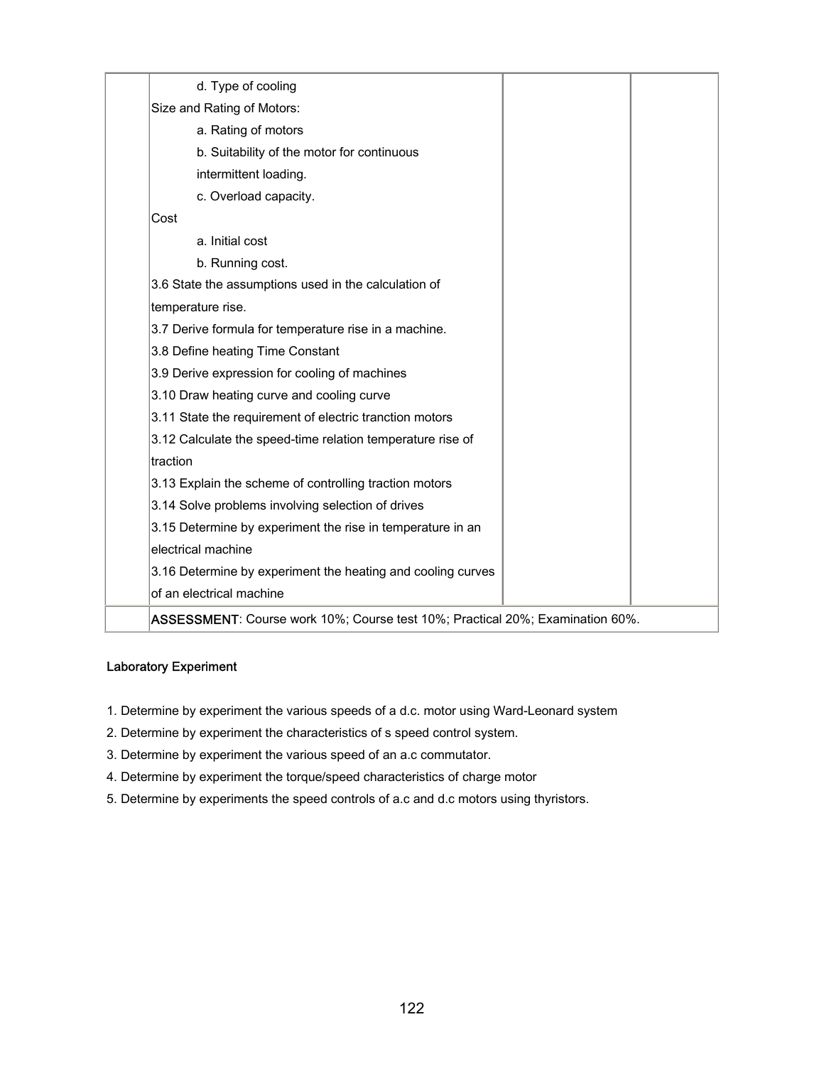| d. Type of cooling                                                            |  |
|-------------------------------------------------------------------------------|--|
| Size and Rating of Motors:                                                    |  |
| a. Rating of motors                                                           |  |
| b. Suitability of the motor for continuous                                    |  |
| intermittent loading.                                                         |  |
| c. Overload capacity.                                                         |  |
| Cost                                                                          |  |
| a. Initial cost                                                               |  |
| b. Running cost.                                                              |  |
| 3.6 State the assumptions used in the calculation of                          |  |
| temperature rise.                                                             |  |
| 3.7 Derive formula for temperature rise in a machine.                         |  |
| 3.8 Define heating Time Constant                                              |  |
| 3.9 Derive expression for cooling of machines                                 |  |
| 3.10 Draw heating curve and cooling curve                                     |  |
| 3.11 State the requirement of electric tranction motors                       |  |
| 3.12 Calculate the speed-time relation temperature rise of                    |  |
| traction                                                                      |  |
| 3.13 Explain the scheme of controlling traction motors                        |  |
| 3.14 Solve problems involving selection of drives                             |  |
| 3.15 Determine by experiment the rise in temperature in an                    |  |
| electrical machine                                                            |  |
| 3.16 Determine by experiment the heating and cooling curves                   |  |
| of an electrical machine                                                      |  |
| ASSESSMENT: Course work 10%; Course test 10%; Practical 20%; Examination 60%. |  |

#### Laboratory Experiment

- 1. Determine by experiment the various speeds of a d.c. motor using Ward-Leonard system
- 2. Determine by experiment the characteristics of s speed control system.
- 3. Determine by experiment the various speed of an a.c commutator.
- 4. Determine by experiment the torque/speed characteristics of charge motor
- 5. Determine by experiments the speed controls of a.c and d.c motors using thyristors.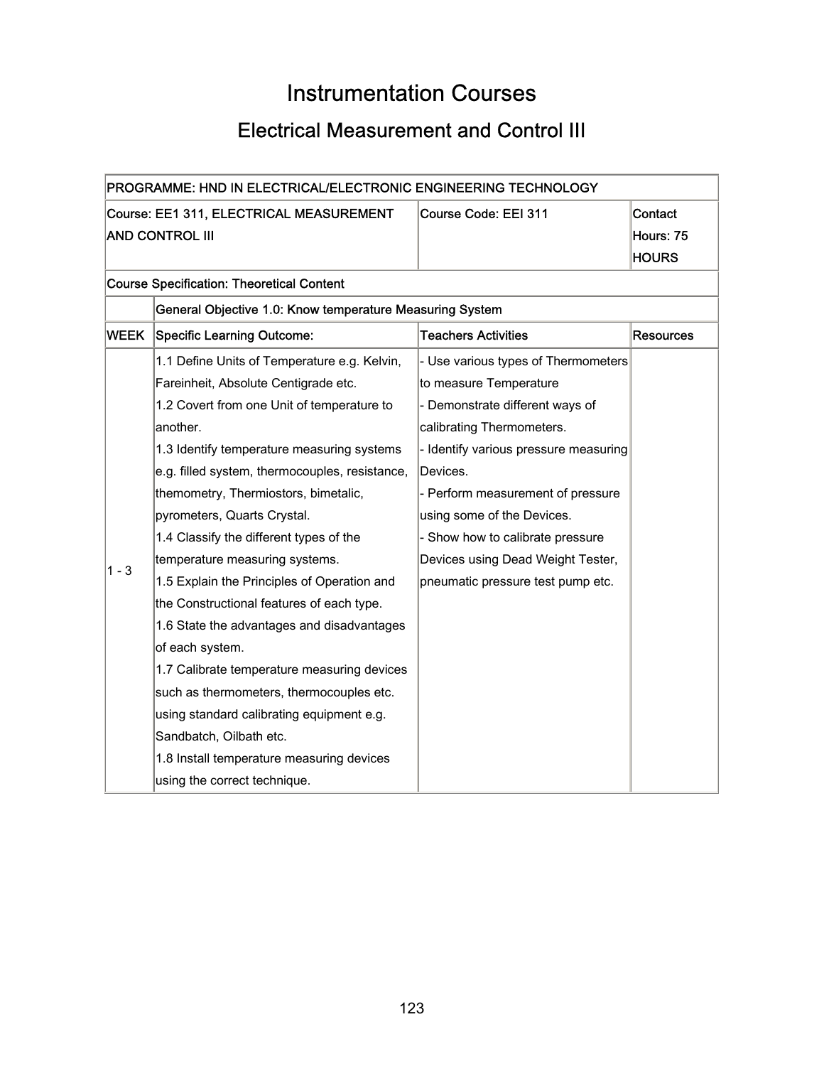# Instrumentation Courses

# Electrical Measurement and Control III

| PROGRAMME: HND IN ELECTRICAL/ELECTRONIC ENGINEERING TECHNOLOGY |                                                                            |                                       |                  |  |  |
|----------------------------------------------------------------|----------------------------------------------------------------------------|---------------------------------------|------------------|--|--|
|                                                                | Course: EE1 311, ELECTRICAL MEASUREMENT<br>Course Code: EEI 311<br>Contact |                                       |                  |  |  |
|                                                                | <b>AND CONTROL III</b>                                                     |                                       | Hours: 75        |  |  |
|                                                                |                                                                            |                                       | <b>HOURS</b>     |  |  |
|                                                                | <b>Course Specification: Theoretical Content</b>                           |                                       |                  |  |  |
|                                                                | General Objective 1.0: Know temperature Measuring System                   |                                       |                  |  |  |
| WEEK                                                           | <b>Specific Learning Outcome:</b>                                          | <b>Teachers Activities</b>            | <b>Resources</b> |  |  |
|                                                                | 1.1 Define Units of Temperature e.g. Kelvin,                               | - Use various types of Thermometers   |                  |  |  |
|                                                                | Fareinheit, Absolute Centigrade etc.                                       | to measure Temperature                |                  |  |  |
|                                                                | 1.2 Covert from one Unit of temperature to                                 | - Demonstrate different ways of       |                  |  |  |
|                                                                | another.                                                                   | calibrating Thermometers.             |                  |  |  |
|                                                                | 1.3 Identify temperature measuring systems                                 | - Identify various pressure measuring |                  |  |  |
|                                                                | e.g. filled system, thermocouples, resistance,                             | Devices.                              |                  |  |  |
|                                                                | themometry, Thermiostors, bimetalic,                                       | - Perform measurement of pressure     |                  |  |  |
|                                                                | pyrometers, Quarts Crystal.                                                | using some of the Devices.            |                  |  |  |
|                                                                | 1.4 Classify the different types of the                                    | - Show how to calibrate pressure      |                  |  |  |
| $1 - 3$                                                        | temperature measuring systems.                                             | Devices using Dead Weight Tester,     |                  |  |  |
|                                                                | 1.5 Explain the Principles of Operation and                                | pneumatic pressure test pump etc.     |                  |  |  |
|                                                                | the Constructional features of each type.                                  |                                       |                  |  |  |
|                                                                | 1.6 State the advantages and disadvantages                                 |                                       |                  |  |  |
|                                                                | of each system.                                                            |                                       |                  |  |  |
|                                                                | 1.7 Calibrate temperature measuring devices                                |                                       |                  |  |  |
|                                                                | such as thermometers, thermocouples etc.                                   |                                       |                  |  |  |
|                                                                | using standard calibrating equipment e.g.                                  |                                       |                  |  |  |
|                                                                | Sandbatch, Oilbath etc.                                                    |                                       |                  |  |  |
|                                                                | 1.8 Install temperature measuring devices                                  |                                       |                  |  |  |
|                                                                | using the correct technique.                                               |                                       |                  |  |  |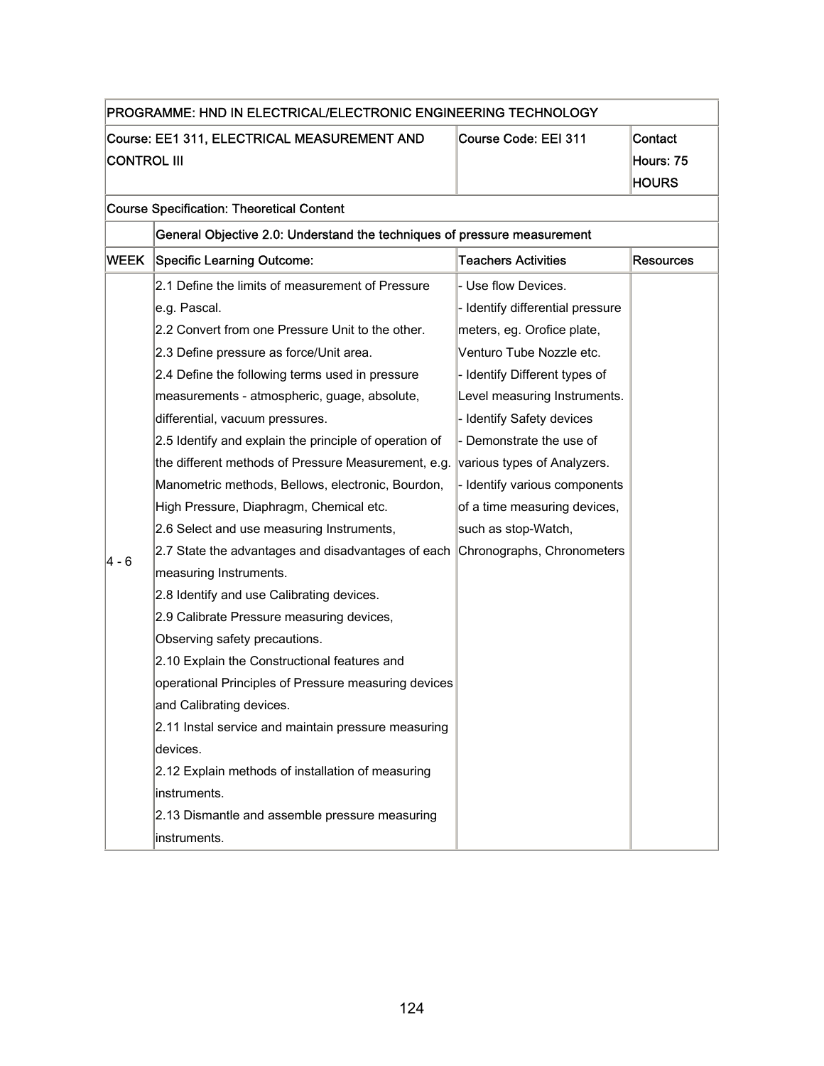|                                                                   | PROGRAMME: HND IN ELECTRICAL/ELECTRONIC ENGINEERING TECHNOLOGY           |                                  |                                      |
|-------------------------------------------------------------------|--------------------------------------------------------------------------|----------------------------------|--------------------------------------|
| Course: EE1 311, ELECTRICAL MEASUREMENT AND<br><b>CONTROL III</b> |                                                                          | Course Code: EEI 311             | Contact<br>Hours: 75<br><b>HOURS</b> |
|                                                                   | <b>Course Specification: Theoretical Content</b>                         |                                  |                                      |
|                                                                   | General Objective 2.0: Understand the techniques of pressure measurement |                                  |                                      |
| WEEK                                                              | <b>Specific Learning Outcome:</b>                                        | <b>Teachers Activities</b>       | Resources                            |
|                                                                   | 2.1 Define the limits of measurement of Pressure                         | - Use flow Devices.              |                                      |
|                                                                   | e.g. Pascal.                                                             | - Identify differential pressure |                                      |
|                                                                   | 2.2 Convert from one Pressure Unit to the other.                         | meters, eg. Orofice plate,       |                                      |
|                                                                   | 2.3 Define pressure as force/Unit area.                                  | Venturo Tube Nozzle etc.         |                                      |
|                                                                   | 2.4 Define the following terms used in pressure                          | - Identify Different types of    |                                      |
|                                                                   | measurements - atmospheric, guage, absolute,                             | Level measuring Instruments.     |                                      |
|                                                                   | differential, vacuum pressures.                                          | - Identify Safety devices        |                                      |
|                                                                   | 2.5 Identify and explain the principle of operation of                   | - Demonstrate the use of         |                                      |
|                                                                   | the different methods of Pressure Measurement, e.g.                      | various types of Analyzers.      |                                      |
|                                                                   | Manometric methods, Bellows, electronic, Bourdon,                        | - Identify various components    |                                      |
|                                                                   | High Pressure, Diaphragm, Chemical etc.                                  | of a time measuring devices,     |                                      |
|                                                                   | 2.6 Select and use measuring Instruments,                                | such as stop-Watch,              |                                      |
|                                                                   | 2.7 State the advantages and disadvantages of each                       | Chronographs, Chronometers       |                                      |
| 4 - 6                                                             | measuring Instruments.                                                   |                                  |                                      |
|                                                                   | 2.8 Identify and use Calibrating devices.                                |                                  |                                      |
|                                                                   | 2.9 Calibrate Pressure measuring devices,                                |                                  |                                      |
|                                                                   | Observing safety precautions.                                            |                                  |                                      |
|                                                                   | 2.10 Explain the Constructional features and                             |                                  |                                      |
|                                                                   | operational Principles of Pressure measuring devices                     |                                  |                                      |
|                                                                   | and Calibrating devices.                                                 |                                  |                                      |
|                                                                   | 2.11 Instal service and maintain pressure measuring                      |                                  |                                      |
|                                                                   | devices.                                                                 |                                  |                                      |
|                                                                   | 2.12 Explain methods of installation of measuring                        |                                  |                                      |
|                                                                   | instruments.                                                             |                                  |                                      |
|                                                                   | 2.13 Dismantle and assemble pressure measuring                           |                                  |                                      |
|                                                                   | instruments.                                                             |                                  |                                      |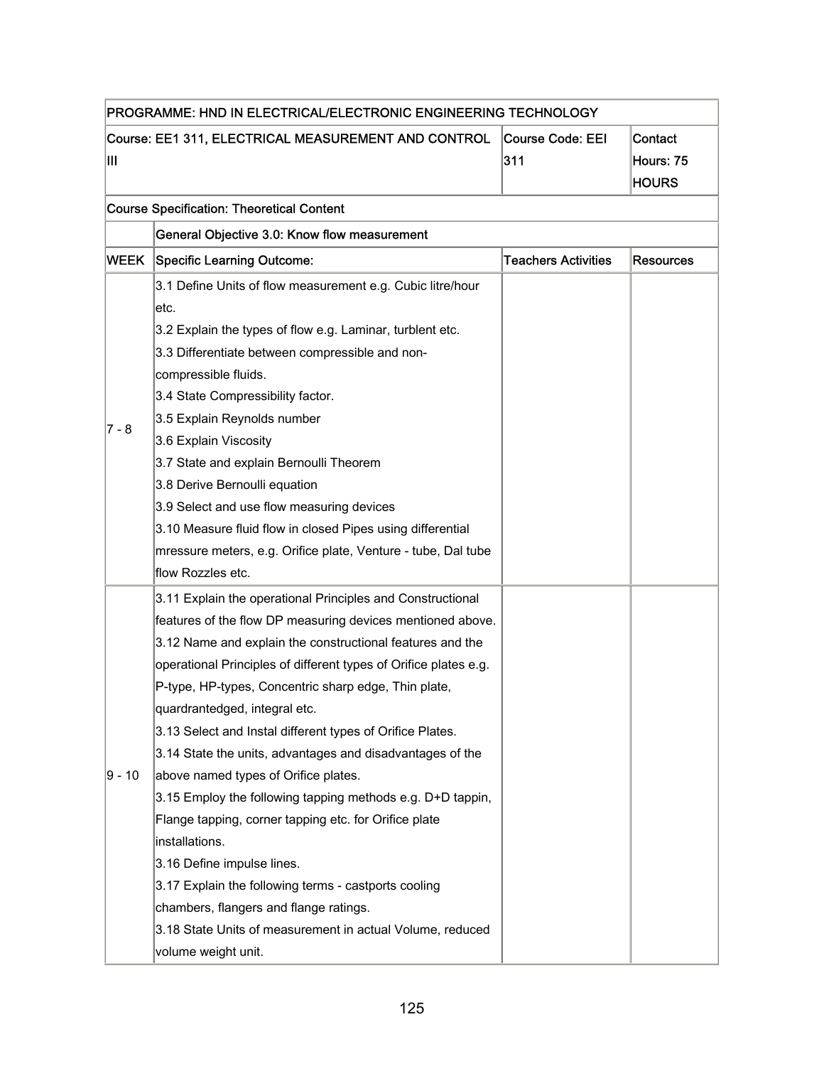| PROGRAMME: HND IN ELECTRICAL/ELECTRONIC ENGINEERING TECHNOLOGY |                                                                                                                                                                                                                                                                                                                                                                                                                                                                                                                                                                                                                                                                                                                                                                                                                                                                                   |                                |                                      |  |
|----------------------------------------------------------------|-----------------------------------------------------------------------------------------------------------------------------------------------------------------------------------------------------------------------------------------------------------------------------------------------------------------------------------------------------------------------------------------------------------------------------------------------------------------------------------------------------------------------------------------------------------------------------------------------------------------------------------------------------------------------------------------------------------------------------------------------------------------------------------------------------------------------------------------------------------------------------------|--------------------------------|--------------------------------------|--|
| Ш                                                              | Course: EE1 311, ELECTRICAL MEASUREMENT AND CONTROL                                                                                                                                                                                                                                                                                                                                                                                                                                                                                                                                                                                                                                                                                                                                                                                                                               | <b>Course Code: EEI</b><br>311 | Contact<br>Hours: 75<br><b>HOURS</b> |  |
|                                                                | <b>Course Specification: Theoretical Content</b>                                                                                                                                                                                                                                                                                                                                                                                                                                                                                                                                                                                                                                                                                                                                                                                                                                  |                                |                                      |  |
|                                                                | General Objective 3.0: Know flow measurement                                                                                                                                                                                                                                                                                                                                                                                                                                                                                                                                                                                                                                                                                                                                                                                                                                      |                                |                                      |  |
| <b>WEEK</b>                                                    | Specific Learning Outcome:                                                                                                                                                                                                                                                                                                                                                                                                                                                                                                                                                                                                                                                                                                                                                                                                                                                        | <b>Teachers Activities</b>     | <b>Resources</b>                     |  |
| 7 - 8                                                          | 3.1 Define Units of flow measurement e.g. Cubic litre/hour<br>letc.<br>3.2 Explain the types of flow e.g. Laminar, turblent etc.<br>3.3 Differentiate between compressible and non-<br>compressible fluids.<br>3.4 State Compressibility factor.<br>3.5 Explain Reynolds number<br>3.6 Explain Viscosity<br>3.7 State and explain Bernoulli Theorem<br>3.8 Derive Bernoulli equation<br>3.9 Select and use flow measuring devices<br>3.10 Measure fluid flow in closed Pipes using differential<br>mressure meters, e.g. Orifice plate, Venture - tube, Dal tube<br>flow Rozzles etc.                                                                                                                                                                                                                                                                                             |                                |                                      |  |
| ∣9 - 10                                                        | 3.11 Explain the operational Principles and Constructional<br>features of the flow DP measuring devices mentioned above.<br>3.12 Name and explain the constructional features and the<br>operational Principles of different types of Orifice plates e.g.<br>P-type, HP-types, Concentric sharp edge, Thin plate,<br>quardrantedged, integral etc.<br>3.13 Select and Instal different types of Orifice Plates.<br>3.14 State the units, advantages and disadvantages of the<br>above named types of Orifice plates.<br>3.15 Employ the following tapping methods e.g. D+D tappin,<br>Flange tapping, corner tapping etc. for Orifice plate<br>installations.<br>3.16 Define impulse lines.<br>3.17 Explain the following terms - castports cooling<br>chambers, flangers and flange ratings.<br>3.18 State Units of measurement in actual Volume, reduced<br>volume weight unit. |                                |                                      |  |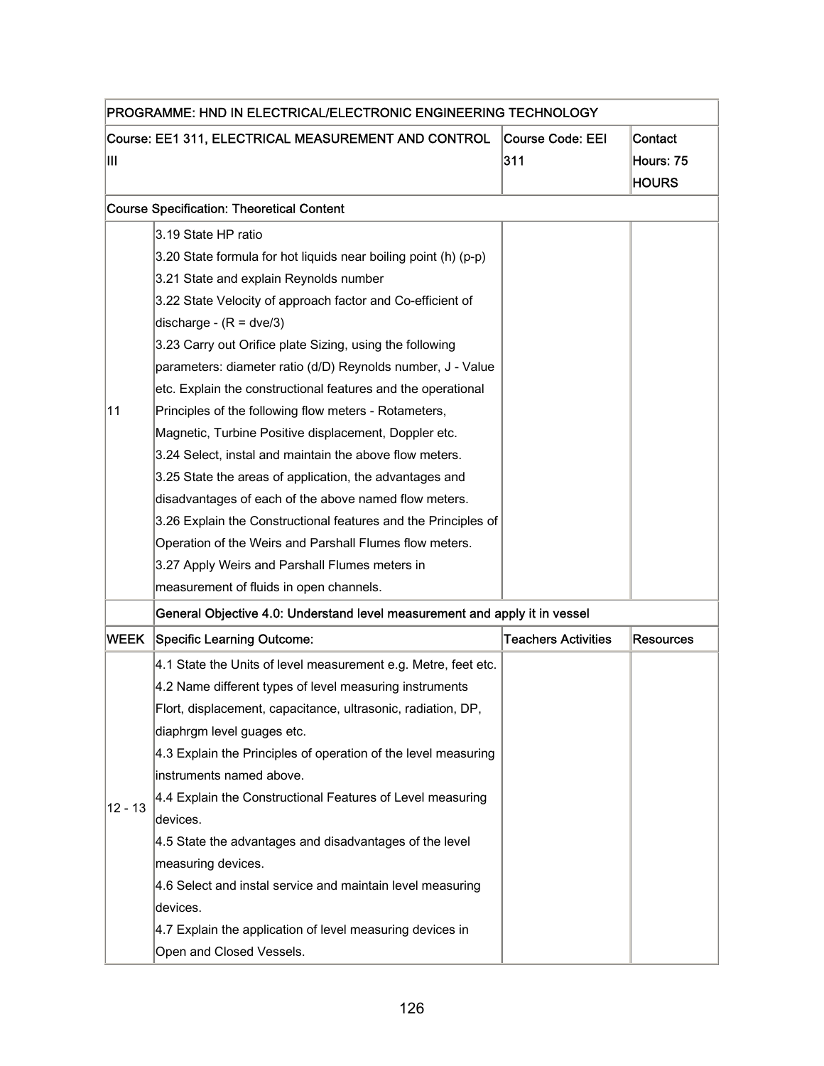| PROGRAMME: HND IN ELECTRICAL/ELECTRONIC ENGINEERING TECHNOLOGY |                                                                                                                                                                                                                                                                                                                                                                                                                                                                                                                                                                                                                                                                                                                                                                                                                                                                                                        |                            |                                      |  |
|----------------------------------------------------------------|--------------------------------------------------------------------------------------------------------------------------------------------------------------------------------------------------------------------------------------------------------------------------------------------------------------------------------------------------------------------------------------------------------------------------------------------------------------------------------------------------------------------------------------------------------------------------------------------------------------------------------------------------------------------------------------------------------------------------------------------------------------------------------------------------------------------------------------------------------------------------------------------------------|----------------------------|--------------------------------------|--|
| Ш                                                              | Course: EE1 311, ELECTRICAL MEASUREMENT AND CONTROL                                                                                                                                                                                                                                                                                                                                                                                                                                                                                                                                                                                                                                                                                                                                                                                                                                                    | Course Code: EEI<br>311    | Contact<br>Hours: 75<br><b>HOURS</b> |  |
|                                                                | <b>Course Specification: Theoretical Content</b>                                                                                                                                                                                                                                                                                                                                                                                                                                                                                                                                                                                                                                                                                                                                                                                                                                                       |                            |                                      |  |
| 11                                                             | 3.19 State HP ratio<br>3.20 State formula for hot liquids near boiling point (h) (p-p)<br>3.21 State and explain Reynolds number<br>3.22 State Velocity of approach factor and Co-efficient of<br>discharge - $(R = dve/3)$<br>3.23 Carry out Orifice plate Sizing, using the following<br>parameters: diameter ratio (d/D) Reynolds number, J - Value<br>etc. Explain the constructional features and the operational<br>Principles of the following flow meters - Rotameters,<br>Magnetic, Turbine Positive displacement, Doppler etc.<br>3.24 Select, instal and maintain the above flow meters.<br>3.25 State the areas of application, the advantages and<br>disadvantages of each of the above named flow meters.<br>3.26 Explain the Constructional features and the Principles of<br>Operation of the Weirs and Parshall Flumes flow meters.<br>3.27 Apply Weirs and Parshall Flumes meters in |                            |                                      |  |
|                                                                | measurement of fluids in open channels.                                                                                                                                                                                                                                                                                                                                                                                                                                                                                                                                                                                                                                                                                                                                                                                                                                                                |                            |                                      |  |
|                                                                | General Objective 4.0: Understand level measurement and apply it in vessel                                                                                                                                                                                                                                                                                                                                                                                                                                                                                                                                                                                                                                                                                                                                                                                                                             |                            |                                      |  |
| <b>WEEK</b>                                                    | <b>Specific Learning Outcome:</b>                                                                                                                                                                                                                                                                                                                                                                                                                                                                                                                                                                                                                                                                                                                                                                                                                                                                      | <b>Teachers Activities</b> | <b>Resources</b>                     |  |
| $12 - 13$                                                      | 4.1 State the Units of level measurement e.g. Metre, feet etc.<br>4.2 Name different types of level measuring instruments<br>Flort, displacement, capacitance, ultrasonic, radiation, DP,<br>diaphrgm level guages etc.<br>4.3 Explain the Principles of operation of the level measuring<br>instruments named above.<br>4.4 Explain the Constructional Features of Level measuring<br>devices.<br>4.5 State the advantages and disadvantages of the level<br>measuring devices.<br>4.6 Select and instal service and maintain level measuring<br>devices.                                                                                                                                                                                                                                                                                                                                             |                            |                                      |  |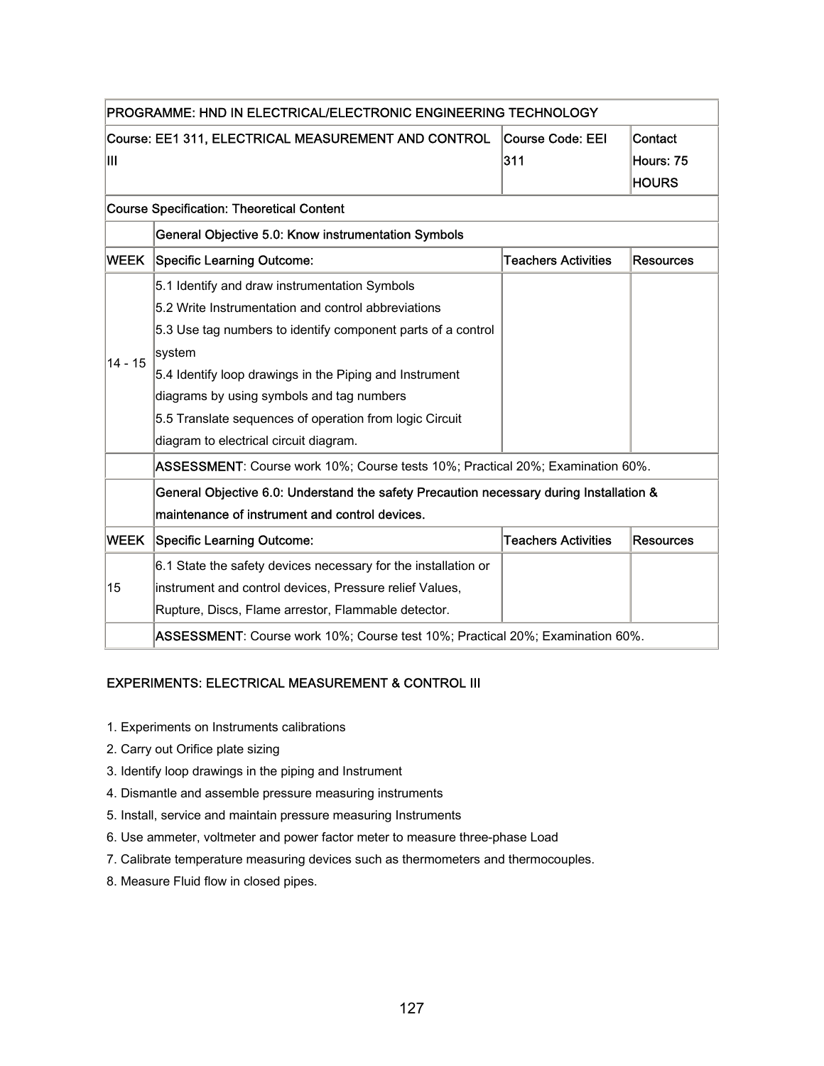|             | PROGRAMME: HND IN ELECTRICAL/ELECTRONIC ENGINEERING TECHNOLOGY                          |                            |                  |  |
|-------------|-----------------------------------------------------------------------------------------|----------------------------|------------------|--|
|             | Course: EE1 311, ELECTRICAL MEASUREMENT AND CONTROL                                     | Course Code: EEI           | Contact          |  |
| Ш           |                                                                                         | 311                        | Hours: 75        |  |
|             |                                                                                         |                            | <b>HOURS</b>     |  |
|             | <b>Course Specification: Theoretical Content</b>                                        |                            |                  |  |
|             | General Objective 5.0: Know instrumentation Symbols                                     |                            |                  |  |
| <b>WEEK</b> | Specific Learning Outcome:                                                              | <b>Teachers Activities</b> | <b>Resources</b> |  |
|             | 5.1 Identify and draw instrumentation Symbols                                           |                            |                  |  |
|             | 5.2 Write Instrumentation and control abbreviations                                     |                            |                  |  |
|             | 5.3 Use tag numbers to identify component parts of a control                            |                            |                  |  |
| $14 - 15$   | ∣system                                                                                 |                            |                  |  |
|             | 5.4 Identify loop drawings in the Piping and Instrument                                 |                            |                  |  |
|             | diagrams by using symbols and tag numbers                                               |                            |                  |  |
|             | 5.5 Translate sequences of operation from logic Circuit                                 |                            |                  |  |
|             | diagram to electrical circuit diagram.                                                  |                            |                  |  |
|             | ASSESSMENT: Course work 10%; Course tests 10%; Practical 20%; Examination 60%.          |                            |                  |  |
|             | General Objective 6.0: Understand the safety Precaution necessary during Installation & |                            |                  |  |
|             | maintenance of instrument and control devices.                                          |                            |                  |  |
| <b>WEEK</b> | <b>Specific Learning Outcome:</b>                                                       | <b>Teachers Activities</b> | <b>Resources</b> |  |
|             | 6.1 State the safety devices necessary for the installation or                          |                            |                  |  |
| 15          | instrument and control devices, Pressure relief Values,                                 |                            |                  |  |
|             | Rupture, Discs, Flame arrestor, Flammable detector.                                     |                            |                  |  |
|             | ASSESSMENT: Course work 10%; Course test 10%; Practical 20%; Examination 60%.           |                            |                  |  |

#### EXPERIMENTS: ELECTRICAL MEASUREMENT & CONTROL III

- 1. Experiments on Instruments calibrations
- 2. Carry out Orifice plate sizing
- 3. Identify loop drawings in the piping and Instrument
- 4. Dismantle and assemble pressure measuring instruments
- 5. Install, service and maintain pressure measuring Instruments
- 6. Use ammeter, voltmeter and power factor meter to measure three-phase Load
- 7. Calibrate temperature measuring devices such as thermometers and thermocouples.
- 8. Measure Fluid flow in closed pipes.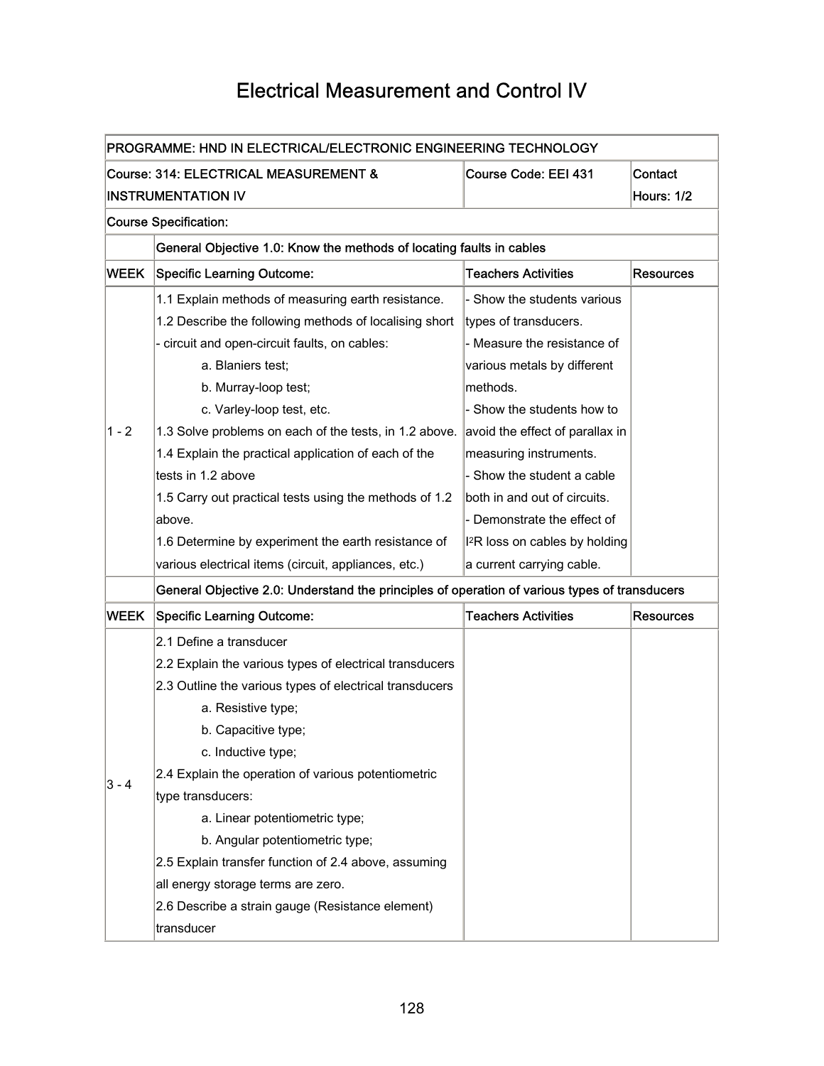# Electrical Measurement and Control IV

| PROGRAMME: HND IN ELECTRICAL/ELECTRONIC ENGINEERING TECHNOLOGY |                                                                                               |                                            |                   |
|----------------------------------------------------------------|-----------------------------------------------------------------------------------------------|--------------------------------------------|-------------------|
|                                                                | Course: 314: ELECTRICAL MEASUREMENT &                                                         | Course Code: EEI 431                       | Contact           |
|                                                                | <b>INSTRUMENTATION IV</b>                                                                     |                                            | <b>Hours: 1/2</b> |
|                                                                | <b>Course Specification:</b>                                                                  |                                            |                   |
|                                                                | General Objective 1.0: Know the methods of locating faults in cables                          |                                            |                   |
| WEEK                                                           | <b>Specific Learning Outcome:</b>                                                             | <b>Teachers Activities</b>                 | <b>Resources</b>  |
|                                                                | 1.1 Explain methods of measuring earth resistance.                                            | Show the students various                  |                   |
|                                                                | 1.2 Describe the following methods of localising short                                        | types of transducers.                      |                   |
|                                                                | - circuit and open-circuit faults, on cables:                                                 | - Measure the resistance of                |                   |
|                                                                | a. Blaniers test;                                                                             | various metals by different                |                   |
|                                                                | b. Murray-loop test;                                                                          | methods.                                   |                   |
|                                                                | c. Varley-loop test, etc.                                                                     | - Show the students how to                 |                   |
| $1 - 2$                                                        | 1.3 Solve problems on each of the tests, in 1.2 above.                                        | avoid the effect of parallax in            |                   |
|                                                                | 1.4 Explain the practical application of each of the                                          | measuring instruments.                     |                   |
|                                                                | tests in 1.2 above                                                                            | - Show the student a cable                 |                   |
|                                                                | 1.5 Carry out practical tests using the methods of 1.2                                        | both in and out of circuits.               |                   |
|                                                                | above.                                                                                        | - Demonstrate the effect of                |                   |
|                                                                | 1.6 Determine by experiment the earth resistance of                                           | I <sup>2</sup> R loss on cables by holding |                   |
|                                                                | various electrical items (circuit, appliances, etc.)                                          | a current carrying cable.                  |                   |
|                                                                | General Objective 2.0: Understand the principles of operation of various types of transducers |                                            |                   |
| <b>WEEK</b>                                                    | <b>Specific Learning Outcome:</b>                                                             | <b>Teachers Activities</b>                 | <b>Resources</b>  |
|                                                                | 2.1 Define a transducer                                                                       |                                            |                   |
|                                                                | 2.2 Explain the various types of electrical transducers                                       |                                            |                   |
|                                                                | 2.3 Outline the various types of electrical transducers                                       |                                            |                   |
|                                                                | a. Resistive type;                                                                            |                                            |                   |
|                                                                | b. Capacitive type;                                                                           |                                            |                   |
|                                                                | c. Inductive type;                                                                            |                                            |                   |
|                                                                | 2.4 Explain the operation of various potentiometric                                           |                                            |                   |
| 3 - 4                                                          | type transducers:                                                                             |                                            |                   |
|                                                                | a. Linear potentiometric type;                                                                |                                            |                   |
|                                                                | b. Angular potentiometric type;                                                               |                                            |                   |
|                                                                | 2.5 Explain transfer function of 2.4 above, assuming                                          |                                            |                   |
|                                                                | all energy storage terms are zero.                                                            |                                            |                   |
|                                                                | 2.6 Describe a strain gauge (Resistance element)                                              |                                            |                   |
|                                                                | transducer                                                                                    |                                            |                   |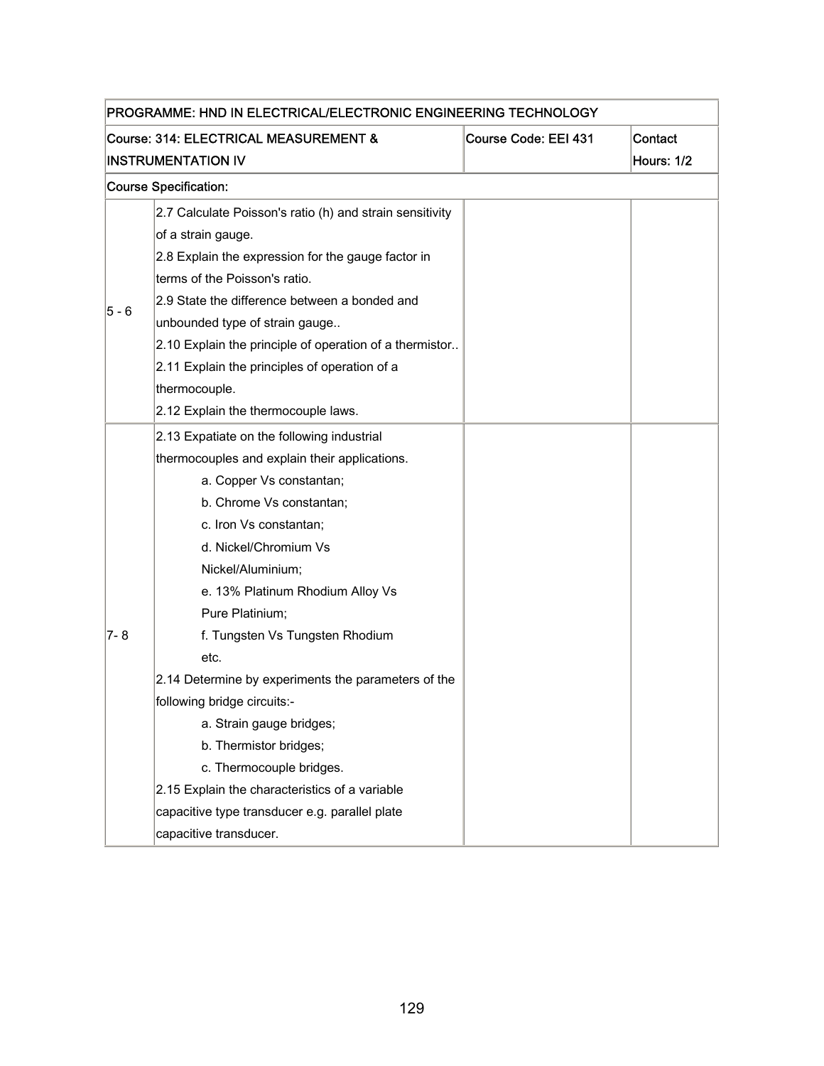| PROGRAMME: HND IN ELECTRICAL/ELECTRONIC ENGINEERING TECHNOLOGY |                                                          |                      |            |  |
|----------------------------------------------------------------|----------------------------------------------------------|----------------------|------------|--|
|                                                                | Course: 314: ELECTRICAL MEASUREMENT &                    | Course Code: EEI 431 | Contact    |  |
|                                                                | <b>INSTRUMENTATION IV</b>                                |                      | Hours: 1/2 |  |
|                                                                | <b>Course Specification:</b>                             |                      |            |  |
|                                                                | 2.7 Calculate Poisson's ratio (h) and strain sensitivity |                      |            |  |
|                                                                | of a strain gauge.                                       |                      |            |  |
|                                                                | 2.8 Explain the expression for the gauge factor in       |                      |            |  |
|                                                                | terms of the Poisson's ratio.                            |                      |            |  |
|                                                                | 2.9 State the difference between a bonded and            |                      |            |  |
| 5 - 6                                                          | unbounded type of strain gauge                           |                      |            |  |
|                                                                | 2.10 Explain the principle of operation of a thermistor  |                      |            |  |
|                                                                | 2.11 Explain the principles of operation of a            |                      |            |  |
|                                                                | thermocouple.                                            |                      |            |  |
|                                                                | 2.12 Explain the thermocouple laws.                      |                      |            |  |
|                                                                | 2.13 Expatiate on the following industrial               |                      |            |  |
|                                                                | thermocouples and explain their applications.            |                      |            |  |
|                                                                | a. Copper Vs constantan;                                 |                      |            |  |
|                                                                | b. Chrome Vs constantan;                                 |                      |            |  |
|                                                                | c. Iron Vs constantan;                                   |                      |            |  |
|                                                                | d. Nickel/Chromium Vs                                    |                      |            |  |
|                                                                | Nickel/Aluminium;                                        |                      |            |  |
|                                                                | e. 13% Platinum Rhodium Alloy Vs                         |                      |            |  |
|                                                                | Pure Platinium;                                          |                      |            |  |
| $7 - 8$                                                        | f. Tungsten Vs Tungsten Rhodium                          |                      |            |  |
|                                                                | etc.                                                     |                      |            |  |
|                                                                | 2.14 Determine by experiments the parameters of the      |                      |            |  |
|                                                                | following bridge circuits:-                              |                      |            |  |
|                                                                | a. Strain gauge bridges;                                 |                      |            |  |
|                                                                | b. Thermistor bridges;                                   |                      |            |  |
|                                                                | c. Thermocouple bridges.                                 |                      |            |  |
|                                                                | 2.15 Explain the characteristics of a variable           |                      |            |  |
|                                                                | capacitive type transducer e.g. parallel plate           |                      |            |  |
|                                                                | capacitive transducer.                                   |                      |            |  |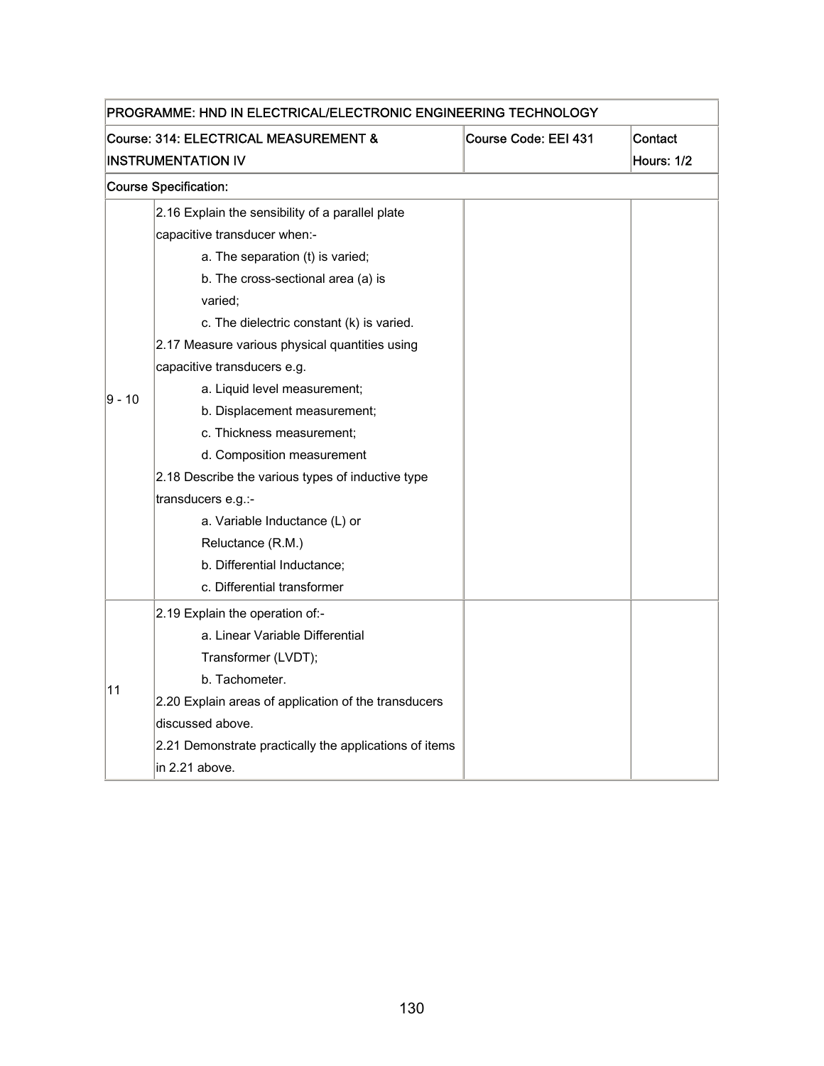| PROGRAMME: HND IN ELECTRICAL/ELECTRONIC ENGINEERING TECHNOLOGY           |                                                        |  |                   |  |
|--------------------------------------------------------------------------|--------------------------------------------------------|--|-------------------|--|
| Course: 314: ELECTRICAL MEASUREMENT &<br>Course Code: EEI 431<br>Contact |                                                        |  |                   |  |
|                                                                          | <b>INSTRUMENTATION IV</b>                              |  | <b>Hours: 1/2</b> |  |
|                                                                          | <b>Course Specification:</b>                           |  |                   |  |
|                                                                          | 2.16 Explain the sensibility of a parallel plate       |  |                   |  |
|                                                                          | capacitive transducer when:-                           |  |                   |  |
|                                                                          | a. The separation (t) is varied;                       |  |                   |  |
|                                                                          | b. The cross-sectional area (a) is                     |  |                   |  |
|                                                                          | varied;                                                |  |                   |  |
|                                                                          | c. The dielectric constant (k) is varied.              |  |                   |  |
|                                                                          | 2.17 Measure various physical quantities using         |  |                   |  |
|                                                                          | capacitive transducers e.g.                            |  |                   |  |
| 9 - 10                                                                   | a. Liquid level measurement;                           |  |                   |  |
|                                                                          | b. Displacement measurement;                           |  |                   |  |
|                                                                          | c. Thickness measurement;                              |  |                   |  |
|                                                                          | d. Composition measurement                             |  |                   |  |
|                                                                          | 2.18 Describe the various types of inductive type      |  |                   |  |
|                                                                          | transducers e.g.:-                                     |  |                   |  |
|                                                                          | a. Variable Inductance (L) or                          |  |                   |  |
|                                                                          | Reluctance (R.M.)                                      |  |                   |  |
|                                                                          | b. Differential Inductance;                            |  |                   |  |
|                                                                          | c. Differential transformer                            |  |                   |  |
|                                                                          | 2.19 Explain the operation of:-                        |  |                   |  |
|                                                                          | a. Linear Variable Differential                        |  |                   |  |
|                                                                          | Transformer (LVDT);                                    |  |                   |  |
| 11                                                                       | b. Tachometer.                                         |  |                   |  |
|                                                                          | 2.20 Explain areas of application of the transducers   |  |                   |  |
|                                                                          | discussed above.                                       |  |                   |  |
|                                                                          | 2.21 Demonstrate practically the applications of items |  |                   |  |
|                                                                          | in 2.21 above.                                         |  |                   |  |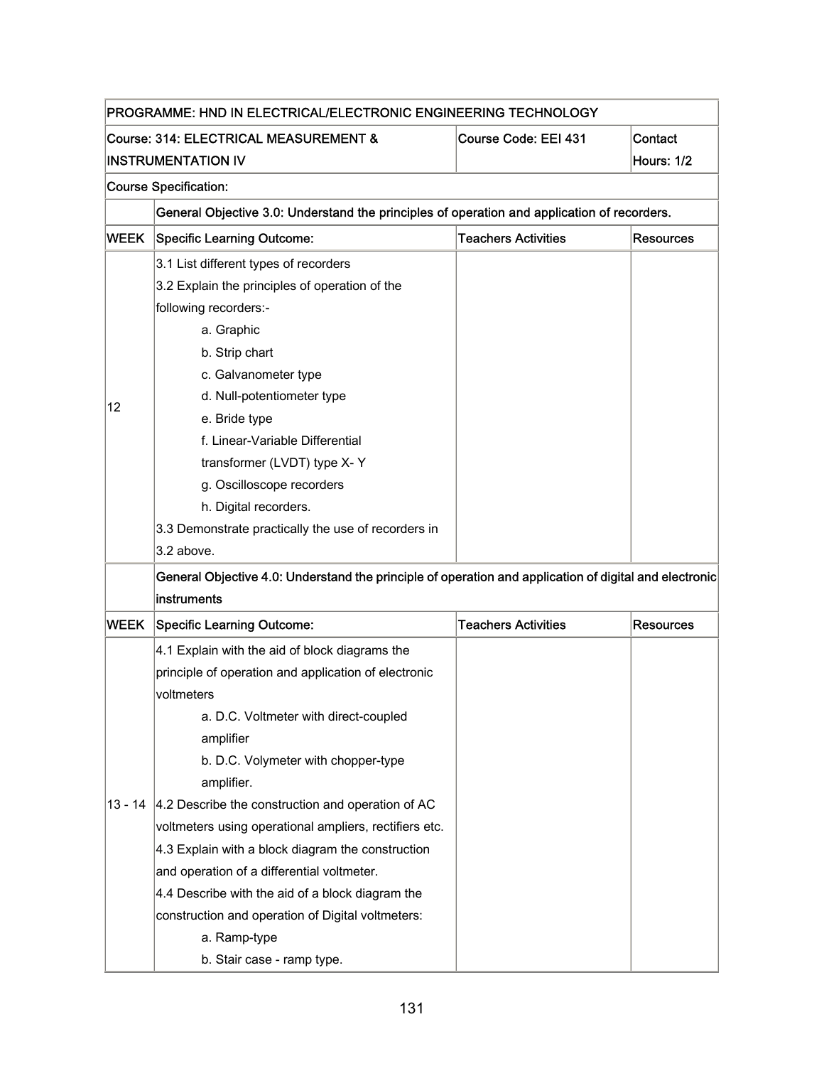| PROGRAMME: HND IN ELECTRICAL/ELECTRONIC ENGINEERING TECHNOLOGY           |                                                                                                        |                            |                  |  |  |
|--------------------------------------------------------------------------|--------------------------------------------------------------------------------------------------------|----------------------------|------------------|--|--|
| Contact<br>Course: 314: ELECTRICAL MEASUREMENT &<br>Course Code: EEI 431 |                                                                                                        |                            |                  |  |  |
|                                                                          | <b>INSTRUMENTATION IV</b>                                                                              |                            | Hours: 1/2       |  |  |
|                                                                          | <b>Course Specification:</b>                                                                           |                            |                  |  |  |
|                                                                          | General Objective 3.0: Understand the principles of operation and application of recorders.            |                            |                  |  |  |
| <b>WEEK</b>                                                              | <b>Specific Learning Outcome:</b>                                                                      | <b>Teachers Activities</b> | <b>Resources</b> |  |  |
|                                                                          | 3.1 List different types of recorders                                                                  |                            |                  |  |  |
|                                                                          | 3.2 Explain the principles of operation of the                                                         |                            |                  |  |  |
|                                                                          | following recorders:-                                                                                  |                            |                  |  |  |
|                                                                          | a. Graphic                                                                                             |                            |                  |  |  |
|                                                                          | b. Strip chart                                                                                         |                            |                  |  |  |
|                                                                          | c. Galvanometer type                                                                                   |                            |                  |  |  |
|                                                                          | d. Null-potentiometer type                                                                             |                            |                  |  |  |
| 12                                                                       | e. Bride type                                                                                          |                            |                  |  |  |
|                                                                          | f. Linear-Variable Differential                                                                        |                            |                  |  |  |
|                                                                          | transformer (LVDT) type X-Y                                                                            |                            |                  |  |  |
|                                                                          | g. Oscilloscope recorders                                                                              |                            |                  |  |  |
|                                                                          | h. Digital recorders.                                                                                  |                            |                  |  |  |
|                                                                          | 3.3 Demonstrate practically the use of recorders in                                                    |                            |                  |  |  |
|                                                                          | 3.2 above.                                                                                             |                            |                  |  |  |
|                                                                          | General Objective 4.0: Understand the principle of operation and application of digital and electronic |                            |                  |  |  |
|                                                                          | instruments                                                                                            |                            |                  |  |  |
| WEEK                                                                     | <b>Specific Learning Outcome:</b>                                                                      | <b>Teachers Activities</b> | <b>Resources</b> |  |  |
|                                                                          | 4.1 Explain with the aid of block diagrams the                                                         |                            |                  |  |  |
|                                                                          | principle of operation and application of electronic                                                   |                            |                  |  |  |
|                                                                          | voltmeters                                                                                             |                            |                  |  |  |
|                                                                          | a. D.C. Voltmeter with direct-coupled                                                                  |                            |                  |  |  |
|                                                                          | amplifier                                                                                              |                            |                  |  |  |
|                                                                          | b. D.C. Volymeter with chopper-type                                                                    |                            |                  |  |  |
|                                                                          | amplifier.                                                                                             |                            |                  |  |  |
| $13 - 14$                                                                | 4.2 Describe the construction and operation of AC                                                      |                            |                  |  |  |
|                                                                          | voltmeters using operational ampliers, rectifiers etc.                                                 |                            |                  |  |  |
|                                                                          | 4.3 Explain with a block diagram the construction                                                      |                            |                  |  |  |
|                                                                          | and operation of a differential voltmeter.                                                             |                            |                  |  |  |
|                                                                          | 4.4 Describe with the aid of a block diagram the                                                       |                            |                  |  |  |
|                                                                          | construction and operation of Digital voltmeters:                                                      |                            |                  |  |  |
|                                                                          | a. Ramp-type                                                                                           |                            |                  |  |  |
|                                                                          | b. Stair case - ramp type.                                                                             |                            |                  |  |  |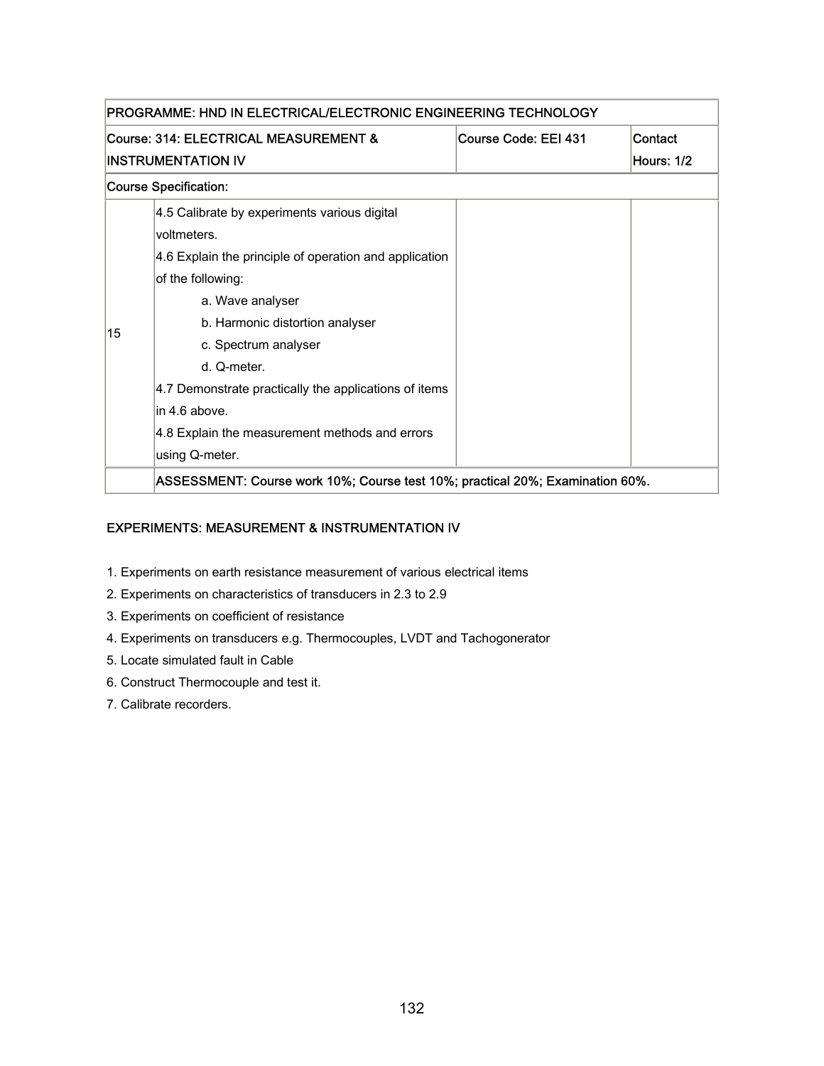| PROGRAMME: HND IN ELECTRICAL/ELECTRONIC ENGINEERING TECHNOLOGY           |                                                                               |  |            |  |
|--------------------------------------------------------------------------|-------------------------------------------------------------------------------|--|------------|--|
| Course: 314: ELECTRICAL MEASUREMENT &<br>Course Code: EEI 431<br>Contact |                                                                               |  |            |  |
|                                                                          | INSTRUMENTATION IV                                                            |  | Hours: 1/2 |  |
| <b>Course Specification:</b>                                             |                                                                               |  |            |  |
|                                                                          | 4.5 Calibrate by experiments various digital                                  |  |            |  |
|                                                                          | voltmeters.                                                                   |  |            |  |
|                                                                          | 4.6 Explain the principle of operation and application                        |  |            |  |
|                                                                          | of the following:                                                             |  |            |  |
|                                                                          | a. Wave analyser                                                              |  |            |  |
| 15                                                                       | b. Harmonic distortion analyser                                               |  |            |  |
|                                                                          | c. Spectrum analyser                                                          |  |            |  |
|                                                                          | d. Q-meter.                                                                   |  |            |  |
|                                                                          | 4.7 Demonstrate practically the applications of items                         |  |            |  |
|                                                                          | in 4.6 above.                                                                 |  |            |  |
|                                                                          | 4.8 Explain the measurement methods and errors                                |  |            |  |
|                                                                          | using Q-meter.                                                                |  |            |  |
|                                                                          | ASSESSMENT: Course work 10%; Course test 10%; practical 20%; Examination 60%. |  |            |  |

#### EXPERIMENTS: MEASUREMENT & INSTRUMENTATION IV

- 1. Experiments on earth resistance measurement of various electrical items
- 2. Experiments on characteristics of transducers in 2.3 to 2.9
- 3. Experiments on coefficient of resistance
- 4. Experiments on transducers e.g. Thermocouples, LVDT and Tachogonerator
- 5. Locate simulated fault in Cable
- 6. Construct Thermocouple and test it.
- 7. Calibrate recorders.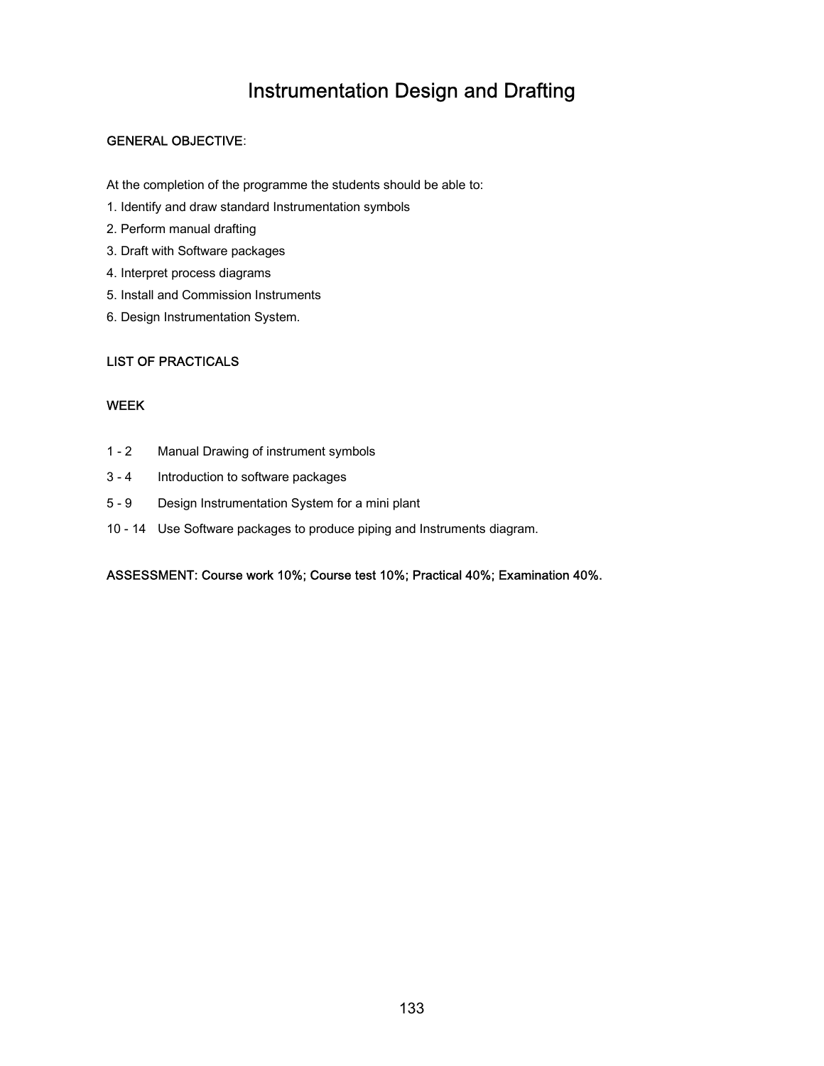# Instrumentation Design and Drafting

#### GENERAL OBJECTIVE:

At the completion of the programme the students should be able to:

- 1. Identify and draw standard Instrumentation symbols
- 2. Perform manual drafting
- 3. Draft with Software packages
- 4. Interpret process diagrams
- 5. Install and Commission Instruments
- 6. Design Instrumentation System.

#### LIST OF PRACTICALS

#### WEEK

- 1 2 Manual Drawing of instrument symbols
- 3 4 Introduction to software packages
- 5 9 Design Instrumentation System for a mini plant
- 10 14 Use Software packages to produce piping and Instruments diagram.

ASSESSMENT: Course work 10%; Course test 10%; Practical 40%; Examination 40%.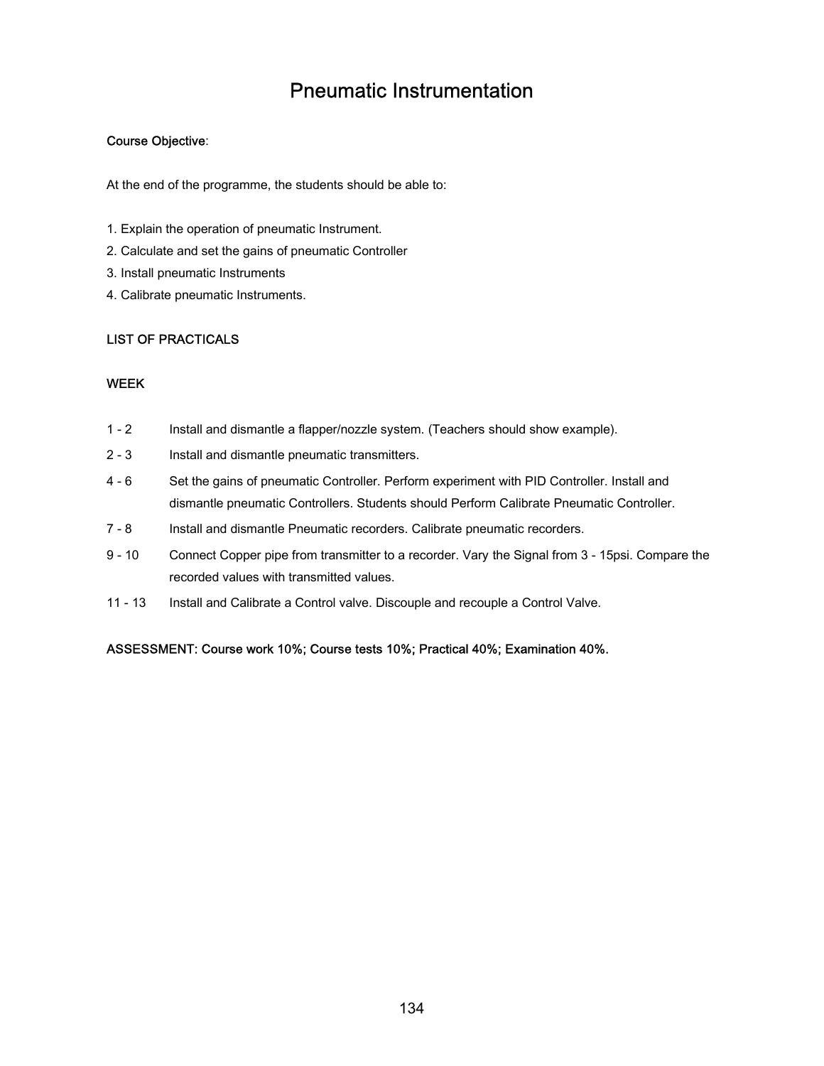### Pneumatic Instrumentation

#### Course Objective:

At the end of the programme, the students should be able to:

- 1. Explain the operation of pneumatic Instrument.
- 2. Calculate and set the gains of pneumatic Controller
- 3. Install pneumatic Instruments
- 4. Calibrate pneumatic Instruments.

#### LIST OF PRACTICALS

#### WEEK

- 1 2 Install and dismantle a flapper/nozzle system. (Teachers should show example).
- 2 3 Install and dismantle pneumatic transmitters.
- 4 6 Set the gains of pneumatic Controller. Perform experiment with PID Controller. Install and dismantle pneumatic Controllers. Students should Perform Calibrate Pneumatic Controller.
- 7 8 Install and dismantle Pneumatic recorders. Calibrate pneumatic recorders.
- 9 10 Connect Copper pipe from transmitter to a recorder. Vary the Signal from 3 15psi. Compare the recorded values with transmitted values.
- 11 13 Install and Calibrate a Control valve. Discouple and recouple a Control Valve.

ASSESSMENT: Course work 10%; Course tests 10%; Practical 40%; Examination 40%.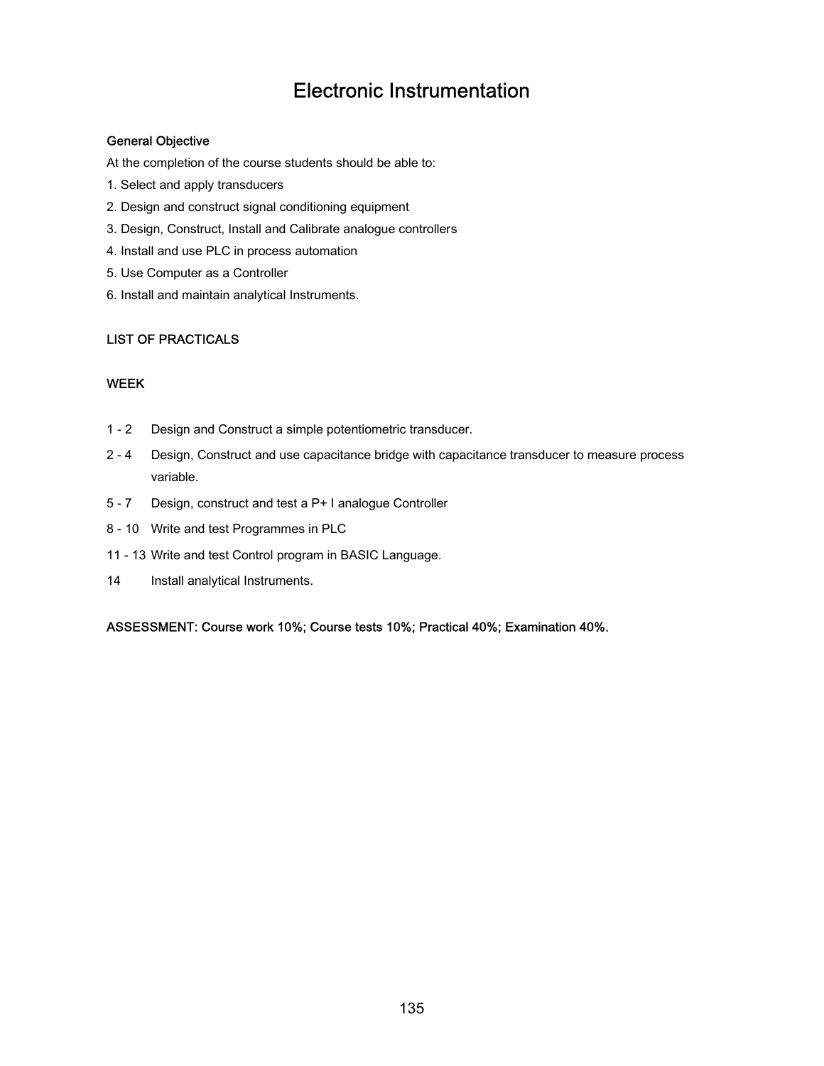### Electronic Instrumentation

#### General Objective

At the completion of the course students should be able to:

- 1. Select and apply transducers
- 2. Design and construct signal conditioning equipment
- 3. Design, Construct, Install and Calibrate analogue controllers
- 4. Install and use PLC in process automation
- 5. Use Computer as a Controller
- 6. Install and maintain analytical Instruments.

#### LIST OF PRACTICALS

#### WEEK

- 1 2 Design and Construct a simple potentiometric transducer.
- 2 4 Design, Construct and use capacitance bridge with capacitance transducer to measure process variable.
- 5 7 Design, construct and test a P+ I analogue Controller
- 8 10 Write and test Programmes in PLC
- 11 13 Write and test Control program in BASIC Language.
- 14 Install analytical Instruments.

ASSESSMENT: Course work 10%; Course tests 10%; Practical 40%; Examination 40%.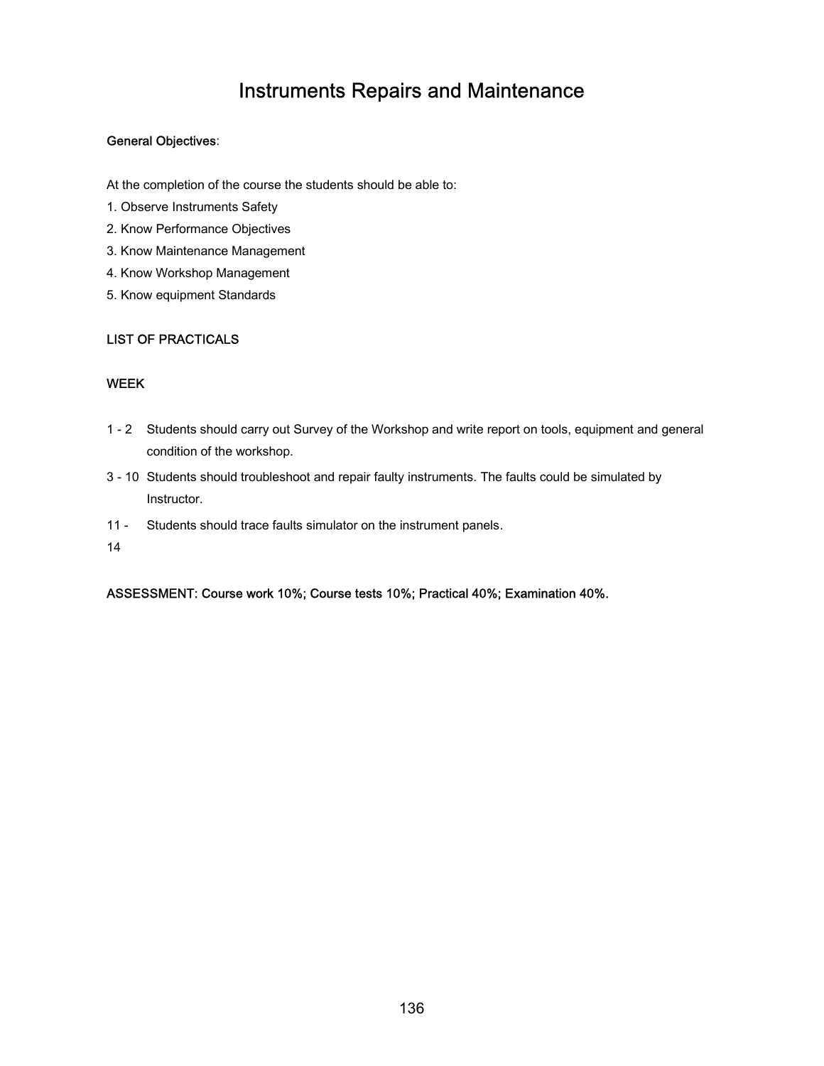### Instruments Repairs and Maintenance

#### General Objectives:

At the completion of the course the students should be able to:

- 1. Observe Instruments Safety
- 2. Know Performance Objectives
- 3. Know Maintenance Management
- 4. Know Workshop Management
- 5. Know equipment Standards

#### LIST OF PRACTICALS

#### WEEK

- 1 2 Students should carry out Survey of the Workshop and write report on tools, equipment and general condition of the workshop.
- 3 10 Students should troubleshoot and repair faulty instruments. The faults could be simulated by Instructor.
- $11 -$ Students should trace faults simulator on the instrument panels.
- 14

ASSESSMENT: Course work 10%; Course tests 10%; Practical 40%; Examination 40%.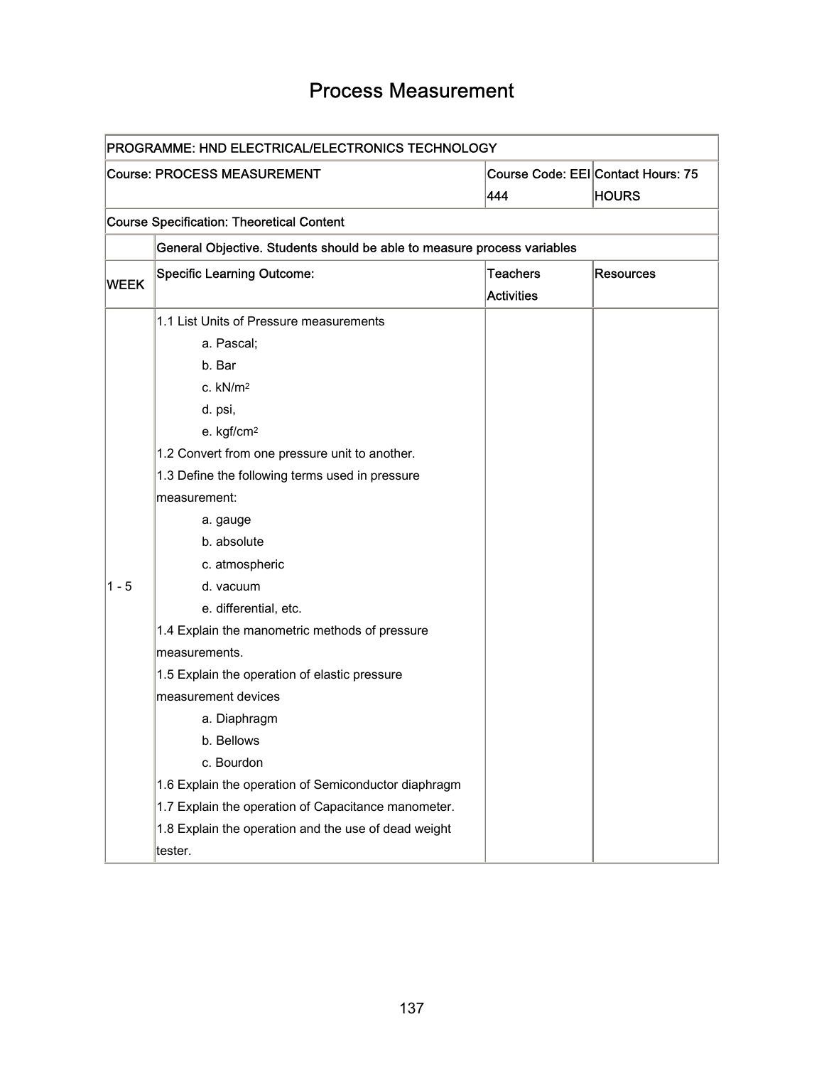## Process Measurement

| PROGRAMME: HND ELECTRICAL/ELECTRONICS TECHNOLOGY |                                                                         |                   |                                    |  |
|--------------------------------------------------|-------------------------------------------------------------------------|-------------------|------------------------------------|--|
|                                                  | <b>Course: PROCESS MEASUREMENT</b>                                      |                   | Course Code: EEI Contact Hours: 75 |  |
|                                                  |                                                                         |                   | <b>HOURS</b>                       |  |
|                                                  | <b>Course Specification: Theoretical Content</b>                        |                   |                                    |  |
|                                                  | General Objective. Students should be able to measure process variables |                   |                                    |  |
|                                                  | <b>Specific Learning Outcome:</b>                                       | <b>Teachers</b>   | <b>Resources</b>                   |  |
| <b>WEEK</b>                                      |                                                                         | <b>Activities</b> |                                    |  |
|                                                  | 1.1 List Units of Pressure measurements                                 |                   |                                    |  |
|                                                  | a. Pascal;                                                              |                   |                                    |  |
|                                                  | b. Bar                                                                  |                   |                                    |  |
|                                                  | c. $kN/m2$                                                              |                   |                                    |  |
|                                                  | d. psi,                                                                 |                   |                                    |  |
|                                                  | e. kgf/cm <sup>2</sup>                                                  |                   |                                    |  |
|                                                  | 1.2 Convert from one pressure unit to another.                          |                   |                                    |  |
|                                                  | 1.3 Define the following terms used in pressure                         |                   |                                    |  |
|                                                  | measurement:                                                            |                   |                                    |  |
|                                                  | a. gauge                                                                |                   |                                    |  |
|                                                  | b. absolute                                                             |                   |                                    |  |
|                                                  | c. atmospheric                                                          |                   |                                    |  |
| $1 - 5$                                          | d. vacuum                                                               |                   |                                    |  |
|                                                  | e. differential, etc.                                                   |                   |                                    |  |
|                                                  | 1.4 Explain the manometric methods of pressure                          |                   |                                    |  |
|                                                  | measurements.                                                           |                   |                                    |  |
|                                                  | 1.5 Explain the operation of elastic pressure                           |                   |                                    |  |
|                                                  | measurement devices                                                     |                   |                                    |  |
|                                                  | a. Diaphragm                                                            |                   |                                    |  |
|                                                  | b. Bellows                                                              |                   |                                    |  |
|                                                  | c. Bourdon                                                              |                   |                                    |  |
|                                                  | 1.6 Explain the operation of Semiconductor diaphragm                    |                   |                                    |  |
|                                                  | 1.7 Explain the operation of Capacitance manometer.                     |                   |                                    |  |
|                                                  | 1.8 Explain the operation and the use of dead weight                    |                   |                                    |  |
|                                                  | tester.                                                                 |                   |                                    |  |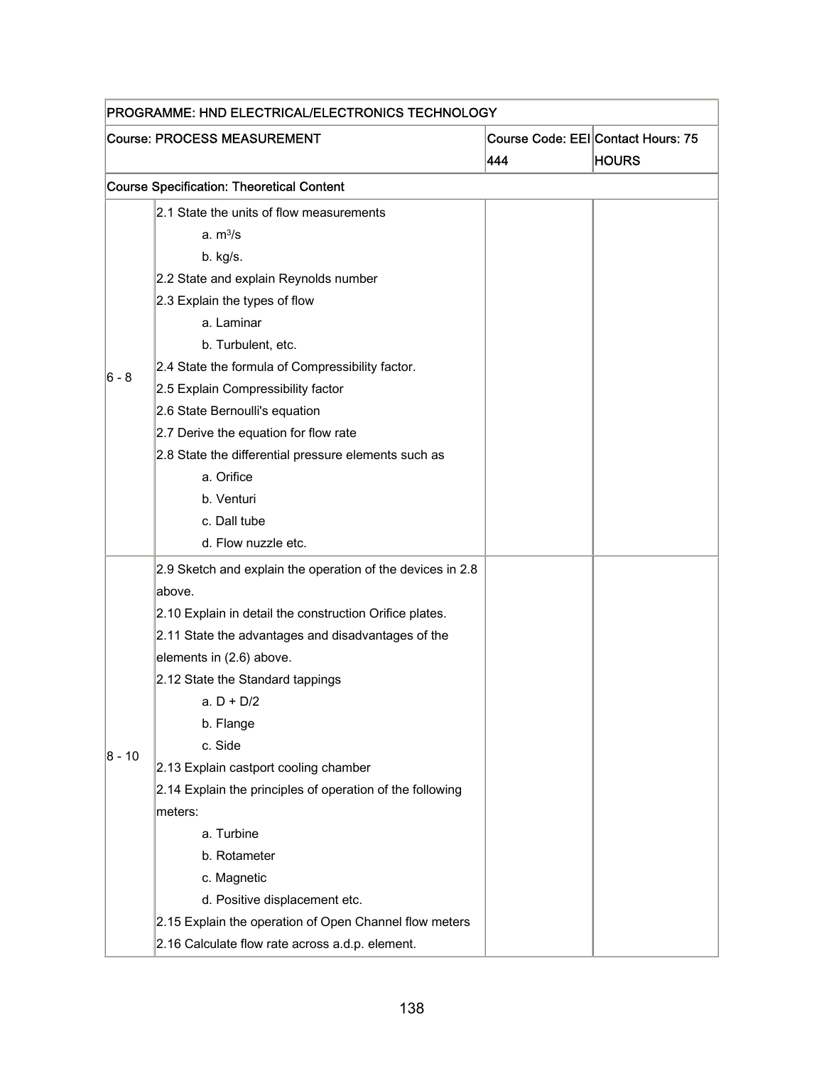| PROGRAMME: HND ELECTRICAL/ELECTRONICS TECHNOLOGY |                                                            |     |                                                    |  |
|--------------------------------------------------|------------------------------------------------------------|-----|----------------------------------------------------|--|
|                                                  | <b>Course: PROCESS MEASUREMENT</b>                         | 444 | Course Code: EEI Contact Hours: 75<br><b>HOURS</b> |  |
|                                                  | <b>Course Specification: Theoretical Content</b>           |     |                                                    |  |
|                                                  | 2.1 State the units of flow measurements                   |     |                                                    |  |
|                                                  | a. m <sup>3</sup> /s                                       |     |                                                    |  |
|                                                  | b. kg/s.                                                   |     |                                                    |  |
|                                                  | 2.2 State and explain Reynolds number                      |     |                                                    |  |
|                                                  | 2.3 Explain the types of flow                              |     |                                                    |  |
|                                                  | a. Laminar                                                 |     |                                                    |  |
|                                                  | b. Turbulent, etc.                                         |     |                                                    |  |
|                                                  | 2.4 State the formula of Compressibility factor.           |     |                                                    |  |
| 6 - 8                                            | 2.5 Explain Compressibility factor                         |     |                                                    |  |
|                                                  | 2.6 State Bernoulli's equation                             |     |                                                    |  |
|                                                  | 2.7 Derive the equation for flow rate                      |     |                                                    |  |
|                                                  | 2.8 State the differential pressure elements such as       |     |                                                    |  |
|                                                  | a. Orifice                                                 |     |                                                    |  |
|                                                  | b. Venturi                                                 |     |                                                    |  |
|                                                  | c. Dall tube                                               |     |                                                    |  |
|                                                  | d. Flow nuzzle etc.                                        |     |                                                    |  |
|                                                  | 2.9 Sketch and explain the operation of the devices in 2.8 |     |                                                    |  |
|                                                  | above.                                                     |     |                                                    |  |
|                                                  | 2.10 Explain in detail the construction Orifice plates.    |     |                                                    |  |
|                                                  | 2.11 State the advantages and disadvantages of the         |     |                                                    |  |
|                                                  | elements in (2.6) above.                                   |     |                                                    |  |
|                                                  | 2.12 State the Standard tappings                           |     |                                                    |  |
|                                                  | a. D + D/2                                                 |     |                                                    |  |
|                                                  | b. Flange                                                  |     |                                                    |  |
| $ 8 - 10$                                        | c. Side                                                    |     |                                                    |  |
|                                                  | 2.13 Explain castport cooling chamber                      |     |                                                    |  |
|                                                  | 2.14 Explain the principles of operation of the following  |     |                                                    |  |
|                                                  | meters:                                                    |     |                                                    |  |
|                                                  | a. Turbine                                                 |     |                                                    |  |
|                                                  | b. Rotameter                                               |     |                                                    |  |
|                                                  | c. Magnetic                                                |     |                                                    |  |
|                                                  | d. Positive displacement etc.                              |     |                                                    |  |
|                                                  | 2.15 Explain the operation of Open Channel flow meters     |     |                                                    |  |
|                                                  | 2.16 Calculate flow rate across a.d.p. element.            |     |                                                    |  |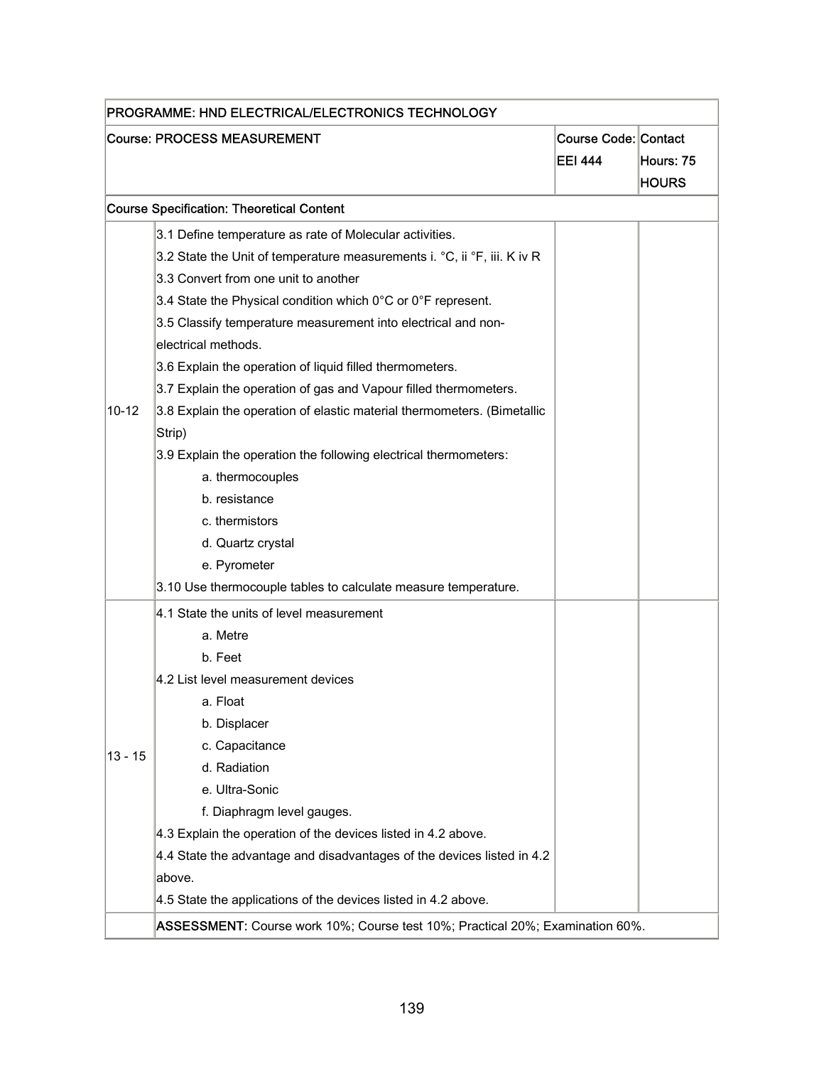| <b>Course: PROCESS MEASUREMENT</b> |                                                                          | Course Code: Contact |              |
|------------------------------------|--------------------------------------------------------------------------|----------------------|--------------|
|                                    |                                                                          | <b>EEI 444</b>       | Hours: 75    |
|                                    |                                                                          |                      | <b>HOURS</b> |
|                                    | <b>Course Specification: Theoretical Content</b>                         |                      |              |
|                                    | 3.1 Define temperature as rate of Molecular activities.                  |                      |              |
|                                    | 3.2 State the Unit of temperature measurements i. °C, ii °F, iii. K iv R |                      |              |
|                                    | 3.3 Convert from one unit to another                                     |                      |              |
|                                    | 3.4 State the Physical condition which 0°C or 0°F represent.             |                      |              |
|                                    | 3.5 Classify temperature measurement into electrical and non-            |                      |              |
|                                    | electrical methods.                                                      |                      |              |
|                                    | 3.6 Explain the operation of liquid filled thermometers.                 |                      |              |
|                                    | 3.7 Explain the operation of gas and Vapour filled thermometers.         |                      |              |
| $10 - 12$                          | 3.8 Explain the operation of elastic material thermometers. (Bimetallic  |                      |              |
|                                    | Strip)                                                                   |                      |              |
|                                    | 3.9 Explain the operation the following electrical thermometers:         |                      |              |
|                                    | a. thermocouples                                                         |                      |              |
|                                    | b. resistance                                                            |                      |              |
|                                    | c. thermistors                                                           |                      |              |
|                                    | d. Quartz crystal                                                        |                      |              |
|                                    | e. Pyrometer                                                             |                      |              |
|                                    | 3.10 Use thermocouple tables to calculate measure temperature.           |                      |              |
|                                    | 4.1 State the units of level measurement                                 |                      |              |
|                                    | a. Metre                                                                 |                      |              |
|                                    | b. Feet                                                                  |                      |              |
|                                    | 4.2 List level measurement devices                                       |                      |              |
|                                    | a. Float                                                                 |                      |              |
|                                    | b. Displacer                                                             |                      |              |
| $13 - 15$                          | c. Capacitance                                                           |                      |              |
|                                    | d. Radiation                                                             |                      |              |
|                                    | e. Ultra-Sonic                                                           |                      |              |
|                                    | f. Diaphragm level gauges.                                               |                      |              |
|                                    | 4.3 Explain the operation of the devices listed in 4.2 above.            |                      |              |
|                                    | 4.4 State the advantage and disadvantages of the devices listed in 4.2   |                      |              |
|                                    | above.                                                                   |                      |              |
|                                    | 4.5 State the applications of the devices listed in 4.2 above.           |                      |              |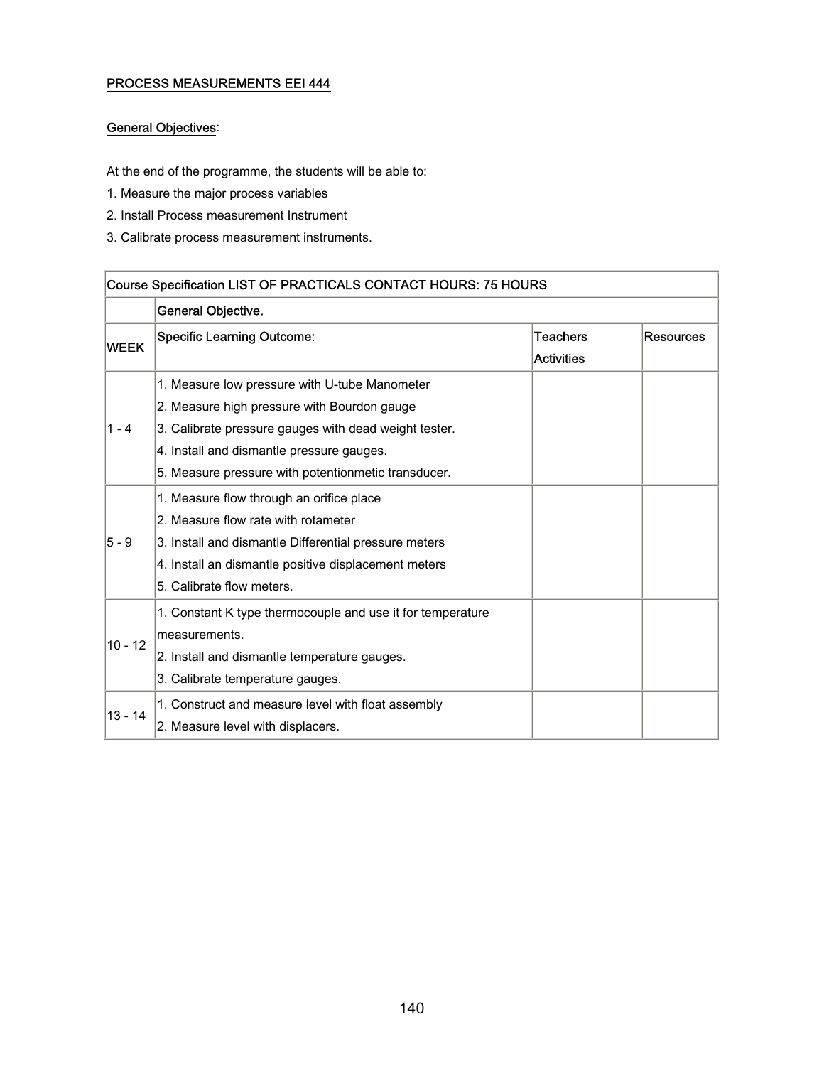#### PROCESS MEASUREMENTS EEI 444

#### General Objectives:

At the end of the programme, the students will be able to:

- 1. Measure the major process variables
- 2. Install Process measurement Instrument
- 3. Calibrate process measurement instruments.

| Course Specification LIST OF PRACTICALS CONTACT HOURS: 75 HOURS |                                                            |                               |                  |  |
|-----------------------------------------------------------------|------------------------------------------------------------|-------------------------------|------------------|--|
|                                                                 | General Objective.                                         |                               |                  |  |
| <b>WEEK</b>                                                     | <b>Specific Learning Outcome:</b>                          | Teachers<br><b>Activities</b> | <b>Resources</b> |  |
|                                                                 | 1. Measure low pressure with U-tube Manometer              |                               |                  |  |
|                                                                 | 2. Measure high pressure with Bourdon gauge                |                               |                  |  |
| $1 - 4$                                                         | 3. Calibrate pressure gauges with dead weight tester.      |                               |                  |  |
|                                                                 | 4. Install and dismantle pressure gauges.                  |                               |                  |  |
|                                                                 | 5. Measure pressure with potentionmetic transducer.        |                               |                  |  |
|                                                                 | 1. Measure flow through an orifice place                   |                               |                  |  |
|                                                                 | 2. Measure flow rate with rotameter                        |                               |                  |  |
| 5 - 9                                                           | 3. Install and dismantle Differential pressure meters      |                               |                  |  |
|                                                                 | 4. Install an dismantle positive displacement meters       |                               |                  |  |
|                                                                 | 5. Calibrate flow meters.                                  |                               |                  |  |
|                                                                 | 1. Constant K type thermocouple and use it for temperature |                               |                  |  |
| $10 - 12$                                                       | measurements.                                              |                               |                  |  |
|                                                                 | 2. Install and dismantle temperature gauges.               |                               |                  |  |
|                                                                 | 3. Calibrate temperature gauges.                           |                               |                  |  |
|                                                                 | 1. Construct and measure level with float assembly         |                               |                  |  |
| $13 - 14$                                                       | 2. Measure level with displacers.                          |                               |                  |  |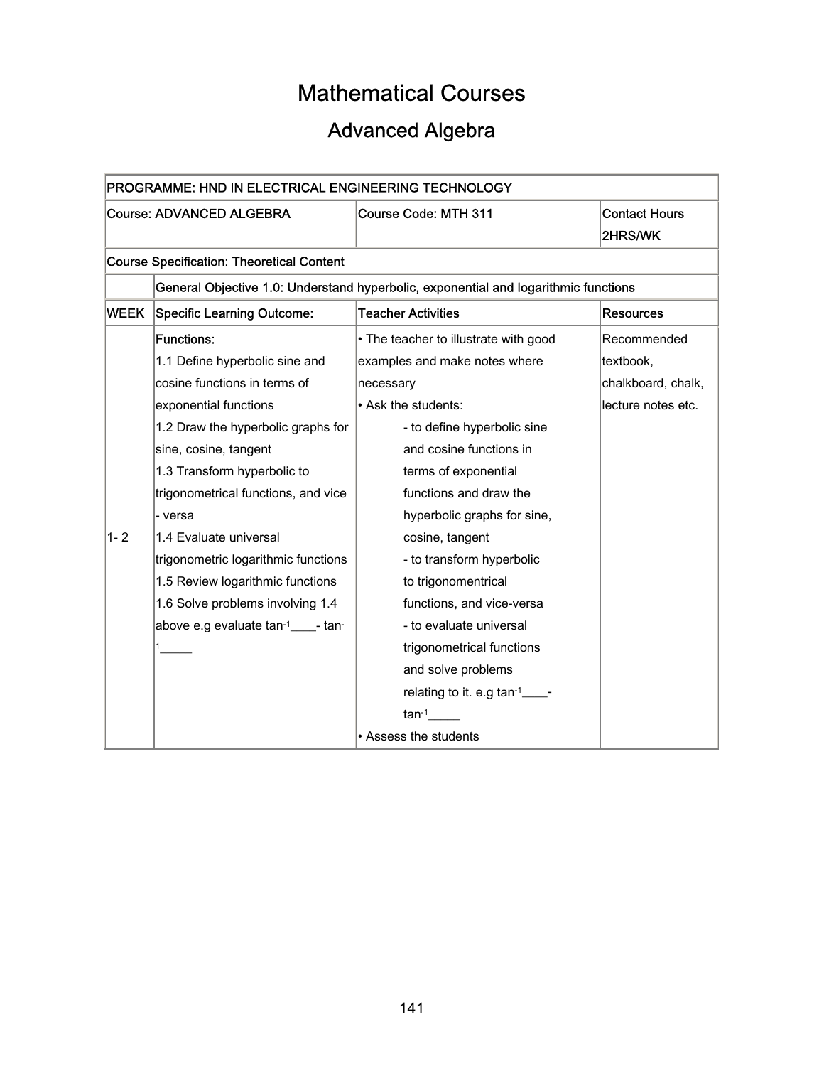# Mathematical Courses

# Advanced Algebra

| PROGRAMME: HND IN ELECTRICAL ENGINEERING TECHNOLOGY |                                                                                     |                                       |                                        |  |
|-----------------------------------------------------|-------------------------------------------------------------------------------------|---------------------------------------|----------------------------------------|--|
| <b>Course: ADVANCED ALGEBRA</b>                     |                                                                                     | <b>Course Code: MTH 311</b>           | <b>Contact Hours</b><br><b>2HRS/WK</b> |  |
| <b>Course Specification: Theoretical Content</b>    |                                                                                     |                                       |                                        |  |
|                                                     | General Objective 1.0: Understand hyperbolic, exponential and logarithmic functions |                                       |                                        |  |
| WEEK                                                | <b>Specific Learning Outcome:</b>                                                   | <b>Teacher Activities</b>             | Resources                              |  |
|                                                     | <b>Functions:</b>                                                                   | • The teacher to illustrate with good | Recommended                            |  |
|                                                     | 1.1 Define hyperbolic sine and                                                      | examples and make notes where         | textbook,                              |  |
|                                                     | cosine functions in terms of                                                        | necessary                             | chalkboard, chalk,                     |  |
|                                                     | exponential functions                                                               | • Ask the students:                   | lecture notes etc.                     |  |
|                                                     | 1.2 Draw the hyperbolic graphs for                                                  | - to define hyperbolic sine           |                                        |  |
|                                                     | sine, cosine, tangent                                                               | and cosine functions in               |                                        |  |
|                                                     | 1.3 Transform hyperbolic to                                                         | terms of exponential                  |                                        |  |
|                                                     | trigonometrical functions, and vice                                                 | functions and draw the                |                                        |  |
|                                                     | - versa                                                                             | hyperbolic graphs for sine,           |                                        |  |
| $1 - 2$                                             | 1.4 Evaluate universal                                                              | cosine, tangent                       |                                        |  |
|                                                     | trigonometric logarithmic functions                                                 | - to transform hyperbolic             |                                        |  |
|                                                     | 1.5 Review logarithmic functions                                                    | to trigonomentrical                   |                                        |  |
|                                                     | 1.6 Solve problems involving 1.4                                                    | functions, and vice-versa             |                                        |  |
|                                                     | above e.g evaluate tan-1____- tan-                                                  | - to evaluate universal               |                                        |  |
|                                                     |                                                                                     | trigonometrical functions             |                                        |  |
|                                                     |                                                                                     | and solve problems                    |                                        |  |
|                                                     |                                                                                     | relating to it. e.g tan-1_____-       |                                        |  |
|                                                     |                                                                                     | $tan^{-1}$                            |                                        |  |
|                                                     |                                                                                     | • Assess the students                 |                                        |  |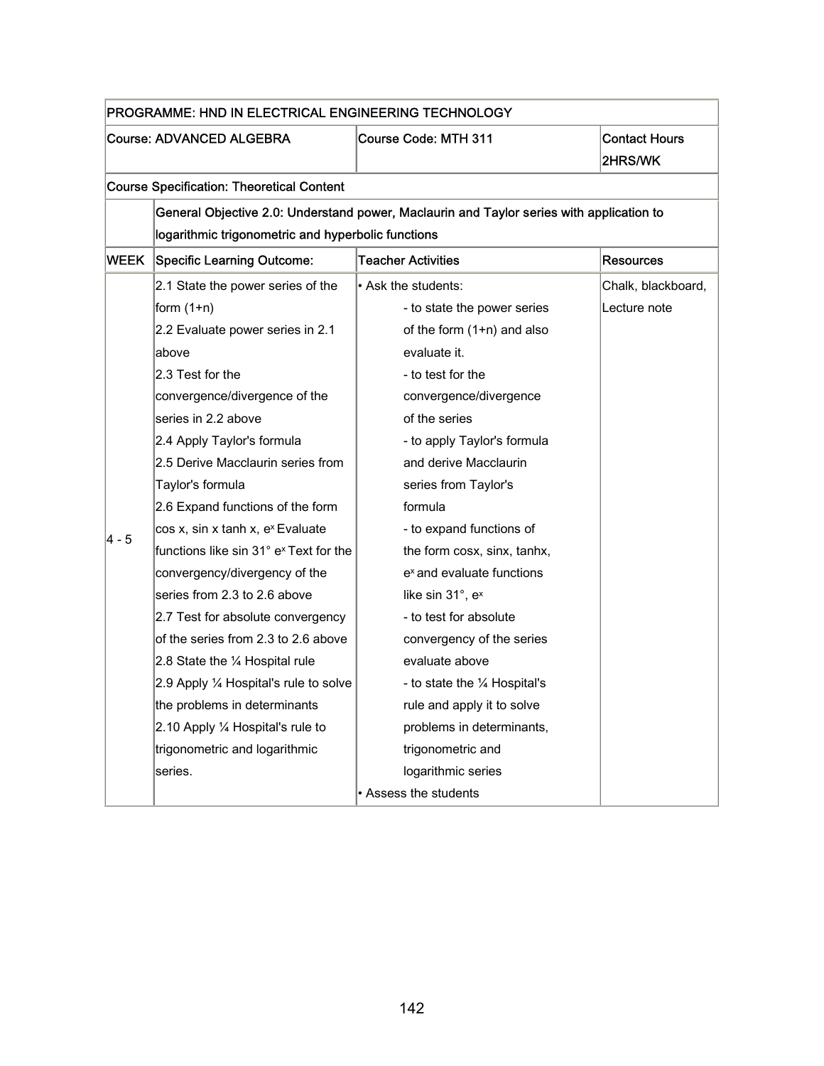| PROGRAMME: HND IN ELECTRICAL ENGINEERING TECHNOLOGY |                                                                                          |                                       |                                 |
|-----------------------------------------------------|------------------------------------------------------------------------------------------|---------------------------------------|---------------------------------|
| <b>Course: ADVANCED ALGEBRA</b>                     |                                                                                          | <b>Course Code: MTH 311</b>           | <b>Contact Hours</b><br>2HRS/WK |
|                                                     | <b>Course Specification: Theoretical Content</b>                                         |                                       |                                 |
|                                                     | General Objective 2.0: Understand power, Maclaurin and Taylor series with application to |                                       |                                 |
|                                                     | logarithmic trigonometric and hyperbolic functions                                       |                                       |                                 |
| WEEK                                                | <b>Specific Learning Outcome:</b>                                                        | <b>Teacher Activities</b>             | <b>Resources</b>                |
|                                                     | 2.1 State the power series of the                                                        | • Ask the students:                   | Chalk, blackboard,              |
|                                                     | form $(1+n)$                                                                             | - to state the power series           | Lecture note                    |
|                                                     | 2.2 Evaluate power series in 2.1                                                         | of the form (1+n) and also            |                                 |
|                                                     | labove                                                                                   | evaluate it.                          |                                 |
|                                                     | 2.3 Test for the                                                                         | - to test for the                     |                                 |
|                                                     | convergence/divergence of the                                                            | convergence/divergence                |                                 |
|                                                     | series in 2.2 above                                                                      | of the series                         |                                 |
|                                                     | 2.4 Apply Taylor's formula                                                               | - to apply Taylor's formula           |                                 |
|                                                     | 2.5 Derive Macclaurin series from                                                        | and derive Macclaurin                 |                                 |
|                                                     | Taylor's formula                                                                         | series from Taylor's                  |                                 |
|                                                     | 2.6 Expand functions of the form                                                         | formula                               |                                 |
| 4 - 5                                               | cos x, sin x tanh x, ex Evaluate                                                         | - to expand functions of              |                                 |
|                                                     | functions like sin 31° e <sup>x</sup> Text for the                                       | the form cosx, sinx, tanhx,           |                                 |
|                                                     | convergency/divergency of the                                                            | e <sup>x</sup> and evaluate functions |                                 |
|                                                     | series from 2.3 to 2.6 above                                                             | like sin 31°, e <sup>x</sup>          |                                 |
|                                                     | 2.7 Test for absolute convergency                                                        | - to test for absolute                |                                 |
|                                                     | of the series from 2.3 to 2.6 above                                                      | convergency of the series             |                                 |
|                                                     | 2.8 State the 1/4 Hospital rule                                                          | evaluate above                        |                                 |
|                                                     | 2.9 Apply 1⁄4 Hospital's rule to solve                                                   | - to state the 1/4 Hospital's         |                                 |
|                                                     | the problems in determinants                                                             | rule and apply it to solve            |                                 |
|                                                     | 2.10 Apply $\frac{1}{4}$ Hospital's rule to                                              | problems in determinants,             |                                 |
|                                                     | trigonometric and logarithmic                                                            | trigonometric and                     |                                 |
|                                                     | series.                                                                                  | logarithmic series                    |                                 |
|                                                     |                                                                                          | • Assess the students                 |                                 |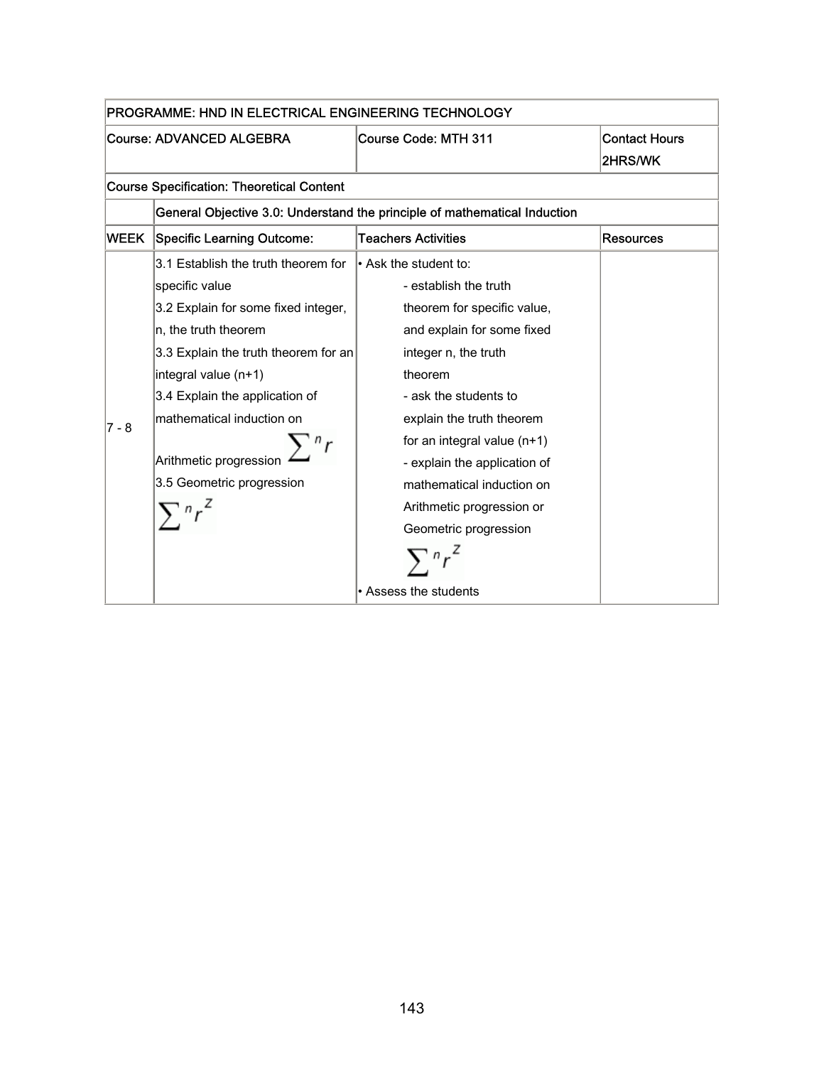| PROGRAMME: HND IN ELECTRICAL ENGINEERING TECHNOLOGY |                                                                           |                               |                                 |
|-----------------------------------------------------|---------------------------------------------------------------------------|-------------------------------|---------------------------------|
| Course: ADVANCED ALGEBRA                            |                                                                           | <b>Course Code: MTH 311</b>   | <b>Contact Hours</b><br>2HRS/WK |
|                                                     | <b>Course Specification: Theoretical Content</b>                          |                               |                                 |
|                                                     | General Objective 3.0: Understand the principle of mathematical Induction |                               |                                 |
| <b>WEEK</b>                                         | Specific Learning Outcome:                                                | <b>Teachers Activities</b>    | <b>Resources</b>                |
|                                                     | 3.1 Establish the truth theorem for                                       | $\cdot$ Ask the student to:   |                                 |
|                                                     | specific value                                                            | - establish the truth         |                                 |
|                                                     | 3.2 Explain for some fixed integer,                                       | theorem for specific value,   |                                 |
|                                                     | n, the truth theorem                                                      | and explain for some fixed    |                                 |
|                                                     | 3.3 Explain the truth theorem for an                                      | integer n, the truth          |                                 |
|                                                     | integral value (n+1)                                                      | theorem                       |                                 |
|                                                     | 3.4 Explain the application of                                            | - ask the students to         |                                 |
| $7 - 8$                                             | mathematical induction on                                                 | explain the truth theorem     |                                 |
|                                                     |                                                                           | for an integral value $(n+1)$ |                                 |
|                                                     | Arithmetic progression                                                    | - explain the application of  |                                 |
|                                                     | 3.5 Geometric progression                                                 | mathematical induction on     |                                 |
|                                                     |                                                                           | Arithmetic progression or     |                                 |
|                                                     |                                                                           | Geometric progression         |                                 |
|                                                     |                                                                           |                               |                                 |
|                                                     |                                                                           | • Assess the students         |                                 |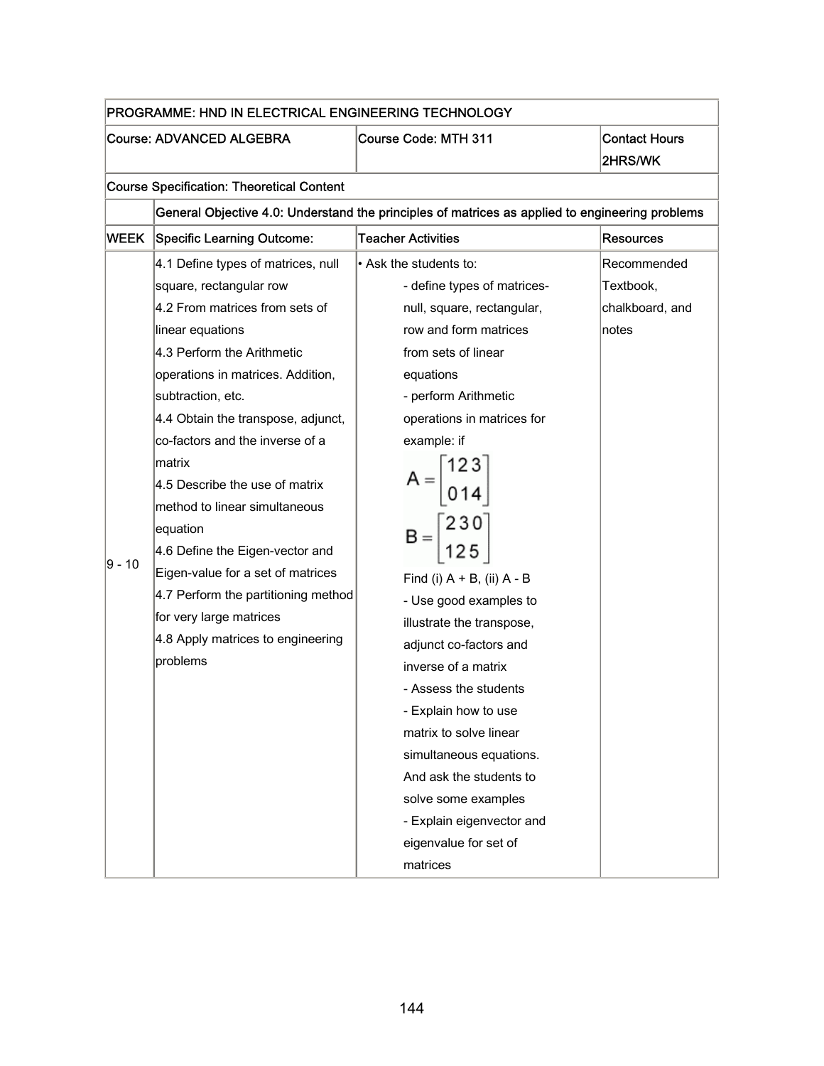|        | PROGRAMME: HND IN ELECTRICAL ENGINEERING TECHNOLOGY                                                                                                                                                                                                                                                                                                                                                                                                                                                                                                                      |                                                                                                                                                                                                                                                                                                                                                                                                                                                                                                                                                                                  |                                                      |
|--------|--------------------------------------------------------------------------------------------------------------------------------------------------------------------------------------------------------------------------------------------------------------------------------------------------------------------------------------------------------------------------------------------------------------------------------------------------------------------------------------------------------------------------------------------------------------------------|----------------------------------------------------------------------------------------------------------------------------------------------------------------------------------------------------------------------------------------------------------------------------------------------------------------------------------------------------------------------------------------------------------------------------------------------------------------------------------------------------------------------------------------------------------------------------------|------------------------------------------------------|
|        | <b>Course: ADVANCED ALGEBRA</b>                                                                                                                                                                                                                                                                                                                                                                                                                                                                                                                                          | Course Code: MTH 311                                                                                                                                                                                                                                                                                                                                                                                                                                                                                                                                                             | <b>Contact Hours</b><br>2HRS/WK                      |
|        | <b>Course Specification: Theoretical Content</b>                                                                                                                                                                                                                                                                                                                                                                                                                                                                                                                         |                                                                                                                                                                                                                                                                                                                                                                                                                                                                                                                                                                                  |                                                      |
|        |                                                                                                                                                                                                                                                                                                                                                                                                                                                                                                                                                                          | General Objective 4.0: Understand the principles of matrices as applied to engineering problems                                                                                                                                                                                                                                                                                                                                                                                                                                                                                  |                                                      |
| WEEK   | <b>Specific Learning Outcome:</b>                                                                                                                                                                                                                                                                                                                                                                                                                                                                                                                                        | <b>Teacher Activities</b>                                                                                                                                                                                                                                                                                                                                                                                                                                                                                                                                                        | <b>Resources</b>                                     |
| 9 - 10 | 4.1 Define types of matrices, null<br>square, rectangular row<br>4.2 From matrices from sets of<br>linear equations<br>4.3 Perform the Arithmetic<br>operations in matrices. Addition,<br>subtraction, etc.<br>4.4 Obtain the transpose, adjunct,<br>co-factors and the inverse of a<br>matrix<br>4.5 Describe the use of matrix<br>method to linear simultaneous<br>equation<br>4.6 Define the Eigen-vector and<br>Eigen-value for a set of matrices<br>4.7 Perform the partitioning method<br>for very large matrices<br>4.8 Apply matrices to engineering<br>problems | $\cdot$ Ask the students to:<br>- define types of matrices-<br>null, square, rectangular,<br>row and form matrices<br>from sets of linear<br>equations<br>- perform Arithmetic<br>operations in matrices for<br>example: if<br>$A = \begin{bmatrix} 123 \\ 014 \end{bmatrix}$<br>Find (i) $A + B$ , (ii) $A - B$<br>- Use good examples to<br>illustrate the transpose,<br>adjunct co-factors and<br>inverse of a matrix<br>- Assess the students<br>- Explain how to use<br>matrix to solve linear<br>simultaneous equations.<br>And ask the students to<br>solve some examples | Recommended<br>Textbook,<br>chalkboard, and<br>notes |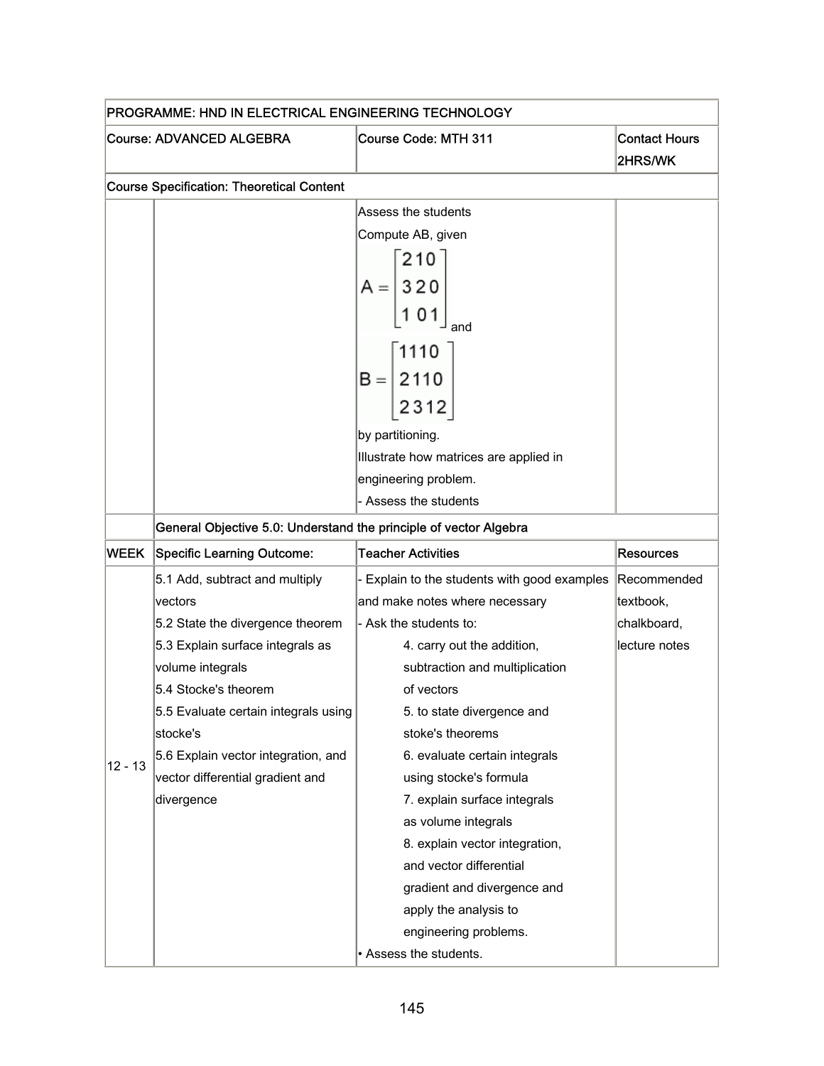| PROGRAMME: HND IN ELECTRICAL ENGINEERING TECHNOLOGY |                                                                   |                                                                         |                                 |  |
|-----------------------------------------------------|-------------------------------------------------------------------|-------------------------------------------------------------------------|---------------------------------|--|
|                                                     | <b>Course: ADVANCED ALGEBRA</b>                                   | Course Code: MTH 311                                                    | <b>Contact Hours</b><br>2HRS/WK |  |
|                                                     | <b>Course Specification: Theoretical Content</b>                  |                                                                         |                                 |  |
|                                                     |                                                                   | Assess the students                                                     |                                 |  |
|                                                     |                                                                   | Compute AB, given                                                       |                                 |  |
|                                                     |                                                                   | 210                                                                     |                                 |  |
|                                                     |                                                                   | $A = \begin{bmatrix} 3 & 2 & 0 \\ 3 & 2 & 0 \\ 1 & 0 & 1 \end{bmatrix}$ |                                 |  |
|                                                     |                                                                   |                                                                         |                                 |  |
|                                                     |                                                                   |                                                                         |                                 |  |
|                                                     |                                                                   |                                                                         |                                 |  |
|                                                     |                                                                   | $B = \begin{bmatrix} 1110 \\ 2110 \\ 2110 \end{bmatrix}$                |                                 |  |
|                                                     |                                                                   |                                                                         |                                 |  |
|                                                     |                                                                   | $2312$                                                                  |                                 |  |
|                                                     |                                                                   | by partitioning.                                                        |                                 |  |
|                                                     |                                                                   | Illustrate how matrices are applied in                                  |                                 |  |
|                                                     |                                                                   | engineering problem.                                                    |                                 |  |
|                                                     |                                                                   | - Assess the students                                                   |                                 |  |
|                                                     | General Objective 5.0: Understand the principle of vector Algebra |                                                                         |                                 |  |
| WEEK                                                | <b>Specific Learning Outcome:</b>                                 | <b>Teacher Activities</b>                                               | <b>Resources</b>                |  |
|                                                     | 5.1 Add, subtract and multiply                                    | - Explain to the students with good examples                            | Recommended                     |  |
|                                                     | vectors                                                           | and make notes where necessary                                          | textbook,                       |  |
|                                                     | 5.2 State the divergence theorem                                  | - Ask the students to:                                                  | chalkboard,                     |  |
|                                                     | 5.3 Explain surface integrals as                                  | 4. carry out the addition,                                              | lecture notes                   |  |
|                                                     | volume integrals                                                  | subtraction and multiplication                                          |                                 |  |
|                                                     | 5.4 Stocke's theorem                                              | of vectors                                                              |                                 |  |
|                                                     | 5.5 Evaluate certain integrals using                              | 5. to state divergence and                                              |                                 |  |
|                                                     | stocke's                                                          | stoke's theorems                                                        |                                 |  |
| $12 - 13$                                           | 5.6 Explain vector integration, and                               | 6. evaluate certain integrals                                           |                                 |  |
|                                                     | vector differential gradient and                                  | using stocke's formula                                                  |                                 |  |
|                                                     | divergence                                                        | 7. explain surface integrals                                            |                                 |  |
|                                                     |                                                                   | as volume integrals                                                     |                                 |  |
|                                                     |                                                                   | 8. explain vector integration,                                          |                                 |  |
|                                                     |                                                                   | and vector differential                                                 |                                 |  |
|                                                     |                                                                   | gradient and divergence and                                             |                                 |  |
|                                                     |                                                                   | apply the analysis to                                                   |                                 |  |
|                                                     |                                                                   | engineering problems.                                                   |                                 |  |
|                                                     |                                                                   | • Assess the students.                                                  |                                 |  |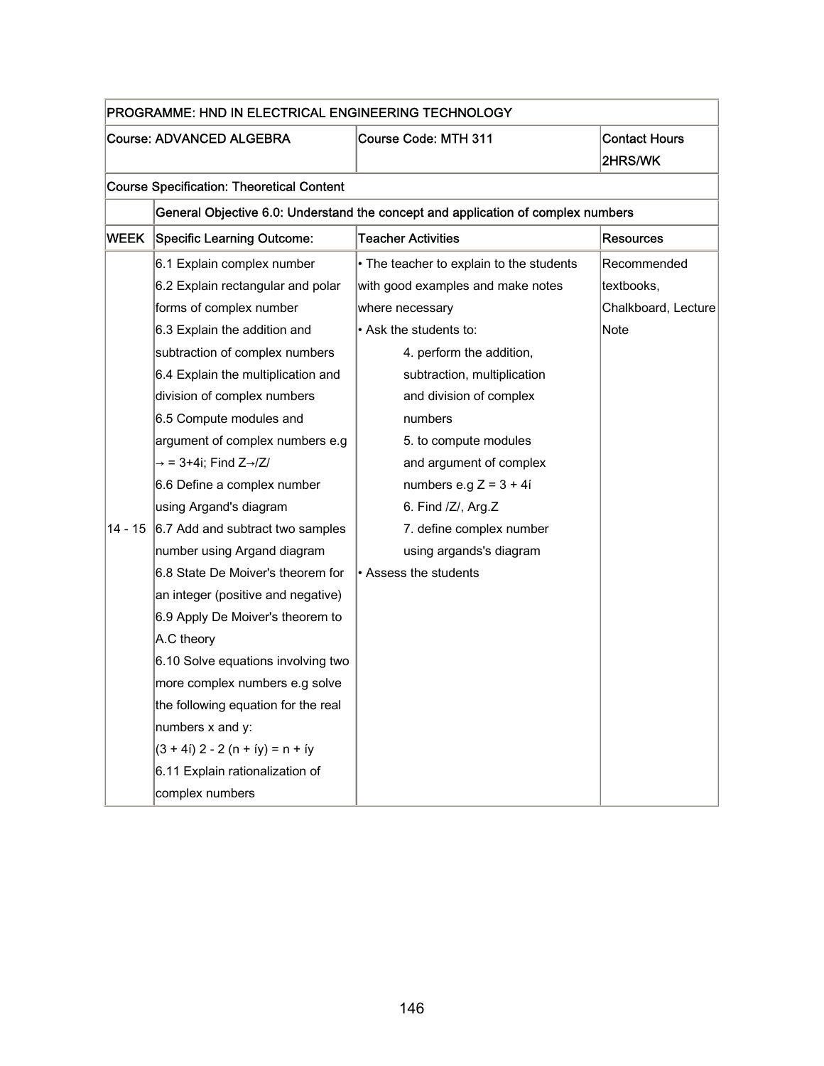| PROGRAMME: HND IN ELECTRICAL ENGINEERING TECHNOLOGY |                                                  |                                                                                  |                                 |
|-----------------------------------------------------|--------------------------------------------------|----------------------------------------------------------------------------------|---------------------------------|
|                                                     | <b>Course: ADVANCED ALGEBRA</b>                  | <b>Course Code: MTH 311</b>                                                      | <b>Contact Hours</b><br>2HRS/WK |
|                                                     | <b>Course Specification: Theoretical Content</b> |                                                                                  |                                 |
|                                                     |                                                  | General Objective 6.0: Understand the concept and application of complex numbers |                                 |
| WEEK                                                | <b>Specific Learning Outcome:</b>                | <b>Teacher Activities</b>                                                        | <b>Resources</b>                |
|                                                     | 6.1 Explain complex number                       | • The teacher to explain to the students                                         | Recommended                     |
|                                                     | 6.2 Explain rectangular and polar                | with good examples and make notes                                                | textbooks,                      |
|                                                     | forms of complex number                          | where necessary                                                                  | Chalkboard, Lecture             |
|                                                     | 6.3 Explain the addition and                     | • Ask the students to:                                                           | Note                            |
|                                                     | subtraction of complex numbers                   | 4. perform the addition,                                                         |                                 |
|                                                     | 6.4 Explain the multiplication and               | subtraction, multiplication                                                      |                                 |
|                                                     | division of complex numbers                      | and division of complex                                                          |                                 |
|                                                     | 6.5 Compute modules and                          | numbers                                                                          |                                 |
|                                                     | argument of complex numbers e.g                  | 5. to compute modules                                                            |                                 |
|                                                     | $\rightarrow$ = 3+4i; Find Z $\rightarrow$ /Z/   | and argument of complex                                                          |                                 |
|                                                     | 6.6 Define a complex number                      | numbers e.g $Z = 3 + 4i$                                                         |                                 |
|                                                     | using Argand's diagram                           | 6. Find /Z/, Arg.Z                                                               |                                 |
| $14 - 15$                                           | 6.7 Add and subtract two samples                 | 7. define complex number                                                         |                                 |
|                                                     | number using Argand diagram                      | using argands's diagram                                                          |                                 |
|                                                     | 6.8 State De Moiver's theorem for                | • Assess the students                                                            |                                 |
|                                                     | an integer (positive and negative)               |                                                                                  |                                 |
|                                                     | 6.9 Apply De Moiver's theorem to                 |                                                                                  |                                 |
|                                                     | A.C theory                                       |                                                                                  |                                 |
|                                                     | 6.10 Solve equations involving two               |                                                                                  |                                 |
|                                                     | more complex numbers e.g solve                   |                                                                                  |                                 |
|                                                     | the following equation for the real              |                                                                                  |                                 |
|                                                     | numbers x and y:                                 |                                                                                  |                                 |
|                                                     | $(3 + 4i)$ 2 - 2 (n + íy) = n + íy               |                                                                                  |                                 |
|                                                     | 6.11 Explain rationalization of                  |                                                                                  |                                 |
|                                                     | complex numbers                                  |                                                                                  |                                 |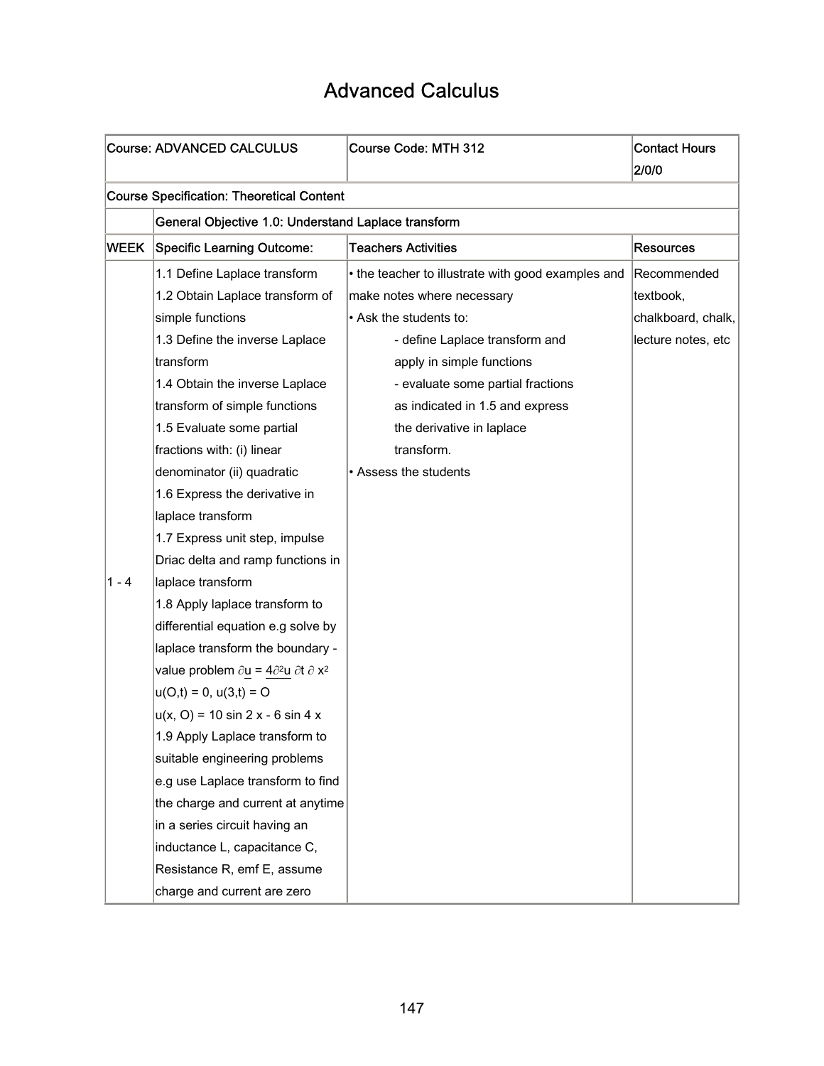### Advanced Calculus

|             | <b>Course: ADVANCED CALCULUS</b>                                   | Course Code: MTH 312                               | <b>Contact Hours</b> |  |
|-------------|--------------------------------------------------------------------|----------------------------------------------------|----------------------|--|
|             |                                                                    |                                                    | 2/0/0                |  |
|             | <b>Course Specification: Theoretical Content</b>                   |                                                    |                      |  |
|             | General Objective 1.0: Understand Laplace transform                |                                                    |                      |  |
| <b>WEEK</b> | Specific Learning Outcome:                                         | <b>Teachers Activities</b>                         | <b>Resources</b>     |  |
|             | 1.1 Define Laplace transform                                       | • the teacher to illustrate with good examples and | Recommended          |  |
|             | 1.2 Obtain Laplace transform of                                    | make notes where necessary                         | textbook,            |  |
|             | simple functions                                                   | • Ask the students to:                             | chalkboard, chalk,   |  |
|             | 1.3 Define the inverse Laplace                                     | - define Laplace transform and                     | lecture notes, etc   |  |
|             | ltransform                                                         | apply in simple functions                          |                      |  |
|             | 1.4 Obtain the inverse Laplace                                     | - evaluate some partial fractions                  |                      |  |
|             | transform of simple functions                                      | as indicated in 1.5 and express                    |                      |  |
|             | 1.5 Evaluate some partial                                          | the derivative in laplace                          |                      |  |
|             | fractions with: (i) linear                                         | transform.                                         |                      |  |
|             | denominator (ii) quadratic                                         | • Assess the students                              |                      |  |
|             | 1.6 Express the derivative in                                      |                                                    |                      |  |
|             | laplace transform                                                  |                                                    |                      |  |
|             | 1.7 Express unit step, impulse                                     |                                                    |                      |  |
|             | Driac delta and ramp functions in                                  |                                                    |                      |  |
| $1 - 4$     | laplace transform                                                  |                                                    |                      |  |
|             | 1.8 Apply laplace transform to                                     |                                                    |                      |  |
|             | differential equation e.g solve by                                 |                                                    |                      |  |
|             | laplace transform the boundary -                                   |                                                    |                      |  |
|             | value problem $\partial u = 4\partial^2 u \partial t \partial x^2$ |                                                    |                      |  |
|             | $u(O,t) = 0, u(3,t) = O$                                           |                                                    |                      |  |
|             | $u(x, 0) = 10 \sin 2x - 6 \sin 4x$                                 |                                                    |                      |  |
|             | 1.9 Apply Laplace transform to                                     |                                                    |                      |  |
|             | suitable engineering problems                                      |                                                    |                      |  |
|             | e.g use Laplace transform to find                                  |                                                    |                      |  |
|             | the charge and current at anytime                                  |                                                    |                      |  |
|             | in a series circuit having an                                      |                                                    |                      |  |
|             | inductance L, capacitance C,                                       |                                                    |                      |  |
|             | Resistance R, emf E, assume                                        |                                                    |                      |  |
|             | charge and current are zero                                        |                                                    |                      |  |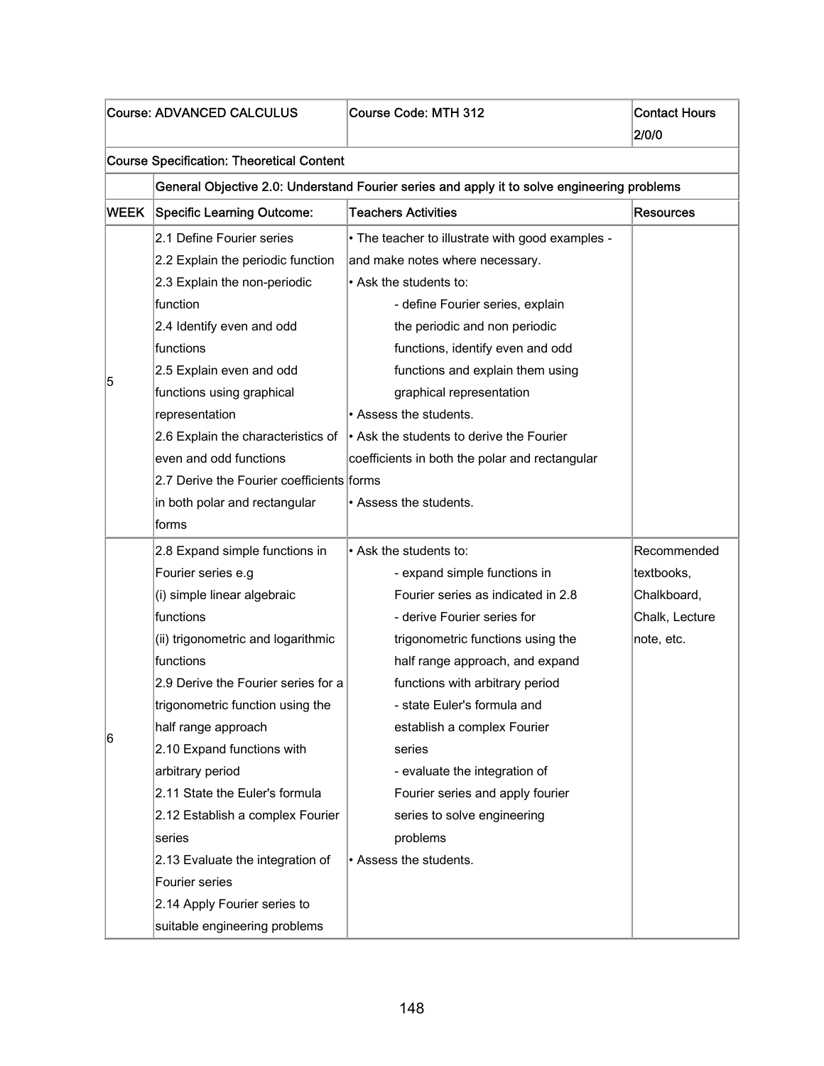|             | <b>Course: ADVANCED CALCULUS</b>                                                                                                                                                                                                                                                                                                                                                                                                                                                                               | Course Code: MTH 312                                                                                                                                                                                                                                                                                                                                                                                                                                     | <b>Contact Hours</b><br>2/0/0                                            |  |  |
|-------------|----------------------------------------------------------------------------------------------------------------------------------------------------------------------------------------------------------------------------------------------------------------------------------------------------------------------------------------------------------------------------------------------------------------------------------------------------------------------------------------------------------------|----------------------------------------------------------------------------------------------------------------------------------------------------------------------------------------------------------------------------------------------------------------------------------------------------------------------------------------------------------------------------------------------------------------------------------------------------------|--------------------------------------------------------------------------|--|--|
|             | <b>Course Specification: Theoretical Content</b>                                                                                                                                                                                                                                                                                                                                                                                                                                                               |                                                                                                                                                                                                                                                                                                                                                                                                                                                          |                                                                          |  |  |
|             |                                                                                                                                                                                                                                                                                                                                                                                                                                                                                                                | General Objective 2.0: Understand Fourier series and apply it to solve engineering problems                                                                                                                                                                                                                                                                                                                                                              |                                                                          |  |  |
| <b>WEEK</b> | Specific Learning Outcome:                                                                                                                                                                                                                                                                                                                                                                                                                                                                                     | <b>Teachers Activities</b>                                                                                                                                                                                                                                                                                                                                                                                                                               | <b>Resources</b>                                                         |  |  |
|             | 2.1 Define Fourier series<br>2.2 Explain the periodic function<br>2.3 Explain the non-periodic                                                                                                                                                                                                                                                                                                                                                                                                                 | • The teacher to illustrate with good examples -<br>and make notes where necessary.<br>• Ask the students to:                                                                                                                                                                                                                                                                                                                                            |                                                                          |  |  |
| 5           | function<br>2.4 Identify even and odd<br>functions<br>2.5 Explain even and odd<br>functions using graphical<br>representation<br>2.6 Explain the characteristics of<br>even and odd functions<br>2.7 Derive the Fourier coefficients forms<br>in both polar and rectangular<br>forms                                                                                                                                                                                                                           | - define Fourier series, explain<br>the periodic and non periodic<br>functions, identify even and odd<br>functions and explain them using<br>graphical representation<br>• Assess the students.<br>• Ask the students to derive the Fourier<br>coefficients in both the polar and rectangular<br>• Assess the students.                                                                                                                                  |                                                                          |  |  |
| 6           | 2.8 Expand simple functions in<br>Fourier series e.g<br>(i) simple linear algebraic<br>functions<br>(ii) trigonometric and logarithmic<br>functions<br>2.9 Derive the Fourier series for a<br>trigonometric function using the<br>half range approach<br>2.10 Expand functions with<br>arbitrary period<br>2.11 State the Euler's formula<br>2.12 Establish a complex Fourier<br>series<br>2.13 Evaluate the integration of<br>Fourier series<br>2.14 Apply Fourier series to<br>suitable engineering problems | • Ask the students to:<br>- expand simple functions in<br>Fourier series as indicated in 2.8<br>- derive Fourier series for<br>trigonometric functions using the<br>half range approach, and expand<br>functions with arbitrary period<br>- state Euler's formula and<br>establish a complex Fourier<br>series<br>- evaluate the integration of<br>Fourier series and apply fourier<br>series to solve engineering<br>problems<br>• Assess the students. | Recommended<br>textbooks,<br>Chalkboard,<br>Chalk, Lecture<br>note, etc. |  |  |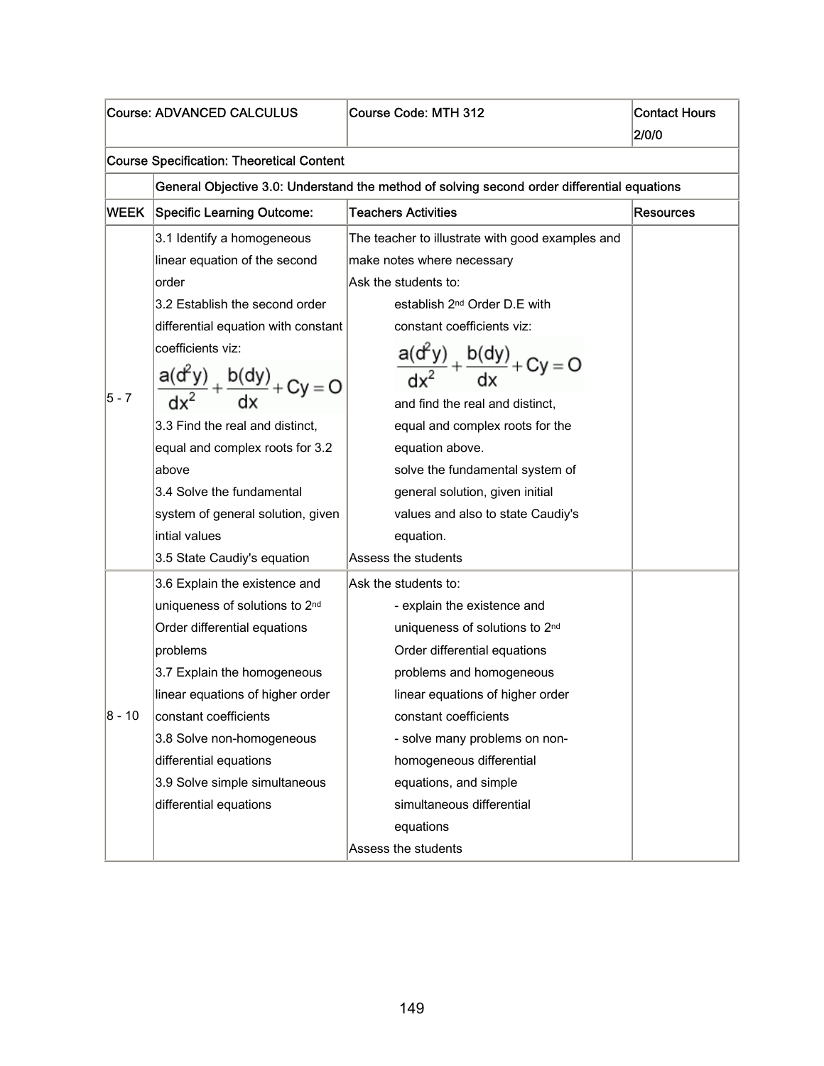| <b>Course: ADVANCED CALCULUS</b> |                                                     | Course Code: MTH 312                                                                        | <b>Contact Hours</b><br>2/0/0 |  |  |
|----------------------------------|-----------------------------------------------------|---------------------------------------------------------------------------------------------|-------------------------------|--|--|
|                                  | <b>Course Specification: Theoretical Content</b>    |                                                                                             |                               |  |  |
|                                  |                                                     | General Objective 3.0: Understand the method of solving second order differential equations |                               |  |  |
| WEEK                             | <b>Specific Learning Outcome:</b>                   | <b>Teachers Activities</b>                                                                  | <b>Resources</b>              |  |  |
|                                  | 3.1 Identify a homogeneous                          | The teacher to illustrate with good examples and                                            |                               |  |  |
|                                  | linear equation of the second                       | make notes where necessary                                                                  |                               |  |  |
|                                  | order                                               | Ask the students to:                                                                        |                               |  |  |
|                                  | 3.2 Establish the second order                      | establish 2 <sup>nd</sup> Order D.E with                                                    |                               |  |  |
|                                  | differential equation with constant                 | constant coefficients viz:                                                                  |                               |  |  |
|                                  | coefficients viz:                                   |                                                                                             |                               |  |  |
|                                  | a(d <sup>2</sup> y)<br>$+\frac{b(dy)}{dx} + Cy = 0$ | $\frac{a(d^{2}y)}{dx^{2}} + \frac{b(dy)}{dx} + Cy = 0$                                      |                               |  |  |
| 5 - 7                            |                                                     | and find the real and distinct,                                                             |                               |  |  |
|                                  | 3.3 Find the real and distinct,                     | equal and complex roots for the                                                             |                               |  |  |
|                                  | equal and complex roots for 3.2                     | equation above.                                                                             |                               |  |  |
|                                  | above                                               | solve the fundamental system of                                                             |                               |  |  |
|                                  | 3.4 Solve the fundamental                           | general solution, given initial                                                             |                               |  |  |
|                                  | system of general solution, given                   | values and also to state Caudiy's                                                           |                               |  |  |
|                                  | intial values                                       | equation.                                                                                   |                               |  |  |
|                                  | 3.5 State Caudiy's equation                         | Assess the students                                                                         |                               |  |  |
|                                  | 3.6 Explain the existence and                       | Ask the students to:                                                                        |                               |  |  |
|                                  | uniqueness of solutions to 2nd                      | - explain the existence and                                                                 |                               |  |  |
|                                  | Order differential equations                        | uniqueness of solutions to 2nd                                                              |                               |  |  |
|                                  | problems                                            | Order differential equations                                                                |                               |  |  |
|                                  | 3.7 Explain the homogeneous                         | problems and homogeneous                                                                    |                               |  |  |
|                                  | linear equations of higher order                    | linear equations of higher order                                                            |                               |  |  |
| 8 - 10                           | constant coefficients                               | constant coefficients                                                                       |                               |  |  |
|                                  | 3.8 Solve non-homogeneous                           | - solve many problems on non-                                                               |                               |  |  |
|                                  | differential equations                              | homogeneous differential                                                                    |                               |  |  |
|                                  | 3.9 Solve simple simultaneous                       | equations, and simple                                                                       |                               |  |  |
|                                  | differential equations                              | simultaneous differential                                                                   |                               |  |  |
|                                  |                                                     | equations                                                                                   |                               |  |  |
|                                  |                                                     | Assess the students                                                                         |                               |  |  |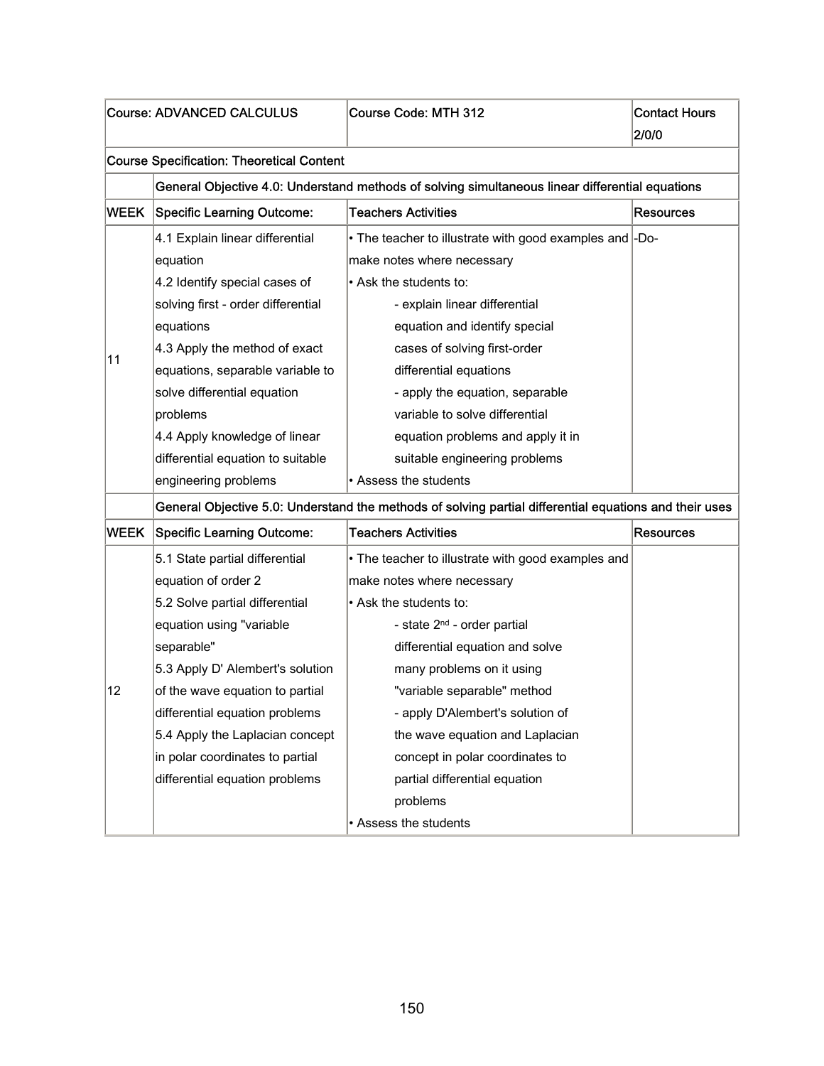|             | <b>Course: ADVANCED CALCULUS</b>                 | Course Code: MTH 312                                                                                   | <b>Contact Hours</b><br>2/0/0 |  |  |
|-------------|--------------------------------------------------|--------------------------------------------------------------------------------------------------------|-------------------------------|--|--|
|             | <b>Course Specification: Theoretical Content</b> |                                                                                                        |                               |  |  |
|             |                                                  | General Objective 4.0: Understand methods of solving simultaneous linear differential equations        |                               |  |  |
| <b>WEEK</b> | <b>Specific Learning Outcome:</b>                | <b>Teachers Activities</b>                                                                             | <b>Resources</b>              |  |  |
|             | 4.1 Explain linear differential                  | • The teacher to illustrate with good examples and -Do-                                                |                               |  |  |
|             | equation                                         | make notes where necessary                                                                             |                               |  |  |
|             | 4.2 Identify special cases of                    | • Ask the students to:                                                                                 |                               |  |  |
|             | solving first - order differential               | - explain linear differential                                                                          |                               |  |  |
|             | equations                                        | equation and identify special                                                                          |                               |  |  |
|             | 4.3 Apply the method of exact                    | cases of solving first-order                                                                           |                               |  |  |
| 11          | equations, separable variable to                 | differential equations                                                                                 |                               |  |  |
|             | solve differential equation                      | - apply the equation, separable                                                                        |                               |  |  |
|             | problems                                         | variable to solve differential                                                                         |                               |  |  |
|             | 4.4 Apply knowledge of linear                    | equation problems and apply it in                                                                      |                               |  |  |
|             | differential equation to suitable                | suitable engineering problems                                                                          |                               |  |  |
|             | engineering problems                             | • Assess the students                                                                                  |                               |  |  |
|             |                                                  | General Objective 5.0: Understand the methods of solving partial differential equations and their uses |                               |  |  |
| <b>WEEK</b> | <b>Specific Learning Outcome:</b>                | <b>Teachers Activities</b>                                                                             | Resources                     |  |  |
|             | 5.1 State partial differential                   | • The teacher to illustrate with good examples and                                                     |                               |  |  |
|             | equation of order 2                              | make notes where necessary                                                                             |                               |  |  |
|             | 5.2 Solve partial differential                   | . Ask the students to:                                                                                 |                               |  |  |
|             | equation using "variable                         | - state 2 <sup>nd</sup> - order partial                                                                |                               |  |  |
|             | separable"                                       | differential equation and solve                                                                        |                               |  |  |
|             | 5.3 Apply D' Alembert's solution                 | many problems on it using                                                                              |                               |  |  |
| 12          | of the wave equation to partial                  | "variable separable" method                                                                            |                               |  |  |
|             | differential equation problems                   | - apply D'Alembert's solution of                                                                       |                               |  |  |
|             | 5.4 Apply the Laplacian concept                  | the wave equation and Laplacian                                                                        |                               |  |  |
|             | in polar coordinates to partial                  | concept in polar coordinates to                                                                        |                               |  |  |
|             | differential equation problems                   | partial differential equation                                                                          |                               |  |  |
|             |                                                  | problems                                                                                               |                               |  |  |
|             |                                                  | • Assess the students                                                                                  |                               |  |  |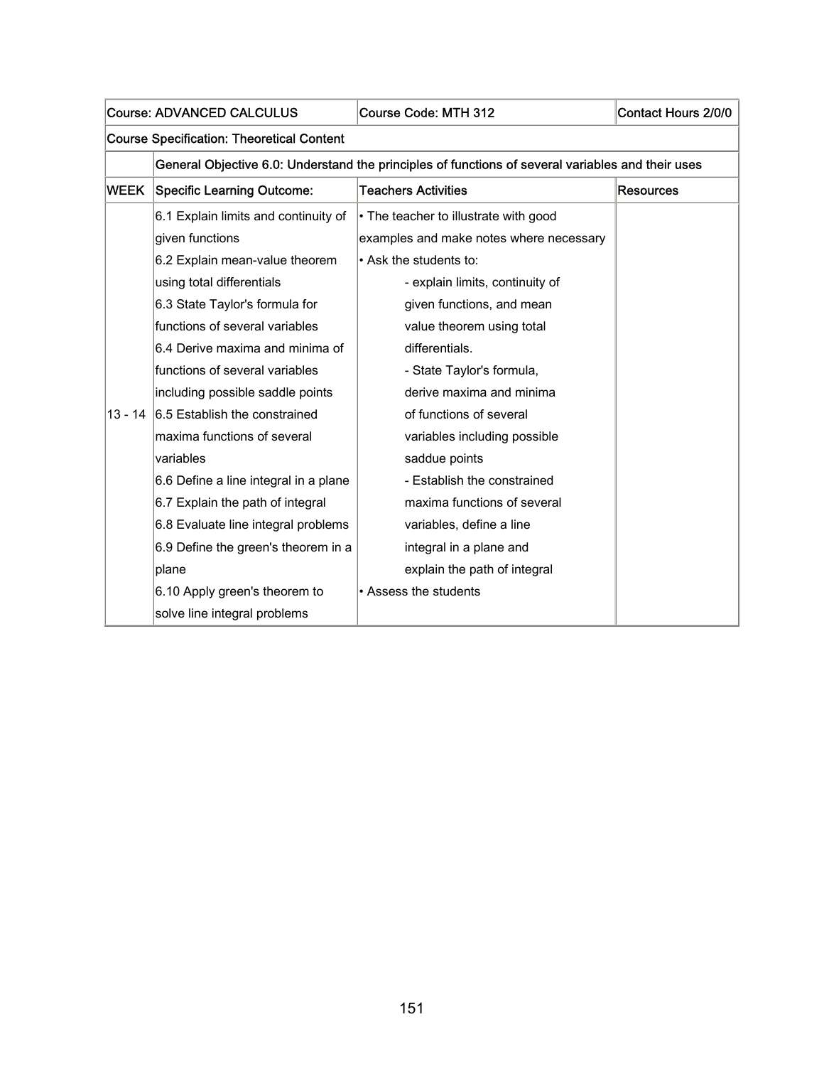| Course: ADVANCED CALCULUS |                                                  | Course Code: MTH 312                                                                              | Contact Hours 2/0/0 |  |  |
|---------------------------|--------------------------------------------------|---------------------------------------------------------------------------------------------------|---------------------|--|--|
|                           | <b>Course Specification: Theoretical Content</b> |                                                                                                   |                     |  |  |
|                           |                                                  | General Objective 6.0: Understand the principles of functions of several variables and their uses |                     |  |  |
| <b>WEEK</b>               | Specific Learning Outcome:                       | <b>Teachers Activities</b>                                                                        | <b>Resources</b>    |  |  |
|                           | 6.1 Explain limits and continuity of             | • The teacher to illustrate with good                                                             |                     |  |  |
|                           | given functions                                  | examples and make notes where necessary                                                           |                     |  |  |
|                           | 6.2 Explain mean-value theorem                   | • Ask the students to:                                                                            |                     |  |  |
|                           | using total differentials                        | - explain limits, continuity of                                                                   |                     |  |  |
|                           | 6.3 State Taylor's formula for                   | given functions, and mean                                                                         |                     |  |  |
|                           | functions of several variables                   | value theorem using total                                                                         |                     |  |  |
|                           | 6.4 Derive maxima and minima of                  | differentials.                                                                                    |                     |  |  |
|                           | functions of several variables                   | - State Taylor's formula,                                                                         |                     |  |  |
|                           | including possible saddle points                 | derive maxima and minima                                                                          |                     |  |  |
| $13 - 14$                 | 6.5 Establish the constrained                    | of functions of several                                                                           |                     |  |  |
|                           | maxima functions of several                      | variables including possible                                                                      |                     |  |  |
|                           | variables                                        | saddue points                                                                                     |                     |  |  |
|                           | 6.6 Define a line integral in a plane            | - Establish the constrained                                                                       |                     |  |  |
|                           | 6.7 Explain the path of integral                 | maxima functions of several                                                                       |                     |  |  |
|                           | 6.8 Evaluate line integral problems              | variables, define a line                                                                          |                     |  |  |
|                           | 6.9 Define the green's theorem in a              | integral in a plane and                                                                           |                     |  |  |
|                           | plane                                            | explain the path of integral                                                                      |                     |  |  |
|                           | 6.10 Apply green's theorem to                    | • Assess the students                                                                             |                     |  |  |
|                           | solve line integral problems                     |                                                                                                   |                     |  |  |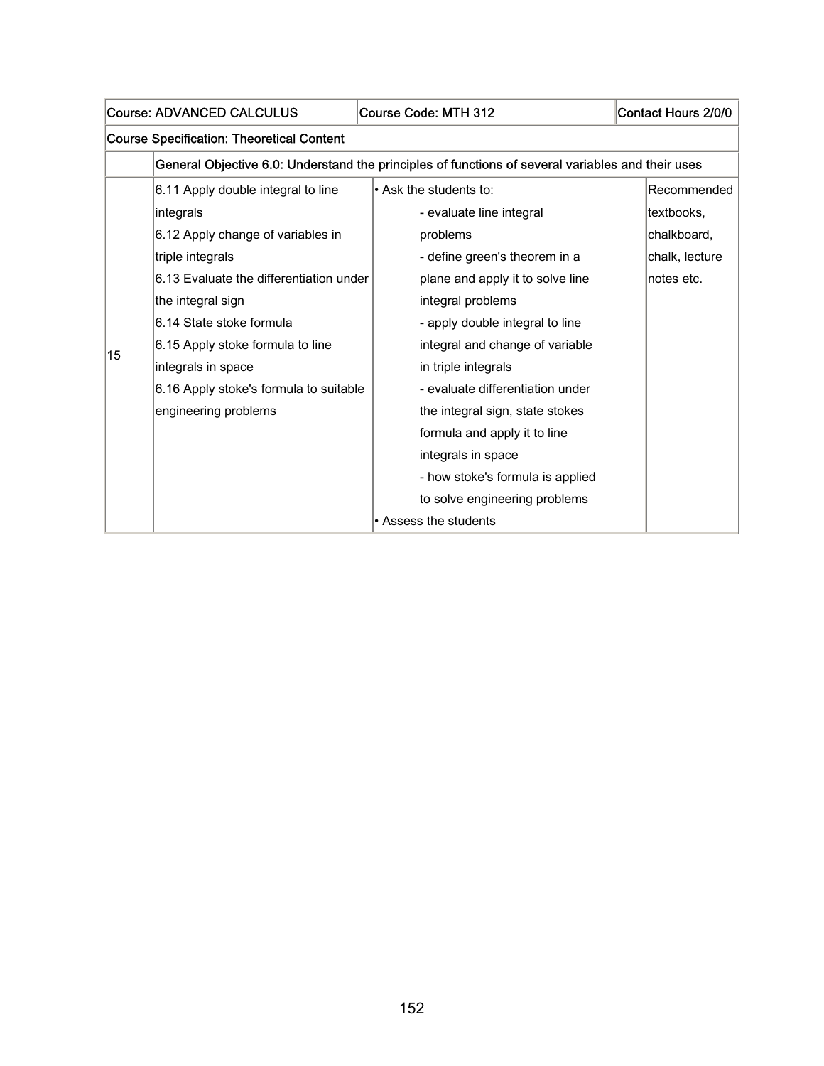|    | <b>Course: ADVANCED CALCULUS</b>                 | Course Code: MTH 312                                                                              | Contact Hours 2/0/0 |  |  |
|----|--------------------------------------------------|---------------------------------------------------------------------------------------------------|---------------------|--|--|
|    | <b>Course Specification: Theoretical Content</b> |                                                                                                   |                     |  |  |
|    |                                                  | General Objective 6.0: Understand the principles of functions of several variables and their uses |                     |  |  |
|    | 6.11 Apply double integral to line               | • Ask the students to:                                                                            | Recommended         |  |  |
|    | integrals                                        | - evaluate line integral                                                                          | textbooks.          |  |  |
|    | 6.12 Apply change of variables in                | problems                                                                                          | chalkboard,         |  |  |
|    | triple integrals                                 | - define green's theorem in a                                                                     | chalk, lecture      |  |  |
|    | 6.13 Evaluate the differentiation under          | plane and apply it to solve line                                                                  | notes etc.          |  |  |
|    | the integral sign                                | integral problems                                                                                 |                     |  |  |
|    | 6.14 State stoke formula                         | - apply double integral to line                                                                   |                     |  |  |
| 15 | 6.15 Apply stoke formula to line                 | integral and change of variable                                                                   |                     |  |  |
|    | integrals in space                               | in triple integrals                                                                               |                     |  |  |
|    | 6.16 Apply stoke's formula to suitable           | - evaluate differentiation under                                                                  |                     |  |  |
|    | engineering problems                             | the integral sign, state stokes                                                                   |                     |  |  |
|    |                                                  | formula and apply it to line                                                                      |                     |  |  |
|    |                                                  | integrals in space                                                                                |                     |  |  |
|    |                                                  | - how stoke's formula is applied                                                                  |                     |  |  |
|    |                                                  | to solve engineering problems                                                                     |                     |  |  |
|    |                                                  | • Assess the students                                                                             |                     |  |  |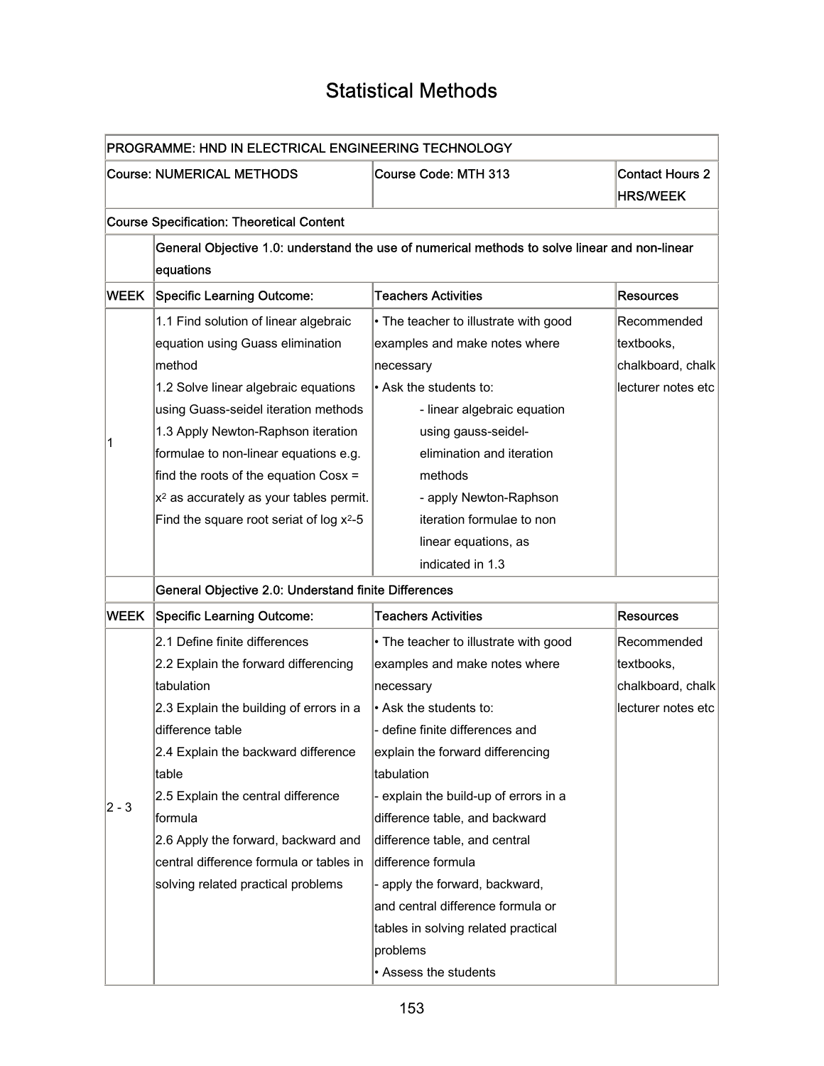### Statistical Methods

H

 $\overline{\phantom{0}}$ 

| PROGRAMME: HND IN ELECTRICAL ENGINEERING TECHNOLOGY |                                                      |                                                                                               |                        |
|-----------------------------------------------------|------------------------------------------------------|-----------------------------------------------------------------------------------------------|------------------------|
| <b>Course: NUMERICAL METHODS</b>                    |                                                      | Course Code: MTH 313                                                                          | <b>Contact Hours 2</b> |
|                                                     |                                                      |                                                                                               | <b>HRS/WEEK</b>        |
|                                                     | <b>Course Specification: Theoretical Content</b>     |                                                                                               |                        |
|                                                     |                                                      | General Objective 1.0: understand the use of numerical methods to solve linear and non-linear |                        |
|                                                     | equations                                            |                                                                                               |                        |
| <b>WEEK</b>                                         | Specific Learning Outcome:                           | <b>Teachers Activities</b>                                                                    | <b>Resources</b>       |
|                                                     | 1.1 Find solution of linear algebraic                | • The teacher to illustrate with good                                                         | Recommended            |
|                                                     | equation using Guass elimination                     | examples and make notes where                                                                 | textbooks,             |
|                                                     | method                                               | necessary                                                                                     | chalkboard, chalk      |
|                                                     | 1.2 Solve linear algebraic equations                 | • Ask the students to:                                                                        | lecturer notes etc     |
|                                                     | using Guass-seidel iteration methods                 | - linear algebraic equation                                                                   |                        |
| 1                                                   | 1.3 Apply Newton-Raphson iteration                   | using gauss-seidel-                                                                           |                        |
|                                                     | formulae to non-linear equations e.g.                | elimination and iteration                                                                     |                        |
|                                                     | find the roots of the equation Cosx =                | methods                                                                                       |                        |
|                                                     | $x2$ as accurately as your tables permit.            | - apply Newton-Raphson                                                                        |                        |
|                                                     | Find the square root seriat of log $x^2-5$           | iteration formulae to non                                                                     |                        |
|                                                     |                                                      | linear equations, as                                                                          |                        |
|                                                     |                                                      | indicated in 1.3                                                                              |                        |
|                                                     | General Objective 2.0: Understand finite Differences |                                                                                               |                        |
| <b>WEEK</b>                                         | <b>Specific Learning Outcome:</b>                    | <b>Teachers Activities</b>                                                                    | <b>Resources</b>       |
|                                                     | 2.1 Define finite differences                        | • The teacher to illustrate with good                                                         | Recommended            |
|                                                     | 2.2 Explain the forward differencing                 | examples and make notes where                                                                 | textbooks,             |
|                                                     | tabulation                                           | necessary                                                                                     | chalkboard, chalk      |
|                                                     | 2.3 Explain the building of errors in a              | • Ask the students to:                                                                        | lecturer notes etc     |
|                                                     | difference table                                     | - define finite differences and                                                               |                        |
|                                                     | 2.4 Explain the backward difference                  | explain the forward differencing                                                              |                        |
|                                                     | table                                                | tabulation                                                                                    |                        |
| 2 - 3                                               | 2.5 Explain the central difference                   | - explain the build-up of errors in a                                                         |                        |
|                                                     | formula                                              | difference table, and backward                                                                |                        |
|                                                     | 2.6 Apply the forward, backward and                  | difference table, and central                                                                 |                        |
|                                                     | central difference formula or tables in              | difference formula                                                                            |                        |
|                                                     | solving related practical problems                   | - apply the forward, backward,                                                                |                        |
|                                                     |                                                      | and central difference formula or                                                             |                        |
|                                                     |                                                      | tables in solving related practical                                                           |                        |
|                                                     |                                                      | problems                                                                                      |                        |
|                                                     |                                                      | • Assess the students                                                                         |                        |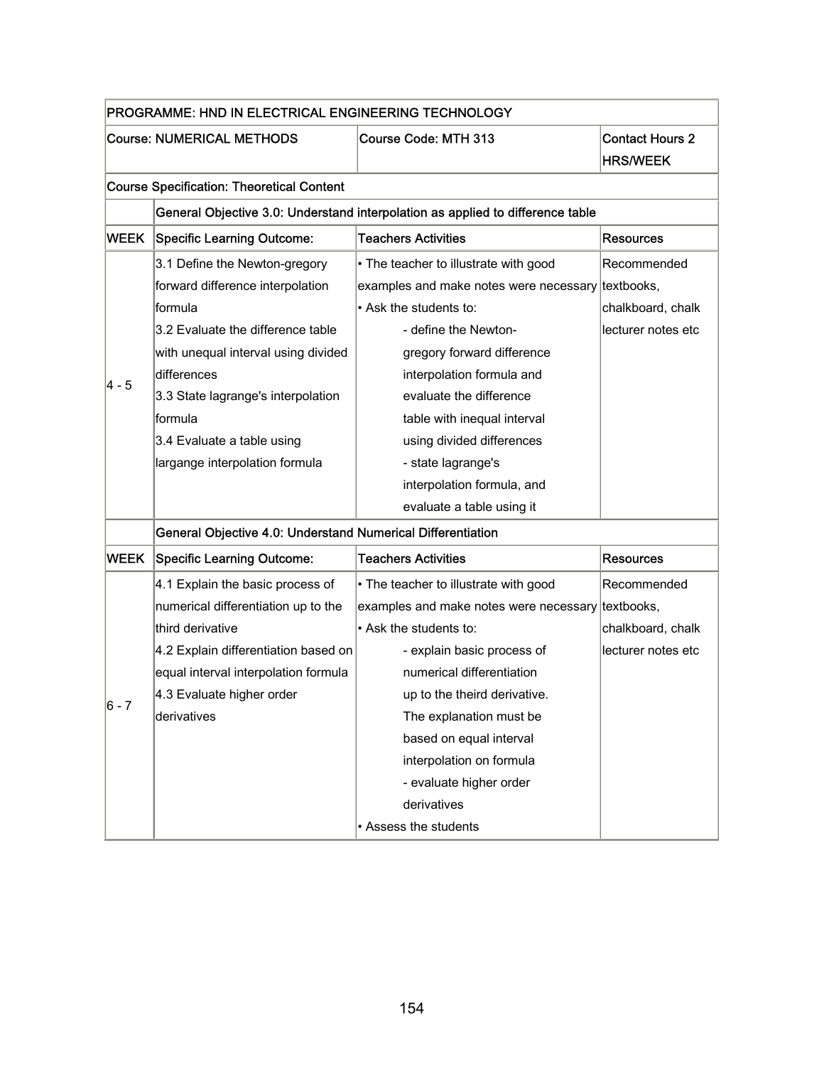|       | PROGRAMME: HND IN ELECTRICAL ENGINEERING TECHNOLOGY         |                                                                                |                                           |
|-------|-------------------------------------------------------------|--------------------------------------------------------------------------------|-------------------------------------------|
|       | <b>Course: NUMERICAL METHODS</b>                            | Course Code: MTH 313                                                           | <b>Contact Hours 2</b><br><b>HRS/WEEK</b> |
|       | <b>Course Specification: Theoretical Content</b>            |                                                                                |                                           |
|       |                                                             | General Objective 3.0: Understand interpolation as applied to difference table |                                           |
| WEEK  | <b>Specific Learning Outcome:</b>                           | <b>Teachers Activities</b>                                                     | <b>Resources</b>                          |
|       | 3.1 Define the Newton-gregory                               | • The teacher to illustrate with good                                          | Recommended                               |
|       | forward difference interpolation                            | examples and make notes were necessary                                         | textbooks,                                |
|       | formula                                                     | • Ask the students to:                                                         | chalkboard, chalk                         |
|       | 3.2 Evaluate the difference table                           | - define the Newton-                                                           | lecturer notes etc                        |
|       | with unequal interval using divided                         | gregory forward difference                                                     |                                           |
|       | differences                                                 | interpolation formula and                                                      |                                           |
| 4 - 5 | 3.3 State lagrange's interpolation                          | evaluate the difference                                                        |                                           |
|       | lformula                                                    | table with inequal interval                                                    |                                           |
|       | 3.4 Evaluate a table using                                  | using divided differences                                                      |                                           |
|       | largange interpolation formula                              | - state lagrange's                                                             |                                           |
|       |                                                             | interpolation formula, and                                                     |                                           |
|       |                                                             | evaluate a table using it                                                      |                                           |
|       | General Objective 4.0: Understand Numerical Differentiation |                                                                                |                                           |
| WEEK  | <b>Specific Learning Outcome:</b>                           | <b>Teachers Activities</b>                                                     | <b>Resources</b>                          |
|       | 4.1 Explain the basic process of                            | • The teacher to illustrate with good                                          | Recommended                               |
|       | numerical differentiation up to the                         | examples and make notes were necessary textbooks,                              |                                           |
|       | third derivative                                            | • Ask the students to:                                                         | chalkboard, chalk                         |
|       | 4.2 Explain differentiation based on                        | - explain basic process of                                                     | lecturer notes etc                        |
|       | equal interval interpolation formula                        | numerical differentiation                                                      |                                           |
|       | 4.3 Evaluate higher order                                   | up to the theird derivative.                                                   |                                           |
| 6 - 7 | derivatives                                                 | The explanation must be                                                        |                                           |
|       |                                                             | based on equal interval                                                        |                                           |
|       |                                                             | interpolation on formula                                                       |                                           |
|       |                                                             | - evaluate higher order                                                        |                                           |
|       |                                                             | derivatives                                                                    |                                           |
|       |                                                             | • Assess the students                                                          |                                           |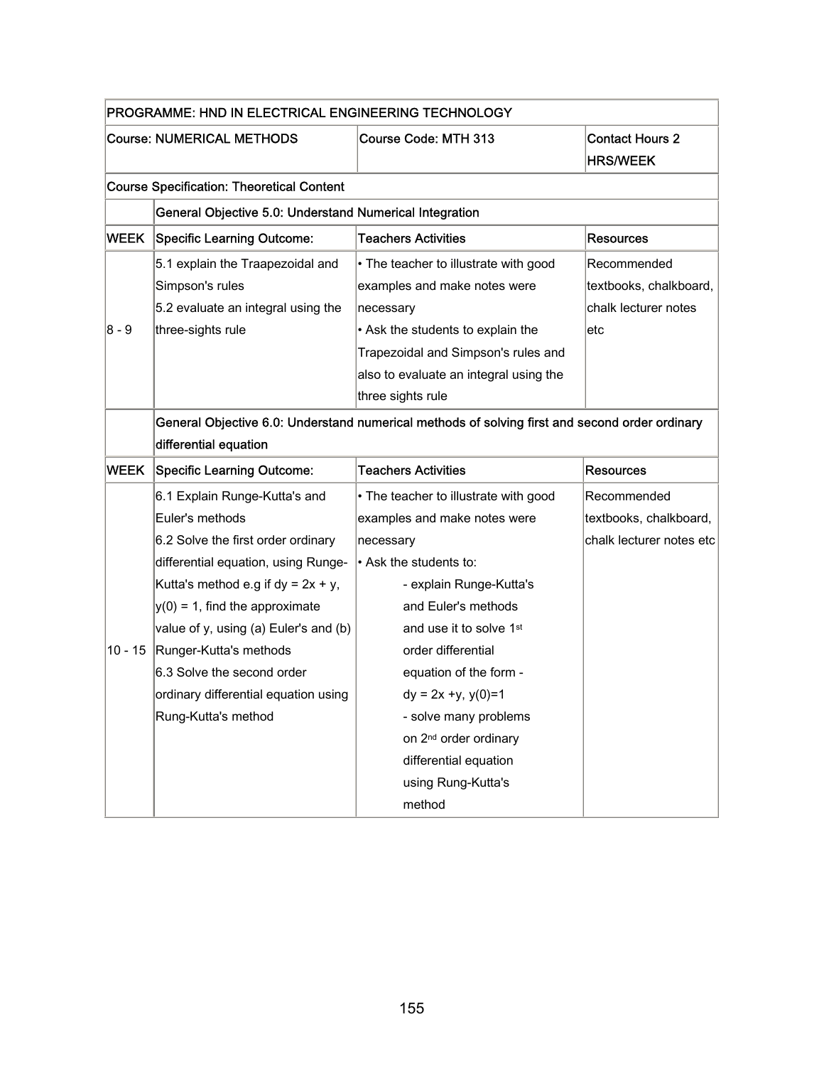|             | PROGRAMME: HND IN ELECTRICAL ENGINEERING TECHNOLOGY     |                                                                                                |                          |  |  |
|-------------|---------------------------------------------------------|------------------------------------------------------------------------------------------------|--------------------------|--|--|
|             | <b>Course: NUMERICAL METHODS</b>                        | Course Code: MTH 313                                                                           | <b>Contact Hours 2</b>   |  |  |
|             |                                                         |                                                                                                | <b>HRS/WEEK</b>          |  |  |
|             | <b>Course Specification: Theoretical Content</b>        |                                                                                                |                          |  |  |
|             | General Objective 5.0: Understand Numerical Integration |                                                                                                |                          |  |  |
| WEEK        | <b>Specific Learning Outcome:</b>                       | <b>Teachers Activities</b>                                                                     | Resources                |  |  |
|             | 5.1 explain the Traapezoidal and                        | • The teacher to illustrate with good                                                          | Recommended              |  |  |
|             | Simpson's rules                                         | examples and make notes were                                                                   | textbooks, chalkboard,   |  |  |
|             | 5.2 evaluate an integral using the                      | necessary                                                                                      | chalk lecturer notes     |  |  |
| 8 - 9       | three-sights rule                                       | • Ask the students to explain the                                                              | etc                      |  |  |
|             |                                                         | Trapezoidal and Simpson's rules and                                                            |                          |  |  |
|             |                                                         | also to evaluate an integral using the                                                         |                          |  |  |
|             |                                                         | three sights rule                                                                              |                          |  |  |
|             |                                                         | General Objective 6.0: Understand numerical methods of solving first and second order ordinary |                          |  |  |
|             | differential equation                                   |                                                                                                |                          |  |  |
| <b>WEEK</b> | <b>Specific Learning Outcome:</b>                       | <b>Teachers Activities</b>                                                                     | <b>Resources</b>         |  |  |
|             | 6.1 Explain Runge-Kutta's and                           | • The teacher to illustrate with good                                                          | Recommended              |  |  |
|             | Euler's methods                                         | examples and make notes were                                                                   | textbooks, chalkboard,   |  |  |
|             | 6.2 Solve the first order ordinary                      | necessary                                                                                      |                          |  |  |
|             |                                                         |                                                                                                | chalk lecturer notes etc |  |  |
|             | differential equation, using Runge-                     | • Ask the students to:                                                                         |                          |  |  |
|             | Kutta's method e.g if $dy = 2x + y$ ,                   | - explain Runge-Kutta's                                                                        |                          |  |  |
|             | $y(0) = 1$ , find the approximate                       | and Euler's methods                                                                            |                          |  |  |
|             | value of y, using (a) Euler's and (b)                   | and use it to solve 1 <sup>st</sup>                                                            |                          |  |  |
| 10 - 15     | Runger-Kutta's methods                                  | order differential                                                                             |                          |  |  |
|             | 6.3 Solve the second order                              | equation of the form -                                                                         |                          |  |  |
|             | ordinary differential equation using                    | $dy = 2x +y, y(0)=1$                                                                           |                          |  |  |
|             | Rung-Kutta's method                                     | - solve many problems                                                                          |                          |  |  |
|             |                                                         | on 2 <sup>nd</sup> order ordinary                                                              |                          |  |  |
|             |                                                         | differential equation                                                                          |                          |  |  |
|             |                                                         | using Rung-Kutta's                                                                             |                          |  |  |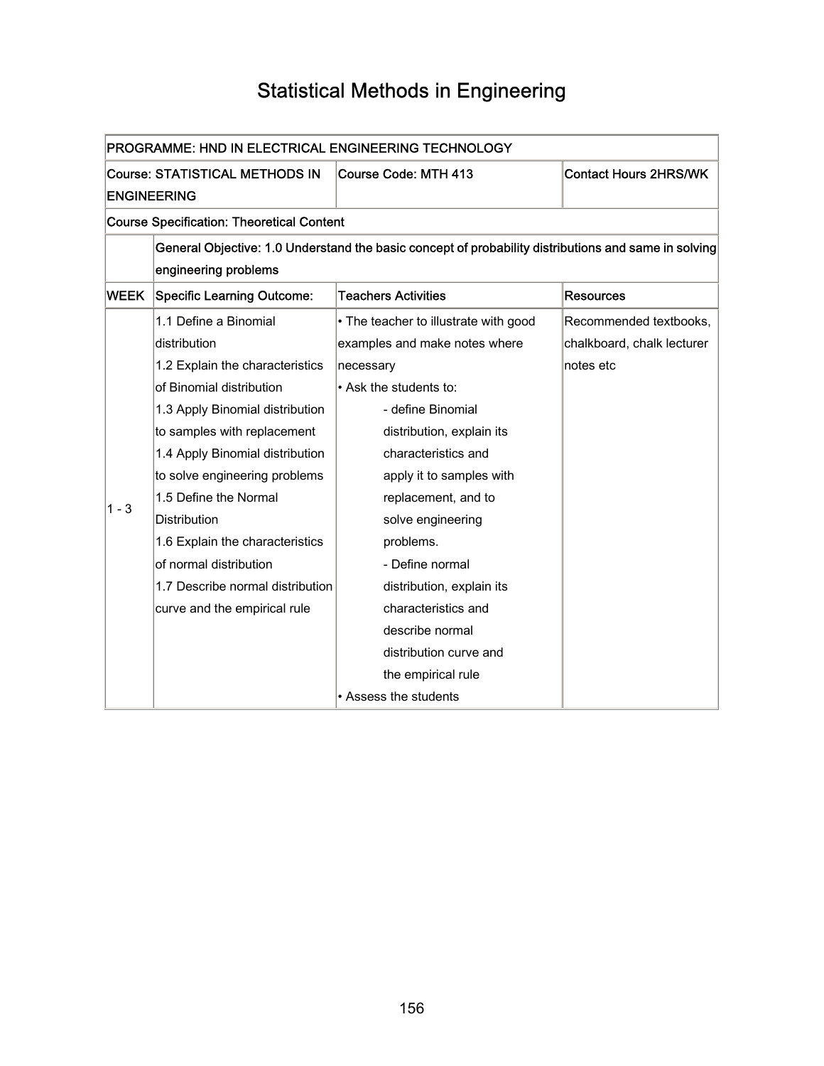# Statistical Methods in Engineering

|                                                                                     | PROGRAMME: HND IN ELECTRICAL ENGINEERING TECHNOLOGY                                                  |                                       |                            |  |  |
|-------------------------------------------------------------------------------------|------------------------------------------------------------------------------------------------------|---------------------------------------|----------------------------|--|--|
| <b>Course: STATISTICAL METHODS IN</b><br>Course Code: MTH 413<br><b>ENGINEERING</b> |                                                                                                      | <b>Contact Hours 2HRS/WK</b>          |                            |  |  |
|                                                                                     | <b>Course Specification: Theoretical Content</b>                                                     |                                       |                            |  |  |
|                                                                                     | General Objective: 1.0 Understand the basic concept of probability distributions and same in solving |                                       |                            |  |  |
|                                                                                     | engineering problems                                                                                 |                                       |                            |  |  |
| WEEK                                                                                | Specific Learning Outcome:                                                                           | <b>Teachers Activities</b>            | <b>Resources</b>           |  |  |
|                                                                                     | 1.1 Define a Binomial                                                                                | • The teacher to illustrate with good | Recommended textbooks,     |  |  |
|                                                                                     | distribution                                                                                         | examples and make notes where         | chalkboard, chalk lecturer |  |  |
|                                                                                     | 1.2 Explain the characteristics                                                                      | necessary                             | notes etc                  |  |  |
|                                                                                     | of Binomial distribution                                                                             | • Ask the students to:                |                            |  |  |
|                                                                                     | 1.3 Apply Binomial distribution                                                                      | - define Binomial                     |                            |  |  |
|                                                                                     | to samples with replacement                                                                          | distribution, explain its             |                            |  |  |
|                                                                                     | 1.4 Apply Binomial distribution                                                                      | characteristics and                   |                            |  |  |
|                                                                                     | to solve engineering problems                                                                        | apply it to samples with              |                            |  |  |
| 1 - 3                                                                               | 1.5 Define the Normal                                                                                | replacement, and to                   |                            |  |  |
|                                                                                     | Distribution                                                                                         | solve engineering                     |                            |  |  |
|                                                                                     | 1.6 Explain the characteristics                                                                      | problems.                             |                            |  |  |
|                                                                                     | of normal distribution                                                                               | - Define normal                       |                            |  |  |
|                                                                                     | 1.7 Describe normal distribution                                                                     | distribution, explain its             |                            |  |  |
|                                                                                     | curve and the empirical rule                                                                         | characteristics and                   |                            |  |  |
|                                                                                     |                                                                                                      | describe normal                       |                            |  |  |
|                                                                                     |                                                                                                      | distribution curve and                |                            |  |  |
|                                                                                     |                                                                                                      | the empirical rule                    |                            |  |  |
|                                                                                     |                                                                                                      | • Assess the students                 |                            |  |  |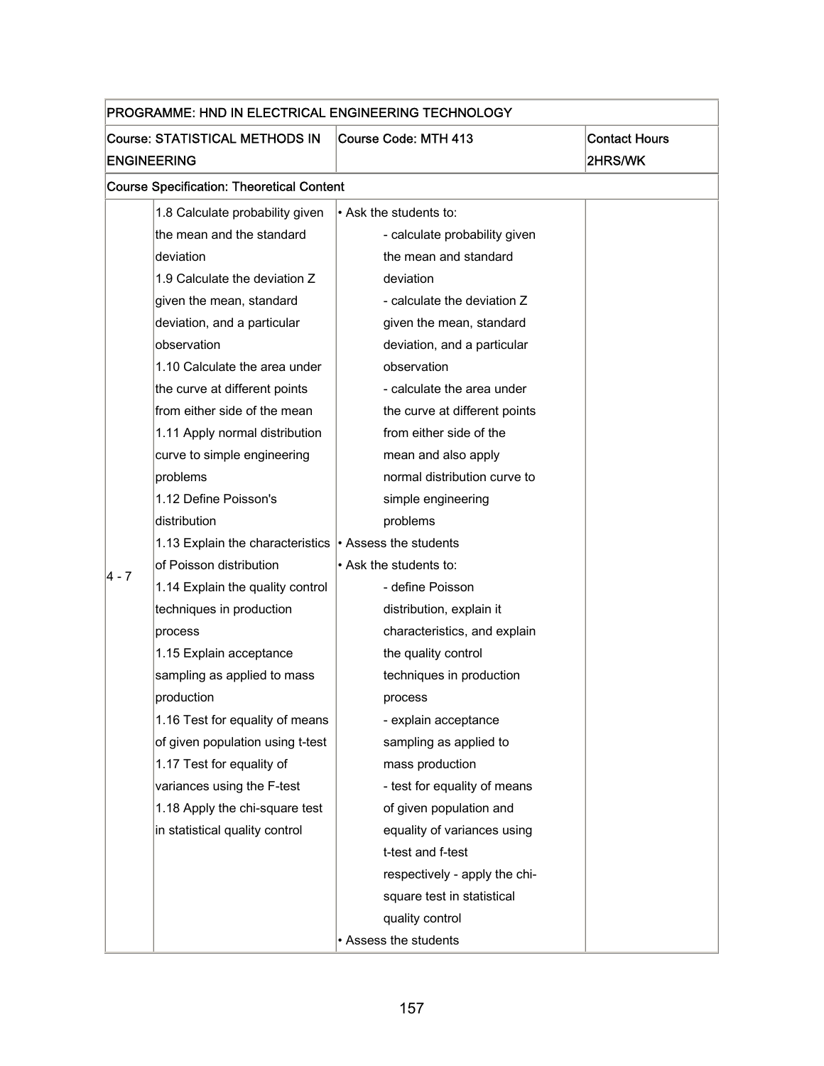| PROGRAMME: HND IN ELECTRICAL ENGINEERING TECHNOLOGY |                                                                                |                               |         |  |  |
|-----------------------------------------------------|--------------------------------------------------------------------------------|-------------------------------|---------|--|--|
|                                                     | Course: STATISTICAL METHODS IN<br>Course Code: MTH 413<br><b>Contact Hours</b> |                               |         |  |  |
|                                                     | <b>ENGINEERING</b>                                                             |                               | 2HRS/WK |  |  |
|                                                     | <b>Course Specification: Theoretical Content</b>                               |                               |         |  |  |
|                                                     | 1.8 Calculate probability given                                                | • Ask the students to:        |         |  |  |
|                                                     | the mean and the standard                                                      | - calculate probability given |         |  |  |
|                                                     | deviation                                                                      | the mean and standard         |         |  |  |
|                                                     | 1.9 Calculate the deviation Z                                                  | deviation                     |         |  |  |
|                                                     | given the mean, standard                                                       | - calculate the deviation Z   |         |  |  |
|                                                     | deviation, and a particular                                                    | given the mean, standard      |         |  |  |
|                                                     | observation                                                                    | deviation, and a particular   |         |  |  |
|                                                     | 1.10 Calculate the area under                                                  | observation                   |         |  |  |
|                                                     | the curve at different points                                                  | - calculate the area under    |         |  |  |
|                                                     | from either side of the mean                                                   | the curve at different points |         |  |  |
|                                                     | 1.11 Apply normal distribution                                                 | from either side of the       |         |  |  |
|                                                     | curve to simple engineering                                                    | mean and also apply           |         |  |  |
|                                                     | problems                                                                       | normal distribution curve to  |         |  |  |
|                                                     | 1.12 Define Poisson's                                                          | simple engineering            |         |  |  |
|                                                     | distribution                                                                   | problems                      |         |  |  |
|                                                     | 1.13 Explain the characteristics                                               | • Assess the students         |         |  |  |
| 4 - 7                                               | of Poisson distribution                                                        | • Ask the students to:        |         |  |  |
|                                                     | 1.14 Explain the quality control                                               | - define Poisson              |         |  |  |
|                                                     | techniques in production                                                       | distribution, explain it      |         |  |  |
|                                                     | process                                                                        | characteristics, and explain  |         |  |  |
|                                                     | 1.15 Explain acceptance                                                        | the quality control           |         |  |  |
|                                                     | sampling as applied to mass                                                    | techniques in production      |         |  |  |
|                                                     | production                                                                     | process                       |         |  |  |
|                                                     | 1.16 Test for equality of means                                                | - explain acceptance          |         |  |  |
|                                                     | of given population using t-test                                               | sampling as applied to        |         |  |  |
|                                                     | 1.17 Test for equality of                                                      | mass production               |         |  |  |
|                                                     | variances using the F-test                                                     | - test for equality of means  |         |  |  |
|                                                     | 1.18 Apply the chi-square test                                                 | of given population and       |         |  |  |
|                                                     | in statistical quality control                                                 | equality of variances using   |         |  |  |
|                                                     |                                                                                | t-test and f-test             |         |  |  |
|                                                     |                                                                                | respectively - apply the chi- |         |  |  |
|                                                     |                                                                                | square test in statistical    |         |  |  |
|                                                     |                                                                                | quality control               |         |  |  |
|                                                     |                                                                                | • Assess the students         |         |  |  |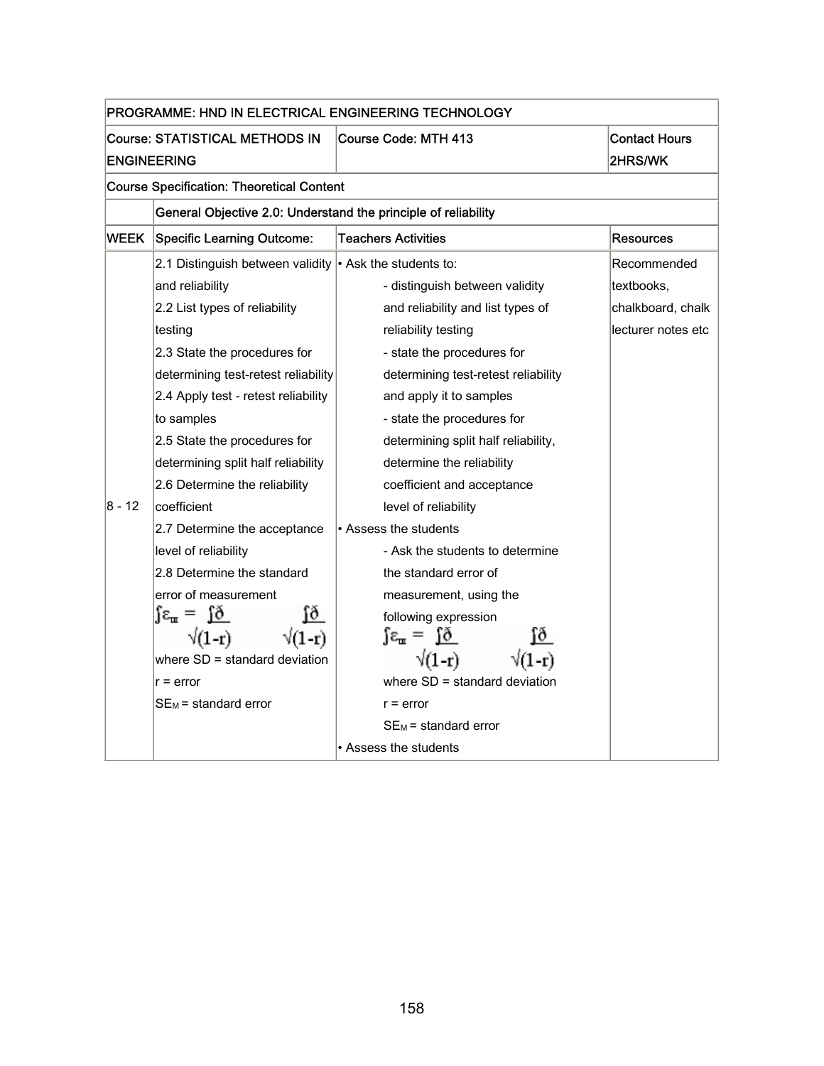| PROGRAMME: HND IN ELECTRICAL ENGINEERING TECHNOLOGY |                                                                                     |                                       |                                 |  |  |
|-----------------------------------------------------|-------------------------------------------------------------------------------------|---------------------------------------|---------------------------------|--|--|
|                                                     | <b>Course: STATISTICAL METHODS IN</b><br>Course Code: MTH 413<br><b>ENGINEERING</b> |                                       | <b>Contact Hours</b><br>2HRS/WK |  |  |
|                                                     | <b>Course Specification: Theoretical Content</b>                                    |                                       |                                 |  |  |
|                                                     | General Objective 2.0: Understand the principle of reliability                      |                                       |                                 |  |  |
| WEEK                                                | Specific Learning Outcome:                                                          | <b>Teachers Activities</b>            | <b>Resources</b>                |  |  |
|                                                     | 2.1 Distinguish between validity $\cdot$ Ask the students to:                       |                                       | Recommended                     |  |  |
|                                                     | and reliability                                                                     | - distinguish between validity        | textbooks.                      |  |  |
|                                                     | 2.2 List types of reliability                                                       | and reliability and list types of     | chalkboard, chalk               |  |  |
|                                                     | testing                                                                             | reliability testing                   | lecturer notes etc              |  |  |
|                                                     | 2.3 State the procedures for                                                        | - state the procedures for            |                                 |  |  |
|                                                     | determining test-retest reliability                                                 | determining test-retest reliability   |                                 |  |  |
|                                                     | 2.4 Apply test - retest reliability                                                 | and apply it to samples               |                                 |  |  |
|                                                     | to samples                                                                          | - state the procedures for            |                                 |  |  |
|                                                     | 2.5 State the procedures for                                                        | determining split half reliability,   |                                 |  |  |
|                                                     | determining split half reliability                                                  | determine the reliability             |                                 |  |  |
|                                                     | 2.6 Determine the reliability                                                       | coefficient and acceptance            |                                 |  |  |
| $8 - 12$                                            | coefficient                                                                         | level of reliability                  |                                 |  |  |
|                                                     | 2.7 Determine the acceptance                                                        | • Assess the students                 |                                 |  |  |
|                                                     | level of reliability                                                                | - Ask the students to determine       |                                 |  |  |
|                                                     | 2.8 Determine the standard                                                          | the standard error of                 |                                 |  |  |
|                                                     | error of measurement                                                                | measurement, using the                |                                 |  |  |
|                                                     | ſð<br>$\epsilon_{\rm m} = 10$                                                       | following expression                  |                                 |  |  |
|                                                     | $\sqrt{1-r}$                                                                        | $\int \epsilon_{\rm m} = \int \delta$ |                                 |  |  |
|                                                     | where SD = standard deviation                                                       | $\sqrt{(1-r)}$                        |                                 |  |  |
|                                                     | $r = error$                                                                         | where $SD =$ standard deviation       |                                 |  |  |
|                                                     | $SE_M$ = standard error                                                             | $r = error$                           |                                 |  |  |
|                                                     |                                                                                     | $SE_M$ = standard error               |                                 |  |  |
|                                                     |                                                                                     | • Assess the students                 |                                 |  |  |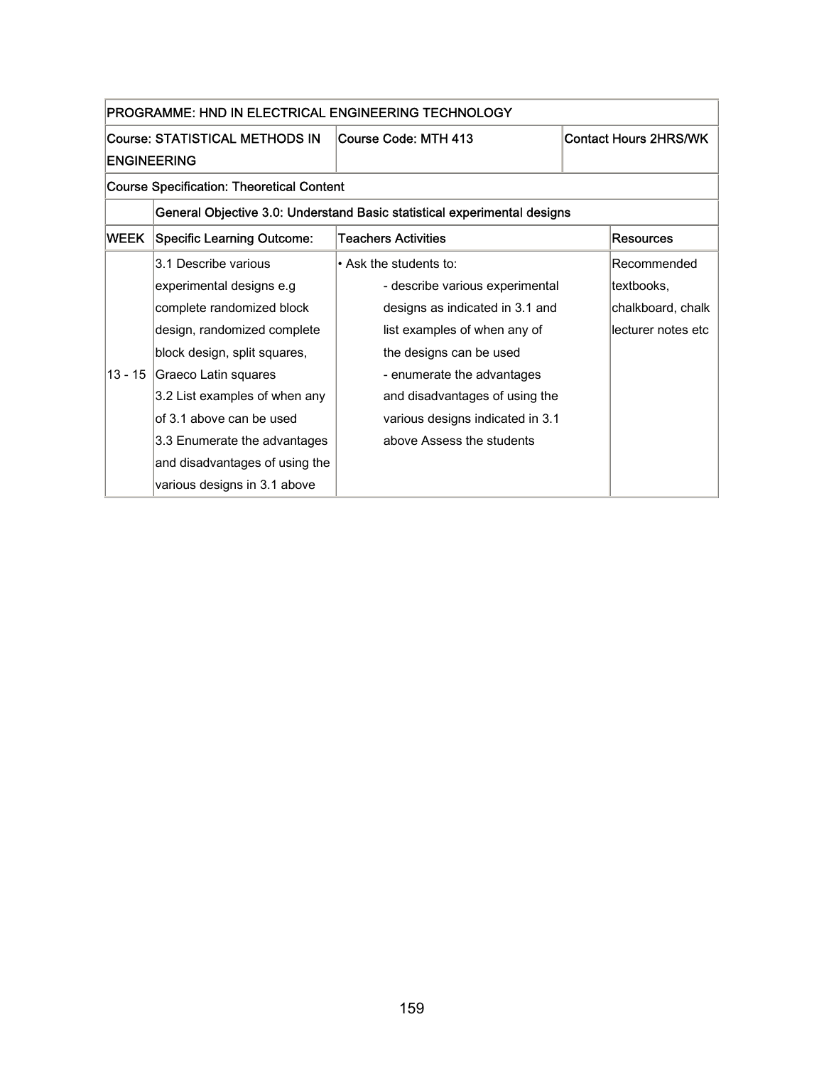| PROGRAMME: HND IN ELECTRICAL ENGINEERING TECHNOLOGY |                                   |                                                                          |                              |  |
|-----------------------------------------------------|-----------------------------------|--------------------------------------------------------------------------|------------------------------|--|
| Course: STATISTICAL METHODS IN                      |                                   | Course Code: MTH 413                                                     | <b>Contact Hours 2HRS/WK</b> |  |
|                                                     | <b>ENGINEERING</b>                |                                                                          |                              |  |
| <b>Course Specification: Theoretical Content</b>    |                                   |                                                                          |                              |  |
|                                                     |                                   | General Objective 3.0: Understand Basic statistical experimental designs |                              |  |
| WEEK                                                | <b>Specific Learning Outcome:</b> | <b>Teachers Activities</b>                                               | <b>Resources</b>             |  |
|                                                     | 3.1 Describe various              | • Ask the students to:                                                   | Recommended                  |  |
|                                                     | experimental designs e.g          | - describe various experimental                                          | textbooks.                   |  |
|                                                     | complete randomized block         | designs as indicated in 3.1 and                                          | chalkboard, chalk            |  |
|                                                     | design, randomized complete       | list examples of when any of                                             | lecturer notes etc           |  |
|                                                     | block design, split squares,      | the designs can be used                                                  |                              |  |
| 13 - 15                                             | Graeco Latin squares              | - enumerate the advantages                                               |                              |  |
|                                                     | 3.2 List examples of when any     | and disadvantages of using the                                           |                              |  |
|                                                     | of 3.1 above can be used          | various designs indicated in 3.1                                         |                              |  |
|                                                     | 3.3 Enumerate the advantages      | above Assess the students                                                |                              |  |
|                                                     | and disadvantages of using the    |                                                                          |                              |  |
|                                                     | various designs in 3.1 above      |                                                                          |                              |  |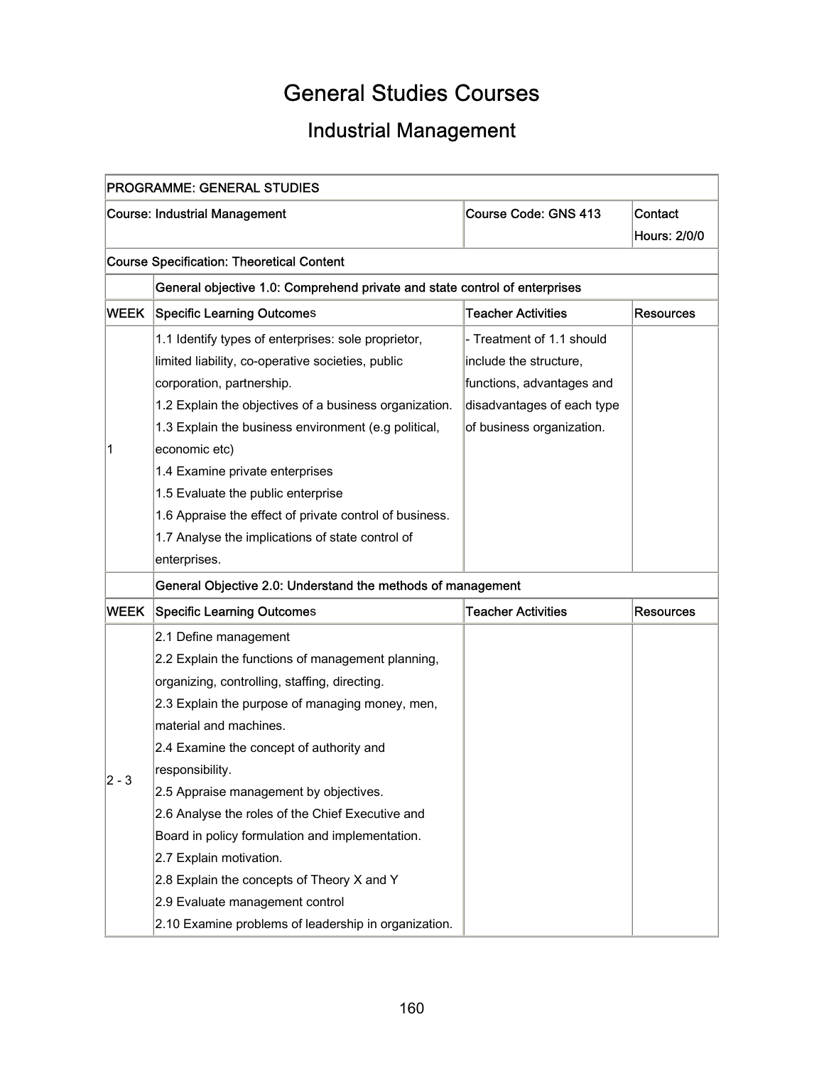# General Studies Courses

## Industrial Management

| <b>PROGRAMME: GENERAL STUDIES</b> |                                                                            |                            |                  |
|-----------------------------------|----------------------------------------------------------------------------|----------------------------|------------------|
|                                   | <b>Course: Industrial Management</b>                                       | Course Code: GNS 413       | Contact          |
|                                   |                                                                            |                            | Hours: 2/0/0     |
|                                   | <b>Course Specification: Theoretical Content</b>                           |                            |                  |
|                                   | General objective 1.0: Comprehend private and state control of enterprises |                            |                  |
| <b>WEEK</b>                       | <b>Specific Learning Outcomes</b>                                          | <b>Teacher Activities</b>  | <b>Resources</b> |
|                                   | 1.1 Identify types of enterprises: sole proprietor,                        | - Treatment of 1.1 should  |                  |
|                                   | limited liability, co-operative societies, public                          | include the structure,     |                  |
|                                   | corporation, partnership.                                                  | functions, advantages and  |                  |
|                                   | 1.2 Explain the objectives of a business organization.                     | disadvantages of each type |                  |
|                                   | 1.3 Explain the business environment (e.g political,                       | of business organization.  |                  |
| 1                                 | economic etc)                                                              |                            |                  |
|                                   | 1.4 Examine private enterprises                                            |                            |                  |
|                                   | 1.5 Evaluate the public enterprise                                         |                            |                  |
|                                   | 1.6 Appraise the effect of private control of business.                    |                            |                  |
|                                   | 1.7 Analyse the implications of state control of                           |                            |                  |
|                                   | enterprises.                                                               |                            |                  |
|                                   | General Objective 2.0: Understand the methods of management                |                            |                  |
| <b>WEEK</b>                       | <b>Specific Learning Outcomes</b>                                          | <b>Teacher Activities</b>  | <b>Resources</b> |
|                                   | 2.1 Define management                                                      |                            |                  |
|                                   | 2.2 Explain the functions of management planning,                          |                            |                  |
|                                   | organizing, controlling, staffing, directing.                              |                            |                  |
|                                   | 2.3 Explain the purpose of managing money, men,                            |                            |                  |
|                                   | material and machines.                                                     |                            |                  |
|                                   | 2.4 Examine the concept of authority and                                   |                            |                  |
|                                   | responsibility.                                                            |                            |                  |
| 2 - 3                             | 2.5 Appraise management by objectives.                                     |                            |                  |
|                                   | 2.6 Analyse the roles of the Chief Executive and                           |                            |                  |
|                                   | Board in policy formulation and implementation.                            |                            |                  |
|                                   | 2.7 Explain motivation.                                                    |                            |                  |
|                                   | 2.8 Explain the concepts of Theory X and Y                                 |                            |                  |
|                                   | 2.9 Evaluate management control                                            |                            |                  |
|                                   | 2.10 Examine problems of leadership in organization.                       |                            |                  |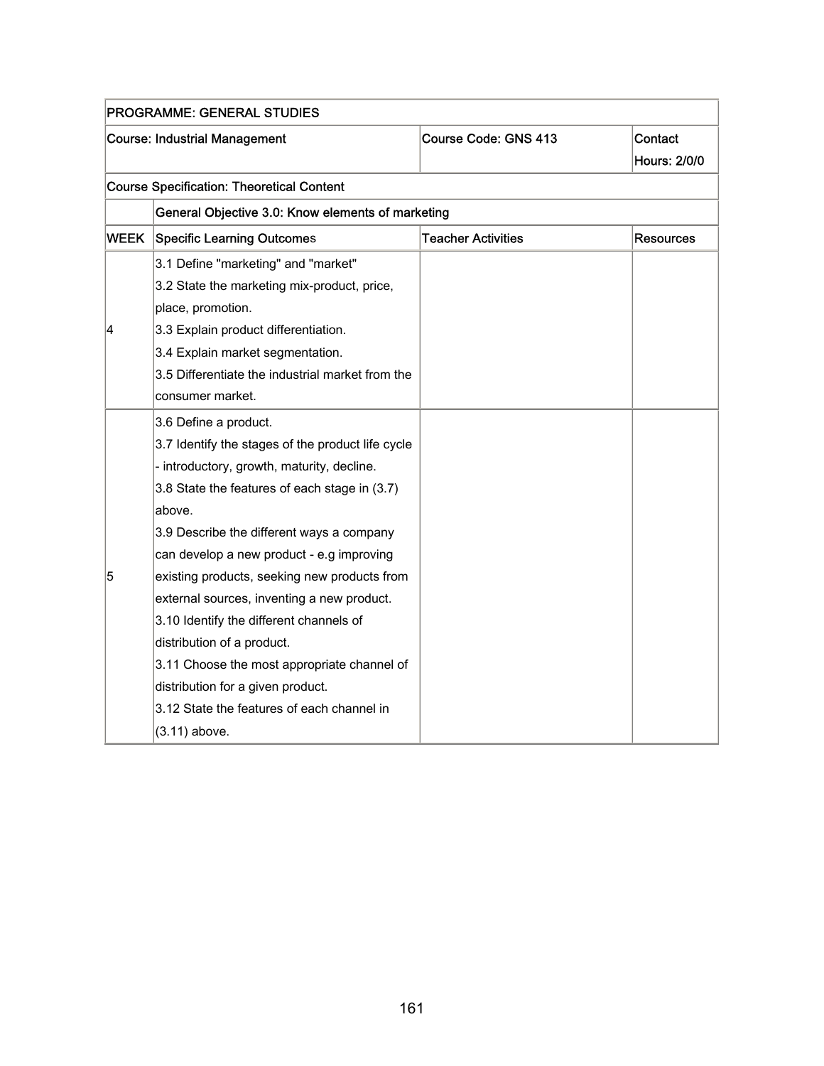| <b>PROGRAMME: GENERAL STUDIES</b> |                                                   |                           |                                |
|-----------------------------------|---------------------------------------------------|---------------------------|--------------------------------|
|                                   | <b>Course: Industrial Management</b>              | Course Code: GNS 413      | Contact<br><b>Hours: 2/0/0</b> |
|                                   | <b>Course Specification: Theoretical Content</b>  |                           |                                |
|                                   | General Objective 3.0: Know elements of marketing |                           |                                |
| <b>WEEK</b>                       | <b>Specific Learning Outcomes</b>                 | <b>Teacher Activities</b> | Resources                      |
|                                   | 3.1 Define "marketing" and "market"               |                           |                                |
|                                   | 3.2 State the marketing mix-product, price,       |                           |                                |
|                                   | place, promotion.                                 |                           |                                |
| 4                                 | 3.3 Explain product differentiation.              |                           |                                |
|                                   | 3.4 Explain market segmentation.                  |                           |                                |
|                                   | 3.5 Differentiate the industrial market from the  |                           |                                |
|                                   | consumer market.                                  |                           |                                |
|                                   | 3.6 Define a product.                             |                           |                                |
|                                   | 3.7 Identify the stages of the product life cycle |                           |                                |
|                                   | - introductory, growth, maturity, decline.        |                           |                                |
|                                   | 3.8 State the features of each stage in (3.7)     |                           |                                |
|                                   | above.                                            |                           |                                |
|                                   | 3.9 Describe the different ways a company         |                           |                                |
|                                   | can develop a new product - e.g improving         |                           |                                |
| 5                                 | existing products, seeking new products from      |                           |                                |
|                                   | external sources, inventing a new product.        |                           |                                |
|                                   | 3.10 Identify the different channels of           |                           |                                |
|                                   | distribution of a product.                        |                           |                                |
|                                   | 3.11 Choose the most appropriate channel of       |                           |                                |
|                                   | distribution for a given product.                 |                           |                                |
|                                   | 3.12 State the features of each channel in        |                           |                                |
|                                   | (3.11) above.                                     |                           |                                |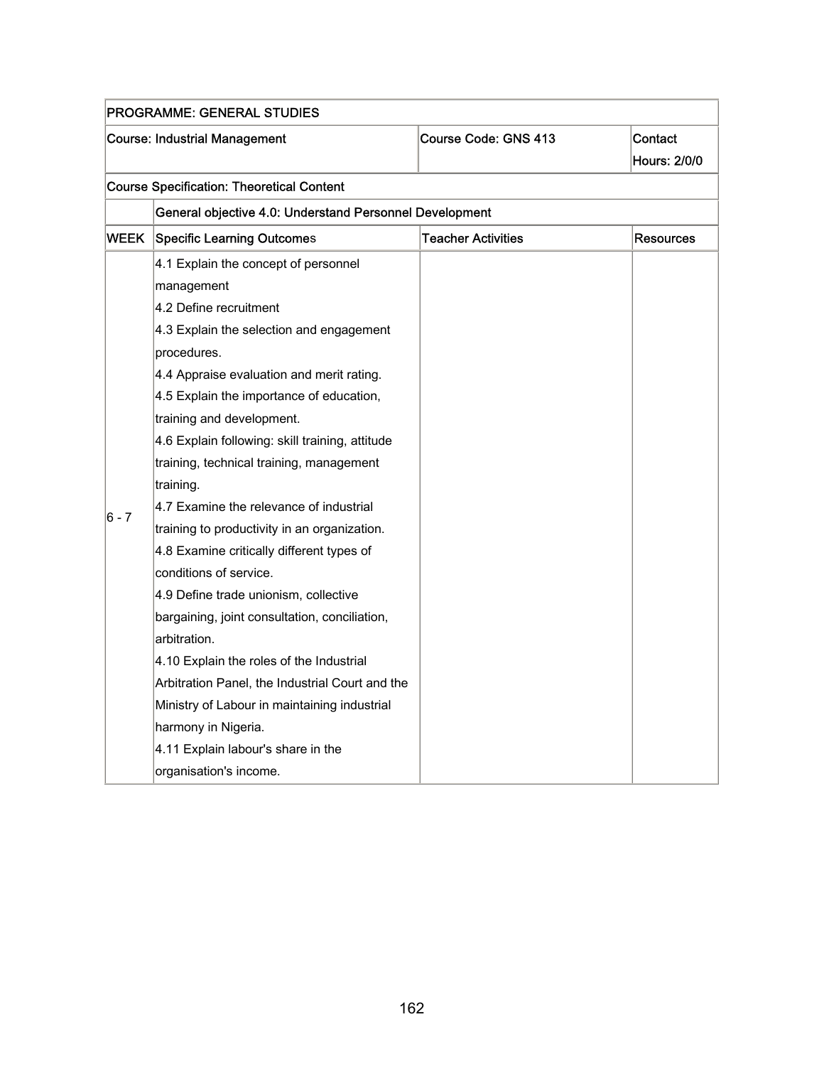| <b>PROGRAMME: GENERAL STUDIES</b> |                                                         |                           |                                |  |  |
|-----------------------------------|---------------------------------------------------------|---------------------------|--------------------------------|--|--|
|                                   | <b>Course: Industrial Management</b>                    | Course Code: GNS 413      | Contact<br><b>Hours: 2/0/0</b> |  |  |
|                                   | <b>Course Specification: Theoretical Content</b>        |                           |                                |  |  |
|                                   | General objective 4.0: Understand Personnel Development |                           |                                |  |  |
| <b>WEEK</b>                       | Specific Learning Outcomes                              | <b>Teacher Activities</b> | Resources                      |  |  |
|                                   | 4.1 Explain the concept of personnel                    |                           |                                |  |  |
|                                   | management                                              |                           |                                |  |  |
|                                   | 4.2 Define recruitment                                  |                           |                                |  |  |
|                                   | 4.3 Explain the selection and engagement                |                           |                                |  |  |
|                                   | procedures.                                             |                           |                                |  |  |
|                                   | 4.4 Appraise evaluation and merit rating.               |                           |                                |  |  |
|                                   | 4.5 Explain the importance of education,                |                           |                                |  |  |
|                                   | training and development.                               |                           |                                |  |  |
|                                   | 4.6 Explain following: skill training, attitude         |                           |                                |  |  |
|                                   | training, technical training, management                |                           |                                |  |  |
|                                   | training.                                               |                           |                                |  |  |
| $6 - 7$                           | 4.7 Examine the relevance of industrial                 |                           |                                |  |  |
|                                   | training to productivity in an organization.            |                           |                                |  |  |
|                                   | 4.8 Examine critically different types of               |                           |                                |  |  |
|                                   | conditions of service.                                  |                           |                                |  |  |
|                                   | 4.9 Define trade unionism, collective                   |                           |                                |  |  |
|                                   | bargaining, joint consultation, conciliation,           |                           |                                |  |  |
|                                   | arbitration.                                            |                           |                                |  |  |
|                                   | 4.10 Explain the roles of the Industrial                |                           |                                |  |  |
|                                   | Arbitration Panel, the Industrial Court and the         |                           |                                |  |  |
|                                   | Ministry of Labour in maintaining industrial            |                           |                                |  |  |
|                                   | harmony in Nigeria.                                     |                           |                                |  |  |
|                                   | 4.11 Explain labour's share in the                      |                           |                                |  |  |
|                                   | organisation's income.                                  |                           |                                |  |  |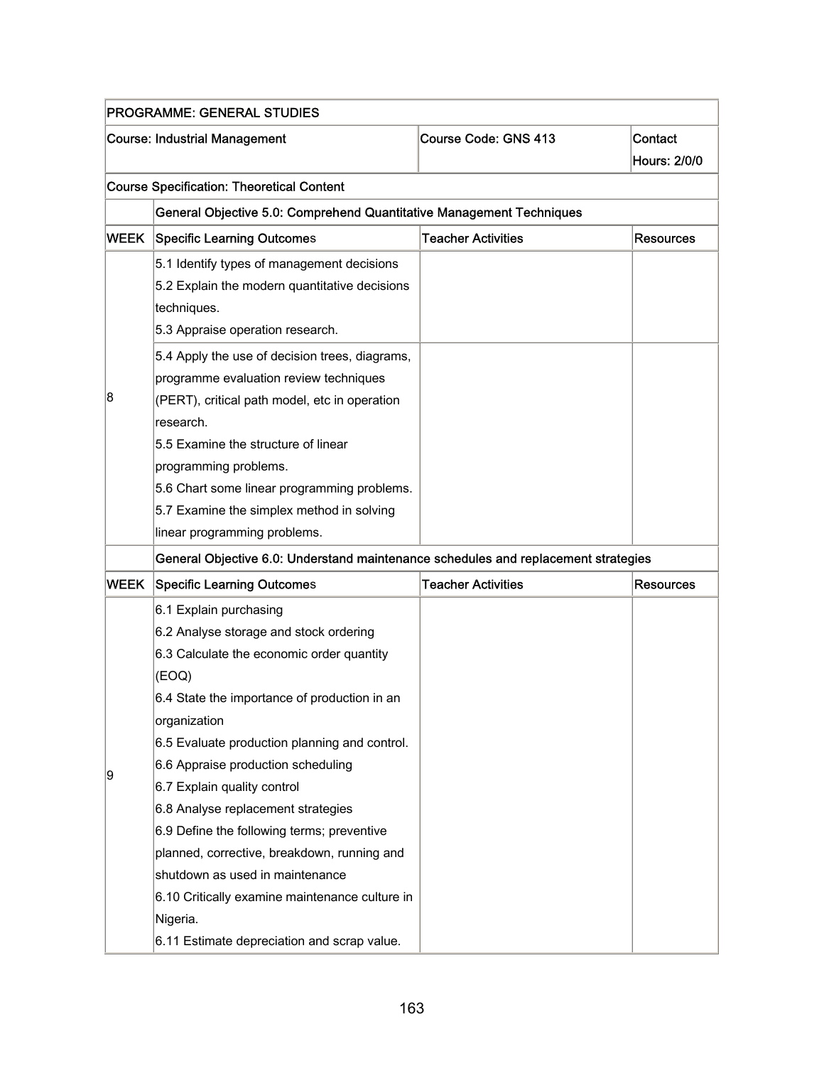| <b>PROGRAMME: GENERAL STUDIES</b> |                                                                                    |                           |                     |  |  |
|-----------------------------------|------------------------------------------------------------------------------------|---------------------------|---------------------|--|--|
|                                   | <b>Course: Industrial Management</b>                                               | Course Code: GNS 413      | Contact             |  |  |
|                                   |                                                                                    |                           | <b>Hours: 2/0/0</b> |  |  |
|                                   | <b>Course Specification: Theoretical Content</b>                                   |                           |                     |  |  |
|                                   | General Objective 5.0: Comprehend Quantitative Management Techniques               |                           |                     |  |  |
| WEEK                              | <b>Specific Learning Outcomes</b>                                                  | <b>Teacher Activities</b> | <b>Resources</b>    |  |  |
|                                   | 5.1 Identify types of management decisions                                         |                           |                     |  |  |
|                                   | 5.2 Explain the modern quantitative decisions                                      |                           |                     |  |  |
|                                   | techniques.                                                                        |                           |                     |  |  |
|                                   | 5.3 Appraise operation research.                                                   |                           |                     |  |  |
|                                   | 5.4 Apply the use of decision trees, diagrams,                                     |                           |                     |  |  |
|                                   | programme evaluation review techniques                                             |                           |                     |  |  |
| 8                                 | (PERT), critical path model, etc in operation                                      |                           |                     |  |  |
|                                   | research.                                                                          |                           |                     |  |  |
|                                   | 5.5 Examine the structure of linear                                                |                           |                     |  |  |
|                                   | programming problems.                                                              |                           |                     |  |  |
|                                   | 5.6 Chart some linear programming problems.                                        |                           |                     |  |  |
|                                   | 5.7 Examine the simplex method in solving                                          |                           |                     |  |  |
|                                   | linear programming problems.                                                       |                           |                     |  |  |
|                                   | General Objective 6.0: Understand maintenance schedules and replacement strategies |                           |                     |  |  |
| WEEK                              | <b>Specific Learning Outcomes</b>                                                  | <b>Teacher Activities</b> | <b>Resources</b>    |  |  |
|                                   | 6.1 Explain purchasing                                                             |                           |                     |  |  |
|                                   | 6.2 Analyse storage and stock ordering                                             |                           |                     |  |  |
|                                   | 6.3 Calculate the economic order quantity                                          |                           |                     |  |  |
|                                   | (EOQ)                                                                              |                           |                     |  |  |
|                                   | 6.4 State the importance of production in an                                       |                           |                     |  |  |
|                                   | organization                                                                       |                           |                     |  |  |
|                                   | 6.5 Evaluate production planning and control.                                      |                           |                     |  |  |
| 9                                 | 6.6 Appraise production scheduling                                                 |                           |                     |  |  |
|                                   | 6.7 Explain quality control                                                        |                           |                     |  |  |
|                                   | 6.8 Analyse replacement strategies                                                 |                           |                     |  |  |
|                                   | 6.9 Define the following terms; preventive                                         |                           |                     |  |  |
|                                   | planned, corrective, breakdown, running and                                        |                           |                     |  |  |
|                                   | shutdown as used in maintenance                                                    |                           |                     |  |  |
|                                   | 6.10 Critically examine maintenance culture in                                     |                           |                     |  |  |
|                                   | Nigeria.                                                                           |                           |                     |  |  |
|                                   | 6.11 Estimate depreciation and scrap value.                                        |                           |                     |  |  |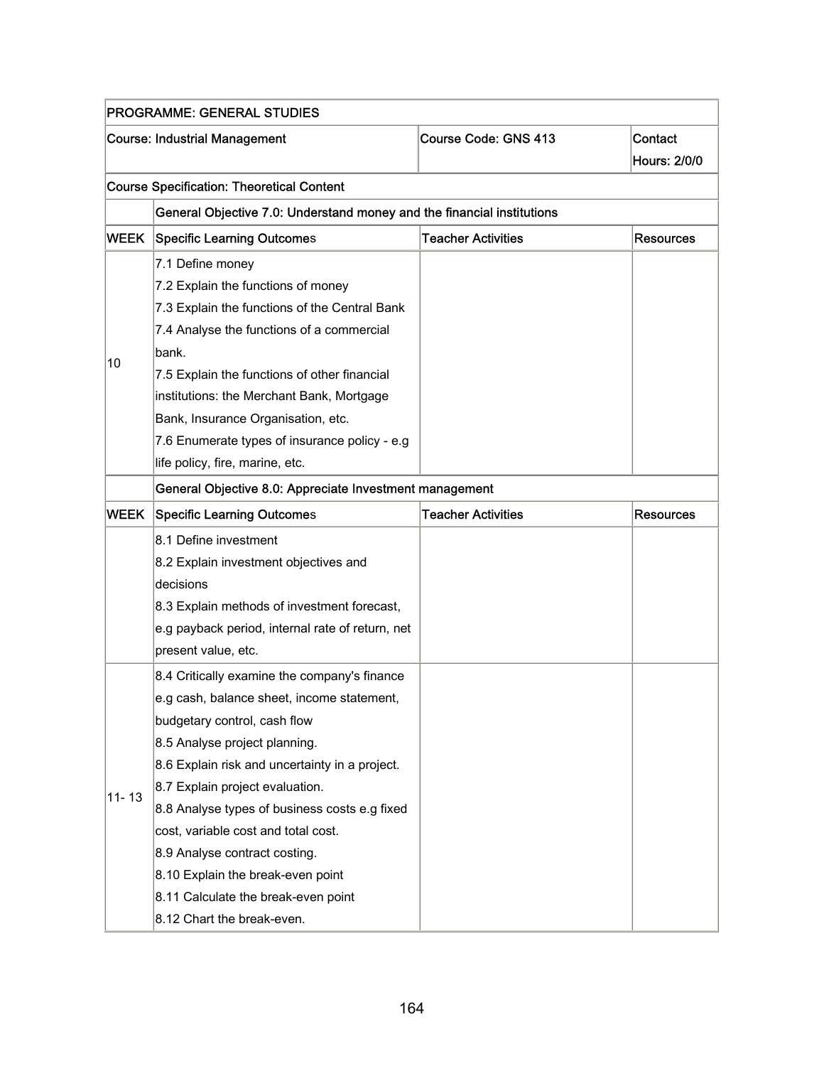| <b>PROGRAMME: GENERAL STUDIES</b> |                                                                        |                           |           |  |  |
|-----------------------------------|------------------------------------------------------------------------|---------------------------|-----------|--|--|
|                                   | <b>Course: Industrial Management</b>                                   | Course Code: GNS 413      | Contact   |  |  |
| <b>Hours: 2/0/0</b>               |                                                                        |                           |           |  |  |
|                                   | <b>Course Specification: Theoretical Content</b>                       |                           |           |  |  |
|                                   | General Objective 7.0: Understand money and the financial institutions |                           |           |  |  |
| <b>WEEK</b>                       | <b>Specific Learning Outcomes</b>                                      | <b>Teacher Activities</b> | Resources |  |  |
|                                   | 7.1 Define money                                                       |                           |           |  |  |
|                                   | 7.2 Explain the functions of money                                     |                           |           |  |  |
|                                   | 7.3 Explain the functions of the Central Bank                          |                           |           |  |  |
|                                   | 7.4 Analyse the functions of a commercial                              |                           |           |  |  |
|                                   | bank.                                                                  |                           |           |  |  |
| 10                                | 7.5 Explain the functions of other financial                           |                           |           |  |  |
|                                   | institutions: the Merchant Bank, Mortgage                              |                           |           |  |  |
|                                   | Bank, Insurance Organisation, etc.                                     |                           |           |  |  |
|                                   | 7.6 Enumerate types of insurance policy - e.g                          |                           |           |  |  |
|                                   | life policy, fire, marine, etc.                                        |                           |           |  |  |
|                                   | General Objective 8.0: Appreciate Investment management                |                           |           |  |  |
| WEEK                              | <b>Specific Learning Outcomes</b>                                      | <b>Teacher Activities</b> | Resources |  |  |
|                                   | 8.1 Define investment                                                  |                           |           |  |  |
|                                   | 8.2 Explain investment objectives and                                  |                           |           |  |  |
|                                   | decisions                                                              |                           |           |  |  |
|                                   | 8.3 Explain methods of investment forecast,                            |                           |           |  |  |
|                                   | e.g payback period, internal rate of return, net                       |                           |           |  |  |
|                                   | present value, etc.                                                    |                           |           |  |  |
|                                   | 8.4 Critically examine the company's finance                           |                           |           |  |  |
|                                   | e.g cash, balance sheet, income statement,                             |                           |           |  |  |
|                                   | budgetary control, cash flow                                           |                           |           |  |  |
|                                   | 8.5 Analyse project planning.                                          |                           |           |  |  |
|                                   | 8.6 Explain risk and uncertainty in a project.                         |                           |           |  |  |
|                                   | 8.7 Explain project evaluation.                                        |                           |           |  |  |
| $11 - 13$                         | 8.8 Analyse types of business costs e.g fixed                          |                           |           |  |  |
|                                   | cost, variable cost and total cost.                                    |                           |           |  |  |
|                                   | 8.9 Analyse contract costing.                                          |                           |           |  |  |
|                                   | 8.10 Explain the break-even point                                      |                           |           |  |  |
|                                   | 8.11 Calculate the break-even point                                    |                           |           |  |  |
|                                   | 8.12 Chart the break-even.                                             |                           |           |  |  |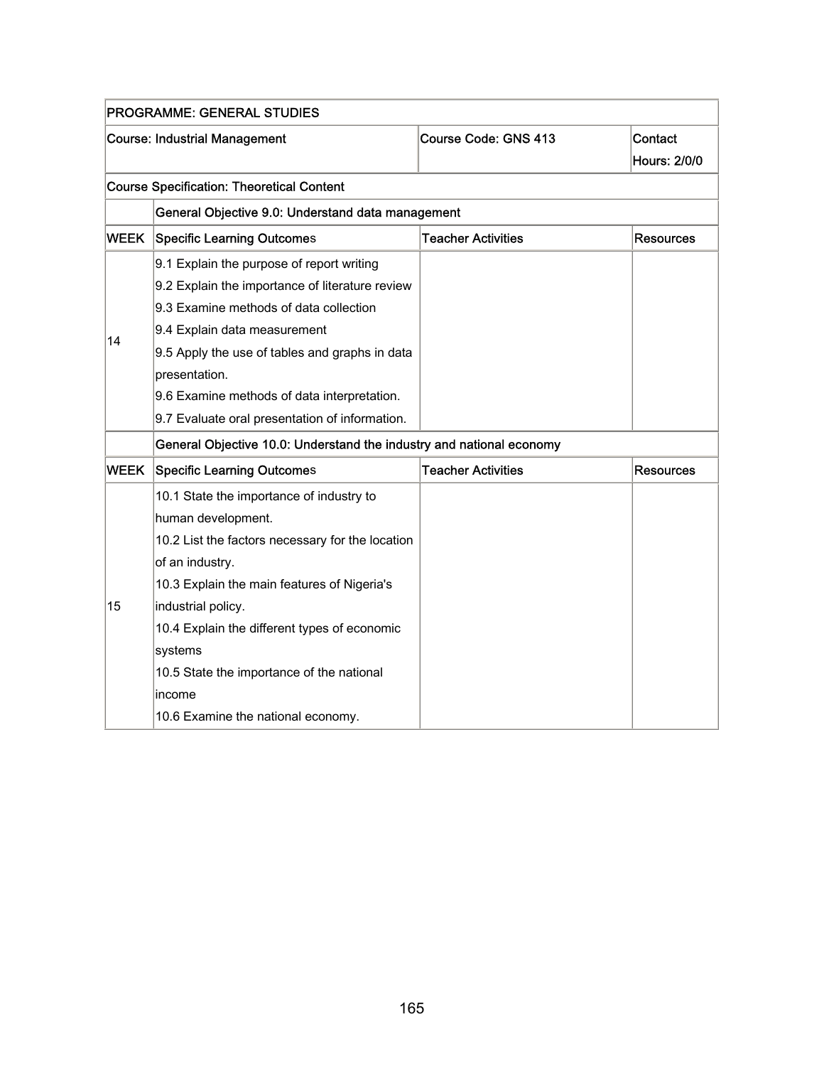|             | <b>PROGRAMME: GENERAL STUDIES</b>                                    |                           |                         |  |  |
|-------------|----------------------------------------------------------------------|---------------------------|-------------------------|--|--|
|             | <b>Course: Industrial Management</b>                                 | Course Code: GNS 413      | Contact<br>Hours: 2/0/0 |  |  |
|             | <b>Course Specification: Theoretical Content</b>                     |                           |                         |  |  |
|             | General Objective 9.0: Understand data management                    |                           |                         |  |  |
| <b>WEEK</b> | <b>Specific Learning Outcomes</b>                                    | <b>Teacher Activities</b> | <b>Resources</b>        |  |  |
|             | 9.1 Explain the purpose of report writing                            |                           |                         |  |  |
|             | 9.2 Explain the importance of literature review                      |                           |                         |  |  |
|             | 9.3 Examine methods of data collection                               |                           |                         |  |  |
|             | 9.4 Explain data measurement                                         |                           |                         |  |  |
| 14          | 9.5 Apply the use of tables and graphs in data                       |                           |                         |  |  |
|             | presentation.                                                        |                           |                         |  |  |
|             | 9.6 Examine methods of data interpretation.                          |                           |                         |  |  |
|             | 9.7 Evaluate oral presentation of information.                       |                           |                         |  |  |
|             | General Objective 10.0: Understand the industry and national economy |                           |                         |  |  |
| <b>WEEK</b> | <b>Specific Learning Outcomes</b>                                    | <b>Teacher Activities</b> | <b>Resources</b>        |  |  |
|             | 10.1 State the importance of industry to                             |                           |                         |  |  |
|             | human development.                                                   |                           |                         |  |  |
|             | 10.2 List the factors necessary for the location                     |                           |                         |  |  |
|             | of an industry.                                                      |                           |                         |  |  |
|             | 10.3 Explain the main features of Nigeria's                          |                           |                         |  |  |
| 15          | industrial policy.                                                   |                           |                         |  |  |
|             | 10.4 Explain the different types of economic                         |                           |                         |  |  |
|             | systems                                                              |                           |                         |  |  |
|             | 10.5 State the importance of the national                            |                           |                         |  |  |
|             | income                                                               |                           |                         |  |  |
|             | 10.6 Examine the national economy.                                   |                           |                         |  |  |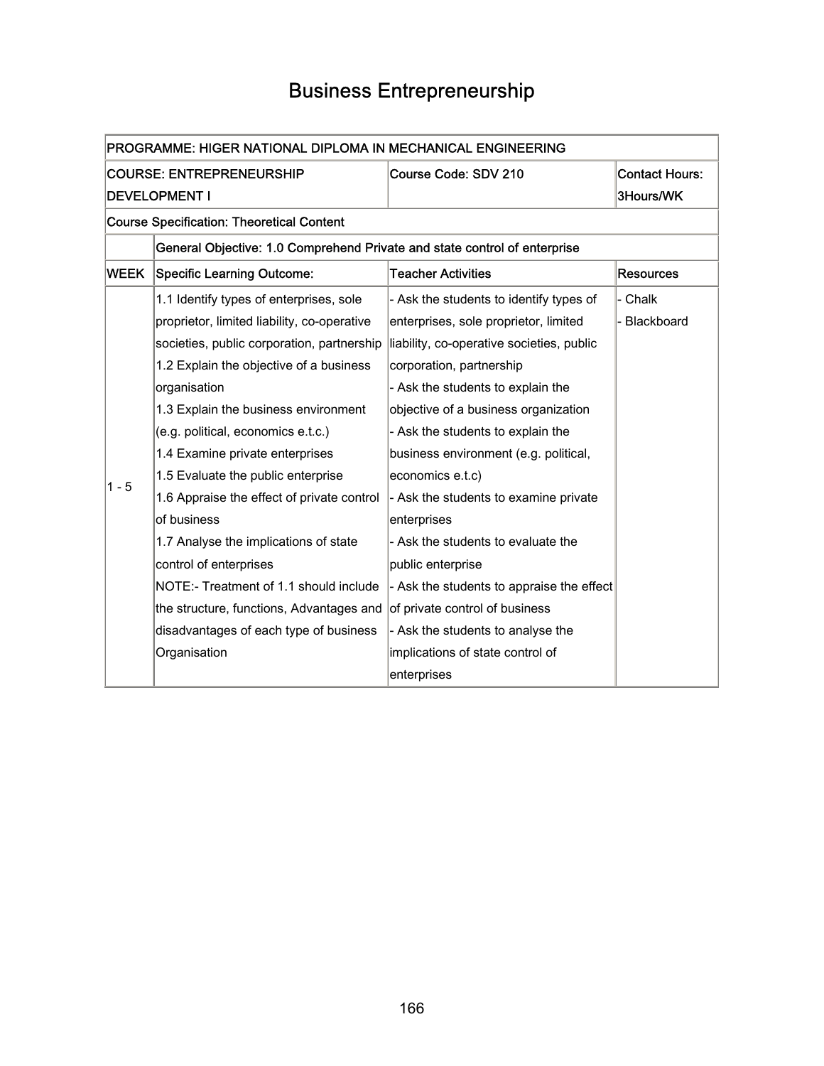# Business Entrepreneurship

| PROGRAMME: HIGER NATIONAL DIPLOMA IN MECHANICAL ENGINEERING |                                                                           |                                           |                       |  |  |
|-------------------------------------------------------------|---------------------------------------------------------------------------|-------------------------------------------|-----------------------|--|--|
|                                                             | <b>COURSE: ENTREPRENEURSHIP</b>                                           | Course Code: SDV 210                      | <b>Contact Hours:</b> |  |  |
|                                                             | <b>DEVELOPMENT I</b>                                                      |                                           | 3Hours/WK             |  |  |
|                                                             | <b>Course Specification: Theoretical Content</b>                          |                                           |                       |  |  |
|                                                             | General Objective: 1.0 Comprehend Private and state control of enterprise |                                           |                       |  |  |
| WEEK                                                        | <b>Specific Learning Outcome:</b>                                         | <b>Teacher Activities</b>                 | <b>Resources</b>      |  |  |
|                                                             | 1.1 Identify types of enterprises, sole                                   | - Ask the students to identify types of   | - Chalk               |  |  |
|                                                             | proprietor, limited liability, co-operative                               | enterprises, sole proprietor, limited     | - Blackboard          |  |  |
|                                                             | societies, public corporation, partnership                                | liability, co-operative societies, public |                       |  |  |
|                                                             | 1.2 Explain the objective of a business                                   | corporation, partnership                  |                       |  |  |
|                                                             | organisation                                                              | - Ask the students to explain the         |                       |  |  |
|                                                             | 1.3 Explain the business environment                                      | objective of a business organization      |                       |  |  |
|                                                             | (e.g. political, economics e.t.c.)                                        | - Ask the students to explain the         |                       |  |  |
|                                                             | 1.4 Examine private enterprises                                           | business environment (e.g. political,     |                       |  |  |
| $1 - 5$                                                     | 1.5 Evaluate the public enterprise                                        | economics e.t.c)                          |                       |  |  |
|                                                             | 1.6 Appraise the effect of private control                                | - Ask the students to examine private     |                       |  |  |
|                                                             | of business                                                               | enterprises                               |                       |  |  |
|                                                             | 1.7 Analyse the implications of state                                     | - Ask the students to evaluate the        |                       |  |  |
|                                                             | control of enterprises                                                    | public enterprise                         |                       |  |  |
|                                                             | NOTE:- Treatment of 1.1 should include                                    | - Ask the students to appraise the effect |                       |  |  |
|                                                             | the structure, functions, Advantages and                                  | of private control of business            |                       |  |  |
|                                                             | disadvantages of each type of business                                    | - Ask the students to analyse the         |                       |  |  |
|                                                             | Organisation                                                              | implications of state control of          |                       |  |  |
|                                                             |                                                                           | enterprises                               |                       |  |  |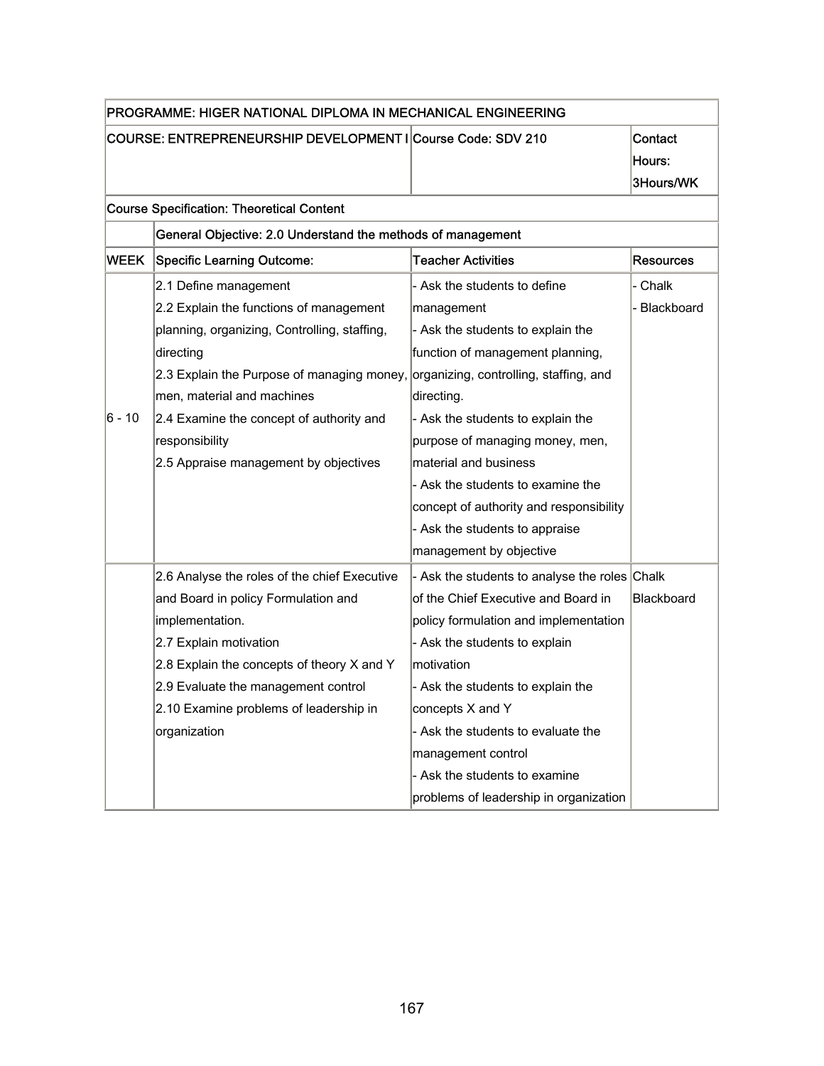| PROGRAMME: HIGER NATIONAL DIPLOMA IN MECHANICAL ENGINEERING |                                                             |                                               |                  |
|-------------------------------------------------------------|-------------------------------------------------------------|-----------------------------------------------|------------------|
|                                                             | COURSE: ENTREPRENEURSHIP DEVELOPMENT I Course Code: SDV 210 |                                               | Contact          |
|                                                             |                                                             |                                               | Hours:           |
|                                                             |                                                             |                                               | 3Hours/WK        |
|                                                             | <b>Course Specification: Theoretical Content</b>            |                                               |                  |
|                                                             | General Objective: 2.0 Understand the methods of management |                                               |                  |
| WEEK                                                        | <b>Specific Learning Outcome:</b>                           | <b>Teacher Activities</b>                     | <b>Resources</b> |
|                                                             | 2.1 Define management                                       | - Ask the students to define                  | - Chalk          |
|                                                             | 2.2 Explain the functions of management                     | management                                    | Blackboard       |
|                                                             | planning, organizing, Controlling, staffing,                | - Ask the students to explain the             |                  |
|                                                             | directing                                                   | function of management planning,              |                  |
|                                                             | 2.3 Explain the Purpose of managing money,                  | organizing, controlling, staffing, and        |                  |
|                                                             | men, material and machines                                  | directing.                                    |                  |
| 6 - 10                                                      | 2.4 Examine the concept of authority and                    | - Ask the students to explain the             |                  |
|                                                             | responsibility                                              | purpose of managing money, men,               |                  |
|                                                             | 2.5 Appraise management by objectives                       | material and business                         |                  |
|                                                             |                                                             | - Ask the students to examine the             |                  |
|                                                             |                                                             | concept of authority and responsibility       |                  |
|                                                             |                                                             | - Ask the students to appraise                |                  |
|                                                             |                                                             | management by objective                       |                  |
|                                                             | 2.6 Analyse the roles of the chief Executive                | - Ask the students to analyse the roles Chalk |                  |
|                                                             | and Board in policy Formulation and                         | of the Chief Executive and Board in           | Blackboard       |
|                                                             | implementation.                                             | policy formulation and implementation         |                  |
|                                                             | 2.7 Explain motivation                                      | - Ask the students to explain                 |                  |
|                                                             | 2.8 Explain the concepts of theory X and Y                  | motivation                                    |                  |
|                                                             | 2.9 Evaluate the management control                         | - Ask the students to explain the             |                  |
|                                                             | 2.10 Examine problems of leadership in                      | concepts X and Y                              |                  |
|                                                             | organization                                                | - Ask the students to evaluate the            |                  |
|                                                             |                                                             | management control                            |                  |
|                                                             |                                                             | - Ask the students to examine                 |                  |
|                                                             |                                                             | problems of leadership in organization        |                  |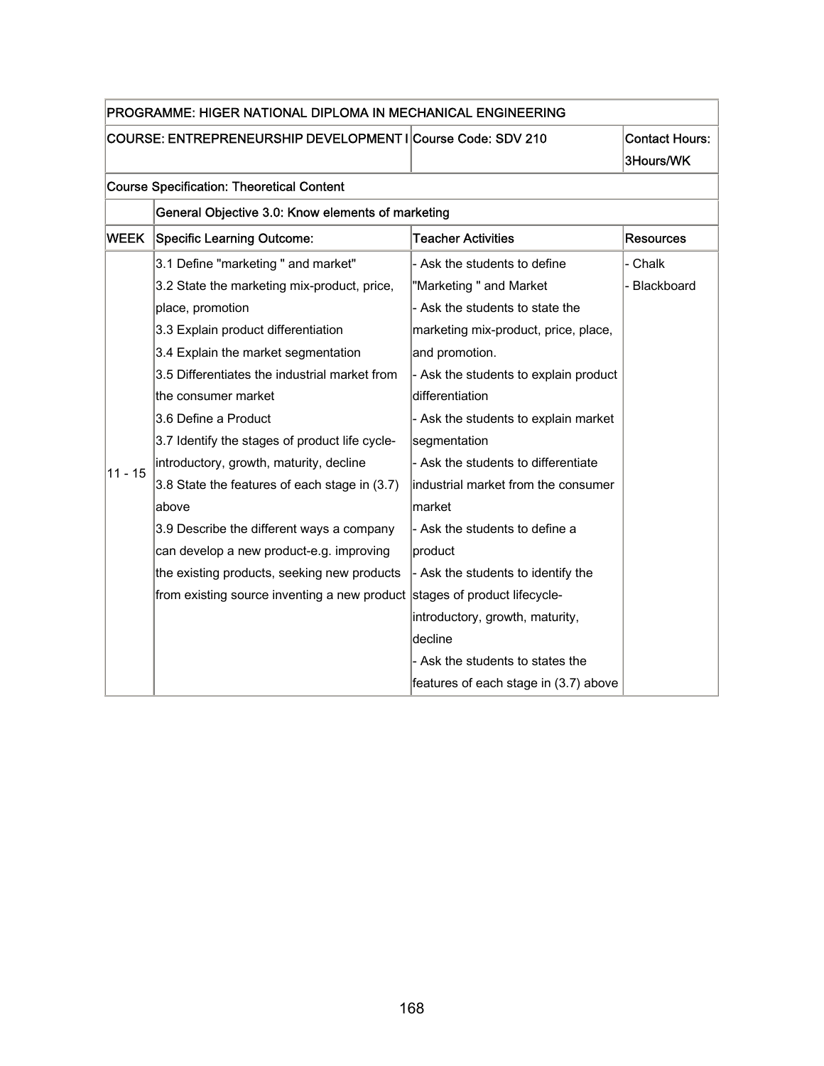| PROGRAMME: HIGER NATIONAL DIPLOMA IN MECHANICAL ENGINEERING |                                                                           |                                       |                       |
|-------------------------------------------------------------|---------------------------------------------------------------------------|---------------------------------------|-----------------------|
| COURSE: ENTREPRENEURSHIP DEVELOPMENT I Course Code: SDV 210 |                                                                           |                                       | <b>Contact Hours:</b> |
|                                                             |                                                                           |                                       | 3Hours/WK             |
|                                                             | <b>Course Specification: Theoretical Content</b>                          |                                       |                       |
|                                                             | General Objective 3.0: Know elements of marketing                         |                                       |                       |
| <b>WEEK</b>                                                 | <b>Specific Learning Outcome:</b>                                         | <b>Teacher Activities</b>             | <b>Resources</b>      |
|                                                             | 3.1 Define "marketing " and market"                                       | - Ask the students to define          | - Chalk               |
|                                                             | 3.2 State the marketing mix-product, price,                               | "Marketing " and Market               | - Blackboard          |
|                                                             | place, promotion                                                          | - Ask the students to state the       |                       |
|                                                             | 3.3 Explain product differentiation                                       | marketing mix-product, price, place,  |                       |
|                                                             | 3.4 Explain the market segmentation                                       | and promotion.                        |                       |
|                                                             | 3.5 Differentiates the industrial market from                             | - Ask the students to explain product |                       |
|                                                             | the consumer market                                                       | differentiation                       |                       |
|                                                             | 3.6 Define a Product                                                      | - Ask the students to explain market  |                       |
|                                                             | 3.7 Identify the stages of product life cycle-                            | segmentation                          |                       |
| $11 - 15$                                                   | introductory, growth, maturity, decline                                   | - Ask the students to differentiate   |                       |
|                                                             | 3.8 State the features of each stage in (3.7)                             | industrial market from the consumer   |                       |
|                                                             | above                                                                     | market                                |                       |
|                                                             | 3.9 Describe the different ways a company                                 | - Ask the students to define a        |                       |
|                                                             | can develop a new product-e.g. improving                                  | product                               |                       |
|                                                             | the existing products, seeking new products                               | - Ask the students to identify the    |                       |
|                                                             | from existing source inventing a new product stages of product lifecycle- |                                       |                       |
|                                                             |                                                                           | introductory, growth, maturity,       |                       |
|                                                             |                                                                           | decline                               |                       |
|                                                             |                                                                           | - Ask the students to states the      |                       |
|                                                             |                                                                           | features of each stage in (3.7) above |                       |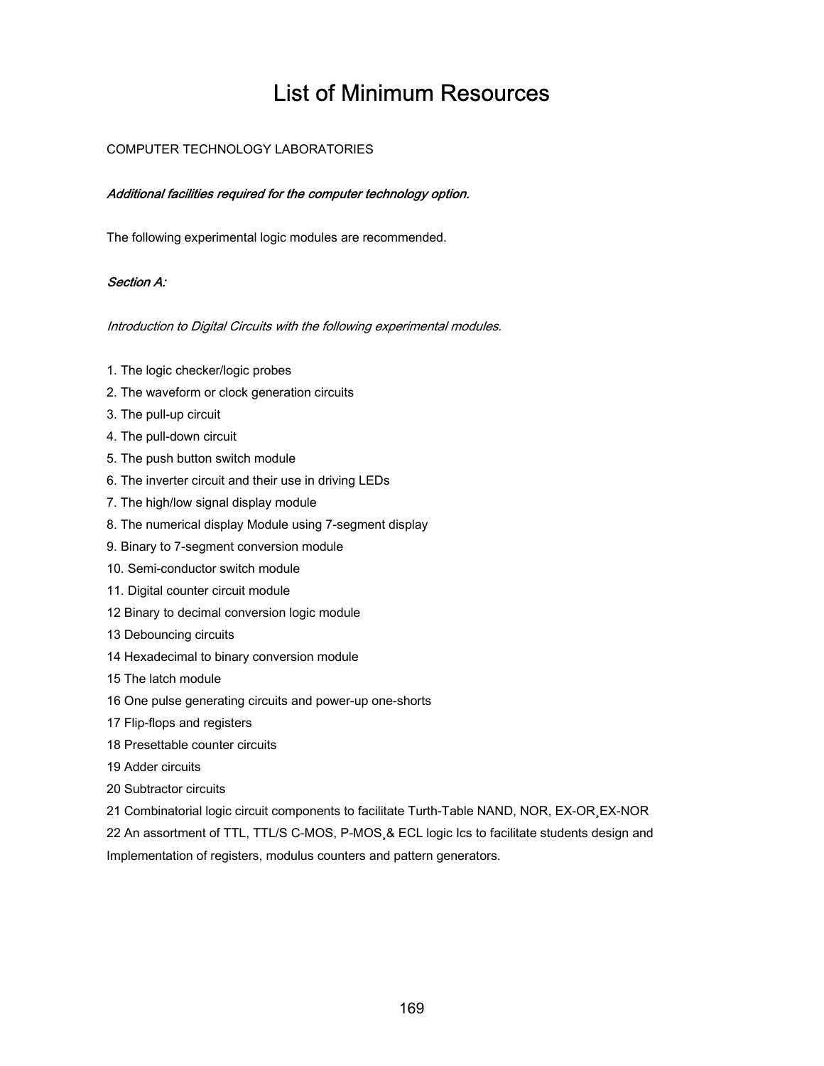### List of Minimum Resources

#### COMPUTER TECHNOLOGY LABORATORIES

#### Additional facilities required for the computer technology option.

The following experimental logic modules are recommended.

#### Section A:

Introduction to Digital Circuits with the following experimental modules.

- 1. The logic checker/logic probes
- 2. The waveform or clock generation circuits
- 3. The pull-up circuit
- 4. The pull-down circuit
- 5. The push button switch module
- 6. The inverter circuit and their use in driving LEDs
- 7. The high/low signal display module
- 8. The numerical display Module using 7-segment display
- 9. Binary to 7-segment conversion module
- 10. Semi-conductor switch module
- 11. Digital counter circuit module
- 12 Binary to decimal conversion logic module
- 13 Debouncing circuits
- 14 Hexadecimal to binary conversion module
- 15 The latch module
- 16 One pulse generating circuits and power-up one-shorts
- 17 Flip-flops and registers
- 18 Presettable counter circuits
- 19 Adder circuits
- 20 Subtractor circuits
- 21 Combinatorial logic circuit components to facilitate Turth-Table NAND, NOR, EX-OR¸EX-NOR

22 An assortment of TTL, TTL/S C-MOS, P-MOS¸& ECL logic Ics to facilitate students design and Implementation of registers, modulus counters and pattern generators.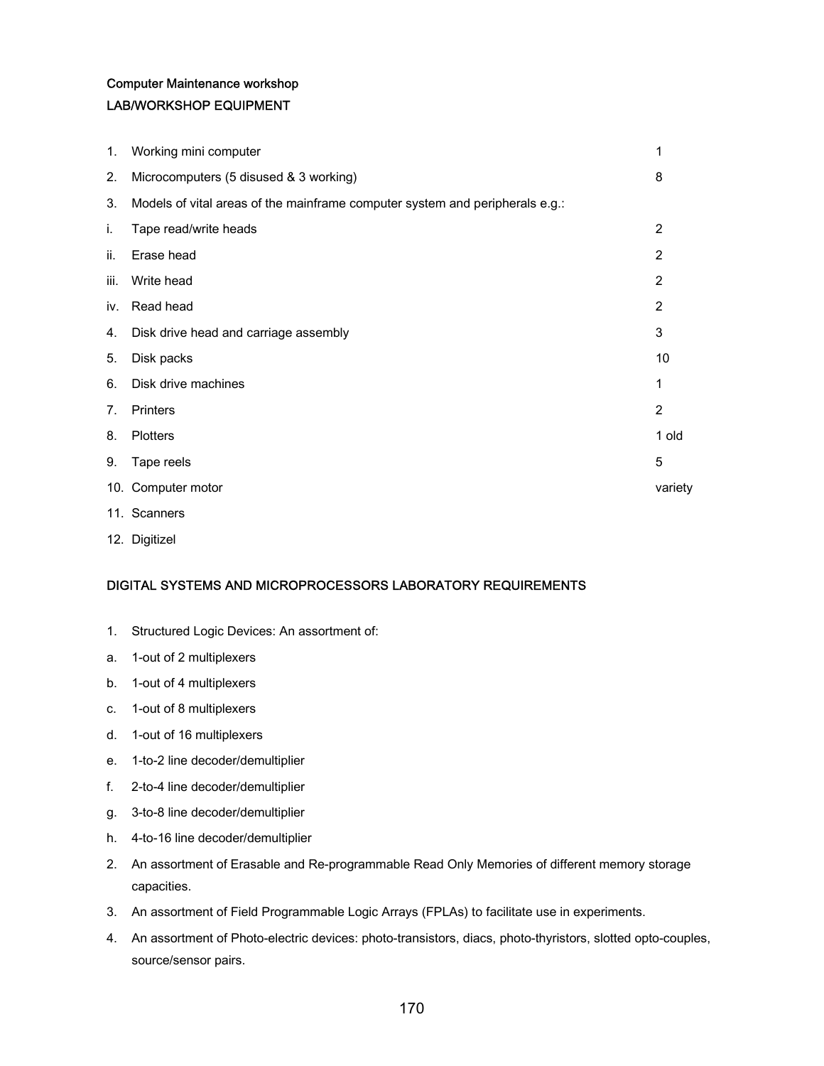#### Computer Maintenance workshop LAB/WORKSHOP EQUIPMENT

| 1.   | Working mini computer                                                        | 1              |
|------|------------------------------------------------------------------------------|----------------|
| 2.   | Microcomputers (5 disused & 3 working)                                       | 8              |
| 3.   | Models of vital areas of the mainframe computer system and peripherals e.g.: |                |
| i.   | Tape read/write heads                                                        | $\overline{2}$ |
| ii.  | Erase head                                                                   | 2              |
| iii. | Write head                                                                   | 2              |
| iv.  | Read head                                                                    | 2              |
| 4.   | Disk drive head and carriage assembly                                        | 3              |
| 5.   | Disk packs                                                                   | 10             |
| 6.   | Disk drive machines                                                          | 1              |
| 7.   | Printers                                                                     | $\overline{2}$ |
| 8.   | <b>Plotters</b>                                                              | 1 old          |
| 9.   | Tape reels                                                                   | 5              |
|      | 10. Computer motor                                                           | variety        |
|      | 11. Scanners                                                                 |                |

12. Digitizel

#### DIGITAL SYSTEMS AND MICROPROCESSORS LABORATORY REQUIREMENTS

- 1. Structured Logic Devices: An assortment of:
- a. 1-out of 2 multiplexers
- b. 1-out of 4 multiplexers
- c. 1-out of 8 multiplexers
- d. 1-out of 16 multiplexers
- e. 1-to-2 line decoder/demultiplier
- f. 2-to-4 line decoder/demultiplier
- g. 3-to-8 line decoder/demultiplier
- h. 4-to-16 line decoder/demultiplier
- 2. An assortment of Erasable and Re-programmable Read Only Memories of different memory storage capacities.
- 3. An assortment of Field Programmable Logic Arrays (FPLAs) to facilitate use in experiments.
- 4. An assortment of Photo-electric devices: photo-transistors, diacs, photo-thyristors, slotted opto-couples, source/sensor pairs.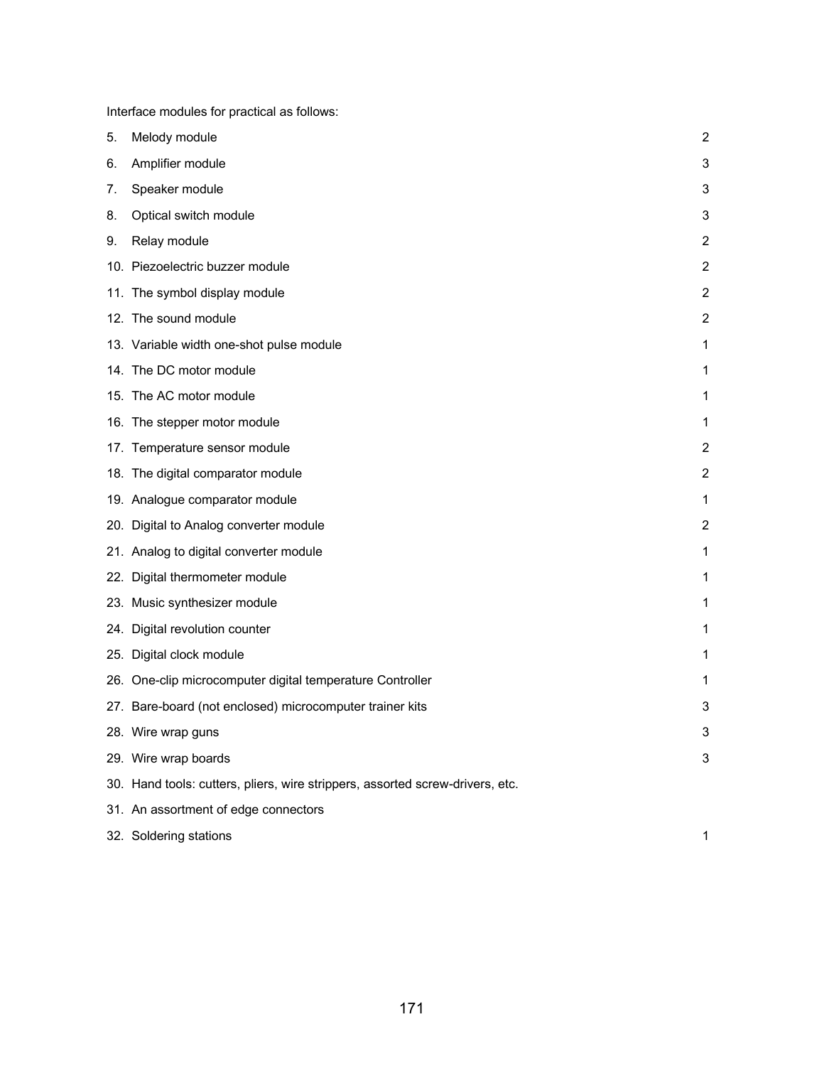Interface modules for practical as follows:

| 5. | Melody module                                                                 | 2              |
|----|-------------------------------------------------------------------------------|----------------|
| 6. | Amplifier module                                                              | 3              |
| 7. | Speaker module                                                                | 3              |
| 8. | Optical switch module                                                         | 3              |
| 9. | Relay module                                                                  | $\overline{2}$ |
|    | 10. Piezoelectric buzzer module                                               | 2              |
|    | 11. The symbol display module                                                 | $\overline{2}$ |
|    | 12. The sound module                                                          | $\overline{2}$ |
|    | 13. Variable width one-shot pulse module                                      | 1              |
|    | 14. The DC motor module                                                       | 1              |
|    | 15. The AC motor module                                                       | 1              |
|    | 16. The stepper motor module                                                  | 1              |
|    | 17. Temperature sensor module                                                 | $\overline{2}$ |
|    | 18. The digital comparator module                                             | $\overline{c}$ |
|    | 19. Analogue comparator module                                                | 1              |
|    | 20. Digital to Analog converter module                                        | $\overline{2}$ |
|    | 21. Analog to digital converter module                                        | 1              |
|    | 22. Digital thermometer module                                                | 1              |
|    | 23. Music synthesizer module                                                  | 1              |
|    | 24. Digital revolution counter                                                | 1              |
|    | 25. Digital clock module                                                      | 1              |
|    | 26. One-clip microcomputer digital temperature Controller                     | 1              |
|    | 27. Bare-board (not enclosed) microcomputer trainer kits                      | 3              |
|    | 28. Wire wrap guns                                                            | 3              |
|    | 29. Wire wrap boards                                                          | 3              |
|    | 30. Hand tools: cutters, pliers, wire strippers, assorted screw-drivers, etc. |                |
|    | 31. An assortment of edge connectors                                          |                |
|    | 32. Soldering stations                                                        | 1              |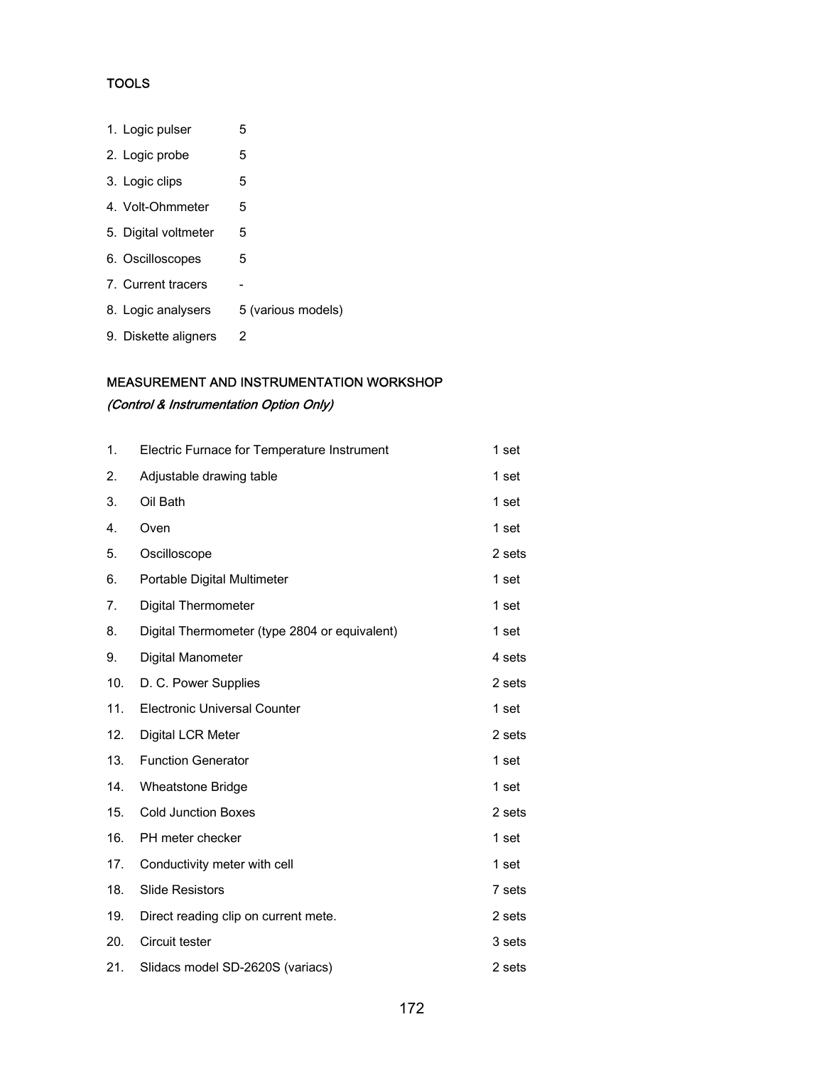#### **TOOLS**

| 1. Logic pulser      | 5                  |
|----------------------|--------------------|
| 2. Logic probe       | 5                  |
| 3. Logic clips       | 5                  |
| 4. Volt-Ohmmeter     | 5                  |
| 5. Digital voltmeter | 5                  |
| 6. Oscilloscopes     | 5                  |
| 7. Current tracers   |                    |
| 8. Logic analysers   | 5 (various models) |
| 9. Diskette aligners | 2                  |

### MEASUREMENT AND INSTRUMENTATION WORKSHOP (Control & Instrumentation Option Only)

| 1.  | Electric Furnace for Temperature Instrument   | 1 set  |
|-----|-----------------------------------------------|--------|
| 2.  | Adjustable drawing table                      | 1 set  |
| 3.  | Oil Bath                                      | 1 set  |
| 4.  | Oven                                          | 1 set  |
| 5.  | Oscilloscope                                  | 2 sets |
| 6.  | Portable Digital Multimeter                   | 1 set  |
| 7.  | <b>Digital Thermometer</b>                    | 1 set  |
| 8.  | Digital Thermometer (type 2804 or equivalent) | 1 set  |
| 9.  | Digital Manometer                             | 4 sets |
| 10. | D. C. Power Supplies                          | 2 sets |
| 11. | <b>Electronic Universal Counter</b>           | 1 set  |
| 12. | Digital LCR Meter                             | 2 sets |
| 13. | <b>Function Generator</b>                     | 1 set  |
| 14. | <b>Wheatstone Bridge</b>                      | 1 set  |
| 15. | <b>Cold Junction Boxes</b>                    | 2 sets |
| 16. | PH meter checker                              | 1 set  |
| 17. | Conductivity meter with cell                  | 1 set  |
| 18. | <b>Slide Resistors</b>                        | 7 sets |
| 19. | Direct reading clip on current mete.          | 2 sets |
| 20. | Circuit tester                                | 3 sets |
| 21. | Slidacs model SD-2620S (variacs)              | 2 sets |
|     |                                               |        |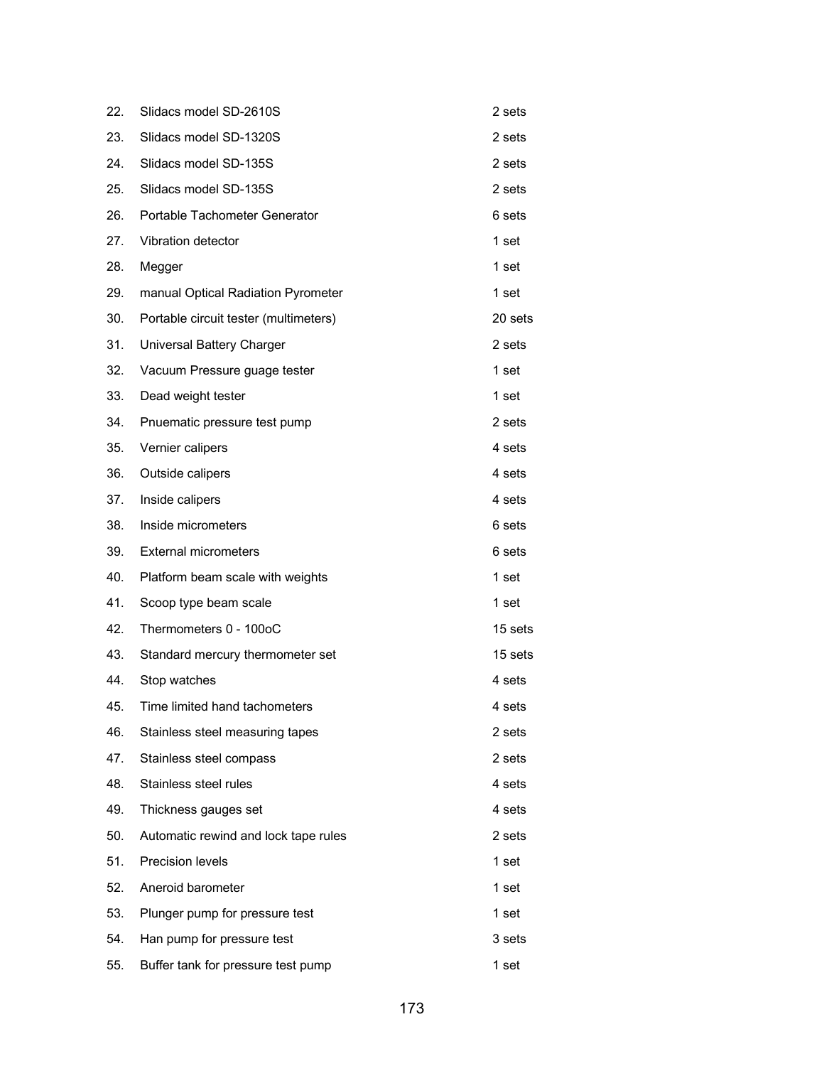| 22. | Slidacs model SD-2610S                | 2 sets           |
|-----|---------------------------------------|------------------|
| 23. | Slidacs model SD-1320S                | 2 sets           |
| 24. | Slidacs model SD-135S                 | 2 sets           |
| 25. | Slidacs model SD-135S                 | 2 sets           |
| 26. | Portable Tachometer Generator         | 6 sets           |
| 27. | Vibration detector                    | 1 set            |
| 28. | Megger                                | 1 set            |
| 29. | manual Optical Radiation Pyrometer    | 1 set            |
| 30. | Portable circuit tester (multimeters) | 20 sets          |
| 31. | Universal Battery Charger             | 2 sets           |
| 32. | Vacuum Pressure guage tester          | 1 set            |
| 33. | Dead weight tester                    | 1 <sub>set</sub> |
| 34. | Pnuematic pressure test pump          | 2 sets           |
| 35. | Vernier calipers                      | 4 sets           |
| 36. | Outside calipers                      | 4 sets           |
| 37. | Inside calipers                       | 4 sets           |
| 38. | Inside micrometers                    | 6 sets           |
| 39. | <b>External micrometers</b>           | 6 sets           |
| 40. | Platform beam scale with weights      | 1 <sub>set</sub> |
| 41. | Scoop type beam scale                 | 1 set            |
| 42. | Thermometers 0 - 100oC                | 15 sets          |
| 43. | Standard mercury thermometer set      | 15 sets          |
| 44. | Stop watches                          | 4 sets           |
| 45. | Time limited hand tachometers         | 4 sets           |
| 46. | Stainless steel measuring tapes       | 2 sets           |
| 47. | Stainless steel compass               | 2 sets           |
| 48. | Stainless steel rules                 | 4 sets           |
| 49. | Thickness gauges set                  | 4 sets           |
| 50. | Automatic rewind and lock tape rules  | 2 sets           |
| 51. | Precision levels                      | 1 set            |
| 52. | Aneroid barometer                     | 1 set            |
| 53. | Plunger pump for pressure test        | 1 set            |
| 54. | Han pump for pressure test            | 3 sets           |
| 55. | Buffer tank for pressure test pump    | 1 set            |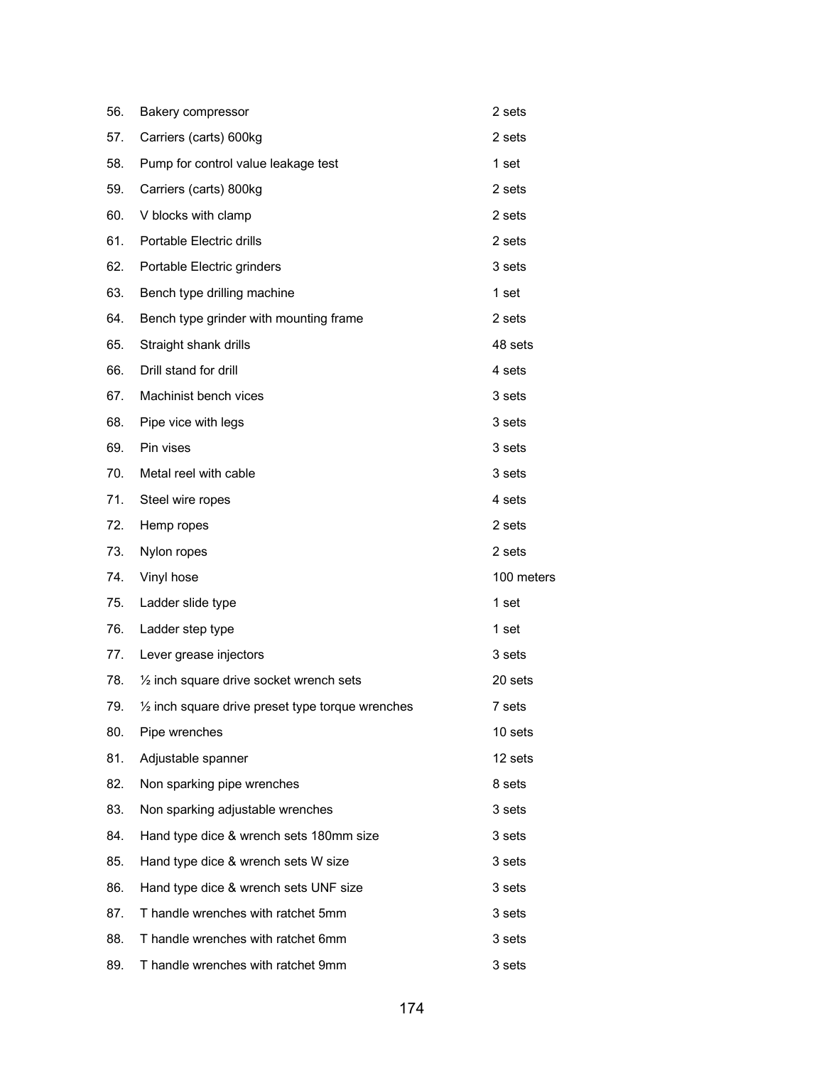| 56. | Bakery compressor                                           | 2 sets     |
|-----|-------------------------------------------------------------|------------|
| 57. | Carriers (carts) 600kg                                      | 2 sets     |
| 58. | Pump for control value leakage test                         | 1 set      |
| 59. | Carriers (carts) 800kg                                      | 2 sets     |
| 60. | V blocks with clamp                                         | 2 sets     |
| 61. | Portable Electric drills                                    | 2 sets     |
| 62. | Portable Electric grinders                                  | 3 sets     |
| 63. | Bench type drilling machine                                 | 1 set      |
| 64. | Bench type grinder with mounting frame                      | 2 sets     |
| 65. | Straight shank drills                                       | 48 sets    |
| 66. | Drill stand for drill                                       | 4 sets     |
| 67. | Machinist bench vices                                       | 3 sets     |
| 68. | Pipe vice with legs                                         | 3 sets     |
| 69. | Pin vises                                                   | 3 sets     |
| 70. | Metal reel with cable                                       | 3 sets     |
| 71. | Steel wire ropes                                            | 4 sets     |
| 72. | Hemp ropes                                                  | 2 sets     |
| 73. | Nylon ropes                                                 | 2 sets     |
| 74. | Vinyl hose                                                  | 100 meters |
| 75. | Ladder slide type                                           | 1 set      |
| 76. | Ladder step type                                            | 1 set      |
| 77. | Lever grease injectors                                      | 3 sets     |
| 78. | $\frac{1}{2}$ inch square drive socket wrench sets          | 20 sets    |
| 79. | $\frac{1}{2}$ inch square drive preset type torque wrenches | 7 sets     |
| 80. | Pipe wrenches                                               | 10 sets    |
| 81. | Adjustable spanner                                          | 12 sets    |
| 82. | Non sparking pipe wrenches                                  | 8 sets     |
| 83. | Non sparking adjustable wrenches                            | 3 sets     |
| 84. | Hand type dice & wrench sets 180mm size                     | 3 sets     |
| 85. | Hand type dice & wrench sets W size                         | 3 sets     |
| 86. | Hand type dice & wrench sets UNF size                       | 3 sets     |
| 87. | T handle wrenches with ratchet 5mm                          | 3 sets     |
| 88. | T handle wrenches with ratchet 6mm                          | 3 sets     |
| 89. | T handle wrenches with ratchet 9mm                          | 3 sets     |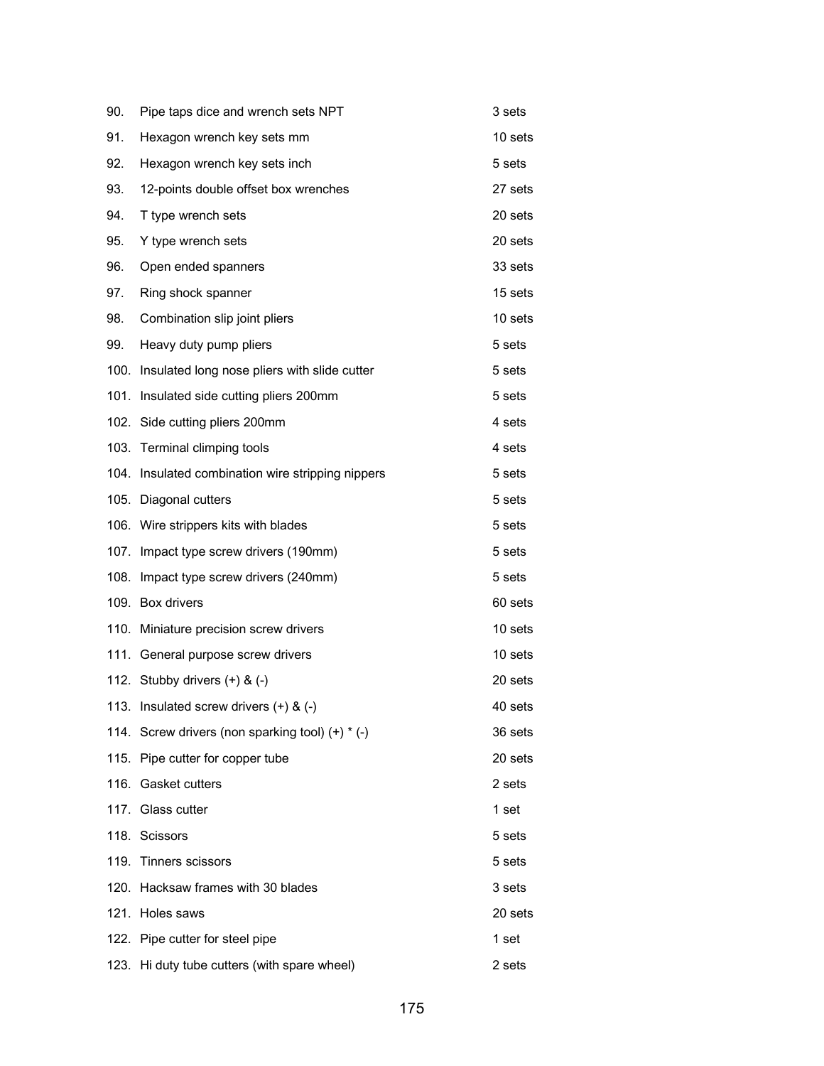| 90.  | Pipe taps dice and wrench sets NPT                | 3 sets  |
|------|---------------------------------------------------|---------|
| 91.  | Hexagon wrench key sets mm                        | 10 sets |
| 92.  | Hexagon wrench key sets inch                      | 5 sets  |
| 93.  | 12-points double offset box wrenches              | 27 sets |
| 94.  | T type wrench sets                                | 20 sets |
| 95.  | Y type wrench sets                                | 20 sets |
| 96.  | Open ended spanners                               | 33 sets |
| 97.  | Ring shock spanner                                | 15 sets |
| 98.  | Combination slip joint pliers                     | 10 sets |
| 99.  | Heavy duty pump pliers                            | 5 sets  |
| 100. | Insulated long nose pliers with slide cutter      | 5 sets  |
|      | 101. Insulated side cutting pliers 200mm          | 5 sets  |
|      | 102. Side cutting pliers 200mm                    | 4 sets  |
|      | 103. Terminal climping tools                      | 4 sets  |
|      | 104. Insulated combination wire stripping nippers | 5 sets  |
|      | 105. Diagonal cutters                             | 5 sets  |
|      | 106. Wire strippers kits with blades              | 5 sets  |
|      | 107. Impact type screw drivers (190mm)            | 5 sets  |
|      | 108. Impact type screw drivers (240mm)            | 5 sets  |
|      | 109. Box drivers                                  | 60 sets |
|      | 110. Miniature precision screw drivers            | 10 sets |
|      | 111. General purpose screw drivers                | 10 sets |
|      | 112. Stubby drivers $(+)$ & $(-)$                 | 20 sets |
|      | 113. Insulated screw drivers (+) & (-)            | 40 sets |
|      | 114. Screw drivers (non sparking tool) (+) * (-)  | 36 sets |
|      | 115. Pipe cutter for copper tube                  | 20 sets |
|      | 116. Gasket cutters                               | 2 sets  |
|      | 117. Glass cutter                                 | 1 set   |
|      | 118. Scissors                                     | 5 sets  |
|      | 119. Tinners scissors                             | 5 sets  |
|      | 120. Hacksaw frames with 30 blades                | 3 sets  |
|      | 121. Holes saws                                   | 20 sets |
|      | 122. Pipe cutter for steel pipe                   | 1 set   |
|      | 123. Hi duty tube cutters (with spare wheel)      | 2 sets  |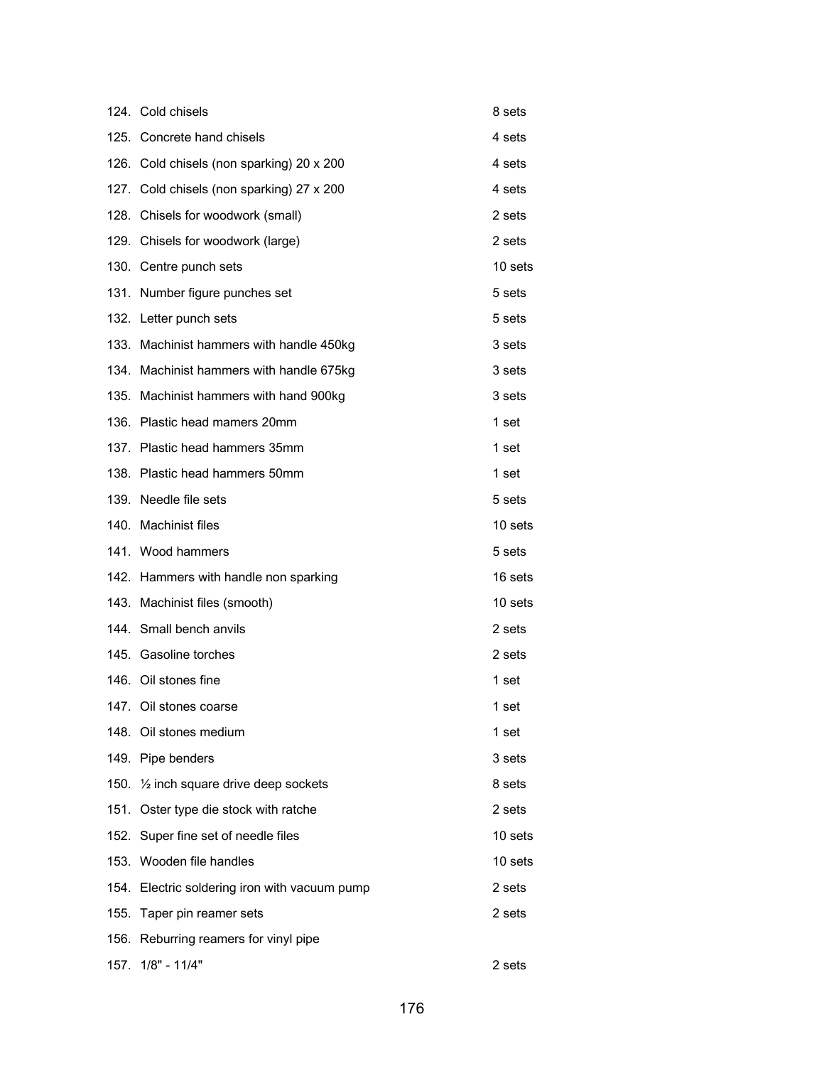|      | 124. Cold chisels                                   | 8 sets  |
|------|-----------------------------------------------------|---------|
|      | 125. Concrete hand chisels                          | 4 sets  |
|      | 126. Cold chisels (non sparking) 20 x 200           | 4 sets  |
|      | 127. Cold chisels (non sparking) 27 x 200           | 4 sets  |
|      | 128. Chisels for woodwork (small)                   | 2 sets  |
|      | 129. Chisels for woodwork (large)                   | 2 sets  |
|      | 130. Centre punch sets                              | 10 sets |
|      | 131. Number figure punches set                      | 5 sets  |
|      | 132. Letter punch sets                              | 5 sets  |
|      | 133. Machinist hammers with handle 450kg            | 3 sets  |
|      | 134. Machinist hammers with handle 675kg            | 3 sets  |
|      | 135. Machinist hammers with hand 900kg              | 3 sets  |
|      | 136. Plastic head mamers 20mm                       | 1 set   |
|      | 137. Plastic head hammers 35mm                      | 1 set   |
|      | 138. Plastic head hammers 50mm                      | 1 set   |
|      | 139. Needle file sets                               | 5 sets  |
|      | 140. Machinist files                                | 10 sets |
|      | 141. Wood hammers                                   | 5 sets  |
|      | 142. Hammers with handle non sparking               | 16 sets |
|      | 143. Machinist files (smooth)                       | 10 sets |
|      | 144. Small bench anvils                             | 2 sets  |
|      | 145. Gasoline torches                               | 2 sets  |
|      | 146. Oil stones fine                                | 1 set   |
|      | 147. Oil stones coarse                              | 1 set   |
|      | 148. Oil stones medium                              | 1 set   |
|      | 149. Pipe benders                                   | 3 sets  |
|      | 150. 1/ <sub>2</sub> inch square drive deep sockets | 8 sets  |
|      | 151. Oster type die stock with ratche               | 2 sets  |
|      | 152. Super fine set of needle files                 | 10 sets |
|      | 153. Wooden file handles                            | 10 sets |
|      | 154. Electric soldering iron with vacuum pump       | 2 sets  |
|      | 155. Taper pin reamer sets                          | 2 sets  |
|      | 156. Reburring reamers for vinyl pipe               |         |
| 157. | $1/8" - 11/4"$                                      | 2 sets  |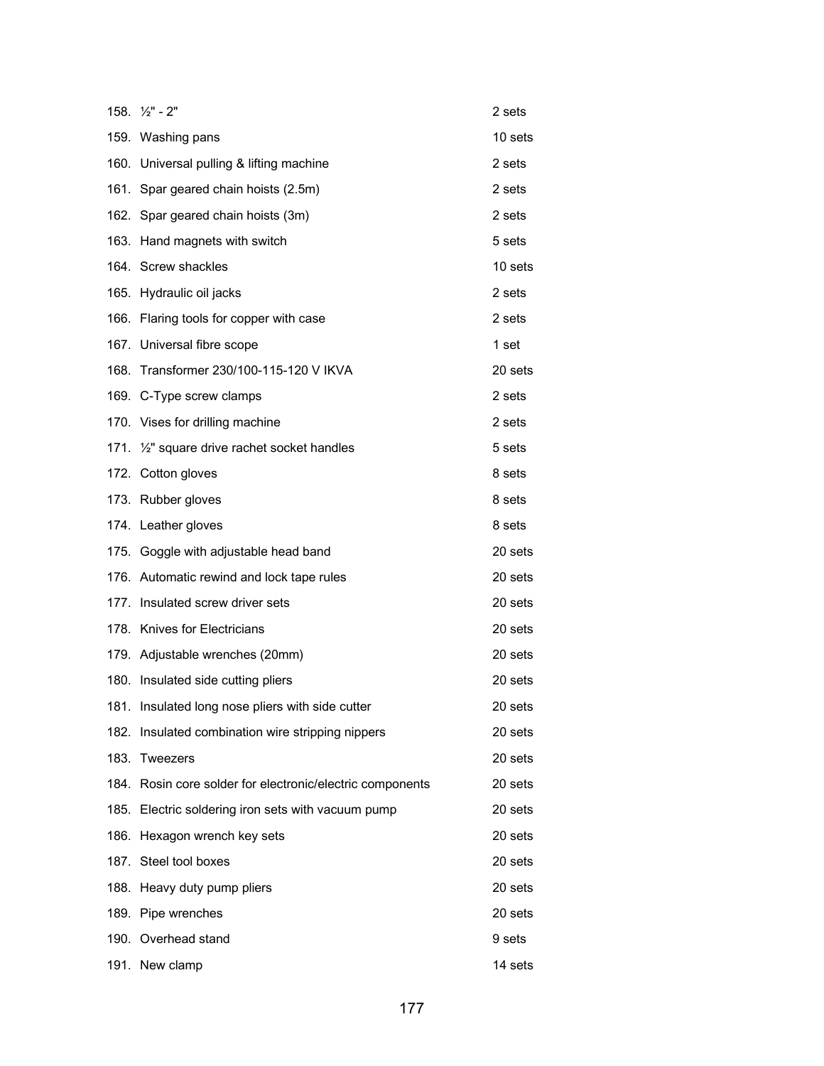| $158. \frac{1}{2} - 2$                                    | 2 sets           |
|-----------------------------------------------------------|------------------|
| 159. Washing pans                                         | 10 sets          |
| 160. Universal pulling & lifting machine                  | 2 sets           |
| 161. Spar geared chain hoists (2.5m)                      | 2 sets           |
| 162. Spar geared chain hoists (3m)                        | 2 sets           |
| 163. Hand magnets with switch                             | 5 sets           |
| 164. Screw shackles                                       | 10 sets          |
| 165. Hydraulic oil jacks                                  | 2 sets           |
| 166. Flaring tools for copper with case                   | 2 sets           |
| 167. Universal fibre scope                                | 1 <sub>set</sub> |
| 168. Transformer 230/100-115-120 V IKVA                   | 20 sets          |
| 169. C-Type screw clamps                                  | 2 sets           |
| 170. Vises for drilling machine                           | 2 sets           |
| 171. 1/ <sub>2</sub> " square drive rachet socket handles | 5 sets           |
| 172. Cotton gloves                                        | 8 sets           |
| 173. Rubber gloves                                        | 8 sets           |
| 174. Leather gloves                                       | 8 sets           |
| 175. Goggle with adjustable head band                     | 20 sets          |
| 176. Automatic rewind and lock tape rules                 | 20 sets          |
| 177. Insulated screw driver sets                          | 20 sets          |
| 178. Knives for Electricians                              | 20 sets          |
| 179. Adjustable wrenches (20mm)                           | 20 sets          |
| 180. Insulated side cutting pliers                        | 20 sets          |
| 181. Insulated long nose pliers with side cutter          | 20 sets          |
| 182. Insulated combination wire stripping nippers         | 20 sets          |
| 183. Tweezers                                             | 20 sets          |
| 184. Rosin core solder for electronic/electric components | 20 sets          |
| 185. Electric soldering iron sets with vacuum pump        | 20 sets          |
| 186. Hexagon wrench key sets                              | 20 sets          |
| 187. Steel tool boxes                                     | 20 sets          |
| 188. Heavy duty pump pliers                               | 20 sets          |
| 189. Pipe wrenches                                        | 20 sets          |
| 190. Overhead stand                                       | 9 sets           |
| 191. New clamp                                            | 14 sets          |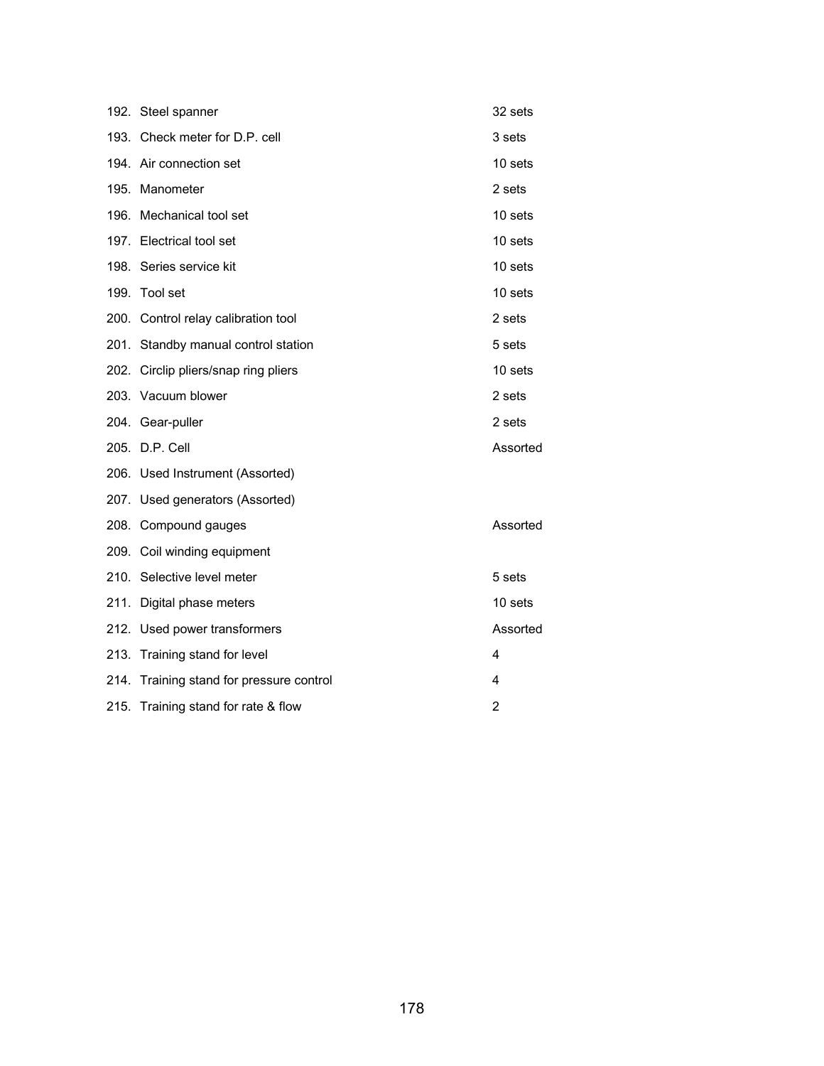| 192. Steel spanner                       | 32 sets        |
|------------------------------------------|----------------|
| 193. Check meter for D.P. cell           | 3 sets         |
| 194. Air connection set                  | 10 sets        |
| 195. Manometer                           | 2 sets         |
| 196. Mechanical tool set                 | 10 sets        |
| 197. Electrical tool set                 | 10 sets        |
| 198. Series service kit                  | 10 sets        |
| 199. Tool set                            | 10 sets        |
| 200. Control relay calibration tool      | 2 sets         |
| 201. Standby manual control station      | 5 sets         |
| 202. Circlip pliers/snap ring pliers     | 10 sets        |
| 203. Vacuum blower                       | 2 sets         |
| 204. Gear-puller                         | 2 sets         |
| 205. D.P. Cell                           | Assorted       |
| 206. Used Instrument (Assorted)          |                |
| 207. Used generators (Assorted)          |                |
| 208. Compound gauges                     | Assorted       |
| 209. Coil winding equipment              |                |
| 210. Selective level meter               | 5 sets         |
| 211. Digital phase meters                | 10 sets        |
| 212. Used power transformers             | Assorted       |
| 213. Training stand for level            | 4              |
| 214. Training stand for pressure control | 4              |
| 215. Training stand for rate & flow      | $\overline{2}$ |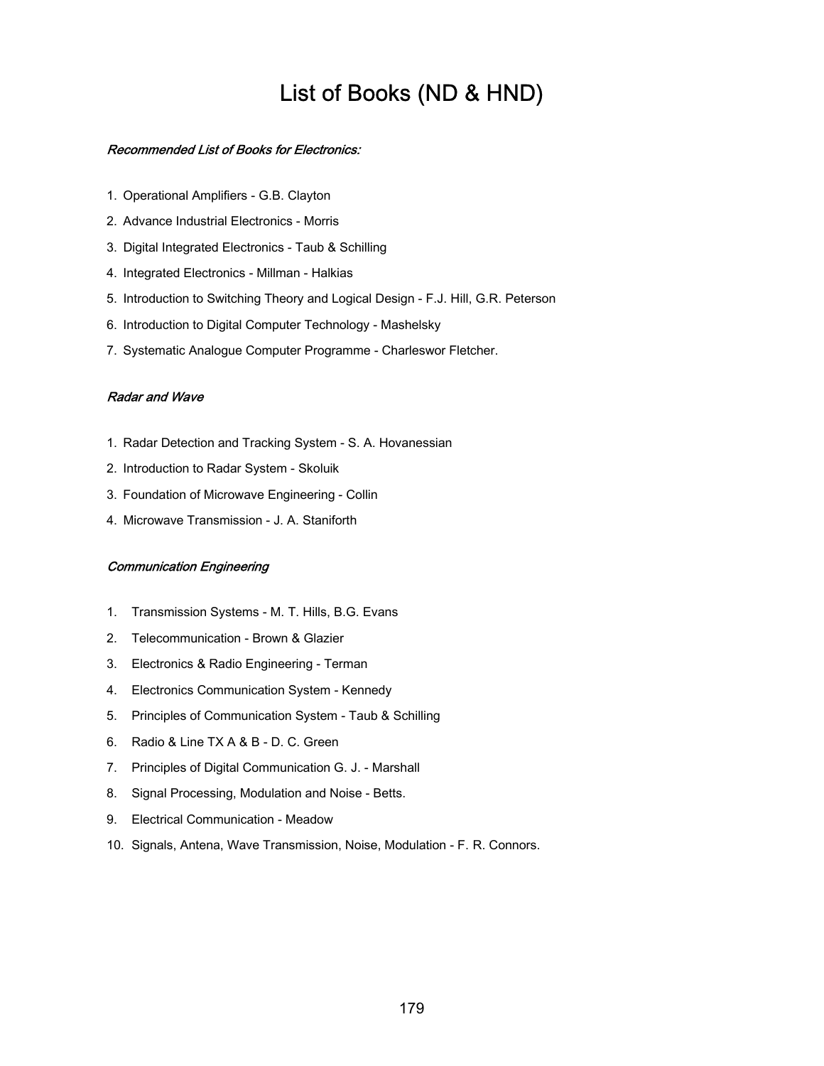# List of Books (ND & HND)

#### Recommended List of Books for Electronics:

- 1. Operational Amplifiers G.B. Clayton
- 2. Advance Industrial Electronics Morris
- 3. Digital Integrated Electronics Taub & Schilling
- 4. Integrated Electronics Millman Halkias
- 5. Introduction to Switching Theory and Logical Design F.J. Hill, G.R. Peterson
- 6. Introduction to Digital Computer Technology Mashelsky
- 7. Systematic Analogue Computer Programme Charleswor Fletcher.

#### Radar and Wave

- 1. Radar Detection and Tracking System S. A. Hovanessian
- 2. Introduction to Radar System Skoluik
- 3. Foundation of Microwave Engineering Collin
- 4. Microwave Transmission J. A. Staniforth

#### Communication Engineering

- 1. Transmission Systems M. T. Hills, B.G. Evans
- 2. Telecommunication Brown & Glazier
- 3. Electronics & Radio Engineering Terman
- 4. Electronics Communication System Kennedy
- 5. Principles of Communication System Taub & Schilling
- 6. Radio & Line TX A & B D. C. Green
- 7. Principles of Digital Communication G. J. Marshall
- 8. Signal Processing, Modulation and Noise Betts.
- 9. Electrical Communication Meadow
- 10. Signals, Antena, Wave Transmission, Noise, Modulation F. R. Connors.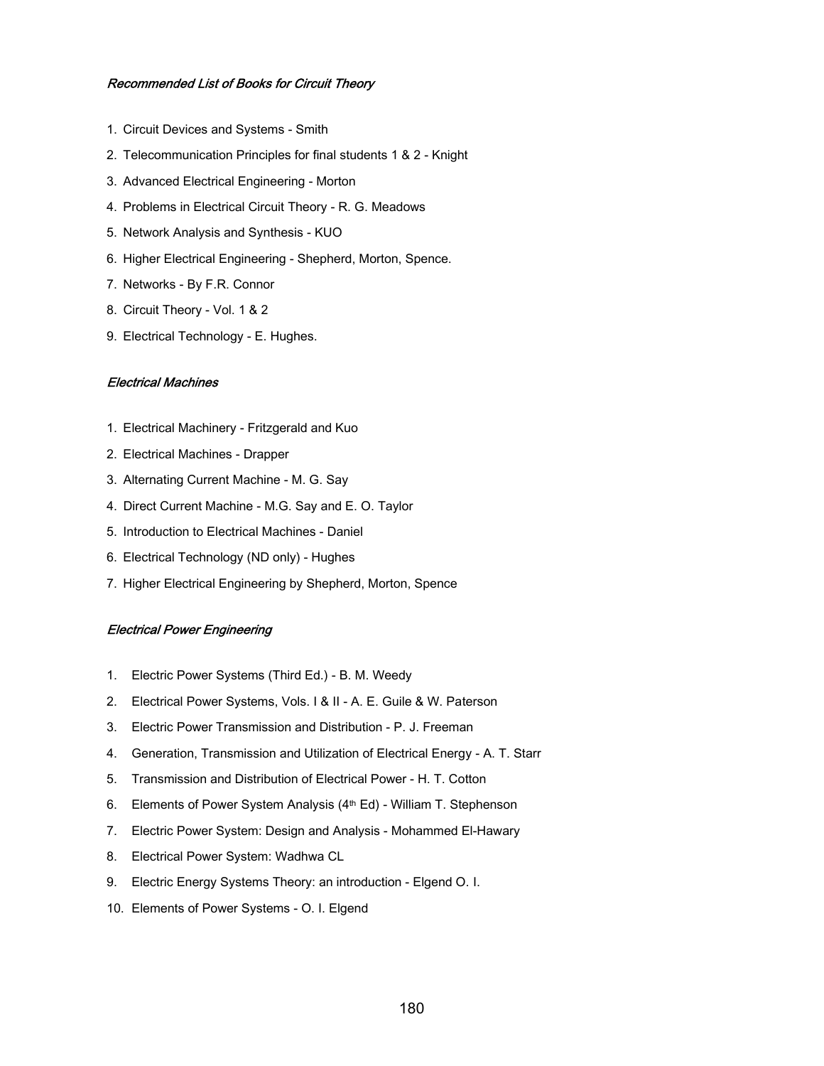#### Recommended List of Books for Circuit Theory

- 1. Circuit Devices and Systems Smith
- 2. Telecommunication Principles for final students 1 & 2 Knight
- 3. Advanced Electrical Engineering Morton
- 4. Problems in Electrical Circuit Theory R. G. Meadows
- 5. Network Analysis and Synthesis KUO
- 6. Higher Electrical Engineering Shepherd, Morton, Spence.
- 7. Networks By F.R. Connor
- 8. Circuit Theory Vol. 1 & 2
- 9. Electrical Technology E. Hughes.

#### Electrical Machines

- 1. Electrical Machinery Fritzgerald and Kuo
- 2. Electrical Machines Drapper
- 3. Alternating Current Machine M. G. Say
- 4. Direct Current Machine M.G. Say and E. O. Taylor
- 5. Introduction to Electrical Machines Daniel
- 6. Electrical Technology (ND only) Hughes
- 7. Higher Electrical Engineering by Shepherd, Morton, Spence

#### Electrical Power Engineering

- 1. Electric Power Systems (Third Ed.) B. M. Weedy
- 2. Electrical Power Systems, Vols. I & II A. E. Guile & W. Paterson
- 3. Electric Power Transmission and Distribution P. J. Freeman
- 4. Generation, Transmission and Utilization of Electrical Energy A. T. Starr
- 5. Transmission and Distribution of Electrical Power H. T. Cotton
- 6. Elements of Power System Analysis (4<sup>th</sup> Ed) William T. Stephenson
- 7. Electric Power System: Design and Analysis Mohammed El-Hawary
- 8. Electrical Power System: Wadhwa CL
- 9. Electric Energy Systems Theory: an introduction Elgend O. I.
- 10. Elements of Power Systems O. I. Elgend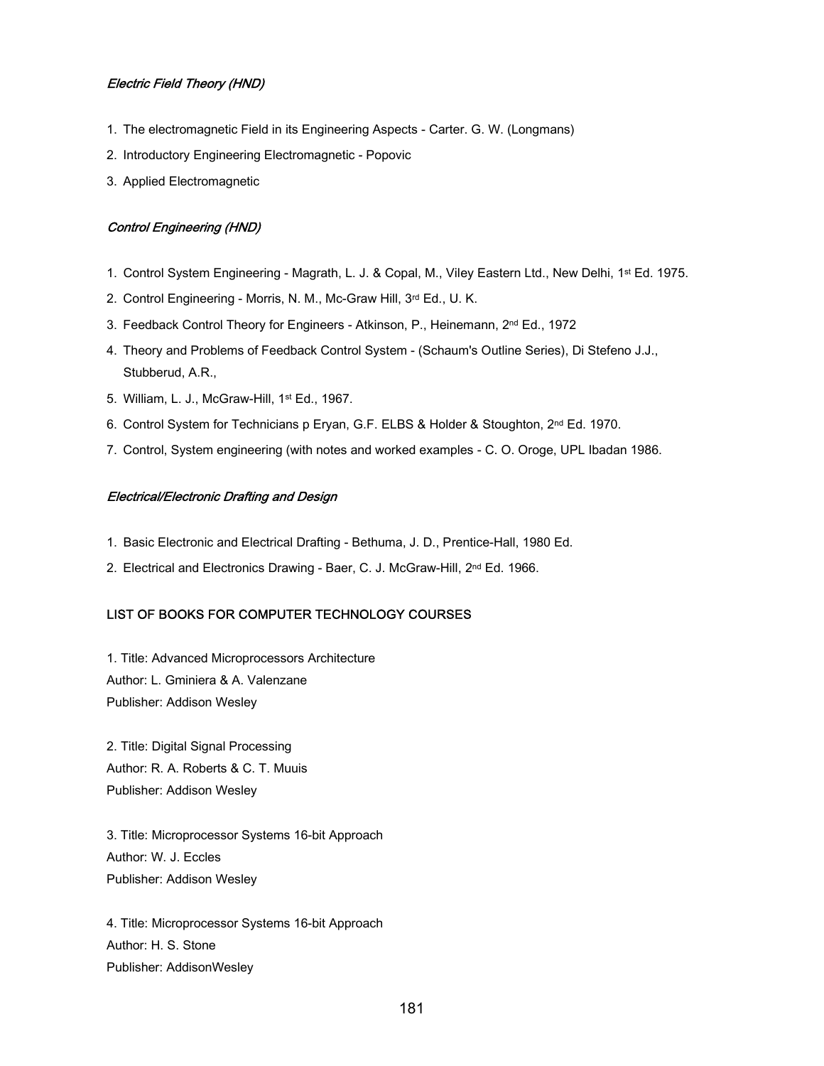#### Electric Field Theory (HND)

- 1. The electromagnetic Field in its Engineering Aspects Carter. G. W. (Longmans)
- 2. Introductory Engineering Electromagnetic Popovic
- 3. Applied Electromagnetic

#### Control Engineering (HND)

- 1. Control System Engineering Magrath, L. J. & Copal, M., Viley Eastern Ltd., New Delhi, 1st Ed. 1975.
- 2. Control Engineering Morris, N. M., Mc-Graw Hill, 3rd Ed., U. K.
- 3. Feedback Control Theory for Engineers Atkinson, P., Heinemann, 2<sup>nd</sup> Ed., 1972
- 4. Theory and Problems of Feedback Control System (Schaum's Outline Series), Di Stefeno J.J., Stubberud, A.R.,
- 5. William, L. J., McGraw-Hill, 1st Ed., 1967.
- 6. Control System for Technicians p Eryan, G.F. ELBS & Holder & Stoughton, 2nd Ed. 1970.
- 7. Control, System engineering (with notes and worked examples C. O. Oroge, UPL Ibadan 1986.

#### Electrical/Electronic Drafting and Design

- 1. Basic Electronic and Electrical Drafting Bethuma, J. D., Prentice-Hall, 1980 Ed.
- 2. Electrical and Electronics Drawing Baer, C. J. McGraw-Hill, 2nd Ed. 1966.

#### LIST OF BOOKS FOR COMPUTER TECHNOLOGY COURSES

1. Title: Advanced Microprocessors Architecture Author: L. Gminiera & A. Valenzane Publisher: Addison Wesley

2. Title: Digital Signal Processing Author: R. A. Roberts & C. T. Muuis Publisher: Addison Wesley

3. Title: Microprocessor Systems 16-bit Approach Author: W. J. Eccles Publisher: Addison Wesley

4. Title: Microprocessor Systems 16-bit Approach Author: H. S. Stone Publisher: AddisonWesley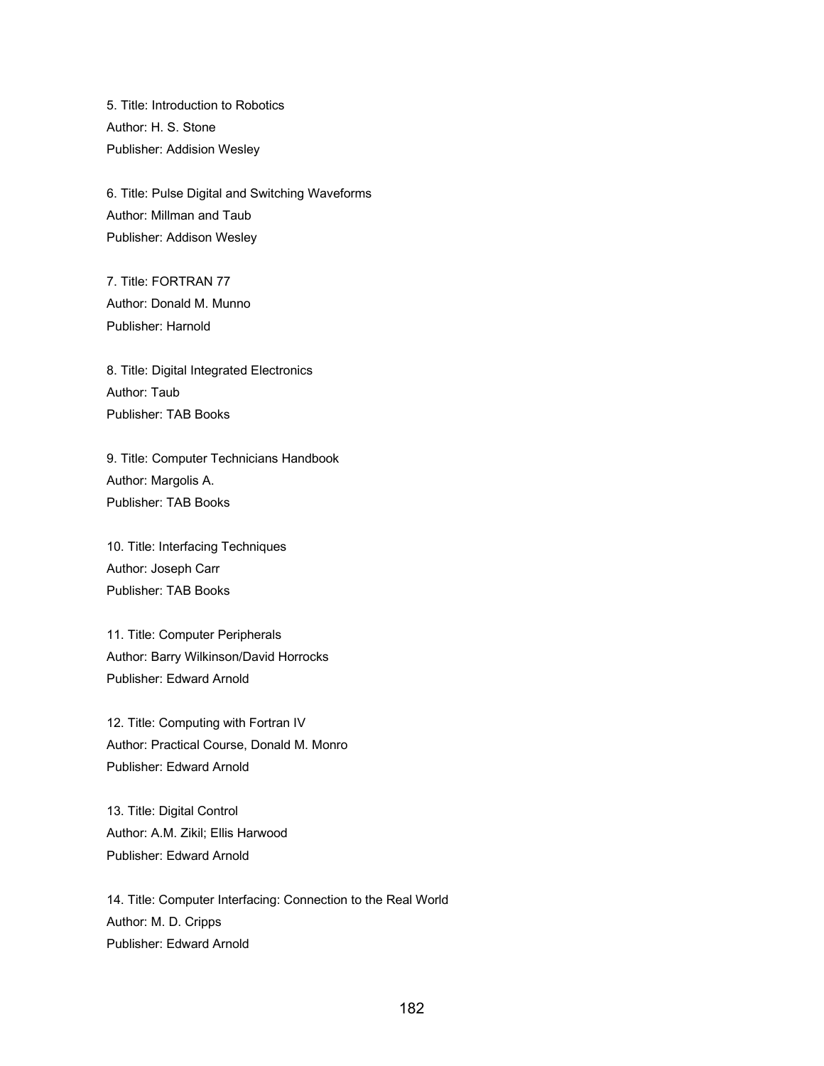5. Title: Introduction to Robotics Author: H. S. Stone Publisher: Addision Wesley

6. Title: Pulse Digital and Switching Waveforms Author: Millman and Taub Publisher: Addison Wesley

7. Title: FORTRAN 77 Author: Donald M. Munno Publisher: Harnold

8. Title: Digital Integrated Electronics Author: Taub Publisher: TAB Books

9. Title: Computer Technicians Handbook Author: Margolis A. Publisher: TAB Books

10. Title: Interfacing Techniques Author: Joseph Carr Publisher: TAB Books

11. Title: Computer Peripherals Author: Barry Wilkinson/David Horrocks Publisher: Edward Arnold

12. Title: Computing with Fortran IV Author: Practical Course, Donald M. Monro Publisher: Edward Arnold

13. Title: Digital Control Author: A.M. Zikil; Ellis Harwood Publisher: Edward Arnold

14. Title: Computer Interfacing: Connection to the Real World Author: M. D. Cripps Publisher: Edward Arnold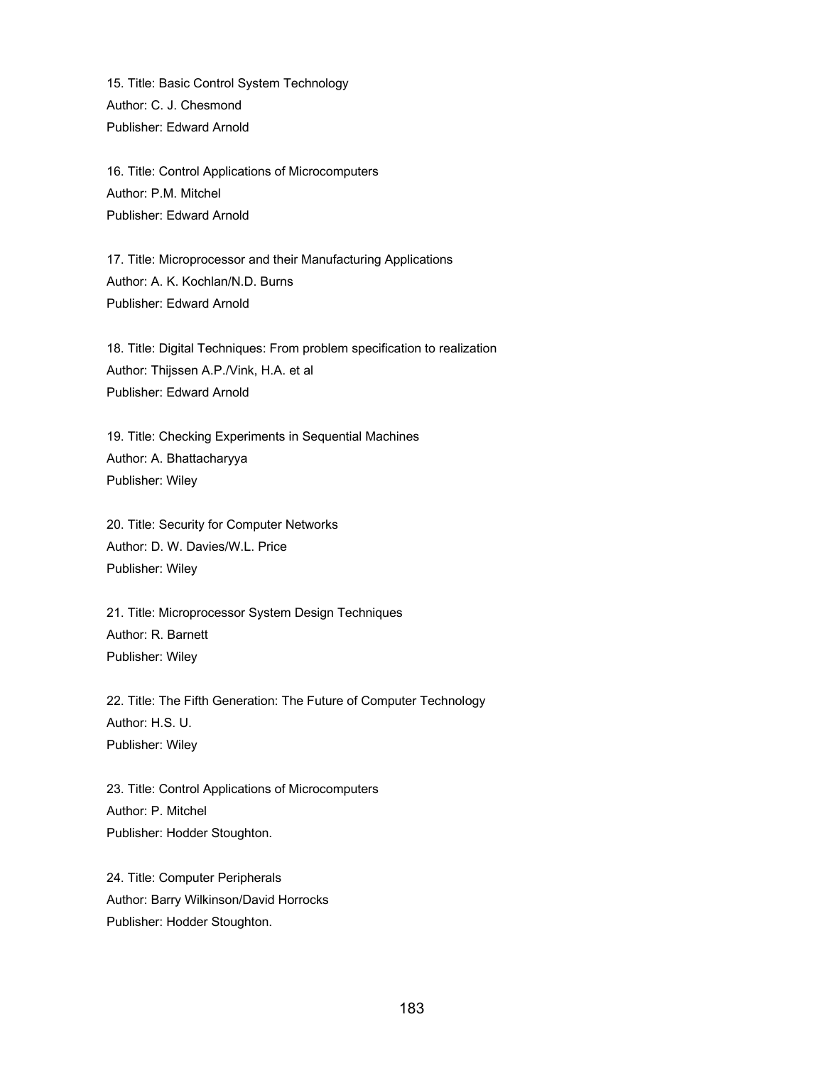15. Title: Basic Control System Technology Author: C. J. Chesmond Publisher: Edward Arnold

16. Title: Control Applications of Microcomputers Author: P.M. Mitchel Publisher: Edward Arnold

17. Title: Microprocessor and their Manufacturing Applications Author: A. K. Kochlan/N.D. Burns Publisher: Edward Arnold

18. Title: Digital Techniques: From problem specification to realization Author: Thijssen A.P./Vink, H.A. et al Publisher: Edward Arnold

19. Title: Checking Experiments in Sequential Machines Author: A. Bhattacharyya Publisher: Wiley

20. Title: Security for Computer Networks Author: D. W. Davies/W.L. Price Publisher: Wiley

21. Title: Microprocessor System Design Techniques Author: R. Barnett Publisher: Wiley

22. Title: The Fifth Generation: The Future of Computer Technology Author: H.S. U. Publisher: Wiley

23. Title: Control Applications of Microcomputers Author: P. Mitchel Publisher: Hodder Stoughton.

24. Title: Computer Peripherals Author: Barry Wilkinson/David Horrocks Publisher: Hodder Stoughton.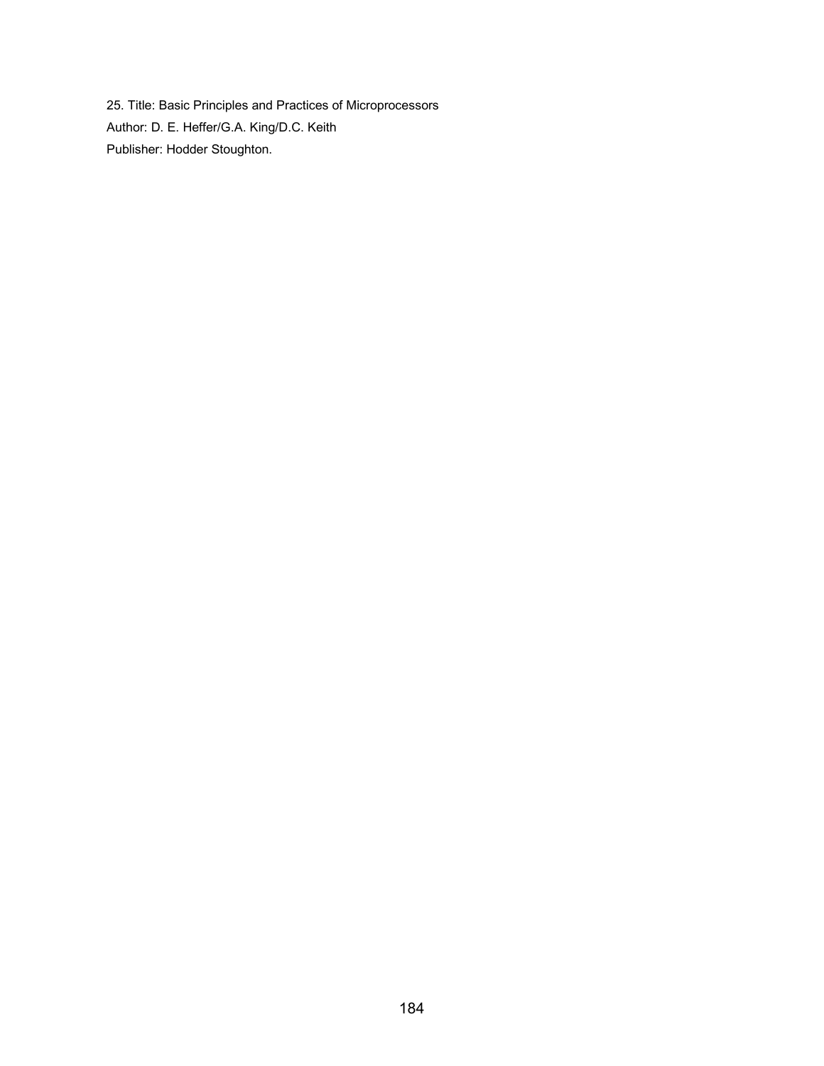25. Title: Basic Principles and Practices of Microprocessors Author: D. E. Heffer/G.A. King/D.C. Keith Publisher: Hodder Stoughton.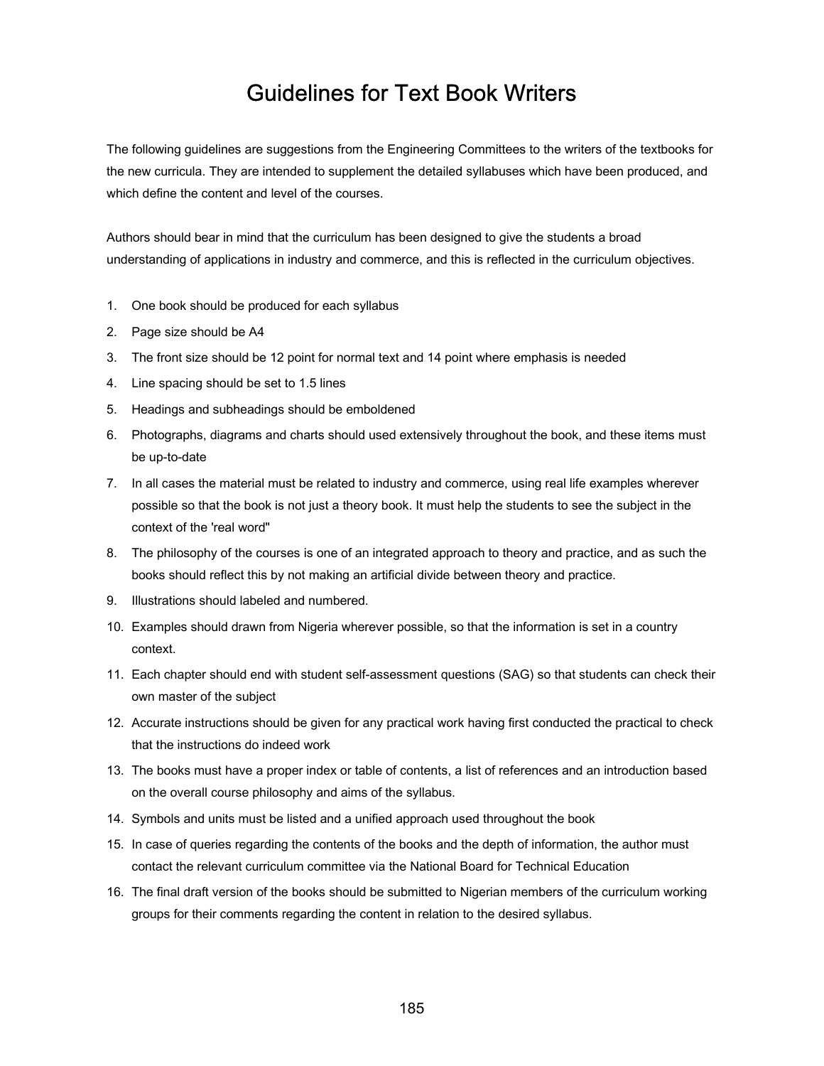## Guidelines for Text Book Writers

The following guidelines are suggestions from the Engineering Committees to the writers of the textbooks for the new curricula. They are intended to supplement the detailed syllabuses which have been produced, and which define the content and level of the courses.

Authors should bear in mind that the curriculum has been designed to give the students a broad understanding of applications in industry and commerce, and this is reflected in the curriculum objectives.

- 1. One book should be produced for each syllabus
- 2. Page size should be A4
- 3. The front size should be 12 point for normal text and 14 point where emphasis is needed
- 4. Line spacing should be set to 1.5 lines
- 5. Headings and subheadings should be emboldened
- 6. Photographs, diagrams and charts should used extensively throughout the book, and these items must be up-to-date
- 7. In all cases the material must be related to industry and commerce, using real life examples wherever possible so that the book is not just a theory book. It must help the students to see the subject in the context of the 'real word"
- 8. The philosophy of the courses is one of an integrated approach to theory and practice, and as such the books should reflect this by not making an artificial divide between theory and practice.
- 9. Illustrations should labeled and numbered.
- 10. Examples should drawn from Nigeria wherever possible, so that the information is set in a country context.
- 11. Each chapter should end with student self-assessment questions (SAG) so that students can check their own master of the subject
- 12. Accurate instructions should be given for any practical work having first conducted the practical to check that the instructions do indeed work
- 13. The books must have a proper index or table of contents, a list of references and an introduction based on the overall course philosophy and aims of the syllabus.
- 14. Symbols and units must be listed and a unified approach used throughout the book
- 15. In case of queries regarding the contents of the books and the depth of information, the author must contact the relevant curriculum committee via the National Board for Technical Education
- 16. The final draft version of the books should be submitted to Nigerian members of the curriculum working groups for their comments regarding the content in relation to the desired syllabus.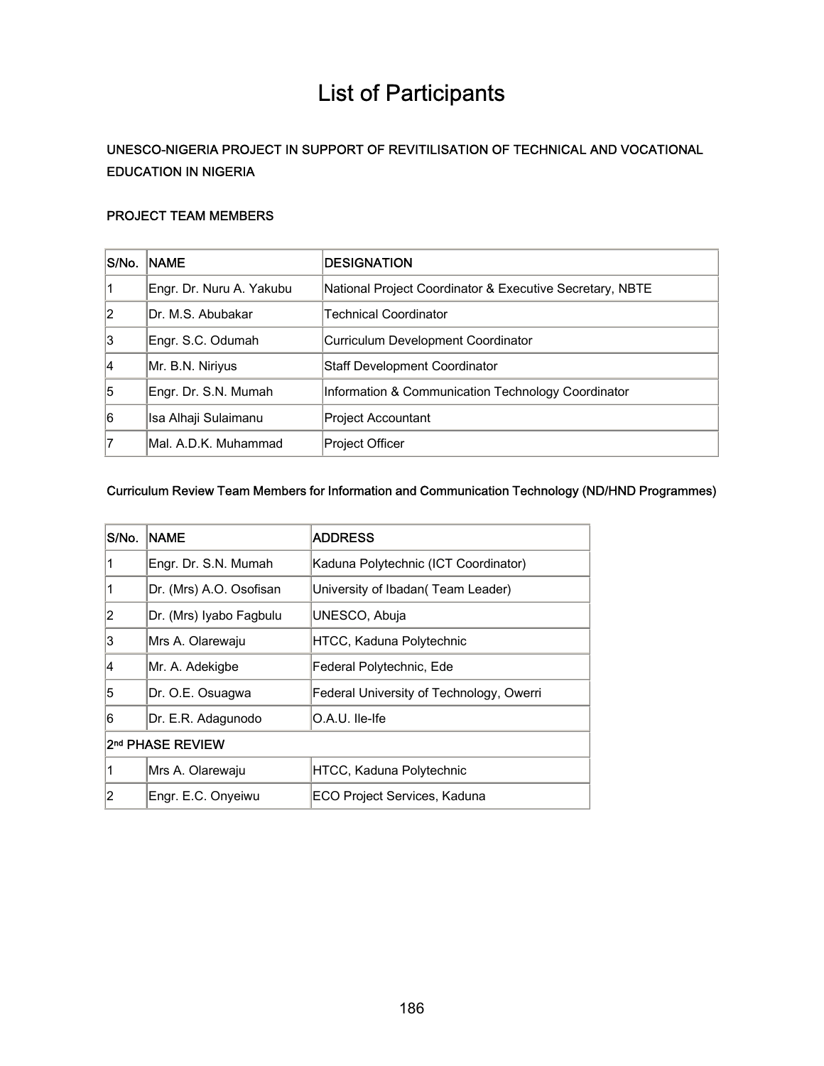# List of Participants

## UNESCO-NIGERIA PROJECT IN SUPPORT OF REVITILISATION OF TECHNICAL AND VOCATIONAL EDUCATION IN NIGERIA

#### PROJECT TEAM MEMBERS

| S/No. | <b>NAME</b>              | <b>DESIGNATION</b>                                       |
|-------|--------------------------|----------------------------------------------------------|
| '1    | Engr. Dr. Nuru A. Yakubu | National Project Coordinator & Executive Secretary, NBTE |
| 2     | IDr. M.S. Abubakar       | <b>Technical Coordinator</b>                             |
| 13    | Engr. S.C. Odumah        | Curriculum Development Coordinator                       |
| 14    | Mr. B.N. Niriyus         | <b>Staff Development Coordinator</b>                     |
| 5     | Engr. Dr. S.N. Mumah     | Information & Communication Technology Coordinator       |
| 6     | Isa Alhaji Sulaimanu     | <b>Project Accountant</b>                                |
| 7     | Mal. A.D.K. Muhammad     | <b>Project Officer</b>                                   |

### Curriculum Review Team Members for Information and Communication Technology (ND/HND Programmes)

| S/No.            | <b>NAME</b>             | <b>ADDRESS</b>                           |  |
|------------------|-------------------------|------------------------------------------|--|
|                  | Engr. Dr. S.N. Mumah    | Kaduna Polytechnic (ICT Coordinator)     |  |
| 1                | Dr. (Mrs) A.O. Osofisan | University of Ibadan (Team Leader)       |  |
| 2                | Dr. (Mrs) Iyabo Fagbulu | UNESCO, Abuja                            |  |
| 3                | lMrs A. Olarewaju       | HTCC, Kaduna Polytechnic                 |  |
| 4                | Mr. A. Adekigbe         | Federal Polytechnic, Ede                 |  |
| 5                | Dr. O.E. Osuagwa        | Federal University of Technology, Owerri |  |
| 6                | Dr. E.R. Adagunodo      | O.A.U. Ile-Ife                           |  |
| 2nd PHASE REVIEW |                         |                                          |  |
| 1                | Mrs A. Olarewaju        | HTCC, Kaduna Polytechnic                 |  |
| 2                | Engr. E.C. Onyeiwu      | ECO Project Services, Kaduna             |  |